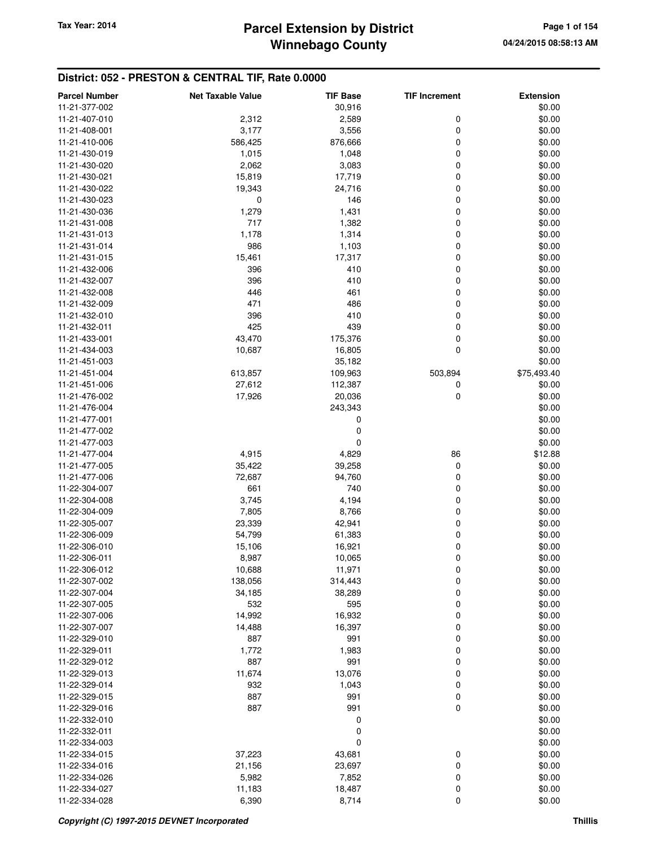# **Winnebago County** Tax Year: 2014 **Parcel Extension by District Tax Year: 2014 Page 1 of 154**

## **District: 052 - PRESTON & CENTRAL TIF, Rate 0.0000**

| <b>Parcel Number</b> | <b>Net Taxable Value</b> | <b>TIF Base</b> | <b>TIF Increment</b> | <b>Extension</b> |
|----------------------|--------------------------|-----------------|----------------------|------------------|
| 11-21-377-002        |                          | 30,916          |                      | \$0.00           |
| 11-21-407-010        | 2,312                    | 2,589           | 0                    | \$0.00           |
| 11-21-408-001        | 3,177                    | 3,556           | $\mathbf 0$          | \$0.00           |
| 11-21-410-006        | 586,425                  | 876,666         | 0                    | \$0.00           |
| 11-21-430-019        | 1,015                    | 1,048           | 0                    | \$0.00           |
| 11-21-430-020        | 2,062                    | 3,083           | 0                    | \$0.00           |
| 11-21-430-021        | 15,819                   | 17,719          | 0                    | \$0.00           |
| 11-21-430-022        | 19,343                   | 24,716          | 0                    | \$0.00           |
| 11-21-430-023        | 0                        | 146             | 0                    | \$0.00           |
| 11-21-430-036        | 1,279                    | 1,431           | 0                    | \$0.00           |
| 11-21-431-008        | 717                      | 1,382           | 0                    | \$0.00           |
| 11-21-431-013        | 1,178                    | 1,314           | 0                    | \$0.00           |
| 11-21-431-014        | 986                      | 1,103           | 0                    | \$0.00           |
| 11-21-431-015        | 15,461                   | 17,317          | 0                    | \$0.00           |
| 11-21-432-006        | 396                      | 410             | 0                    | \$0.00           |
| 11-21-432-007        | 396                      | 410             | 0                    | \$0.00           |
| 11-21-432-008        | 446                      | 461             | 0                    | \$0.00           |
| 11-21-432-009        | 471                      | 486             | 0                    | \$0.00           |
| 11-21-432-010        | 396                      | 410             | 0                    | \$0.00           |
| 11-21-432-011        | 425                      | 439             | 0                    | \$0.00           |
| 11-21-433-001        | 43,470                   | 175,376         | 0                    | \$0.00           |
| 11-21-434-003        | 10,687                   | 16,805          | $\mathbf 0$          | \$0.00           |
| 11-21-451-003        |                          | 35,182          |                      | \$0.00           |
| 11-21-451-004        | 613,857                  | 109,963         | 503,894              | \$75,493.40      |
| 11-21-451-006        | 27,612                   | 112,387         | 0                    | \$0.00           |
| 11-21-476-002        | 17,926                   | 20,036          | 0                    | \$0.00           |
| 11-21-476-004        |                          | 243,343         |                      | \$0.00           |
| 11-21-477-001        |                          | 0               |                      | \$0.00           |
| 11-21-477-002        |                          | 0               |                      | \$0.00           |
| 11-21-477-003        |                          | 0               |                      | \$0.00           |
| 11-21-477-004        | 4,915                    | 4,829           | 86                   | \$12.88          |
| 11-21-477-005        | 35,422                   | 39,258          | 0                    | \$0.00           |
| 11-21-477-006        | 72,687                   | 94,760          | 0                    | \$0.00           |
| 11-22-304-007        | 661                      | 740             | 0                    | \$0.00           |
| 11-22-304-008        | 3,745                    | 4,194           | 0                    | \$0.00           |
| 11-22-304-009        | 7,805                    | 8,766           | 0                    | \$0.00           |
| 11-22-305-007        | 23,339                   | 42,941          | 0                    | \$0.00           |
| 11-22-306-009        | 54,799                   | 61,383          | 0                    | \$0.00           |
| 11-22-306-010        | 15,106                   | 16,921          | 0                    | \$0.00           |
| 11-22-306-011        | 8,987                    | 10,065          | 0                    | \$0.00           |
| 11-22-306-012        | 10,688                   | 11,971          | $\boldsymbol{0}$     | \$0.00           |
| 11-22-307-002        | 138,056                  | 314,443         | 0                    | \$0.00           |
| 11-22-307-004        | 34,185                   | 38,289          | 0                    | \$0.00           |
| 11-22-307-005        | 532                      | 595             | 0                    | \$0.00           |
| 11-22-307-006        | 14,992                   | 16,932          | 0                    | \$0.00           |
| 11-22-307-007        | 14,488                   | 16,397          | 0                    | \$0.00           |
| 11-22-329-010        | 887                      | 991             | 0                    | \$0.00           |
| 11-22-329-011        | 1,772                    | 1,983           | 0                    | \$0.00           |
| 11-22-329-012        | 887                      | 991             | 0                    | \$0.00           |
| 11-22-329-013        | 11,674                   | 13,076          | 0                    | \$0.00           |
| 11-22-329-014        | 932                      | 1,043           | 0                    | \$0.00           |
| 11-22-329-015        | 887                      | 991             | 0                    | \$0.00           |
| 11-22-329-016        | 887                      | 991             | $\mathbf 0$          | \$0.00           |
| 11-22-332-010        |                          | 0               |                      | \$0.00           |
| 11-22-332-011        |                          | 0               |                      | \$0.00           |
| 11-22-334-003        |                          | 0               |                      | \$0.00           |
| 11-22-334-015        | 37,223                   | 43,681          | 0                    | \$0.00           |
| 11-22-334-016        | 21,156                   | 23,697          | 0                    | \$0.00           |
| 11-22-334-026        | 5,982                    | 7,852           | 0                    | \$0.00           |
| 11-22-334-027        | 11,183                   | 18,487          | 0                    | \$0.00           |
| 11-22-334-028        | 6,390                    | 8,714           | 0                    | \$0.00           |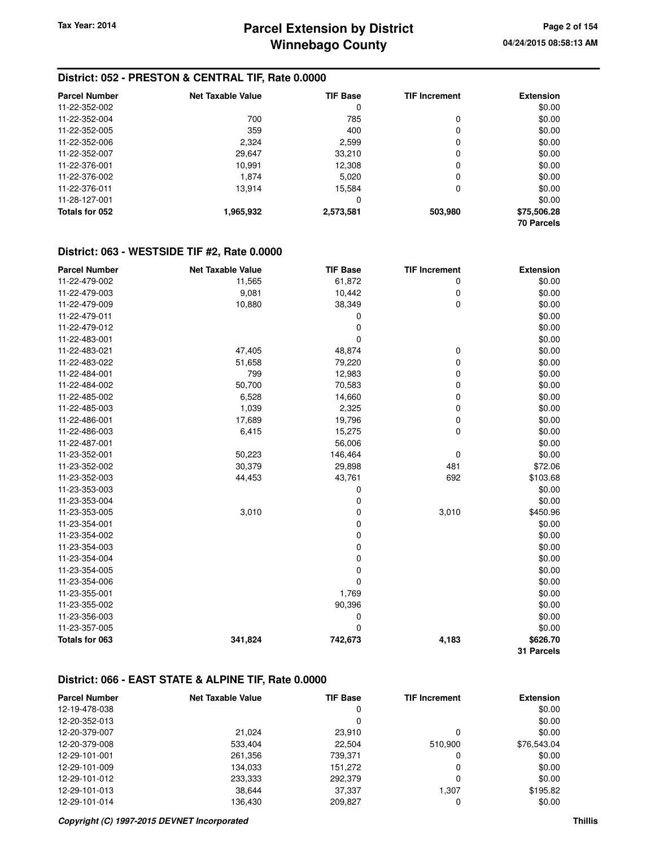#### **District: 052 - PRESTON & CENTRAL TIF, Rate 0.0000**

| <b>Parcel Number</b> | Net Taxable Value | <b>TIF Base</b> | <b>TIF Increment</b> | <b>Extension</b>  |
|----------------------|-------------------|-----------------|----------------------|-------------------|
| 11-22-352-002        |                   | 0               |                      | \$0.00            |
| 11-22-352-004        | 700               | 785             | 0                    | \$0.00            |
| 11-22-352-005        | 359               | 400             | 0                    | \$0.00            |
| 11-22-352-006        | 2,324             | 2,599           | 0                    | \$0.00            |
| 11-22-352-007        | 29,647            | 33,210          | 0                    | \$0.00            |
| 11-22-376-001        | 10,991            | 12,308          | 0                    | \$0.00            |
| 11-22-376-002        | 1.874             | 5,020           | 0                    | \$0.00            |
| 11-22-376-011        | 13.914            | 15.584          | 0                    | \$0.00            |
| 11-28-127-001        |                   | 0               |                      | \$0.00            |
| Totals for 052       | 1,965,932         | 2,573,581       | 503,980              | \$75,506.28       |
|                      |                   |                 |                      | <b>70 Parcels</b> |

#### **District: 063 - WESTSIDE TIF #2, Rate 0.0000**

| <b>Parcel Number</b> | <b>Net Taxable Value</b> | <b>TIF Base</b> | <b>TIF Increment</b> | <b>Extension</b> |
|----------------------|--------------------------|-----------------|----------------------|------------------|
| 11-22-479-002        | 11,565                   | 61,872          | 0                    | \$0.00           |
| 11-22-479-003        | 9,081                    | 10,442          | 0                    | \$0.00           |
| 11-22-479-009        | 10,880                   | 38,349          | 0                    | \$0.00           |
| 11-22-479-011        |                          | 0               |                      | \$0.00           |
| 11-22-479-012        |                          | 0               |                      | \$0.00           |
| 11-22-483-001        |                          | 0               |                      | \$0.00           |
| 11-22-483-021        | 47,405                   | 48,874          | 0                    | \$0.00           |
| 11-22-483-022        | 51,658                   | 79,220          | 0                    | \$0.00           |
| 11-22-484-001        | 799                      | 12,983          | 0                    | \$0.00           |
| 11-22-484-002        | 50,700                   | 70,583          | 0                    | \$0.00           |
| 11-22-485-002        | 6,528                    | 14,660          | 0                    | \$0.00           |
| 11-22-485-003        | 1,039                    | 2,325           | 0                    | \$0.00           |
| 11-22-486-001        | 17,689                   | 19,796          | 0                    | \$0.00           |
| 11-22-486-003        | 6,415                    | 15,275          | 0                    | \$0.00           |
| 11-22-487-001        |                          | 56,006          |                      | \$0.00           |
| 11-23-352-001        | 50,223                   | 146,464         | 0                    | \$0.00           |
| 11-23-352-002        | 30,379                   | 29,898          | 481                  | \$72.06          |
| 11-23-352-003        | 44,453                   | 43,761          | 692                  | \$103.68         |
| 11-23-353-003        |                          | 0               |                      | \$0.00           |
| 11-23-353-004        |                          | 0               |                      | \$0.00           |
| 11-23-353-005        | 3,010                    | 0               | 3,010                | \$450.96         |
| 11-23-354-001        |                          | 0               |                      | \$0.00           |
| 11-23-354-002        |                          | $\mathbf 0$     |                      | \$0.00           |
| 11-23-354-003        |                          | 0               |                      | \$0.00           |
| 11-23-354-004        |                          | 0               |                      | \$0.00           |
| 11-23-354-005        |                          | 0               |                      | \$0.00           |
| 11-23-354-006        |                          | 0               |                      | \$0.00           |
| 11-23-355-001        |                          | 1,769           |                      | \$0.00           |
| 11-23-355-002        |                          | 90,396          |                      | \$0.00           |
| 11-23-356-003        |                          | 0               |                      | \$0.00           |
| 11-23-357-005        |                          | $\mathbf 0$     |                      | \$0.00           |
| Totals for 063       | 341,824                  | 742,673         | 4,183                | \$626.70         |
|                      |                          |                 |                      | 31 Parcels       |

#### **District: 066 - EAST STATE & ALPINE TIF, Rate 0.0000**

| <b>Parcel Number</b> | <b>Net Taxable Value</b> | <b>TIF Base</b> | <b>TIF Increment</b> | <b>Extension</b> |
|----------------------|--------------------------|-----------------|----------------------|------------------|
| 12-19-478-038        |                          | 0               |                      | \$0.00           |
| 12-20-352-013        |                          | 0               |                      | \$0.00           |
| 12-20-379-007        | 21.024                   | 23,910          |                      | \$0.00           |
| 12-20-379-008        | 533,404                  | 22.504          | 510.900              | \$76,543.04      |
| 12-29-101-001        | 261,356                  | 739,371         |                      | \$0.00           |
| 12-29-101-009        | 134,033                  | 151,272         | 0                    | \$0.00           |
| 12-29-101-012        | 233,333                  | 292,379         | 0                    | \$0.00           |
| 12-29-101-013        | 38,644                   | 37.337          | 1.307                | \$195.82         |
| 12-29-101-014        | 136.430                  | 209,827         |                      | \$0.00           |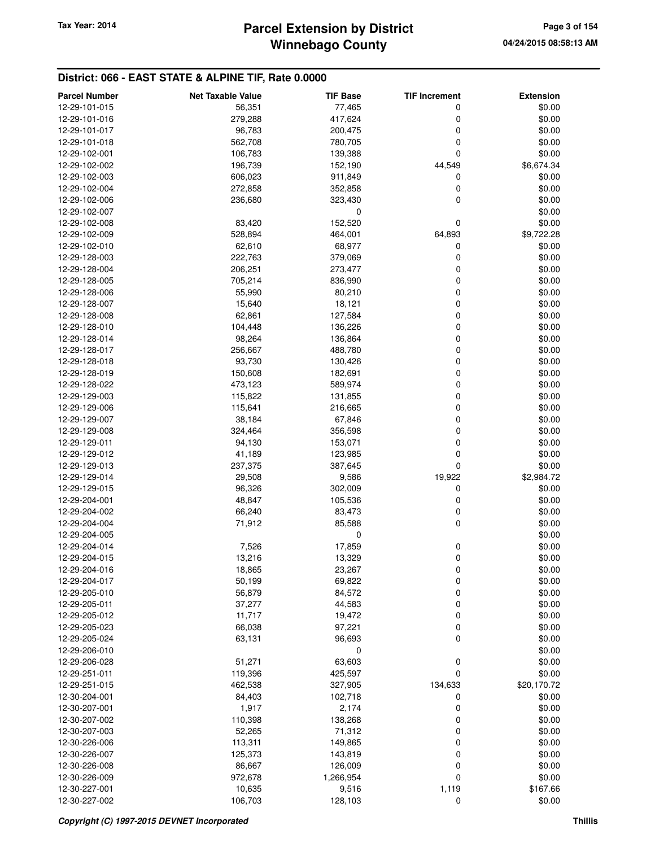#### **District: 066 - EAST STATE & ALPINE TIF, Rate 0.0000**

| <b>Parcel Number</b> | <b>Net Taxable Value</b> | <b>TIF Base</b> | <b>TIF Increment</b> | <b>Extension</b> |
|----------------------|--------------------------|-----------------|----------------------|------------------|
| 12-29-101-015        | 56,351                   | 77,465          | 0                    | \$0.00           |
| 12-29-101-016        | 279,288                  | 417,624         | 0                    | \$0.00           |
| 12-29-101-017        | 96,783                   | 200,475         | 0                    | \$0.00           |
| 12-29-101-018        | 562,708                  | 780,705         | 0                    | \$0.00           |
| 12-29-102-001        | 106,783                  | 139,388         | 0                    | \$0.00           |
| 12-29-102-002        | 196,739                  | 152,190         | 44,549               | \$6,674.34       |
| 12-29-102-003        | 606,023                  | 911,849         | 0                    | \$0.00           |
| 12-29-102-004        | 272,858                  | 352,858         | 0                    | \$0.00           |
| 12-29-102-006        | 236,680                  | 323,430         | 0                    | \$0.00           |
| 12-29-102-007        |                          | 0               |                      | \$0.00           |
| 12-29-102-008        | 83,420                   | 152,520         | 0                    | \$0.00           |
| 12-29-102-009        | 528,894                  | 464,001         | 64,893               | \$9,722.28       |
| 12-29-102-010        | 62,610                   | 68,977          | 0                    | \$0.00           |
| 12-29-128-003        | 222,763                  | 379,069         | 0                    | \$0.00           |
| 12-29-128-004        | 206,251                  | 273,477         | 0                    | \$0.00           |
| 12-29-128-005        | 705,214                  | 836,990         | 0                    | \$0.00           |
| 12-29-128-006        | 55,990                   | 80,210          | 0                    | \$0.00           |
| 12-29-128-007        | 15,640                   | 18,121          | 0                    | \$0.00           |
| 12-29-128-008        | 62,861                   | 127,584         | 0                    | \$0.00           |
| 12-29-128-010        | 104,448                  | 136,226         | 0                    | \$0.00           |
| 12-29-128-014        | 98,264                   | 136,864         | 0                    | \$0.00           |
| 12-29-128-017        | 256,667                  | 488,780         | 0                    | \$0.00           |
| 12-29-128-018        | 93,730                   | 130,426         | 0                    | \$0.00           |
| 12-29-128-019        | 150,608                  | 182,691         | 0                    | \$0.00           |
| 12-29-128-022        | 473,123                  | 589,974         | 0                    | \$0.00           |
| 12-29-129-003        | 115,822                  | 131,855         | 0                    | \$0.00           |
| 12-29-129-006        | 115,641                  | 216,665         | 0                    | \$0.00           |
| 12-29-129-007        | 38,184                   | 67,846          | 0                    | \$0.00           |
| 12-29-129-008        | 324,464                  | 356,598         | 0                    | \$0.00           |
| 12-29-129-011        | 94,130                   | 153,071         | 0                    | \$0.00           |
| 12-29-129-012        | 41,189                   | 123,985         | 0                    | \$0.00           |
| 12-29-129-013        | 237,375                  | 387,645         | 0                    | \$0.00           |
| 12-29-129-014        | 29,508                   | 9,586           | 19,922               | \$2,984.72       |
| 12-29-129-015        | 96,326                   | 302,009         | 0                    | \$0.00           |
| 12-29-204-001        | 48,847                   | 105,536         | 0                    | \$0.00           |
| 12-29-204-002        | 66,240                   | 83,473          | 0                    | \$0.00           |
| 12-29-204-004        | 71,912                   | 85,588          | 0                    | \$0.00           |
| 12-29-204-005        |                          | 0               |                      | \$0.00           |
| 12-29-204-014        | 7,526                    | 17,859          | 0                    | \$0.00           |
| 12-29-204-015        | 13,216                   | 13,329          | 0                    | \$0.00           |
| 12-29-204-016        | 18,865                   | 23,267          | 0                    | \$0.00           |
| 12-29-204-017        | 50,199                   | 69,822          | 0                    | \$0.00           |
| 12-29-205-010        | 56,879                   | 84,572          | 0                    | \$0.00           |
| 12-29-205-011        | 37,277                   | 44,583          | 0                    | \$0.00           |
| 12-29-205-012        | 11,717                   | 19,472          | 0                    | \$0.00           |
| 12-29-205-023        | 66,038                   | 97,221          | 0                    | \$0.00           |
| 12-29-205-024        | 63,131                   | 96,693          | 0                    | \$0.00           |
| 12-29-206-010        |                          | 0               |                      | \$0.00           |
| 12-29-206-028        | 51,271                   | 63,603          | 0                    | \$0.00           |
| 12-29-251-011        | 119,396                  | 425,597         | 0                    | \$0.00           |
| 12-29-251-015        | 462,538                  | 327,905         | 134,633              | \$20,170.72      |
| 12-30-204-001        | 84,403                   | 102,718         | 0                    | \$0.00           |
| 12-30-207-001        | 1,917                    | 2,174           | 0                    | \$0.00           |
| 12-30-207-002        | 110,398                  | 138,268         | 0                    | \$0.00           |
| 12-30-207-003        | 52,265                   | 71,312          | 0                    | \$0.00           |
| 12-30-226-006        | 113,311                  | 149,865         | 0                    | \$0.00           |
| 12-30-226-007        | 125,373                  | 143,819         | 0                    | \$0.00           |
| 12-30-226-008        | 86,667                   | 126,009         | 0                    | \$0.00           |
| 12-30-226-009        | 972,678                  | 1,266,954       | 0                    | \$0.00           |
| 12-30-227-001        | 10,635                   | 9,516           | 1,119                | \$167.66         |
| 12-30-227-002        | 106,703                  | 128,103         | 0                    | \$0.00           |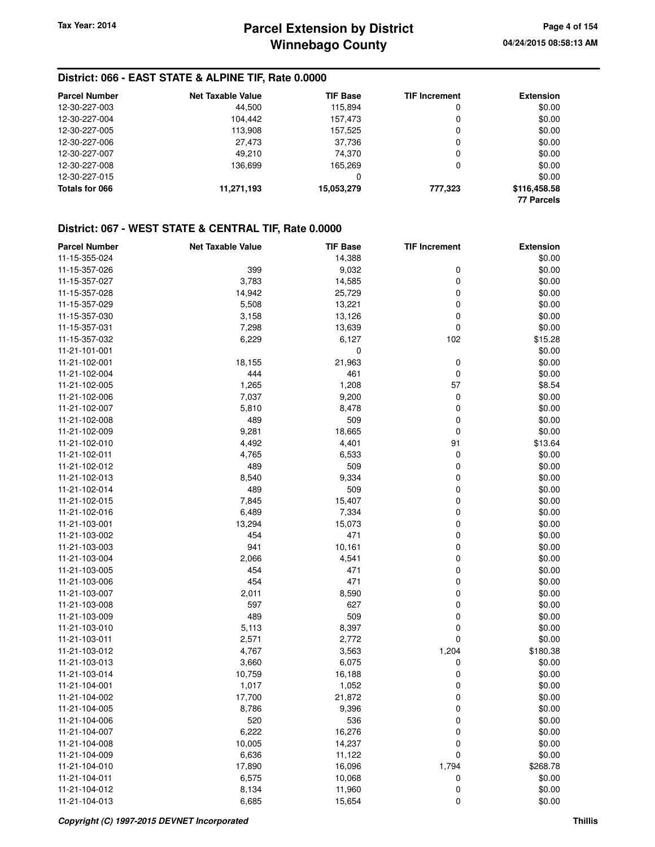#### **District: 066 - EAST STATE & ALPINE TIF, Rate 0.0000**

| <b>Parcel Number</b> | <b>Net Taxable Value</b> | <b>TIF Base</b> | <b>TIF Increment</b> | <b>Extension</b>  |
|----------------------|--------------------------|-----------------|----------------------|-------------------|
| 12-30-227-003        | 44.500                   | 115.894         | 0                    | \$0.00            |
| 12-30-227-004        | 104.442                  | 157.473         | 0                    | \$0.00            |
| 12-30-227-005        | 113,908                  | 157.525         | 0                    | \$0.00            |
| 12-30-227-006        | 27,473                   | 37.736          | 0                    | \$0.00            |
| 12-30-227-007        | 49.210                   | 74.370          | 0                    | \$0.00            |
| 12-30-227-008        | 136.699                  | 165.269         | 0                    | \$0.00            |
| 12-30-227-015        |                          | 0               |                      | \$0.00            |
| Totals for 066       | 11,271,193               | 15,053,279      | 777,323              | \$116,458.58      |
|                      |                          |                 |                      | <b>77 Parcels</b> |

| <b>Parcel Number</b> | <b>Net Taxable Value</b> | <b>TIF Base</b> | <b>TIF Increment</b> | <b>Extension</b> |
|----------------------|--------------------------|-----------------|----------------------|------------------|
| 11-15-355-024        |                          | 14,388          |                      | \$0.00           |
| 11-15-357-026        | 399                      | 9,032           | 0                    | \$0.00           |
| 11-15-357-027        | 3,783                    | 14,585          | 0                    | \$0.00           |
| 11-15-357-028        | 14,942                   | 25,729          | 0                    | \$0.00           |
| 11-15-357-029        | 5,508                    | 13,221          | 0                    | \$0.00           |
| 11-15-357-030        | 3,158                    | 13,126          | 0                    | \$0.00           |
| 11-15-357-031        | 7,298                    | 13,639          | 0                    | \$0.00           |
| 11-15-357-032        | 6,229                    | 6,127           | 102                  | \$15.28          |
| 11-21-101-001        |                          | 0               |                      | \$0.00           |
| 11-21-102-001        | 18,155                   | 21,963          | 0                    | \$0.00           |
| 11-21-102-004        | 444                      | 461             | $\mathbf 0$          | \$0.00           |
| 11-21-102-005        | 1,265                    | 1,208           | 57                   | \$8.54           |
| 11-21-102-006        | 7,037                    | 9,200           | 0                    | \$0.00           |
| 11-21-102-007        | 5,810                    | 8,478           | 0                    | \$0.00           |
| 11-21-102-008        | 489                      | 509             | 0                    | \$0.00           |
| 11-21-102-009        | 9,281                    | 18,665          | $\mathbf 0$          | \$0.00           |
| 11-21-102-010        | 4,492                    | 4,401           | 91                   | \$13.64          |
| 11-21-102-011        | 4,765                    | 6,533           | 0                    | \$0.00           |
| 11-21-102-012        | 489                      | 509             | 0                    | \$0.00           |
| 11-21-102-013        | 8,540                    | 9,334           | 0                    | \$0.00           |
| 11-21-102-014        | 489                      | 509             | 0                    | \$0.00           |
| 11-21-102-015        | 7,845                    | 15,407          | 0                    | \$0.00           |
| 11-21-102-016        | 6,489                    | 7,334           | 0                    | \$0.00           |
| 11-21-103-001        | 13,294                   | 15,073          | 0                    | \$0.00           |
| 11-21-103-002        | 454                      | 471             | 0                    | \$0.00           |
| 11-21-103-003        | 941                      | 10,161          | 0                    | \$0.00           |
| 11-21-103-004        | 2,066                    | 4,541           | 0                    | \$0.00           |
| 11-21-103-005        | 454                      | 471             | 0                    | \$0.00           |
| 11-21-103-006        | 454                      | 471             | 0                    | \$0.00           |
| 11-21-103-007        | 2,011                    | 8,590           | 0                    | \$0.00           |
| 11-21-103-008        | 597                      | 627             | 0                    | \$0.00           |
| 11-21-103-009        | 489                      | 509             | 0                    | \$0.00           |
| 11-21-103-010        | 5,113                    | 8,397           | 0                    | \$0.00           |
| 11-21-103-011        | 2,571                    | 2,772           | 0                    | \$0.00           |
| 11-21-103-012        | 4,767                    | 3,563           | 1,204                | \$180.38         |
| 11-21-103-013        | 3,660                    | 6,075           | 0                    | \$0.00           |
| 11-21-103-014        | 10,759                   | 16,188          | 0                    | \$0.00           |
| 11-21-104-001        | 1,017                    | 1,052           | 0                    | \$0.00           |
| 11-21-104-002        | 17,700                   | 21,872          | 0                    | \$0.00           |
| 11-21-104-005        | 8,786                    | 9,396           | 0                    | \$0.00           |
| 11-21-104-006        | 520                      | 536             | 0                    | \$0.00           |
| 11-21-104-007        | 6,222                    | 16,276          | 0                    | \$0.00           |
| 11-21-104-008        | 10,005                   | 14,237          | 0                    | \$0.00           |
| 11-21-104-009        | 6,636                    | 11,122          | 0                    | \$0.00           |
| 11-21-104-010        | 17,890                   | 16,096          | 1,794                | \$268.78         |
| 11-21-104-011        | 6,575                    | 10,068          | 0                    | \$0.00           |
| 11-21-104-012        | 8,134                    | 11,960          | 0                    | \$0.00           |
| 11-21-104-013        | 6,685                    | 15,654          | 0                    | \$0.00           |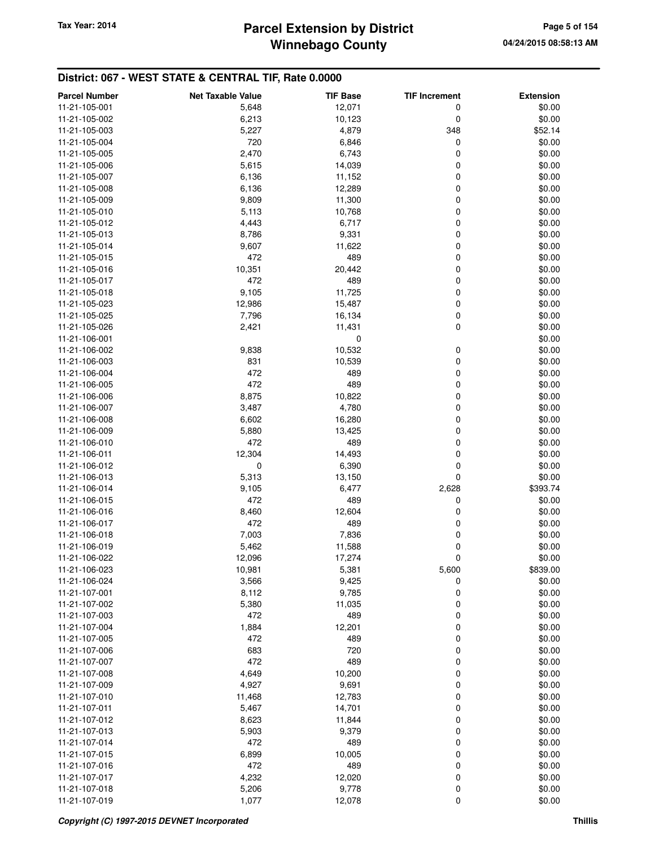## **Winnebago County** Tax Year: 2014 **Parcel Extension by District Tax Year: 2014** Page 5 of 154

| <b>Parcel Number</b> | <b>Net Taxable Value</b> | <b>TIF Base</b> | <b>TIF Increment</b> | <b>Extension</b> |
|----------------------|--------------------------|-----------------|----------------------|------------------|
| 11-21-105-001        | 5,648                    | 12,071          | 0                    | \$0.00           |
| 11-21-105-002        | 6,213                    | 10,123          | 0                    | \$0.00           |
| 11-21-105-003        | 5,227                    | 4,879           | 348                  | \$52.14          |
| 11-21-105-004        | 720                      | 6,846           | 0                    | \$0.00           |
| 11-21-105-005        | 2,470                    | 6,743           | 0                    | \$0.00           |
| 11-21-105-006        | 5,615                    | 14,039          | 0                    | \$0.00           |
| 11-21-105-007        | 6,136                    | 11,152          | 0                    | \$0.00           |
| 11-21-105-008        | 6,136                    | 12,289          | 0                    | \$0.00           |
| 11-21-105-009        | 9,809                    | 11,300          | 0                    | \$0.00           |
| 11-21-105-010        | 5,113                    | 10,768          | 0                    | \$0.00           |
| 11-21-105-012        | 4,443                    | 6,717           | 0                    | \$0.00           |
| 11-21-105-013        | 8,786                    | 9,331           | 0                    | \$0.00           |
| 11-21-105-014        | 9,607                    | 11,622          | 0                    | \$0.00           |
| 11-21-105-015        | 472                      | 489             | 0                    | \$0.00           |
| 11-21-105-016        | 10,351                   | 20,442          | 0                    | \$0.00           |
| 11-21-105-017        | 472                      | 489             | 0                    | \$0.00           |
| 11-21-105-018        | 9,105                    | 11,725          | 0                    | \$0.00           |
| 11-21-105-023        | 12,986                   | 15,487          | 0                    | \$0.00           |
| 11-21-105-025        | 7,796                    | 16,134          | 0                    | \$0.00           |
| 11-21-105-026        | 2,421                    | 11,431          | 0                    | \$0.00           |
| 11-21-106-001        |                          | 0               |                      | \$0.00           |
| 11-21-106-002        | 9,838                    | 10,532          | 0                    | \$0.00           |
| 11-21-106-003        | 831                      | 10,539          | 0                    | \$0.00           |
| 11-21-106-004        | 472                      | 489             | 0                    | \$0.00           |
| 11-21-106-005        | 472                      | 489             | 0                    | \$0.00           |
| 11-21-106-006        | 8,875                    | 10,822          | 0                    | \$0.00           |
| 11-21-106-007        | 3,487                    | 4,780           | 0                    | \$0.00           |
| 11-21-106-008        | 6,602                    | 16,280          | 0                    | \$0.00           |
| 11-21-106-009        | 5,880                    | 13,425          | 0                    | \$0.00           |
| 11-21-106-010        | 472                      | 489             | 0                    | \$0.00           |
| 11-21-106-011        | 12,304                   | 14,493          | 0                    | \$0.00           |
| 11-21-106-012        | $\mathbf 0$              | 6,390           | 0                    | \$0.00           |
| 11-21-106-013        | 5,313                    | 13,150          | 0                    | \$0.00           |
| 11-21-106-014        | 9,105                    | 6,477           | 2,628                | \$393.74         |
| 11-21-106-015        | 472                      | 489             | 0                    | \$0.00           |
| 11-21-106-016        | 8,460                    | 12,604          | 0                    | \$0.00           |
| 11-21-106-017        | 472                      | 489             | 0                    | \$0.00           |
| 11-21-106-018        | 7,003                    | 7,836           | 0                    | \$0.00           |
| 11-21-106-019        | 5,462                    | 11,588          | 0                    | \$0.00           |
| 11-21-106-022        | 12,096                   | 17,274          | 0                    | \$0.00           |
| 11-21-106-023        | 10,981                   | 5,381           | 5,600                | \$839.00         |
| 11-21-106-024        | 3,566                    | 9,425           | 0                    | \$0.00           |
| 11-21-107-001        | 8,112                    | 9,785           | 0                    | \$0.00           |
| 11-21-107-002        | 5,380                    | 11,035          | 0                    | \$0.00           |
| 11-21-107-003        | 472                      | 489             | 0                    | \$0.00           |
| 11-21-107-004        | 1,884                    | 12,201          | 0                    | \$0.00           |
| 11-21-107-005        | 472                      | 489             | 0                    | \$0.00           |
| 11-21-107-006        | 683                      | 720             | 0                    | \$0.00           |
| 11-21-107-007        | 472                      | 489             | 0                    | \$0.00           |
| 11-21-107-008        | 4,649                    | 10,200          | 0                    | \$0.00           |
| 11-21-107-009        | 4,927                    | 9,691           | 0                    | \$0.00           |
| 11-21-107-010        | 11,468                   | 12,783          | 0                    | \$0.00           |
| 11-21-107-011        | 5,467                    | 14,701          | 0                    | \$0.00           |
| 11-21-107-012        | 8,623                    | 11,844          | 0                    | \$0.00           |
| 11-21-107-013        | 5,903                    | 9,379           | 0                    | \$0.00           |
| 11-21-107-014        | 472                      | 489             | 0                    | \$0.00           |
| 11-21-107-015        | 6,899                    | 10,005          | 0                    | \$0.00           |
| 11-21-107-016        | 472                      | 489             | 0                    | \$0.00           |
| 11-21-107-017        | 4,232                    | 12,020          | 0                    | \$0.00           |
| 11-21-107-018        | 5,206                    | 9,778           | 0                    | \$0.00           |
| 11-21-107-019        | 1,077                    | 12,078          | 0                    | \$0.00           |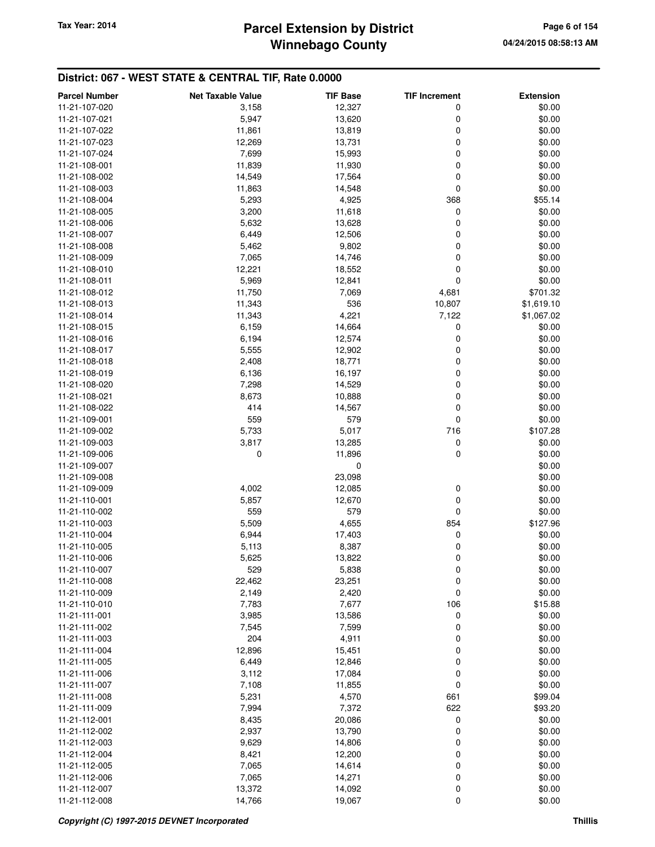# **Winnebago County** Tax Year: 2014 **Parcel Extension by District Tax Year: 2014 Page 6 of 154**

| <b>TIF Base</b><br><b>TIF Increment</b><br>11-21-107-020<br>3,158<br>12,327<br>0<br>11-21-107-021<br>5,947<br>13,620<br>0<br>0<br>11,861<br>11-21-107-022<br>13,819<br>12,269<br>13,731<br>0<br>11-21-107-023<br>0<br>11-21-107-024<br>7,699<br>15,993<br>11,839<br>11,930<br>0<br>11-21-108-001<br>14,549<br>17,564<br>0<br>11-21-108-002<br>14,548<br>0<br>11-21-108-003<br>11,863<br>5,293<br>4,925<br>368<br>11-21-108-004<br>3,200<br>0<br>11-21-108-005<br>11,618<br>5,632<br>13,628<br>0<br>11-21-108-006<br>6,449<br>12,506<br>0<br>11-21-108-007 | \$0.00<br>\$0.00<br>\$0.00<br>\$0.00<br>\$0.00<br>\$0.00<br>\$0.00<br>\$0.00<br>\$55.14<br>\$0.00<br>\$0.00<br>\$0.00<br>\$0.00 |
|-----------------------------------------------------------------------------------------------------------------------------------------------------------------------------------------------------------------------------------------------------------------------------------------------------------------------------------------------------------------------------------------------------------------------------------------------------------------------------------------------------------------------------------------------------------|---------------------------------------------------------------------------------------------------------------------------------|
|                                                                                                                                                                                                                                                                                                                                                                                                                                                                                                                                                           |                                                                                                                                 |
|                                                                                                                                                                                                                                                                                                                                                                                                                                                                                                                                                           |                                                                                                                                 |
|                                                                                                                                                                                                                                                                                                                                                                                                                                                                                                                                                           |                                                                                                                                 |
|                                                                                                                                                                                                                                                                                                                                                                                                                                                                                                                                                           |                                                                                                                                 |
|                                                                                                                                                                                                                                                                                                                                                                                                                                                                                                                                                           |                                                                                                                                 |
|                                                                                                                                                                                                                                                                                                                                                                                                                                                                                                                                                           |                                                                                                                                 |
|                                                                                                                                                                                                                                                                                                                                                                                                                                                                                                                                                           |                                                                                                                                 |
|                                                                                                                                                                                                                                                                                                                                                                                                                                                                                                                                                           |                                                                                                                                 |
|                                                                                                                                                                                                                                                                                                                                                                                                                                                                                                                                                           |                                                                                                                                 |
|                                                                                                                                                                                                                                                                                                                                                                                                                                                                                                                                                           |                                                                                                                                 |
|                                                                                                                                                                                                                                                                                                                                                                                                                                                                                                                                                           |                                                                                                                                 |
|                                                                                                                                                                                                                                                                                                                                                                                                                                                                                                                                                           |                                                                                                                                 |
| 5,462<br>9,802<br>0<br>11-21-108-008                                                                                                                                                                                                                                                                                                                                                                                                                                                                                                                      |                                                                                                                                 |
| 7,065<br>14,746<br>0<br>11-21-108-009                                                                                                                                                                                                                                                                                                                                                                                                                                                                                                                     | \$0.00                                                                                                                          |
| 12,221<br>0<br>11-21-108-010<br>18,552                                                                                                                                                                                                                                                                                                                                                                                                                                                                                                                    | \$0.00                                                                                                                          |
| 0<br>5,969<br>11-21-108-011<br>12,841                                                                                                                                                                                                                                                                                                                                                                                                                                                                                                                     | \$0.00                                                                                                                          |
| 11,750<br>7,069<br>4,681<br>11-21-108-012                                                                                                                                                                                                                                                                                                                                                                                                                                                                                                                 | \$701.32                                                                                                                        |
| 536<br>10,807<br>11-21-108-013<br>11,343                                                                                                                                                                                                                                                                                                                                                                                                                                                                                                                  | \$1,619.10                                                                                                                      |
| 11,343<br>4,221<br>7,122<br>11-21-108-014                                                                                                                                                                                                                                                                                                                                                                                                                                                                                                                 | \$1,067.02                                                                                                                      |
| 11-21-108-015<br>6,159<br>14,664<br>0                                                                                                                                                                                                                                                                                                                                                                                                                                                                                                                     | \$0.00                                                                                                                          |
| 6,194<br>12,574<br>0<br>11-21-108-016                                                                                                                                                                                                                                                                                                                                                                                                                                                                                                                     | \$0.00                                                                                                                          |
| 5,555<br>12,902<br>0<br>11-21-108-017                                                                                                                                                                                                                                                                                                                                                                                                                                                                                                                     | \$0.00                                                                                                                          |
| 2,408<br>0<br>11-21-108-018<br>18,771                                                                                                                                                                                                                                                                                                                                                                                                                                                                                                                     | \$0.00                                                                                                                          |
| 6,136<br>16,197<br>0<br>11-21-108-019                                                                                                                                                                                                                                                                                                                                                                                                                                                                                                                     | \$0.00                                                                                                                          |
| 0<br>11-21-108-020<br>7,298<br>14,529                                                                                                                                                                                                                                                                                                                                                                                                                                                                                                                     | \$0.00                                                                                                                          |
| 0<br>11-21-108-021<br>8,673<br>10,888                                                                                                                                                                                                                                                                                                                                                                                                                                                                                                                     | \$0.00                                                                                                                          |
| 414<br>14,567<br>0<br>11-21-108-022                                                                                                                                                                                                                                                                                                                                                                                                                                                                                                                       | \$0.00                                                                                                                          |
| 0<br>559<br>579<br>11-21-109-001                                                                                                                                                                                                                                                                                                                                                                                                                                                                                                                          | \$0.00                                                                                                                          |
| 5,733<br>5,017<br>716<br>11-21-109-002                                                                                                                                                                                                                                                                                                                                                                                                                                                                                                                    | \$107.28                                                                                                                        |
| 3,817<br>0<br>11-21-109-003<br>13,285                                                                                                                                                                                                                                                                                                                                                                                                                                                                                                                     | \$0.00                                                                                                                          |
| 0<br>0<br>11,896<br>11-21-109-006                                                                                                                                                                                                                                                                                                                                                                                                                                                                                                                         | \$0.00                                                                                                                          |
| 11-21-109-007<br>0                                                                                                                                                                                                                                                                                                                                                                                                                                                                                                                                        | \$0.00                                                                                                                          |
| 23,098<br>11-21-109-008                                                                                                                                                                                                                                                                                                                                                                                                                                                                                                                                   | \$0.00                                                                                                                          |
| 4,002<br>0<br>11-21-109-009<br>12,085                                                                                                                                                                                                                                                                                                                                                                                                                                                                                                                     | \$0.00                                                                                                                          |
| 0<br>11-21-110-001<br>5,857<br>12,670                                                                                                                                                                                                                                                                                                                                                                                                                                                                                                                     | \$0.00                                                                                                                          |
| 559<br>579<br>0<br>11-21-110-002                                                                                                                                                                                                                                                                                                                                                                                                                                                                                                                          | \$0.00                                                                                                                          |
| 5,509<br>4,655<br>854<br>11-21-110-003                                                                                                                                                                                                                                                                                                                                                                                                                                                                                                                    | \$127.96                                                                                                                        |
| 0<br>11-21-110-004<br>6,944<br>17,403                                                                                                                                                                                                                                                                                                                                                                                                                                                                                                                     | \$0.00                                                                                                                          |
| 8,387<br>11-21-110-005<br>5,113<br>0                                                                                                                                                                                                                                                                                                                                                                                                                                                                                                                      | \$0.00                                                                                                                          |
| 0<br>11-21-110-006<br>5,625<br>13,822                                                                                                                                                                                                                                                                                                                                                                                                                                                                                                                     | \$0.00                                                                                                                          |
| 5,838<br>11-21-110-007<br>529<br>0                                                                                                                                                                                                                                                                                                                                                                                                                                                                                                                        | \$0.00                                                                                                                          |
| 0<br>11-21-110-008<br>22,462<br>23,251                                                                                                                                                                                                                                                                                                                                                                                                                                                                                                                    | \$0.00                                                                                                                          |
| 0<br>11-21-110-009<br>2,149<br>2,420                                                                                                                                                                                                                                                                                                                                                                                                                                                                                                                      | \$0.00                                                                                                                          |
| 7,783<br>7,677<br>106<br>11-21-110-010                                                                                                                                                                                                                                                                                                                                                                                                                                                                                                                    | \$15.88                                                                                                                         |
| 0<br>11-21-111-001<br>3,985<br>13,586                                                                                                                                                                                                                                                                                                                                                                                                                                                                                                                     | \$0.00                                                                                                                          |
| 11-21-111-002<br>7,545<br>7,599<br>0                                                                                                                                                                                                                                                                                                                                                                                                                                                                                                                      | \$0.00                                                                                                                          |
| 204<br>4,911<br>11-21-111-003<br>0                                                                                                                                                                                                                                                                                                                                                                                                                                                                                                                        | \$0.00                                                                                                                          |
| 12,896<br>15,451<br>0<br>11-21-111-004                                                                                                                                                                                                                                                                                                                                                                                                                                                                                                                    | \$0.00                                                                                                                          |
| 6,449<br>12,846<br>0<br>11-21-111-005                                                                                                                                                                                                                                                                                                                                                                                                                                                                                                                     | \$0.00                                                                                                                          |
| 0<br>11-21-111-006<br>3,112<br>17,084                                                                                                                                                                                                                                                                                                                                                                                                                                                                                                                     | \$0.00                                                                                                                          |
| 0<br>11-21-111-007<br>7,108<br>11,855                                                                                                                                                                                                                                                                                                                                                                                                                                                                                                                     | \$0.00                                                                                                                          |
| 5,231<br>4,570<br>661<br>11-21-111-008                                                                                                                                                                                                                                                                                                                                                                                                                                                                                                                    | \$99.04                                                                                                                         |
| 622<br>7,994<br>7,372<br>11-21-111-009                                                                                                                                                                                                                                                                                                                                                                                                                                                                                                                    | \$93.20                                                                                                                         |
| 20,086<br>0<br>11-21-112-001<br>8,435                                                                                                                                                                                                                                                                                                                                                                                                                                                                                                                     | \$0.00                                                                                                                          |
| 0<br>11-21-112-002<br>2,937<br>13,790                                                                                                                                                                                                                                                                                                                                                                                                                                                                                                                     | \$0.00                                                                                                                          |
| 9,629<br>14,806<br>0<br>11-21-112-003                                                                                                                                                                                                                                                                                                                                                                                                                                                                                                                     | \$0.00                                                                                                                          |
| 11-21-112-004<br>8,421<br>12,200<br>0                                                                                                                                                                                                                                                                                                                                                                                                                                                                                                                     | \$0.00                                                                                                                          |
| 0<br>11-21-112-005<br>7,065<br>14,614                                                                                                                                                                                                                                                                                                                                                                                                                                                                                                                     | \$0.00                                                                                                                          |
| 7,065<br>14,271<br>0<br>11-21-112-006                                                                                                                                                                                                                                                                                                                                                                                                                                                                                                                     | \$0.00                                                                                                                          |
| 13,372<br>0<br>11-21-112-007<br>14,092                                                                                                                                                                                                                                                                                                                                                                                                                                                                                                                    | \$0.00                                                                                                                          |
| 14,766<br>0<br>11-21-112-008<br>19,067                                                                                                                                                                                                                                                                                                                                                                                                                                                                                                                    | \$0.00                                                                                                                          |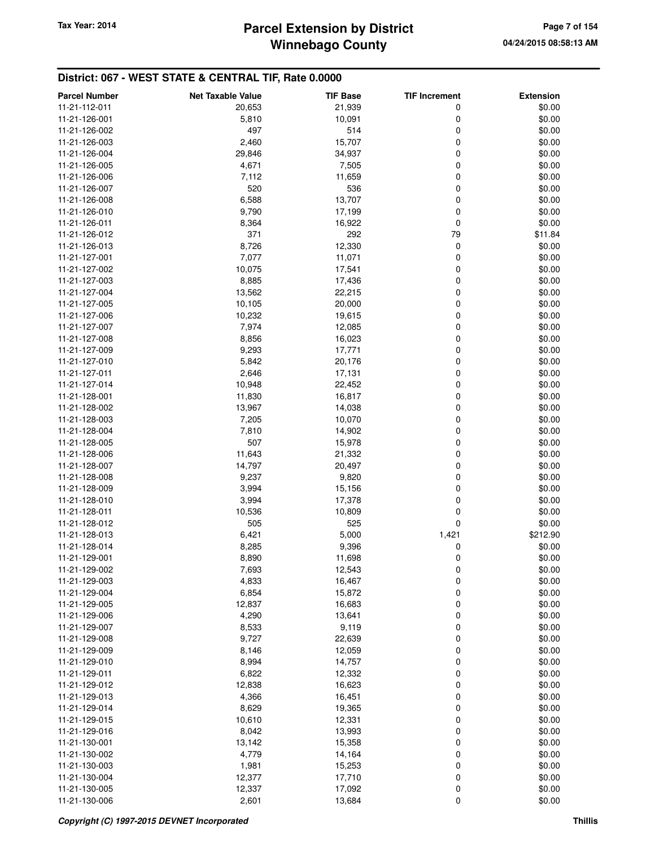# **Winnebago County** Tax Year: 2014 **Parcel Extension by District Tax Year: 2014 Page 7 of 154**

| <b>Parcel Number</b> | <b>Net Taxable Value</b> | <b>TIF Base</b> | <b>TIF Increment</b> | <b>Extension</b> |
|----------------------|--------------------------|-----------------|----------------------|------------------|
| 11-21-112-011        | 20,653                   | 21,939          | 0                    | \$0.00           |
| 11-21-126-001        | 5,810                    | 10,091          | 0                    | \$0.00           |
| 11-21-126-002        | 497                      | 514             | 0                    | \$0.00           |
| 11-21-126-003        | 2,460                    | 15,707          | 0                    | \$0.00           |
| 11-21-126-004        | 29,846                   | 34,937          | 0                    | \$0.00           |
| 11-21-126-005        | 4,671                    | 7,505           | 0                    | \$0.00           |
|                      |                          |                 |                      |                  |
| 11-21-126-006        | 7,112                    | 11,659          | 0                    | \$0.00           |
| 11-21-126-007        | 520                      | 536             | 0                    | \$0.00           |
| 11-21-126-008        | 6,588                    | 13,707          | 0                    | \$0.00           |
| 11-21-126-010        | 9,790                    | 17,199          | 0                    | \$0.00           |
| 11-21-126-011        | 8,364                    | 16,922          | 0                    | \$0.00           |
| 11-21-126-012        | 371                      | 292             | 79                   | \$11.84          |
| 11-21-126-013        | 8,726                    | 12,330          | 0                    | \$0.00           |
| 11-21-127-001        | 7,077                    | 11,071          | 0                    | \$0.00           |
| 11-21-127-002        | 10,075                   | 17,541          | 0                    | \$0.00           |
| 11-21-127-003        | 8,885                    | 17,436          | 0                    | \$0.00           |
| 11-21-127-004        | 13,562                   | 22,215          | 0                    | \$0.00           |
| 11-21-127-005        | 10,105                   | 20,000          | 0                    | \$0.00           |
| 11-21-127-006        | 10,232                   | 19,615          | 0                    | \$0.00           |
| 11-21-127-007        | 7,974                    | 12,085          | 0                    | \$0.00           |
| 11-21-127-008        | 8,856                    | 16,023          | 0                    | \$0.00           |
| 11-21-127-009        | 9,293                    | 17,771          | 0                    | \$0.00           |
| 11-21-127-010        | 5,842                    | 20,176          | 0                    | \$0.00           |
| 11-21-127-011        | 2,646                    | 17,131          | 0                    | \$0.00           |
| 11-21-127-014        | 10,948                   | 22,452          | 0                    | \$0.00           |
| 11-21-128-001        | 11,830                   | 16,817          | 0                    | \$0.00           |
| 11-21-128-002        | 13,967                   | 14,038          | 0                    | \$0.00           |
| 11-21-128-003        | 7,205                    | 10,070          | 0                    | \$0.00           |
| 11-21-128-004        | 7,810                    | 14,902          | 0                    | \$0.00           |
| 11-21-128-005        | 507                      | 15,978          | 0                    | \$0.00           |
| 11-21-128-006        | 11,643                   | 21,332          | 0                    | \$0.00           |
| 11-21-128-007        | 14,797                   | 20,497          | 0                    | \$0.00           |
| 11-21-128-008        | 9,237                    | 9,820           | 0                    | \$0.00           |
| 11-21-128-009        | 3,994                    | 15,156          | 0                    | \$0.00           |
| 11-21-128-010        | 3,994                    | 17,378          | 0                    | \$0.00           |
| 11-21-128-011        | 10,536                   | 10,809          | 0                    | \$0.00           |
| 11-21-128-012        | 505                      | 525             | 0                    | \$0.00           |
| 11-21-128-013        | 6,421                    | 5,000           | 1,421                | \$212.90         |
| 11-21-128-014        | 8,285                    | 9,396           | 0                    | \$0.00           |
| 11-21-129-001        | 8,890                    | 11,698          | 0                    | \$0.00           |
| 11-21-129-002        | 7,693                    | 12,543          |                      | \$0.00           |
| 11-21-129-003        | 4,833                    | 16,467          | O                    | \$0.00           |
| 11-21-129-004        | 6,854                    | 15,872          | 0<br>0               | \$0.00           |
|                      |                          | 16,683          |                      |                  |
| 11-21-129-005        | 12,837                   |                 | 0                    | \$0.00           |
| 11-21-129-006        | 4,290                    | 13,641          | 0                    | \$0.00           |
| 11-21-129-007        | 8,533                    | 9,119           | 0                    | \$0.00           |
| 11-21-129-008        | 9,727                    | 22,639          | 0                    | \$0.00           |
| 11-21-129-009        | 8,146                    | 12,059          | 0                    | \$0.00           |
| 11-21-129-010        | 8,994                    | 14,757          | 0                    | \$0.00           |
| 11-21-129-011        | 6,822                    | 12,332          | 0                    | \$0.00           |
| 11-21-129-012        | 12,838                   | 16,623          | 0                    | \$0.00           |
| 11-21-129-013        | 4,366                    | 16,451          | 0                    | \$0.00           |
| 11-21-129-014        | 8,629                    | 19,365          | 0                    | \$0.00           |
| 11-21-129-015        | 10,610                   | 12,331          | 0                    | \$0.00           |
| 11-21-129-016        | 8,042                    | 13,993          | 0                    | \$0.00           |
| 11-21-130-001        | 13,142                   | 15,358          | 0                    | \$0.00           |
| 11-21-130-002        | 4,779                    | 14,164          | 0                    | \$0.00           |
| 11-21-130-003        | 1,981                    | 15,253          | 0                    | \$0.00           |
| 11-21-130-004        | 12,377                   | 17,710          | 0                    | \$0.00           |
| 11-21-130-005        | 12,337                   | 17,092          | 0                    | \$0.00           |
| 11-21-130-006        | 2,601                    | 13,684          | 0                    | \$0.00           |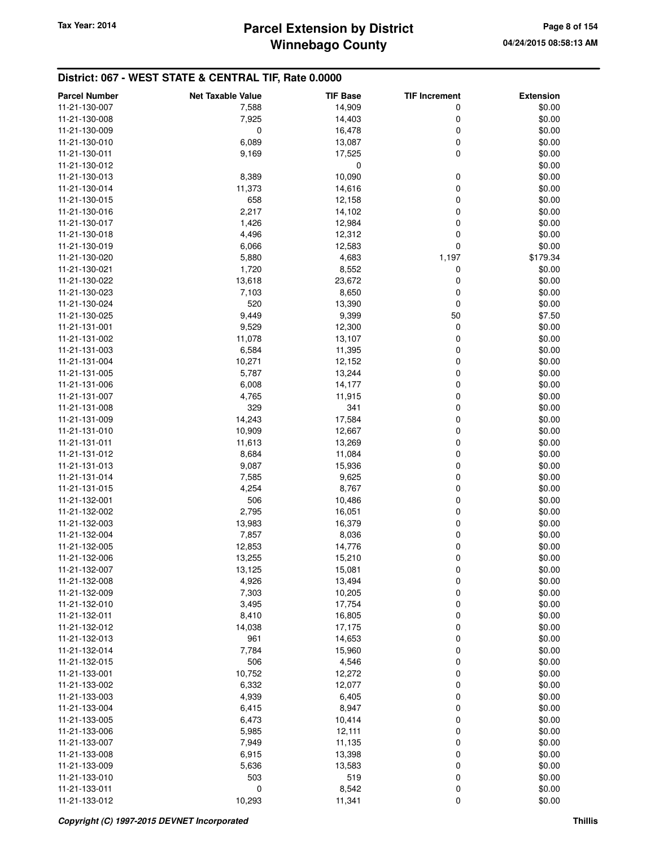## **Winnebago County** Tax Year: 2014 **Parcel Extension by District Tax Year: 2014** Page 8 of 154

| <b>Parcel Number</b> | <b>Net Taxable Value</b> | <b>TIF Base</b> | <b>TIF Increment</b> | <b>Extension</b> |
|----------------------|--------------------------|-----------------|----------------------|------------------|
| 11-21-130-007        | 7,588                    | 14,909          | 0                    | \$0.00           |
| 11-21-130-008        | 7,925                    | 14,403          | 0                    | \$0.00           |
| 11-21-130-009        | 0                        | 16,478          | $\mathbf 0$          | \$0.00           |
| 11-21-130-010        | 6,089                    | 13,087          | $\mathbf 0$          | \$0.00           |
| 11-21-130-011        | 9,169                    | 17,525          | 0                    | \$0.00           |
| 11-21-130-012        |                          | 0               |                      | \$0.00           |
| 11-21-130-013        | 8,389                    | 10,090          | 0                    | \$0.00           |
| 11-21-130-014        | 11,373                   | 14,616          | $\mathbf 0$          | \$0.00           |
| 11-21-130-015        | 658                      | 12,158          | 0                    | \$0.00           |
| 11-21-130-016        | 2,217                    | 14,102          | 0                    | \$0.00           |
| 11-21-130-017        | 1,426                    | 12,984          | 0                    | \$0.00           |
| 11-21-130-018        | 4,496                    | 12,312          | $\mathbf 0$          | \$0.00           |
| 11-21-130-019        | 6,066                    | 12,583          | $\mathbf 0$          | \$0.00           |
| 11-21-130-020        | 5,880                    | 4,683           | 1,197                | \$179.34         |
|                      |                          |                 |                      |                  |
| 11-21-130-021        | 1,720                    | 8,552           | 0                    | \$0.00           |
| 11-21-130-022        | 13,618                   | 23,672          | 0                    | \$0.00           |
| 11-21-130-023        | 7,103                    | 8,650           | 0                    | \$0.00           |
| 11-21-130-024        | 520                      | 13,390          | 0                    | \$0.00           |
| 11-21-130-025        | 9,449                    | 9,399           | 50                   | \$7.50           |
| 11-21-131-001        | 9,529                    | 12,300          | 0                    | \$0.00           |
| 11-21-131-002        | 11,078                   | 13,107          | 0                    | \$0.00           |
| 11-21-131-003        | 6,584                    | 11,395          | $\mathbf 0$          | \$0.00           |
| 11-21-131-004        | 10,271                   | 12,152          | $\mathbf 0$          | \$0.00           |
| 11-21-131-005        | 5,787                    | 13,244          | $\mathbf 0$          | \$0.00           |
| 11-21-131-006        | 6,008                    | 14,177          | 0                    | \$0.00           |
| 11-21-131-007        | 4,765                    | 11,915          | 0                    | \$0.00           |
| 11-21-131-008        | 329                      | 341             | 0                    | \$0.00           |
| 11-21-131-009        | 14,243                   | 17,584          | $\mathbf 0$          | \$0.00           |
| 11-21-131-010        | 10,909                   | 12,667          | $\mathbf 0$          | \$0.00           |
| 11-21-131-011        | 11,613                   | 13,269          | 0                    | \$0.00           |
| 11-21-131-012        | 8,684                    | 11,084          | 0                    | \$0.00           |
| 11-21-131-013        | 9,087                    | 15,936          | 0                    | \$0.00           |
| 11-21-131-014        | 7,585                    | 9,625           | $\mathbf 0$          | \$0.00           |
| 11-21-131-015        | 4,254                    | 8,767           | 0                    | \$0.00           |
| 11-21-132-001        | 506                      | 10,486          | 0                    | \$0.00           |
| 11-21-132-002        | 2,795                    | 16,051          | 0                    | \$0.00           |
| 11-21-132-003        | 13,983                   | 16,379          | 0                    | \$0.00           |
| 11-21-132-004        | 7,857                    | 8,036           | 0                    | \$0.00           |
| 11-21-132-005        | 12,853                   | 14,776          | 0                    | \$0.00           |
| 11-21-132-006        | 13,255                   | 15,210          | 0                    | \$0.00           |
| 11-21-132-007        | 13,125                   | 15,081          | 0                    | \$0.00           |
| 11-21-132-008        | 4,926                    | 13,494          | $\boldsymbol{0}$     | \$0.00           |
| 11-21-132-009        | 7,303                    | 10,205          | $\boldsymbol{0}$     | \$0.00           |
| 11-21-132-010        | 3,495                    | 17,754          | 0                    | \$0.00           |
| 11-21-132-011        | 8,410                    | 16,805          | 0                    | \$0.00           |
| 11-21-132-012        | 14,038                   | 17,175          | 0                    | \$0.00           |
| 11-21-132-013        | 961                      | 14,653          | 0                    | \$0.00           |
| 11-21-132-014        | 7,784                    | 15,960          | $\mathbf 0$          | \$0.00           |
| 11-21-132-015        | 506                      | 4,546           | 0                    | \$0.00           |
| 11-21-133-001        | 10,752                   | 12,272          | 0                    | \$0.00           |
| 11-21-133-002        | 6,332                    | 12,077          | 0                    | \$0.00           |
| 11-21-133-003        | 4,939                    | 6,405           | 0                    | \$0.00           |
| 11-21-133-004        | 6,415                    | 8,947           | 0                    | \$0.00           |
| 11-21-133-005        | 6,473                    | 10,414          | 0                    | \$0.00           |
| 11-21-133-006        | 5,985                    | 12,111          | 0                    | \$0.00           |
| 11-21-133-007        | 7,949                    | 11,135          | 0                    | \$0.00           |
| 11-21-133-008        | 6,915                    | 13,398          | 0                    | \$0.00           |
| 11-21-133-009        | 5,636                    | 13,583          | $\mathbf 0$          | \$0.00           |
| 11-21-133-010        | 503                      | 519             | $\mathbf 0$          | \$0.00           |
| 11-21-133-011        | 0                        | 8,542           | 0                    | \$0.00           |
| 11-21-133-012        | 10,293                   | 11,341          | $\mathbf 0$          | \$0.00           |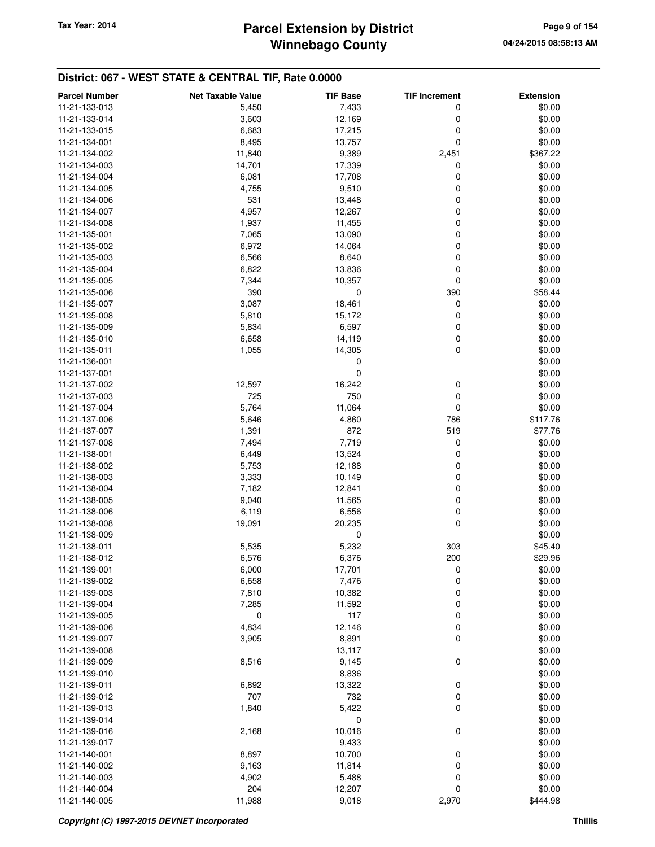## **Winnebago County Parcel Extension by District Tax Year: 2014 Page 9 of 154**

| <b>Parcel Number</b> | <b>Net Taxable Value</b> | <b>TIF Base</b> | <b>TIF Increment</b> | <b>Extension</b> |
|----------------------|--------------------------|-----------------|----------------------|------------------|
| 11-21-133-013        | 5,450                    | 7,433           | 0                    | \$0.00           |
| 11-21-133-014        | 3,603                    | 12,169          | 0                    | \$0.00           |
| 11-21-133-015        | 6,683                    | 17,215          | 0                    | \$0.00           |
| 11-21-134-001        | 8,495                    | 13,757          | 0                    | \$0.00           |
| 11-21-134-002        | 11,840                   | 9,389           | 2,451                | \$367.22         |
| 11-21-134-003        | 14,701                   | 17,339          | 0                    | \$0.00           |
| 11-21-134-004        | 6,081                    | 17,708          | 0                    | \$0.00           |
| 11-21-134-005        | 4,755                    | 9,510           | 0                    | \$0.00           |
|                      |                          |                 |                      |                  |
| 11-21-134-006        | 531                      | 13,448          | 0                    | \$0.00           |
| 11-21-134-007        | 4,957                    | 12,267          | 0                    | \$0.00           |
| 11-21-134-008        | 1,937                    | 11,455          | 0                    | \$0.00           |
| 11-21-135-001        | 7,065                    | 13,090          | 0                    | \$0.00           |
| 11-21-135-002        | 6,972                    | 14,064          | 0                    | \$0.00           |
| 11-21-135-003        | 6,566                    | 8,640           | 0                    | \$0.00           |
| 11-21-135-004        | 6,822                    | 13,836          | 0                    | \$0.00           |
| 11-21-135-005        | 7,344                    | 10,357          | 0                    | \$0.00           |
| 11-21-135-006        | 390                      | 0               | 390                  | \$58.44          |
| 11-21-135-007        | 3,087                    | 18,461          | 0                    | \$0.00           |
| 11-21-135-008        | 5,810                    | 15,172          | 0                    | \$0.00           |
| 11-21-135-009        | 5,834                    | 6,597           | 0                    | \$0.00           |
| 11-21-135-010        | 6,658                    | 14,119          | 0                    | \$0.00           |
| 11-21-135-011        | 1,055                    | 14,305          | 0                    | \$0.00           |
| 11-21-136-001        |                          | 0               |                      | \$0.00           |
| 11-21-137-001        |                          | 0               |                      | \$0.00           |
| 11-21-137-002        | 12,597                   | 16,242          | 0                    | \$0.00           |
| 11-21-137-003        | 725                      | 750             | 0                    | \$0.00           |
| 11-21-137-004        | 5,764                    | 11,064          | 0                    | \$0.00           |
| 11-21-137-006        | 5,646                    | 4,860           | 786                  | \$117.76         |
| 11-21-137-007        | 1,391                    | 872             | 519                  | \$77.76          |
| 11-21-137-008        | 7,494                    | 7,719           | 0                    | \$0.00           |
| 11-21-138-001        | 6,449                    | 13,524          | 0                    | \$0.00           |
| 11-21-138-002        | 5,753                    | 12,188          | 0                    | \$0.00           |
| 11-21-138-003        | 3,333                    | 10,149          | 0                    | \$0.00           |
| 11-21-138-004        | 7,182                    | 12,841          | 0                    | \$0.00           |
|                      |                          |                 |                      |                  |
| 11-21-138-005        | 9,040                    | 11,565          | 0                    | \$0.00           |
| 11-21-138-006        | 6,119                    | 6,556           | 0                    | \$0.00           |
| 11-21-138-008        | 19,091                   | 20,235          | 0                    | \$0.00           |
| 11-21-138-009        |                          | 0               |                      | \$0.00           |
| 11-21-138-011        | 5,535                    | 5,232           | 303                  | \$45.40          |
| 11-21-138-012        | 6,576                    | 6,376           | 200                  | \$29.96          |
| 11-21-139-001        | 6,000                    | 17,701          | 0                    | \$0.00           |
| 11-21-139-002        | 6,658                    | 7,476           | 0                    | \$0.00           |
| 11-21-139-003        | 7,810                    | 10,382          | 0                    | \$0.00           |
| 11-21-139-004        | 7,285                    | 11,592          | 0                    | \$0.00           |
| 11-21-139-005        | 0                        | 117             | 0                    | \$0.00           |
| 11-21-139-006        | 4,834                    | 12,146          | 0                    | \$0.00           |
| 11-21-139-007        | 3,905                    | 8,891           | 0                    | \$0.00           |
| 11-21-139-008        |                          | 13,117          |                      | \$0.00           |
| 11-21-139-009        | 8,516                    | 9,145           | $\mathbf 0$          | \$0.00           |
| 11-21-139-010        |                          | 8,836           |                      | \$0.00           |
| 11-21-139-011        | 6,892                    | 13,322          | 0                    | \$0.00           |
| 11-21-139-012        | 707                      | 732             | 0                    | \$0.00           |
| 11-21-139-013        | 1,840                    | 5,422           | 0                    | \$0.00           |
| 11-21-139-014        |                          | 0               |                      | \$0.00           |
| 11-21-139-016        | 2,168                    | 10,016          | $\mathbf 0$          | \$0.00           |
| 11-21-139-017        |                          | 9,433           |                      | \$0.00           |
| 11-21-140-001        | 8,897                    | 10,700          | 0                    | \$0.00           |
| 11-21-140-002        | 9,163                    | 11,814          | 0                    | \$0.00           |
| 11-21-140-003        | 4,902                    | 5,488           | 0                    | \$0.00           |
| 11-21-140-004        | 204                      | 12,207          | 0                    | \$0.00           |
| 11-21-140-005        | 11,988                   | 9,018           | 2,970                | \$444.98         |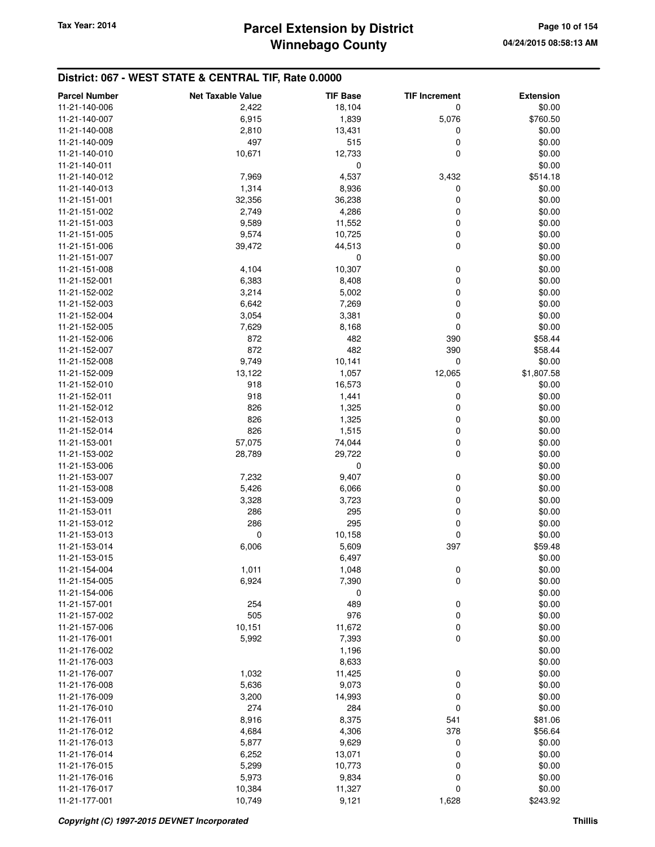## **Winnebago County** Tax Year: 2014 **Parcel Extension by District Page 10 of 154**

| <b>Parcel Number</b> | <b>Net Taxable Value</b> | <b>TIF Base</b> | <b>TIF Increment</b> | <b>Extension</b> |
|----------------------|--------------------------|-----------------|----------------------|------------------|
| 11-21-140-006        | 2,422                    | 18,104          | 0                    | \$0.00           |
| 11-21-140-007        | 6,915                    | 1,839           | 5,076                | \$760.50         |
| 11-21-140-008        | 2,810                    | 13,431          | 0                    | \$0.00           |
| 11-21-140-009        | 497                      | 515             | 0                    | \$0.00           |
| 11-21-140-010        | 10,671                   | 12,733          | 0                    | \$0.00           |
| 11-21-140-011        |                          | 0               |                      | \$0.00           |
| 11-21-140-012        | 7,969                    | 4,537           | 3,432                | \$514.18         |
| 11-21-140-013        | 1,314                    | 8,936           | 0                    | \$0.00           |
| 11-21-151-001        | 32,356                   | 36,238          | 0                    | \$0.00           |
| 11-21-151-002        | 2,749                    | 4,286           | 0                    | \$0.00           |
| 11-21-151-003        | 9,589                    | 11,552          | 0                    | \$0.00           |
| 11-21-151-005        | 9,574                    | 10,725          | 0                    | \$0.00           |
| 11-21-151-006        | 39,472                   | 44,513          | 0                    | \$0.00           |
| 11-21-151-007        |                          | 0               |                      | \$0.00           |
| 11-21-151-008        | 4,104                    | 10,307          | 0                    | \$0.00           |
|                      |                          |                 | 0                    |                  |
| 11-21-152-001        | 6,383                    | 8,408           |                      | \$0.00           |
| 11-21-152-002        | 3,214                    | 5,002           | 0<br>0               | \$0.00           |
| 11-21-152-003        | 6,642                    | 7,269           |                      | \$0.00           |
| 11-21-152-004        | 3,054                    | 3,381           | 0                    | \$0.00           |
| 11-21-152-005        | 7,629                    | 8,168           | 0                    | \$0.00           |
| 11-21-152-006        | 872                      | 482             | 390                  | \$58.44          |
| 11-21-152-007        | 872                      | 482             | 390                  | \$58.44          |
| 11-21-152-008        | 9,749                    | 10,141          | $\mathbf 0$          | \$0.00           |
| 11-21-152-009        | 13,122                   | 1,057           | 12,065               | \$1,807.58       |
| 11-21-152-010        | 918                      | 16,573          | 0                    | \$0.00           |
| 11-21-152-011        | 918                      | 1,441           | 0                    | \$0.00           |
| 11-21-152-012        | 826                      | 1,325           | 0                    | \$0.00           |
| 11-21-152-013        | 826                      | 1,325           | 0                    | \$0.00           |
| 11-21-152-014        | 826                      | 1,515           | 0                    | \$0.00           |
| 11-21-153-001        | 57,075                   | 74,044          | 0                    | \$0.00           |
| 11-21-153-002        | 28,789                   | 29,722          | 0                    | \$0.00           |
| 11-21-153-006        |                          | 0               |                      | \$0.00           |
| 11-21-153-007        | 7,232                    | 9,407           | 0                    | \$0.00           |
| 11-21-153-008        | 5,426                    | 6,066           | 0                    | \$0.00           |
| 11-21-153-009        | 3,328                    | 3,723           | 0                    | \$0.00           |
| 11-21-153-011        | 286                      | 295             | 0                    | \$0.00           |
| 11-21-153-012        | 286                      | 295             | 0                    | \$0.00           |
| 11-21-153-013        | $\mathbf 0$              | 10,158          | 0                    | \$0.00           |
| 11-21-153-014        | 6,006                    | 5,609           | 397                  | \$59.48          |
| 11-21-153-015        |                          | 6,497           |                      | \$0.00           |
| 11-21-154-004        | 1,011                    | 1,048           | 0                    | \$0.00           |
| 11-21-154-005        | 6,924                    | 7,390           | 0                    | \$0.00           |
| 11-21-154-006        |                          | 0               |                      | \$0.00           |
| 11-21-157-001        | 254                      | 489             | 0                    | \$0.00           |
| 11-21-157-002        | 505                      | 976             | 0                    | \$0.00           |
| 11-21-157-006        | 10,151                   | 11,672          | $\mathbf 0$          | \$0.00           |
| 11-21-176-001        | 5,992                    | 7,393           | 0                    | \$0.00           |
| 11-21-176-002        |                          | 1,196           |                      | \$0.00           |
| 11-21-176-003        |                          | 8,633           |                      | \$0.00           |
| 11-21-176-007        | 1,032                    | 11,425          | 0                    | \$0.00           |
| 11-21-176-008        | 5,636                    | 9,073           | $\mathbf 0$          | \$0.00           |
| 11-21-176-009        | 3,200                    | 14,993          | 0                    | \$0.00           |
| 11-21-176-010        | 274                      | 284             | 0                    | \$0.00           |
| 11-21-176-011        | 8,916                    | 8,375           | 541                  | \$81.06          |
| 11-21-176-012        | 4,684                    | 4,306           | 378                  | \$56.64          |
| 11-21-176-013        | 5,877                    | 9,629           | 0                    | \$0.00           |
| 11-21-176-014        | 6,252                    | 13,071          | 0                    | \$0.00           |
| 11-21-176-015        | 5,299                    | 10,773          | 0                    | \$0.00           |
| 11-21-176-016        | 5,973                    | 9,834           | 0                    | \$0.00           |
| 11-21-176-017        | 10,384                   | 11,327          | 0                    | \$0.00           |
| 11-21-177-001        | 10,749                   | 9,121           | 1,628                | \$243.92         |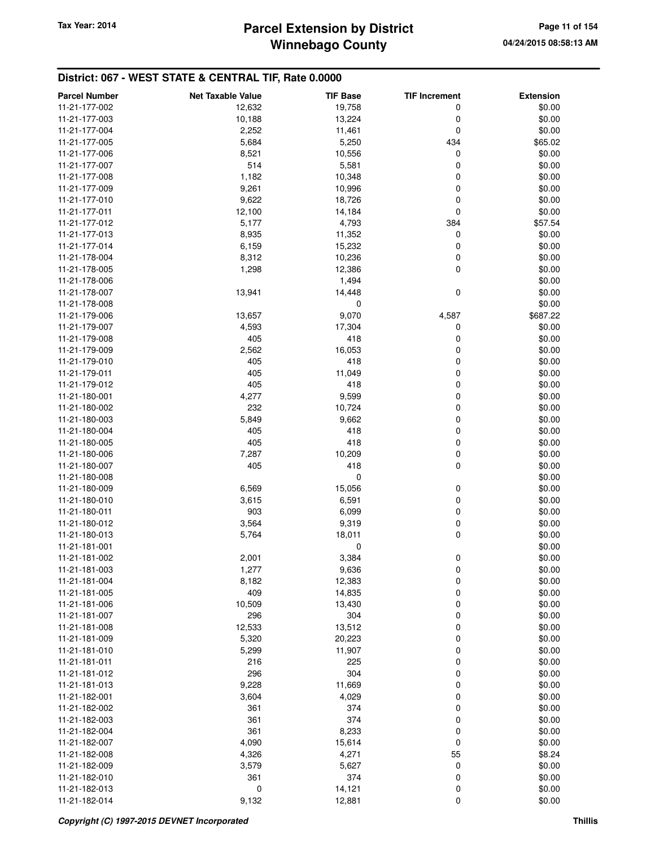## **Winnebago County** Tax Year: 2014 **Parcel Extension by District Page 11 of 154**

| 11-21-177-002<br>19,758<br>12,632<br>0    | <b>Extension</b> |
|-------------------------------------------|------------------|
|                                           | \$0.00           |
| 11-21-177-003<br>10,188<br>13,224<br>0    | \$0.00           |
| 2,252<br>11,461<br>0<br>11-21-177-004     | \$0.00           |
| 5,684<br>5,250<br>434<br>11-21-177-005    | \$65.02          |
| 8,521<br>10,556<br>0<br>11-21-177-006     | \$0.00           |
| 0<br>11-21-177-007<br>514<br>5,581        | \$0.00           |
| 1,182<br>10,348<br>0<br>11-21-177-008     | \$0.00           |
| 9,261<br>10,996<br>0<br>11-21-177-009     | \$0.00           |
| 9,622<br>18,726<br>0<br>11-21-177-010     | \$0.00           |
| 11-21-177-011<br>0<br>12,100<br>14,184    | \$0.00           |
| 11-21-177-012<br>5,177<br>4,793<br>384    | \$57.54          |
| 11-21-177-013<br>8,935<br>11,352<br>0     | \$0.00           |
| 6,159<br>15,232<br>0<br>11-21-177-014     | \$0.00           |
| 8,312<br>10,236<br>0<br>11-21-178-004     | \$0.00           |
| 0<br>11-21-178-005<br>1,298<br>12,386     | \$0.00           |
| 1,494<br>11-21-178-006                    | \$0.00           |
| 0<br>13,941<br>14,448<br>11-21-178-007    | \$0.00           |
| 0<br>11-21-178-008                        | \$0.00           |
| 13,657<br>9,070<br>4,587<br>11-21-179-006 | \$687.22         |
| 11-21-179-007<br>4,593<br>17,304<br>0     | \$0.00           |
| 11-21-179-008<br>405<br>418<br>0          | \$0.00           |
| 11-21-179-009<br>2,562<br>16,053<br>0     | \$0.00           |
| 0<br>405<br>418<br>11-21-179-010          | \$0.00           |
| 405<br>11,049<br>0<br>11-21-179-011       | \$0.00           |
| 405<br>418<br>0<br>11-21-179-012          | \$0.00           |
| 4,277<br>9,599<br>0<br>11-21-180-001      | \$0.00           |
| 232<br>10,724<br>0<br>11-21-180-002       | \$0.00           |
| 0<br>5,849<br>9,662<br>11-21-180-003      | \$0.00           |
| 405<br>418<br>0<br>11-21-180-004          | \$0.00           |
| 418<br>405<br>0<br>11-21-180-005          | \$0.00           |
| 0<br>7,287<br>10,209<br>11-21-180-006     | \$0.00           |
| 418<br>0<br>405<br>11-21-180-007          | \$0.00           |
| 0<br>11-21-180-008                        | \$0.00           |
| 6,569<br>15,056<br>0<br>11-21-180-009     | \$0.00           |
| 6,591<br>0<br>11-21-180-010<br>3,615      | \$0.00           |
| 0<br>903<br>6,099<br>11-21-180-011        | \$0.00           |
| 0<br>3,564<br>9,319<br>11-21-180-012      | \$0.00           |
| 0<br>18,011<br>11-21-180-013<br>5,764     | \$0.00           |
| 11-21-181-001<br>0                        | \$0.00           |
| 3,384<br>0<br>11-21-181-002<br>2,001      | \$0.00           |
| 1,277<br>9,636<br>0<br>11-21-181-003      | \$0.00           |
| 0<br>8,182<br>12,383<br>11-21-181-004     | \$0.00           |
| 0<br>409<br>14,835<br>11-21-181-005       | \$0.00           |
| 10,509<br>13,430<br>0<br>11-21-181-006    | \$0.00           |
| 296<br>304<br>0<br>11-21-181-007          | \$0.00           |
| 12,533<br>13,512<br>0<br>11-21-181-008    | \$0.00           |
| 5,320<br>20,223<br>0<br>11-21-181-009     | \$0.00           |
| 11,907<br>0<br>11-21-181-010<br>5,299     | \$0.00           |
| 225<br>0<br>11-21-181-011<br>216          | \$0.00           |
| 296<br>304<br>0<br>11-21-181-012          | \$0.00           |
| 9,228<br>11,669<br>0<br>11-21-181-013     | \$0.00           |
| 3,604<br>4,029<br>0<br>11-21-182-001      | \$0.00           |
| 374<br>0<br>11-21-182-002<br>361          | \$0.00           |
| 361<br>374<br>0<br>11-21-182-003          | \$0.00           |
| 8,233<br>361<br>0<br>11-21-182-004        | \$0.00           |
| 0<br>4,090<br>15,614<br>11-21-182-007     | \$0.00           |
| 4,326<br>4,271<br>55<br>11-21-182-008     | \$8.24           |
| 5,627<br>0<br>11-21-182-009<br>3,579      | \$0.00           |
| 361<br>374<br>0<br>11-21-182-010          | \$0.00           |
| 0<br>14,121<br>0<br>11-21-182-013         | \$0.00           |
| 9,132<br>0<br>11-21-182-014<br>12,881     | \$0.00           |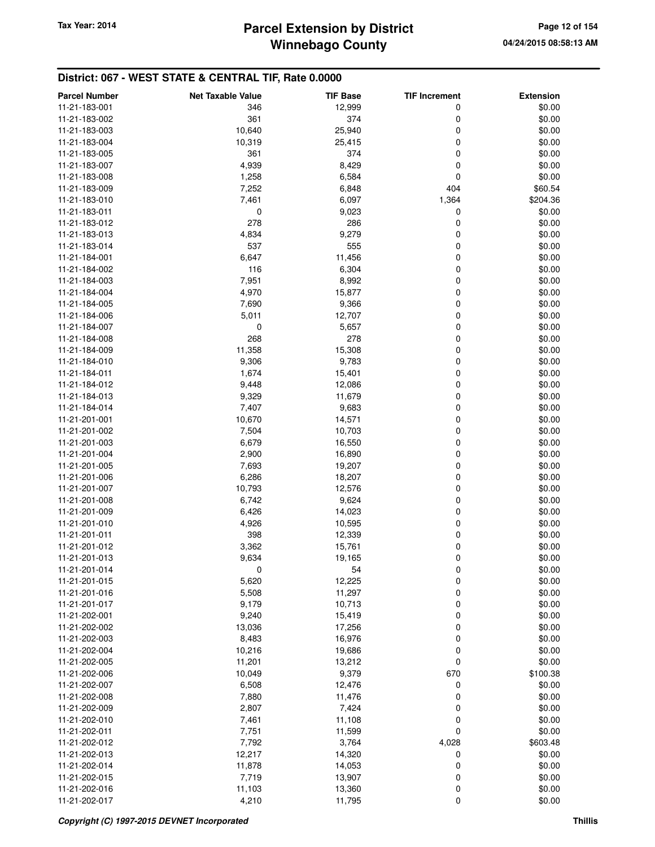| <b>Parcel Number</b>           | <b>Net Taxable Value</b> | <b>TIF Base</b> | <b>TIF Increment</b> | <b>Extension</b> |
|--------------------------------|--------------------------|-----------------|----------------------|------------------|
| 11-21-183-001                  | 346                      | 12,999          | 0                    | \$0.00           |
| 11-21-183-002                  | 361                      | 374             | 0                    | \$0.00           |
| 11-21-183-003                  | 10,640                   | 25,940          | 0                    | \$0.00           |
| 11-21-183-004                  | 10,319                   | 25,415          | 0                    | \$0.00           |
| 11-21-183-005                  | 361                      | 374             | 0                    | \$0.00           |
| 11-21-183-007                  | 4,939                    | 8,429           | 0                    | \$0.00           |
| 11-21-183-008                  | 1,258                    | 6,584           | 0                    | \$0.00           |
| 11-21-183-009                  | 7,252                    | 6,848           | 404                  | \$60.54          |
| 11-21-183-010                  | 7,461                    | 6,097           | 1,364                | \$204.36         |
| 11-21-183-011                  | 0                        | 9,023           | 0                    | \$0.00           |
| 11-21-183-012                  | 278                      | 286             | 0                    | \$0.00           |
| 11-21-183-013                  | 4,834                    | 9,279           | 0                    | \$0.00           |
| 11-21-183-014                  | 537                      | 555             | 0                    | \$0.00           |
| 11-21-184-001                  | 6,647                    | 11,456          | 0                    | \$0.00           |
| 11-21-184-002                  | 116                      | 6,304           | 0                    | \$0.00           |
| 11-21-184-003                  | 7,951                    | 8,992           | 0                    | \$0.00           |
| 11-21-184-004                  | 4,970                    | 15,877          | 0                    | \$0.00           |
| 11-21-184-005                  | 7,690                    | 9,366           | 0                    | \$0.00           |
| 11-21-184-006                  | 5,011                    | 12,707          | 0                    | \$0.00           |
| 11-21-184-007                  | 0                        | 5,657           | 0                    | \$0.00           |
| 11-21-184-008                  | 268                      | 278             | 0                    | \$0.00           |
| 11-21-184-009                  |                          |                 | 0                    | \$0.00           |
| 11-21-184-010                  | 11,358<br>9,306          | 15,308<br>9,783 | 0                    | \$0.00           |
|                                |                          |                 | 0                    |                  |
| 11-21-184-011                  | 1,674                    | 15,401          |                      | \$0.00<br>\$0.00 |
| 11-21-184-012                  | 9,448                    | 12,086          | 0                    |                  |
| 11-21-184-013                  | 9,329                    | 11,679          | 0<br>0               | \$0.00           |
| 11-21-184-014                  | 7,407                    | 9,683           |                      | \$0.00           |
| 11-21-201-001                  | 10,670                   | 14,571          | 0<br>0               | \$0.00           |
| 11-21-201-002<br>11-21-201-003 | 7,504                    | 10,703          |                      | \$0.00<br>\$0.00 |
|                                | 6,679                    | 16,550          | 0                    |                  |
| 11-21-201-004                  | 2,900                    | 16,890          | 0                    | \$0.00           |
| 11-21-201-005                  | 7,693                    | 19,207          | 0                    | \$0.00           |
| 11-21-201-006                  | 6,286                    | 18,207          | 0                    | \$0.00           |
| 11-21-201-007                  | 10,793                   | 12,576          | 0                    | \$0.00           |
| 11-21-201-008                  | 6,742                    | 9,624           | 0                    | \$0.00           |
| 11-21-201-009                  | 6,426                    | 14,023          | 0                    | \$0.00           |
| 11-21-201-010                  | 4,926                    | 10,595          | 0                    | \$0.00           |
| 11-21-201-011                  | 398                      | 12,339          | 0                    | \$0.00           |
| 11-21-201-012                  | 3,362                    | 15,761          | 0                    | \$0.00           |
| 11-21-201-013                  | 9,634                    | 19,165          | 0                    | \$0.00           |
| 11-21-201-014                  | 0                        | 54              | 0                    | \$0.00           |
| 11-21-201-015                  | 5,620                    | 12,225          | 0                    | \$0.00           |
| 11-21-201-016                  | 5,508                    | 11,297          | 0                    | \$0.00           |
| 11-21-201-017                  | 9,179                    | 10,713          | 0                    | \$0.00           |
| 11-21-202-001                  | 9,240                    | 15,419          | 0                    | \$0.00           |
| 11-21-202-002                  | 13,036                   | 17,256          | 0                    | \$0.00           |
| 11-21-202-003                  | 8,483                    | 16,976          | 0                    | \$0.00           |
| 11-21-202-004                  | 10,216                   | 19,686          | 0                    | \$0.00           |
| 11-21-202-005                  | 11,201                   | 13,212          | 0                    | \$0.00           |
| 11-21-202-006                  | 10,049                   | 9,379           | 670                  | \$100.38         |
| 11-21-202-007                  | 6,508                    | 12,476          | 0                    | \$0.00           |
| 11-21-202-008                  | 7,880                    | 11,476          | 0                    | \$0.00           |
| 11-21-202-009                  | 2,807                    | 7,424           | 0                    | \$0.00           |
| 11-21-202-010                  | 7,461                    | 11,108          | 0                    | \$0.00           |
| 11-21-202-011                  | 7,751                    | 11,599          | 0                    | \$0.00           |
| 11-21-202-012                  | 7,792                    | 3,764           | 4,028                | \$603.48         |
| 11-21-202-013                  | 12,217                   | 14,320          | 0                    | \$0.00           |
| 11-21-202-014                  | 11,878                   | 14,053          | 0                    | \$0.00           |
| 11-21-202-015                  | 7,719                    | 13,907          | 0                    | \$0.00           |
| 11-21-202-016                  | 11,103                   | 13,360          | 0                    | \$0.00           |
| 11-21-202-017                  | 4,210                    | 11,795          | 0                    | \$0.00           |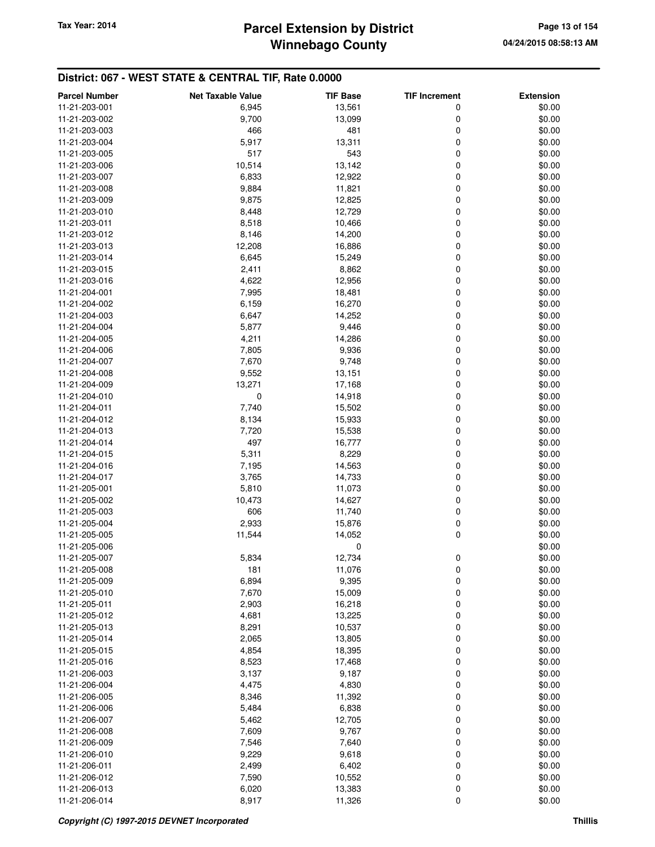#### **Winnebago County Parcel Extension by District Tax Year: 2014 Page 13 of 154**

| <b>Parcel Number</b>           | <b>Net Taxable Value</b> | <b>TIF Base</b> | <b>TIF Increment</b> | <b>Extension</b> |
|--------------------------------|--------------------------|-----------------|----------------------|------------------|
| 11-21-203-001                  | 6,945                    | 13,561          | 0                    | \$0.00           |
| 11-21-203-002                  | 9,700                    | 13,099          | 0                    | \$0.00           |
| 11-21-203-003                  | 466                      | 481             | $\mathbf 0$          | \$0.00           |
| 11-21-203-004                  | 5,917                    | 13,311          | 0                    | \$0.00           |
| 11-21-203-005                  | 517                      | 543             | 0                    | \$0.00           |
| 11-21-203-006                  | 10,514                   | 13,142          | 0                    | \$0.00           |
| 11-21-203-007                  | 6,833                    | 12,922          | 0                    | \$0.00           |
| 11-21-203-008                  | 9,884                    | 11,821          | 0                    | \$0.00           |
| 11-21-203-009                  | 9,875                    | 12,825          | 0                    | \$0.00           |
| 11-21-203-010                  | 8,448                    | 12,729          | 0                    | \$0.00           |
| 11-21-203-011                  | 8,518                    | 10,466          | 0                    | \$0.00           |
| 11-21-203-012                  | 8,146                    | 14,200          | 0                    | \$0.00           |
| 11-21-203-013                  | 12,208                   | 16,886          | 0                    | \$0.00           |
| 11-21-203-014                  | 6,645                    | 15,249          | 0                    | \$0.00           |
| 11-21-203-015                  | 2,411                    | 8,862           | $\mathbf 0$          | \$0.00           |
| 11-21-203-016                  | 4,622                    | 12,956          | 0                    | \$0.00           |
| 11-21-204-001                  | 7,995                    | 18,481          | 0                    | \$0.00           |
| 11-21-204-002                  | 6,159                    | 16,270          | 0                    | \$0.00           |
| 11-21-204-003                  | 6,647                    | 14,252          | 0                    | \$0.00           |
|                                |                          |                 | $\mathbf 0$          |                  |
| 11-21-204-004<br>11-21-204-005 | 5,877                    | 9,446           |                      | \$0.00           |
|                                | 4,211                    | 14,286          | 0                    | \$0.00           |
| 11-21-204-006                  | 7,805                    | 9,936           | 0<br>0               | \$0.00           |
| 11-21-204-007                  | 7,670                    | 9,748           |                      | \$0.00           |
| 11-21-204-008                  | 9,552                    | 13,151          | 0                    | \$0.00           |
| 11-21-204-009                  | 13,271                   | 17,168          | $\mathbf 0$          | \$0.00           |
| 11-21-204-010                  | 0                        | 14,918          | 0                    | \$0.00           |
| 11-21-204-011                  | 7,740                    | 15,502          | 0                    | \$0.00           |
| 11-21-204-012                  | 8,134                    | 15,933          | 0                    | \$0.00           |
| 11-21-204-013                  | 7,720                    | 15,538          | 0                    | \$0.00           |
| 11-21-204-014                  | 497                      | 16,777          | $\mathbf 0$          | \$0.00           |
| 11-21-204-015                  | 5,311                    | 8,229           | 0                    | \$0.00           |
| 11-21-204-016                  | 7,195                    | 14,563          | 0                    | \$0.00           |
| 11-21-204-017                  | 3,765                    | 14,733          | 0                    | \$0.00           |
| 11-21-205-001                  | 5,810                    | 11,073          | 0                    | \$0.00           |
| 11-21-205-002                  | 10,473                   | 14,627          | 0                    | \$0.00           |
| 11-21-205-003                  | 606                      | 11,740          | 0                    | \$0.00           |
| 11-21-205-004                  | 2,933                    | 15,876          | 0                    | \$0.00           |
| 11-21-205-005                  | 11,544                   | 14,052          | 0                    | \$0.00           |
| 11-21-205-006                  |                          | 0               |                      | \$0.00           |
| 11-21-205-007                  | 5,834                    | 12,734          | 0                    | \$0.00           |
| 11-21-205-008                  | 181                      | 11,076          | 0                    | \$0.00           |
| 11-21-205-009                  | 6,894                    | 9,395           | 0                    | \$0.00           |
| 11-21-205-010                  | 7,670                    | 15,009          | $\mathbf 0$          | \$0.00           |
| 11-21-205-011                  | 2,903                    | 16,218          | 0                    | \$0.00           |
| 11-21-205-012                  | 4,681                    | 13,225          | 0                    | \$0.00           |
| 11-21-205-013                  | 8,291                    | 10,537          | 0                    | \$0.00           |
| 11-21-205-014                  | 2,065                    | 13,805          | 0                    | \$0.00           |
| 11-21-205-015                  | 4,854                    | 18,395          | 0                    | \$0.00           |
| 11-21-205-016                  | 8,523                    | 17,468          | 0                    | \$0.00           |
| 11-21-206-003                  | 3,137                    | 9,187           | 0                    | \$0.00           |
| 11-21-206-004                  | 4,475                    | 4,830           | 0                    | \$0.00           |
| 11-21-206-005                  | 8,346                    | 11,392          | 0                    | \$0.00           |
| 11-21-206-006                  | 5,484                    | 6,838           | 0                    | \$0.00           |
| 11-21-206-007                  | 5,462                    | 12,705          | 0                    | \$0.00           |
| 11-21-206-008                  | 7,609                    | 9,767           | 0                    | \$0.00           |
| 11-21-206-009                  | 7,546                    | 7,640           | 0                    | \$0.00           |
| 11-21-206-010                  | 9,229                    | 9,618           | 0                    | \$0.00           |
| 11-21-206-011                  | 2,499                    | 6,402           | 0                    | \$0.00           |
| 11-21-206-012                  | 7,590                    | 10,552          | 0                    | \$0.00           |
| 11-21-206-013                  | 6,020                    | 13,383          | 0                    | \$0.00           |
| 11-21-206-014                  | 8,917                    | 11,326          | 0                    | \$0.00           |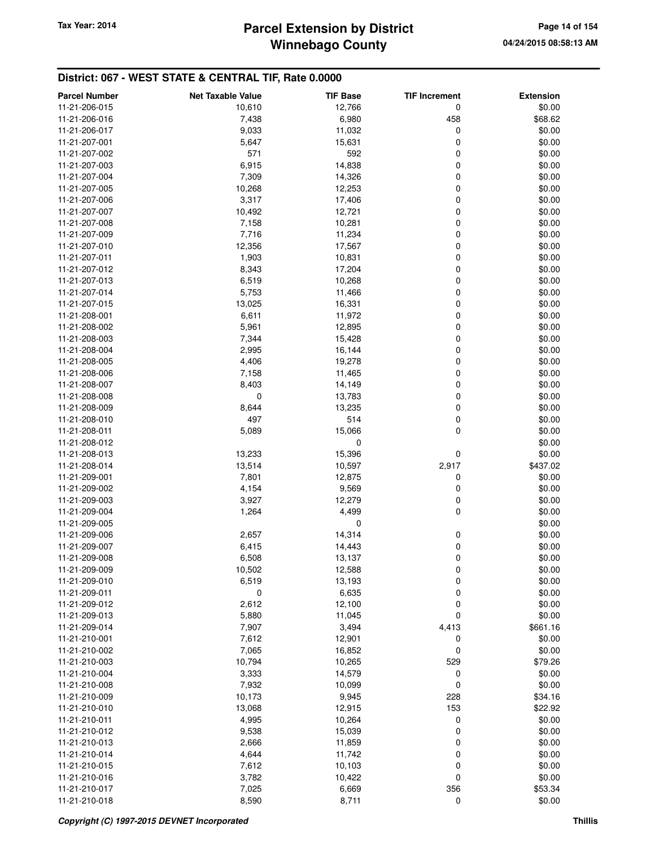## **Winnebago County** Tax Year: 2014 **Parcel Extension by District Page 14 of 154**

| <b>Parcel Number</b>           | <b>Net Taxable Value</b> | <b>TIF Base</b> | <b>TIF Increment</b> | <b>Extension</b>  |
|--------------------------------|--------------------------|-----------------|----------------------|-------------------|
| 11-21-206-015                  | 10,610                   | 12,766          | 0                    | \$0.00            |
| 11-21-206-016                  | 7,438                    | 6,980           | 458                  | \$68.62           |
| 11-21-206-017                  | 9,033                    | 11,032          | 0                    | \$0.00            |
| 11-21-207-001                  | 5,647                    | 15,631          | 0                    | \$0.00            |
| 11-21-207-002                  | 571                      | 592             | 0                    | \$0.00            |
| 11-21-207-003                  | 6,915                    | 14,838          | 0                    | \$0.00            |
| 11-21-207-004                  | 7,309                    | 14,326          | 0                    | \$0.00            |
| 11-21-207-005                  | 10,268                   | 12,253          | 0                    | \$0.00            |
| 11-21-207-006                  | 3,317                    | 17,406          | 0                    | \$0.00            |
| 11-21-207-007                  | 10,492                   | 12,721          | 0                    | \$0.00            |
| 11-21-207-008                  | 7,158                    | 10,281          | 0                    | \$0.00            |
| 11-21-207-009                  | 7,716                    | 11,234          | 0                    | \$0.00            |
| 11-21-207-010                  | 12,356                   | 17,567          | 0                    | \$0.00            |
| 11-21-207-011                  | 1,903                    | 10,831          | 0                    | \$0.00            |
| 11-21-207-012                  | 8,343                    | 17,204          | 0                    | \$0.00            |
| 11-21-207-013                  | 6,519                    | 10,268          | 0                    | \$0.00            |
| 11-21-207-014                  | 5,753                    | 11,466          | 0                    | \$0.00            |
| 11-21-207-015                  | 13,025                   | 16,331          | 0                    | \$0.00            |
| 11-21-208-001                  | 6,611                    | 11,972          | 0                    | \$0.00            |
| 11-21-208-002                  | 5,961                    | 12,895          | 0                    | \$0.00            |
| 11-21-208-003                  | 7,344                    | 15,428          | 0                    | \$0.00            |
| 11-21-208-004                  | 2,995                    | 16,144          | 0                    | \$0.00            |
| 11-21-208-005                  | 4,406                    | 19,278          | 0                    | \$0.00            |
| 11-21-208-006                  | 7,158                    | 11,465          | 0                    | \$0.00            |
| 11-21-208-007                  | 8,403                    | 14,149          | 0                    | \$0.00            |
| 11-21-208-008                  | 0                        | 13,783          | 0                    | \$0.00            |
| 11-21-208-009                  | 8,644                    | 13,235          | 0                    | \$0.00            |
| 11-21-208-010                  | 497                      | 514             | 0                    | \$0.00            |
| 11-21-208-011                  | 5,089                    | 15,066          | 0                    | \$0.00            |
| 11-21-208-012                  |                          | 0               |                      | \$0.00            |
| 11-21-208-013                  | 13,233                   | 15,396          | 0                    | \$0.00            |
| 11-21-208-014                  | 13,514                   | 10,597          | 2,917                | \$437.02          |
| 11-21-209-001                  | 7,801                    | 12,875          | 0                    | \$0.00            |
| 11-21-209-002                  | 4,154                    | 9,569           | 0                    | \$0.00            |
| 11-21-209-003                  | 3,927                    | 12,279          | 0                    | \$0.00            |
| 11-21-209-004                  | 1,264                    | 4,499           | 0                    | \$0.00            |
| 11-21-209-005                  |                          | 0               |                      | \$0.00            |
| 11-21-209-006                  | 2,657                    | 14,314          | 0                    | \$0.00            |
| 11-21-209-007                  | 6,415                    | 14,443          | 0                    | \$0.00            |
| 11-21-209-008                  | 6,508                    | 13,137          | 0                    | \$0.00            |
| 11-21-209-009                  | 10,502                   | 12,588          | 0                    | \$0.00            |
| 11-21-209-010                  | 6,519                    | 13,193          | 0                    | \$0.00            |
| 11-21-209-011                  | 0                        | 6,635           | 0                    | \$0.00            |
| 11-21-209-012                  | 2,612                    | 12,100          | 0                    | \$0.00            |
| 11-21-209-013                  | 5,880                    | 11,045          | 0                    | \$0.00            |
| 11-21-209-014                  | 7,907                    | 3,494           | 4,413                | \$661.16          |
| 11-21-210-001                  | 7,612                    | 12,901          | 0                    | \$0.00            |
| 11-21-210-002                  | 7,065                    | 16,852          | 0                    | \$0.00            |
| 11-21-210-003                  | 10,794                   | 10,265          | 529                  | \$79.26           |
| 11-21-210-004                  | 3,333                    | 14,579          | 0                    | \$0.00            |
| 11-21-210-008                  | 7,932                    | 10,099          | 0                    | \$0.00            |
| 11-21-210-009                  | 10,173                   | 9,945           | 228                  | \$34.16           |
| 11-21-210-010                  | 13,068                   | 12,915          | 153                  | \$22.92           |
| 11-21-210-011                  | 4,995                    | 10,264          | 0                    | \$0.00            |
| 11-21-210-012                  | 9,538                    | 15,039          | 0                    | \$0.00            |
| 11-21-210-013                  | 2,666                    | 11,859          | 0                    | \$0.00            |
| 11-21-210-014                  | 4,644                    | 11,742          | 0                    | \$0.00            |
| 11-21-210-015                  | 7,612                    | 10,103          | 0                    | \$0.00            |
| 11-21-210-016                  | 3,782                    | 10,422          | 0                    | \$0.00            |
| 11-21-210-017<br>11-21-210-018 | 7,025<br>8,590           | 6,669<br>8,711  | 356<br>$\mathbf 0$   | \$53.34<br>\$0.00 |
|                                |                          |                 |                      |                   |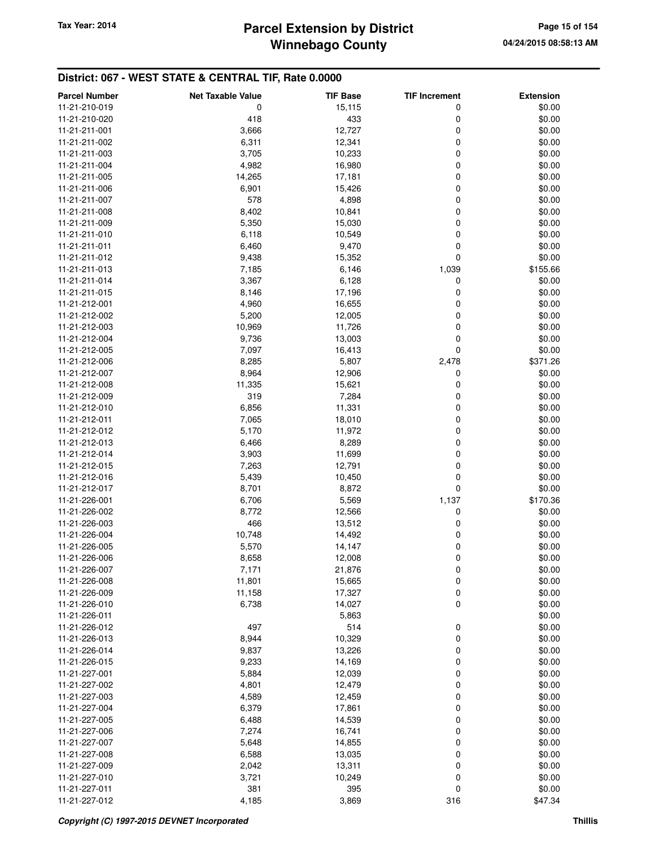## **Winnebago County** Tax Year: 2014 **Parcel Extension by District Page 15 of 154**

| <b>Parcel Number</b>           | <b>Net Taxable Value</b> | <b>TIF Base</b> | <b>TIF Increment</b> | <b>Extension</b> |
|--------------------------------|--------------------------|-----------------|----------------------|------------------|
| 11-21-210-019                  | 0                        | 15,115          | 0                    | \$0.00           |
| 11-21-210-020                  | 418                      | 433             | 0                    | \$0.00           |
| 11-21-211-001                  | 3,666                    | 12,727          | 0                    | \$0.00           |
| 11-21-211-002                  | 6,311                    | 12,341          | 0                    | \$0.00           |
| 11-21-211-003                  | 3,705                    | 10,233          | 0                    | \$0.00           |
| 11-21-211-004                  | 4,982                    | 16,980          | 0                    | \$0.00           |
| 11-21-211-005                  | 14,265                   | 17,181          | 0                    | \$0.00           |
| 11-21-211-006                  | 6,901                    | 15,426          | 0                    | \$0.00           |
| 11-21-211-007                  | 578                      | 4,898           | 0                    | \$0.00           |
| 11-21-211-008                  | 8,402                    | 10,841          | 0                    | \$0.00           |
| 11-21-211-009                  | 5,350                    | 15,030          | 0                    | \$0.00           |
| 11-21-211-010                  | 6,118                    | 10,549          | 0                    | \$0.00           |
| 11-21-211-011                  | 6,460                    | 9,470           | 0                    | \$0.00           |
| 11-21-211-012                  | 9,438                    | 15,352          | 0                    | \$0.00           |
| 11-21-211-013                  | 7,185                    | 6,146           | 1,039                | \$155.66         |
| 11-21-211-014                  | 3,367                    | 6,128           | 0                    | \$0.00           |
| 11-21-211-015                  | 8,146                    | 17,196          | 0                    | \$0.00           |
| 11-21-212-001                  | 4,960                    | 16,655          | 0                    | \$0.00           |
| 11-21-212-002                  | 5,200                    | 12,005          | 0                    | \$0.00           |
| 11-21-212-003                  | 10,969                   | 11,726          | 0                    | \$0.00           |
| 11-21-212-004                  | 9,736                    | 13,003          | 0                    | \$0.00           |
| 11-21-212-005                  | 7,097                    | 16,413          | 0                    | \$0.00           |
| 11-21-212-006                  | 8,285                    | 5,807           | 2,478                | \$371.26         |
| 11-21-212-007                  | 8,964                    | 12,906          | 0                    | \$0.00           |
| 11-21-212-008                  | 11,335                   |                 | 0                    | \$0.00           |
| 11-21-212-009                  | 319                      | 15,621<br>7,284 | 0                    | \$0.00           |
| 11-21-212-010                  | 6,856                    | 11,331          | 0                    | \$0.00           |
| 11-21-212-011                  | 7,065                    | 18,010          | 0                    | \$0.00           |
| 11-21-212-012                  | 5,170                    | 11,972          | 0                    | \$0.00           |
| 11-21-212-013                  | 6,466                    | 8,289           | 0                    | \$0.00           |
| 11-21-212-014                  | 3,903                    | 11,699          | 0                    | \$0.00           |
| 11-21-212-015                  | 7,263                    | 12,791          | 0                    | \$0.00           |
| 11-21-212-016                  | 5,439                    | 10,450          | 0                    | \$0.00           |
| 11-21-212-017                  | 8,701                    | 8,872           | 0                    | \$0.00           |
| 11-21-226-001                  | 6,706                    |                 | 1,137                | \$170.36         |
| 11-21-226-002                  | 8,772                    | 5,569<br>12,566 | 0                    | \$0.00           |
| 11-21-226-003                  | 466                      | 13,512          | 0                    | \$0.00           |
| 11-21-226-004                  | 10,748                   | 14,492          | 0                    | \$0.00           |
| 11-21-226-005                  | 5,570                    | 14,147          | 0                    | \$0.00           |
| 11-21-226-006                  | 8,658                    | 12,008          | 0                    | \$0.00           |
| 11-21-226-007                  | 7,171                    | 21,876          | 0                    | \$0.00           |
| 11-21-226-008                  | 11,801                   | 15,665          |                      | \$0.00           |
| 11-21-226-009                  | 11,158                   | 17,327          | 0<br>0               | \$0.00           |
| 11-21-226-010                  | 6,738                    | 14,027          | 0                    | \$0.00           |
| 11-21-226-011                  |                          |                 |                      | \$0.00           |
| 11-21-226-012                  | 497                      | 5,863<br>514    | 0                    | \$0.00           |
| 11-21-226-013                  | 8,944                    | 10,329          | 0                    | \$0.00           |
| 11-21-226-014                  | 9,837                    | 13,226          | 0                    | \$0.00           |
|                                |                          |                 |                      |                  |
| 11-21-226-015<br>11-21-227-001 | 9,233                    | 14,169          | 0<br>0               | \$0.00           |
| 11-21-227-002                  | 5,884                    | 12,039          | 0                    | \$0.00           |
| 11-21-227-003                  | 4,801                    | 12,479          | 0                    | \$0.00           |
|                                | 4,589                    | 12,459          |                      | \$0.00           |
| 11-21-227-004                  | 6,379                    | 17,861          | 0                    | \$0.00           |
| 11-21-227-005                  | 6,488                    | 14,539          | 0                    | \$0.00           |
| 11-21-227-006                  | 7,274                    | 16,741          | 0                    | \$0.00           |
| 11-21-227-007                  | 5,648                    | 14,855          | 0                    | \$0.00           |
| 11-21-227-008                  | 6,588                    | 13,035          | 0                    | \$0.00           |
| 11-21-227-009                  | 2,042                    | 13,311          | 0                    | \$0.00           |
| 11-21-227-010                  | 3,721                    | 10,249          | 0                    | \$0.00           |
| 11-21-227-011                  | 381                      | 395             | 0                    | \$0.00           |
| 11-21-227-012                  | 4,185                    | 3,869           | 316                  | \$47.34          |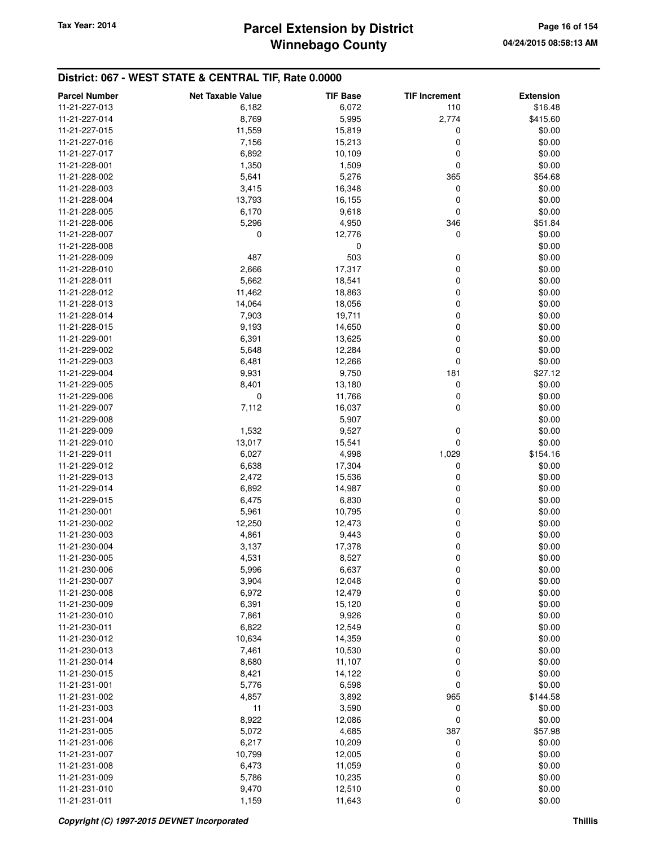## **Winnebago County** Tax Year: 2014 **Parcel Extension by District Page 16 of 154 Page 16 of 154**

| <b>Parcel Number</b>           | <b>Net Taxable Value</b> | <b>TIF Base</b> | <b>TIF Increment</b> | <b>Extension</b> |
|--------------------------------|--------------------------|-----------------|----------------------|------------------|
| 11-21-227-013                  | 6,182                    | 6,072           | 110                  | \$16.48          |
| 11-21-227-014                  | 8,769                    | 5,995           | 2,774                | \$415.60         |
| 11-21-227-015                  | 11,559                   | 15,819          | 0                    | \$0.00           |
| 11-21-227-016                  | 7,156                    | 15,213          | 0                    | \$0.00           |
| 11-21-227-017                  | 6,892                    | 10,109          | 0                    | \$0.00           |
| 11-21-228-001                  | 1,350                    | 1,509           | 0                    | \$0.00           |
| 11-21-228-002                  | 5,641                    | 5,276           | 365                  | \$54.68          |
| 11-21-228-003                  | 3,415                    | 16,348          | 0                    | \$0.00           |
| 11-21-228-004                  | 13,793                   | 16,155          | 0                    | \$0.00           |
| 11-21-228-005                  | 6,170                    | 9,618           | 0                    | \$0.00           |
| 11-21-228-006                  | 5,296                    | 4,950           | 346                  | \$51.84          |
| 11-21-228-007                  | 0                        | 12,776          | 0                    | \$0.00           |
| 11-21-228-008                  |                          | 0               |                      | \$0.00           |
| 11-21-228-009                  | 487                      | 503             | 0                    | \$0.00           |
| 11-21-228-010                  | 2,666                    | 17,317          | 0                    | \$0.00           |
| 11-21-228-011                  | 5,662                    | 18,541          | 0                    | \$0.00           |
| 11-21-228-012                  | 11,462                   | 18,863          | 0                    | \$0.00           |
| 11-21-228-013                  | 14,064                   | 18,056          | 0                    | \$0.00           |
| 11-21-228-014                  | 7,903                    | 19,711          | 0                    | \$0.00           |
| 11-21-228-015                  | 9,193                    | 14,650          | 0                    | \$0.00           |
| 11-21-229-001                  | 6,391                    | 13,625          | 0                    | \$0.00           |
| 11-21-229-002                  | 5,648                    | 12,284          | 0                    | \$0.00           |
| 11-21-229-003                  | 6,481                    | 12,266          | 0                    | \$0.00           |
| 11-21-229-004                  | 9,931                    | 9,750           | 181                  | \$27.12          |
| 11-21-229-005                  | 8,401                    | 13,180          | 0                    | \$0.00           |
| 11-21-229-006                  | 0                        | 11,766          | 0                    | \$0.00           |
| 11-21-229-007                  | 7,112                    | 16,037          | 0                    | \$0.00           |
| 11-21-229-008                  |                          | 5,907           |                      | \$0.00           |
| 11-21-229-009                  | 1,532                    | 9,527           | 0                    | \$0.00           |
| 11-21-229-010                  | 13,017                   | 15,541          | 0                    | \$0.00           |
| 11-21-229-011                  | 6,027                    | 4,998           | 1,029                | \$154.16         |
| 11-21-229-012                  | 6,638                    | 17,304          | 0                    | \$0.00           |
| 11-21-229-013                  | 2,472                    | 15,536          | 0                    | \$0.00           |
| 11-21-229-014                  | 6,892                    | 14,987          | 0                    | \$0.00           |
| 11-21-229-015                  | 6,475                    | 6,830           | 0                    | \$0.00           |
| 11-21-230-001                  | 5,961                    | 10,795          | 0                    | \$0.00           |
| 11-21-230-002                  | 12,250                   | 12,473          | 0                    | \$0.00           |
| 11-21-230-003                  | 4,861                    | 9,443           | 0                    | \$0.00           |
| 11-21-230-004<br>11-21-230-005 | 3,137                    | 17,378          | 0                    | \$0.00           |
|                                | 4,531                    | 8,527           | 0                    | \$0.00           |
| 11-21-230-006<br>11-21-230-007 | 5,996<br>3,904           | 6,637<br>12,048 | 0<br>0               | \$0.00<br>\$0.00 |
| 11-21-230-008                  | 6,972                    | 12,479          | 0                    | \$0.00           |
| 11-21-230-009                  | 6,391                    | 15,120          | 0                    | \$0.00           |
| 11-21-230-010                  | 7,861                    | 9,926           | 0                    | \$0.00           |
| 11-21-230-011                  | 6,822                    | 12,549          | 0                    | \$0.00           |
| 11-21-230-012                  | 10,634                   | 14,359          | 0                    | \$0.00           |
| 11-21-230-013                  | 7,461                    | 10,530          | 0                    | \$0.00           |
| 11-21-230-014                  | 8,680                    | 11,107          | 0                    | \$0.00           |
| 11-21-230-015                  | 8,421                    | 14,122          | 0                    | \$0.00           |
| 11-21-231-001                  | 5,776                    | 6,598           | 0                    | \$0.00           |
| 11-21-231-002                  | 4,857                    | 3,892           | 965                  | \$144.58         |
| 11-21-231-003                  | 11                       | 3,590           | 0                    | \$0.00           |
| 11-21-231-004                  | 8,922                    | 12,086          | 0                    | \$0.00           |
| 11-21-231-005                  | 5,072                    | 4,685           | 387                  | \$57.98          |
| 11-21-231-006                  | 6,217                    | 10,209          | 0                    | \$0.00           |
| 11-21-231-007                  | 10,799                   | 12,005          | 0                    | \$0.00           |
| 11-21-231-008                  | 6,473                    | 11,059          | 0                    | \$0.00           |
| 11-21-231-009                  | 5,786                    | 10,235          | 0                    | \$0.00           |
| 11-21-231-010                  | 9,470                    | 12,510          | 0                    | \$0.00           |
| 11-21-231-011                  | 1,159                    | 11,643          | 0                    | \$0.00           |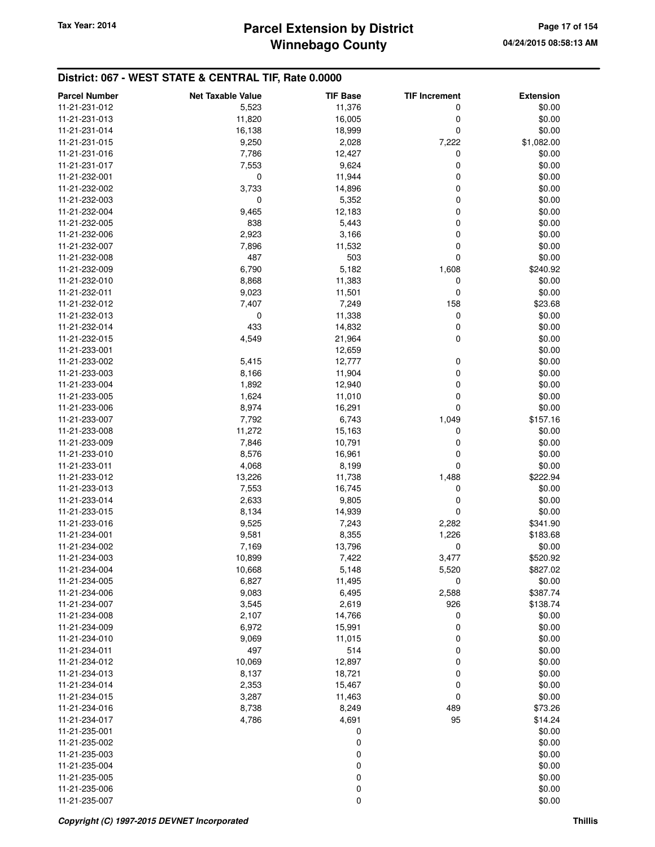## **Winnebago County** Tax Year: 2014 **Parcel Extension by District Page 17 of 154**

| <b>Parcel Number</b>           | <b>Net Taxable Value</b> | <b>TIF Base</b> | <b>TIF Increment</b> | <b>Extension</b>   |
|--------------------------------|--------------------------|-----------------|----------------------|--------------------|
| 11-21-231-012                  | 5,523                    | 11,376          | 0                    | \$0.00             |
| 11-21-231-013                  | 11,820                   | 16,005          | 0                    | \$0.00             |
| 11-21-231-014                  | 16,138                   | 18,999          | 0                    | \$0.00             |
| 11-21-231-015                  | 9,250                    | 2,028           | 7,222                | \$1,082.00         |
| 11-21-231-016                  | 7,786                    | 12,427          | 0                    | \$0.00             |
| 11-21-231-017                  | 7,553                    | 9,624           | 0                    | \$0.00             |
| 11-21-232-001                  | 0                        | 11,944          | 0                    | \$0.00             |
| 11-21-232-002                  | 3,733                    | 14,896          | 0                    | \$0.00             |
| 11-21-232-003                  | 0                        | 5,352           | 0                    | \$0.00             |
| 11-21-232-004                  | 9,465                    | 12,183          | 0                    | \$0.00             |
| 11-21-232-005                  | 838                      | 5,443           | 0                    | \$0.00             |
| 11-21-232-006                  | 2,923                    | 3,166           | 0                    | \$0.00             |
| 11-21-232-007                  | 7,896                    | 11,532          | 0                    | \$0.00             |
| 11-21-232-008                  | 487                      | 503             | 0                    | \$0.00             |
| 11-21-232-009                  | 6,790                    | 5,182           | 1,608                | \$240.92           |
| 11-21-232-010                  | 8,868                    | 11,383          | 0                    | \$0.00             |
| 11-21-232-011                  | 9,023                    | 11,501          | 0                    | \$0.00             |
| 11-21-232-012                  | 7,407                    | 7,249           | 158                  | \$23.68            |
| 11-21-232-013                  | 0                        | 11,338          | 0                    | \$0.00             |
| 11-21-232-014                  | 433                      | 14,832          | 0                    | \$0.00             |
| 11-21-232-015                  | 4,549                    | 21,964          | 0                    | \$0.00             |
| 11-21-233-001                  |                          | 12,659          |                      | \$0.00             |
| 11-21-233-002                  | 5,415                    | 12,777          | 0                    | \$0.00             |
| 11-21-233-003                  | 8,166                    | 11,904          | 0                    | \$0.00             |
| 11-21-233-004                  | 1,892                    | 12,940          | 0                    | \$0.00             |
| 11-21-233-005                  | 1,624                    | 11,010          | 0                    | \$0.00             |
| 11-21-233-006                  | 8,974                    | 16,291          | 0                    | \$0.00             |
| 11-21-233-007                  | 7,792                    | 6,743           | 1,049                | \$157.16           |
| 11-21-233-008                  | 11,272                   | 15,163          | 0                    | \$0.00             |
| 11-21-233-009                  | 7,846                    | 10,791          | 0                    | \$0.00             |
| 11-21-233-010                  | 8,576                    | 16,961          | 0                    | \$0.00             |
| 11-21-233-011                  | 4,068                    | 8,199           | 0                    | \$0.00             |
| 11-21-233-012                  | 13,226                   | 11,738          | 1,488                | \$222.94           |
| 11-21-233-013                  | 7,553                    | 16,745          | 0                    | \$0.00             |
| 11-21-233-014                  | 2,633                    | 9,805           | 0                    | \$0.00             |
| 11-21-233-015                  | 8,134                    | 14,939          | 0                    | \$0.00             |
| 11-21-233-016                  | 9,525                    | 7,243           | 2,282                | \$341.90           |
| 11-21-234-001                  | 9,581                    | 8,355           | 1,226                | \$183.68           |
| 11-21-234-002                  | 7,169                    | 13,796          | 0                    | \$0.00             |
| 11-21-234-003                  | 10,899                   | 7,422           | 3,477                | \$520.92           |
| 11-21-234-004                  | 10,668                   | 5,148           | 5,520                | \$827.02           |
| 11-21-234-005                  | 6,827                    | 11,495          | 0                    | \$0.00             |
| 11-21-234-006                  | 9,083                    | 6,495           | 2,588                | \$387.74           |
| 11-21-234-007                  | 3,545                    | 2,619           | 926                  | \$138.74           |
| 11-21-234-008                  | 2,107                    | 14,766          | 0                    | \$0.00             |
| 11-21-234-009                  | 6,972                    | 15,991          | 0                    | \$0.00             |
| 11-21-234-010                  | 9,069                    | 11,015          | 0                    | \$0.00             |
| 11-21-234-011                  | 497                      | 514             | 0                    | \$0.00             |
| 11-21-234-012                  | 10,069                   | 12,897          | 0                    | \$0.00             |
| 11-21-234-013                  | 8,137                    | 18,721          | 0                    | \$0.00             |
| 11-21-234-014                  | 2,353                    | 15,467          | 0                    | \$0.00             |
| 11-21-234-015                  | 3,287                    | 11,463          | 0<br>489             | \$0.00             |
| 11-21-234-016                  | 8,738                    | 8,249<br>4,691  | 95                   | \$73.26<br>\$14.24 |
| 11-21-234-017<br>11-21-235-001 | 4,786                    |                 |                      |                    |
| 11-21-235-002                  |                          | 0               |                      | \$0.00<br>\$0.00   |
| 11-21-235-003                  |                          | 0<br>0          |                      | \$0.00             |
| 11-21-235-004                  |                          | 0               |                      | \$0.00             |
| 11-21-235-005                  |                          | 0               |                      | \$0.00             |
| 11-21-235-006                  |                          | 0               |                      | \$0.00             |
| 11-21-235-007                  |                          | 0               |                      | \$0.00             |
|                                |                          |                 |                      |                    |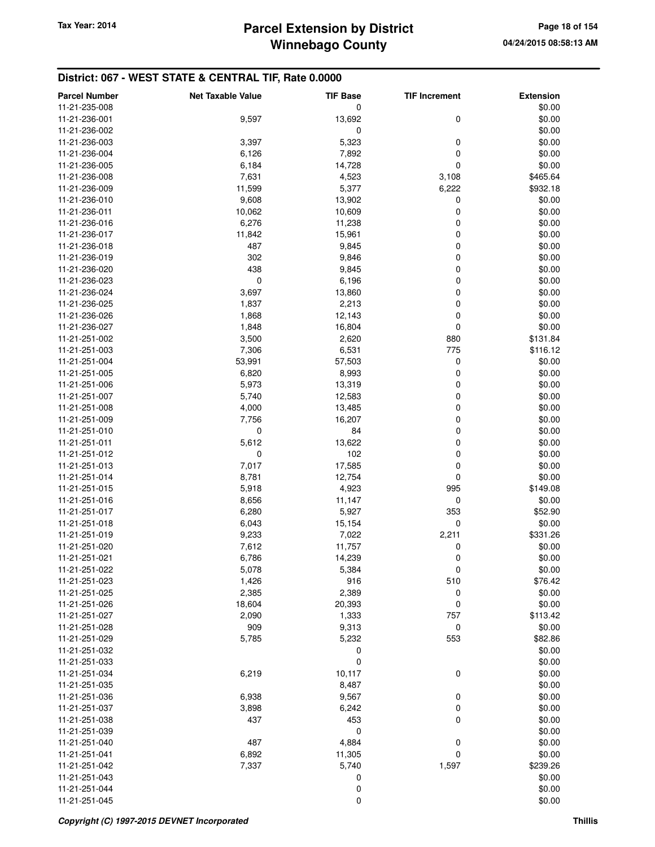| 13,692<br>\$0.00<br>11-21-236-001<br>9,597<br>0<br>0<br>11-21-236-002<br>\$0.00<br>5,323<br>\$0.00<br>3,397<br>0<br>11-21-236-003<br>7,892<br>$\mathbf 0$<br>\$0.00<br>6,126<br>11-21-236-004<br>$\mathbf 0$<br>14,728<br>\$0.00<br>11-21-236-005<br>6,184<br>11-21-236-008<br>7,631<br>4,523<br>\$465.64<br>3,108<br>11,599<br>5,377<br>6,222<br>\$932.18<br>11-21-236-009<br>9,608<br>13,902<br>0<br>\$0.00<br>11-21-236-010<br>0<br>10,062<br>10,609<br>\$0.00<br>11-21-236-011<br>6,276<br>0<br>\$0.00<br>11-21-236-016<br>11,238<br>\$0.00<br>11-21-236-017<br>11,842<br>15,961<br>0<br>487<br>9,845<br>0<br>\$0.00<br>11-21-236-018<br>0<br>\$0.00<br>302<br>9,846<br>11-21-236-019<br>0<br>\$0.00<br>438<br>9,845<br>11-21-236-020<br>0<br>0<br>\$0.00<br>11-21-236-023<br>6,196<br>3,697<br>13,860<br>0<br>\$0.00<br>11-21-236-024<br>1,837<br>2,213<br>0<br>\$0.00<br>11-21-236-025<br>$\mathbf 0$<br>1,868<br>\$0.00<br>11-21-236-026<br>12,143<br>$\mathbf 0$<br>\$0.00<br>1,848<br>16,804<br>11-21-236-027<br>2,620<br>880<br>\$131.84<br>11-21-251-002<br>3,500<br>6,531<br>775<br>11-21-251-003<br>7,306<br>\$116.12<br>53,991<br>57,503<br>0<br>\$0.00<br>11-21-251-004<br>0<br>6,820<br>8,993<br>\$0.00<br>11-21-251-005<br>5,973<br>13,319<br>0<br>\$0.00<br>11-21-251-006<br>5,740<br>12,583<br>0<br>\$0.00<br>11-21-251-007<br>11-21-251-008<br>4,000<br>13,485<br>0<br>\$0.00<br>7,756<br>16,207<br>0<br>\$0.00<br>11-21-251-009<br>0<br>0<br>84<br>\$0.00<br>11-21-251-010<br>5,612<br>13,622<br>0<br>\$0.00<br>11-21-251-011<br>0<br>102<br>0<br>\$0.00<br>11-21-251-012<br>11-21-251-013<br>7,017<br>17,585<br>0<br>\$0.00<br>8,781<br>12,754<br>0<br>\$0.00<br>11-21-251-014<br>\$149.08<br>5,918<br>4,923<br>995<br>11-21-251-015<br>8,656<br>11,147<br>0<br>\$0.00<br>11-21-251-016<br>5,927<br>353<br>\$52.90<br>11-21-251-017<br>6,280<br>$\mathbf 0$<br>15,154<br>\$0.00<br>11-21-251-018<br>6,043<br>9,233<br>7,022<br>2,211<br>\$331.26<br>11-21-251-019<br>0<br>\$0.00<br>11-21-251-020<br>7,612<br>11,757<br>$\mathbf 0$<br>11-21-251-021<br>6,786<br>\$0.00<br>14,239<br>11-21-251-022<br>5,078<br>5,384<br>0<br>\$0.00<br>11-21-251-023<br>1,426<br>916<br>510<br>\$76.42<br>2,385<br>11-21-251-025<br>2,389<br>0<br>\$0.00<br>$\mathbf 0$<br>\$0.00<br>18,604<br>20,393<br>11-21-251-026<br>11-21-251-027<br>2,090<br>1,333<br>757<br>\$113.42<br>11-21-251-028<br>909<br>9,313<br>0<br>\$0.00<br>11-21-251-029<br>5,785<br>5,232<br>553<br>\$82.86<br>0<br>\$0.00<br>11-21-251-032<br>0<br>\$0.00<br>11-21-251-033<br>\$0.00<br>11-21-251-034<br>6,219<br>10,117<br>0<br>8,487<br>\$0.00<br>11-21-251-035<br>11-21-251-036<br>6,938<br>9,567<br>0<br>\$0.00<br>6,242<br>0<br>\$0.00<br>11-21-251-037<br>3,898<br>$\mathbf 0$<br>437<br>453<br>\$0.00<br>11-21-251-038<br>0<br>\$0.00<br>11-21-251-039<br>487<br>4,884<br>0<br>\$0.00<br>11-21-251-040<br>\$0.00<br>11-21-251-041<br>6,892<br>11,305<br>0<br>11-21-251-042<br>7,337<br>5,740<br>1,597<br>\$239.26<br>\$0.00<br>11-21-251-043<br>0<br>0<br>\$0.00<br>11-21-251-044 | <b>Parcel Number</b><br>11-21-235-008 | <b>Net Taxable Value</b> | <b>TIF Base</b><br>0 | <b>TIF Increment</b> | <b>Extension</b><br>\$0.00 |
|-----------------------------------------------------------------------------------------------------------------------------------------------------------------------------------------------------------------------------------------------------------------------------------------------------------------------------------------------------------------------------------------------------------------------------------------------------------------------------------------------------------------------------------------------------------------------------------------------------------------------------------------------------------------------------------------------------------------------------------------------------------------------------------------------------------------------------------------------------------------------------------------------------------------------------------------------------------------------------------------------------------------------------------------------------------------------------------------------------------------------------------------------------------------------------------------------------------------------------------------------------------------------------------------------------------------------------------------------------------------------------------------------------------------------------------------------------------------------------------------------------------------------------------------------------------------------------------------------------------------------------------------------------------------------------------------------------------------------------------------------------------------------------------------------------------------------------------------------------------------------------------------------------------------------------------------------------------------------------------------------------------------------------------------------------------------------------------------------------------------------------------------------------------------------------------------------------------------------------------------------------------------------------------------------------------------------------------------------------------------------------------------------------------------------------------------------------------------------------------------------------------------------------------------------------------------------------------------------------------------------------------------------------------------------------------------------------------------------------------------------------------------------------------------------------------------------------------------------------------------------------------------------------------------------------------------------------------------------------------------------------------------------------------------------------------------------|---------------------------------------|--------------------------|----------------------|----------------------|----------------------------|
|                                                                                                                                                                                                                                                                                                                                                                                                                                                                                                                                                                                                                                                                                                                                                                                                                                                                                                                                                                                                                                                                                                                                                                                                                                                                                                                                                                                                                                                                                                                                                                                                                                                                                                                                                                                                                                                                                                                                                                                                                                                                                                                                                                                                                                                                                                                                                                                                                                                                                                                                                                                                                                                                                                                                                                                                                                                                                                                                                                                                                                                                       |                                       |                          |                      |                      |                            |
|                                                                                                                                                                                                                                                                                                                                                                                                                                                                                                                                                                                                                                                                                                                                                                                                                                                                                                                                                                                                                                                                                                                                                                                                                                                                                                                                                                                                                                                                                                                                                                                                                                                                                                                                                                                                                                                                                                                                                                                                                                                                                                                                                                                                                                                                                                                                                                                                                                                                                                                                                                                                                                                                                                                                                                                                                                                                                                                                                                                                                                                                       |                                       |                          |                      |                      |                            |
|                                                                                                                                                                                                                                                                                                                                                                                                                                                                                                                                                                                                                                                                                                                                                                                                                                                                                                                                                                                                                                                                                                                                                                                                                                                                                                                                                                                                                                                                                                                                                                                                                                                                                                                                                                                                                                                                                                                                                                                                                                                                                                                                                                                                                                                                                                                                                                                                                                                                                                                                                                                                                                                                                                                                                                                                                                                                                                                                                                                                                                                                       |                                       |                          |                      |                      |                            |
|                                                                                                                                                                                                                                                                                                                                                                                                                                                                                                                                                                                                                                                                                                                                                                                                                                                                                                                                                                                                                                                                                                                                                                                                                                                                                                                                                                                                                                                                                                                                                                                                                                                                                                                                                                                                                                                                                                                                                                                                                                                                                                                                                                                                                                                                                                                                                                                                                                                                                                                                                                                                                                                                                                                                                                                                                                                                                                                                                                                                                                                                       |                                       |                          |                      |                      |                            |
|                                                                                                                                                                                                                                                                                                                                                                                                                                                                                                                                                                                                                                                                                                                                                                                                                                                                                                                                                                                                                                                                                                                                                                                                                                                                                                                                                                                                                                                                                                                                                                                                                                                                                                                                                                                                                                                                                                                                                                                                                                                                                                                                                                                                                                                                                                                                                                                                                                                                                                                                                                                                                                                                                                                                                                                                                                                                                                                                                                                                                                                                       |                                       |                          |                      |                      |                            |
|                                                                                                                                                                                                                                                                                                                                                                                                                                                                                                                                                                                                                                                                                                                                                                                                                                                                                                                                                                                                                                                                                                                                                                                                                                                                                                                                                                                                                                                                                                                                                                                                                                                                                                                                                                                                                                                                                                                                                                                                                                                                                                                                                                                                                                                                                                                                                                                                                                                                                                                                                                                                                                                                                                                                                                                                                                                                                                                                                                                                                                                                       |                                       |                          |                      |                      |                            |
|                                                                                                                                                                                                                                                                                                                                                                                                                                                                                                                                                                                                                                                                                                                                                                                                                                                                                                                                                                                                                                                                                                                                                                                                                                                                                                                                                                                                                                                                                                                                                                                                                                                                                                                                                                                                                                                                                                                                                                                                                                                                                                                                                                                                                                                                                                                                                                                                                                                                                                                                                                                                                                                                                                                                                                                                                                                                                                                                                                                                                                                                       |                                       |                          |                      |                      |                            |
|                                                                                                                                                                                                                                                                                                                                                                                                                                                                                                                                                                                                                                                                                                                                                                                                                                                                                                                                                                                                                                                                                                                                                                                                                                                                                                                                                                                                                                                                                                                                                                                                                                                                                                                                                                                                                                                                                                                                                                                                                                                                                                                                                                                                                                                                                                                                                                                                                                                                                                                                                                                                                                                                                                                                                                                                                                                                                                                                                                                                                                                                       |                                       |                          |                      |                      |                            |
|                                                                                                                                                                                                                                                                                                                                                                                                                                                                                                                                                                                                                                                                                                                                                                                                                                                                                                                                                                                                                                                                                                                                                                                                                                                                                                                                                                                                                                                                                                                                                                                                                                                                                                                                                                                                                                                                                                                                                                                                                                                                                                                                                                                                                                                                                                                                                                                                                                                                                                                                                                                                                                                                                                                                                                                                                                                                                                                                                                                                                                                                       |                                       |                          |                      |                      |                            |
|                                                                                                                                                                                                                                                                                                                                                                                                                                                                                                                                                                                                                                                                                                                                                                                                                                                                                                                                                                                                                                                                                                                                                                                                                                                                                                                                                                                                                                                                                                                                                                                                                                                                                                                                                                                                                                                                                                                                                                                                                                                                                                                                                                                                                                                                                                                                                                                                                                                                                                                                                                                                                                                                                                                                                                                                                                                                                                                                                                                                                                                                       |                                       |                          |                      |                      |                            |
|                                                                                                                                                                                                                                                                                                                                                                                                                                                                                                                                                                                                                                                                                                                                                                                                                                                                                                                                                                                                                                                                                                                                                                                                                                                                                                                                                                                                                                                                                                                                                                                                                                                                                                                                                                                                                                                                                                                                                                                                                                                                                                                                                                                                                                                                                                                                                                                                                                                                                                                                                                                                                                                                                                                                                                                                                                                                                                                                                                                                                                                                       |                                       |                          |                      |                      |                            |
|                                                                                                                                                                                                                                                                                                                                                                                                                                                                                                                                                                                                                                                                                                                                                                                                                                                                                                                                                                                                                                                                                                                                                                                                                                                                                                                                                                                                                                                                                                                                                                                                                                                                                                                                                                                                                                                                                                                                                                                                                                                                                                                                                                                                                                                                                                                                                                                                                                                                                                                                                                                                                                                                                                                                                                                                                                                                                                                                                                                                                                                                       |                                       |                          |                      |                      |                            |
|                                                                                                                                                                                                                                                                                                                                                                                                                                                                                                                                                                                                                                                                                                                                                                                                                                                                                                                                                                                                                                                                                                                                                                                                                                                                                                                                                                                                                                                                                                                                                                                                                                                                                                                                                                                                                                                                                                                                                                                                                                                                                                                                                                                                                                                                                                                                                                                                                                                                                                                                                                                                                                                                                                                                                                                                                                                                                                                                                                                                                                                                       |                                       |                          |                      |                      |                            |
|                                                                                                                                                                                                                                                                                                                                                                                                                                                                                                                                                                                                                                                                                                                                                                                                                                                                                                                                                                                                                                                                                                                                                                                                                                                                                                                                                                                                                                                                                                                                                                                                                                                                                                                                                                                                                                                                                                                                                                                                                                                                                                                                                                                                                                                                                                                                                                                                                                                                                                                                                                                                                                                                                                                                                                                                                                                                                                                                                                                                                                                                       |                                       |                          |                      |                      |                            |
|                                                                                                                                                                                                                                                                                                                                                                                                                                                                                                                                                                                                                                                                                                                                                                                                                                                                                                                                                                                                                                                                                                                                                                                                                                                                                                                                                                                                                                                                                                                                                                                                                                                                                                                                                                                                                                                                                                                                                                                                                                                                                                                                                                                                                                                                                                                                                                                                                                                                                                                                                                                                                                                                                                                                                                                                                                                                                                                                                                                                                                                                       |                                       |                          |                      |                      |                            |
|                                                                                                                                                                                                                                                                                                                                                                                                                                                                                                                                                                                                                                                                                                                                                                                                                                                                                                                                                                                                                                                                                                                                                                                                                                                                                                                                                                                                                                                                                                                                                                                                                                                                                                                                                                                                                                                                                                                                                                                                                                                                                                                                                                                                                                                                                                                                                                                                                                                                                                                                                                                                                                                                                                                                                                                                                                                                                                                                                                                                                                                                       |                                       |                          |                      |                      |                            |
|                                                                                                                                                                                                                                                                                                                                                                                                                                                                                                                                                                                                                                                                                                                                                                                                                                                                                                                                                                                                                                                                                                                                                                                                                                                                                                                                                                                                                                                                                                                                                                                                                                                                                                                                                                                                                                                                                                                                                                                                                                                                                                                                                                                                                                                                                                                                                                                                                                                                                                                                                                                                                                                                                                                                                                                                                                                                                                                                                                                                                                                                       |                                       |                          |                      |                      |                            |
|                                                                                                                                                                                                                                                                                                                                                                                                                                                                                                                                                                                                                                                                                                                                                                                                                                                                                                                                                                                                                                                                                                                                                                                                                                                                                                                                                                                                                                                                                                                                                                                                                                                                                                                                                                                                                                                                                                                                                                                                                                                                                                                                                                                                                                                                                                                                                                                                                                                                                                                                                                                                                                                                                                                                                                                                                                                                                                                                                                                                                                                                       |                                       |                          |                      |                      |                            |
|                                                                                                                                                                                                                                                                                                                                                                                                                                                                                                                                                                                                                                                                                                                                                                                                                                                                                                                                                                                                                                                                                                                                                                                                                                                                                                                                                                                                                                                                                                                                                                                                                                                                                                                                                                                                                                                                                                                                                                                                                                                                                                                                                                                                                                                                                                                                                                                                                                                                                                                                                                                                                                                                                                                                                                                                                                                                                                                                                                                                                                                                       |                                       |                          |                      |                      |                            |
|                                                                                                                                                                                                                                                                                                                                                                                                                                                                                                                                                                                                                                                                                                                                                                                                                                                                                                                                                                                                                                                                                                                                                                                                                                                                                                                                                                                                                                                                                                                                                                                                                                                                                                                                                                                                                                                                                                                                                                                                                                                                                                                                                                                                                                                                                                                                                                                                                                                                                                                                                                                                                                                                                                                                                                                                                                                                                                                                                                                                                                                                       |                                       |                          |                      |                      |                            |
|                                                                                                                                                                                                                                                                                                                                                                                                                                                                                                                                                                                                                                                                                                                                                                                                                                                                                                                                                                                                                                                                                                                                                                                                                                                                                                                                                                                                                                                                                                                                                                                                                                                                                                                                                                                                                                                                                                                                                                                                                                                                                                                                                                                                                                                                                                                                                                                                                                                                                                                                                                                                                                                                                                                                                                                                                                                                                                                                                                                                                                                                       |                                       |                          |                      |                      |                            |
|                                                                                                                                                                                                                                                                                                                                                                                                                                                                                                                                                                                                                                                                                                                                                                                                                                                                                                                                                                                                                                                                                                                                                                                                                                                                                                                                                                                                                                                                                                                                                                                                                                                                                                                                                                                                                                                                                                                                                                                                                                                                                                                                                                                                                                                                                                                                                                                                                                                                                                                                                                                                                                                                                                                                                                                                                                                                                                                                                                                                                                                                       |                                       |                          |                      |                      |                            |
|                                                                                                                                                                                                                                                                                                                                                                                                                                                                                                                                                                                                                                                                                                                                                                                                                                                                                                                                                                                                                                                                                                                                                                                                                                                                                                                                                                                                                                                                                                                                                                                                                                                                                                                                                                                                                                                                                                                                                                                                                                                                                                                                                                                                                                                                                                                                                                                                                                                                                                                                                                                                                                                                                                                                                                                                                                                                                                                                                                                                                                                                       |                                       |                          |                      |                      |                            |
|                                                                                                                                                                                                                                                                                                                                                                                                                                                                                                                                                                                                                                                                                                                                                                                                                                                                                                                                                                                                                                                                                                                                                                                                                                                                                                                                                                                                                                                                                                                                                                                                                                                                                                                                                                                                                                                                                                                                                                                                                                                                                                                                                                                                                                                                                                                                                                                                                                                                                                                                                                                                                                                                                                                                                                                                                                                                                                                                                                                                                                                                       |                                       |                          |                      |                      |                            |
|                                                                                                                                                                                                                                                                                                                                                                                                                                                                                                                                                                                                                                                                                                                                                                                                                                                                                                                                                                                                                                                                                                                                                                                                                                                                                                                                                                                                                                                                                                                                                                                                                                                                                                                                                                                                                                                                                                                                                                                                                                                                                                                                                                                                                                                                                                                                                                                                                                                                                                                                                                                                                                                                                                                                                                                                                                                                                                                                                                                                                                                                       |                                       |                          |                      |                      |                            |
|                                                                                                                                                                                                                                                                                                                                                                                                                                                                                                                                                                                                                                                                                                                                                                                                                                                                                                                                                                                                                                                                                                                                                                                                                                                                                                                                                                                                                                                                                                                                                                                                                                                                                                                                                                                                                                                                                                                                                                                                                                                                                                                                                                                                                                                                                                                                                                                                                                                                                                                                                                                                                                                                                                                                                                                                                                                                                                                                                                                                                                                                       |                                       |                          |                      |                      |                            |
|                                                                                                                                                                                                                                                                                                                                                                                                                                                                                                                                                                                                                                                                                                                                                                                                                                                                                                                                                                                                                                                                                                                                                                                                                                                                                                                                                                                                                                                                                                                                                                                                                                                                                                                                                                                                                                                                                                                                                                                                                                                                                                                                                                                                                                                                                                                                                                                                                                                                                                                                                                                                                                                                                                                                                                                                                                                                                                                                                                                                                                                                       |                                       |                          |                      |                      |                            |
|                                                                                                                                                                                                                                                                                                                                                                                                                                                                                                                                                                                                                                                                                                                                                                                                                                                                                                                                                                                                                                                                                                                                                                                                                                                                                                                                                                                                                                                                                                                                                                                                                                                                                                                                                                                                                                                                                                                                                                                                                                                                                                                                                                                                                                                                                                                                                                                                                                                                                                                                                                                                                                                                                                                                                                                                                                                                                                                                                                                                                                                                       |                                       |                          |                      |                      |                            |
|                                                                                                                                                                                                                                                                                                                                                                                                                                                                                                                                                                                                                                                                                                                                                                                                                                                                                                                                                                                                                                                                                                                                                                                                                                                                                                                                                                                                                                                                                                                                                                                                                                                                                                                                                                                                                                                                                                                                                                                                                                                                                                                                                                                                                                                                                                                                                                                                                                                                                                                                                                                                                                                                                                                                                                                                                                                                                                                                                                                                                                                                       |                                       |                          |                      |                      |                            |
|                                                                                                                                                                                                                                                                                                                                                                                                                                                                                                                                                                                                                                                                                                                                                                                                                                                                                                                                                                                                                                                                                                                                                                                                                                                                                                                                                                                                                                                                                                                                                                                                                                                                                                                                                                                                                                                                                                                                                                                                                                                                                                                                                                                                                                                                                                                                                                                                                                                                                                                                                                                                                                                                                                                                                                                                                                                                                                                                                                                                                                                                       |                                       |                          |                      |                      |                            |
|                                                                                                                                                                                                                                                                                                                                                                                                                                                                                                                                                                                                                                                                                                                                                                                                                                                                                                                                                                                                                                                                                                                                                                                                                                                                                                                                                                                                                                                                                                                                                                                                                                                                                                                                                                                                                                                                                                                                                                                                                                                                                                                                                                                                                                                                                                                                                                                                                                                                                                                                                                                                                                                                                                                                                                                                                                                                                                                                                                                                                                                                       |                                       |                          |                      |                      |                            |
|                                                                                                                                                                                                                                                                                                                                                                                                                                                                                                                                                                                                                                                                                                                                                                                                                                                                                                                                                                                                                                                                                                                                                                                                                                                                                                                                                                                                                                                                                                                                                                                                                                                                                                                                                                                                                                                                                                                                                                                                                                                                                                                                                                                                                                                                                                                                                                                                                                                                                                                                                                                                                                                                                                                                                                                                                                                                                                                                                                                                                                                                       |                                       |                          |                      |                      |                            |
|                                                                                                                                                                                                                                                                                                                                                                                                                                                                                                                                                                                                                                                                                                                                                                                                                                                                                                                                                                                                                                                                                                                                                                                                                                                                                                                                                                                                                                                                                                                                                                                                                                                                                                                                                                                                                                                                                                                                                                                                                                                                                                                                                                                                                                                                                                                                                                                                                                                                                                                                                                                                                                                                                                                                                                                                                                                                                                                                                                                                                                                                       |                                       |                          |                      |                      |                            |
|                                                                                                                                                                                                                                                                                                                                                                                                                                                                                                                                                                                                                                                                                                                                                                                                                                                                                                                                                                                                                                                                                                                                                                                                                                                                                                                                                                                                                                                                                                                                                                                                                                                                                                                                                                                                                                                                                                                                                                                                                                                                                                                                                                                                                                                                                                                                                                                                                                                                                                                                                                                                                                                                                                                                                                                                                                                                                                                                                                                                                                                                       |                                       |                          |                      |                      |                            |
|                                                                                                                                                                                                                                                                                                                                                                                                                                                                                                                                                                                                                                                                                                                                                                                                                                                                                                                                                                                                                                                                                                                                                                                                                                                                                                                                                                                                                                                                                                                                                                                                                                                                                                                                                                                                                                                                                                                                                                                                                                                                                                                                                                                                                                                                                                                                                                                                                                                                                                                                                                                                                                                                                                                                                                                                                                                                                                                                                                                                                                                                       |                                       |                          |                      |                      |                            |
|                                                                                                                                                                                                                                                                                                                                                                                                                                                                                                                                                                                                                                                                                                                                                                                                                                                                                                                                                                                                                                                                                                                                                                                                                                                                                                                                                                                                                                                                                                                                                                                                                                                                                                                                                                                                                                                                                                                                                                                                                                                                                                                                                                                                                                                                                                                                                                                                                                                                                                                                                                                                                                                                                                                                                                                                                                                                                                                                                                                                                                                                       |                                       |                          |                      |                      |                            |
|                                                                                                                                                                                                                                                                                                                                                                                                                                                                                                                                                                                                                                                                                                                                                                                                                                                                                                                                                                                                                                                                                                                                                                                                                                                                                                                                                                                                                                                                                                                                                                                                                                                                                                                                                                                                                                                                                                                                                                                                                                                                                                                                                                                                                                                                                                                                                                                                                                                                                                                                                                                                                                                                                                                                                                                                                                                                                                                                                                                                                                                                       |                                       |                          |                      |                      |                            |
|                                                                                                                                                                                                                                                                                                                                                                                                                                                                                                                                                                                                                                                                                                                                                                                                                                                                                                                                                                                                                                                                                                                                                                                                                                                                                                                                                                                                                                                                                                                                                                                                                                                                                                                                                                                                                                                                                                                                                                                                                                                                                                                                                                                                                                                                                                                                                                                                                                                                                                                                                                                                                                                                                                                                                                                                                                                                                                                                                                                                                                                                       |                                       |                          |                      |                      |                            |
|                                                                                                                                                                                                                                                                                                                                                                                                                                                                                                                                                                                                                                                                                                                                                                                                                                                                                                                                                                                                                                                                                                                                                                                                                                                                                                                                                                                                                                                                                                                                                                                                                                                                                                                                                                                                                                                                                                                                                                                                                                                                                                                                                                                                                                                                                                                                                                                                                                                                                                                                                                                                                                                                                                                                                                                                                                                                                                                                                                                                                                                                       |                                       |                          |                      |                      |                            |
|                                                                                                                                                                                                                                                                                                                                                                                                                                                                                                                                                                                                                                                                                                                                                                                                                                                                                                                                                                                                                                                                                                                                                                                                                                                                                                                                                                                                                                                                                                                                                                                                                                                                                                                                                                                                                                                                                                                                                                                                                                                                                                                                                                                                                                                                                                                                                                                                                                                                                                                                                                                                                                                                                                                                                                                                                                                                                                                                                                                                                                                                       |                                       |                          |                      |                      |                            |
|                                                                                                                                                                                                                                                                                                                                                                                                                                                                                                                                                                                                                                                                                                                                                                                                                                                                                                                                                                                                                                                                                                                                                                                                                                                                                                                                                                                                                                                                                                                                                                                                                                                                                                                                                                                                                                                                                                                                                                                                                                                                                                                                                                                                                                                                                                                                                                                                                                                                                                                                                                                                                                                                                                                                                                                                                                                                                                                                                                                                                                                                       |                                       |                          |                      |                      |                            |
|                                                                                                                                                                                                                                                                                                                                                                                                                                                                                                                                                                                                                                                                                                                                                                                                                                                                                                                                                                                                                                                                                                                                                                                                                                                                                                                                                                                                                                                                                                                                                                                                                                                                                                                                                                                                                                                                                                                                                                                                                                                                                                                                                                                                                                                                                                                                                                                                                                                                                                                                                                                                                                                                                                                                                                                                                                                                                                                                                                                                                                                                       |                                       |                          |                      |                      |                            |
|                                                                                                                                                                                                                                                                                                                                                                                                                                                                                                                                                                                                                                                                                                                                                                                                                                                                                                                                                                                                                                                                                                                                                                                                                                                                                                                                                                                                                                                                                                                                                                                                                                                                                                                                                                                                                                                                                                                                                                                                                                                                                                                                                                                                                                                                                                                                                                                                                                                                                                                                                                                                                                                                                                                                                                                                                                                                                                                                                                                                                                                                       |                                       |                          |                      |                      |                            |
|                                                                                                                                                                                                                                                                                                                                                                                                                                                                                                                                                                                                                                                                                                                                                                                                                                                                                                                                                                                                                                                                                                                                                                                                                                                                                                                                                                                                                                                                                                                                                                                                                                                                                                                                                                                                                                                                                                                                                                                                                                                                                                                                                                                                                                                                                                                                                                                                                                                                                                                                                                                                                                                                                                                                                                                                                                                                                                                                                                                                                                                                       |                                       |                          |                      |                      |                            |
|                                                                                                                                                                                                                                                                                                                                                                                                                                                                                                                                                                                                                                                                                                                                                                                                                                                                                                                                                                                                                                                                                                                                                                                                                                                                                                                                                                                                                                                                                                                                                                                                                                                                                                                                                                                                                                                                                                                                                                                                                                                                                                                                                                                                                                                                                                                                                                                                                                                                                                                                                                                                                                                                                                                                                                                                                                                                                                                                                                                                                                                                       |                                       |                          |                      |                      |                            |
|                                                                                                                                                                                                                                                                                                                                                                                                                                                                                                                                                                                                                                                                                                                                                                                                                                                                                                                                                                                                                                                                                                                                                                                                                                                                                                                                                                                                                                                                                                                                                                                                                                                                                                                                                                                                                                                                                                                                                                                                                                                                                                                                                                                                                                                                                                                                                                                                                                                                                                                                                                                                                                                                                                                                                                                                                                                                                                                                                                                                                                                                       |                                       |                          |                      |                      |                            |
|                                                                                                                                                                                                                                                                                                                                                                                                                                                                                                                                                                                                                                                                                                                                                                                                                                                                                                                                                                                                                                                                                                                                                                                                                                                                                                                                                                                                                                                                                                                                                                                                                                                                                                                                                                                                                                                                                                                                                                                                                                                                                                                                                                                                                                                                                                                                                                                                                                                                                                                                                                                                                                                                                                                                                                                                                                                                                                                                                                                                                                                                       |                                       |                          |                      |                      |                            |
|                                                                                                                                                                                                                                                                                                                                                                                                                                                                                                                                                                                                                                                                                                                                                                                                                                                                                                                                                                                                                                                                                                                                                                                                                                                                                                                                                                                                                                                                                                                                                                                                                                                                                                                                                                                                                                                                                                                                                                                                                                                                                                                                                                                                                                                                                                                                                                                                                                                                                                                                                                                                                                                                                                                                                                                                                                                                                                                                                                                                                                                                       |                                       |                          |                      |                      |                            |
|                                                                                                                                                                                                                                                                                                                                                                                                                                                                                                                                                                                                                                                                                                                                                                                                                                                                                                                                                                                                                                                                                                                                                                                                                                                                                                                                                                                                                                                                                                                                                                                                                                                                                                                                                                                                                                                                                                                                                                                                                                                                                                                                                                                                                                                                                                                                                                                                                                                                                                                                                                                                                                                                                                                                                                                                                                                                                                                                                                                                                                                                       |                                       |                          |                      |                      |                            |
|                                                                                                                                                                                                                                                                                                                                                                                                                                                                                                                                                                                                                                                                                                                                                                                                                                                                                                                                                                                                                                                                                                                                                                                                                                                                                                                                                                                                                                                                                                                                                                                                                                                                                                                                                                                                                                                                                                                                                                                                                                                                                                                                                                                                                                                                                                                                                                                                                                                                                                                                                                                                                                                                                                                                                                                                                                                                                                                                                                                                                                                                       |                                       |                          |                      |                      |                            |
|                                                                                                                                                                                                                                                                                                                                                                                                                                                                                                                                                                                                                                                                                                                                                                                                                                                                                                                                                                                                                                                                                                                                                                                                                                                                                                                                                                                                                                                                                                                                                                                                                                                                                                                                                                                                                                                                                                                                                                                                                                                                                                                                                                                                                                                                                                                                                                                                                                                                                                                                                                                                                                                                                                                                                                                                                                                                                                                                                                                                                                                                       |                                       |                          |                      |                      |                            |
|                                                                                                                                                                                                                                                                                                                                                                                                                                                                                                                                                                                                                                                                                                                                                                                                                                                                                                                                                                                                                                                                                                                                                                                                                                                                                                                                                                                                                                                                                                                                                                                                                                                                                                                                                                                                                                                                                                                                                                                                                                                                                                                                                                                                                                                                                                                                                                                                                                                                                                                                                                                                                                                                                                                                                                                                                                                                                                                                                                                                                                                                       |                                       |                          |                      |                      |                            |
|                                                                                                                                                                                                                                                                                                                                                                                                                                                                                                                                                                                                                                                                                                                                                                                                                                                                                                                                                                                                                                                                                                                                                                                                                                                                                                                                                                                                                                                                                                                                                                                                                                                                                                                                                                                                                                                                                                                                                                                                                                                                                                                                                                                                                                                                                                                                                                                                                                                                                                                                                                                                                                                                                                                                                                                                                                                                                                                                                                                                                                                                       |                                       |                          |                      |                      |                            |
|                                                                                                                                                                                                                                                                                                                                                                                                                                                                                                                                                                                                                                                                                                                                                                                                                                                                                                                                                                                                                                                                                                                                                                                                                                                                                                                                                                                                                                                                                                                                                                                                                                                                                                                                                                                                                                                                                                                                                                                                                                                                                                                                                                                                                                                                                                                                                                                                                                                                                                                                                                                                                                                                                                                                                                                                                                                                                                                                                                                                                                                                       |                                       |                          |                      |                      |                            |
|                                                                                                                                                                                                                                                                                                                                                                                                                                                                                                                                                                                                                                                                                                                                                                                                                                                                                                                                                                                                                                                                                                                                                                                                                                                                                                                                                                                                                                                                                                                                                                                                                                                                                                                                                                                                                                                                                                                                                                                                                                                                                                                                                                                                                                                                                                                                                                                                                                                                                                                                                                                                                                                                                                                                                                                                                                                                                                                                                                                                                                                                       |                                       |                          |                      |                      |                            |
|                                                                                                                                                                                                                                                                                                                                                                                                                                                                                                                                                                                                                                                                                                                                                                                                                                                                                                                                                                                                                                                                                                                                                                                                                                                                                                                                                                                                                                                                                                                                                                                                                                                                                                                                                                                                                                                                                                                                                                                                                                                                                                                                                                                                                                                                                                                                                                                                                                                                                                                                                                                                                                                                                                                                                                                                                                                                                                                                                                                                                                                                       |                                       |                          |                      |                      |                            |
|                                                                                                                                                                                                                                                                                                                                                                                                                                                                                                                                                                                                                                                                                                                                                                                                                                                                                                                                                                                                                                                                                                                                                                                                                                                                                                                                                                                                                                                                                                                                                                                                                                                                                                                                                                                                                                                                                                                                                                                                                                                                                                                                                                                                                                                                                                                                                                                                                                                                                                                                                                                                                                                                                                                                                                                                                                                                                                                                                                                                                                                                       |                                       |                          |                      |                      |                            |
|                                                                                                                                                                                                                                                                                                                                                                                                                                                                                                                                                                                                                                                                                                                                                                                                                                                                                                                                                                                                                                                                                                                                                                                                                                                                                                                                                                                                                                                                                                                                                                                                                                                                                                                                                                                                                                                                                                                                                                                                                                                                                                                                                                                                                                                                                                                                                                                                                                                                                                                                                                                                                                                                                                                                                                                                                                                                                                                                                                                                                                                                       |                                       |                          |                      |                      |                            |
|                                                                                                                                                                                                                                                                                                                                                                                                                                                                                                                                                                                                                                                                                                                                                                                                                                                                                                                                                                                                                                                                                                                                                                                                                                                                                                                                                                                                                                                                                                                                                                                                                                                                                                                                                                                                                                                                                                                                                                                                                                                                                                                                                                                                                                                                                                                                                                                                                                                                                                                                                                                                                                                                                                                                                                                                                                                                                                                                                                                                                                                                       |                                       |                          |                      |                      |                            |
| 0<br>\$0.00                                                                                                                                                                                                                                                                                                                                                                                                                                                                                                                                                                                                                                                                                                                                                                                                                                                                                                                                                                                                                                                                                                                                                                                                                                                                                                                                                                                                                                                                                                                                                                                                                                                                                                                                                                                                                                                                                                                                                                                                                                                                                                                                                                                                                                                                                                                                                                                                                                                                                                                                                                                                                                                                                                                                                                                                                                                                                                                                                                                                                                                           | 11-21-251-045                         |                          |                      |                      |                            |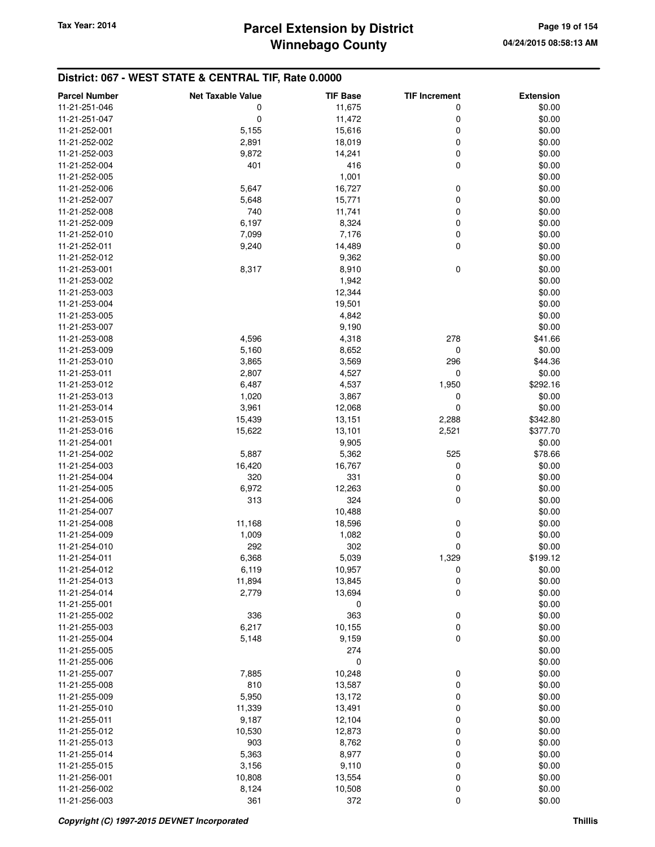| <b>Parcel Number</b> | <b>Net Taxable Value</b> | <b>TIF Base</b> | <b>TIF Increment</b> | <b>Extension</b> |
|----------------------|--------------------------|-----------------|----------------------|------------------|
| 11-21-251-046        | 0                        | 11,675          | 0                    | \$0.00           |
| 11-21-251-047        | 0                        | 11,472          | 0                    | \$0.00           |
| 11-21-252-001        | 5,155                    | 15,616          | 0                    | \$0.00           |
| 11-21-252-002        | 2,891                    | 18,019          | 0                    | \$0.00           |
| 11-21-252-003        | 9,872                    | 14,241          | 0                    | \$0.00           |
| 11-21-252-004        | 401                      | 416             | 0                    | \$0.00           |
| 11-21-252-005        |                          | 1,001           |                      | \$0.00           |
| 11-21-252-006        | 5,647                    | 16,727          | 0                    | \$0.00           |
| 11-21-252-007        | 5,648                    | 15,771          | 0                    | \$0.00           |
| 11-21-252-008        | 740                      | 11,741          | 0                    | \$0.00           |
| 11-21-252-009        | 6,197                    | 8,324           | 0                    | \$0.00           |
| 11-21-252-010        | 7,099                    | 7,176           | 0                    | \$0.00           |
| 11-21-252-011        | 9,240                    | 14,489          | 0                    | \$0.00           |
| 11-21-252-012        |                          | 9,362           |                      | \$0.00           |
| 11-21-253-001        | 8,317                    | 8,910           | $\mathbf 0$          | \$0.00           |
| 11-21-253-002        |                          | 1,942           |                      | \$0.00           |
| 11-21-253-003        |                          | 12,344          |                      | \$0.00           |
| 11-21-253-004        |                          | 19,501          |                      | \$0.00           |
| 11-21-253-005        |                          | 4,842           |                      | \$0.00           |
| 11-21-253-007        |                          |                 |                      | \$0.00           |
| 11-21-253-008        |                          | 9,190           |                      |                  |
|                      | 4,596                    | 4,318           | 278                  | \$41.66          |
| 11-21-253-009        | 5,160                    | 8,652           | 0                    | \$0.00           |
| 11-21-253-010        | 3,865                    | 3,569           | 296                  | \$44.36          |
| 11-21-253-011        | 2,807                    | 4,527           | 0                    | \$0.00           |
| 11-21-253-012        | 6,487                    | 4,537           | 1,950                | \$292.16         |
| 11-21-253-013        | 1,020                    | 3,867           | 0                    | \$0.00           |
| 11-21-253-014        | 3,961                    | 12,068          | $\mathbf 0$          | \$0.00           |
| 11-21-253-015        | 15,439                   | 13,151          | 2,288                | \$342.80         |
| 11-21-253-016        | 15,622                   | 13,101          | 2,521                | \$377.70         |
| 11-21-254-001        |                          | 9,905           |                      | \$0.00           |
| 11-21-254-002        | 5,887                    | 5,362           | 525                  | \$78.66          |
| 11-21-254-003        | 16,420                   | 16,767          | 0                    | \$0.00           |
| 11-21-254-004        | 320                      | 331             | 0                    | \$0.00           |
| 11-21-254-005        | 6,972                    | 12,263          | 0                    | \$0.00           |
| 11-21-254-006        | 313                      | 324             | 0                    | \$0.00           |
| 11-21-254-007        |                          | 10,488          |                      | \$0.00           |
| 11-21-254-008        | 11,168                   | 18,596          | 0                    | \$0.00           |
| 11-21-254-009        | 1,009                    | 1,082           | 0                    | \$0.00           |
| 11-21-254-010        | 292                      | 302             | 0                    | \$0.00           |
| 11-21-254-011        | 6,368                    | 5,039           | 1,329                | \$199.12         |
| 11-21-254-012        | 6,119                    | 10,957          | $\mathbf 0$          | \$0.00           |
| 11-21-254-013        | 11,894                   | 13,845          | 0                    | \$0.00           |
| 11-21-254-014        | 2,779                    | 13,694          | 0                    | \$0.00           |
| 11-21-255-001        |                          | 0               |                      | \$0.00           |
| 11-21-255-002        | 336                      | 363             | 0                    | \$0.00           |
| 11-21-255-003        | 6,217                    | 10,155          | 0                    | \$0.00           |
| 11-21-255-004        | 5,148                    | 9,159           | $\mathbf 0$          | \$0.00           |
| 11-21-255-005        |                          | 274             |                      | \$0.00           |
| 11-21-255-006        |                          | 0               |                      | \$0.00           |
| 11-21-255-007        | 7,885                    | 10,248          | 0                    | \$0.00           |
| 11-21-255-008        | 810                      | 13,587          | 0                    | \$0.00           |
| 11-21-255-009        | 5,950                    | 13,172          | 0                    | \$0.00           |
| 11-21-255-010        | 11,339                   | 13,491          | 0                    | \$0.00           |
| 11-21-255-011        | 9,187                    | 12,104          | 0                    | \$0.00           |
| 11-21-255-012        | 10,530                   | 12,873          | 0                    | \$0.00           |
| 11-21-255-013        | 903                      | 8,762           | 0                    | \$0.00           |
| 11-21-255-014        | 5,363                    | 8,977           | 0                    | \$0.00           |
| 11-21-255-015        | 3,156                    | 9,110           | 0                    | \$0.00           |
| 11-21-256-001        | 10,808                   | 13,554          | 0                    | \$0.00           |
| 11-21-256-002        | 8,124                    | 10,508          | 0                    | \$0.00           |
| 11-21-256-003        | 361                      | 372             | 0                    | \$0.00           |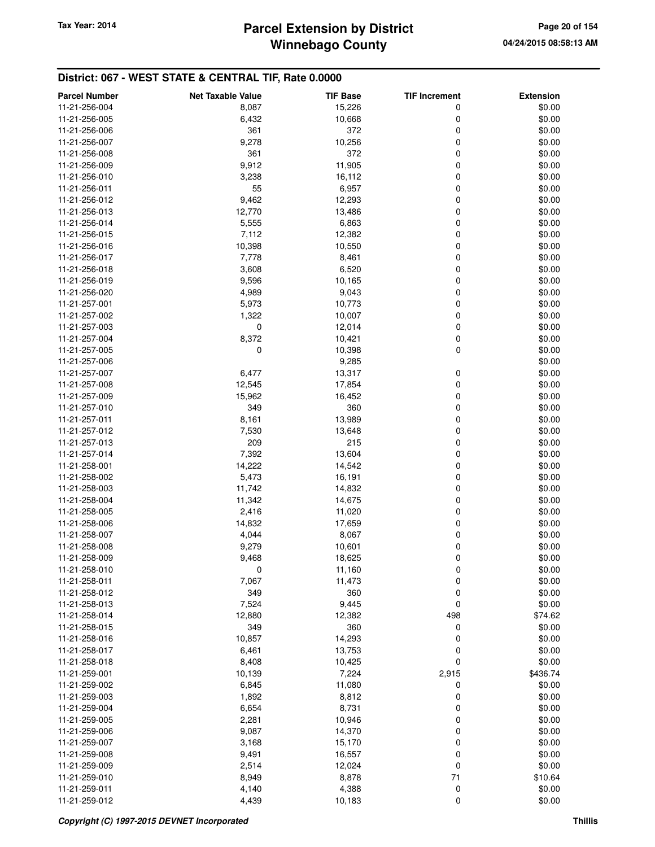## **Winnebago County Parcel Extension by District Tax Year: 2014 Page 20 of 154**

| <b>Parcel Number</b>           | <b>Net Taxable Value</b> | <b>TIF Base</b>  | <b>TIF Increment</b> | <b>Extension</b> |
|--------------------------------|--------------------------|------------------|----------------------|------------------|
| 11-21-256-004                  | 8,087                    | 15,226           | 0                    | \$0.00           |
| 11-21-256-005                  | 6,432                    | 10,668           | 0                    | \$0.00           |
| 11-21-256-006                  | 361                      | 372              | 0                    | \$0.00           |
| 11-21-256-007                  | 9,278                    | 10,256           | 0                    | \$0.00           |
| 11-21-256-008                  | 361                      | 372              | 0                    | \$0.00           |
| 11-21-256-009                  | 9,912                    | 11,905           | 0                    | \$0.00           |
| 11-21-256-010                  | 3,238                    | 16,112           | 0                    | \$0.00           |
| 11-21-256-011                  | 55                       | 6,957            | 0                    | \$0.00           |
| 11-21-256-012                  | 9,462                    | 12,293           | 0                    | \$0.00           |
| 11-21-256-013                  | 12,770                   | 13,486           | 0                    | \$0.00           |
| 11-21-256-014                  | 5,555                    | 6,863            | 0                    | \$0.00           |
| 11-21-256-015                  | 7,112                    | 12,382           | 0                    | \$0.00           |
| 11-21-256-016                  | 10,398                   | 10,550           | 0                    | \$0.00           |
| 11-21-256-017                  | 7,778                    | 8,461            | 0                    | \$0.00           |
| 11-21-256-018                  | 3,608                    | 6,520            | 0                    | \$0.00           |
| 11-21-256-019                  | 9,596                    | 10,165           | 0                    | \$0.00           |
| 11-21-256-020<br>11-21-257-001 | 4,989                    | 9,043            | 0                    | \$0.00           |
|                                | 5,973                    | 10,773           | 0<br>0               | \$0.00<br>\$0.00 |
| 11-21-257-002<br>11-21-257-003 | 1,322<br>0               | 10,007<br>12,014 | 0                    | \$0.00           |
| 11-21-257-004                  | 8,372                    | 10,421           | 0                    | \$0.00           |
| 11-21-257-005                  | 0                        | 10,398           | 0                    | \$0.00           |
| 11-21-257-006                  |                          | 9,285            |                      | \$0.00           |
| 11-21-257-007                  | 6,477                    | 13,317           | 0                    | \$0.00           |
| 11-21-257-008                  | 12,545                   | 17,854           | 0                    | \$0.00           |
| 11-21-257-009                  | 15,962                   | 16,452           | 0                    | \$0.00           |
| 11-21-257-010                  | 349                      | 360              | 0                    | \$0.00           |
| 11-21-257-011                  | 8,161                    | 13,989           | 0                    | \$0.00           |
| 11-21-257-012                  | 7,530                    | 13,648           | 0                    | \$0.00           |
| 11-21-257-013                  | 209                      | 215              | 0                    | \$0.00           |
| 11-21-257-014                  | 7,392                    | 13,604           | 0                    | \$0.00           |
| 11-21-258-001                  | 14,222                   | 14,542           | 0                    | \$0.00           |
| 11-21-258-002                  | 5,473                    | 16,191           | 0                    | \$0.00           |
| 11-21-258-003                  | 11,742                   | 14,832           | 0                    | \$0.00           |
| 11-21-258-004                  | 11,342                   | 14,675           | 0                    | \$0.00           |
| 11-21-258-005                  | 2,416                    | 11,020           | 0                    | \$0.00           |
| 11-21-258-006                  | 14,832                   | 17,659           | 0                    | \$0.00           |
| 11-21-258-007                  | 4,044                    | 8,067            | 0                    | \$0.00           |
| 11-21-258-008                  | 9,279                    | 10,601           | 0                    | \$0.00           |
| 11-21-258-009                  | 9,468                    | 18,625           | 0                    | \$0.00           |
| 11-21-258-010                  | 0                        | 11,160           | 0                    | \$0.00           |
| 11-21-258-011                  | 7,067                    | 11,473           | 0                    | \$0.00           |
| 11-21-258-012                  | 349                      | 360              | 0                    | \$0.00           |
| 11-21-258-013                  | 7,524                    | 9,445            | 0                    | \$0.00           |
| 11-21-258-014<br>11-21-258-015 | 12,880<br>349            | 12,382<br>360    | 498                  | \$74.62          |
|                                |                          |                  | 0<br>0               | \$0.00           |
| 11-21-258-016<br>11-21-258-017 | 10,857<br>6,461          | 14,293<br>13,753 | 0                    | \$0.00<br>\$0.00 |
| 11-21-258-018                  | 8,408                    | 10,425           | 0                    | \$0.00           |
| 11-21-259-001                  | 10,139                   | 7,224            | 2,915                | \$436.74         |
| 11-21-259-002                  | 6,845                    | 11,080           | 0                    | \$0.00           |
| 11-21-259-003                  | 1,892                    | 8,812            | 0                    | \$0.00           |
| 11-21-259-004                  | 6,654                    | 8,731            | 0                    | \$0.00           |
| 11-21-259-005                  | 2,281                    | 10,946           | 0                    | \$0.00           |
| 11-21-259-006                  | 9,087                    | 14,370           | 0                    | \$0.00           |
| 11-21-259-007                  | 3,168                    | 15,170           | 0                    | \$0.00           |
| 11-21-259-008                  | 9,491                    | 16,557           | 0                    | \$0.00           |
| 11-21-259-009                  | 2,514                    | 12,024           | 0                    | \$0.00           |
| 11-21-259-010                  | 8,949                    | 8,878            | 71                   | \$10.64          |
| 11-21-259-011                  | 4,140                    | 4,388            | 0                    | \$0.00           |
| 11-21-259-012                  | 4,439                    | 10,183           | 0                    | \$0.00           |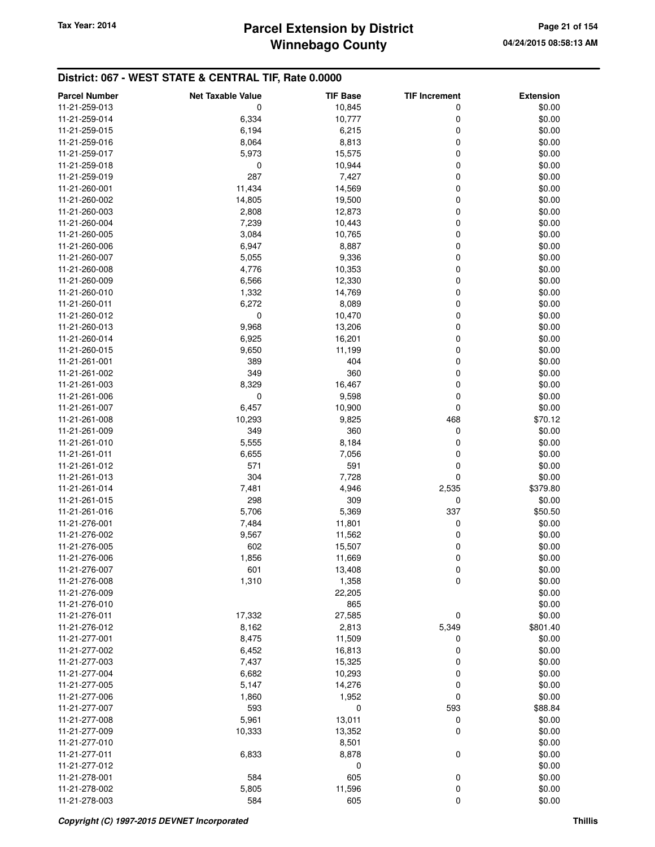## **Winnebago County** Tax Year: 2014 **Parcel Extension by District Page 21 of 154**

| <b>Parcel Number</b> | <b>Net Taxable Value</b> | <b>TIF Base</b> | <b>TIF Increment</b> | <b>Extension</b> |
|----------------------|--------------------------|-----------------|----------------------|------------------|
| 11-21-259-013        | 0                        | 10,845          | 0                    | \$0.00           |
| 11-21-259-014        | 6,334                    | 10,777          | 0                    | \$0.00           |
| 11-21-259-015        | 6,194                    | 6,215           | 0                    | \$0.00           |
| 11-21-259-016        | 8,064                    | 8,813           | 0                    | \$0.00           |
| 11-21-259-017        | 5,973                    | 15,575          | 0                    | \$0.00           |
| 11-21-259-018        | 0                        | 10,944          | 0                    | \$0.00           |
| 11-21-259-019        | 287                      | 7,427           | 0                    | \$0.00           |
| 11-21-260-001        | 11,434                   | 14,569          | 0                    | \$0.00           |
| 11-21-260-002        | 14,805                   | 19,500          | 0                    | \$0.00           |
| 11-21-260-003        | 2,808                    | 12,873          | 0                    | \$0.00           |
| 11-21-260-004        | 7,239                    | 10,443          | 0                    | \$0.00           |
| 11-21-260-005        | 3,084                    | 10,765          | 0                    | \$0.00           |
| 11-21-260-006        | 6,947                    | 8,887           | 0                    | \$0.00           |
| 11-21-260-007        | 5,055                    | 9,336           | 0                    | \$0.00           |
| 11-21-260-008        | 4,776                    | 10,353          | 0                    | \$0.00           |
| 11-21-260-009        | 6,566                    | 12,330          | 0                    | \$0.00           |
| 11-21-260-010        | 1,332                    | 14,769          | 0                    | \$0.00           |
| 11-21-260-011        | 6,272                    | 8,089           | 0                    | \$0.00           |
| 11-21-260-012        | 0                        | 10,470          | 0                    | \$0.00           |
| 11-21-260-013        | 9,968                    | 13,206          | 0                    | \$0.00           |
| 11-21-260-014        | 6,925                    | 16,201          | 0                    | \$0.00           |
| 11-21-260-015        | 9,650                    | 11,199          | 0                    | \$0.00           |
| 11-21-261-001        | 389                      | 404             | 0                    | \$0.00           |
| 11-21-261-002        | 349                      | 360             | 0                    | \$0.00           |
| 11-21-261-003        | 8,329                    | 16,467          | 0                    | \$0.00           |
| 11-21-261-006        | 0                        | 9,598           | 0                    | \$0.00           |
| 11-21-261-007        | 6,457                    | 10,900          | 0                    | \$0.00           |
| 11-21-261-008        | 10,293                   | 9,825           | 468                  | \$70.12          |
| 11-21-261-009        | 349                      | 360             | 0                    | \$0.00           |
| 11-21-261-010        | 5,555                    | 8,184           | 0                    | \$0.00           |
| 11-21-261-011        | 6,655                    | 7,056           | 0                    | \$0.00           |
| 11-21-261-012        | 571                      | 591             | 0                    | \$0.00           |
| 11-21-261-013        | 304                      | 7,728           | 0                    | \$0.00           |
| 11-21-261-014        | 7,481                    | 4,946           | 2,535                | \$379.80         |
| 11-21-261-015        | 298                      | 309             | 0                    | \$0.00           |
| 11-21-261-016        | 5,706                    | 5,369           | 337                  | \$50.50          |
| 11-21-276-001        | 7,484                    | 11,801          | 0                    | \$0.00           |
| 11-21-276-002        | 9,567                    | 11,562          | 0                    | \$0.00           |
| 11-21-276-005        | 602                      | 15,507          | 0                    | \$0.00           |
| 11-21-276-006        | 1,856                    | 11,669          | 0                    | \$0.00           |
| 11-21-276-007        | 601                      | 13,408          | $\pmb{0}$            | \$0.00           |
| 11-21-276-008        | 1,310                    | 1,358           | 0                    | \$0.00           |
| 11-21-276-009        |                          | 22,205          |                      | \$0.00           |
| 11-21-276-010        |                          | 865             |                      | \$0.00           |
| 11-21-276-011        | 17,332                   | 27,585          | 0                    | \$0.00           |
| 11-21-276-012        | 8,162                    | 2,813           | 5,349                | \$801.40         |
| 11-21-277-001        | 8,475                    | 11,509          | 0                    | \$0.00           |
| 11-21-277-002        | 6,452                    | 16,813          | 0                    | \$0.00           |
| 11-21-277-003        | 7,437                    | 15,325          | 0                    | \$0.00           |
| 11-21-277-004        | 6,682                    | 10,293          | 0                    | \$0.00           |
| 11-21-277-005        | 5,147                    | 14,276          | 0                    | \$0.00           |
| 11-21-277-006        | 1,860                    | 1,952           | 0                    | \$0.00           |
| 11-21-277-007        | 593                      | 0               | 593                  | \$88.84          |
| 11-21-277-008        | 5,961                    | 13,011          | 0                    | \$0.00           |
| 11-21-277-009        | 10,333                   |                 | 0                    | \$0.00           |
| 11-21-277-010        |                          | 13,352<br>8,501 |                      | \$0.00           |
| 11-21-277-011        | 6,833                    | 8,878           | 0                    | \$0.00           |
| 11-21-277-012        |                          | 0               |                      | \$0.00           |
| 11-21-278-001        | 584                      | 605             | 0                    | \$0.00           |
| 11-21-278-002        | 5,805                    | 11,596          | 0                    | \$0.00           |
| 11-21-278-003        | 584                      | 605             | 0                    | \$0.00           |
|                      |                          |                 |                      |                  |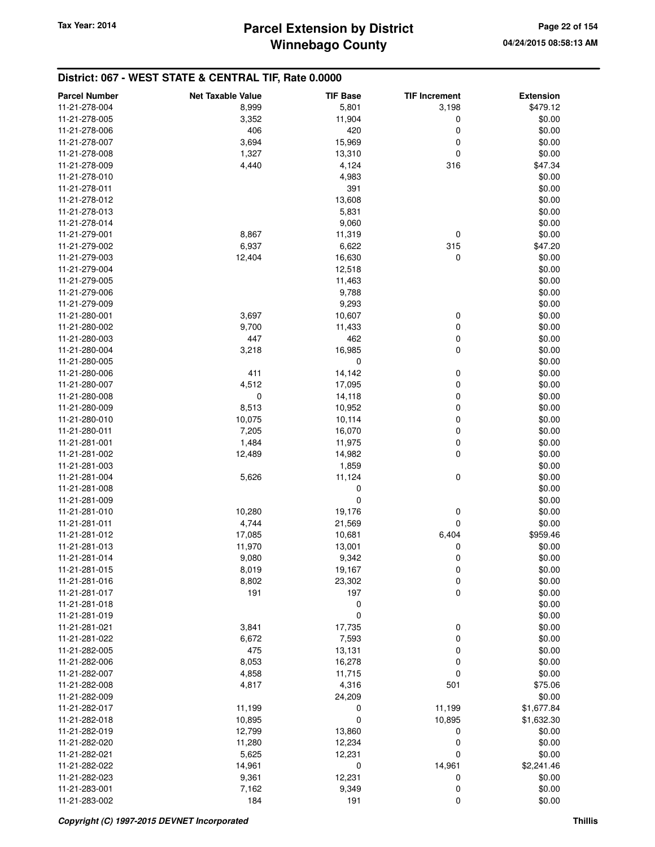| <b>Parcel Number</b> | <b>Net Taxable Value</b> | <b>TIF Base</b> | <b>TIF Increment</b> | <b>Extension</b> |
|----------------------|--------------------------|-----------------|----------------------|------------------|
| 11-21-278-004        | 8,999                    | 5,801           | 3,198                | \$479.12         |
| 11-21-278-005        | 3,352                    | 11,904          | 0                    | \$0.00           |
| 11-21-278-006        | 406                      | 420             | 0                    | \$0.00           |
| 11-21-278-007        | 3,694                    | 15,969          | 0                    | \$0.00           |
| 11-21-278-008        | 1,327                    | 13,310          | 0                    | \$0.00           |
| 11-21-278-009        | 4,440                    |                 | 316                  |                  |
|                      |                          | 4,124           |                      | \$47.34          |
| 11-21-278-010        |                          | 4,983           |                      | \$0.00           |
| 11-21-278-011        |                          | 391             |                      | \$0.00           |
| 11-21-278-012        |                          | 13,608          |                      | \$0.00           |
| 11-21-278-013        |                          | 5,831           |                      | \$0.00           |
| 11-21-278-014        |                          | 9,060           |                      | \$0.00           |
| 11-21-279-001        | 8,867                    | 11,319          | 0                    | \$0.00           |
| 11-21-279-002        | 6,937                    | 6,622           | 315                  | \$47.20          |
| 11-21-279-003        | 12,404                   | 16,630          | 0                    | \$0.00           |
| 11-21-279-004        |                          | 12,518          |                      | \$0.00           |
| 11-21-279-005        |                          | 11,463          |                      | \$0.00           |
| 11-21-279-006        |                          | 9,788           |                      | \$0.00           |
| 11-21-279-009        |                          | 9,293           |                      | \$0.00           |
| 11-21-280-001        | 3,697                    | 10,607          | 0                    | \$0.00           |
| 11-21-280-002        | 9,700                    | 11,433          | 0                    | \$0.00           |
| 11-21-280-003        | 447                      | 462             | 0                    | \$0.00           |
| 11-21-280-004        | 3,218                    | 16,985          | 0                    | \$0.00           |
| 11-21-280-005        |                          | $\mathbf 0$     |                      | \$0.00           |
| 11-21-280-006        | 411                      | 14,142          | 0                    | \$0.00           |
| 11-21-280-007        | 4,512                    | 17,095          | 0                    | \$0.00           |
| 11-21-280-008        | 0                        | 14,118          | 0                    | \$0.00           |
| 11-21-280-009        | 8,513                    | 10,952          | 0                    | \$0.00           |
| 11-21-280-010        | 10,075                   | 10,114          | 0                    | \$0.00           |
| 11-21-280-011        | 7,205                    | 16,070          | 0                    | \$0.00           |
| 11-21-281-001        | 1,484                    | 11,975          | 0                    | \$0.00           |
| 11-21-281-002        | 12,489                   | 14,982          | 0                    | \$0.00           |
| 11-21-281-003        |                          | 1,859           |                      | \$0.00           |
| 11-21-281-004        | 5,626                    | 11,124          | 0                    | \$0.00           |
| 11-21-281-008        |                          | 0               |                      | \$0.00           |
| 11-21-281-009        |                          | 0               |                      | \$0.00           |
| 11-21-281-010        | 10,280                   | 19,176          | 0                    | \$0.00           |
| 11-21-281-011        | 4,744                    | 21,569          | 0                    | \$0.00           |
| 11-21-281-012        | 17,085                   | 10,681          | 6,404                | \$959.46         |
| 11-21-281-013        | 11,970                   | 13,001          | 0                    | \$0.00           |
| 11-21-281-014        | 9,080                    | 9,342           | 0                    | \$0.00           |
|                      |                          |                 |                      |                  |
| 11-21-281-015        | 8,019                    | 19,167          | 0                    | \$0.00           |
| 11-21-281-016        | 8,802<br>191             | 23,302<br>197   | 0<br>0               | \$0.00<br>\$0.00 |
| 11-21-281-017        |                          |                 |                      |                  |
| 11-21-281-018        |                          | 0               |                      | \$0.00           |
| 11-21-281-019        |                          | 0               |                      | \$0.00           |
| 11-21-281-021        | 3,841                    | 17,735          | 0                    | \$0.00           |
| 11-21-281-022        | 6,672                    | 7,593           | 0                    | \$0.00           |
| 11-21-282-005        | 475                      | 13,131          | 0                    | \$0.00           |
| 11-21-282-006        | 8,053                    | 16,278          | 0                    | \$0.00           |
| 11-21-282-007        | 4,858                    | 11,715          | 0                    | \$0.00           |
| 11-21-282-008        | 4,817                    | 4,316           | 501                  | \$75.06          |
| 11-21-282-009        |                          | 24,209          |                      | \$0.00           |
| 11-21-282-017        | 11,199                   | 0               | 11,199               | \$1,677.84       |
| 11-21-282-018        | 10,895                   | 0               | 10,895               | \$1,632.30       |
| 11-21-282-019        | 12,799                   | 13,860          | 0                    | \$0.00           |
| 11-21-282-020        | 11,280                   | 12,234          | 0                    | \$0.00           |
| 11-21-282-021        | 5,625                    | 12,231          | 0                    | \$0.00           |
| 11-21-282-022        | 14,961                   | $\mathbf 0$     | 14,961               | \$2,241.46       |
| 11-21-282-023        | 9,361                    | 12,231          | 0                    | \$0.00           |
| 11-21-283-001        | 7,162                    | 9,349           | 0                    | \$0.00           |
| 11-21-283-002        | 184                      | 191             | 0                    | \$0.00           |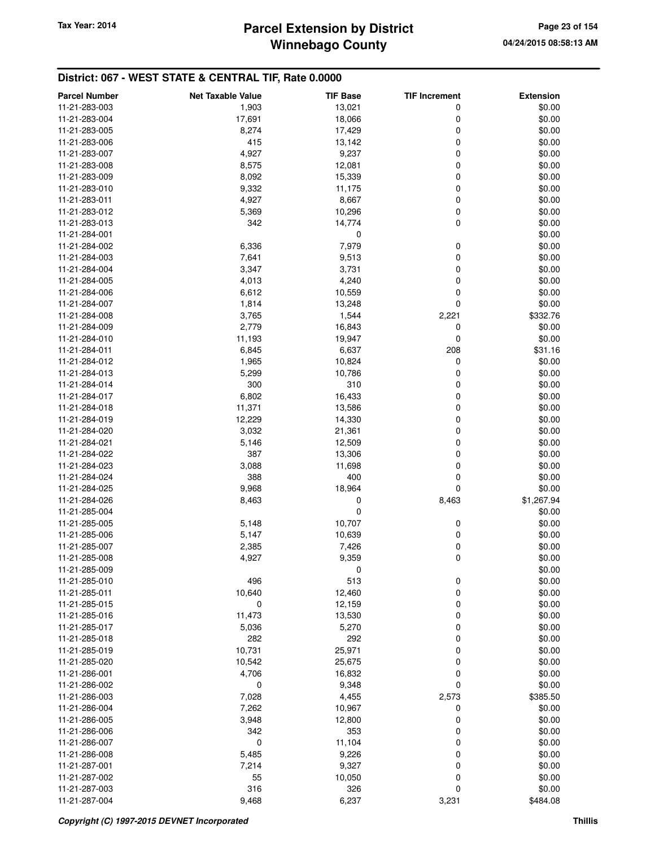## **Winnebago County** Tax Year: 2014 **Parcel Extension by District Page 23 of 154**

| <b>Parcel Number</b>           | <b>Net Taxable Value</b> | <b>TIF Base</b> | <b>TIF Increment</b> | <b>Extension</b> |
|--------------------------------|--------------------------|-----------------|----------------------|------------------|
| 11-21-283-003                  | 1,903                    | 13,021          | 0                    | \$0.00           |
| 11-21-283-004                  | 17,691                   | 18,066          | 0                    | \$0.00           |
| 11-21-283-005                  | 8,274                    | 17,429          | 0                    | \$0.00           |
| 11-21-283-006                  | 415                      | 13,142          | 0                    | \$0.00           |
| 11-21-283-007                  | 4,927                    | 9,237           | 0                    | \$0.00           |
| 11-21-283-008                  | 8,575                    | 12,081          | 0                    | \$0.00           |
| 11-21-283-009                  | 8,092                    | 15,339          | 0                    | \$0.00           |
| 11-21-283-010                  | 9,332                    | 11,175          | 0                    | \$0.00           |
| 11-21-283-011                  | 4,927                    | 8,667           | 0                    | \$0.00           |
| 11-21-283-012                  | 5,369                    | 10,296          | 0                    | \$0.00           |
| 11-21-283-013                  | 342                      | 14,774          | 0                    | \$0.00           |
| 11-21-284-001                  |                          | 0               |                      | \$0.00           |
| 11-21-284-002                  | 6,336                    | 7,979           | 0                    | \$0.00           |
| 11-21-284-003                  | 7,641                    | 9,513           | 0                    | \$0.00           |
| 11-21-284-004                  | 3,347                    | 3,731           | 0                    | \$0.00           |
| 11-21-284-005                  | 4,013                    | 4,240           | 0                    | \$0.00           |
| 11-21-284-006                  | 6,612                    | 10,559          | 0                    | \$0.00           |
| 11-21-284-007                  | 1,814                    | 13,248          | 0                    | \$0.00           |
| 11-21-284-008                  | 3,765                    | 1,544           | 2,221                | \$332.76         |
| 11-21-284-009                  | 2,779                    | 16,843          | 0                    | \$0.00           |
| 11-21-284-010                  | 11,193                   | 19,947          | 0                    | \$0.00           |
| 11-21-284-011                  | 6,845                    | 6,637           | 208                  | \$31.16          |
| 11-21-284-012                  | 1,965                    | 10,824          | 0                    | \$0.00           |
| 11-21-284-013                  | 5,299                    | 10,786          | 0                    | \$0.00           |
| 11-21-284-014                  | 300                      | 310             | 0                    | \$0.00           |
| 11-21-284-017                  | 6,802                    | 16,433          | 0                    | \$0.00           |
| 11-21-284-018                  | 11,371                   | 13,586          | 0                    | \$0.00           |
| 11-21-284-019                  | 12,229                   | 14,330          | 0                    | \$0.00           |
| 11-21-284-020                  | 3,032                    | 21,361          | 0                    | \$0.00           |
| 11-21-284-021                  | 5,146                    | 12,509          | 0                    | \$0.00           |
| 11-21-284-022                  | 387                      | 13,306          | 0                    | \$0.00           |
| 11-21-284-023                  | 3,088                    | 11,698          | 0                    | \$0.00           |
| 11-21-284-024                  | 388                      | 400             | 0                    | \$0.00           |
| 11-21-284-025                  | 9,968                    | 18,964          | 0                    | \$0.00           |
| 11-21-284-026                  | 8,463                    | 0               | 8,463                | \$1,267.94       |
| 11-21-285-004                  |                          | 0               |                      | \$0.00           |
| 11-21-285-005                  | 5,148                    | 10,707          | 0                    | \$0.00           |
| 11-21-285-006                  | 5,147                    | 10,639          | 0                    | \$0.00           |
| 11-21-285-007                  | 2,385                    | 7,426           | 0                    | \$0.00           |
| 11-21-285-008                  | 4,927                    | 9,359           | 0                    | \$0.00           |
| 11-21-285-009                  |                          | $\mathbf 0$     |                      | \$0.00           |
| 11-21-285-010                  | 496                      | 513             | 0                    | \$0.00           |
| 11-21-285-011                  | 10,640                   | 12,460          | 0                    | \$0.00           |
| 11-21-285-015                  | 0                        | 12,159          | 0                    | \$0.00           |
| 11-21-285-016                  | 11,473                   | 13,530          | 0                    | \$0.00           |
|                                |                          |                 |                      | \$0.00           |
| 11-21-285-017<br>11-21-285-018 | 5,036<br>282             | 5,270<br>292    | 0<br>0               |                  |
| 11-21-285-019                  | 10,731                   | 25,971          | 0                    | \$0.00<br>\$0.00 |
| 11-21-285-020                  | 10,542                   | 25,675          | 0                    | \$0.00           |
|                                |                          |                 | 0                    |                  |
| 11-21-286-001                  | 4,706                    | 16,832          |                      | \$0.00           |
| 11-21-286-002                  | 0                        | 9,348           | 0                    | \$0.00           |
| 11-21-286-003                  | 7,028                    | 4,455           | 2,573                | \$385.50         |
| 11-21-286-004                  | 7,262                    | 10,967          | 0                    | \$0.00           |
| 11-21-286-005                  | 3,948                    | 12,800          | 0                    | \$0.00           |
| 11-21-286-006                  | 342                      | 353             | 0                    | \$0.00           |
| 11-21-286-007                  | 0                        | 11,104          | 0                    | \$0.00           |
| 11-21-286-008                  | 5,485                    | 9,226           | 0                    | \$0.00           |
| 11-21-287-001                  | 7,214                    | 9,327           | 0                    | \$0.00           |
| 11-21-287-002                  | 55                       | 10,050          | 0                    | \$0.00           |
| 11-21-287-003                  | 316                      | 326             | 0                    | \$0.00           |
| 11-21-287-004                  | 9,468                    | 6,237           | 3,231                | \$484.08         |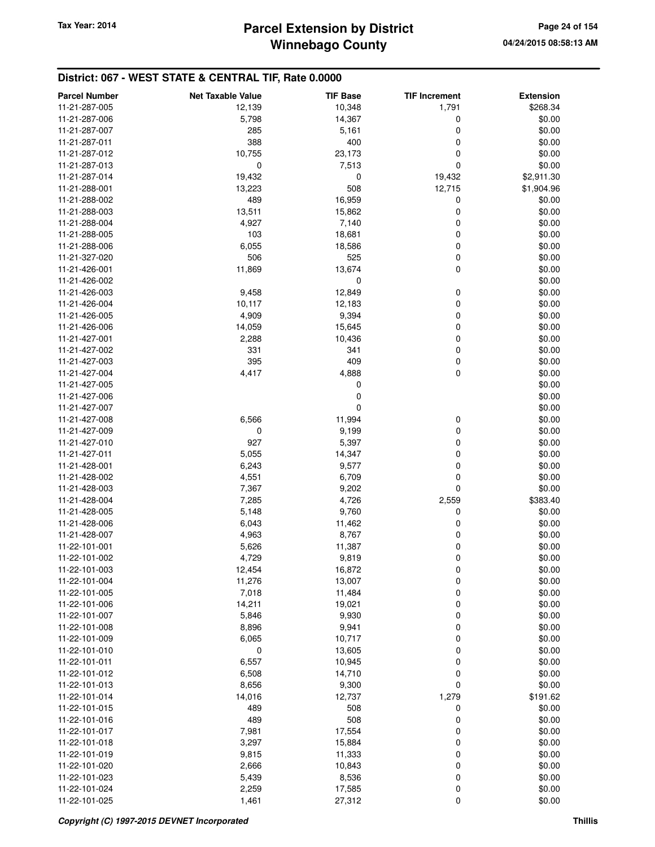# **Winnebago County** Tax Year: 2014 **Parcel Extension by District Page 24 of 154**

| <b>Parcel Number</b> | <b>Net Taxable Value</b> | <b>TIF Base</b> | <b>TIF Increment</b> | <b>Extension</b> |
|----------------------|--------------------------|-----------------|----------------------|------------------|
| 11-21-287-005        | 12,139                   | 10,348          | 1,791                | \$268.34         |
| 11-21-287-006        | 5,798                    | 14,367          | 0                    | \$0.00           |
| 11-21-287-007        | 285                      | 5,161           | 0                    | \$0.00           |
| 11-21-287-011        | 388                      | 400             | 0                    | \$0.00           |
| 11-21-287-012        | 10,755                   | 23,173          | 0                    | \$0.00           |
| 11-21-287-013        | 0                        |                 | 0                    | \$0.00           |
|                      |                          | 7,513           |                      |                  |
| 11-21-287-014        | 19,432                   | 0               | 19,432               | \$2,911.30       |
| 11-21-288-001        | 13,223                   | 508             | 12,715               | \$1,904.96       |
| 11-21-288-002        | 489                      | 16,959          | 0                    | \$0.00           |
| 11-21-288-003        | 13,511                   | 15,862          | 0                    | \$0.00           |
| 11-21-288-004        | 4,927                    | 7,140           | 0                    | \$0.00           |
| 11-21-288-005        | 103                      | 18,681          | 0                    | \$0.00           |
| 11-21-288-006        | 6,055                    | 18,586          | 0                    | \$0.00           |
| 11-21-327-020        | 506                      | 525             | 0                    | \$0.00           |
| 11-21-426-001        | 11,869                   | 13,674          | 0                    | \$0.00           |
| 11-21-426-002        |                          | 0               |                      | \$0.00           |
| 11-21-426-003        | 9,458                    | 12,849          | 0                    | \$0.00           |
| 11-21-426-004        | 10,117                   | 12,183          | 0                    | \$0.00           |
| 11-21-426-005        | 4,909                    | 9,394           | 0                    | \$0.00           |
| 11-21-426-006        | 14,059                   | 15,645          | 0                    | \$0.00           |
| 11-21-427-001        | 2,288                    | 10,436          | 0                    | \$0.00           |
| 11-21-427-002        | 331                      | 341             | 0                    | \$0.00           |
| 11-21-427-003        | 395                      | 409             | 0                    | \$0.00           |
| 11-21-427-004        | 4,417                    | 4,888           | 0                    | \$0.00           |
| 11-21-427-005        |                          | 0               |                      | \$0.00           |
| 11-21-427-006        |                          | 0               |                      | \$0.00           |
| 11-21-427-007        |                          | 0               |                      | \$0.00           |
| 11-21-427-008        | 6,566                    | 11,994          | 0                    | \$0.00           |
| 11-21-427-009        | 0                        | 9,199           | 0                    | \$0.00           |
| 11-21-427-010        | 927                      | 5,397           | 0                    | \$0.00           |
| 11-21-427-011        | 5,055                    | 14,347          | 0                    | \$0.00           |
| 11-21-428-001        | 6,243                    | 9,577           | 0                    | \$0.00           |
| 11-21-428-002        | 4,551                    | 6,709           | 0                    | \$0.00           |
| 11-21-428-003        | 7,367                    | 9,202           | 0                    | \$0.00           |
| 11-21-428-004        | 7,285                    | 4,726           | 2,559                | \$383.40         |
| 11-21-428-005        | 5,148                    | 9,760           | 0                    | \$0.00           |
| 11-21-428-006        | 6,043                    | 11,462          | 0                    | \$0.00           |
| 11-21-428-007        | 4,963                    | 8,767           | 0                    | \$0.00           |
| 11-22-101-001        | 5,626                    | 11,387          | 0                    | \$0.00           |
| 11-22-101-002        | 4,729                    | 9,819           | 0                    | \$0.00           |
|                      |                          |                 |                      |                  |
| 11-22-101-003        | 12,454                   | 16,872          | 0                    | \$0.00           |
| 11-22-101-004        | 11,276                   | 13,007          | 0                    | \$0.00           |
| 11-22-101-005        | 7,018                    | 11,484          | 0                    | \$0.00           |
| 11-22-101-006        | 14,211                   | 19,021          | 0                    | \$0.00           |
| 11-22-101-007        | 5,846                    | 9,930           | 0                    | \$0.00           |
| 11-22-101-008        | 8,896                    | 9,941           | 0                    | \$0.00           |
| 11-22-101-009        | 6,065                    | 10,717          | 0                    | \$0.00           |
| 11-22-101-010        | 0                        | 13,605          | 0                    | \$0.00           |
| 11-22-101-011        | 6,557                    | 10,945          | 0                    | \$0.00           |
| 11-22-101-012        | 6,508                    | 14,710          | 0                    | \$0.00           |
| 11-22-101-013        | 8,656                    | 9,300           | 0                    | \$0.00           |
| 11-22-101-014        | 14,016                   | 12,737          | 1,279                | \$191.62         |
| 11-22-101-015        | 489                      | 508             | 0                    | \$0.00           |
| 11-22-101-016        | 489                      | 508             | 0                    | \$0.00           |
| 11-22-101-017        | 7,981                    | 17,554          | 0                    | \$0.00           |
| 11-22-101-018        | 3,297                    | 15,884          | 0                    | \$0.00           |
| 11-22-101-019        | 9,815                    | 11,333          | 0                    | \$0.00           |
| 11-22-101-020        | 2,666                    | 10,843          | 0                    | \$0.00           |
| 11-22-101-023        | 5,439                    | 8,536           | 0                    | \$0.00           |
| 11-22-101-024        | 2,259                    | 17,585          | 0                    | \$0.00           |
| 11-22-101-025        | 1,461                    | 27,312          | 0                    | \$0.00           |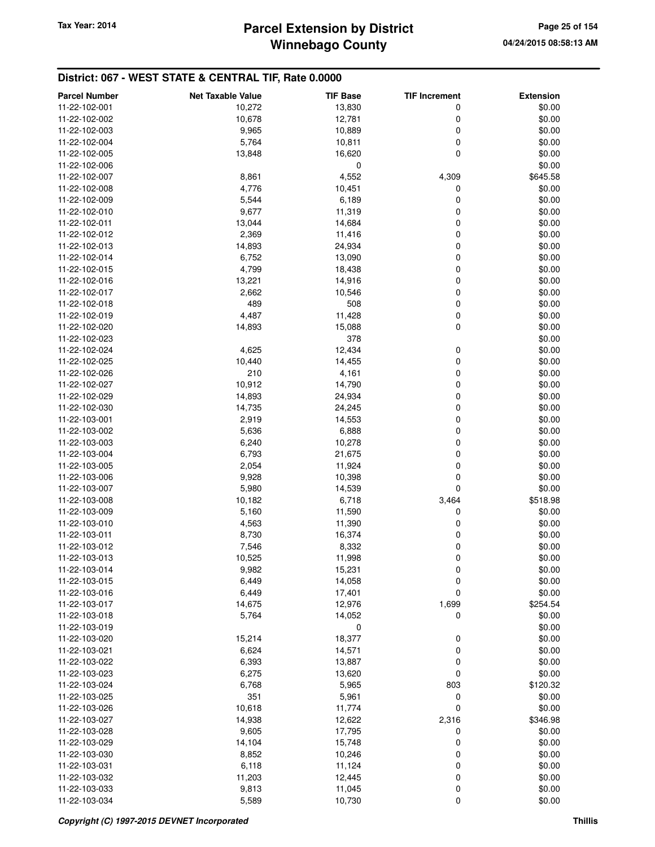## **Winnebago County Parcel Extension by District Tax Year: 2014 Page 25 of 154**

| <b>Parcel Number</b> | <b>Net Taxable Value</b> | <b>TIF Base</b> | <b>TIF Increment</b> | <b>Extension</b> |
|----------------------|--------------------------|-----------------|----------------------|------------------|
| 11-22-102-001        | 10,272                   | 13,830          | 0                    | \$0.00           |
| 11-22-102-002        | 10,678                   | 12,781          | 0                    | \$0.00           |
| 11-22-102-003        | 9,965                    | 10,889          | 0                    | \$0.00           |
| 11-22-102-004        | 5,764                    | 10,811          | 0                    | \$0.00           |
| 11-22-102-005        | 13,848                   | 16,620          | 0                    | \$0.00           |
| 11-22-102-006        |                          | 0               |                      | \$0.00           |
| 11-22-102-007        | 8,861                    | 4,552           | 4,309                | \$645.58         |
| 11-22-102-008        | 4,776                    | 10,451          | 0                    | \$0.00           |
| 11-22-102-009        | 5,544                    | 6,189           | 0                    | \$0.00           |
| 11-22-102-010        | 9,677                    | 11,319          | 0                    | \$0.00           |
| 11-22-102-011        | 13,044                   | 14,684          | 0                    | \$0.00           |
| 11-22-102-012        | 2,369                    | 11,416          | 0                    | \$0.00           |
| 11-22-102-013        | 14,893                   | 24,934          | 0                    | \$0.00           |
| 11-22-102-014        | 6,752                    | 13,090          | 0                    | \$0.00           |
| 11-22-102-015        | 4,799                    | 18,438          | 0                    | \$0.00           |
| 11-22-102-016        | 13,221                   | 14,916          | 0                    | \$0.00           |
| 11-22-102-017        | 2,662                    | 10,546          | 0                    | \$0.00           |
| 11-22-102-018        | 489                      | 508             | 0                    | \$0.00           |
| 11-22-102-019        | 4,487                    | 11,428          | 0                    | \$0.00           |
| 11-22-102-020        | 14,893                   | 15,088          | 0                    | \$0.00           |
| 11-22-102-023        |                          | 378             |                      | \$0.00           |
| 11-22-102-024        | 4,625                    | 12,434          | 0                    | \$0.00           |
| 11-22-102-025        | 10,440                   | 14,455          | 0                    | \$0.00           |
| 11-22-102-026        | 210                      | 4,161           | 0                    | \$0.00           |
| 11-22-102-027        | 10,912                   | 14,790          | 0                    | \$0.00           |
| 11-22-102-029        | 14,893                   | 24,934          | 0                    | \$0.00           |
| 11-22-102-030        | 14,735                   | 24,245          | 0                    | \$0.00           |
| 11-22-103-001        | 2,919                    | 14,553          | 0                    | \$0.00           |
| 11-22-103-002        | 5,636                    | 6,888           | 0                    | \$0.00           |
| 11-22-103-003        | 6,240                    | 10,278          | 0                    | \$0.00           |
| 11-22-103-004        | 6,793                    | 21,675          | 0                    | \$0.00           |
| 11-22-103-005        | 2,054                    | 11,924          | 0                    | \$0.00           |
| 11-22-103-006        | 9,928                    | 10,398          | 0                    | \$0.00           |
| 11-22-103-007        | 5,980                    | 14,539          | 0                    | \$0.00           |
| 11-22-103-008        | 10,182                   | 6,718           | 3,464                | \$518.98         |
| 11-22-103-009        | 5,160                    | 11,590          | 0                    | \$0.00           |
| 11-22-103-010        | 4,563                    | 11,390          | 0                    | \$0.00           |
| 11-22-103-011        | 8,730                    | 16,374          | 0                    | \$0.00           |
| 11-22-103-012        | 7,546                    | 8,332           | 0                    | \$0.00           |
| 11-22-103-013        | 10,525                   | 11,998          | 0                    | \$0.00           |
| 11-22-103-014        | 9,982                    | 15,231          | 0                    | \$0.00           |
| 11-22-103-015        | 6,449                    | 14,058          | 0                    | \$0.00           |
| 11-22-103-016        | 6,449                    | 17,401          | 0                    | \$0.00           |
| 11-22-103-017        | 14,675                   | 12,976          | 1,699                | \$254.54         |
| 11-22-103-018        | 5,764                    | 14,052          | 0                    | \$0.00           |
| 11-22-103-019        |                          | 0               |                      | \$0.00           |
| 11-22-103-020        | 15,214                   | 18,377          | 0                    | \$0.00           |
| 11-22-103-021        | 6,624                    | 14,571          | 0                    | \$0.00           |
| 11-22-103-022        | 6,393                    | 13,887          | 0                    | \$0.00           |
| 11-22-103-023        | 6,275                    | 13,620          | 0                    | \$0.00           |
| 11-22-103-024        | 6,768                    | 5,965           | 803                  | \$120.32         |
| 11-22-103-025        | 351                      | 5,961           | 0                    | \$0.00           |
| 11-22-103-026        | 10,618                   | 11,774          | 0                    | \$0.00           |
| 11-22-103-027        | 14,938                   | 12,622          | 2,316                | \$346.98         |
| 11-22-103-028        | 9,605                    | 17,795          | 0                    | \$0.00           |
| 11-22-103-029        | 14,104                   | 15,748          | 0                    | \$0.00           |
| 11-22-103-030        | 8,852                    | 10,246          | 0                    | \$0.00           |
| 11-22-103-031        | 6,118                    | 11,124          | 0                    | \$0.00           |
| 11-22-103-032        | 11,203                   | 12,445          | 0                    | \$0.00           |
| 11-22-103-033        | 9,813                    | 11,045          | 0                    | \$0.00           |
| 11-22-103-034        | 5,589                    | 10,730          | 0                    | \$0.00           |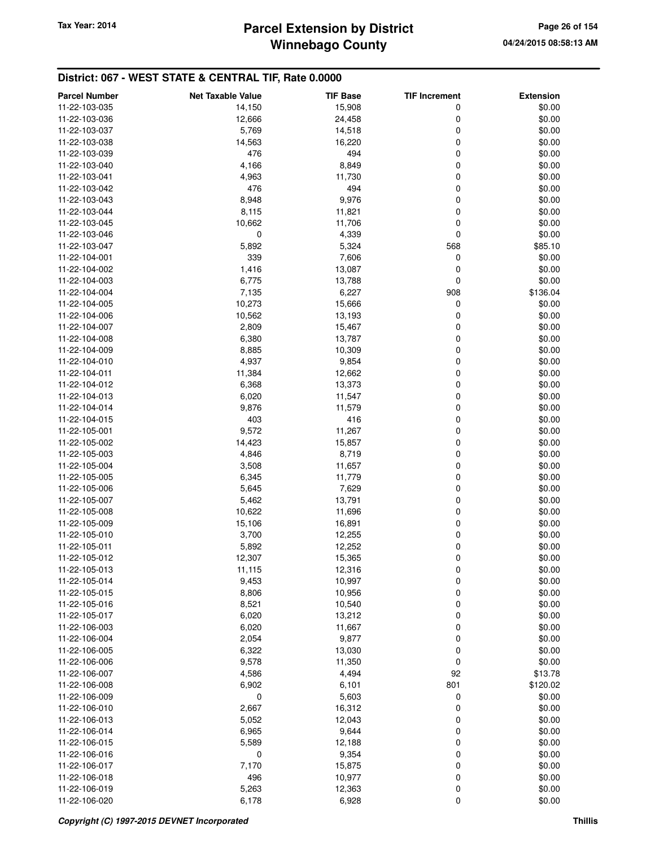# **Winnebago County** Tax Year: 2014 **Parcel Extension by District Page 26 of 154**

| <b>Parcel Number</b> | <b>Net Taxable Value</b> | <b>TIF Base</b> | <b>TIF Increment</b> | <b>Extension</b> |
|----------------------|--------------------------|-----------------|----------------------|------------------|
| 11-22-103-035        | 14,150                   | 15,908          | 0                    | \$0.00           |
| 11-22-103-036        | 12,666                   | 24,458          | 0                    | \$0.00           |
| 11-22-103-037        | 5,769                    | 14,518          | 0                    | \$0.00           |
| 11-22-103-038        | 14,563                   | 16,220          | 0                    | \$0.00           |
| 11-22-103-039        | 476                      | 494             | 0                    | \$0.00           |
| 11-22-103-040        | 4,166                    | 8,849           | 0                    | \$0.00           |
| 11-22-103-041        | 4,963                    | 11,730          | 0                    | \$0.00           |
| 11-22-103-042        | 476                      | 494             | 0                    | \$0.00           |
| 11-22-103-043        | 8,948                    | 9,976           | 0                    | \$0.00           |
| 11-22-103-044        | 8,115                    | 11,821          | 0                    | \$0.00           |
| 11-22-103-045        | 10,662                   | 11,706          | 0                    | \$0.00           |
| 11-22-103-046        | $\mathbf 0$              | 4,339           | 0                    | \$0.00           |
| 11-22-103-047        | 5,892                    | 5,324           | 568                  | \$85.10          |
| 11-22-104-001        | 339                      | 7,606           | 0                    | \$0.00           |
| 11-22-104-002        | 1,416                    | 13,087          | 0                    | \$0.00           |
| 11-22-104-003        | 6,775                    | 13,788          | 0                    | \$0.00           |
| 11-22-104-004        | 7,135                    | 6,227           | 908                  | \$136.04         |
| 11-22-104-005        | 10,273                   | 15,666          | 0                    | \$0.00           |
| 11-22-104-006        | 10,562                   | 13,193          | 0                    | \$0.00           |
| 11-22-104-007        | 2,809                    | 15,467          | 0                    | \$0.00           |
| 11-22-104-008        | 6,380                    | 13,787          | 0                    | \$0.00           |
| 11-22-104-009        | 8,885                    | 10,309          | 0                    | \$0.00           |
| 11-22-104-010        | 4,937                    | 9,854           | 0                    | \$0.00           |
| 11-22-104-011        | 11,384                   | 12,662          | 0                    | \$0.00           |
| 11-22-104-012        | 6,368                    | 13,373          | 0                    | \$0.00           |
| 11-22-104-013        | 6,020                    | 11,547          | 0                    | \$0.00           |
| 11-22-104-014        | 9,876                    | 11,579          | 0                    | \$0.00           |
| 11-22-104-015        | 403                      | 416             | 0                    | \$0.00           |
| 11-22-105-001        | 9,572                    | 11,267          | 0                    | \$0.00           |
| 11-22-105-002        | 14,423                   | 15,857          | 0                    | \$0.00           |
| 11-22-105-003        | 4,846                    | 8,719           | 0                    | \$0.00           |
| 11-22-105-004        | 3,508                    | 11,657          | 0                    | \$0.00           |
| 11-22-105-005        | 6,345                    | 11,779          | 0                    | \$0.00           |
| 11-22-105-006        | 5,645                    | 7,629           | 0                    | \$0.00           |
| 11-22-105-007        | 5,462                    | 13,791          | 0                    | \$0.00           |
| 11-22-105-008        | 10,622                   | 11,696          | 0                    | \$0.00           |
| 11-22-105-009        | 15,106                   | 16,891          | 0                    | \$0.00           |
| 11-22-105-010        | 3,700                    | 12,255          | 0                    | \$0.00           |
| 11-22-105-011        | 5,892                    | 12,252          | 0                    | \$0.00           |
| 11-22-105-012        | 12,307                   | 15,365          | 0                    | \$0.00           |
| 11-22-105-013        | 11,115                   | 12,316          | 0                    | \$0.00           |
| 11-22-105-014        | 9,453                    | 10,997          | 0                    | \$0.00           |
| 11-22-105-015        | 8,806                    | 10,956          | 0                    | \$0.00           |
| 11-22-105-016        | 8,521                    | 10,540          | 0                    | \$0.00           |
| 11-22-105-017        | 6,020                    | 13,212          | 0                    | \$0.00           |
| 11-22-106-003        | 6,020                    | 11,667          | 0                    | \$0.00           |
| 11-22-106-004        | 2,054                    | 9,877           | 0                    | \$0.00           |
| 11-22-106-005        | 6,322                    | 13,030          | 0                    | \$0.00           |
| 11-22-106-006        | 9,578                    | 11,350          | 0                    | \$0.00           |
| 11-22-106-007        | 4,586                    | 4,494           | 92                   | \$13.78          |
| 11-22-106-008        | 6,902                    | 6,101           | 801                  | \$120.02         |
| 11-22-106-009        | $\mathbf 0$              | 5,603           | 0                    | \$0.00           |
| 11-22-106-010        | 2,667                    | 16,312          | 0                    | \$0.00           |
| 11-22-106-013        | 5,052                    | 12,043          | 0                    | \$0.00           |
| 11-22-106-014        | 6,965                    | 9,644           | 0                    | \$0.00           |
| 11-22-106-015        | 5,589                    | 12,188          | 0                    | \$0.00           |
| 11-22-106-016        | $\mathbf 0$              | 9,354           | 0                    | \$0.00           |
| 11-22-106-017        | 7,170                    | 15,875          | 0                    | \$0.00           |
| 11-22-106-018        | 496                      | 10,977          | 0                    | \$0.00           |
| 11-22-106-019        | 5,263                    | 12,363          | 0                    | \$0.00           |
| 11-22-106-020        | 6,178                    | 6,928           | 0                    | \$0.00           |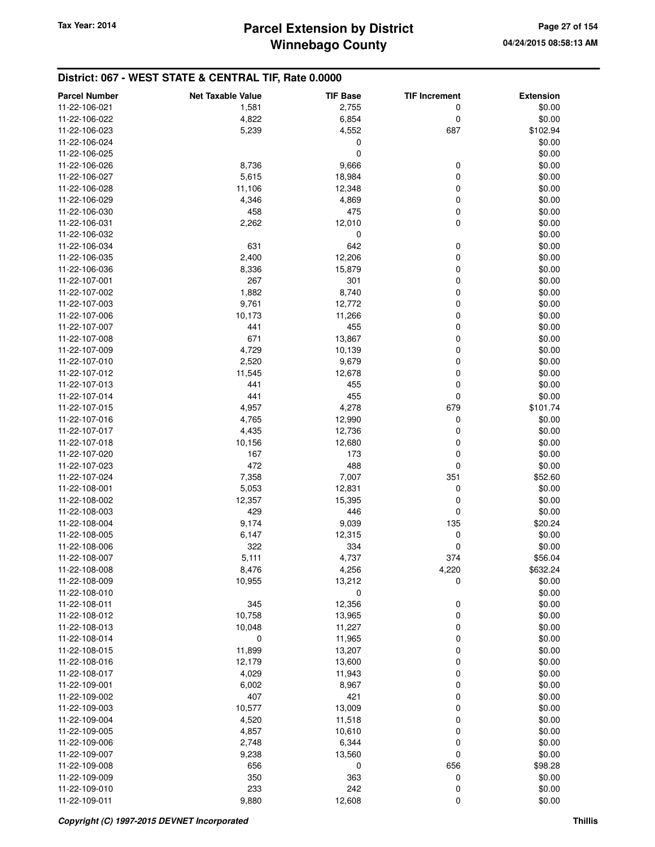| <b>Parcel Number</b> | <b>Net Taxable Value</b> | <b>TIF Base</b> | <b>TIF Increment</b> | <b>Extension</b> |
|----------------------|--------------------------|-----------------|----------------------|------------------|
| 11-22-106-021        | 1,581                    | 2,755           | 0                    | \$0.00           |
| 11-22-106-022        | 4,822                    | 6,854           | 0                    | \$0.00           |
| 11-22-106-023        | 5,239                    | 4,552           | 687                  | \$102.94         |
| 11-22-106-024        |                          | 0               |                      | \$0.00           |
| 11-22-106-025        |                          | 0               |                      | \$0.00           |
| 11-22-106-026        | 8,736                    | 9,666           | 0                    | \$0.00           |
| 11-22-106-027        | 5,615                    | 18,984          | 0                    | \$0.00           |
| 11-22-106-028        | 11,106                   | 12,348          | 0                    | \$0.00           |
| 11-22-106-029        | 4,346                    | 4,869           | 0                    | \$0.00           |
| 11-22-106-030        | 458                      | 475             | 0                    | \$0.00           |
| 11-22-106-031        | 2,262                    | 12,010          | 0                    | \$0.00           |
| 11-22-106-032        |                          | 0               |                      | \$0.00           |
| 11-22-106-034        | 631                      | 642             | 0                    | \$0.00           |
| 11-22-106-035        | 2,400                    | 12,206          | $\mathbf 0$          | \$0.00           |
| 11-22-106-036        | 8,336                    | 15,879          | 0                    | \$0.00           |
| 11-22-107-001        | 267                      | 301             | 0                    | \$0.00           |
| 11-22-107-002        | 1,882                    | 8,740           | 0                    | \$0.00           |
| 11-22-107-003        | 9,761                    | 12,772          | 0                    | \$0.00           |
| 11-22-107-006        | 10,173                   | 11,266          | $\mathbf 0$          | \$0.00           |
| 11-22-107-007        | 441                      | 455             | 0                    | \$0.00           |
| 11-22-107-008        | 671                      | 13,867          | 0                    | \$0.00           |
| 11-22-107-009        | 4,729                    | 10,139          | $\mathbf 0$          | \$0.00           |
| 11-22-107-010        | 2,520                    | 9,679           | 0                    | \$0.00           |
| 11-22-107-012        | 11,545                   | 12,678          | 0                    | \$0.00           |
| 11-22-107-013        | 441                      | 455             | 0                    | \$0.00           |
| 11-22-107-014        | 441                      | 455             | 0                    | \$0.00           |
| 11-22-107-015        | 4,957                    | 4,278           | 679                  | \$101.74         |
| 11-22-107-016        | 4,765                    | 12,990          | 0                    | \$0.00           |
| 11-22-107-017        | 4,435                    | 12,736          | 0                    | \$0.00           |
| 11-22-107-018        | 10,156                   | 12,680          | 0                    | \$0.00           |
| 11-22-107-020        | 167                      | 173             | 0                    | \$0.00           |
| 11-22-107-023        | 472                      | 488             | 0                    | \$0.00           |
| 11-22-107-024        | 7,358                    | 7,007           | 351                  | \$52.60          |
| 11-22-108-001        | 5,053                    | 12,831          | $\mathbf 0$          | \$0.00           |
| 11-22-108-002        | 12,357                   | 15,395          | 0                    | \$0.00           |
| 11-22-108-003        | 429                      | 446             | 0                    | \$0.00           |
| 11-22-108-004        | 9,174                    | 9,039           | 135                  | \$20.24          |
| 11-22-108-005        | 6,147                    | 12,315          | 0                    | \$0.00           |
| 11-22-108-006        | 322                      | 334             | 0                    | \$0.00           |
| 11-22-108-007        | 5,111                    | 4,737           | 374                  | \$56.04          |
| 11-22-108-008        | 8,476                    | 4,256           | 4,220                | \$632.24         |
| 11-22-108-009        | 10,955                   | 13,212          | 0                    | \$0.00           |
| 11-22-108-010        |                          | 0               |                      | \$0.00           |
| 11-22-108-011        | 345                      | 12,356          | 0                    | \$0.00           |
| 11-22-108-012        | 10,758                   | 13,965          | 0                    | \$0.00           |
| 11-22-108-013        | 10,048                   | 11,227          | 0                    | \$0.00           |
| 11-22-108-014        | 0                        | 11,965          | 0                    | \$0.00           |
| 11-22-108-015        | 11,899                   | 13,207          | 0                    | \$0.00           |
| 11-22-108-016        | 12,179                   | 13,600          | 0                    | \$0.00           |
| 11-22-108-017        | 4,029                    | 11,943          | 0                    | \$0.00           |
| 11-22-109-001        | 6,002                    | 8,967           | 0                    | \$0.00           |
| 11-22-109-002        | 407                      | 421             | 0                    | \$0.00           |
| 11-22-109-003        | 10,577                   | 13,009          | 0                    | \$0.00           |
| 11-22-109-004        | 4,520                    | 11,518          | 0                    | \$0.00           |
| 11-22-109-005        | 4,857                    | 10,610          | 0                    | \$0.00           |
| 11-22-109-006        | 2,748                    | 6,344           | 0                    | \$0.00           |
| 11-22-109-007        | 9,238                    | 13,560          | 0                    | \$0.00           |
| 11-22-109-008        | 656                      | 0               | 656                  | \$98.28          |
| 11-22-109-009        | 350                      | 363             | 0                    | \$0.00           |
| 11-22-109-010        | 233                      | 242             | 0                    | \$0.00           |
| 11-22-109-011        | 9,880                    | 12,608          | 0                    | \$0.00           |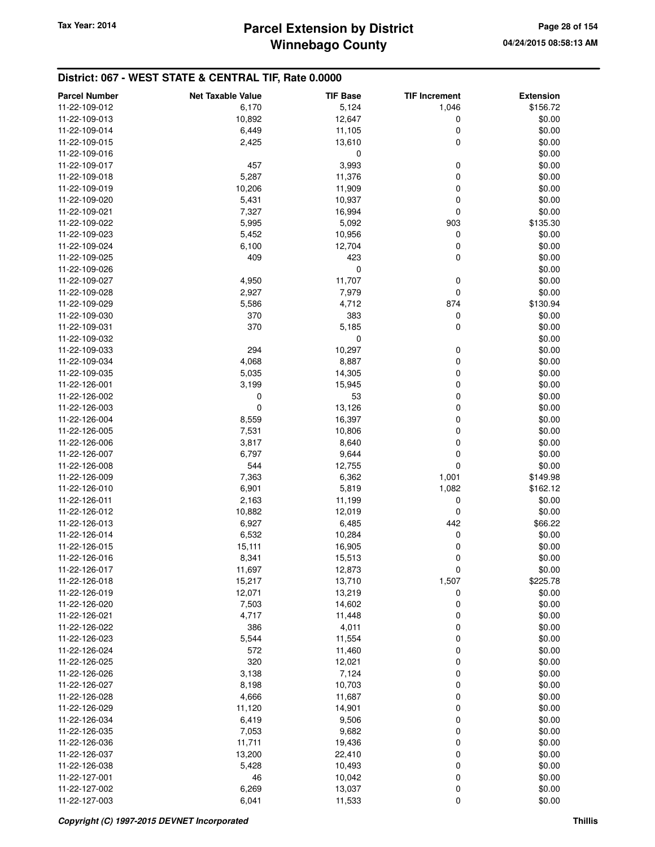## **Winnebago County Parcel Extension by District Tax Year: 2014 Page 28 of 154**

| <b>Parcel Number</b>           | <b>Net Taxable Value</b> | <b>TIF Base</b> | <b>TIF Increment</b> | <b>Extension</b> |
|--------------------------------|--------------------------|-----------------|----------------------|------------------|
| 11-22-109-012                  | 6,170                    | 5,124           | 1,046                | \$156.72         |
| 11-22-109-013                  | 10,892                   | 12,647          | 0                    | \$0.00           |
| 11-22-109-014                  | 6,449                    | 11,105          | 0                    | \$0.00           |
| 11-22-109-015                  | 2,425                    | 13,610          | $\mathbf 0$          | \$0.00           |
| 11-22-109-016                  |                          | 0               |                      | \$0.00           |
| 11-22-109-017                  | 457                      | 3,993           | 0                    | \$0.00           |
| 11-22-109-018                  | 5,287                    | 11,376          | 0                    | \$0.00           |
| 11-22-109-019                  | 10,206                   | 11,909          | 0                    | \$0.00           |
| 11-22-109-020                  | 5,431                    | 10,937          | 0                    | \$0.00           |
| 11-22-109-021                  | 7,327                    | 16,994          | 0                    | \$0.00           |
| 11-22-109-022                  | 5,995                    | 5,092           | 903                  | \$135.30         |
| 11-22-109-023                  | 5,452                    | 10,956          | 0                    | \$0.00           |
| 11-22-109-024                  | 6,100                    | 12,704          | 0                    | \$0.00           |
| 11-22-109-025                  | 409                      | 423             | 0                    | \$0.00           |
| 11-22-109-026                  |                          | 0               |                      | \$0.00           |
| 11-22-109-027                  | 4,950                    | 11,707          | 0                    | \$0.00           |
| 11-22-109-028                  | 2,927                    | 7,979           | 0                    | \$0.00           |
| 11-22-109-029                  | 5,586                    | 4,712           | 874                  | \$130.94         |
| 11-22-109-030                  | 370                      | 383             | 0                    | \$0.00           |
| 11-22-109-031                  | 370                      | 5,185           | 0                    | \$0.00           |
| 11-22-109-032<br>11-22-109-033 | 294                      | 0<br>10,297     |                      | \$0.00<br>\$0.00 |
| 11-22-109-034                  | 4,068                    | 8,887           | 0<br>0               | \$0.00           |
| 11-22-109-035                  | 5,035                    | 14,305          | 0                    | \$0.00           |
| 11-22-126-001                  | 3,199                    | 15,945          | 0                    | \$0.00           |
| 11-22-126-002                  | 0                        | 53              | 0                    | \$0.00           |
| 11-22-126-003                  | 0                        | 13,126          | 0                    | \$0.00           |
| 11-22-126-004                  | 8,559                    | 16,397          | 0                    | \$0.00           |
| 11-22-126-005                  | 7,531                    | 10,806          | 0                    | \$0.00           |
| 11-22-126-006                  | 3,817                    | 8,640           | 0                    | \$0.00           |
| 11-22-126-007                  | 6,797                    | 9,644           | 0                    | \$0.00           |
| 11-22-126-008                  | 544                      | 12,755          | 0                    | \$0.00           |
| 11-22-126-009                  | 7,363                    | 6,362           | 1,001                | \$149.98         |
| 11-22-126-010                  | 6,901                    | 5,819           | 1,082                | \$162.12         |
| 11-22-126-011                  | 2,163                    | 11,199          | 0                    | \$0.00           |
| 11-22-126-012                  | 10,882                   | 12,019          | 0                    | \$0.00           |
| 11-22-126-013                  | 6,927                    | 6,485           | 442                  | \$66.22          |
| 11-22-126-014                  | 6,532                    | 10,284          | 0                    | \$0.00           |
| 11-22-126-015                  | 15,111                   | 16,905          | 0                    | \$0.00           |
| 11-22-126-016                  | 8,341                    | 15,513          | 0                    | \$0.00           |
| 11-22-126-017                  | 11,697                   | 12,873          | 0                    | \$0.00           |
| 11-22-126-018                  | 15,217                   | 13,710          | 1,507                | \$225.78         |
| 11-22-126-019                  | 12,071                   | 13,219          | 0                    | \$0.00           |
| 11-22-126-020                  | 7,503                    | 14,602          | 0                    | \$0.00<br>\$0.00 |
| 11-22-126-021<br>11-22-126-022 | 4,717                    | 11,448          | 0                    |                  |
| 11-22-126-023                  | 386<br>5,544             | 4,011<br>11,554 | 0<br>0               | \$0.00<br>\$0.00 |
| 11-22-126-024                  | 572                      | 11,460          | 0                    | \$0.00           |
| 11-22-126-025                  | 320                      | 12,021          | 0                    | \$0.00           |
| 11-22-126-026                  | 3,138                    | 7,124           | 0                    | \$0.00           |
| 11-22-126-027                  | 8,198                    | 10,703          | 0                    | \$0.00           |
| 11-22-126-028                  | 4,666                    | 11,687          | 0                    | \$0.00           |
| 11-22-126-029                  | 11,120                   | 14,901          | 0                    | \$0.00           |
| 11-22-126-034                  | 6,419                    | 9,506           | 0                    | \$0.00           |
| 11-22-126-035                  | 7,053                    | 9,682           | 0                    | \$0.00           |
| 11-22-126-036                  | 11,711                   | 19,436          | 0                    | \$0.00           |
| 11-22-126-037                  | 13,200                   | 22,410          | 0                    | \$0.00           |
| 11-22-126-038                  | 5,428                    | 10,493          | 0                    | \$0.00           |
| 11-22-127-001                  | 46                       | 10,042          | 0                    | \$0.00           |
| 11-22-127-002                  | 6,269                    | 13,037          | 0                    | \$0.00           |
| 11-22-127-003                  | 6,041                    | 11,533          | 0                    | \$0.00           |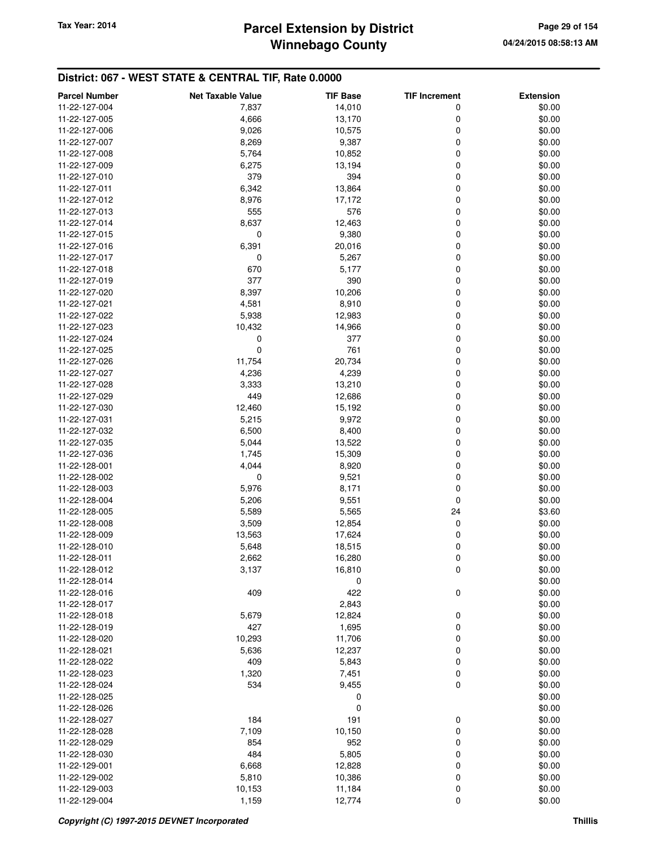## **Winnebago County Parcel Extension by District Tax Year: 2014 Page 29 of 154**

| 11-22-127-004<br>7,837<br>14,010<br>0<br>\$0.00<br>11-22-127-005<br>4,666<br>13,170<br>0<br>\$0.00<br>9,026<br>10,575<br>0<br>\$0.00<br>11-22-127-006<br>8,269<br>9,387<br>0<br>\$0.00<br>11-22-127-007<br>0<br>\$0.00<br>11-22-127-008<br>5,764<br>10,852<br>11-22-127-009<br>13,194<br>0<br>\$0.00<br>6,275<br>394<br>11-22-127-010<br>379<br>0<br>\$0.00<br>11-22-127-011<br>6,342<br>13,864<br>0<br>\$0.00<br>8,976<br>17,172<br>0<br>\$0.00<br>11-22-127-012<br>555<br>576<br>0<br>\$0.00<br>11-22-127-013<br>11-22-127-014<br>8,637<br>12,463<br>0<br>\$0.00<br>0<br>11-22-127-015<br>9,380<br>0<br>\$0.00<br>6,391<br>20,016<br>0<br>\$0.00<br>11-22-127-016<br>0<br>5,267<br>0<br>\$0.00<br>11-22-127-017<br>670<br>5,177<br>0<br>\$0.00<br>11-22-127-018<br>377<br>390<br>11-22-127-019<br>0<br>\$0.00<br>11-22-127-020<br>8,397<br>10,206<br>0<br>\$0.00<br>4,581<br>8,910<br>0<br>\$0.00<br>11-22-127-021<br>5,938<br>0<br>\$0.00<br>11-22-127-022<br>12,983<br>0<br>\$0.00<br>11-22-127-023<br>10,432<br>14,966<br>11-22-127-024<br>0<br>377<br>0<br>\$0.00<br>$\mathbf 0$<br>761<br>11-22-127-025<br>0<br>\$0.00<br>11,754<br>20,734<br>0<br>\$0.00<br>11-22-127-026<br>4,239<br>0<br>\$0.00<br>11-22-127-027<br>4,236<br>0<br>\$0.00<br>11-22-127-028<br>3,333<br>13,210<br>11-22-127-029<br>449<br>0<br>\$0.00<br>12,686<br>11-22-127-030<br>12,460<br>15,192<br>0<br>\$0.00<br>5,215<br>9,972<br>0<br>\$0.00<br>11-22-127-031<br>6,500<br>8,400<br>0<br>\$0.00<br>11-22-127-032<br>0<br>\$0.00<br>11-22-127-035<br>5,044<br>13,522<br>11-22-127-036<br>15,309<br>0<br>\$0.00<br>1,745<br>11-22-128-001<br>4,044<br>8,920<br>0<br>\$0.00<br>0<br>9,521<br>0<br>\$0.00<br>11-22-128-002<br>5,976<br>8,171<br>0<br>\$0.00<br>11-22-128-003<br>9,551<br>0<br>\$0.00<br>11-22-128-004<br>5,206<br>11-22-128-005<br>5,589<br>5,565<br>24<br>\$3.60<br>11-22-128-008<br>3,509<br>12,854<br>0<br>\$0.00<br>0<br>\$0.00<br>11-22-128-009<br>13,563<br>17,624<br>\$0.00<br>11-22-128-010<br>5,648<br>18,515<br>0<br>0<br>\$0.00<br>11-22-128-011<br>2,662<br>16,280<br>\$0.00<br>11-22-128-012<br>3,137<br>16,810<br>0<br>11-22-128-014<br>0<br>\$0.00<br>409<br>422<br>0<br>\$0.00<br>11-22-128-016<br>2,843<br>\$0.00<br>11-22-128-017<br>0<br>\$0.00<br>11-22-128-018<br>5,679<br>12,824<br>\$0.00<br>11-22-128-019<br>427<br>1,695<br>0<br>10,293<br>11,706<br>\$0.00<br>11-22-128-020<br>0<br>\$0.00<br>11-22-128-021<br>5,636<br>12,237<br>0<br>\$0.00<br>409<br>5,843<br>0<br>11-22-128-022<br>1,320<br>7,451<br>0<br>\$0.00<br>11-22-128-023<br>$\mathbf 0$<br>11-22-128-024<br>534<br>9,455<br>\$0.00<br>11-22-128-025<br>0<br>\$0.00<br>0<br>\$0.00<br>11-22-128-026<br>184<br>191<br>0<br>\$0.00<br>11-22-128-027<br>10,150<br>\$0.00<br>7,109<br>0<br>11-22-128-028<br>952<br>\$0.00<br>11-22-128-029<br>854<br>0<br>484<br>5,805<br>11-22-128-030<br>0<br>\$0.00<br>11-22-129-001<br>6,668<br>12,828<br>0<br>\$0.00<br>11-22-129-002<br>5,810<br>10,386<br>0<br>\$0.00<br>11-22-129-003<br>0<br>\$0.00<br>10,153<br>11,184 | <b>Parcel Number</b> | <b>Net Taxable Value</b> | <b>TIF Base</b> | <b>TIF Increment</b> | <b>Extension</b> |
|-----------------------------------------------------------------------------------------------------------------------------------------------------------------------------------------------------------------------------------------------------------------------------------------------------------------------------------------------------------------------------------------------------------------------------------------------------------------------------------------------------------------------------------------------------------------------------------------------------------------------------------------------------------------------------------------------------------------------------------------------------------------------------------------------------------------------------------------------------------------------------------------------------------------------------------------------------------------------------------------------------------------------------------------------------------------------------------------------------------------------------------------------------------------------------------------------------------------------------------------------------------------------------------------------------------------------------------------------------------------------------------------------------------------------------------------------------------------------------------------------------------------------------------------------------------------------------------------------------------------------------------------------------------------------------------------------------------------------------------------------------------------------------------------------------------------------------------------------------------------------------------------------------------------------------------------------------------------------------------------------------------------------------------------------------------------------------------------------------------------------------------------------------------------------------------------------------------------------------------------------------------------------------------------------------------------------------------------------------------------------------------------------------------------------------------------------------------------------------------------------------------------------------------------------------------------------------------------------------------------------------------------------------------------------------------------------------------------------------------------------------------------------------------------------------------------------------------------------------------------------------------------------------------------------------------------------------------------------------------------------------------------------------------------------|----------------------|--------------------------|-----------------|----------------------|------------------|
|                                                                                                                                                                                                                                                                                                                                                                                                                                                                                                                                                                                                                                                                                                                                                                                                                                                                                                                                                                                                                                                                                                                                                                                                                                                                                                                                                                                                                                                                                                                                                                                                                                                                                                                                                                                                                                                                                                                                                                                                                                                                                                                                                                                                                                                                                                                                                                                                                                                                                                                                                                                                                                                                                                                                                                                                                                                                                                                                                                                                                                               |                      |                          |                 |                      |                  |
|                                                                                                                                                                                                                                                                                                                                                                                                                                                                                                                                                                                                                                                                                                                                                                                                                                                                                                                                                                                                                                                                                                                                                                                                                                                                                                                                                                                                                                                                                                                                                                                                                                                                                                                                                                                                                                                                                                                                                                                                                                                                                                                                                                                                                                                                                                                                                                                                                                                                                                                                                                                                                                                                                                                                                                                                                                                                                                                                                                                                                                               |                      |                          |                 |                      |                  |
|                                                                                                                                                                                                                                                                                                                                                                                                                                                                                                                                                                                                                                                                                                                                                                                                                                                                                                                                                                                                                                                                                                                                                                                                                                                                                                                                                                                                                                                                                                                                                                                                                                                                                                                                                                                                                                                                                                                                                                                                                                                                                                                                                                                                                                                                                                                                                                                                                                                                                                                                                                                                                                                                                                                                                                                                                                                                                                                                                                                                                                               |                      |                          |                 |                      |                  |
|                                                                                                                                                                                                                                                                                                                                                                                                                                                                                                                                                                                                                                                                                                                                                                                                                                                                                                                                                                                                                                                                                                                                                                                                                                                                                                                                                                                                                                                                                                                                                                                                                                                                                                                                                                                                                                                                                                                                                                                                                                                                                                                                                                                                                                                                                                                                                                                                                                                                                                                                                                                                                                                                                                                                                                                                                                                                                                                                                                                                                                               |                      |                          |                 |                      |                  |
|                                                                                                                                                                                                                                                                                                                                                                                                                                                                                                                                                                                                                                                                                                                                                                                                                                                                                                                                                                                                                                                                                                                                                                                                                                                                                                                                                                                                                                                                                                                                                                                                                                                                                                                                                                                                                                                                                                                                                                                                                                                                                                                                                                                                                                                                                                                                                                                                                                                                                                                                                                                                                                                                                                                                                                                                                                                                                                                                                                                                                                               |                      |                          |                 |                      |                  |
|                                                                                                                                                                                                                                                                                                                                                                                                                                                                                                                                                                                                                                                                                                                                                                                                                                                                                                                                                                                                                                                                                                                                                                                                                                                                                                                                                                                                                                                                                                                                                                                                                                                                                                                                                                                                                                                                                                                                                                                                                                                                                                                                                                                                                                                                                                                                                                                                                                                                                                                                                                                                                                                                                                                                                                                                                                                                                                                                                                                                                                               |                      |                          |                 |                      |                  |
|                                                                                                                                                                                                                                                                                                                                                                                                                                                                                                                                                                                                                                                                                                                                                                                                                                                                                                                                                                                                                                                                                                                                                                                                                                                                                                                                                                                                                                                                                                                                                                                                                                                                                                                                                                                                                                                                                                                                                                                                                                                                                                                                                                                                                                                                                                                                                                                                                                                                                                                                                                                                                                                                                                                                                                                                                                                                                                                                                                                                                                               |                      |                          |                 |                      |                  |
|                                                                                                                                                                                                                                                                                                                                                                                                                                                                                                                                                                                                                                                                                                                                                                                                                                                                                                                                                                                                                                                                                                                                                                                                                                                                                                                                                                                                                                                                                                                                                                                                                                                                                                                                                                                                                                                                                                                                                                                                                                                                                                                                                                                                                                                                                                                                                                                                                                                                                                                                                                                                                                                                                                                                                                                                                                                                                                                                                                                                                                               |                      |                          |                 |                      |                  |
|                                                                                                                                                                                                                                                                                                                                                                                                                                                                                                                                                                                                                                                                                                                                                                                                                                                                                                                                                                                                                                                                                                                                                                                                                                                                                                                                                                                                                                                                                                                                                                                                                                                                                                                                                                                                                                                                                                                                                                                                                                                                                                                                                                                                                                                                                                                                                                                                                                                                                                                                                                                                                                                                                                                                                                                                                                                                                                                                                                                                                                               |                      |                          |                 |                      |                  |
|                                                                                                                                                                                                                                                                                                                                                                                                                                                                                                                                                                                                                                                                                                                                                                                                                                                                                                                                                                                                                                                                                                                                                                                                                                                                                                                                                                                                                                                                                                                                                                                                                                                                                                                                                                                                                                                                                                                                                                                                                                                                                                                                                                                                                                                                                                                                                                                                                                                                                                                                                                                                                                                                                                                                                                                                                                                                                                                                                                                                                                               |                      |                          |                 |                      |                  |
|                                                                                                                                                                                                                                                                                                                                                                                                                                                                                                                                                                                                                                                                                                                                                                                                                                                                                                                                                                                                                                                                                                                                                                                                                                                                                                                                                                                                                                                                                                                                                                                                                                                                                                                                                                                                                                                                                                                                                                                                                                                                                                                                                                                                                                                                                                                                                                                                                                                                                                                                                                                                                                                                                                                                                                                                                                                                                                                                                                                                                                               |                      |                          |                 |                      |                  |
|                                                                                                                                                                                                                                                                                                                                                                                                                                                                                                                                                                                                                                                                                                                                                                                                                                                                                                                                                                                                                                                                                                                                                                                                                                                                                                                                                                                                                                                                                                                                                                                                                                                                                                                                                                                                                                                                                                                                                                                                                                                                                                                                                                                                                                                                                                                                                                                                                                                                                                                                                                                                                                                                                                                                                                                                                                                                                                                                                                                                                                               |                      |                          |                 |                      |                  |
|                                                                                                                                                                                                                                                                                                                                                                                                                                                                                                                                                                                                                                                                                                                                                                                                                                                                                                                                                                                                                                                                                                                                                                                                                                                                                                                                                                                                                                                                                                                                                                                                                                                                                                                                                                                                                                                                                                                                                                                                                                                                                                                                                                                                                                                                                                                                                                                                                                                                                                                                                                                                                                                                                                                                                                                                                                                                                                                                                                                                                                               |                      |                          |                 |                      |                  |
|                                                                                                                                                                                                                                                                                                                                                                                                                                                                                                                                                                                                                                                                                                                                                                                                                                                                                                                                                                                                                                                                                                                                                                                                                                                                                                                                                                                                                                                                                                                                                                                                                                                                                                                                                                                                                                                                                                                                                                                                                                                                                                                                                                                                                                                                                                                                                                                                                                                                                                                                                                                                                                                                                                                                                                                                                                                                                                                                                                                                                                               |                      |                          |                 |                      |                  |
|                                                                                                                                                                                                                                                                                                                                                                                                                                                                                                                                                                                                                                                                                                                                                                                                                                                                                                                                                                                                                                                                                                                                                                                                                                                                                                                                                                                                                                                                                                                                                                                                                                                                                                                                                                                                                                                                                                                                                                                                                                                                                                                                                                                                                                                                                                                                                                                                                                                                                                                                                                                                                                                                                                                                                                                                                                                                                                                                                                                                                                               |                      |                          |                 |                      |                  |
|                                                                                                                                                                                                                                                                                                                                                                                                                                                                                                                                                                                                                                                                                                                                                                                                                                                                                                                                                                                                                                                                                                                                                                                                                                                                                                                                                                                                                                                                                                                                                                                                                                                                                                                                                                                                                                                                                                                                                                                                                                                                                                                                                                                                                                                                                                                                                                                                                                                                                                                                                                                                                                                                                                                                                                                                                                                                                                                                                                                                                                               |                      |                          |                 |                      |                  |
|                                                                                                                                                                                                                                                                                                                                                                                                                                                                                                                                                                                                                                                                                                                                                                                                                                                                                                                                                                                                                                                                                                                                                                                                                                                                                                                                                                                                                                                                                                                                                                                                                                                                                                                                                                                                                                                                                                                                                                                                                                                                                                                                                                                                                                                                                                                                                                                                                                                                                                                                                                                                                                                                                                                                                                                                                                                                                                                                                                                                                                               |                      |                          |                 |                      |                  |
|                                                                                                                                                                                                                                                                                                                                                                                                                                                                                                                                                                                                                                                                                                                                                                                                                                                                                                                                                                                                                                                                                                                                                                                                                                                                                                                                                                                                                                                                                                                                                                                                                                                                                                                                                                                                                                                                                                                                                                                                                                                                                                                                                                                                                                                                                                                                                                                                                                                                                                                                                                                                                                                                                                                                                                                                                                                                                                                                                                                                                                               |                      |                          |                 |                      |                  |
|                                                                                                                                                                                                                                                                                                                                                                                                                                                                                                                                                                                                                                                                                                                                                                                                                                                                                                                                                                                                                                                                                                                                                                                                                                                                                                                                                                                                                                                                                                                                                                                                                                                                                                                                                                                                                                                                                                                                                                                                                                                                                                                                                                                                                                                                                                                                                                                                                                                                                                                                                                                                                                                                                                                                                                                                                                                                                                                                                                                                                                               |                      |                          |                 |                      |                  |
|                                                                                                                                                                                                                                                                                                                                                                                                                                                                                                                                                                                                                                                                                                                                                                                                                                                                                                                                                                                                                                                                                                                                                                                                                                                                                                                                                                                                                                                                                                                                                                                                                                                                                                                                                                                                                                                                                                                                                                                                                                                                                                                                                                                                                                                                                                                                                                                                                                                                                                                                                                                                                                                                                                                                                                                                                                                                                                                                                                                                                                               |                      |                          |                 |                      |                  |
|                                                                                                                                                                                                                                                                                                                                                                                                                                                                                                                                                                                                                                                                                                                                                                                                                                                                                                                                                                                                                                                                                                                                                                                                                                                                                                                                                                                                                                                                                                                                                                                                                                                                                                                                                                                                                                                                                                                                                                                                                                                                                                                                                                                                                                                                                                                                                                                                                                                                                                                                                                                                                                                                                                                                                                                                                                                                                                                                                                                                                                               |                      |                          |                 |                      |                  |
|                                                                                                                                                                                                                                                                                                                                                                                                                                                                                                                                                                                                                                                                                                                                                                                                                                                                                                                                                                                                                                                                                                                                                                                                                                                                                                                                                                                                                                                                                                                                                                                                                                                                                                                                                                                                                                                                                                                                                                                                                                                                                                                                                                                                                                                                                                                                                                                                                                                                                                                                                                                                                                                                                                                                                                                                                                                                                                                                                                                                                                               |                      |                          |                 |                      |                  |
|                                                                                                                                                                                                                                                                                                                                                                                                                                                                                                                                                                                                                                                                                                                                                                                                                                                                                                                                                                                                                                                                                                                                                                                                                                                                                                                                                                                                                                                                                                                                                                                                                                                                                                                                                                                                                                                                                                                                                                                                                                                                                                                                                                                                                                                                                                                                                                                                                                                                                                                                                                                                                                                                                                                                                                                                                                                                                                                                                                                                                                               |                      |                          |                 |                      |                  |
|                                                                                                                                                                                                                                                                                                                                                                                                                                                                                                                                                                                                                                                                                                                                                                                                                                                                                                                                                                                                                                                                                                                                                                                                                                                                                                                                                                                                                                                                                                                                                                                                                                                                                                                                                                                                                                                                                                                                                                                                                                                                                                                                                                                                                                                                                                                                                                                                                                                                                                                                                                                                                                                                                                                                                                                                                                                                                                                                                                                                                                               |                      |                          |                 |                      |                  |
|                                                                                                                                                                                                                                                                                                                                                                                                                                                                                                                                                                                                                                                                                                                                                                                                                                                                                                                                                                                                                                                                                                                                                                                                                                                                                                                                                                                                                                                                                                                                                                                                                                                                                                                                                                                                                                                                                                                                                                                                                                                                                                                                                                                                                                                                                                                                                                                                                                                                                                                                                                                                                                                                                                                                                                                                                                                                                                                                                                                                                                               |                      |                          |                 |                      |                  |
|                                                                                                                                                                                                                                                                                                                                                                                                                                                                                                                                                                                                                                                                                                                                                                                                                                                                                                                                                                                                                                                                                                                                                                                                                                                                                                                                                                                                                                                                                                                                                                                                                                                                                                                                                                                                                                                                                                                                                                                                                                                                                                                                                                                                                                                                                                                                                                                                                                                                                                                                                                                                                                                                                                                                                                                                                                                                                                                                                                                                                                               |                      |                          |                 |                      |                  |
|                                                                                                                                                                                                                                                                                                                                                                                                                                                                                                                                                                                                                                                                                                                                                                                                                                                                                                                                                                                                                                                                                                                                                                                                                                                                                                                                                                                                                                                                                                                                                                                                                                                                                                                                                                                                                                                                                                                                                                                                                                                                                                                                                                                                                                                                                                                                                                                                                                                                                                                                                                                                                                                                                                                                                                                                                                                                                                                                                                                                                                               |                      |                          |                 |                      |                  |
|                                                                                                                                                                                                                                                                                                                                                                                                                                                                                                                                                                                                                                                                                                                                                                                                                                                                                                                                                                                                                                                                                                                                                                                                                                                                                                                                                                                                                                                                                                                                                                                                                                                                                                                                                                                                                                                                                                                                                                                                                                                                                                                                                                                                                                                                                                                                                                                                                                                                                                                                                                                                                                                                                                                                                                                                                                                                                                                                                                                                                                               |                      |                          |                 |                      |                  |
|                                                                                                                                                                                                                                                                                                                                                                                                                                                                                                                                                                                                                                                                                                                                                                                                                                                                                                                                                                                                                                                                                                                                                                                                                                                                                                                                                                                                                                                                                                                                                                                                                                                                                                                                                                                                                                                                                                                                                                                                                                                                                                                                                                                                                                                                                                                                                                                                                                                                                                                                                                                                                                                                                                                                                                                                                                                                                                                                                                                                                                               |                      |                          |                 |                      |                  |
|                                                                                                                                                                                                                                                                                                                                                                                                                                                                                                                                                                                                                                                                                                                                                                                                                                                                                                                                                                                                                                                                                                                                                                                                                                                                                                                                                                                                                                                                                                                                                                                                                                                                                                                                                                                                                                                                                                                                                                                                                                                                                                                                                                                                                                                                                                                                                                                                                                                                                                                                                                                                                                                                                                                                                                                                                                                                                                                                                                                                                                               |                      |                          |                 |                      |                  |
|                                                                                                                                                                                                                                                                                                                                                                                                                                                                                                                                                                                                                                                                                                                                                                                                                                                                                                                                                                                                                                                                                                                                                                                                                                                                                                                                                                                                                                                                                                                                                                                                                                                                                                                                                                                                                                                                                                                                                                                                                                                                                                                                                                                                                                                                                                                                                                                                                                                                                                                                                                                                                                                                                                                                                                                                                                                                                                                                                                                                                                               |                      |                          |                 |                      |                  |
|                                                                                                                                                                                                                                                                                                                                                                                                                                                                                                                                                                                                                                                                                                                                                                                                                                                                                                                                                                                                                                                                                                                                                                                                                                                                                                                                                                                                                                                                                                                                                                                                                                                                                                                                                                                                                                                                                                                                                                                                                                                                                                                                                                                                                                                                                                                                                                                                                                                                                                                                                                                                                                                                                                                                                                                                                                                                                                                                                                                                                                               |                      |                          |                 |                      |                  |
|                                                                                                                                                                                                                                                                                                                                                                                                                                                                                                                                                                                                                                                                                                                                                                                                                                                                                                                                                                                                                                                                                                                                                                                                                                                                                                                                                                                                                                                                                                                                                                                                                                                                                                                                                                                                                                                                                                                                                                                                                                                                                                                                                                                                                                                                                                                                                                                                                                                                                                                                                                                                                                                                                                                                                                                                                                                                                                                                                                                                                                               |                      |                          |                 |                      |                  |
|                                                                                                                                                                                                                                                                                                                                                                                                                                                                                                                                                                                                                                                                                                                                                                                                                                                                                                                                                                                                                                                                                                                                                                                                                                                                                                                                                                                                                                                                                                                                                                                                                                                                                                                                                                                                                                                                                                                                                                                                                                                                                                                                                                                                                                                                                                                                                                                                                                                                                                                                                                                                                                                                                                                                                                                                                                                                                                                                                                                                                                               |                      |                          |                 |                      |                  |
|                                                                                                                                                                                                                                                                                                                                                                                                                                                                                                                                                                                                                                                                                                                                                                                                                                                                                                                                                                                                                                                                                                                                                                                                                                                                                                                                                                                                                                                                                                                                                                                                                                                                                                                                                                                                                                                                                                                                                                                                                                                                                                                                                                                                                                                                                                                                                                                                                                                                                                                                                                                                                                                                                                                                                                                                                                                                                                                                                                                                                                               |                      |                          |                 |                      |                  |
|                                                                                                                                                                                                                                                                                                                                                                                                                                                                                                                                                                                                                                                                                                                                                                                                                                                                                                                                                                                                                                                                                                                                                                                                                                                                                                                                                                                                                                                                                                                                                                                                                                                                                                                                                                                                                                                                                                                                                                                                                                                                                                                                                                                                                                                                                                                                                                                                                                                                                                                                                                                                                                                                                                                                                                                                                                                                                                                                                                                                                                               |                      |                          |                 |                      |                  |
|                                                                                                                                                                                                                                                                                                                                                                                                                                                                                                                                                                                                                                                                                                                                                                                                                                                                                                                                                                                                                                                                                                                                                                                                                                                                                                                                                                                                                                                                                                                                                                                                                                                                                                                                                                                                                                                                                                                                                                                                                                                                                                                                                                                                                                                                                                                                                                                                                                                                                                                                                                                                                                                                                                                                                                                                                                                                                                                                                                                                                                               |                      |                          |                 |                      |                  |
|                                                                                                                                                                                                                                                                                                                                                                                                                                                                                                                                                                                                                                                                                                                                                                                                                                                                                                                                                                                                                                                                                                                                                                                                                                                                                                                                                                                                                                                                                                                                                                                                                                                                                                                                                                                                                                                                                                                                                                                                                                                                                                                                                                                                                                                                                                                                                                                                                                                                                                                                                                                                                                                                                                                                                                                                                                                                                                                                                                                                                                               |                      |                          |                 |                      |                  |
|                                                                                                                                                                                                                                                                                                                                                                                                                                                                                                                                                                                                                                                                                                                                                                                                                                                                                                                                                                                                                                                                                                                                                                                                                                                                                                                                                                                                                                                                                                                                                                                                                                                                                                                                                                                                                                                                                                                                                                                                                                                                                                                                                                                                                                                                                                                                                                                                                                                                                                                                                                                                                                                                                                                                                                                                                                                                                                                                                                                                                                               |                      |                          |                 |                      |                  |
|                                                                                                                                                                                                                                                                                                                                                                                                                                                                                                                                                                                                                                                                                                                                                                                                                                                                                                                                                                                                                                                                                                                                                                                                                                                                                                                                                                                                                                                                                                                                                                                                                                                                                                                                                                                                                                                                                                                                                                                                                                                                                                                                                                                                                                                                                                                                                                                                                                                                                                                                                                                                                                                                                                                                                                                                                                                                                                                                                                                                                                               |                      |                          |                 |                      |                  |
|                                                                                                                                                                                                                                                                                                                                                                                                                                                                                                                                                                                                                                                                                                                                                                                                                                                                                                                                                                                                                                                                                                                                                                                                                                                                                                                                                                                                                                                                                                                                                                                                                                                                                                                                                                                                                                                                                                                                                                                                                                                                                                                                                                                                                                                                                                                                                                                                                                                                                                                                                                                                                                                                                                                                                                                                                                                                                                                                                                                                                                               |                      |                          |                 |                      |                  |
|                                                                                                                                                                                                                                                                                                                                                                                                                                                                                                                                                                                                                                                                                                                                                                                                                                                                                                                                                                                                                                                                                                                                                                                                                                                                                                                                                                                                                                                                                                                                                                                                                                                                                                                                                                                                                                                                                                                                                                                                                                                                                                                                                                                                                                                                                                                                                                                                                                                                                                                                                                                                                                                                                                                                                                                                                                                                                                                                                                                                                                               |                      |                          |                 |                      |                  |
|                                                                                                                                                                                                                                                                                                                                                                                                                                                                                                                                                                                                                                                                                                                                                                                                                                                                                                                                                                                                                                                                                                                                                                                                                                                                                                                                                                                                                                                                                                                                                                                                                                                                                                                                                                                                                                                                                                                                                                                                                                                                                                                                                                                                                                                                                                                                                                                                                                                                                                                                                                                                                                                                                                                                                                                                                                                                                                                                                                                                                                               |                      |                          |                 |                      |                  |
|                                                                                                                                                                                                                                                                                                                                                                                                                                                                                                                                                                                                                                                                                                                                                                                                                                                                                                                                                                                                                                                                                                                                                                                                                                                                                                                                                                                                                                                                                                                                                                                                                                                                                                                                                                                                                                                                                                                                                                                                                                                                                                                                                                                                                                                                                                                                                                                                                                                                                                                                                                                                                                                                                                                                                                                                                                                                                                                                                                                                                                               |                      |                          |                 |                      |                  |
|                                                                                                                                                                                                                                                                                                                                                                                                                                                                                                                                                                                                                                                                                                                                                                                                                                                                                                                                                                                                                                                                                                                                                                                                                                                                                                                                                                                                                                                                                                                                                                                                                                                                                                                                                                                                                                                                                                                                                                                                                                                                                                                                                                                                                                                                                                                                                                                                                                                                                                                                                                                                                                                                                                                                                                                                                                                                                                                                                                                                                                               |                      |                          |                 |                      |                  |
|                                                                                                                                                                                                                                                                                                                                                                                                                                                                                                                                                                                                                                                                                                                                                                                                                                                                                                                                                                                                                                                                                                                                                                                                                                                                                                                                                                                                                                                                                                                                                                                                                                                                                                                                                                                                                                                                                                                                                                                                                                                                                                                                                                                                                                                                                                                                                                                                                                                                                                                                                                                                                                                                                                                                                                                                                                                                                                                                                                                                                                               |                      |                          |                 |                      |                  |
|                                                                                                                                                                                                                                                                                                                                                                                                                                                                                                                                                                                                                                                                                                                                                                                                                                                                                                                                                                                                                                                                                                                                                                                                                                                                                                                                                                                                                                                                                                                                                                                                                                                                                                                                                                                                                                                                                                                                                                                                                                                                                                                                                                                                                                                                                                                                                                                                                                                                                                                                                                                                                                                                                                                                                                                                                                                                                                                                                                                                                                               |                      |                          |                 |                      |                  |
|                                                                                                                                                                                                                                                                                                                                                                                                                                                                                                                                                                                                                                                                                                                                                                                                                                                                                                                                                                                                                                                                                                                                                                                                                                                                                                                                                                                                                                                                                                                                                                                                                                                                                                                                                                                                                                                                                                                                                                                                                                                                                                                                                                                                                                                                                                                                                                                                                                                                                                                                                                                                                                                                                                                                                                                                                                                                                                                                                                                                                                               |                      |                          |                 |                      |                  |
|                                                                                                                                                                                                                                                                                                                                                                                                                                                                                                                                                                                                                                                                                                                                                                                                                                                                                                                                                                                                                                                                                                                                                                                                                                                                                                                                                                                                                                                                                                                                                                                                                                                                                                                                                                                                                                                                                                                                                                                                                                                                                                                                                                                                                                                                                                                                                                                                                                                                                                                                                                                                                                                                                                                                                                                                                                                                                                                                                                                                                                               |                      |                          |                 |                      |                  |
|                                                                                                                                                                                                                                                                                                                                                                                                                                                                                                                                                                                                                                                                                                                                                                                                                                                                                                                                                                                                                                                                                                                                                                                                                                                                                                                                                                                                                                                                                                                                                                                                                                                                                                                                                                                                                                                                                                                                                                                                                                                                                                                                                                                                                                                                                                                                                                                                                                                                                                                                                                                                                                                                                                                                                                                                                                                                                                                                                                                                                                               |                      |                          |                 |                      |                  |
|                                                                                                                                                                                                                                                                                                                                                                                                                                                                                                                                                                                                                                                                                                                                                                                                                                                                                                                                                                                                                                                                                                                                                                                                                                                                                                                                                                                                                                                                                                                                                                                                                                                                                                                                                                                                                                                                                                                                                                                                                                                                                                                                                                                                                                                                                                                                                                                                                                                                                                                                                                                                                                                                                                                                                                                                                                                                                                                                                                                                                                               |                      |                          |                 |                      |                  |
|                                                                                                                                                                                                                                                                                                                                                                                                                                                                                                                                                                                                                                                                                                                                                                                                                                                                                                                                                                                                                                                                                                                                                                                                                                                                                                                                                                                                                                                                                                                                                                                                                                                                                                                                                                                                                                                                                                                                                                                                                                                                                                                                                                                                                                                                                                                                                                                                                                                                                                                                                                                                                                                                                                                                                                                                                                                                                                                                                                                                                                               |                      |                          |                 |                      |                  |
|                                                                                                                                                                                                                                                                                                                                                                                                                                                                                                                                                                                                                                                                                                                                                                                                                                                                                                                                                                                                                                                                                                                                                                                                                                                                                                                                                                                                                                                                                                                                                                                                                                                                                                                                                                                                                                                                                                                                                                                                                                                                                                                                                                                                                                                                                                                                                                                                                                                                                                                                                                                                                                                                                                                                                                                                                                                                                                                                                                                                                                               |                      |                          |                 |                      |                  |
|                                                                                                                                                                                                                                                                                                                                                                                                                                                                                                                                                                                                                                                                                                                                                                                                                                                                                                                                                                                                                                                                                                                                                                                                                                                                                                                                                                                                                                                                                                                                                                                                                                                                                                                                                                                                                                                                                                                                                                                                                                                                                                                                                                                                                                                                                                                                                                                                                                                                                                                                                                                                                                                                                                                                                                                                                                                                                                                                                                                                                                               |                      |                          |                 |                      |                  |
|                                                                                                                                                                                                                                                                                                                                                                                                                                                                                                                                                                                                                                                                                                                                                                                                                                                                                                                                                                                                                                                                                                                                                                                                                                                                                                                                                                                                                                                                                                                                                                                                                                                                                                                                                                                                                                                                                                                                                                                                                                                                                                                                                                                                                                                                                                                                                                                                                                                                                                                                                                                                                                                                                                                                                                                                                                                                                                                                                                                                                                               |                      |                          |                 |                      |                  |
|                                                                                                                                                                                                                                                                                                                                                                                                                                                                                                                                                                                                                                                                                                                                                                                                                                                                                                                                                                                                                                                                                                                                                                                                                                                                                                                                                                                                                                                                                                                                                                                                                                                                                                                                                                                                                                                                                                                                                                                                                                                                                                                                                                                                                                                                                                                                                                                                                                                                                                                                                                                                                                                                                                                                                                                                                                                                                                                                                                                                                                               |                      |                          |                 |                      |                  |
|                                                                                                                                                                                                                                                                                                                                                                                                                                                                                                                                                                                                                                                                                                                                                                                                                                                                                                                                                                                                                                                                                                                                                                                                                                                                                                                                                                                                                                                                                                                                                                                                                                                                                                                                                                                                                                                                                                                                                                                                                                                                                                                                                                                                                                                                                                                                                                                                                                                                                                                                                                                                                                                                                                                                                                                                                                                                                                                                                                                                                                               |                      |                          |                 |                      |                  |
|                                                                                                                                                                                                                                                                                                                                                                                                                                                                                                                                                                                                                                                                                                                                                                                                                                                                                                                                                                                                                                                                                                                                                                                                                                                                                                                                                                                                                                                                                                                                                                                                                                                                                                                                                                                                                                                                                                                                                                                                                                                                                                                                                                                                                                                                                                                                                                                                                                                                                                                                                                                                                                                                                                                                                                                                                                                                                                                                                                                                                                               |                      |                          |                 |                      |                  |
|                                                                                                                                                                                                                                                                                                                                                                                                                                                                                                                                                                                                                                                                                                                                                                                                                                                                                                                                                                                                                                                                                                                                                                                                                                                                                                                                                                                                                                                                                                                                                                                                                                                                                                                                                                                                                                                                                                                                                                                                                                                                                                                                                                                                                                                                                                                                                                                                                                                                                                                                                                                                                                                                                                                                                                                                                                                                                                                                                                                                                                               |                      |                          |                 |                      |                  |
|                                                                                                                                                                                                                                                                                                                                                                                                                                                                                                                                                                                                                                                                                                                                                                                                                                                                                                                                                                                                                                                                                                                                                                                                                                                                                                                                                                                                                                                                                                                                                                                                                                                                                                                                                                                                                                                                                                                                                                                                                                                                                                                                                                                                                                                                                                                                                                                                                                                                                                                                                                                                                                                                                                                                                                                                                                                                                                                                                                                                                                               |                      |                          |                 |                      |                  |
|                                                                                                                                                                                                                                                                                                                                                                                                                                                                                                                                                                                                                                                                                                                                                                                                                                                                                                                                                                                                                                                                                                                                                                                                                                                                                                                                                                                                                                                                                                                                                                                                                                                                                                                                                                                                                                                                                                                                                                                                                                                                                                                                                                                                                                                                                                                                                                                                                                                                                                                                                                                                                                                                                                                                                                                                                                                                                                                                                                                                                                               | 11-22-129-004        | 1,159                    | 12,774          | 0                    | \$0.00           |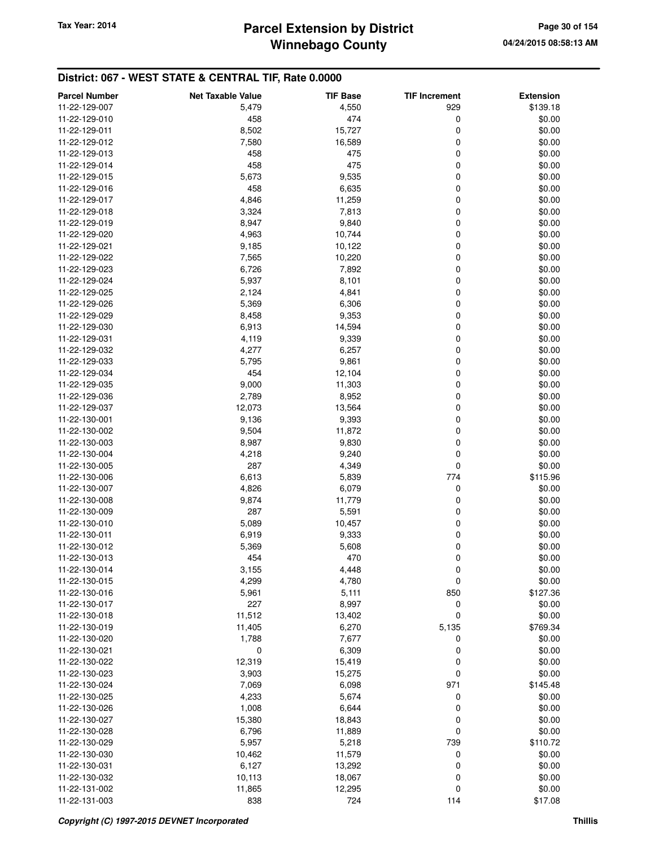| <b>Parcel Number</b> | <b>Net Taxable Value</b> | <b>TIF Base</b> | <b>TIF Increment</b> | <b>Extension</b> |
|----------------------|--------------------------|-----------------|----------------------|------------------|
| 11-22-129-007        | 5,479                    | 4,550           | 929                  | \$139.18         |
| 11-22-129-010        | 458                      | 474             | 0                    | \$0.00           |
| 11-22-129-011        | 8,502                    | 15,727          | 0                    | \$0.00           |
| 11-22-129-012        | 7,580                    | 16,589          | 0                    | \$0.00           |
| 11-22-129-013        | 458                      | 475             | 0                    | \$0.00           |
| 11-22-129-014        | 458                      | 475             | $\mathbf 0$          | \$0.00           |
| 11-22-129-015        | 5,673                    | 9,535           | 0                    | \$0.00           |
| 11-22-129-016        | 458                      | 6,635           | 0                    | \$0.00           |
| 11-22-129-017        | 4,846                    | 11,259          | 0                    | \$0.00           |
| 11-22-129-018        | 3,324                    | 7,813           | 0                    | \$0.00           |
| 11-22-129-019        | 8,947                    | 9,840           | $\mathbf 0$          | \$0.00           |
| 11-22-129-020        | 4,963                    | 10,744          | 0                    | \$0.00           |
| 11-22-129-021        | 9,185                    | 10,122          | 0                    | \$0.00           |
| 11-22-129-022        | 7,565                    | 10,220          | 0                    | \$0.00           |
| 11-22-129-023        | 6,726                    | 7,892           | 0                    | \$0.00           |
| 11-22-129-024        | 5,937                    | 8,101           | $\mathbf 0$          | \$0.00           |
| 11-22-129-025        | 2,124                    | 4,841           | 0                    | \$0.00           |
| 11-22-129-026        | 5,369                    | 6,306           | 0                    | \$0.00           |
| 11-22-129-029        | 8,458                    | 9,353           | 0                    | \$0.00           |
| 11-22-129-030        | 6,913                    | 14,594          | 0                    | \$0.00           |
| 11-22-129-031        | 4,119                    | 9,339           | $\mathbf 0$          | \$0.00           |
| 11-22-129-032        | 4,277                    | 6,257           | 0                    | \$0.00           |
| 11-22-129-033        | 5,795                    | 9,861           | 0                    | \$0.00           |
| 11-22-129-034        | 454                      | 12,104          | 0                    | \$0.00           |
| 11-22-129-035        | 9,000                    | 11,303          | 0                    | \$0.00           |
| 11-22-129-036        | 2,789                    | 8,952           | $\mathbf 0$          | \$0.00           |
| 11-22-129-037        | 12,073                   | 13,564          | 0                    | \$0.00           |
| 11-22-130-001        | 9,136                    | 9,393           | 0                    | \$0.00           |
| 11-22-130-002        | 9,504                    | 11,872          | 0                    | \$0.00           |
| 11-22-130-003        | 8,987                    | 9,830           | 0                    | \$0.00           |
| 11-22-130-004        | 4,218                    | 9,240           | $\mathbf 0$          | \$0.00           |
| 11-22-130-005        | 287                      | 4,349           | 0                    | \$0.00           |
| 11-22-130-006        | 6,613                    | 5,839           | 774                  | \$115.96         |
| 11-22-130-007        | 4,826                    | 6,079           | 0                    | \$0.00           |
| 11-22-130-008        | 9,874                    | 11,779          | 0                    | \$0.00           |
| 11-22-130-009        | 287                      | 5,591           | 0                    | \$0.00           |
| 11-22-130-010        | 5,089                    | 10,457          | 0                    | \$0.00           |
| 11-22-130-011        | 6,919                    | 9,333           | 0                    | \$0.00           |
| 11-22-130-012        | 5,369                    | 5,608           | 0                    | \$0.00           |
| 11-22-130-013        | 454                      | 470             | 0                    | \$0.00           |
| 11-22-130-014        | 3,155                    | 4,448           | 0                    | \$0.00           |
| 11-22-130-015        | 4,299                    | 4,780           | 0                    | \$0.00           |
| 11-22-130-016        | 5,961                    | 5,111           | 850                  | \$127.36         |
| 11-22-130-017        | 227                      | 8,997           | 0                    | \$0.00           |
| 11-22-130-018        | 11,512                   | 13,402          | 0                    | \$0.00           |
| 11-22-130-019        | 11,405                   | 6,270           | 5,135                | \$769.34         |
| 11-22-130-020        | 1,788                    | 7,677           | 0                    | \$0.00           |
| 11-22-130-021        | 0                        | 6,309           | 0                    | \$0.00           |
| 11-22-130-022        | 12,319                   | 15,419          | 0                    | \$0.00           |
| 11-22-130-023        | 3,903                    | 15,275          | 0                    | \$0.00           |
| 11-22-130-024        | 7,069                    | 6,098           | 971                  | \$145.48         |
| 11-22-130-025        | 4,233                    | 5,674           | 0                    | \$0.00           |
| 11-22-130-026        | 1,008                    | 6,644           | 0                    | \$0.00           |
| 11-22-130-027        | 15,380                   | 18,843          | 0                    | \$0.00           |
| 11-22-130-028        | 6,796                    | 11,889          | 0                    | \$0.00           |
| 11-22-130-029        | 5,957                    | 5,218           | 739                  | \$110.72         |
| 11-22-130-030        | 10,462                   | 11,579          | 0                    | \$0.00           |
| 11-22-130-031        | 6,127                    | 13,292          | 0                    | \$0.00           |
| 11-22-130-032        | 10,113                   | 18,067          | 0                    | \$0.00           |
| 11-22-131-002        | 11,865                   | 12,295          | 0                    | \$0.00           |
| 11-22-131-003        | 838                      | 724             | 114                  | \$17.08          |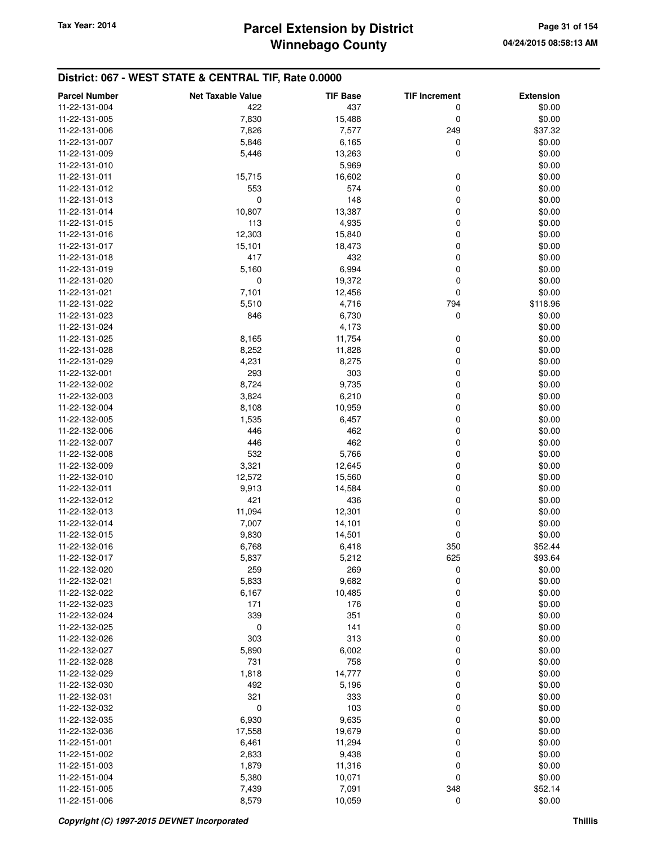## **Winnebago County** Tax Year: 2014 **Parcel Extension by District Page 31 of 154**

| <b>Parcel Number</b> | <b>Net Taxable Value</b> | <b>TIF Base</b> | <b>TIF Increment</b> | <b>Extension</b> |
|----------------------|--------------------------|-----------------|----------------------|------------------|
| 11-22-131-004        | 422                      | 437             | 0                    | \$0.00           |
| 11-22-131-005        | 7,830                    | 15,488          | 0                    | \$0.00           |
| 11-22-131-006        | 7,826                    | 7,577           | 249                  | \$37.32          |
| 11-22-131-007        | 5,846                    | 6,165           | 0                    | \$0.00           |
| 11-22-131-009        | 5,446                    | 13,263          | 0                    | \$0.00           |
| 11-22-131-010        |                          | 5,969           |                      | \$0.00           |
| 11-22-131-011        | 15,715                   | 16,602          | 0                    | \$0.00           |
| 11-22-131-012        | 553                      | 574             | 0                    | \$0.00           |
| 11-22-131-013        | 0                        | 148             | 0                    | \$0.00           |
| 11-22-131-014        | 10,807                   | 13,387          | 0                    | \$0.00           |
| 11-22-131-015        | 113                      | 4,935           | 0                    | \$0.00           |
| 11-22-131-016        | 12,303                   | 15,840          | 0                    | \$0.00           |
| 11-22-131-017        | 15,101                   | 18,473          | 0                    | \$0.00           |
| 11-22-131-018        | 417                      | 432             | 0                    | \$0.00           |
| 11-22-131-019        | 5,160                    | 6,994           | 0                    | \$0.00           |
| 11-22-131-020        | 0                        | 19,372          | 0                    | \$0.00           |
| 11-22-131-021        | 7,101                    | 12,456          | 0                    | \$0.00           |
| 11-22-131-022        | 5,510                    | 4,716           | 794                  | \$118.96         |
| 11-22-131-023        | 846                      | 6,730           | 0                    | \$0.00           |
| 11-22-131-024        |                          | 4,173           |                      | \$0.00           |
| 11-22-131-025        | 8,165                    | 11,754          | 0                    | \$0.00           |
| 11-22-131-028        | 8,252                    | 11,828          | 0                    | \$0.00           |
| 11-22-131-029        | 4,231                    | 8,275           | 0                    | \$0.00           |
| 11-22-132-001        | 293                      | 303             | 0                    | \$0.00           |
| 11-22-132-002        | 8,724                    | 9,735           | 0                    | \$0.00           |
| 11-22-132-003        | 3,824                    | 6,210           | 0                    | \$0.00           |
| 11-22-132-004        | 8,108                    | 10,959          | 0                    | \$0.00           |
| 11-22-132-005        | 1,535                    | 6,457           | 0                    | \$0.00           |
| 11-22-132-006        | 446                      | 462             | 0                    | \$0.00           |
| 11-22-132-007        | 446                      | 462             | 0                    | \$0.00           |
| 11-22-132-008        | 532                      | 5,766           | 0                    | \$0.00           |
| 11-22-132-009        | 3,321                    | 12,645          | 0                    | \$0.00           |
| 11-22-132-010        | 12,572                   | 15,560          | 0                    | \$0.00           |
| 11-22-132-011        | 9,913                    | 14,584          | 0                    | \$0.00           |
| 11-22-132-012        | 421                      | 436             | 0                    | \$0.00           |
| 11-22-132-013        | 11,094                   | 12,301          | 0                    | \$0.00           |
| 11-22-132-014        | 7,007                    | 14,101          | 0                    | \$0.00           |
| 11-22-132-015        | 9,830                    | 14,501          | 0                    | \$0.00           |
| 11-22-132-016        | 6,768                    | 6,418           | 350                  | \$52.44          |
| 11-22-132-017        | 5,837                    | 5,212           | 625                  | \$93.64          |
| 11-22-132-020        | 259                      | 269             | 0                    | \$0.00           |
| 11-22-132-021        | 5,833                    | 9,682           | 0                    | \$0.00           |
| 11-22-132-022        | 6,167                    | 10,485          | 0                    | \$0.00           |
| 11-22-132-023        | 171                      | 176             | 0                    | \$0.00           |
| 11-22-132-024        | 339                      | 351             | 0                    | \$0.00           |
| 11-22-132-025        | 0                        | 141             | 0                    | \$0.00           |
| 11-22-132-026        | 303                      | 313             | 0                    | \$0.00           |
| 11-22-132-027        | 5,890                    | 6,002           | 0                    | \$0.00           |
| 11-22-132-028        | 731                      | 758             | 0                    | \$0.00           |
| 11-22-132-029        | 1,818                    | 14,777          | 0                    | \$0.00           |
| 11-22-132-030        | 492                      | 5,196           | 0                    | \$0.00           |
| 11-22-132-031        | 321                      | 333             | 0                    | \$0.00           |
| 11-22-132-032        | 0                        | 103             | 0                    | \$0.00           |
| 11-22-132-035        | 6,930                    | 9,635           | 0                    | \$0.00           |
| 11-22-132-036        | 17,558                   | 19,679          | 0                    | \$0.00           |
| 11-22-151-001        | 6,461                    | 11,294          | 0                    | \$0.00           |
| 11-22-151-002        | 2,833                    | 9,438           | 0                    | \$0.00           |
| 11-22-151-003        | 1,879                    | 11,316          | 0                    | \$0.00           |
| 11-22-151-004        | 5,380                    | 10,071          | 0                    | \$0.00           |
| 11-22-151-005        | 7,439                    | 7,091           | 348                  | \$52.14          |
| 11-22-151-006        | 8,579                    | 10,059          | 0                    | \$0.00           |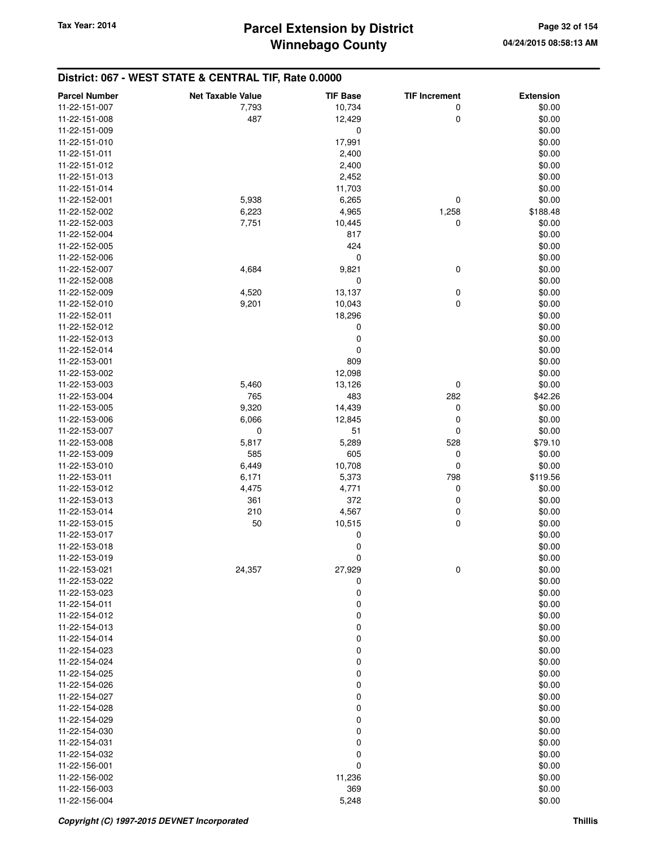| 10,734<br>0<br>\$0.00<br>11-22-151-007<br>7,793<br>\$0.00<br>11-22-151-008<br>487<br>12,429<br>0<br>\$0.00<br>11-22-151-009<br>0<br>17,991<br>\$0.00<br>11-22-151-010<br>\$0.00<br>11-22-151-011<br>2,400<br>\$0.00<br>11-22-151-012<br>2,400<br>\$0.00<br>11-22-151-013<br>2,452<br>\$0.00<br>11,703<br>11-22-151-014<br>5,938<br>0<br>\$0.00<br>6,265<br>11-22-152-001<br>11-22-152-002<br>6,223<br>4,965<br>1,258<br>\$188.48<br>0<br>\$0.00<br>11-22-152-003<br>7,751<br>10,445<br>\$0.00<br>11-22-152-004<br>817<br>\$0.00<br>424<br>11-22-152-005<br>0<br>\$0.00<br>11-22-152-006<br>4,684<br>9,821<br>0<br>\$0.00<br>11-22-152-007<br>0<br>\$0.00<br>11-22-152-008<br>4,520<br>\$0.00<br>11-22-152-009<br>13,137<br>0<br>0<br>\$0.00<br>9,201<br>10,043<br>11-22-152-010<br>18,296<br>\$0.00<br>11-22-152-011<br>\$0.00<br>0<br>11-22-152-012<br>0<br>\$0.00<br>11-22-152-013<br>0<br>\$0.00<br>11-22-152-014<br>809<br>\$0.00<br>11-22-153-001<br>12,098<br>\$0.00<br>11-22-153-002<br>\$0.00<br>5,460<br>13,126<br>0<br>11-22-153-003<br>765<br>483<br>\$42.26<br>11-22-153-004<br>282<br>9,320<br>\$0.00<br>11-22-153-005<br>14,439<br>0<br>0<br>\$0.00<br>6,066<br>12,845<br>11-22-153-006<br>$\mathbf 0$<br>51<br>0<br>\$0.00<br>11-22-153-007<br>5,817<br>5,289<br>528<br>\$79.10<br>11-22-153-008<br>11-22-153-009<br>585<br>605<br>0<br>\$0.00<br>\$0.00<br>11-22-153-010<br>6,449<br>10,708<br>0<br>798<br>\$119.56<br>11-22-153-011<br>6,171<br>5,373<br>4,771<br>0<br>4,475<br>\$0.00<br>11-22-153-012<br>372<br>0<br>361<br>\$0.00<br>11-22-153-013<br>\$0.00<br>11-22-153-014<br>210<br>4,567<br>0<br>0<br>\$0.00<br>11-22-153-015<br>50<br>10,515<br>\$0.00<br>0<br>11-22-153-017<br>0<br>11-22-153-018<br>\$0.00<br>0<br>\$0.00<br>11-22-153-019<br>0<br>\$0.00<br>11-22-153-021<br>24,357<br>27,929<br>\$0.00<br>11-22-153-022<br>0<br>0<br>\$0.00<br>11-22-153-023<br>0<br>11-22-154-011<br>\$0.00<br>0<br>\$0.00<br>11-22-154-012<br>0<br>\$0.00<br>11-22-154-013<br>\$0.00<br>11-22-154-014<br>0<br>0<br>\$0.00<br>11-22-154-023<br>0<br>\$0.00<br>11-22-154-024<br>0<br>\$0.00<br>11-22-154-025<br>0<br>\$0.00<br>11-22-154-026<br>\$0.00<br>11-22-154-027<br>0<br>0<br>\$0.00<br>11-22-154-028<br>0<br>11-22-154-029<br>\$0.00<br>0<br>\$0.00<br>11-22-154-030<br>0<br>\$0.00<br>11-22-154-031<br>\$0.00<br>11-22-154-032<br>0<br>0<br>\$0.00<br>11-22-156-001<br>11,236<br>11-22-156-002<br>\$0.00<br>369<br>\$0.00<br>11-22-156-003<br>11-22-156-004<br>\$0.00<br>5,248 | <b>Parcel Number</b> | <b>Net Taxable Value</b> | <b>TIF Base</b> | <b>TIF Increment</b> | <b>Extension</b> |
|-------------------------------------------------------------------------------------------------------------------------------------------------------------------------------------------------------------------------------------------------------------------------------------------------------------------------------------------------------------------------------------------------------------------------------------------------------------------------------------------------------------------------------------------------------------------------------------------------------------------------------------------------------------------------------------------------------------------------------------------------------------------------------------------------------------------------------------------------------------------------------------------------------------------------------------------------------------------------------------------------------------------------------------------------------------------------------------------------------------------------------------------------------------------------------------------------------------------------------------------------------------------------------------------------------------------------------------------------------------------------------------------------------------------------------------------------------------------------------------------------------------------------------------------------------------------------------------------------------------------------------------------------------------------------------------------------------------------------------------------------------------------------------------------------------------------------------------------------------------------------------------------------------------------------------------------------------------------------------------------------------------------------------------------------------------------------------------------------------------------------------------------------------------------------------------------------------------------------------------------------------------------------------------------------------------------------------------------------------------------------------------------------------------------------------------------------------------------------------------------------------|----------------------|--------------------------|-----------------|----------------------|------------------|
|                                                                                                                                                                                                                                                                                                                                                                                                                                                                                                                                                                                                                                                                                                                                                                                                                                                                                                                                                                                                                                                                                                                                                                                                                                                                                                                                                                                                                                                                                                                                                                                                                                                                                                                                                                                                                                                                                                                                                                                                                                                                                                                                                                                                                                                                                                                                                                                                                                                                                                       |                      |                          |                 |                      |                  |
|                                                                                                                                                                                                                                                                                                                                                                                                                                                                                                                                                                                                                                                                                                                                                                                                                                                                                                                                                                                                                                                                                                                                                                                                                                                                                                                                                                                                                                                                                                                                                                                                                                                                                                                                                                                                                                                                                                                                                                                                                                                                                                                                                                                                                                                                                                                                                                                                                                                                                                       |                      |                          |                 |                      |                  |
|                                                                                                                                                                                                                                                                                                                                                                                                                                                                                                                                                                                                                                                                                                                                                                                                                                                                                                                                                                                                                                                                                                                                                                                                                                                                                                                                                                                                                                                                                                                                                                                                                                                                                                                                                                                                                                                                                                                                                                                                                                                                                                                                                                                                                                                                                                                                                                                                                                                                                                       |                      |                          |                 |                      |                  |
|                                                                                                                                                                                                                                                                                                                                                                                                                                                                                                                                                                                                                                                                                                                                                                                                                                                                                                                                                                                                                                                                                                                                                                                                                                                                                                                                                                                                                                                                                                                                                                                                                                                                                                                                                                                                                                                                                                                                                                                                                                                                                                                                                                                                                                                                                                                                                                                                                                                                                                       |                      |                          |                 |                      |                  |
|                                                                                                                                                                                                                                                                                                                                                                                                                                                                                                                                                                                                                                                                                                                                                                                                                                                                                                                                                                                                                                                                                                                                                                                                                                                                                                                                                                                                                                                                                                                                                                                                                                                                                                                                                                                                                                                                                                                                                                                                                                                                                                                                                                                                                                                                                                                                                                                                                                                                                                       |                      |                          |                 |                      |                  |
|                                                                                                                                                                                                                                                                                                                                                                                                                                                                                                                                                                                                                                                                                                                                                                                                                                                                                                                                                                                                                                                                                                                                                                                                                                                                                                                                                                                                                                                                                                                                                                                                                                                                                                                                                                                                                                                                                                                                                                                                                                                                                                                                                                                                                                                                                                                                                                                                                                                                                                       |                      |                          |                 |                      |                  |
|                                                                                                                                                                                                                                                                                                                                                                                                                                                                                                                                                                                                                                                                                                                                                                                                                                                                                                                                                                                                                                                                                                                                                                                                                                                                                                                                                                                                                                                                                                                                                                                                                                                                                                                                                                                                                                                                                                                                                                                                                                                                                                                                                                                                                                                                                                                                                                                                                                                                                                       |                      |                          |                 |                      |                  |
|                                                                                                                                                                                                                                                                                                                                                                                                                                                                                                                                                                                                                                                                                                                                                                                                                                                                                                                                                                                                                                                                                                                                                                                                                                                                                                                                                                                                                                                                                                                                                                                                                                                                                                                                                                                                                                                                                                                                                                                                                                                                                                                                                                                                                                                                                                                                                                                                                                                                                                       |                      |                          |                 |                      |                  |
|                                                                                                                                                                                                                                                                                                                                                                                                                                                                                                                                                                                                                                                                                                                                                                                                                                                                                                                                                                                                                                                                                                                                                                                                                                                                                                                                                                                                                                                                                                                                                                                                                                                                                                                                                                                                                                                                                                                                                                                                                                                                                                                                                                                                                                                                                                                                                                                                                                                                                                       |                      |                          |                 |                      |                  |
|                                                                                                                                                                                                                                                                                                                                                                                                                                                                                                                                                                                                                                                                                                                                                                                                                                                                                                                                                                                                                                                                                                                                                                                                                                                                                                                                                                                                                                                                                                                                                                                                                                                                                                                                                                                                                                                                                                                                                                                                                                                                                                                                                                                                                                                                                                                                                                                                                                                                                                       |                      |                          |                 |                      |                  |
|                                                                                                                                                                                                                                                                                                                                                                                                                                                                                                                                                                                                                                                                                                                                                                                                                                                                                                                                                                                                                                                                                                                                                                                                                                                                                                                                                                                                                                                                                                                                                                                                                                                                                                                                                                                                                                                                                                                                                                                                                                                                                                                                                                                                                                                                                                                                                                                                                                                                                                       |                      |                          |                 |                      |                  |
|                                                                                                                                                                                                                                                                                                                                                                                                                                                                                                                                                                                                                                                                                                                                                                                                                                                                                                                                                                                                                                                                                                                                                                                                                                                                                                                                                                                                                                                                                                                                                                                                                                                                                                                                                                                                                                                                                                                                                                                                                                                                                                                                                                                                                                                                                                                                                                                                                                                                                                       |                      |                          |                 |                      |                  |
|                                                                                                                                                                                                                                                                                                                                                                                                                                                                                                                                                                                                                                                                                                                                                                                                                                                                                                                                                                                                                                                                                                                                                                                                                                                                                                                                                                                                                                                                                                                                                                                                                                                                                                                                                                                                                                                                                                                                                                                                                                                                                                                                                                                                                                                                                                                                                                                                                                                                                                       |                      |                          |                 |                      |                  |
|                                                                                                                                                                                                                                                                                                                                                                                                                                                                                                                                                                                                                                                                                                                                                                                                                                                                                                                                                                                                                                                                                                                                                                                                                                                                                                                                                                                                                                                                                                                                                                                                                                                                                                                                                                                                                                                                                                                                                                                                                                                                                                                                                                                                                                                                                                                                                                                                                                                                                                       |                      |                          |                 |                      |                  |
|                                                                                                                                                                                                                                                                                                                                                                                                                                                                                                                                                                                                                                                                                                                                                                                                                                                                                                                                                                                                                                                                                                                                                                                                                                                                                                                                                                                                                                                                                                                                                                                                                                                                                                                                                                                                                                                                                                                                                                                                                                                                                                                                                                                                                                                                                                                                                                                                                                                                                                       |                      |                          |                 |                      |                  |
|                                                                                                                                                                                                                                                                                                                                                                                                                                                                                                                                                                                                                                                                                                                                                                                                                                                                                                                                                                                                                                                                                                                                                                                                                                                                                                                                                                                                                                                                                                                                                                                                                                                                                                                                                                                                                                                                                                                                                                                                                                                                                                                                                                                                                                                                                                                                                                                                                                                                                                       |                      |                          |                 |                      |                  |
|                                                                                                                                                                                                                                                                                                                                                                                                                                                                                                                                                                                                                                                                                                                                                                                                                                                                                                                                                                                                                                                                                                                                                                                                                                                                                                                                                                                                                                                                                                                                                                                                                                                                                                                                                                                                                                                                                                                                                                                                                                                                                                                                                                                                                                                                                                                                                                                                                                                                                                       |                      |                          |                 |                      |                  |
|                                                                                                                                                                                                                                                                                                                                                                                                                                                                                                                                                                                                                                                                                                                                                                                                                                                                                                                                                                                                                                                                                                                                                                                                                                                                                                                                                                                                                                                                                                                                                                                                                                                                                                                                                                                                                                                                                                                                                                                                                                                                                                                                                                                                                                                                                                                                                                                                                                                                                                       |                      |                          |                 |                      |                  |
|                                                                                                                                                                                                                                                                                                                                                                                                                                                                                                                                                                                                                                                                                                                                                                                                                                                                                                                                                                                                                                                                                                                                                                                                                                                                                                                                                                                                                                                                                                                                                                                                                                                                                                                                                                                                                                                                                                                                                                                                                                                                                                                                                                                                                                                                                                                                                                                                                                                                                                       |                      |                          |                 |                      |                  |
|                                                                                                                                                                                                                                                                                                                                                                                                                                                                                                                                                                                                                                                                                                                                                                                                                                                                                                                                                                                                                                                                                                                                                                                                                                                                                                                                                                                                                                                                                                                                                                                                                                                                                                                                                                                                                                                                                                                                                                                                                                                                                                                                                                                                                                                                                                                                                                                                                                                                                                       |                      |                          |                 |                      |                  |
|                                                                                                                                                                                                                                                                                                                                                                                                                                                                                                                                                                                                                                                                                                                                                                                                                                                                                                                                                                                                                                                                                                                                                                                                                                                                                                                                                                                                                                                                                                                                                                                                                                                                                                                                                                                                                                                                                                                                                                                                                                                                                                                                                                                                                                                                                                                                                                                                                                                                                                       |                      |                          |                 |                      |                  |
|                                                                                                                                                                                                                                                                                                                                                                                                                                                                                                                                                                                                                                                                                                                                                                                                                                                                                                                                                                                                                                                                                                                                                                                                                                                                                                                                                                                                                                                                                                                                                                                                                                                                                                                                                                                                                                                                                                                                                                                                                                                                                                                                                                                                                                                                                                                                                                                                                                                                                                       |                      |                          |                 |                      |                  |
|                                                                                                                                                                                                                                                                                                                                                                                                                                                                                                                                                                                                                                                                                                                                                                                                                                                                                                                                                                                                                                                                                                                                                                                                                                                                                                                                                                                                                                                                                                                                                                                                                                                                                                                                                                                                                                                                                                                                                                                                                                                                                                                                                                                                                                                                                                                                                                                                                                                                                                       |                      |                          |                 |                      |                  |
|                                                                                                                                                                                                                                                                                                                                                                                                                                                                                                                                                                                                                                                                                                                                                                                                                                                                                                                                                                                                                                                                                                                                                                                                                                                                                                                                                                                                                                                                                                                                                                                                                                                                                                                                                                                                                                                                                                                                                                                                                                                                                                                                                                                                                                                                                                                                                                                                                                                                                                       |                      |                          |                 |                      |                  |
|                                                                                                                                                                                                                                                                                                                                                                                                                                                                                                                                                                                                                                                                                                                                                                                                                                                                                                                                                                                                                                                                                                                                                                                                                                                                                                                                                                                                                                                                                                                                                                                                                                                                                                                                                                                                                                                                                                                                                                                                                                                                                                                                                                                                                                                                                                                                                                                                                                                                                                       |                      |                          |                 |                      |                  |
|                                                                                                                                                                                                                                                                                                                                                                                                                                                                                                                                                                                                                                                                                                                                                                                                                                                                                                                                                                                                                                                                                                                                                                                                                                                                                                                                                                                                                                                                                                                                                                                                                                                                                                                                                                                                                                                                                                                                                                                                                                                                                                                                                                                                                                                                                                                                                                                                                                                                                                       |                      |                          |                 |                      |                  |
|                                                                                                                                                                                                                                                                                                                                                                                                                                                                                                                                                                                                                                                                                                                                                                                                                                                                                                                                                                                                                                                                                                                                                                                                                                                                                                                                                                                                                                                                                                                                                                                                                                                                                                                                                                                                                                                                                                                                                                                                                                                                                                                                                                                                                                                                                                                                                                                                                                                                                                       |                      |                          |                 |                      |                  |
|                                                                                                                                                                                                                                                                                                                                                                                                                                                                                                                                                                                                                                                                                                                                                                                                                                                                                                                                                                                                                                                                                                                                                                                                                                                                                                                                                                                                                                                                                                                                                                                                                                                                                                                                                                                                                                                                                                                                                                                                                                                                                                                                                                                                                                                                                                                                                                                                                                                                                                       |                      |                          |                 |                      |                  |
|                                                                                                                                                                                                                                                                                                                                                                                                                                                                                                                                                                                                                                                                                                                                                                                                                                                                                                                                                                                                                                                                                                                                                                                                                                                                                                                                                                                                                                                                                                                                                                                                                                                                                                                                                                                                                                                                                                                                                                                                                                                                                                                                                                                                                                                                                                                                                                                                                                                                                                       |                      |                          |                 |                      |                  |
|                                                                                                                                                                                                                                                                                                                                                                                                                                                                                                                                                                                                                                                                                                                                                                                                                                                                                                                                                                                                                                                                                                                                                                                                                                                                                                                                                                                                                                                                                                                                                                                                                                                                                                                                                                                                                                                                                                                                                                                                                                                                                                                                                                                                                                                                                                                                                                                                                                                                                                       |                      |                          |                 |                      |                  |
|                                                                                                                                                                                                                                                                                                                                                                                                                                                                                                                                                                                                                                                                                                                                                                                                                                                                                                                                                                                                                                                                                                                                                                                                                                                                                                                                                                                                                                                                                                                                                                                                                                                                                                                                                                                                                                                                                                                                                                                                                                                                                                                                                                                                                                                                                                                                                                                                                                                                                                       |                      |                          |                 |                      |                  |
|                                                                                                                                                                                                                                                                                                                                                                                                                                                                                                                                                                                                                                                                                                                                                                                                                                                                                                                                                                                                                                                                                                                                                                                                                                                                                                                                                                                                                                                                                                                                                                                                                                                                                                                                                                                                                                                                                                                                                                                                                                                                                                                                                                                                                                                                                                                                                                                                                                                                                                       |                      |                          |                 |                      |                  |
|                                                                                                                                                                                                                                                                                                                                                                                                                                                                                                                                                                                                                                                                                                                                                                                                                                                                                                                                                                                                                                                                                                                                                                                                                                                                                                                                                                                                                                                                                                                                                                                                                                                                                                                                                                                                                                                                                                                                                                                                                                                                                                                                                                                                                                                                                                                                                                                                                                                                                                       |                      |                          |                 |                      |                  |
|                                                                                                                                                                                                                                                                                                                                                                                                                                                                                                                                                                                                                                                                                                                                                                                                                                                                                                                                                                                                                                                                                                                                                                                                                                                                                                                                                                                                                                                                                                                                                                                                                                                                                                                                                                                                                                                                                                                                                                                                                                                                                                                                                                                                                                                                                                                                                                                                                                                                                                       |                      |                          |                 |                      |                  |
|                                                                                                                                                                                                                                                                                                                                                                                                                                                                                                                                                                                                                                                                                                                                                                                                                                                                                                                                                                                                                                                                                                                                                                                                                                                                                                                                                                                                                                                                                                                                                                                                                                                                                                                                                                                                                                                                                                                                                                                                                                                                                                                                                                                                                                                                                                                                                                                                                                                                                                       |                      |                          |                 |                      |                  |
|                                                                                                                                                                                                                                                                                                                                                                                                                                                                                                                                                                                                                                                                                                                                                                                                                                                                                                                                                                                                                                                                                                                                                                                                                                                                                                                                                                                                                                                                                                                                                                                                                                                                                                                                                                                                                                                                                                                                                                                                                                                                                                                                                                                                                                                                                                                                                                                                                                                                                                       |                      |                          |                 |                      |                  |
|                                                                                                                                                                                                                                                                                                                                                                                                                                                                                                                                                                                                                                                                                                                                                                                                                                                                                                                                                                                                                                                                                                                                                                                                                                                                                                                                                                                                                                                                                                                                                                                                                                                                                                                                                                                                                                                                                                                                                                                                                                                                                                                                                                                                                                                                                                                                                                                                                                                                                                       |                      |                          |                 |                      |                  |
|                                                                                                                                                                                                                                                                                                                                                                                                                                                                                                                                                                                                                                                                                                                                                                                                                                                                                                                                                                                                                                                                                                                                                                                                                                                                                                                                                                                                                                                                                                                                                                                                                                                                                                                                                                                                                                                                                                                                                                                                                                                                                                                                                                                                                                                                                                                                                                                                                                                                                                       |                      |                          |                 |                      |                  |
|                                                                                                                                                                                                                                                                                                                                                                                                                                                                                                                                                                                                                                                                                                                                                                                                                                                                                                                                                                                                                                                                                                                                                                                                                                                                                                                                                                                                                                                                                                                                                                                                                                                                                                                                                                                                                                                                                                                                                                                                                                                                                                                                                                                                                                                                                                                                                                                                                                                                                                       |                      |                          |                 |                      |                  |
|                                                                                                                                                                                                                                                                                                                                                                                                                                                                                                                                                                                                                                                                                                                                                                                                                                                                                                                                                                                                                                                                                                                                                                                                                                                                                                                                                                                                                                                                                                                                                                                                                                                                                                                                                                                                                                                                                                                                                                                                                                                                                                                                                                                                                                                                                                                                                                                                                                                                                                       |                      |                          |                 |                      |                  |
|                                                                                                                                                                                                                                                                                                                                                                                                                                                                                                                                                                                                                                                                                                                                                                                                                                                                                                                                                                                                                                                                                                                                                                                                                                                                                                                                                                                                                                                                                                                                                                                                                                                                                                                                                                                                                                                                                                                                                                                                                                                                                                                                                                                                                                                                                                                                                                                                                                                                                                       |                      |                          |                 |                      |                  |
|                                                                                                                                                                                                                                                                                                                                                                                                                                                                                                                                                                                                                                                                                                                                                                                                                                                                                                                                                                                                                                                                                                                                                                                                                                                                                                                                                                                                                                                                                                                                                                                                                                                                                                                                                                                                                                                                                                                                                                                                                                                                                                                                                                                                                                                                                                                                                                                                                                                                                                       |                      |                          |                 |                      |                  |
|                                                                                                                                                                                                                                                                                                                                                                                                                                                                                                                                                                                                                                                                                                                                                                                                                                                                                                                                                                                                                                                                                                                                                                                                                                                                                                                                                                                                                                                                                                                                                                                                                                                                                                                                                                                                                                                                                                                                                                                                                                                                                                                                                                                                                                                                                                                                                                                                                                                                                                       |                      |                          |                 |                      |                  |
|                                                                                                                                                                                                                                                                                                                                                                                                                                                                                                                                                                                                                                                                                                                                                                                                                                                                                                                                                                                                                                                                                                                                                                                                                                                                                                                                                                                                                                                                                                                                                                                                                                                                                                                                                                                                                                                                                                                                                                                                                                                                                                                                                                                                                                                                                                                                                                                                                                                                                                       |                      |                          |                 |                      |                  |
|                                                                                                                                                                                                                                                                                                                                                                                                                                                                                                                                                                                                                                                                                                                                                                                                                                                                                                                                                                                                                                                                                                                                                                                                                                                                                                                                                                                                                                                                                                                                                                                                                                                                                                                                                                                                                                                                                                                                                                                                                                                                                                                                                                                                                                                                                                                                                                                                                                                                                                       |                      |                          |                 |                      |                  |
|                                                                                                                                                                                                                                                                                                                                                                                                                                                                                                                                                                                                                                                                                                                                                                                                                                                                                                                                                                                                                                                                                                                                                                                                                                                                                                                                                                                                                                                                                                                                                                                                                                                                                                                                                                                                                                                                                                                                                                                                                                                                                                                                                                                                                                                                                                                                                                                                                                                                                                       |                      |                          |                 |                      |                  |
|                                                                                                                                                                                                                                                                                                                                                                                                                                                                                                                                                                                                                                                                                                                                                                                                                                                                                                                                                                                                                                                                                                                                                                                                                                                                                                                                                                                                                                                                                                                                                                                                                                                                                                                                                                                                                                                                                                                                                                                                                                                                                                                                                                                                                                                                                                                                                                                                                                                                                                       |                      |                          |                 |                      |                  |
|                                                                                                                                                                                                                                                                                                                                                                                                                                                                                                                                                                                                                                                                                                                                                                                                                                                                                                                                                                                                                                                                                                                                                                                                                                                                                                                                                                                                                                                                                                                                                                                                                                                                                                                                                                                                                                                                                                                                                                                                                                                                                                                                                                                                                                                                                                                                                                                                                                                                                                       |                      |                          |                 |                      |                  |
|                                                                                                                                                                                                                                                                                                                                                                                                                                                                                                                                                                                                                                                                                                                                                                                                                                                                                                                                                                                                                                                                                                                                                                                                                                                                                                                                                                                                                                                                                                                                                                                                                                                                                                                                                                                                                                                                                                                                                                                                                                                                                                                                                                                                                                                                                                                                                                                                                                                                                                       |                      |                          |                 |                      |                  |
|                                                                                                                                                                                                                                                                                                                                                                                                                                                                                                                                                                                                                                                                                                                                                                                                                                                                                                                                                                                                                                                                                                                                                                                                                                                                                                                                                                                                                                                                                                                                                                                                                                                                                                                                                                                                                                                                                                                                                                                                                                                                                                                                                                                                                                                                                                                                                                                                                                                                                                       |                      |                          |                 |                      |                  |
|                                                                                                                                                                                                                                                                                                                                                                                                                                                                                                                                                                                                                                                                                                                                                                                                                                                                                                                                                                                                                                                                                                                                                                                                                                                                                                                                                                                                                                                                                                                                                                                                                                                                                                                                                                                                                                                                                                                                                                                                                                                                                                                                                                                                                                                                                                                                                                                                                                                                                                       |                      |                          |                 |                      |                  |
|                                                                                                                                                                                                                                                                                                                                                                                                                                                                                                                                                                                                                                                                                                                                                                                                                                                                                                                                                                                                                                                                                                                                                                                                                                                                                                                                                                                                                                                                                                                                                                                                                                                                                                                                                                                                                                                                                                                                                                                                                                                                                                                                                                                                                                                                                                                                                                                                                                                                                                       |                      |                          |                 |                      |                  |
|                                                                                                                                                                                                                                                                                                                                                                                                                                                                                                                                                                                                                                                                                                                                                                                                                                                                                                                                                                                                                                                                                                                                                                                                                                                                                                                                                                                                                                                                                                                                                                                                                                                                                                                                                                                                                                                                                                                                                                                                                                                                                                                                                                                                                                                                                                                                                                                                                                                                                                       |                      |                          |                 |                      |                  |
|                                                                                                                                                                                                                                                                                                                                                                                                                                                                                                                                                                                                                                                                                                                                                                                                                                                                                                                                                                                                                                                                                                                                                                                                                                                                                                                                                                                                                                                                                                                                                                                                                                                                                                                                                                                                                                                                                                                                                                                                                                                                                                                                                                                                                                                                                                                                                                                                                                                                                                       |                      |                          |                 |                      |                  |
|                                                                                                                                                                                                                                                                                                                                                                                                                                                                                                                                                                                                                                                                                                                                                                                                                                                                                                                                                                                                                                                                                                                                                                                                                                                                                                                                                                                                                                                                                                                                                                                                                                                                                                                                                                                                                                                                                                                                                                                                                                                                                                                                                                                                                                                                                                                                                                                                                                                                                                       |                      |                          |                 |                      |                  |
|                                                                                                                                                                                                                                                                                                                                                                                                                                                                                                                                                                                                                                                                                                                                                                                                                                                                                                                                                                                                                                                                                                                                                                                                                                                                                                                                                                                                                                                                                                                                                                                                                                                                                                                                                                                                                                                                                                                                                                                                                                                                                                                                                                                                                                                                                                                                                                                                                                                                                                       |                      |                          |                 |                      |                  |
|                                                                                                                                                                                                                                                                                                                                                                                                                                                                                                                                                                                                                                                                                                                                                                                                                                                                                                                                                                                                                                                                                                                                                                                                                                                                                                                                                                                                                                                                                                                                                                                                                                                                                                                                                                                                                                                                                                                                                                                                                                                                                                                                                                                                                                                                                                                                                                                                                                                                                                       |                      |                          |                 |                      |                  |
|                                                                                                                                                                                                                                                                                                                                                                                                                                                                                                                                                                                                                                                                                                                                                                                                                                                                                                                                                                                                                                                                                                                                                                                                                                                                                                                                                                                                                                                                                                                                                                                                                                                                                                                                                                                                                                                                                                                                                                                                                                                                                                                                                                                                                                                                                                                                                                                                                                                                                                       |                      |                          |                 |                      |                  |
|                                                                                                                                                                                                                                                                                                                                                                                                                                                                                                                                                                                                                                                                                                                                                                                                                                                                                                                                                                                                                                                                                                                                                                                                                                                                                                                                                                                                                                                                                                                                                                                                                                                                                                                                                                                                                                                                                                                                                                                                                                                                                                                                                                                                                                                                                                                                                                                                                                                                                                       |                      |                          |                 |                      |                  |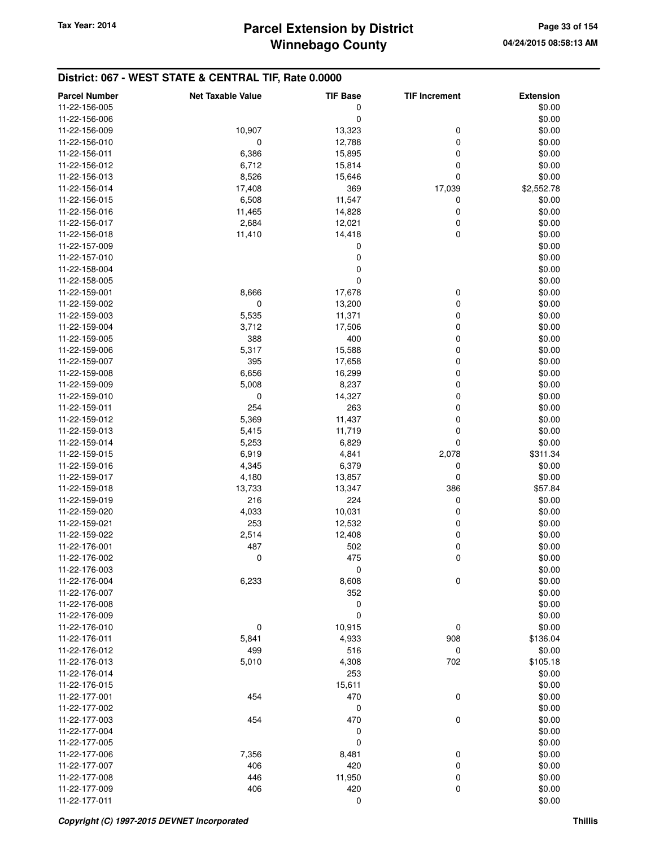| <b>Parcel Number</b> | <b>Net Taxable Value</b> | <b>TIF Base</b> | <b>TIF Increment</b> | <b>Extension</b> |
|----------------------|--------------------------|-----------------|----------------------|------------------|
| 11-22-156-005        |                          | 0               |                      | \$0.00           |
| 11-22-156-006        |                          | 0               |                      | \$0.00           |
| 11-22-156-009        | 10,907                   | 13,323          | 0                    | \$0.00           |
|                      |                          |                 |                      |                  |
| 11-22-156-010        | 0                        | 12,788          | 0                    | \$0.00           |
| 11-22-156-011        | 6,386                    | 15,895          | 0                    | \$0.00           |
| 11-22-156-012        | 6,712                    | 15,814          | 0                    | \$0.00           |
| 11-22-156-013        | 8,526                    | 15,646          | 0                    | \$0.00           |
| 11-22-156-014        | 17,408                   | 369             | 17,039               | \$2,552.78       |
| 11-22-156-015        | 6,508                    | 11,547          | 0                    | \$0.00           |
| 11-22-156-016        | 11,465                   | 14,828          | 0                    | \$0.00           |
| 11-22-156-017        | 2,684                    | 12,021          | 0                    | \$0.00           |
| 11-22-156-018        | 11,410                   | 14,418          | 0                    | \$0.00           |
| 11-22-157-009        |                          | 0               |                      | \$0.00           |
| 11-22-157-010        |                          | 0               |                      | \$0.00           |
| 11-22-158-004        |                          | 0               |                      | \$0.00           |
| 11-22-158-005        |                          | 0               |                      | \$0.00           |
| 11-22-159-001        | 8,666                    | 17,678          | 0                    | \$0.00           |
| 11-22-159-002        | 0                        | 13,200          | 0                    | \$0.00           |
| 11-22-159-003        | 5,535                    | 11,371          | 0                    | \$0.00           |
|                      |                          |                 |                      | \$0.00           |
| 11-22-159-004        | 3,712                    | 17,506          | 0                    |                  |
| 11-22-159-005        | 388                      | 400             | 0                    | \$0.00           |
| 11-22-159-006        | 5,317                    | 15,588          | 0                    | \$0.00           |
| 11-22-159-007        | 395                      | 17,658          | 0                    | \$0.00           |
| 11-22-159-008        | 6,656                    | 16,299          | 0                    | \$0.00           |
| 11-22-159-009        | 5,008                    | 8,237           | 0                    | \$0.00           |
| 11-22-159-010        | 0                        | 14,327          | 0                    | \$0.00           |
| 11-22-159-011        | 254                      | 263             | 0                    | \$0.00           |
| 11-22-159-012        | 5,369                    | 11,437          | 0                    | \$0.00           |
| 11-22-159-013        | 5,415                    | 11,719          | 0                    | \$0.00           |
| 11-22-159-014        | 5,253                    | 6,829           | 0                    | \$0.00           |
| 11-22-159-015        | 6,919                    | 4,841           | 2,078                | \$311.34         |
| 11-22-159-016        | 4,345                    | 6,379           | 0                    | \$0.00           |
| 11-22-159-017        | 4,180                    | 13,857          | 0                    | \$0.00           |
| 11-22-159-018        | 13,733                   | 13,347          | 386                  | \$57.84          |
| 11-22-159-019        | 216                      | 224             | 0                    | \$0.00           |
| 11-22-159-020        | 4,033                    | 10,031          | 0                    | \$0.00           |
|                      |                          |                 |                      |                  |
| 11-22-159-021        | 253                      | 12,532          | 0                    | \$0.00           |
| 11-22-159-022        | 2,514                    | 12,408          | 0                    | \$0.00           |
| 11-22-176-001        | 487                      | 502             | 0                    | \$0.00           |
| 11-22-176-002        | 0                        | 475             | 0                    | \$0.00           |
| 11-22-176-003        |                          | $\pmb{0}$       |                      | \$0.00           |
| 11-22-176-004        | 6,233                    | 8,608           | 0                    | \$0.00           |
| 11-22-176-007        |                          | 352             |                      | \$0.00           |
| 11-22-176-008        |                          | 0               |                      | \$0.00           |
| 11-22-176-009        |                          | 0               |                      | \$0.00           |
| 11-22-176-010        | 0                        | 10,915          | 0                    | \$0.00           |
| 11-22-176-011        | 5,841                    | 4,933           | 908                  | \$136.04         |
| 11-22-176-012        | 499                      | 516             | 0                    | \$0.00           |
| 11-22-176-013        | 5,010                    | 4,308           | 702                  | \$105.18         |
| 11-22-176-014        |                          | 253             |                      | \$0.00           |
| 11-22-176-015        |                          | 15,611          |                      | \$0.00           |
| 11-22-177-001        | 454                      | 470             | 0                    | \$0.00           |
| 11-22-177-002        |                          | 0               |                      | \$0.00           |
| 11-22-177-003        | 454                      | 470             | 0                    | \$0.00           |
|                      |                          |                 |                      |                  |
| 11-22-177-004        |                          | 0               |                      | \$0.00           |
| 11-22-177-005        |                          | 0               |                      | \$0.00           |
| 11-22-177-006        | 7,356                    | 8,481           | 0                    | \$0.00           |
| 11-22-177-007        | 406                      | 420             | 0                    | \$0.00           |
| 11-22-177-008        | 446                      | 11,950          | 0                    | \$0.00           |
| 11-22-177-009        | 406                      | 420             | 0                    | \$0.00           |
| 11-22-177-011        |                          | 0               |                      | \$0.00           |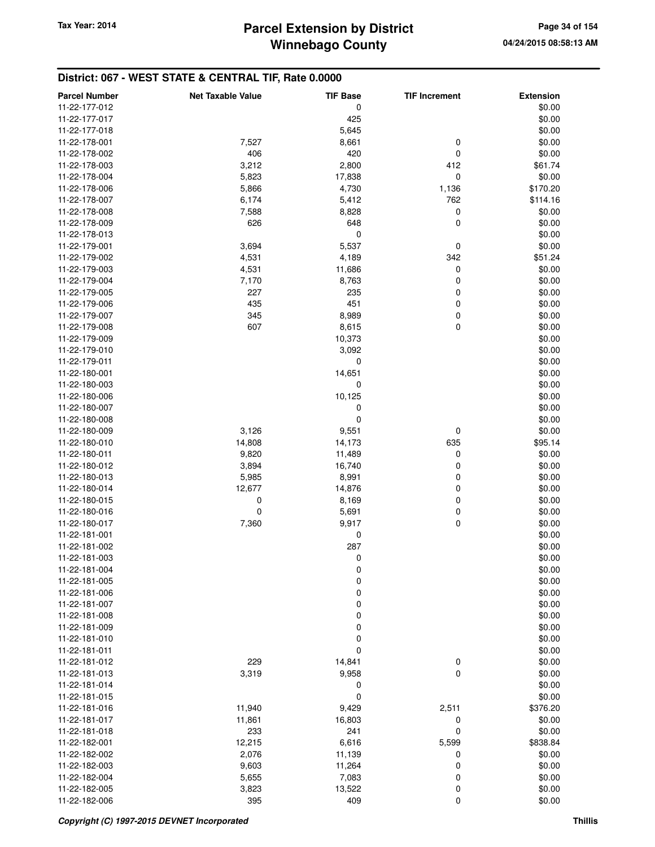## **Winnebago County** Tax Year: 2014 **Parcel Extension by District Page 34 of 154**

| <b>Parcel Number</b> | <b>Net Taxable Value</b> | <b>TIF Base</b>  | <b>TIF Increment</b> | <b>Extension</b> |
|----------------------|--------------------------|------------------|----------------------|------------------|
| 11-22-177-012        |                          | 0                |                      | \$0.00           |
| 11-22-177-017        |                          | 425              |                      | \$0.00           |
| 11-22-177-018        |                          | 5,645            |                      | \$0.00           |
| 11-22-178-001        | 7,527                    | 8,661            | 0                    | \$0.00           |
| 11-22-178-002        | 406                      | 420              | 0                    | \$0.00           |
| 11-22-178-003        | 3,212                    | 2,800            | 412                  | \$61.74          |
| 11-22-178-004        | 5,823                    | 17,838           | $\mathbf 0$          | \$0.00           |
| 11-22-178-006        | 5,866                    | 4,730            | 1,136                | \$170.20         |
|                      |                          |                  | 762                  |                  |
| 11-22-178-007        | 6,174                    | 5,412            |                      | \$114.16         |
| 11-22-178-008        | 7,588                    | 8,828            | 0                    | \$0.00           |
| 11-22-178-009        | 626                      | 648              | 0                    | \$0.00           |
| 11-22-178-013        |                          | $\mathbf 0$      |                      | \$0.00           |
| 11-22-179-001        | 3,694                    | 5,537            | 0                    | \$0.00           |
| 11-22-179-002        | 4,531                    | 4,189            | 342                  | \$51.24          |
| 11-22-179-003        | 4,531                    | 11,686           | 0                    | \$0.00           |
| 11-22-179-004        | 7,170                    | 8,763            | 0                    | \$0.00           |
| 11-22-179-005        | 227                      | 235              | 0                    | \$0.00           |
| 11-22-179-006        | 435                      | 451              | 0                    | \$0.00           |
| 11-22-179-007        | 345                      | 8,989            | 0                    | \$0.00           |
| 11-22-179-008        | 607                      | 8,615            | $\mathbf 0$          | \$0.00           |
| 11-22-179-009        |                          | 10,373           |                      | \$0.00           |
| 11-22-179-010        |                          | 3,092            |                      | \$0.00           |
| 11-22-179-011        |                          | 0                |                      | \$0.00           |
| 11-22-180-001        |                          | 14,651           |                      | \$0.00           |
| 11-22-180-003        |                          | 0                |                      | \$0.00           |
| 11-22-180-006        |                          | 10,125           |                      | \$0.00           |
| 11-22-180-007        |                          | 0                |                      | \$0.00           |
| 11-22-180-008        |                          | $\mathbf 0$      |                      | \$0.00           |
| 11-22-180-009        | 3,126                    | 9,551            | 0                    | \$0.00           |
| 11-22-180-010        | 14,808                   | 14,173           | 635                  | \$95.14          |
| 11-22-180-011        | 9,820                    | 11,489           | 0                    | \$0.00           |
| 11-22-180-012        | 3,894                    | 16,740           | 0                    | \$0.00           |
| 11-22-180-013        | 5,985                    | 8,991            | 0                    | \$0.00           |
| 11-22-180-014        | 12,677                   | 14,876           | 0                    | \$0.00           |
| 11-22-180-015        | 0                        | 8,169            | 0                    | \$0.00           |
| 11-22-180-016        | 0                        | 5,691            | 0                    | \$0.00           |
| 11-22-180-017        | 7,360                    | 9,917            | $\pmb{0}$            | \$0.00           |
| 11-22-181-001        |                          | 0                |                      | \$0.00           |
| 11-22-181-002        |                          | 287              |                      | \$0.00           |
| 11-22-181-003        |                          | 0                |                      | \$0.00           |
| 11-22-181-004        |                          | 0                |                      | \$0.00           |
| 11-22-181-005        |                          | $\mathbf 0$      |                      | \$0.00           |
| 11-22-181-006        |                          | $\mathbf 0$      |                      | \$0.00           |
| 11-22-181-007        |                          | $\boldsymbol{0}$ |                      | \$0.00           |
| 11-22-181-008        |                          | $\boldsymbol{0}$ |                      | \$0.00           |
| 11-22-181-009        |                          | 0                |                      | \$0.00           |
| 11-22-181-010        |                          | $\boldsymbol{0}$ |                      | \$0.00           |
| 11-22-181-011        |                          | $\mathbf 0$      |                      | \$0.00           |
| 11-22-181-012        | 229                      |                  |                      | \$0.00           |
|                      |                          | 14,841           | 0<br>$\mathbf 0$     | \$0.00           |
| 11-22-181-013        | 3,319                    | 9,958            |                      |                  |
| 11-22-181-014        |                          | 0                |                      | \$0.00           |
| 11-22-181-015        |                          | $\mathbf 0$      |                      | \$0.00           |
| 11-22-181-016        | 11,940                   | 9,429            | 2,511                | \$376.20         |
| 11-22-181-017        | 11,861                   | 16,803           | 0                    | \$0.00           |
| 11-22-181-018        | 233                      | 241              | 0                    | \$0.00           |
| 11-22-182-001        | 12,215                   | 6,616            | 5,599                | \$838.84         |
| 11-22-182-002        | 2,076                    | 11,139           | 0                    | \$0.00           |
| 11-22-182-003        | 9,603                    | 11,264           | 0                    | \$0.00           |
| 11-22-182-004        | 5,655                    | 7,083            | 0                    | \$0.00           |
| 11-22-182-005        | 3,823                    | 13,522           | 0                    | \$0.00           |
| 11-22-182-006        | 395                      | 409              | $\mathbf 0$          | \$0.00           |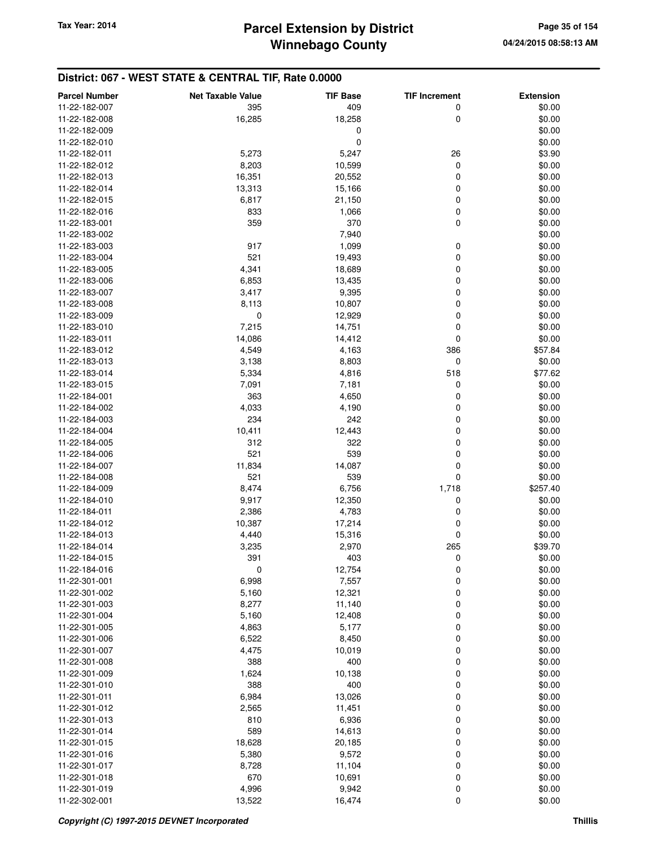| <b>Parcel Number</b>           | <b>Net Taxable Value</b> | <b>TIF Base</b> | <b>TIF Increment</b> | <b>Extension</b> |
|--------------------------------|--------------------------|-----------------|----------------------|------------------|
| 11-22-182-007                  | 395                      | 409             | 0                    | \$0.00           |
| 11-22-182-008                  | 16,285                   | 18,258          | 0                    | \$0.00           |
| 11-22-182-009                  |                          | 0               |                      | \$0.00           |
| 11-22-182-010                  |                          | 0               |                      | \$0.00           |
| 11-22-182-011                  | 5,273                    | 5,247           | 26                   | \$3.90           |
| 11-22-182-012                  | 8,203                    | 10,599          | 0                    | \$0.00           |
| 11-22-182-013                  | 16,351                   | 20,552          | 0                    | \$0.00           |
| 11-22-182-014                  | 13,313                   | 15,166          | 0                    | \$0.00           |
| 11-22-182-015                  | 6,817                    | 21,150          | 0                    | \$0.00           |
| 11-22-182-016                  | 833                      | 1,066           | 0                    | \$0.00           |
| 11-22-183-001                  | 359                      | 370             | 0                    | \$0.00           |
| 11-22-183-002                  |                          | 7,940           |                      | \$0.00           |
| 11-22-183-003                  | 917                      | 1,099           | 0                    | \$0.00           |
| 11-22-183-004                  | 521                      | 19,493          | 0                    | \$0.00           |
| 11-22-183-005                  | 4,341                    | 18,689          | 0                    | \$0.00           |
| 11-22-183-006                  | 6,853                    | 13,435          | 0                    | \$0.00           |
| 11-22-183-007                  | 3,417                    | 9,395           | 0                    | \$0.00           |
| 11-22-183-008                  | 8,113                    | 10,807          | 0                    | \$0.00           |
| 11-22-183-009                  | $\mathbf 0$              | 12,929          | 0                    | \$0.00           |
| 11-22-183-010                  |                          |                 | 0                    |                  |
| 11-22-183-011                  | 7,215                    | 14,751          | 0                    | \$0.00<br>\$0.00 |
|                                | 14,086                   | 14,412          |                      |                  |
| 11-22-183-012<br>11-22-183-013 | 4,549                    | 4,163           | 386                  | \$57.84          |
|                                | 3,138                    | 8,803           | 0                    | \$0.00           |
| 11-22-183-014                  | 5,334                    | 4,816           | 518                  | \$77.62          |
| 11-22-183-015                  | 7,091                    | 7,181           | 0                    | \$0.00           |
| 11-22-184-001                  | 363                      | 4,650           | 0                    | \$0.00           |
| 11-22-184-002                  | 4,033                    | 4,190           | 0                    | \$0.00           |
| 11-22-184-003                  | 234                      | 242             | 0                    | \$0.00           |
| 11-22-184-004                  | 10,411                   | 12,443          | 0                    | \$0.00           |
| 11-22-184-005                  | 312                      | 322             | 0                    | \$0.00           |
| 11-22-184-006                  | 521                      | 539             | 0                    | \$0.00           |
| 11-22-184-007                  | 11,834                   | 14,087          | 0                    | \$0.00           |
| 11-22-184-008                  | 521                      | 539             | 0                    | \$0.00           |
| 11-22-184-009                  | 8,474                    | 6,756           | 1,718                | \$257.40         |
| 11-22-184-010                  | 9,917                    | 12,350          | 0                    | \$0.00           |
| 11-22-184-011                  | 2,386                    | 4,783           | 0                    | \$0.00           |
| 11-22-184-012                  | 10,387                   | 17,214          | 0                    | \$0.00           |
| 11-22-184-013                  | 4,440                    | 15,316          | 0                    | \$0.00           |
| 11-22-184-014                  | 3,235                    | 2,970           | 265                  | \$39.70          |
| 11-22-184-015                  | 391                      | 403             | 0                    | \$0.00           |
| 11-22-184-016                  | O                        | 12,754          | O                    | \$0.00           |
| 11-22-301-001                  | 6,998                    | 7,557           | 0                    | \$0.00           |
| 11-22-301-002                  | 5,160                    | 12,321          | 0                    | \$0.00           |
| 11-22-301-003                  | 8,277                    | 11,140          | 0                    | \$0.00           |
| 11-22-301-004                  | 5,160                    | 12,408          | 0                    | \$0.00           |
| 11-22-301-005                  | 4,863                    | 5,177           | 0                    | \$0.00           |
| 11-22-301-006                  | 6,522                    | 8,450           | 0                    | \$0.00           |
| 11-22-301-007                  | 4,475                    | 10,019          | 0                    | \$0.00           |
| 11-22-301-008                  | 388                      | 400             | 0                    | \$0.00           |
| 11-22-301-009                  | 1,624                    | 10,138          | 0                    | \$0.00           |
| 11-22-301-010                  | 388                      | 400             | 0                    | \$0.00           |
| 11-22-301-011                  | 6,984                    | 13,026          | 0                    | \$0.00           |
| 11-22-301-012                  | 2,565                    | 11,451          | 0                    | \$0.00           |
| 11-22-301-013                  | 810                      | 6,936           | 0                    | \$0.00           |
| 11-22-301-014                  | 589                      | 14,613          | 0                    | \$0.00           |
| 11-22-301-015                  | 18,628                   | 20,185          | 0                    | \$0.00           |
| 11-22-301-016                  | 5,380                    | 9,572           | 0                    | \$0.00           |
| 11-22-301-017                  | 8,728                    | 11,104          | 0                    | \$0.00           |
| 11-22-301-018                  | 670                      | 10,691          | 0                    | \$0.00           |
| 11-22-301-019                  | 4,996                    | 9,942           | 0                    | \$0.00           |
| 11-22-302-001                  | 13,522                   | 16,474          | 0                    | \$0.00           |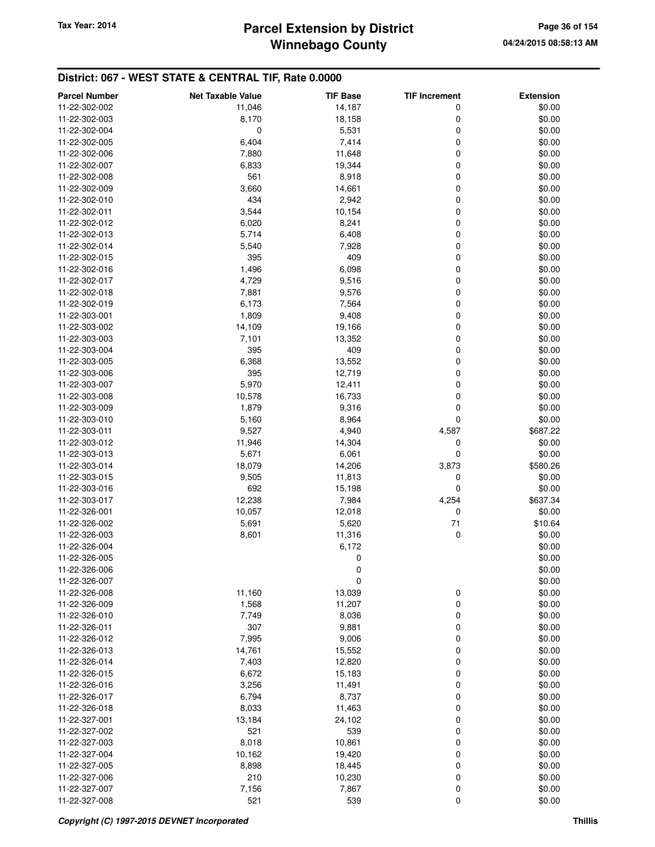## **Winnebago County Parcel Extension by District Tax Year: 2014 Page 36 of 154**

| <b>Parcel Number</b> | <b>Net Taxable Value</b> | <b>TIF Base</b> | <b>TIF Increment</b> | <b>Extension</b> |
|----------------------|--------------------------|-----------------|----------------------|------------------|
| 11-22-302-002        | 11,046                   | 14,187          | 0                    | \$0.00           |
| 11-22-302-003        | 8,170                    | 18,158          | 0                    | \$0.00           |
| 11-22-302-004        | 0                        | 5,531           | 0                    | \$0.00           |
| 11-22-302-005        | 6,404                    | 7,414           | 0                    | \$0.00           |
| 11-22-302-006        | 7,880                    | 11,648          | 0                    | \$0.00           |
| 11-22-302-007        | 6,833                    | 19,344          | 0                    | \$0.00           |
| 11-22-302-008        | 561                      | 8,918           | 0                    | \$0.00           |
| 11-22-302-009        | 3,660                    | 14,661          | 0                    | \$0.00           |
| 11-22-302-010        | 434                      | 2,942           | 0                    | \$0.00           |
| 11-22-302-011        | 3,544                    | 10,154          | 0                    | \$0.00           |
| 11-22-302-012        | 6,020                    | 8,241           | 0                    | \$0.00           |
| 11-22-302-013        | 5,714                    | 6,408           | 0                    | \$0.00           |
| 11-22-302-014        | 5,540                    | 7,928           | 0                    | \$0.00           |
| 11-22-302-015        | 395                      | 409             | 0                    | \$0.00           |
| 11-22-302-016        | 1,496                    | 6,098           | 0                    | \$0.00           |
| 11-22-302-017        | 4,729                    | 9,516           | 0                    | \$0.00           |
| 11-22-302-018        | 7,881                    | 9,576           | 0                    | \$0.00           |
| 11-22-302-019        | 6,173                    | 7,564           | 0                    | \$0.00           |
| 11-22-303-001        | 1,809                    | 9,408           | 0                    | \$0.00           |
| 11-22-303-002        | 14,109                   | 19,166          | 0                    | \$0.00           |
| 11-22-303-003        | 7,101                    | 13,352          | 0                    | \$0.00           |
| 11-22-303-004        | 395                      | 409             | 0                    | \$0.00           |
| 11-22-303-005        | 6,368                    | 13,552          | 0                    | \$0.00           |
| 11-22-303-006        | 395                      | 12,719          | 0                    | \$0.00           |
| 11-22-303-007        | 5,970                    | 12,411          | 0                    | \$0.00           |
| 11-22-303-008        | 10,578                   | 16,733          | 0                    | \$0.00           |
| 11-22-303-009        | 1,879                    | 9,316           | 0                    | \$0.00           |
| 11-22-303-010        | 5,160                    | 8,964           | 0                    | \$0.00           |
| 11-22-303-011        | 9,527                    | 4,940           | 4,587                | \$687.22         |
| 11-22-303-012        | 11,946                   | 14,304          | 0                    | \$0.00           |
| 11-22-303-013        | 5,671                    | 6,061           | 0                    | \$0.00           |
| 11-22-303-014        | 18,079                   | 14,206          | 3,873                | \$580.26         |
| 11-22-303-015        | 9,505                    | 11,813          | 0                    | \$0.00           |
| 11-22-303-016        | 692                      | 15,198          | 0                    | \$0.00           |
| 11-22-303-017        | 12,238                   | 7,984           | 4,254                | \$637.34         |
| 11-22-326-001        | 10,057                   | 12,018          | 0                    | \$0.00           |
| 11-22-326-002        | 5,691                    | 5,620           | 71                   | \$10.64          |
| 11-22-326-003        | 8,601                    | 11,316          | 0                    | \$0.00           |
| 11-22-326-004        |                          | 6,172           |                      | \$0.00           |
| 11-22-326-005        |                          | 0               |                      | \$0.00           |
| 11-22-326-006        |                          | 0               |                      | \$0.00           |
| 11-22-326-007        |                          | 0               |                      | \$0.00           |
| 11-22-326-008        | 11,160                   | 13,039          | 0                    | \$0.00           |
| 11-22-326-009        | 1,568                    | 11,207          | 0                    | \$0.00           |
| 11-22-326-010        | 7,749                    | 8,036           | 0                    | \$0.00           |
| 11-22-326-011        | 307                      | 9,881           | 0                    | \$0.00           |
| 11-22-326-012        | 7,995                    | 9,006           | 0                    | \$0.00           |
| 11-22-326-013        | 14,761                   | 15,552          | 0                    | \$0.00           |
| 11-22-326-014        | 7,403                    | 12,820          | 0                    | \$0.00           |
| 11-22-326-015        | 6,672                    | 15,183          | 0                    | \$0.00           |
| 11-22-326-016        | 3,256                    | 11,491          | 0                    | \$0.00           |
| 11-22-326-017        | 6,794                    | 8,737           | 0                    | \$0.00           |
| 11-22-326-018        | 8,033                    | 11,463          | 0                    | \$0.00           |
| 11-22-327-001        | 13,184                   | 24,102          | 0                    | \$0.00           |
| 11-22-327-002        | 521                      | 539             | 0                    | \$0.00           |
| 11-22-327-003        | 8,018                    | 10,861          | 0                    | \$0.00           |
| 11-22-327-004        | 10,162                   | 19,420          | 0                    | \$0.00           |
| 11-22-327-005        | 8,898                    | 18,445          | 0                    | \$0.00           |
| 11-22-327-006        | 210                      | 10,230          | 0                    | \$0.00           |
| 11-22-327-007        | 7,156                    | 7,867           | 0                    | \$0.00           |
| 11-22-327-008        | 521                      | 539             | 0                    | \$0.00           |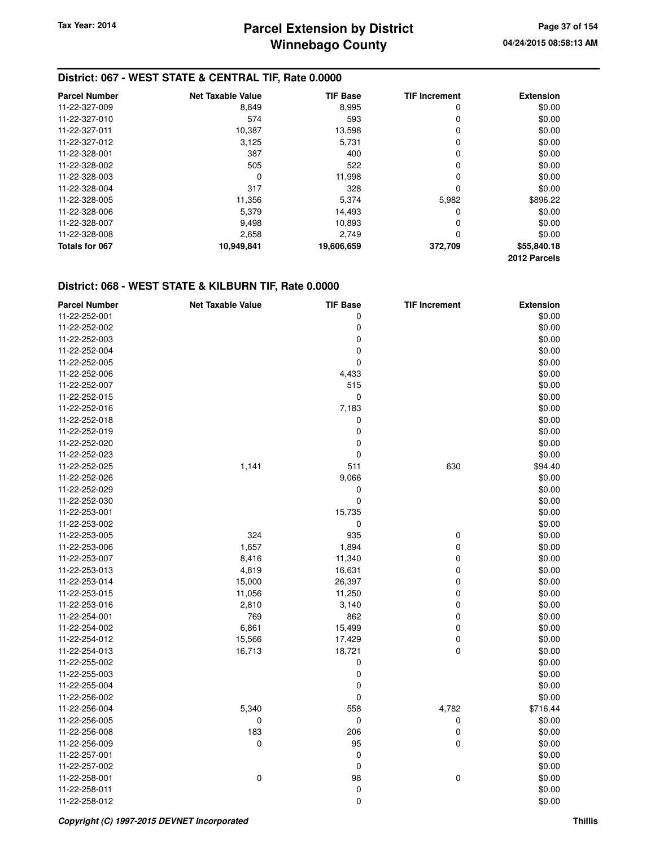## **District: 067 - WEST STATE & CENTRAL TIF, Rate 0.0000**

| <b>Parcel Number</b> | <b>Net Taxable Value</b> | <b>TIF Base</b> | <b>TIF Increment</b> | <b>Extension</b> |
|----------------------|--------------------------|-----------------|----------------------|------------------|
| 11-22-327-009        | 8,849                    | 8,995           | 0                    | \$0.00           |
| 11-22-327-010        | 574                      | 593             | 0                    | \$0.00           |
| 11-22-327-011        | 10,387                   | 13,598          | 0                    | \$0.00           |
| 11-22-327-012        | 3,125                    | 5,731           | 0                    | \$0.00           |
| 11-22-328-001        | 387                      | 400             | 0                    | \$0.00           |
| 11-22-328-002        | 505                      | 522             | 0                    | \$0.00           |
| 11-22-328-003        | 0                        | 11.998          | 0                    | \$0.00           |
| 11-22-328-004        | 317                      | 328             | 0                    | \$0.00           |
| 11-22-328-005        | 11,356                   | 5,374           | 5,982                | \$896.22         |
| 11-22-328-006        | 5,379                    | 14,493          | 0                    | \$0.00           |
| 11-22-328-007        | 9.498                    | 10.893          | 0                    | \$0.00           |
| 11-22-328-008        | 2,658                    | 2.749           | 0                    | \$0.00           |
| Totals for 067       | 10,949,841               | 19,606,659      | 372,709              | \$55,840.18      |
|                      |                          |                 |                      | 2012 Parcels     |

#### **District: 068 - WEST STATE & KILBURN TIF, Rate 0.0000**

| <b>Parcel Number</b> | <b>Net Taxable Value</b> | <b>TIF Base</b> | <b>TIF Increment</b> | <b>Extension</b> |
|----------------------|--------------------------|-----------------|----------------------|------------------|
| 11-22-252-001        |                          | 0               |                      | \$0.00           |
| 11-22-252-002        |                          | 0               |                      | \$0.00           |
| 11-22-252-003        |                          | 0               |                      | \$0.00           |
| 11-22-252-004        |                          | 0               |                      | \$0.00           |
| 11-22-252-005        |                          | $\mathbf 0$     |                      | \$0.00           |
| 11-22-252-006        |                          | 4,433           |                      | \$0.00           |
| 11-22-252-007        |                          | 515             |                      | \$0.00           |
| 11-22-252-015        |                          | 0               |                      | \$0.00           |
| 11-22-252-016        |                          | 7,183           |                      | \$0.00           |
| 11-22-252-018        |                          | 0               |                      | \$0.00           |
| 11-22-252-019        |                          | $\mathbf 0$     |                      | \$0.00           |
| 11-22-252-020        |                          | 0               |                      | \$0.00           |
| 11-22-252-023        |                          | 0               |                      | \$0.00           |
| 11-22-252-025        | 1,141                    | 511             | 630                  | \$94.40          |
| 11-22-252-026        |                          | 9,066           |                      | \$0.00           |
| 11-22-252-029        |                          | 0               |                      | \$0.00           |
| 11-22-252-030        |                          | $\mathbf 0$     |                      | \$0.00           |
| 11-22-253-001        |                          | 15,735          |                      | \$0.00           |
| 11-22-253-002        |                          | 0               |                      | \$0.00           |
| 11-22-253-005        | 324                      | 935             | 0                    | \$0.00           |
| 11-22-253-006        | 1,657                    | 1,894           | 0                    | \$0.00           |
| 11-22-253-007        | 8,416                    | 11,340          | 0                    | \$0.00           |
| 11-22-253-013        | 4,819                    | 16,631          | 0                    | \$0.00           |
| 11-22-253-014        | 15,000                   | 26,397          | 0                    | \$0.00           |
| 11-22-253-015        | 11,056                   | 11,250          | 0                    | \$0.00           |
| 11-22-253-016        | 2,810                    | 3,140           | 0                    | \$0.00           |
| 11-22-254-001        | 769                      | 862             | 0                    | \$0.00           |
| 11-22-254-002        | 6,861                    | 15,499          | 0                    | \$0.00           |
| 11-22-254-012        | 15,566                   | 17,429          | 0                    | \$0.00           |
| 11-22-254-013        | 16,713                   | 18,721          | $\mathbf 0$          | \$0.00           |
| 11-22-255-002        |                          | 0               |                      | \$0.00           |
| 11-22-255-003        |                          | 0               |                      | \$0.00           |
| 11-22-255-004        |                          | 0               |                      | \$0.00           |
| 11-22-256-002        |                          | 0               |                      | \$0.00           |
| 11-22-256-004        | 5,340                    | 558             | 4,782                | \$716.44         |
| 11-22-256-005        | 0                        | 0               | 0                    | \$0.00           |
| 11-22-256-008        | 183                      | 206             | 0                    | \$0.00           |
| 11-22-256-009        | 0                        | 95              | 0                    | \$0.00           |
| 11-22-257-001        |                          | 0               |                      | \$0.00           |
| 11-22-257-002        |                          | 0               |                      | \$0.00           |
| 11-22-258-001        | 0                        | 98              | $\mathbf 0$          | \$0.00           |
| 11-22-258-011        |                          | 0               |                      | \$0.00           |
| 11-22-258-012        |                          | $\mathbf 0$     |                      | \$0.00           |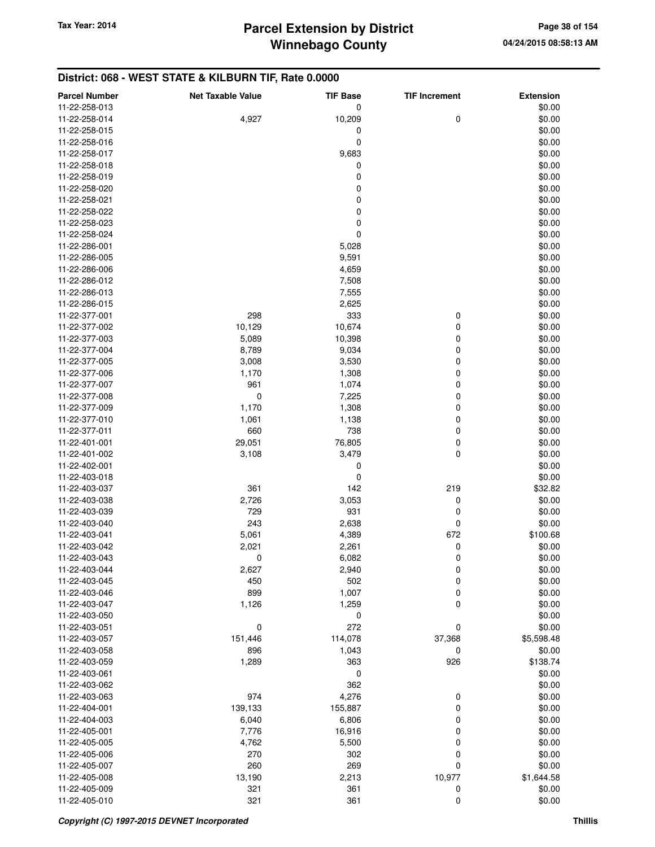### **District: 068 - WEST STATE & KILBURN TIF, Rate 0.0000**

| <b>Parcel Number</b> | <b>Net Taxable Value</b> | <b>TIF Base</b> | <b>TIF Increment</b> | <b>Extension</b> |
|----------------------|--------------------------|-----------------|----------------------|------------------|
| 11-22-258-013        |                          | 0               |                      | \$0.00           |
| 11-22-258-014        | 4,927                    | 10,209          | 0                    | \$0.00           |
| 11-22-258-015        |                          | 0               |                      | \$0.00           |
| 11-22-258-016        |                          | 0               |                      | \$0.00           |
| 11-22-258-017        |                          | 9,683           |                      | \$0.00           |
| 11-22-258-018        |                          | 0               |                      | \$0.00           |
| 11-22-258-019        |                          | $\mathbf 0$     |                      | \$0.00           |
| 11-22-258-020        |                          | 0               |                      | \$0.00           |
| 11-22-258-021        |                          | $\mathbf 0$     |                      | \$0.00           |
| 11-22-258-022        |                          | $\mathbf 0$     |                      | \$0.00           |
| 11-22-258-023        |                          | 0               |                      | \$0.00           |
| 11-22-258-024        |                          | $\mathbf 0$     |                      | \$0.00           |
| 11-22-286-001        |                          | 5,028           |                      | \$0.00           |
| 11-22-286-005        |                          | 9,591           |                      | \$0.00           |
| 11-22-286-006        |                          | 4,659           |                      | \$0.00           |
| 11-22-286-012        |                          | 7,508           |                      | \$0.00           |
| 11-22-286-013        |                          | 7,555           |                      | \$0.00           |
| 11-22-286-015        |                          | 2,625           |                      | \$0.00           |
| 11-22-377-001        | 298                      | 333             | 0                    | \$0.00           |
| 11-22-377-002        | 10,129                   | 10,674          | 0                    | \$0.00           |
| 11-22-377-003        | 5,089                    | 10,398          | 0                    | \$0.00           |
| 11-22-377-004        | 8,789                    | 9,034           | 0                    | \$0.00           |
| 11-22-377-005        | 3,008                    | 3,530           | 0                    | \$0.00           |
| 11-22-377-006        | 1,170                    | 1,308           | 0                    | \$0.00           |
| 11-22-377-007        | 961                      | 1,074           | 0                    | \$0.00           |
| 11-22-377-008        | 0                        | 7,225           | 0                    | \$0.00           |
| 11-22-377-009        | 1,170                    | 1,308           | 0                    | \$0.00           |
| 11-22-377-010        | 1,061                    | 1,138           | 0                    | \$0.00           |
| 11-22-377-011        | 660                      | 738             | 0                    | \$0.00           |
| 11-22-401-001        | 29,051                   | 76,805          | 0                    | \$0.00           |
| 11-22-401-002        | 3,108                    | 3,479           | 0                    | \$0.00           |
| 11-22-402-001        |                          | 0               |                      | \$0.00           |
| 11-22-403-018        |                          | 0               |                      | \$0.00           |
| 11-22-403-037        | 361                      | 142             | 219                  | \$32.82          |
| 11-22-403-038        | 2,726                    | 3,053           | 0                    | \$0.00           |
| 11-22-403-039        | 729                      | 931             | 0                    | \$0.00           |
| 11-22-403-040        | 243                      | 2,638           | 0                    | \$0.00           |
| 11-22-403-041        | 5,061                    | 4,389           | 672                  | \$100.68         |
| 11-22-403-042        | 2,021                    | 2,261           | 0                    | \$0.00           |
| 11-22-403-043        | 0                        | 6,082           | 0                    | \$0.00           |
| 11-22-403-044        | 2,627                    | 2,940           | 0                    | \$0.00           |
| 11-22-403-045        | 450                      | 502             | 0                    | \$0.00           |
| 11-22-403-046        | 899                      | 1,007           | 0                    | \$0.00           |
| 11-22-403-047        | 1,126                    | 1,259           | 0                    | \$0.00           |
| 11-22-403-050        |                          | $\pmb{0}$       |                      | \$0.00           |
| 11-22-403-051        | $\pmb{0}$                | 272             | 0                    | \$0.00           |
| 11-22-403-057        | 151,446                  | 114,078         | 37,368               | \$5,598.48       |
| 11-22-403-058        | 896                      | 1,043           | 0                    | \$0.00           |
| 11-22-403-059        | 1,289                    | 363             | 926                  | \$138.74         |
| 11-22-403-061        |                          | $\pmb{0}$       |                      | \$0.00           |
| 11-22-403-062        |                          | 362             |                      | \$0.00           |
| 11-22-403-063        | 974                      | 4,276           | 0                    | \$0.00           |
| 11-22-404-001        | 139,133                  | 155,887         | 0                    | \$0.00           |
| 11-22-404-003        | 6,040                    | 6,806           | 0                    | \$0.00           |
| 11-22-405-001        | 7,776                    | 16,916          | 0                    | \$0.00           |
| 11-22-405-005        | 4,762                    | 5,500           | 0                    | \$0.00           |
| 11-22-405-006        | 270                      | 302             | 0                    | \$0.00           |
| 11-22-405-007        | 260                      | 269             | 0                    | \$0.00           |
| 11-22-405-008        | 13,190                   | 2,213           | 10,977               | \$1,644.58       |
| 11-22-405-009        | 321                      | 361             | 0                    | \$0.00           |
| 11-22-405-010        | 321                      | 361             | 0                    | \$0.00           |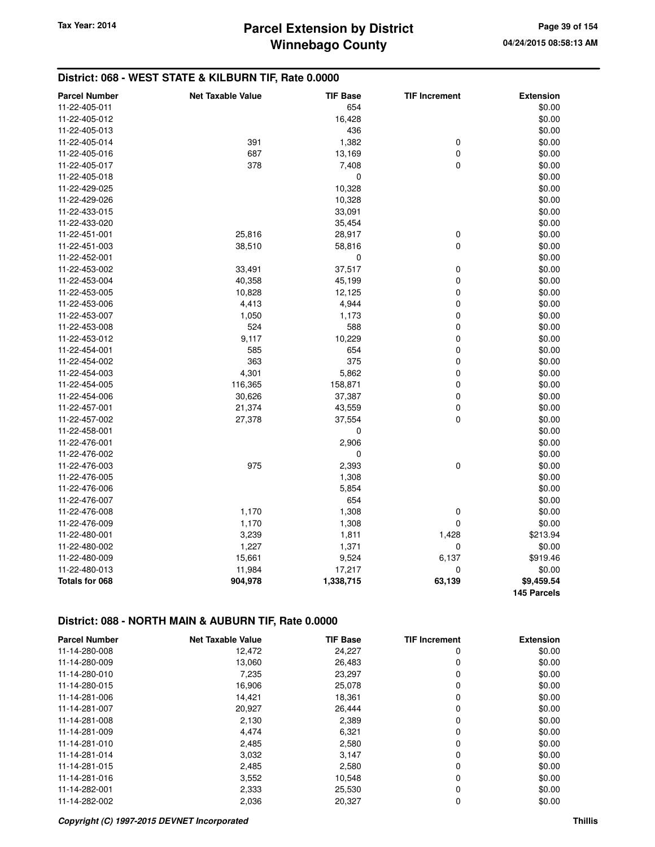# **Winnebago County Parcel Extension by District Tax Year: 2014 Page 39 of 154**

### **District: 068 - WEST STATE & KILBURN TIF, Rate 0.0000**

| <b>Parcel Number</b> | <b>Net Taxable Value</b> | <b>TIF Base</b> | <b>TIF Increment</b> | <b>Extension</b> |
|----------------------|--------------------------|-----------------|----------------------|------------------|
| 11-22-405-011        |                          | 654             |                      | \$0.00           |
| 11-22-405-012        |                          | 16,428          |                      | \$0.00           |
| 11-22-405-013        |                          | 436             |                      | \$0.00           |
| 11-22-405-014        | 391                      | 1,382           | 0                    | \$0.00           |
| 11-22-405-016        | 687                      | 13,169          | 0                    | \$0.00           |
| 11-22-405-017        | 378                      | 7,408           | $\mathbf 0$          | \$0.00           |
| 11-22-405-018        |                          | 0               |                      | \$0.00           |
| 11-22-429-025        |                          | 10,328          |                      | \$0.00           |
| 11-22-429-026        |                          | 10,328          |                      | \$0.00           |
| 11-22-433-015        |                          | 33,091          |                      | \$0.00           |
| 11-22-433-020        |                          | 35,454          |                      | \$0.00           |
| 11-22-451-001        | 25,816                   | 28,917          | 0                    | \$0.00           |
| 11-22-451-003        | 38,510                   | 58,816          | 0                    | \$0.00           |
| 11-22-452-001        |                          | 0               |                      | \$0.00           |
| 11-22-453-002        | 33,491                   | 37,517          | 0                    | \$0.00           |
| 11-22-453-004        | 40,358                   | 45,199          | 0                    | \$0.00           |
| 11-22-453-005        | 10,828                   | 12,125          | 0                    | \$0.00           |
| 11-22-453-006        | 4,413                    | 4,944           | 0                    | \$0.00           |
| 11-22-453-007        | 1,050                    | 1,173           | 0                    | \$0.00           |
| 11-22-453-008        | 524                      | 588             | $\mathbf 0$          | \$0.00           |
| 11-22-453-012        | 9,117                    | 10,229          | 0                    | \$0.00           |
| 11-22-454-001        | 585                      | 654             | 0                    | \$0.00           |
| 11-22-454-002        | 363                      | 375             | 0                    | \$0.00           |
| 11-22-454-003        | 4,301                    | 5,862           | 0                    | \$0.00           |
| 11-22-454-005        | 116,365                  | 158,871         | 0                    | \$0.00           |
| 11-22-454-006        | 30,626                   | 37,387          | 0                    | \$0.00           |
| 11-22-457-001        | 21,374                   | 43,559          | $\pmb{0}$            | \$0.00           |
| 11-22-457-002        | 27,378                   | 37,554          | 0                    | \$0.00           |
| 11-22-458-001        |                          | 0               |                      | \$0.00           |
| 11-22-476-001        |                          | 2,906           |                      | \$0.00           |
| 11-22-476-002        |                          | 0               |                      | \$0.00           |
| 11-22-476-003        | 975                      | 2,393           | $\pmb{0}$            | \$0.00           |
| 11-22-476-005        |                          | 1,308           |                      | \$0.00           |
| 11-22-476-006        |                          | 5,854           |                      | \$0.00           |
| 11-22-476-007        |                          | 654             |                      | \$0.00           |
| 11-22-476-008        | 1,170                    | 1,308           | $\mathbf 0$          | \$0.00           |
| 11-22-476-009        | 1,170                    | 1,308           | 0                    | \$0.00           |
| 11-22-480-001        | 3,239                    | 1,811           | 1,428                | \$213.94         |
| 11-22-480-002        | 1,227                    | 1,371           | 0                    | \$0.00           |
| 11-22-480-009        | 15,661                   | 9,524           | 6,137                | \$919.46         |
| 11-22-480-013        | 11,984                   | 17,217          | 0                    | \$0.00           |
| Totals for 068       | 904,978                  | 1,338,715       | 63,139               | \$9,459.54       |
|                      |                          |                 |                      | 145 Parcels      |

## **District: 088 - NORTH MAIN & AUBURN TIF, Rate 0.0000**

| <b>Parcel Number</b> | <b>Net Taxable Value</b> | <b>TIF Base</b> | <b>TIF Increment</b> | <b>Extension</b> |
|----------------------|--------------------------|-----------------|----------------------|------------------|
| 11-14-280-008        | 12,472                   | 24,227          | 0                    | \$0.00           |
| 11-14-280-009        | 13,060                   | 26,483          | 0                    | \$0.00           |
| 11-14-280-010        | 7,235                    | 23,297          | 0                    | \$0.00           |
| 11-14-280-015        | 16,906                   | 25,078          | 0                    | \$0.00           |
| 11-14-281-006        | 14,421                   | 18,361          | 0                    | \$0.00           |
| 11-14-281-007        | 20,927                   | 26,444          | 0                    | \$0.00           |
| 11-14-281-008        | 2,130                    | 2,389           | 0                    | \$0.00           |
| 11-14-281-009        | 4,474                    | 6,321           | 0                    | \$0.00           |
| 11-14-281-010        | 2,485                    | 2,580           | 0                    | \$0.00           |
| 11-14-281-014        | 3,032                    | 3,147           | 0                    | \$0.00           |
| 11-14-281-015        | 2,485                    | 2,580           | 0                    | \$0.00           |
| 11-14-281-016        | 3,552                    | 10,548          | 0                    | \$0.00           |
| 11-14-282-001        | 2,333                    | 25,530          | 0                    | \$0.00           |
| 11-14-282-002        | 2,036                    | 20,327          | 0                    | \$0.00           |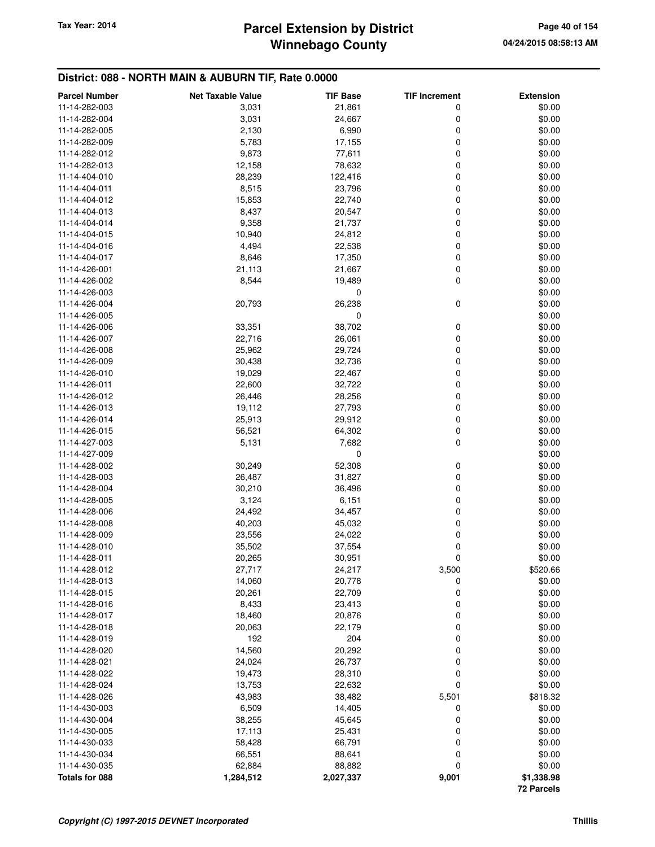# **Winnebago County** Tax Year: 2014 **Parcel Extension by District Page 40 of 154**

### **District: 088 - NORTH MAIN & AUBURN TIF, Rate 0.0000**

| <b>Parcel Number</b> | <b>Net Taxable Value</b> | <b>TIF Base</b> | <b>TIF Increment</b> | <b>Extension</b>  |
|----------------------|--------------------------|-----------------|----------------------|-------------------|
| 11-14-282-003        | 3,031                    | 21,861          | 0                    | \$0.00            |
| 11-14-282-004        | 3,031                    | 24,667          | 0                    | \$0.00            |
| 11-14-282-005        | 2,130                    | 6,990           | 0                    | \$0.00            |
| 11-14-282-009        | 5,783                    | 17,155          | 0                    | \$0.00            |
| 11-14-282-012        | 9,873                    | 77,611          | 0                    | \$0.00            |
| 11-14-282-013        | 12,158                   | 78,632          | 0                    | \$0.00            |
| 11-14-404-010        | 28,239                   | 122,416         | 0                    | \$0.00            |
| 11-14-404-011        | 8,515                    | 23,796          | 0                    | \$0.00            |
| 11-14-404-012        | 15,853                   | 22,740          | 0                    | \$0.00            |
| 11-14-404-013        | 8,437                    | 20,547          | 0                    | \$0.00            |
| 11-14-404-014        | 9,358                    | 21,737          | 0                    | \$0.00            |
| 11-14-404-015        | 10,940                   | 24,812          | 0                    | \$0.00            |
| 11-14-404-016        | 4,494                    | 22,538          | 0                    | \$0.00            |
| 11-14-404-017        | 8,646                    | 17,350          | 0                    | \$0.00            |
| 11-14-426-001        | 21,113                   | 21,667          | 0                    | \$0.00            |
| 11-14-426-002        | 8,544                    | 19,489          | 0                    | \$0.00            |
| 11-14-426-003        |                          | 0               |                      | \$0.00            |
| 11-14-426-004        | 20,793                   | 26,238          | 0                    | \$0.00            |
| 11-14-426-005        |                          | 0               |                      | \$0.00            |
| 11-14-426-006        | 33,351                   | 38,702          | 0                    | \$0.00            |
| 11-14-426-007        |                          |                 | 0                    | \$0.00            |
| 11-14-426-008        | 22,716                   | 26,061          |                      | \$0.00            |
|                      | 25,962<br>30,438         | 29,724          | 0<br>0               | \$0.00            |
| 11-14-426-009        |                          | 32,736          |                      |                   |
| 11-14-426-010        | 19,029                   | 22,467          | 0                    | \$0.00            |
| 11-14-426-011        | 22,600                   | 32,722          | 0                    | \$0.00            |
| 11-14-426-012        | 26,446                   | 28,256          | 0                    | \$0.00            |
| 11-14-426-013        | 19,112                   | 27,793          | 0                    | \$0.00            |
| 11-14-426-014        | 25,913                   | 29,912          | 0                    | \$0.00            |
| 11-14-426-015        | 56,521                   | 64,302          | 0                    | \$0.00            |
| 11-14-427-003        | 5,131                    | 7,682           | 0                    | \$0.00            |
| 11-14-427-009        |                          | 0               |                      | \$0.00            |
| 11-14-428-002        | 30,249                   | 52,308          | 0                    | \$0.00            |
| 11-14-428-003        | 26,487                   | 31,827          | 0                    | \$0.00            |
| 11-14-428-004        | 30,210                   | 36,496          | 0                    | \$0.00            |
| 11-14-428-005        | 3,124                    | 6,151           | 0                    | \$0.00            |
| 11-14-428-006        | 24,492                   | 34,457          | 0                    | \$0.00            |
| 11-14-428-008        | 40,203                   | 45,032          | 0                    | \$0.00            |
| 11-14-428-009        | 23,556                   | 24,022          | 0                    | \$0.00            |
| 11-14-428-010        | 35,502                   | 37,554          | 0                    | \$0.00            |
| 11-14-428-011        | 20,265                   | 30,951          | 0                    | \$0.00            |
| 11-14-428-012        | 27,717                   | 24,217          | 3,500                | \$520.66          |
| 11-14-428-013        | 14,060                   | 20,778          | 0                    | \$0.00            |
| 11-14-428-015        | 20,261                   | 22,709          | 0                    | \$0.00            |
| 11-14-428-016        | 8,433                    | 23,413          | 0                    | \$0.00            |
| 11-14-428-017        | 18,460                   | 20,876          | 0                    | \$0.00            |
| 11-14-428-018        | 20,063                   | 22,179          | 0                    | \$0.00            |
| 11-14-428-019        | 192                      | 204             | 0                    | \$0.00            |
| 11-14-428-020        | 14,560                   | 20,292          | 0                    | \$0.00            |
| 11-14-428-021        | 24,024                   | 26,737          | 0                    | \$0.00            |
| 11-14-428-022        | 19,473                   | 28,310          | 0                    | \$0.00            |
| 11-14-428-024        | 13,753                   | 22,632          | 0                    | \$0.00            |
| 11-14-428-026        | 43,983                   | 38,482          | 5,501                | \$818.32          |
| 11-14-430-003        | 6,509                    | 14,405          | 0                    | \$0.00            |
| 11-14-430-004        | 38,255                   | 45,645          | 0                    | \$0.00            |
| 11-14-430-005        | 17,113                   | 25,431          | 0                    | \$0.00            |
| 11-14-430-033        | 58,428                   | 66,791          | 0                    | \$0.00            |
| 11-14-430-034        | 66,551                   | 88,641          | 0                    | \$0.00            |
| 11-14-430-035        | 62,884                   | 88,882          | 0                    | \$0.00            |
| Totals for 088       | 1,284,512                | 2,027,337       | 9,001                | \$1,338.98        |
|                      |                          |                 |                      | <b>72 Parcels</b> |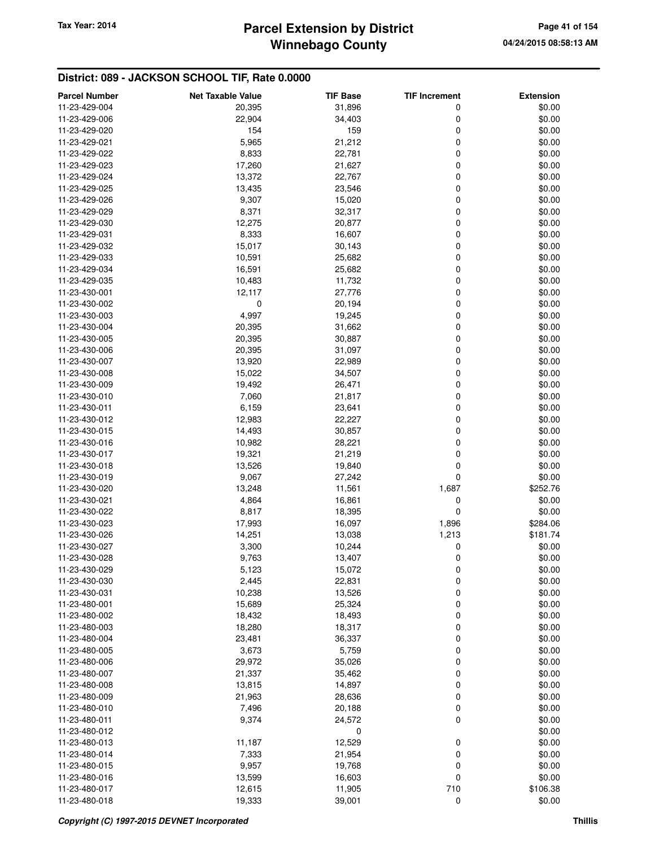# **Winnebago County** Tax Year: 2014 **Parcel Extension by District Page 41 of 154**

| <b>Parcel Number</b>           | <b>Net Taxable Value</b> | <b>TIF Base</b>  | <b>TIF Increment</b> | <b>Extension</b> |
|--------------------------------|--------------------------|------------------|----------------------|------------------|
| 11-23-429-004                  | 20,395                   | 31,896           | 0                    | \$0.00           |
| 11-23-429-006                  | 22,904                   | 34,403           | 0                    | \$0.00           |
| 11-23-429-020                  | 154                      | 159              | 0                    | \$0.00           |
| 11-23-429-021                  | 5,965                    | 21,212           | 0                    | \$0.00           |
| 11-23-429-022                  | 8,833                    | 22,781           | 0                    | \$0.00           |
| 11-23-429-023                  | 17,260                   | 21,627           | 0                    | \$0.00           |
| 11-23-429-024                  | 13,372                   | 22,767           | 0                    | \$0.00           |
| 11-23-429-025                  | 13,435                   | 23,546           | 0                    | \$0.00           |
| 11-23-429-026                  | 9,307                    | 15,020           | 0                    | \$0.00           |
| 11-23-429-029                  | 8,371                    | 32,317           | 0                    | \$0.00           |
| 11-23-429-030                  | 12,275                   | 20,877           | 0                    | \$0.00           |
| 11-23-429-031                  | 8,333                    | 16,607           | 0                    | \$0.00           |
| 11-23-429-032                  | 15,017                   | 30,143           | 0                    | \$0.00           |
| 11-23-429-033                  | 10,591                   | 25,682           | 0                    | \$0.00           |
| 11-23-429-034                  | 16,591                   | 25,682           | 0                    | \$0.00           |
| 11-23-429-035                  | 10,483                   | 11,732           | 0                    | \$0.00           |
| 11-23-430-001                  | 12,117                   | 27,776           | 0                    | \$0.00           |
| 11-23-430-002                  | 0                        | 20,194           | 0                    | \$0.00           |
| 11-23-430-003                  | 4,997                    | 19,245           | 0                    | \$0.00           |
| 11-23-430-004                  | 20,395                   | 31,662           | 0                    | \$0.00           |
| 11-23-430-005                  | 20,395                   | 30,887           | 0                    | \$0.00           |
| 11-23-430-006<br>11-23-430-007 | 20,395<br>13,920         | 31,097<br>22,989 | 0<br>0               | \$0.00<br>\$0.00 |
| 11-23-430-008                  | 15,022                   | 34,507           | 0                    | \$0.00           |
| 11-23-430-009                  | 19,492                   | 26,471           | 0                    | \$0.00           |
| 11-23-430-010                  | 7,060                    | 21,817           | 0                    | \$0.00           |
| 11-23-430-011                  | 6,159                    | 23,641           | 0                    | \$0.00           |
| 11-23-430-012                  | 12,983                   | 22,227           | 0                    | \$0.00           |
| 11-23-430-015                  | 14,493                   | 30,857           | 0                    | \$0.00           |
| 11-23-430-016                  | 10,982                   | 28,221           | 0                    | \$0.00           |
| 11-23-430-017                  | 19,321                   | 21,219           | 0                    | \$0.00           |
| 11-23-430-018                  | 13,526                   | 19,840           | 0                    | \$0.00           |
| 11-23-430-019                  | 9,067                    | 27,242           | 0                    | \$0.00           |
| 11-23-430-020                  | 13,248                   | 11,561           | 1,687                | \$252.76         |
| 11-23-430-021                  | 4,864                    | 16,861           | 0                    | \$0.00           |
| 11-23-430-022                  | 8,817                    | 18,395           | 0                    | \$0.00           |
| 11-23-430-023                  | 17,993                   | 16,097           | 1,896                | \$284.06         |
| 11-23-430-026                  | 14,251                   | 13,038           | 1,213                | \$181.74         |
| 11-23-430-027                  | 3,300                    | 10,244           | 0                    | \$0.00           |
| 11-23-430-028                  | 9,763                    | 13,407           | 0                    | \$0.00           |
| 11-23-430-029                  | 5,123                    | 15,072           | 0                    | \$0.00           |
| 11-23-430-030                  | 2,445                    | 22,831           | $\mathbf 0$          | \$0.00           |
| 11-23-430-031                  | 10,238                   | 13,526           | 0                    | \$0.00           |
| 11-23-480-001                  | 15,689                   | 25,324           | 0                    | \$0.00           |
| 11-23-480-002                  | 18,432                   | 18,493           | 0                    | \$0.00           |
| 11-23-480-003                  | 18,280                   | 18,317           | 0                    | \$0.00           |
| 11-23-480-004                  | 23,481                   | 36,337           | 0                    | \$0.00           |
| 11-23-480-005                  | 3,673                    | 5,759            | 0                    | \$0.00           |
| 11-23-480-006                  | 29,972                   | 35,026           | 0                    | \$0.00           |
| 11-23-480-007                  | 21,337                   | 35,462           | 0                    | \$0.00           |
| 11-23-480-008                  | 13,815                   | 14,897           | 0                    | \$0.00           |
| 11-23-480-009                  | 21,963                   | 28,636           | 0                    | \$0.00           |
| 11-23-480-010                  | 7,496                    | 20,188           | 0                    | \$0.00           |
| 11-23-480-011                  | 9,374                    | 24,572           | $\mathbf 0$          | \$0.00           |
| 11-23-480-012                  |                          | 0                |                      | \$0.00           |
| 11-23-480-013                  | 11,187                   | 12,529           | 0                    | \$0.00           |
| 11-23-480-014                  | 7,333                    | 21,954           | 0<br>0               | \$0.00           |
| 11-23-480-015<br>11-23-480-016 | 9,957<br>13,599          | 19,768<br>16,603 | 0                    | \$0.00<br>\$0.00 |
| 11-23-480-017                  | 12,615                   | 11,905           | 710                  | \$106.38         |
| 11-23-480-018                  | 19,333                   | 39,001           | $\mathbf 0$          | \$0.00           |
|                                |                          |                  |                      |                  |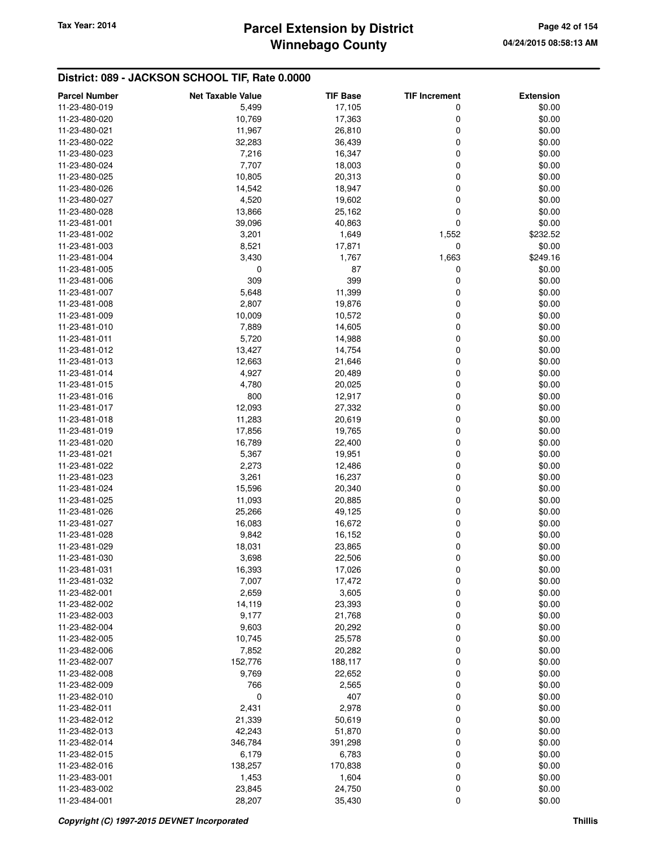## **Winnebago County Parcel Extension by District Tax Year: 2014 Page 42 of 154**

| <b>Parcel Number</b> | <b>Net Taxable Value</b> | <b>TIF Base</b> | <b>TIF Increment</b> | <b>Extension</b> |
|----------------------|--------------------------|-----------------|----------------------|------------------|
| 11-23-480-019        | 5,499                    | 17,105          | 0                    | \$0.00           |
| 11-23-480-020        | 10,769                   | 17,363          | 0                    | \$0.00           |
| 11-23-480-021        | 11,967                   | 26,810          | 0                    | \$0.00           |
| 11-23-480-022        | 32,283                   | 36,439          | 0                    | \$0.00           |
| 11-23-480-023        | 7,216                    | 16,347          | 0                    | \$0.00           |
| 11-23-480-024        | 7,707                    | 18,003          | 0                    | \$0.00           |
| 11-23-480-025        | 10,805                   | 20,313          | 0                    | \$0.00           |
| 11-23-480-026        | 14,542                   | 18,947          | 0                    | \$0.00           |
| 11-23-480-027        | 4,520                    | 19,602          | 0                    | \$0.00           |
| 11-23-480-028        | 13,866                   | 25,162          | 0                    | \$0.00           |
| 11-23-481-001        | 39,096                   | 40,863          | 0                    | \$0.00           |
| 11-23-481-002        | 3,201                    | 1,649           | 1,552                | \$232.52         |
| 11-23-481-003        | 8,521                    | 17,871          | 0                    | \$0.00           |
| 11-23-481-004        | 3,430                    | 1,767           | 1,663                | \$249.16         |
| 11-23-481-005        | 0                        | 87              | 0                    | \$0.00           |
| 11-23-481-006        | 309                      | 399             | 0                    | \$0.00           |
| 11-23-481-007        | 5,648                    | 11,399          | 0                    | \$0.00           |
| 11-23-481-008        | 2,807                    | 19,876          | 0                    | \$0.00           |
| 11-23-481-009        | 10,009                   | 10,572          | 0                    | \$0.00           |
| 11-23-481-010        | 7,889                    | 14,605          | 0                    | \$0.00           |
| 11-23-481-011        | 5,720                    | 14,988          | 0                    | \$0.00           |
| 11-23-481-012        | 13,427                   | 14,754          | 0                    | \$0.00           |
| 11-23-481-013        | 12,663                   | 21,646          | 0                    | \$0.00           |
| 11-23-481-014        | 4,927                    | 20,489          | 0                    | \$0.00           |
| 11-23-481-015        | 4,780                    | 20,025          | 0                    | \$0.00           |
| 11-23-481-016        | 800                      | 12,917          | 0                    | \$0.00           |
| 11-23-481-017        | 12,093                   | 27,332          | 0                    | \$0.00           |
| 11-23-481-018        | 11,283                   | 20,619          | 0                    | \$0.00           |
| 11-23-481-019        | 17,856                   | 19,765          | 0                    | \$0.00           |
| 11-23-481-020        | 16,789                   | 22,400          | 0                    | \$0.00           |
| 11-23-481-021        | 5,367                    | 19,951          | 0                    | \$0.00           |
| 11-23-481-022        | 2,273                    | 12,486          | 0                    | \$0.00           |
| 11-23-481-023        | 3,261                    | 16,237          | 0                    | \$0.00           |
| 11-23-481-024        | 15,596                   | 20,340          | 0                    | \$0.00           |
| 11-23-481-025        | 11,093                   | 20,885          | 0                    | \$0.00           |
| 11-23-481-026        | 25,266                   | 49,125          | 0                    | \$0.00           |
| 11-23-481-027        | 16,083                   | 16,672          | 0                    | \$0.00           |
| 11-23-481-028        | 9,842                    | 16,152          | 0                    | \$0.00           |
| 11-23-481-029        | 18,031                   | 23,865          | 0                    | \$0.00           |
| 11-23-481-030        | 3,698                    | 22,506          | 0                    | \$0.00           |
| 11-23-481-031        | 16,393                   | 17,026          | 0                    | \$0.00           |
| 11-23-481-032        | 7,007                    | 17,472          | 0                    | \$0.00           |
| 11-23-482-001        | 2,659                    | 3,605           | 0                    | \$0.00           |
| 11-23-482-002        | 14,119                   | 23,393          | 0                    | \$0.00           |
| 11-23-482-003        | 9,177                    | 21,768          | 0                    | \$0.00           |
| 11-23-482-004        | 9,603                    | 20,292          | 0                    | \$0.00           |
| 11-23-482-005        | 10,745                   | 25,578          | 0                    | \$0.00           |
| 11-23-482-006        | 7,852                    | 20,282          | 0                    | \$0.00           |
| 11-23-482-007        | 152,776                  | 188,117         | 0                    | \$0.00           |
| 11-23-482-008        | 9,769                    | 22,652          | 0                    | \$0.00           |
| 11-23-482-009        | 766                      | 2,565           | 0                    | \$0.00           |
| 11-23-482-010        | 0                        | 407             | 0                    | \$0.00           |
| 11-23-482-011        | 2,431                    | 2,978           | 0                    | \$0.00           |
| 11-23-482-012        | 21,339                   | 50,619          | 0                    | \$0.00           |
| 11-23-482-013        | 42,243                   | 51,870          | 0                    | \$0.00           |
| 11-23-482-014        | 346,784                  | 391,298         | 0                    | \$0.00           |
| 11-23-482-015        | 6,179                    | 6,783           | 0                    | \$0.00           |
| 11-23-482-016        | 138,257                  | 170,838         | 0                    | \$0.00           |
| 11-23-483-001        | 1,453                    | 1,604           | 0                    | \$0.00           |
| 11-23-483-002        | 23,845                   | 24,750          | 0                    | \$0.00           |
| 11-23-484-001        | 28,207                   | 35,430          | 0                    | \$0.00           |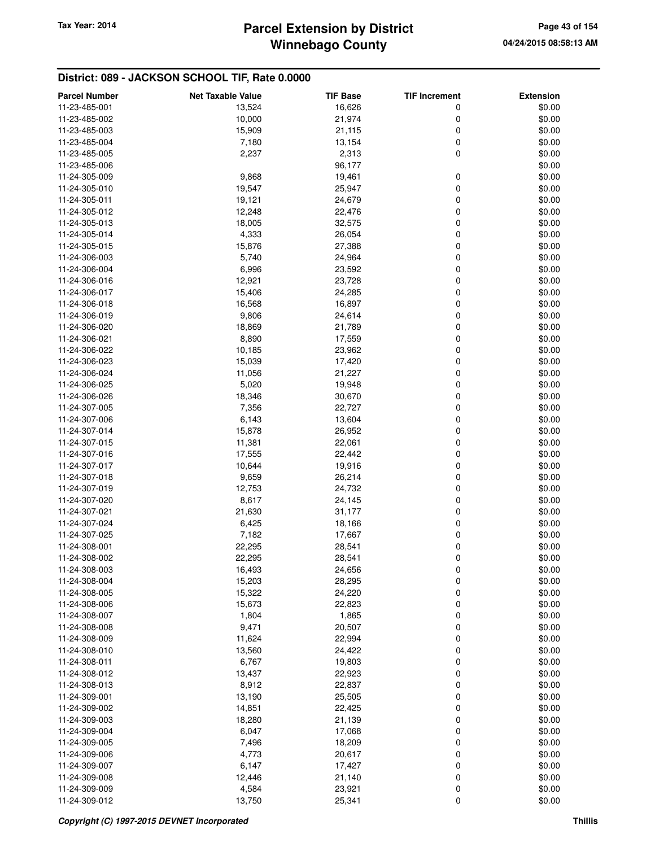# **Winnebago County** Tax Year: 2014 **Parcel Extension by District Page 43 of 154**

| <b>Parcel Number</b> | <b>Net Taxable Value</b> | <b>TIF Base</b> | <b>TIF Increment</b> | <b>Extension</b> |
|----------------------|--------------------------|-----------------|----------------------|------------------|
| 11-23-485-001        | 13,524                   | 16,626          | 0                    | \$0.00           |
| 11-23-485-002        | 10,000                   | 21,974          | 0                    | \$0.00           |
| 11-23-485-003        | 15,909                   | 21,115          | 0                    | \$0.00           |
| 11-23-485-004        | 7,180                    | 13,154          | 0                    | \$0.00           |
| 11-23-485-005        | 2,237                    | 2,313           | 0                    | \$0.00           |
| 11-23-485-006        |                          | 96,177          |                      | \$0.00           |
| 11-24-305-009        | 9,868                    |                 |                      |                  |
|                      |                          | 19,461          | 0<br>0               | \$0.00           |
| 11-24-305-010        | 19,547                   | 25,947          |                      | \$0.00           |
| 11-24-305-011        | 19,121                   | 24,679          | 0                    | \$0.00           |
| 11-24-305-012        | 12,248                   | 22,476          | 0                    | \$0.00           |
| 11-24-305-013        | 18,005                   | 32,575          | 0                    | \$0.00           |
| 11-24-305-014        | 4,333                    | 26,054          | 0                    | \$0.00           |
| 11-24-305-015        | 15,876                   | 27,388          | 0                    | \$0.00           |
| 11-24-306-003        | 5,740                    | 24,964          | 0                    | \$0.00           |
| 11-24-306-004        | 6,996                    | 23,592          | 0                    | \$0.00           |
| 11-24-306-016        | 12,921                   | 23,728          | 0                    | \$0.00           |
| 11-24-306-017        | 15,406                   | 24,285          | 0                    | \$0.00           |
| 11-24-306-018        | 16,568                   | 16,897          | 0                    | \$0.00           |
| 11-24-306-019        | 9,806                    | 24,614          | 0                    | \$0.00           |
| 11-24-306-020        | 18,869                   | 21,789          | 0                    | \$0.00           |
| 11-24-306-021        | 8,890                    | 17,559          | 0                    | \$0.00           |
| 11-24-306-022        | 10,185                   | 23,962          | 0                    | \$0.00           |
| 11-24-306-023        | 15,039                   | 17,420          | 0                    | \$0.00           |
| 11-24-306-024        | 11,056                   | 21,227          | 0                    | \$0.00           |
| 11-24-306-025        | 5,020                    | 19,948          | 0                    | \$0.00           |
| 11-24-306-026        | 18,346                   | 30,670          | 0                    | \$0.00           |
| 11-24-307-005        | 7,356                    | 22,727          | 0                    | \$0.00           |
| 11-24-307-006        | 6,143                    | 13,604          | 0                    | \$0.00           |
| 11-24-307-014        | 15,878                   | 26,952          | 0                    | \$0.00           |
| 11-24-307-015        | 11,381                   | 22,061          | 0                    | \$0.00           |
| 11-24-307-016        | 17,555                   | 22,442          | 0                    | \$0.00           |
| 11-24-307-017        | 10,644                   | 19,916          | 0                    | \$0.00           |
| 11-24-307-018        | 9,659                    | 26,214          | 0                    | \$0.00           |
| 11-24-307-019        | 12,753                   | 24,732          | 0                    | \$0.00           |
| 11-24-307-020        | 8,617                    | 24,145          | 0                    | \$0.00           |
| 11-24-307-021        |                          |                 | 0                    |                  |
|                      | 21,630                   | 31,177          |                      | \$0.00           |
| 11-24-307-024        | 6,425                    | 18,166          | 0                    | \$0.00           |
| 11-24-307-025        | 7,182                    | 17,667          | 0                    | \$0.00           |
| 11-24-308-001        | 22,295                   | 28,541          | 0                    | \$0.00           |
| 11-24-308-002        | 22,295                   | 28,541          | 0                    | \$0.00           |
| 11-24-308-003        | 16,493                   | 24,656          | $\mathbf 0$          | \$0.00           |
| 11-24-308-004        | 15,203                   | 28,295          | 0                    | \$0.00           |
| 11-24-308-005        | 15,322                   | 24,220          | 0                    | \$0.00           |
| 11-24-308-006        | 15,673                   | 22,823          | 0                    | \$0.00           |
| 11-24-308-007        | 1,804                    | 1,865           | 0                    | \$0.00           |
| 11-24-308-008        | 9,471                    | 20,507          | 0                    | \$0.00           |
| 11-24-308-009        | 11,624                   | 22,994          | 0                    | \$0.00           |
| 11-24-308-010        | 13,560                   | 24,422          | 0                    | \$0.00           |
| 11-24-308-011        | 6,767                    | 19,803          | 0                    | \$0.00           |
| 11-24-308-012        | 13,437                   | 22,923          | 0                    | \$0.00           |
| 11-24-308-013        | 8,912                    | 22,837          | 0                    | \$0.00           |
| 11-24-309-001        | 13,190                   | 25,505          | 0                    | \$0.00           |
| 11-24-309-002        | 14,851                   | 22,425          | 0                    | \$0.00           |
| 11-24-309-003        | 18,280                   | 21,139          | 0                    | \$0.00           |
| 11-24-309-004        | 6,047                    | 17,068          | 0                    | \$0.00           |
| 11-24-309-005        | 7,496                    | 18,209          | 0                    | \$0.00           |
| 11-24-309-006        | 4,773                    | 20,617          | 0                    | \$0.00           |
| 11-24-309-007        | 6,147                    | 17,427          | 0                    | \$0.00           |
| 11-24-309-008        | 12,446                   | 21,140          | $\mathbf 0$          | \$0.00           |
| 11-24-309-009        | 4,584                    | 23,921          | 0                    | \$0.00           |
| 11-24-309-012        | 13,750                   | 25,341          | 0                    | \$0.00           |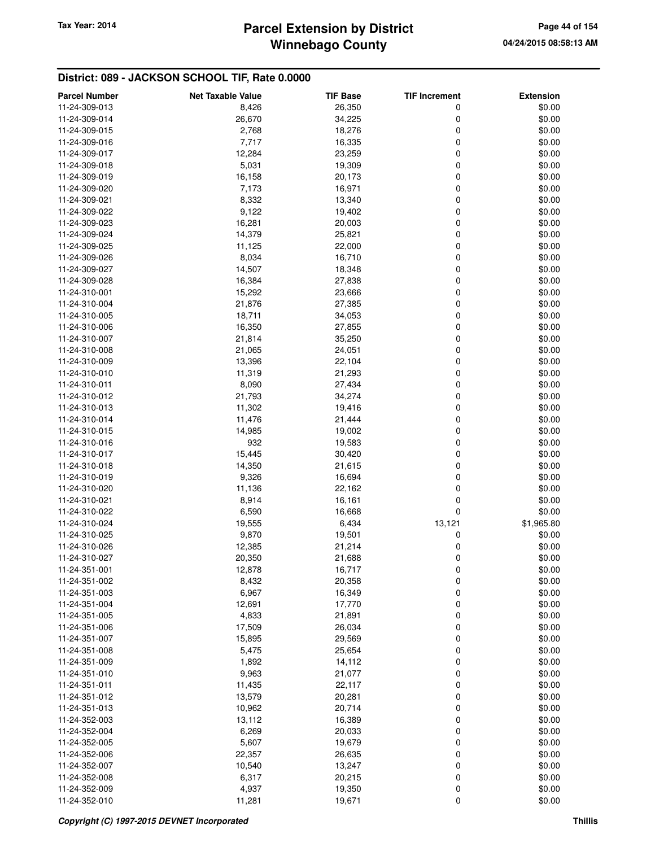# **Winnebago County** Tax Year: 2014 **Parcel Extension by District Page 44 of 154**

| <b>Parcel Number</b> | <b>Net Taxable Value</b> | <b>TIF Base</b> | <b>TIF Increment</b> | <b>Extension</b> |
|----------------------|--------------------------|-----------------|----------------------|------------------|
| 11-24-309-013        | 8,426                    | 26,350          | 0                    | \$0.00           |
| 11-24-309-014        | 26,670                   | 34,225          | 0                    | \$0.00           |
| 11-24-309-015        | 2,768                    | 18,276          | 0                    | \$0.00           |
| 11-24-309-016        | 7,717                    | 16,335          | 0                    | \$0.00           |
| 11-24-309-017        | 12,284                   | 23,259          | 0                    | \$0.00           |
| 11-24-309-018        | 5,031                    | 19,309          | 0                    | \$0.00           |
| 11-24-309-019        | 16,158                   | 20,173          | 0                    | \$0.00           |
| 11-24-309-020        | 7,173                    | 16,971          | 0                    | \$0.00           |
| 11-24-309-021        | 8,332                    | 13,340          | 0                    | \$0.00           |
| 11-24-309-022        | 9,122                    | 19,402          | 0                    | \$0.00           |
| 11-24-309-023        | 16,281                   | 20,003          | 0                    | \$0.00           |
| 11-24-309-024        | 14,379                   | 25,821          | 0                    | \$0.00           |
| 11-24-309-025        | 11,125                   | 22,000          | 0                    | \$0.00           |
| 11-24-309-026        | 8,034                    | 16,710          | 0                    | \$0.00           |
| 11-24-309-027        | 14,507                   | 18,348          | 0                    | \$0.00           |
| 11-24-309-028        | 16,384                   | 27,838          | 0                    | \$0.00           |
| 11-24-310-001        | 15,292                   | 23,666          | 0                    | \$0.00           |
| 11-24-310-004        | 21,876                   | 27,385          | 0                    | \$0.00           |
| 11-24-310-005        | 18,711                   | 34,053          | 0                    | \$0.00           |
| 11-24-310-006        | 16,350                   | 27,855          | 0                    | \$0.00           |
| 11-24-310-007        | 21,814                   | 35,250          | 0                    | \$0.00           |
| 11-24-310-008        | 21,065                   | 24,051          | 0                    | \$0.00           |
| 11-24-310-009        | 13,396                   | 22,104          | 0                    | \$0.00           |
| 11-24-310-010        | 11,319                   | 21,293          | 0                    | \$0.00           |
| 11-24-310-011        | 8,090                    | 27,434          | 0                    | \$0.00           |
| 11-24-310-012        | 21,793                   | 34,274          | 0                    | \$0.00           |
| 11-24-310-013        | 11,302                   | 19,416          | 0                    | \$0.00           |
| 11-24-310-014        | 11,476                   | 21,444          | 0                    | \$0.00           |
| 11-24-310-015        | 14,985                   | 19,002          | 0                    | \$0.00           |
| 11-24-310-016        | 932                      | 19,583          | 0                    | \$0.00           |
| 11-24-310-017        | 15,445                   | 30,420          | 0                    | \$0.00           |
| 11-24-310-018        | 14,350                   | 21,615          | 0                    | \$0.00           |
| 11-24-310-019        | 9,326                    | 16,694          | 0                    | \$0.00           |
| 11-24-310-020        | 11,136                   | 22,162          | 0                    | \$0.00           |
| 11-24-310-021        | 8,914                    | 16,161          | 0                    | \$0.00           |
| 11-24-310-022        | 6,590                    | 16,668          | 0                    | \$0.00           |
| 11-24-310-024        | 19,555                   | 6,434           | 13,121               | \$1,965.80       |
| 11-24-310-025        | 9,870                    | 19,501          | 0                    | \$0.00           |
| 11-24-310-026        | 12,385                   | 21,214          | 0                    | \$0.00           |
| 11-24-310-027        | 20,350                   | 21,688          | 0                    | \$0.00           |
| 11-24-351-001        | 12,878                   | 16,717          | 0                    | \$0.00           |
| 11-24-351-002        | 8,432                    | 20,358          | 0                    | \$0.00           |
| 11-24-351-003        | 6,967                    | 16,349          | 0                    | \$0.00           |
| 11-24-351-004        | 12,691                   | 17,770          | 0                    | \$0.00           |
| 11-24-351-005        | 4,833                    | 21,891          | 0                    | \$0.00           |
| 11-24-351-006        | 17,509                   | 26,034          | 0                    | \$0.00           |
| 11-24-351-007        | 15,895                   | 29,569          | 0                    | \$0.00           |
| 11-24-351-008        | 5,475                    | 25,654          | 0                    | \$0.00           |
| 11-24-351-009        | 1,892                    | 14,112          | 0                    | \$0.00           |
| 11-24-351-010        | 9,963                    | 21,077          | 0                    | \$0.00           |
| 11-24-351-011        | 11,435                   | 22,117          | 0                    | \$0.00           |
| 11-24-351-012        | 13,579                   | 20,281          | 0                    | \$0.00           |
| 11-24-351-013        | 10,962                   | 20,714          | 0                    | \$0.00           |
| 11-24-352-003        | 13,112                   | 16,389          | 0                    | \$0.00           |
| 11-24-352-004        | 6,269                    | 20,033          | 0                    | \$0.00           |
| 11-24-352-005        | 5,607                    | 19,679          | 0                    | \$0.00           |
| 11-24-352-006        | 22,357                   | 26,635          | 0                    | \$0.00           |
| 11-24-352-007        | 10,540                   | 13,247          | 0                    | \$0.00           |
| 11-24-352-008        | 6,317                    | 20,215          | 0                    | \$0.00           |
| 11-24-352-009        | 4,937                    | 19,350          | 0                    | \$0.00           |
| 11-24-352-010        | 11,281                   | 19,671          | 0                    | \$0.00           |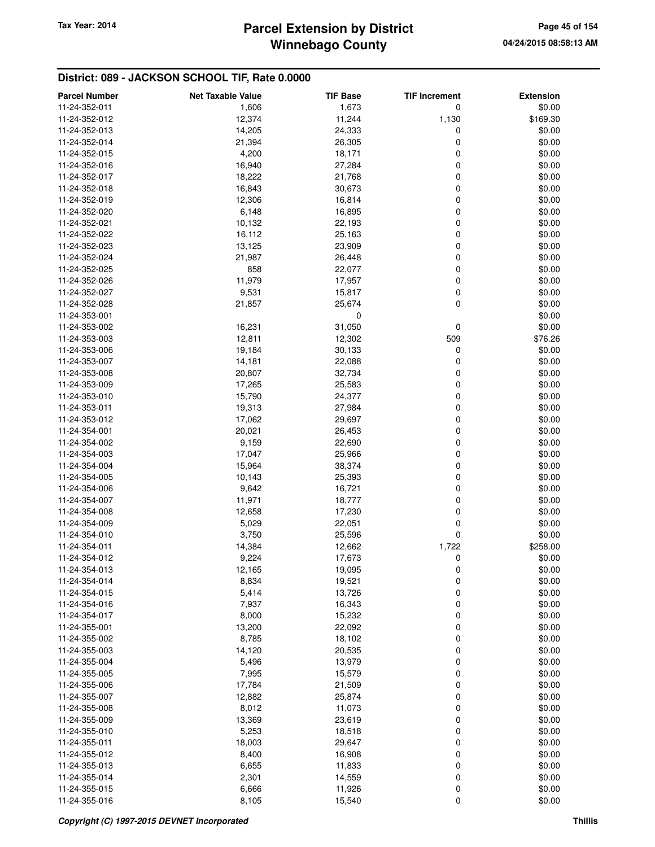# **Winnebago County** Tax Year: 2014 **Parcel Extension by District Page 45 of 154**

| <b>Parcel Number</b>           | <b>Net Taxable Value</b> | <b>TIF Base</b>  | <b>TIF Increment</b> | <b>Extension</b> |
|--------------------------------|--------------------------|------------------|----------------------|------------------|
| 11-24-352-011                  | 1,606                    | 1,673            | 0                    | \$0.00           |
| 11-24-352-012                  | 12,374                   | 11,244           | 1,130                | \$169.30         |
| 11-24-352-013                  | 14,205                   | 24,333           | 0                    | \$0.00           |
| 11-24-352-014                  | 21,394                   | 26,305           | 0                    | \$0.00           |
| 11-24-352-015                  | 4,200                    | 18,171           | 0                    | \$0.00           |
| 11-24-352-016                  | 16,940                   | 27,284           | 0                    | \$0.00           |
| 11-24-352-017                  | 18,222                   | 21,768           | 0                    | \$0.00           |
| 11-24-352-018                  | 16,843                   | 30,673           | 0                    | \$0.00           |
| 11-24-352-019                  | 12,306                   | 16,814           | 0                    | \$0.00           |
| 11-24-352-020                  | 6,148                    | 16,895           | 0                    | \$0.00           |
| 11-24-352-021                  | 10,132                   | 22,193           | 0                    | \$0.00           |
| 11-24-352-022                  | 16,112                   | 25,163           | 0                    | \$0.00           |
| 11-24-352-023                  | 13,125                   | 23,909           | 0                    | \$0.00           |
| 11-24-352-024                  | 21,987                   | 26,448           | 0                    | \$0.00           |
| 11-24-352-025                  | 858                      | 22,077           | 0                    | \$0.00           |
| 11-24-352-026                  | 11,979                   | 17,957           | 0                    | \$0.00           |
| 11-24-352-027                  | 9,531                    | 15,817           | 0                    | \$0.00           |
| 11-24-352-028                  | 21,857                   | 25,674           | 0                    | \$0.00           |
| 11-24-353-001                  |                          | 0                |                      | \$0.00           |
| 11-24-353-002                  | 16,231                   | 31,050           | 0                    | \$0.00           |
| 11-24-353-003                  | 12,811                   | 12,302           | 509                  | \$76.26          |
| 11-24-353-006                  | 19,184                   | 30,133           | 0                    | \$0.00           |
| 11-24-353-007                  | 14,181                   | 22,088           | 0                    | \$0.00           |
| 11-24-353-008                  | 20,807                   | 32,734           | 0                    | \$0.00           |
|                                |                          |                  | 0                    | \$0.00           |
| 11-24-353-009<br>11-24-353-010 | 17,265                   | 25,583           | 0                    | \$0.00           |
|                                | 15,790                   | 24,377           | 0                    |                  |
| 11-24-353-011<br>11-24-353-012 | 19,313<br>17,062         | 27,984<br>29,697 | 0                    | \$0.00<br>\$0.00 |
|                                |                          |                  | 0                    | \$0.00           |
| 11-24-354-001<br>11-24-354-002 | 20,021<br>9,159          | 26,453<br>22,690 | 0                    | \$0.00           |
| 11-24-354-003                  |                          |                  | 0                    | \$0.00           |
| 11-24-354-004                  | 17,047                   | 25,966           |                      | \$0.00           |
| 11-24-354-005                  | 15,964<br>10,143         | 38,374<br>25,393 | 0<br>0               | \$0.00           |
| 11-24-354-006                  | 9,642                    | 16,721           | 0                    | \$0.00           |
|                                |                          |                  | 0                    | \$0.00           |
| 11-24-354-007<br>11-24-354-008 | 11,971                   | 18,777           | 0                    | \$0.00           |
| 11-24-354-009                  | 12,658                   | 17,230           | 0                    |                  |
| 11-24-354-010                  | 5,029<br>3,750           | 22,051<br>25,596 | 0                    | \$0.00<br>\$0.00 |
| 11-24-354-011                  | 14,384                   | 12,662           | 1,722                | \$258.00         |
| 11-24-354-012                  | 9,224                    | 17,673           | 0                    | \$0.00           |
| 11-24-354-013                  |                          |                  |                      | \$0.00           |
| 11-24-354-014                  | 12,165<br>8,834          | 19,095           | 0                    |                  |
| 11-24-354-015                  | 5,414                    | 19,521<br>13,726 | 0<br>0               | \$0.00<br>\$0.00 |
| 11-24-354-016                  | 7,937                    | 16,343           | 0                    | \$0.00           |
| 11-24-354-017                  | 8,000                    | 15,232           | 0                    | \$0.00           |
| 11-24-355-001                  | 13,200                   | 22,092           | 0                    | \$0.00           |
| 11-24-355-002                  | 8,785                    | 18,102           | 0                    | \$0.00           |
| 11-24-355-003                  | 14,120                   | 20,535           | 0                    | \$0.00           |
| 11-24-355-004                  | 5,496                    | 13,979           | 0                    | \$0.00           |
| 11-24-355-005                  | 7,995                    | 15,579           | 0                    | \$0.00           |
| 11-24-355-006                  | 17,784                   | 21,509           | 0                    | \$0.00           |
| 11-24-355-007                  | 12,882                   | 25,874           | 0                    | \$0.00           |
| 11-24-355-008                  | 8,012                    | 11,073           | 0                    | \$0.00           |
| 11-24-355-009                  | 13,369                   | 23,619           | 0                    | \$0.00           |
| 11-24-355-010                  |                          |                  | 0                    |                  |
| 11-24-355-011                  | 5,253                    | 18,518           | 0                    | \$0.00<br>\$0.00 |
| 11-24-355-012                  | 18,003                   | 29,647           |                      |                  |
|                                | 8,400                    | 16,908           | 0<br>0               | \$0.00<br>\$0.00 |
| 11-24-355-013                  | 6,655                    | 11,833           | 0                    | \$0.00           |
| 11-24-355-014<br>11-24-355-015 | 2,301                    | 14,559           | 0                    | \$0.00           |
| 11-24-355-016                  | 6,666<br>8,105           | 11,926<br>15,540 | 0                    | \$0.00           |
|                                |                          |                  |                      |                  |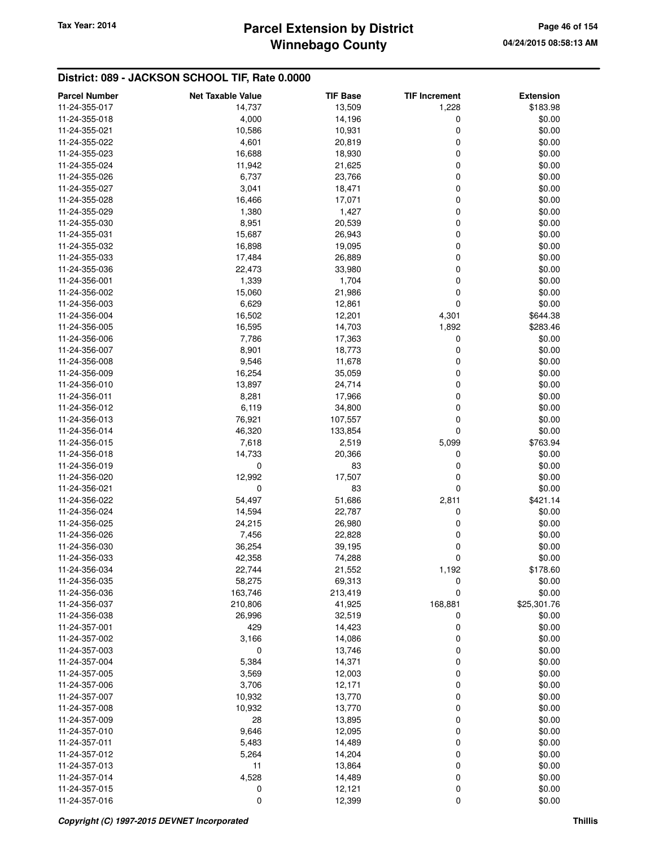# **Winnebago County** Tax Year: 2014 **Parcel Extension by District Page 46 of 154**

| <b>Parcel Number</b>           | <b>Net Taxable Value</b> | <b>TIF Base</b>  | <b>TIF Increment</b> | <b>Extension</b> |
|--------------------------------|--------------------------|------------------|----------------------|------------------|
| 11-24-355-017                  | 14,737                   | 13,509           | 1,228                | \$183.98         |
| 11-24-355-018                  | 4,000                    | 14,196           | 0                    | \$0.00           |
| 11-24-355-021                  | 10,586                   | 10,931           | $\mathbf 0$          | \$0.00           |
| 11-24-355-022                  | 4,601                    | 20,819           | 0                    | \$0.00           |
| 11-24-355-023                  | 16,688                   | 18,930           | 0                    | \$0.00           |
| 11-24-355-024                  | 11,942                   | 21,625           | $\mathbf 0$          | \$0.00           |
| 11-24-355-026                  | 6,737                    | 23,766           | 0                    | \$0.00           |
| 11-24-355-027                  | 3,041                    | 18,471           | 0                    | \$0.00           |
| 11-24-355-028                  | 16,466                   | 17,071           | 0                    | \$0.00           |
| 11-24-355-029                  | 1,380                    | 1,427            | 0                    | \$0.00           |
| 11-24-355-030                  | 8,951                    | 20,539           | $\mathbf 0$          | \$0.00           |
| 11-24-355-031                  | 15,687                   | 26,943           | 0                    | \$0.00           |
| 11-24-355-032                  | 16,898                   | 19,095           | 0                    | \$0.00           |
| 11-24-355-033                  | 17,484                   | 26,889           | 0                    | \$0.00           |
| 11-24-355-036                  | 22,473                   | 33,980           | 0                    | \$0.00           |
| 11-24-356-001                  | 1,339                    | 1,704            | $\mathbf 0$          | \$0.00           |
| 11-24-356-002                  | 15,060                   | 21,986           | 0                    | \$0.00           |
| 11-24-356-003                  | 6,629                    | 12,861           | 0                    | \$0.00           |
| 11-24-356-004                  | 16,502                   | 12,201           | 4,301                | \$644.38         |
| 11-24-356-005                  | 16,595                   | 14,703           | 1,892                | \$283.46         |
| 11-24-356-006                  | 7,786                    | 17,363           | $\boldsymbol{0}$     | \$0.00           |
| 11-24-356-007                  | 8,901                    | 18,773           | 0                    | \$0.00           |
| 11-24-356-008                  | 9,546                    | 11,678           | 0                    | \$0.00           |
| 11-24-356-009                  | 16,254                   | 35,059           | 0                    | \$0.00           |
| 11-24-356-010                  | 13,897                   | 24,714           | 0                    | \$0.00           |
| 11-24-356-011                  | 8,281                    | 17,966           | $\mathbf 0$          | \$0.00           |
| 11-24-356-012                  | 6,119                    | 34,800           | 0                    | \$0.00           |
| 11-24-356-013                  | 76,921                   | 107,557          | 0                    | \$0.00           |
| 11-24-356-014                  | 46,320                   | 133,854          | 0                    | \$0.00           |
| 11-24-356-015                  | 7,618                    | 2,519            | 5,099                | \$763.94         |
| 11-24-356-018                  | 14,733                   | 20,366           | 0                    | \$0.00           |
| 11-24-356-019                  | 0                        | 83               | 0                    | \$0.00           |
| 11-24-356-020                  | 12,992                   | 17,507           | 0                    | \$0.00           |
| 11-24-356-021                  | 0                        | 83               | 0                    | \$0.00           |
| 11-24-356-022                  | 54,497                   | 51,686           | 2,811                | \$421.14         |
| 11-24-356-024                  | 14,594                   | 22,787           | 0                    | \$0.00           |
| 11-24-356-025                  | 24,215                   | 26,980           | 0                    | \$0.00           |
| 11-24-356-026                  | 7,456                    | 22,828           | 0                    | \$0.00           |
| 11-24-356-030                  | 36,254                   | 39,195           | 0                    | \$0.00           |
| 11-24-356-033                  | 42,358                   | 74,288           | 0                    | \$0.00           |
| 11-24-356-034                  | 22,744                   | 21,552           | 1,192                | \$178.60         |
| 11-24-356-035                  | 58,275                   | 69,313           | 0                    | \$0.00           |
| 11-24-356-036                  | 163,746                  | 213,419          | 0                    | \$0.00           |
| 11-24-356-037                  | 210,806                  | 41,925           | 168,881              | \$25,301.76      |
| 11-24-356-038                  | 26,996                   | 32,519           | 0                    | \$0.00           |
| 11-24-357-001                  | 429                      | 14,423           | 0                    | \$0.00           |
| 11-24-357-002                  | 3,166                    | 14,086           | 0                    | \$0.00           |
| 11-24-357-003                  | 0                        | 13,746           | 0                    | \$0.00           |
| 11-24-357-004                  | 5,384                    | 14,371           | 0                    | \$0.00           |
| 11-24-357-005                  | 3,569                    | 12,003           | 0                    | \$0.00           |
| 11-24-357-006<br>11-24-357-007 | 3,706                    | 12,171           | 0                    | \$0.00           |
|                                | 10,932                   | 13,770           | 0                    | \$0.00           |
| 11-24-357-008<br>11-24-357-009 | 10,932<br>28             | 13,770<br>13,895 | 0<br>0               | \$0.00<br>\$0.00 |
| 11-24-357-010                  | 9,646                    | 12,095           | 0                    | \$0.00           |
| 11-24-357-011                  | 5,483                    | 14,489           | 0                    | \$0.00           |
| 11-24-357-012                  | 5,264                    | 14,204           | 0                    | \$0.00           |
| 11-24-357-013                  | 11                       | 13,864           | 0                    | \$0.00           |
| 11-24-357-014                  | 4,528                    | 14,489           | 0                    | \$0.00           |
| 11-24-357-015                  | 0                        | 12,121           | 0                    | \$0.00           |
| 11-24-357-016                  | 0                        | 12,399           | $\mathbf 0$          | \$0.00           |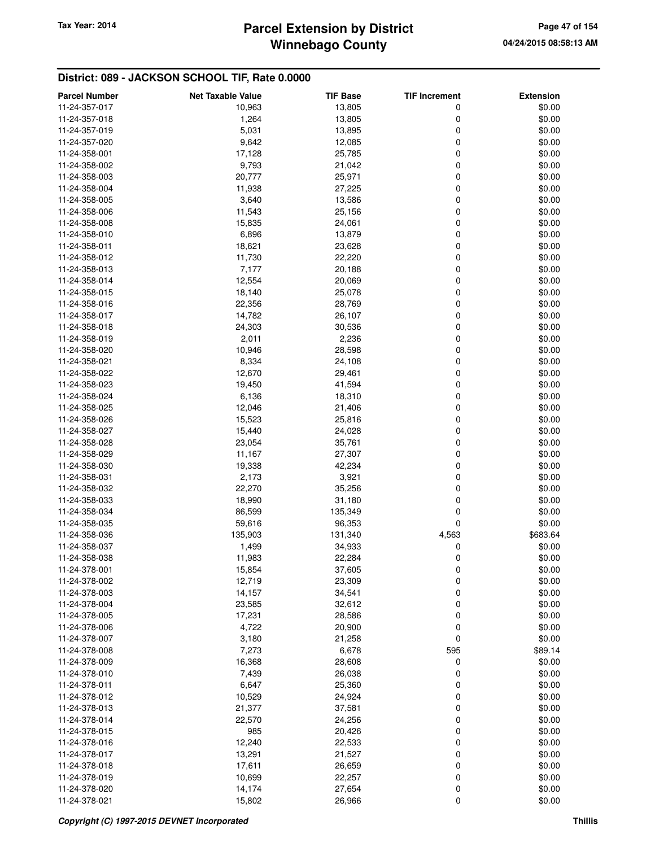# **Winnebago County** Tax Year: 2014 **Parcel Extension by District Page 47 of 154**

| <b>Parcel Number</b> | <b>Net Taxable Value</b> | <b>TIF Base</b> | <b>TIF Increment</b> | <b>Extension</b> |
|----------------------|--------------------------|-----------------|----------------------|------------------|
| 11-24-357-017        | 10,963                   | 13,805          | 0                    | \$0.00           |
| 11-24-357-018        | 1,264                    | 13,805          | 0                    | \$0.00           |
| 11-24-357-019        | 5,031                    | 13,895          | 0                    | \$0.00           |
| 11-24-357-020        | 9,642                    | 12,085          | 0                    | \$0.00           |
| 11-24-358-001        | 17,128                   | 25,785          | 0                    | \$0.00           |
| 11-24-358-002        | 9,793                    | 21,042          | 0                    | \$0.00           |
| 11-24-358-003        | 20,777                   | 25,971          | 0                    | \$0.00           |
| 11-24-358-004        | 11,938                   | 27,225          | 0                    | \$0.00           |
| 11-24-358-005        | 3,640                    | 13,586          | 0                    | \$0.00           |
| 11-24-358-006        | 11,543                   | 25,156          | 0                    | \$0.00           |
| 11-24-358-008        | 15,835                   | 24,061          | 0                    | \$0.00           |
| 11-24-358-010        | 6,896                    | 13,879          | 0                    | \$0.00           |
| 11-24-358-011        | 18,621                   | 23,628          | 0                    | \$0.00           |
| 11-24-358-012        | 11,730                   | 22,220          | 0                    | \$0.00           |
| 11-24-358-013        | 7,177                    | 20,188          | 0                    | \$0.00           |
| 11-24-358-014        | 12,554                   | 20,069          | 0                    | \$0.00           |
| 11-24-358-015        | 18,140                   | 25,078          | 0                    | \$0.00           |
| 11-24-358-016        | 22,356                   | 28,769          | 0                    | \$0.00           |
| 11-24-358-017        | 14,782                   | 26,107          | 0                    | \$0.00           |
| 11-24-358-018        | 24,303                   | 30,536          | 0                    | \$0.00           |
| 11-24-358-019        | 2,011                    | 2,236           | 0                    | \$0.00           |
| 11-24-358-020        | 10,946                   | 28,598          | 0                    | \$0.00           |
| 11-24-358-021        | 8,334                    | 24,108          | 0                    | \$0.00           |
| 11-24-358-022        | 12,670                   | 29,461          | 0                    | \$0.00           |
| 11-24-358-023        | 19,450                   | 41,594          | 0                    | \$0.00           |
| 11-24-358-024        | 6,136                    | 18,310          | 0                    | \$0.00           |
| 11-24-358-025        | 12,046                   | 21,406          | 0                    | \$0.00           |
| 11-24-358-026        | 15,523                   | 25,816          | 0                    | \$0.00           |
| 11-24-358-027        | 15,440                   | 24,028          | 0                    | \$0.00           |
| 11-24-358-028        | 23,054                   | 35,761          | 0                    | \$0.00           |
| 11-24-358-029        | 11,167                   | 27,307          | 0                    | \$0.00           |
| 11-24-358-030        | 19,338                   | 42,234          | 0                    | \$0.00           |
| 11-24-358-031        | 2,173                    | 3,921           | 0                    | \$0.00           |
| 11-24-358-032        | 22,270                   | 35,256          | 0                    | \$0.00           |
| 11-24-358-033        | 18,990                   | 31,180          | 0                    | \$0.00           |
| 11-24-358-034        | 86,599                   | 135,349         | 0                    | \$0.00           |
| 11-24-358-035        | 59,616                   | 96,353          | 0                    | \$0.00           |
| 11-24-358-036        | 135,903                  | 131,340         | 4,563                | \$683.64         |
| 11-24-358-037        | 1,499                    | 34,933          | 0                    | \$0.00           |
| 11-24-358-038        | 11,983                   | 22,284          | 0                    | \$0.00           |
| 11-24-378-001        | 15,854                   | 37,605          | 0                    | \$0.00           |
| 11-24-378-002        | 12,719                   | 23,309          | 0                    | \$0.00           |
| 11-24-378-003        | 14,157                   | 34,541          | 0                    | \$0.00           |
| 11-24-378-004        | 23,585                   | 32,612          | 0                    | \$0.00           |
| 11-24-378-005        | 17,231                   | 28,586          | 0                    | \$0.00           |
| 11-24-378-006        | 4,722                    | 20,900          | 0                    | \$0.00           |
| 11-24-378-007        | 3,180                    | 21,258          | 0                    | \$0.00           |
| 11-24-378-008        | 7,273                    | 6,678           | 595                  | \$89.14          |
| 11-24-378-009        | 16,368                   | 28,608          | 0                    | \$0.00           |
| 11-24-378-010        | 7,439                    | 26,038          | 0                    | \$0.00           |
| 11-24-378-011        | 6,647                    | 25,360          | 0                    | \$0.00           |
| 11-24-378-012        | 10,529                   | 24,924          | 0                    | \$0.00           |
| 11-24-378-013        | 21,377                   | 37,581          | 0                    | \$0.00           |
| 11-24-378-014        | 22,570                   | 24,256          | 0                    | \$0.00           |
| 11-24-378-015        | 985                      | 20,426          | 0                    | \$0.00           |
| 11-24-378-016        | 12,240                   | 22,533          | 0                    | \$0.00           |
| 11-24-378-017        | 13,291                   | 21,527          | 0                    | \$0.00           |
| 11-24-378-018        | 17,611                   | 26,659          | 0                    | \$0.00           |
| 11-24-378-019        | 10,699                   | 22,257          | 0                    | \$0.00           |
| 11-24-378-020        | 14,174                   | 27,654          | 0                    | \$0.00           |
| 11-24-378-021        | 15,802                   | 26,966          | 0                    | \$0.00           |
|                      |                          |                 |                      |                  |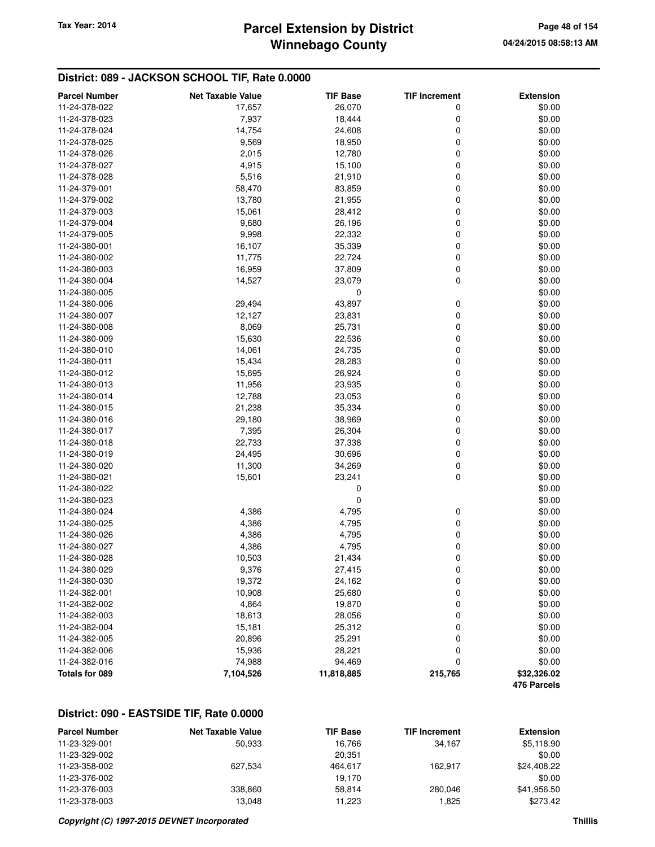# **Winnebago County Parcel Extension by District Tax Year: 2014 Page 48 of 154**

### **District: 089 - JACKSON SCHOOL TIF, Rate 0.0000**

| <b>Parcel Number</b> | <b>Net Taxable Value</b> | <b>TIF Base</b> | <b>TIF Increment</b> | <b>Extension</b> |
|----------------------|--------------------------|-----------------|----------------------|------------------|
| 11-24-378-022        | 17,657                   | 26,070          | 0                    | \$0.00           |
| 11-24-378-023        | 7,937                    | 18,444          | 0                    | \$0.00           |
| 11-24-378-024        | 14,754                   | 24,608          | $\mathbf 0$          | \$0.00           |
| 11-24-378-025        | 9,569                    | 18,950          | $\mathbf 0$          | \$0.00           |
| 11-24-378-026        | 2,015                    | 12,780          | 0                    | \$0.00           |
| 11-24-378-027        | 4,915                    | 15,100          | $\mathbf 0$          | \$0.00           |
| 11-24-378-028        | 5,516                    | 21,910          | 0                    | \$0.00           |
| 11-24-379-001        | 58,470                   | 83,859          | 0                    | \$0.00           |
| 11-24-379-002        | 13,780                   | 21,955          | $\mathbf 0$          | \$0.00           |
| 11-24-379-003        | 15,061                   | 28,412          | 0                    | \$0.00           |
| 11-24-379-004        | 9,680                    | 26,196          | $\mathbf 0$          | \$0.00           |
| 11-24-379-005        | 9,998                    | 22,332          | 0                    | \$0.00           |
| 11-24-380-001        | 16,107                   | 35,339          | 0                    | \$0.00           |
| 11-24-380-002        | 11,775                   | 22,724          | $\mathbf 0$          | \$0.00           |
| 11-24-380-003        | 16,959                   | 37,809          | $\mathbf 0$          | \$0.00           |
| 11-24-380-004        | 14,527                   | 23,079          | $\mathbf 0$          | \$0.00           |
| 11-24-380-005        |                          | 0               |                      | \$0.00           |
| 11-24-380-006        | 29,494                   | 43,897          | 0                    | \$0.00           |
| 11-24-380-007        | 12,127                   | 23,831          | $\mathbf 0$          | \$0.00           |
| 11-24-380-008        | 8,069                    | 25,731          | $\mathbf 0$          | \$0.00           |
| 11-24-380-009        | 15,630                   | 22,536          | $\mathbf 0$          | \$0.00           |
| 11-24-380-010        | 14,061                   | 24,735          | 0                    | \$0.00           |
| 11-24-380-011        | 15,434                   | 28,283          | 0                    | \$0.00           |
| 11-24-380-012        | 15,695                   | 26,924          | $\mathbf 0$          | \$0.00           |
| 11-24-380-013        | 11,956                   | 23,935          | $\mathbf 0$          | \$0.00           |
| 11-24-380-014        | 12,788                   | 23,053          | $\mathbf 0$          | \$0.00           |
| 11-24-380-015        | 21,238                   | 35,334          | 0                    | \$0.00           |
| 11-24-380-016        | 29,180                   | 38,969          | 0                    | \$0.00           |
| 11-24-380-017        | 7,395                    | 26,304          | $\mathbf 0$          | \$0.00           |
| 11-24-380-018        | 22,733                   | 37,338          | $\mathbf 0$          | \$0.00           |
| 11-24-380-019        | 24,495                   | 30,696          | $\mathbf 0$          | \$0.00           |
| 11-24-380-020        | 11,300                   | 34,269          | 0                    | \$0.00           |
| 11-24-380-021        | 15,601                   | 23,241          | 0                    | \$0.00           |
| 11-24-380-022        |                          | 0               |                      | \$0.00           |
| 11-24-380-023        |                          | 0               |                      | \$0.00           |
| 11-24-380-024        | 4,386                    | 4,795           | 0                    | \$0.00           |
| 11-24-380-025        | 4,386                    | 4,795           | 0                    | \$0.00           |
| 11-24-380-026        | 4,386                    | 4,795           | 0                    | \$0.00           |
| 11-24-380-027        | 4,386                    | 4,795           | 0                    | \$0.00           |
| 11-24-380-028        | 10,503                   | 21,434          | 0                    | \$0.00           |
| 11-24-380-029        | 9,376                    | 27,415          | 0                    | \$0.00           |
| 11-24-380-030        | 19,372                   | 24,162          | $\pmb{0}$            | \$0.00           |
| 11-24-382-001        | 10,908                   | 25,680          | 0                    | \$0.00           |
| 11-24-382-002        | 4,864                    | 19,870          | 0                    | \$0.00           |
| 11-24-382-003        | 18,613                   | 28,056          | 0                    | \$0.00           |
| 11-24-382-004        | 15,181                   | 25,312          | 0                    | \$0.00           |
| 11-24-382-005        | 20,896                   | 25,291          | 0                    | \$0.00           |
| 11-24-382-006        | 15,936                   | 28,221          | 0                    | \$0.00           |
| 11-24-382-016        | 74,988                   | 94,469          | 0                    | \$0.00           |
| Totals for 089       | 7,104,526                | 11,818,885      | 215,765              | \$32,326.02      |
|                      |                          |                 |                      | 476 Parcels      |

## **District: 090 - EASTSIDE TIF, Rate 0.0000**

| <b>Parcel Number</b> | <b>Net Taxable Value</b> | <b>TIF Base</b> | <b>TIF Increment</b> | <b>Extension</b> |
|----------------------|--------------------------|-----------------|----------------------|------------------|
| 11-23-329-001        | 50.933                   | 16.766          | 34.167               | \$5,118.90       |
| 11-23-329-002        |                          | 20.351          |                      | \$0.00           |
| 11-23-358-002        | 627.534                  | 464.617         | 162.917              | \$24,408.22      |
| 11-23-376-002        |                          | 19.170          |                      | \$0.00           |
| 11-23-376-003        | 338,860                  | 58.814          | 280.046              | \$41,956.50      |
| 11-23-378-003        | 13.048                   | 11.223          | 1.825                | \$273.42         |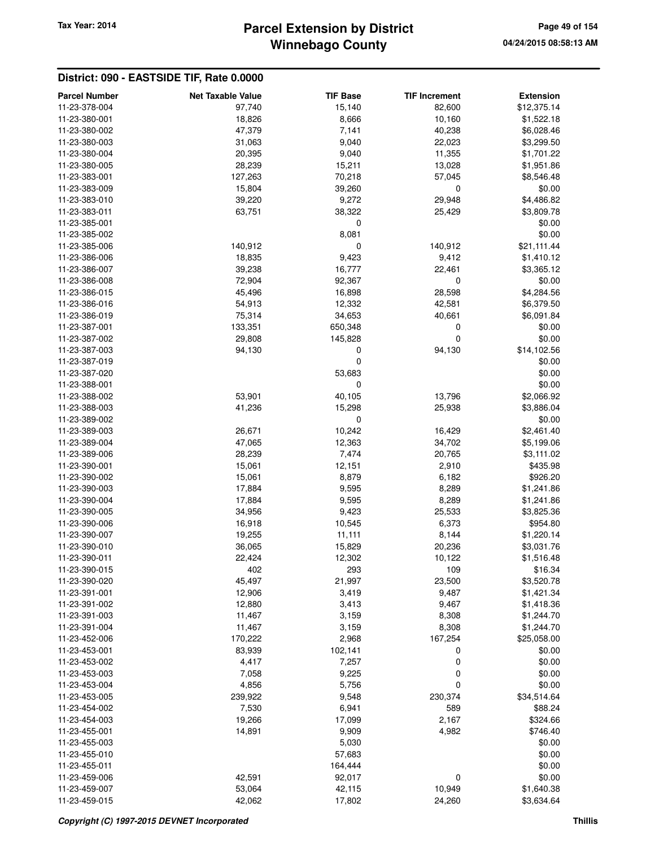# **Winnebago County** Tax Year: 2014 **Parcel Extension by District Page 49 of 154**

### **District: 090 - EASTSIDE TIF, Rate 0.0000**

| <b>Parcel Number</b> | <b>Net Taxable Value</b> | <b>TIF Base</b> | <b>TIF Increment</b> | <b>Extension</b> |
|----------------------|--------------------------|-----------------|----------------------|------------------|
| 11-23-378-004        | 97,740                   | 15,140          | 82,600               | \$12,375.14      |
| 11-23-380-001        | 18,826                   | 8,666           | 10,160               | \$1,522.18       |
| 11-23-380-002        | 47,379                   | 7,141           | 40,238               | \$6,028.46       |
| 11-23-380-003        | 31,063                   | 9,040           | 22,023               | \$3,299.50       |
| 11-23-380-004        | 20,395                   | 9,040           | 11,355               | \$1,701.22       |
| 11-23-380-005        | 28,239                   | 15,211          | 13,028               | \$1,951.86       |
| 11-23-383-001        | 127,263                  | 70,218          | 57,045               | \$8,546.48       |
| 11-23-383-009        | 15,804                   | 39,260          | 0                    | \$0.00           |
| 11-23-383-010        | 39,220                   | 9,272           | 29,948               | \$4,486.82       |
| 11-23-383-011        | 63,751                   | 38,322          | 25,429               | \$3,809.78       |
| 11-23-385-001        |                          | 0               |                      | \$0.00           |
|                      |                          |                 |                      |                  |
| 11-23-385-002        |                          | 8,081           |                      | \$0.00           |
| 11-23-385-006        | 140,912                  | 0               | 140,912              | \$21,111.44      |
| 11-23-386-006        | 18,835                   | 9,423           | 9,412                | \$1,410.12       |
| 11-23-386-007        | 39,238                   | 16,777          | 22,461               | \$3,365.12       |
| 11-23-386-008        | 72,904                   | 92,367          | 0                    | \$0.00           |
| 11-23-386-015        | 45,496                   | 16,898          | 28,598               | \$4,284.56       |
| 11-23-386-016        | 54,913                   | 12,332          | 42,581               | \$6,379.50       |
| 11-23-386-019        | 75,314                   | 34,653          | 40,661               | \$6,091.84       |
| 11-23-387-001        | 133,351                  | 650,348         | 0                    | \$0.00           |
| 11-23-387-002        | 29,808                   | 145,828         | 0                    | \$0.00           |
| 11-23-387-003        | 94,130                   | 0               | 94,130               | \$14,102.56      |
| 11-23-387-019        |                          | 0               |                      | \$0.00           |
| 11-23-387-020        |                          | 53,683          |                      | \$0.00           |
| 11-23-388-001        |                          | 0               |                      | \$0.00           |
|                      |                          |                 |                      |                  |
| 11-23-388-002        | 53,901                   | 40,105          | 13,796               | \$2,066.92       |
| 11-23-388-003        | 41,236                   | 15,298          | 25,938               | \$3,886.04       |
| 11-23-389-002        |                          | 0               |                      | \$0.00           |
| 11-23-389-003        | 26,671                   | 10,242          | 16,429               | \$2,461.40       |
| 11-23-389-004        | 47,065                   | 12,363          | 34,702               | \$5,199.06       |
| 11-23-389-006        | 28,239                   | 7,474           | 20,765               | \$3,111.02       |
| 11-23-390-001        | 15,061                   | 12,151          | 2,910                | \$435.98         |
| 11-23-390-002        | 15,061                   | 8,879           | 6,182                | \$926.20         |
| 11-23-390-003        | 17,884                   | 9,595           | 8,289                | \$1,241.86       |
| 11-23-390-004        | 17,884                   | 9,595           | 8,289                | \$1,241.86       |
| 11-23-390-005        | 34,956                   | 9,423           | 25,533               | \$3,825.36       |
| 11-23-390-006        | 16,918                   | 10,545          | 6,373                | \$954.80         |
| 11-23-390-007        | 19,255                   | 11,111          | 8,144                | \$1,220.14       |
| 11-23-390-010        | 36,065                   | 15,829          | 20,236               | \$3,031.76       |
| 11-23-390-011        | 22,424                   | 12,302          | 10,122               | \$1,516.48       |
| 11-23-390-015        | 402                      | 293             | 109                  | \$16.34          |
| 11-23-390-020        | 45,497                   | 21,997          | 23,500               | \$3,520.78       |
| 11-23-391-001        | 12,906                   |                 |                      | \$1,421.34       |
|                      |                          | 3,419           | 9,487                |                  |
| 11-23-391-002        | 12,880                   | 3,413           | 9,467                | \$1,418.36       |
| 11-23-391-003        | 11,467                   | 3,159           | 8,308                | \$1,244.70       |
| 11-23-391-004        | 11,467                   | 3,159           | 8,308                | \$1,244.70       |
| 11-23-452-006        | 170,222                  | 2,968           | 167,254              | \$25,058.00      |
| 11-23-453-001        | 83,939                   | 102,141         | 0                    | \$0.00           |
| 11-23-453-002        | 4,417                    | 7,257           | 0                    | \$0.00           |
| 11-23-453-003        | 7,058                    | 9,225           | 0                    | \$0.00           |
| 11-23-453-004        | 4,856                    | 5,756           | 0                    | \$0.00           |
| 11-23-453-005        | 239,922                  | 9,548           | 230,374              | \$34,514.64      |
| 11-23-454-002        | 7,530                    | 6,941           | 589                  | \$88.24          |
| 11-23-454-003        | 19,266                   | 17,099          | 2,167                | \$324.66         |
| 11-23-455-001        | 14,891                   | 9,909           | 4,982                | \$746.40         |
| 11-23-455-003        |                          | 5,030           |                      | \$0.00           |
| 11-23-455-010        |                          | 57,683          |                      | \$0.00           |
| 11-23-455-011        |                          | 164,444         |                      | \$0.00           |
| 11-23-459-006        | 42,591                   | 92,017          | 0                    | \$0.00           |
| 11-23-459-007        |                          |                 |                      |                  |
|                      | 53,064                   | 42,115          | 10,949               | \$1,640.38       |
| 11-23-459-015        | 42,062                   | 17,802          | 24,260               | \$3,634.64       |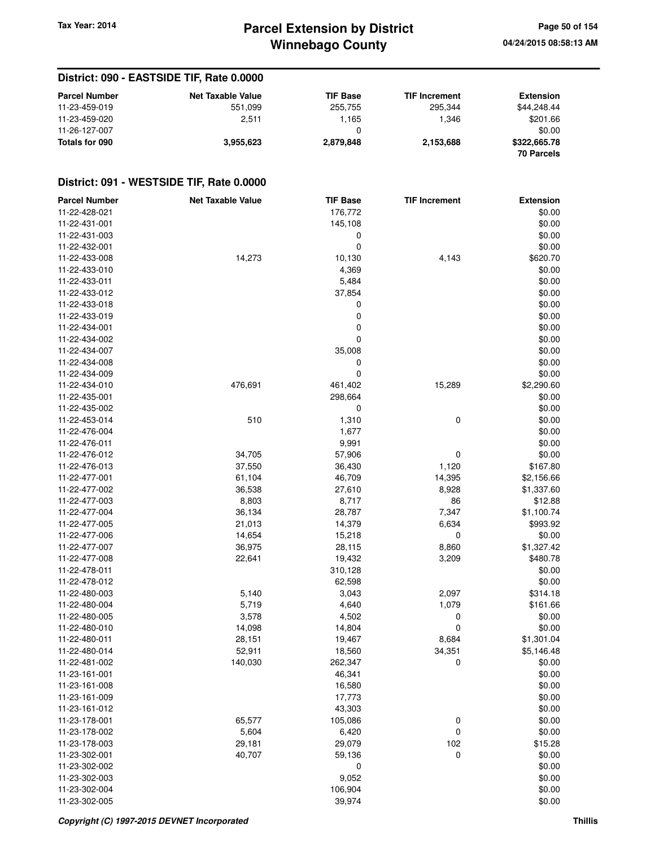# **Winnebago County Parcel Extension by District Tax Year: 2014 Page 50 of 154**

**04/24/2015 08:58:13 AM**

### **District: 090 - EASTSIDE TIF, Rate 0.0000**

| <b>Parcel Number</b> | <b>Net Taxable Value</b> | <b>TIF Base</b> | <b>TIF Increment</b> | <b>Extension</b>  |
|----------------------|--------------------------|-----------------|----------------------|-------------------|
| 11-23-459-019        | 551.099                  | 255,755         | 295.344              | \$44.248.44       |
| 11-23-459-020        | 2.511                    | 1.165           | 1.346                | \$201.66          |
| 11-26-127-007        |                          | 0               |                      | \$0.00            |
| Totals for 090       | 3.955.623                | 2,879,848       | 2,153,688            | \$322,665.78      |
|                      |                          |                 |                      | <b>70 Parcels</b> |

### **District: 091 - WESTSIDE TIF, Rate 0.0000**

| <b>Parcel Number</b>           | <b>Net Taxable Value</b> | <b>TIF Base</b> | <b>TIF Increment</b> | <b>Extension</b> |
|--------------------------------|--------------------------|-----------------|----------------------|------------------|
| 11-22-428-021                  |                          | 176,772         |                      | \$0.00           |
| 11-22-431-001                  |                          | 145,108         |                      | \$0.00           |
| 11-22-431-003                  |                          | 0               |                      | \$0.00           |
| 11-22-432-001                  |                          | 0               |                      | \$0.00           |
| 11-22-433-008                  | 14,273                   | 10,130          | 4,143                | \$620.70         |
| 11-22-433-010                  |                          | 4,369           |                      | \$0.00           |
| 11-22-433-011                  |                          | 5,484           |                      | \$0.00           |
| 11-22-433-012                  |                          | 37,854          |                      | \$0.00           |
| 11-22-433-018                  |                          | 0               |                      | \$0.00           |
| 11-22-433-019                  |                          | 0               |                      | \$0.00           |
| 11-22-434-001                  |                          | 0               |                      | \$0.00           |
| 11-22-434-002                  |                          | 0               |                      | \$0.00           |
| 11-22-434-007                  |                          | 35,008          |                      | \$0.00           |
| 11-22-434-008                  |                          | 0               |                      | \$0.00           |
| 11-22-434-009                  |                          | 0               |                      | \$0.00           |
| 11-22-434-010                  | 476,691                  | 461,402         | 15,289               | \$2,290.60       |
| 11-22-435-001                  |                          | 298,664         |                      | \$0.00           |
| 11-22-435-002                  |                          | 0               |                      | \$0.00           |
| 11-22-453-014                  | 510                      | 1,310           | 0                    | \$0.00           |
| 11-22-476-004                  |                          | 1,677           |                      | \$0.00           |
| 11-22-476-011                  |                          | 9,991           |                      | \$0.00           |
| 11-22-476-012                  | 34,705                   | 57,906          | 0                    | \$0.00           |
| 11-22-476-013                  | 37,550                   | 36,430          | 1,120                | \$167.80         |
| 11-22-477-001                  | 61,104                   | 46,709          | 14,395               | \$2,156.66       |
| 11-22-477-002                  | 36,538                   | 27,610          | 8,928                | \$1,337.60       |
| 11-22-477-003                  | 8,803                    | 8,717           | 86                   | \$12.88          |
| 11-22-477-004                  | 36,134                   | 28,787          | 7,347                | \$1,100.74       |
| 11-22-477-005                  | 21,013                   | 14,379          | 6,634                | \$993.92         |
| 11-22-477-006                  | 14,654                   | 15,218          | 0                    | \$0.00           |
| 11-22-477-007                  | 36,975                   | 28,115          | 8,860                | \$1,327.42       |
| 11-22-477-008                  | 22,641                   | 19,432          | 3,209                | \$480.78         |
| 11-22-478-011                  |                          | 310,128         |                      | \$0.00           |
| 11-22-478-012                  |                          | 62,598          |                      | \$0.00           |
| 11-22-480-003                  | 5,140                    | 3,043           | 2,097                | \$314.18         |
| 11-22-480-004                  | 5,719                    | 4,640           | 1,079                | \$161.66         |
| 11-22-480-005                  | 3,578                    | 4,502           | 0                    | \$0.00           |
| 11-22-480-010                  | 14,098                   | 14,804          | 0                    | \$0.00           |
| 11-22-480-011                  | 28,151                   | 19,467          | 8,684                | \$1,301.04       |
| 11-22-480-014                  |                          |                 |                      | \$5,146.48       |
|                                | 52,911                   | 18,560          | 34,351               |                  |
| 11-22-481-002<br>11-23-161-001 | 140,030                  | 262,347         | 0                    | \$0.00           |
|                                |                          | 46,341          |                      | \$0.00           |
| 11-23-161-008                  |                          | 16,580          |                      | \$0.00           |
| 11-23-161-009                  |                          | 17,773          |                      | \$0.00           |
| 11-23-161-012                  |                          | 43,303          |                      | \$0.00           |
| 11-23-178-001                  | 65,577                   | 105,086         | 0                    | \$0.00           |
| 11-23-178-002                  | 5,604                    | 6,420           | 0                    | \$0.00           |
| 11-23-178-003                  | 29,181                   | 29,079          | 102                  | \$15.28          |
| 11-23-302-001                  | 40,707                   | 59,136          | 0                    | \$0.00           |
| 11-23-302-002                  |                          | 0               |                      | \$0.00           |
| 11-23-302-003                  |                          | 9,052           |                      | \$0.00           |
| 11-23-302-004                  |                          | 106,904         |                      | \$0.00           |
| 11-23-302-005                  |                          | 39,974          |                      | \$0.00           |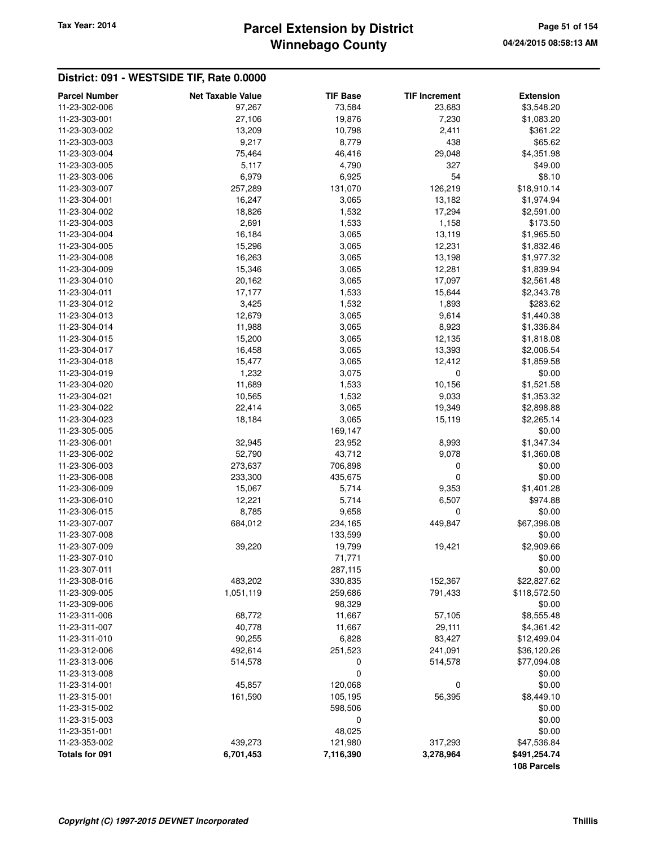## **Winnebago County Parcel Extension by District Tax Year: 2014 Page 51 of 154**

#### **District: 091 - WESTSIDE TIF, Rate 0.0000 Parcel Number Net Taxable Value TIF Base TIF Increment Extension** 11-23-302-006 97,267 73,584 23,683 \$3,548.20 11-23-303-001 27,106 19,876 7,230 \$1,083.20 11-23-303-002 13,209 10,798 2,411 \$361.22 11-23-303-003 9,217 8,779 438 \$65.62 11-23-303-004 75,464 46,416 29,048 \$4,351.98 11-23-303-005 5,117 4,790 327 \$49.00 11-23-303-006 6,979 6,925 54 \$8.10 11-23-303-007 257,289 131,070 126,219 \$18,910.14 11-23-304-001 16,247 16,247 3,065 13,182 \$1,974.94 11-23-304-002 18,826 1,532 17,294 \$2,591.00 11-23-304-003 2,691 1,533 1,158 \$173.50 11-23-304-004 **16,184** 3,065 13,119 \$1,965.50 11-23-304-005 15,296 3,065 12,231 \$1,832.46 11-23-304-008 16,263 3,065 13,198 \$1,977.32 11-23-304-009 15,346 3,065 12,281 \$1,839.94 11-23-304-010 20,162 3,065 17,097 \$2,561.48 11-23-304-011 17,177 1,533 15,644 \$2,343.78 11-23-304-012 3,425 1,532 1,893 \$283.62 11-23-304-013 12,679 3,065 9,614 \$1,440.38 11-23-304-014 11,988 3,065 8,923 \$1,336.84 11-23-304-015 15,200 3,065 12,135 \$1,818.08 11-23-304-017 16,458 3,065 13,393 \$2,006.54 11-23-304-018 15,477 3,065 12,412 \$1,859.58 11-23-304-019 1,232 3,075 0 \$0.00 11-23-304-020 11,689 1,533 10,156 \$1,521.58 11-23-304-021 10,565 1,532 9,033 \$1,353.32 11-23-304-022 22,414 3,065 19,349 \$2,898.88 11-23-304-023 18,184 3,065 15,119 \$2,265.14 11-23-305-005 169,147 \$0.00 11-23-306-001 32,945 23,952 8,993 \$1,347.34 11-23-306-002 62,790 43,712 9,078 \$1,360.08 11-23-306-003 273,637 706,898 0 \$0.00 11-23-306-008 233,300 435,675 0 \$0.00 11-23-306-009 15,067 5,714 9,353 \$1,401.28 11-23-306-010 12,221 5,714 6,507 \$974.88 11-23-306-015 8,785 9,658 0 \$0.00 11-23-307-007 684,012 234,165 449,847 \$67,396.08 11-23-307-008 133,599 \$0.00 11-23-307-009 39,220 19,799 19,421 \$2,909.66 11-23-307-010 71,771 \$0.00 11-23-307-011 287,115 \$0.00 11-23-308-016 483,202 330,835 152,367 \$22,827.62 11-23-309-005 1,051,119 259,686 791,433 \$118,572.50 11-23-309-006 98,329 \$0.00 11-23-311-006 68,772 11,667 57,105 \$8,555.48 11-23-311-007 40,778 11,667 29,111 \$4,361.42 11-23-311-010 90,255 6,828 83,427 \$12,499.04 11-23-312-006 492,614 251,523 241,091 \$36,120.26 11-23-313-006 514,578 0 514,578 \$77,094.08  $11-23-313-008$  \$0.00 11-23-314-001 45,857 120,068 0 \$0.00 11-23-315-001 161,590 105,195 56,395 \$8,449.10 11-23-315-002 598,506 \$0.00 11-23-315-003 0 \$0.00 11-23-351-001 48,025 \$0.00 11-23-353-002 439,273 121,980 317,293 \$47,536.84 **Totals for 091 6,701,453 7,116,390 3,278,964 \$491,254.74 108 Parcels**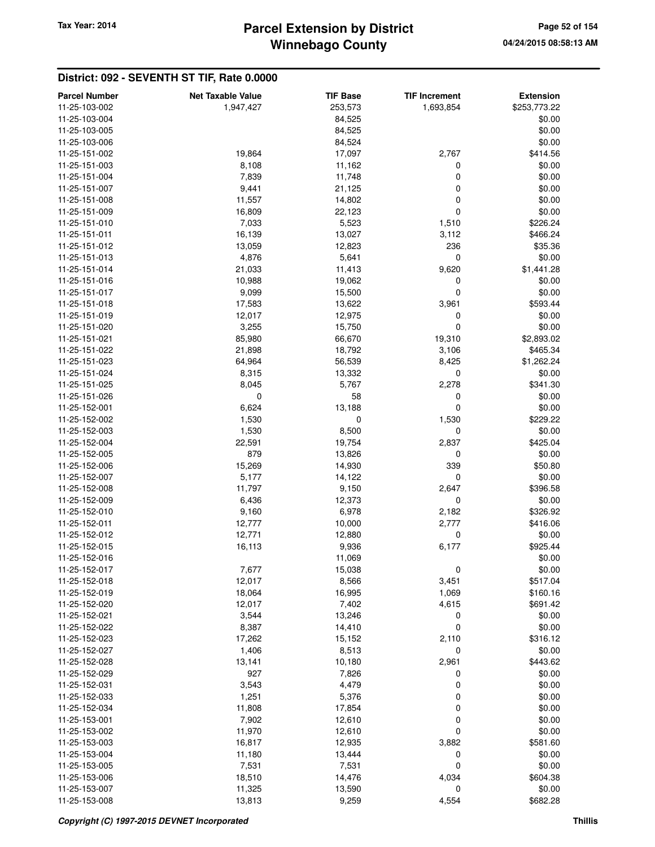## **Winnebago County Parcel Extension by District Tax Year: 2014 Page 52 of 154**

| <b>Parcel Number</b> | <b>Net Taxable Value</b> | <b>TIF Base</b>  | <b>TIF Increment</b> | <b>Extension</b>       |
|----------------------|--------------------------|------------------|----------------------|------------------------|
| 11-25-103-002        | 1,947,427                | 253,573          | 1,693,854            | \$253,773.22           |
| 11-25-103-004        |                          | 84,525           |                      | \$0.00                 |
| 11-25-103-005        |                          | 84,525           |                      | \$0.00                 |
| 11-25-103-006        |                          | 84,524           |                      | \$0.00                 |
| 11-25-151-002        | 19,864                   | 17,097           | 2,767                | \$414.56               |
| 11-25-151-003        | 8,108                    | 11,162           | 0                    | \$0.00                 |
| 11-25-151-004        | 7,839                    | 11,748           | 0                    | \$0.00                 |
| 11-25-151-007        | 9,441                    | 21,125           | 0                    | \$0.00                 |
| 11-25-151-008        | 11,557                   | 14,802           | 0                    | \$0.00                 |
| 11-25-151-009        | 16,809                   | 22,123           | 0                    | \$0.00                 |
| 11-25-151-010        | 7,033                    | 5,523            | 1,510                | \$226.24               |
| 11-25-151-011        | 16,139                   | 13,027           | 3,112                | \$466.24               |
| 11-25-151-012        | 13,059                   | 12,823           | 236                  | \$35.36                |
| 11-25-151-013        | 4,876                    | 5,641            | 0                    | \$0.00                 |
| 11-25-151-014        | 21,033                   | 11,413           | 9,620                | \$1,441.28             |
| 11-25-151-016        | 10,988                   | 19,062           | 0                    | \$0.00                 |
| 11-25-151-017        | 9,099                    | 15,500           | 0                    | \$0.00                 |
| 11-25-151-018        | 17,583                   | 13,622           | 3,961                | \$593.44               |
| 11-25-151-019        | 12,017                   | 12,975           | 0                    | \$0.00                 |
| 11-25-151-020        | 3,255                    | 15,750           | 0                    | \$0.00                 |
| 11-25-151-021        |                          |                  |                      |                        |
| 11-25-151-022        | 85,980                   | 66,670           | 19,310               | \$2,893.02             |
| 11-25-151-023        | 21,898<br>64,964         | 18,792<br>56,539 | 3,106<br>8,425       | \$465.34<br>\$1,262.24 |
|                      |                          | 13,332           |                      |                        |
| 11-25-151-024        | 8,315                    |                  | 0                    | \$0.00                 |
| 11-25-151-025        | 8,045                    | 5,767            | 2,278                | \$341.30               |
| 11-25-151-026        | 0                        | 58               | 0                    | \$0.00                 |
| 11-25-152-001        | 6,624                    | 13,188           | 0                    | \$0.00                 |
| 11-25-152-002        | 1,530                    | 0                | 1,530                | \$229.22               |
| 11-25-152-003        | 1,530                    | 8,500            | 0                    | \$0.00                 |
| 11-25-152-004        | 22,591                   | 19,754           | 2,837                | \$425.04               |
| 11-25-152-005        | 879                      | 13,826           | 0                    | \$0.00                 |
| 11-25-152-006        | 15,269                   | 14,930           | 339                  | \$50.80                |
| 11-25-152-007        | 5,177                    | 14,122           | 0                    | \$0.00                 |
| 11-25-152-008        | 11,797                   | 9,150            | 2,647                | \$396.58               |
| 11-25-152-009        | 6,436                    | 12,373           | 0                    | \$0.00                 |
| 11-25-152-010        | 9,160                    | 6,978            | 2,182                | \$326.92               |
| 11-25-152-011        | 12,777                   | 10,000           | 2,777                | \$416.06               |
| 11-25-152-012        | 12,771                   | 12,880           | 0                    | \$0.00                 |
| 11-25-152-015        | 16,113                   | 9,936            | 6,177                | \$925.44               |
| 11-25-152-016        |                          | 11,069           |                      | \$0.00                 |
| 11-25-152-017        | 7,677                    | 15,038           | 0                    | \$0.00                 |
| 11-25-152-018        | 12,017                   | 8,566            | 3,451                | \$517.04               |
| 11-25-152-019        | 18,064                   | 16,995           | 1,069                | \$160.16               |
| 11-25-152-020        | 12,017                   | 7,402            | 4,615                | \$691.42               |
| 11-25-152-021        | 3,544                    | 13,246           | 0                    | \$0.00                 |
| 11-25-152-022        | 8,387                    | 14,410           | 0                    | \$0.00                 |
| 11-25-152-023        | 17,262                   | 15,152           | 2,110                | \$316.12               |
| 11-25-152-027        | 1,406                    | 8,513            | 0                    | \$0.00                 |
| 11-25-152-028        | 13,141                   | 10,180           | 2,961                | \$443.62               |
| 11-25-152-029        | 927                      | 7,826            | 0                    | \$0.00                 |
| 11-25-152-031        | 3,543                    | 4,479            | 0                    | \$0.00                 |
| 11-25-152-033        | 1,251                    | 5,376            | 0                    | \$0.00                 |
| 11-25-152-034        | 11,808                   | 17,854           | 0                    | \$0.00                 |
| 11-25-153-001        | 7,902                    | 12,610           | 0                    | \$0.00                 |
| 11-25-153-002        | 11,970                   | 12,610           | 0                    | \$0.00                 |
| 11-25-153-003        | 16,817                   | 12,935           | 3,882                | \$581.60               |
| 11-25-153-004        | 11,180                   | 13,444           | 0                    | \$0.00                 |
| 11-25-153-005        | 7,531                    | 7,531            | 0                    | \$0.00                 |
| 11-25-153-006        | 18,510                   | 14,476           | 4,034                | \$604.38               |
| 11-25-153-007        | 11,325                   | 13,590           | 0                    | \$0.00                 |
| 11-25-153-008        | 13,813                   | 9,259            | 4,554                | \$682.28               |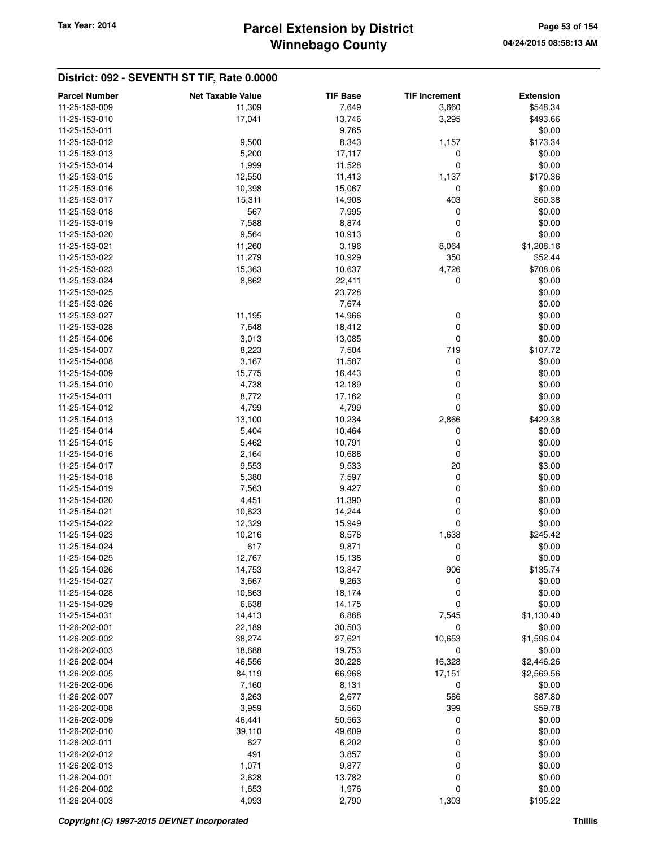## **Winnebago County Parcel Extension by District Tax Year: 2014 Page 53 of 154**

| <b>Parcel Number</b> | <b>Net Taxable Value</b> | <b>TIF Base</b> | <b>TIF Increment</b> | <b>Extension</b> |
|----------------------|--------------------------|-----------------|----------------------|------------------|
| 11-25-153-009        | 11,309                   | 7,649           | 3,660                | \$548.34         |
| 11-25-153-010        | 17,041                   | 13,746          | 3,295                | \$493.66         |
| 11-25-153-011        |                          | 9,765           |                      | \$0.00           |
| 11-25-153-012        | 9,500                    | 8,343           | 1,157                | \$173.34         |
| 11-25-153-013        | 5,200                    | 17,117          | 0                    | \$0.00           |
| 11-25-153-014        |                          |                 | $\mathbf 0$          | \$0.00           |
|                      | 1,999                    | 11,528          |                      |                  |
| 11-25-153-015        | 12,550                   | 11,413          | 1,137                | \$170.36         |
| 11-25-153-016        | 10,398                   | 15,067          | 0                    | \$0.00           |
| 11-25-153-017        | 15,311                   | 14,908          | 403                  | \$60.38          |
| 11-25-153-018        | 567                      | 7,995           | 0                    | \$0.00           |
| 11-25-153-019        | 7,588                    | 8,874           | 0                    | \$0.00           |
| 11-25-153-020        | 9,564                    | 10,913          | $\mathbf 0$          | \$0.00           |
| 11-25-153-021        | 11,260                   | 3,196           | 8,064                | \$1,208.16       |
| 11-25-153-022        | 11,279                   | 10,929          | 350                  | \$52.44          |
| 11-25-153-023        | 15,363                   | 10,637          | 4,726                | \$708.06         |
| 11-25-153-024        | 8,862                    | 22,411          | 0                    | \$0.00           |
| 11-25-153-025        |                          | 23,728          |                      | \$0.00           |
| 11-25-153-026        |                          | 7,674           |                      | \$0.00           |
| 11-25-153-027        | 11,195                   | 14,966          | 0                    | \$0.00           |
| 11-25-153-028        | 7,648                    | 18,412          | 0                    | \$0.00           |
| 11-25-154-006        | 3,013                    | 13,085          | 0                    | \$0.00           |
| 11-25-154-007        | 8,223                    | 7,504           | 719                  | \$107.72         |
| 11-25-154-008        | 3,167                    | 11,587          | 0                    | \$0.00           |
| 11-25-154-009        | 15,775                   | 16,443          | 0                    | \$0.00           |
| 11-25-154-010        | 4,738                    | 12,189          | 0                    | \$0.00           |
| 11-25-154-011        | 8,772                    | 17,162          | $\mathbf 0$          | \$0.00           |
| 11-25-154-012        | 4,799                    | 4,799           | 0                    | \$0.00           |
| 11-25-154-013        | 13,100                   | 10,234          | 2,866                | \$429.38         |
| 11-25-154-014        | 5,404                    | 10,464          | 0                    | \$0.00           |
| 11-25-154-015        | 5,462                    | 10,791          | 0                    | \$0.00           |
| 11-25-154-016        | 2,164                    | 10,688          | 0                    | \$0.00           |
| 11-25-154-017        | 9,553                    | 9,533           | 20                   | \$3.00           |
| 11-25-154-018        | 5,380                    | 7,597           | 0                    | \$0.00           |
| 11-25-154-019        | 7,563                    | 9,427           | 0                    | \$0.00           |
| 11-25-154-020        | 4,451                    | 11,390          | 0                    | \$0.00           |
| 11-25-154-021        | 10,623                   | 14,244          | 0                    | \$0.00           |
| 11-25-154-022        | 12,329                   | 15,949          | $\mathbf 0$          | \$0.00           |
| 11-25-154-023        | 10,216                   | 8,578           | 1,638                | \$245.42         |
| 11-25-154-024        | 617                      | 9,871           | 0                    | \$0.00           |
| 11-25-154-025        | 12,767                   | 15,138          | 0                    | \$0.00           |
| 11-25-154-026        | 14,753                   | 13,847          | 906                  | \$135.74         |
| 11-25-154-027        | 3,667                    | 9,263           | 0                    | \$0.00           |
| 11-25-154-028        | 10,863                   | 18,174          | 0                    | \$0.00           |
| 11-25-154-029        | 6,638                    | 14,175          | $\mathbf 0$          | \$0.00           |
| 11-25-154-031        |                          |                 |                      |                  |
|                      | 14,413                   | 6,868           | 7,545                | \$1,130.40       |
| 11-26-202-001        | 22,189                   | 30,503          | 0                    | \$0.00           |
| 11-26-202-002        | 38,274                   | 27,621          | 10,653               | \$1,596.04       |
| 11-26-202-003        | 18,688                   | 19,753          | 0                    | \$0.00           |
| 11-26-202-004        | 46,556                   | 30,228          | 16,328               | \$2,446.26       |
| 11-26-202-005        | 84,119                   | 66,968          | 17,151               | \$2,569.56       |
| 11-26-202-006        | 7,160                    | 8,131           | 0                    | \$0.00           |
| 11-26-202-007        | 3,263                    | 2,677           | 586                  | \$87.80          |
| 11-26-202-008        | 3,959                    | 3,560           | 399                  | \$59.78          |
| 11-26-202-009        | 46,441                   | 50,563          | 0                    | \$0.00           |
| 11-26-202-010        | 39,110                   | 49,609          | 0                    | \$0.00           |
| 11-26-202-011        | 627                      | 6,202           | 0                    | \$0.00           |
| 11-26-202-012        | 491                      | 3,857           | 0                    | \$0.00           |
| 11-26-202-013        | 1,071                    | 9,877           | 0                    | \$0.00           |
| 11-26-204-001        | 2,628                    | 13,782          | $\mathbf 0$          | \$0.00           |
| 11-26-204-002        | 1,653                    | 1,976           | 0                    | \$0.00           |
| 11-26-204-003        | 4,093                    | 2,790           | 1,303                | \$195.22         |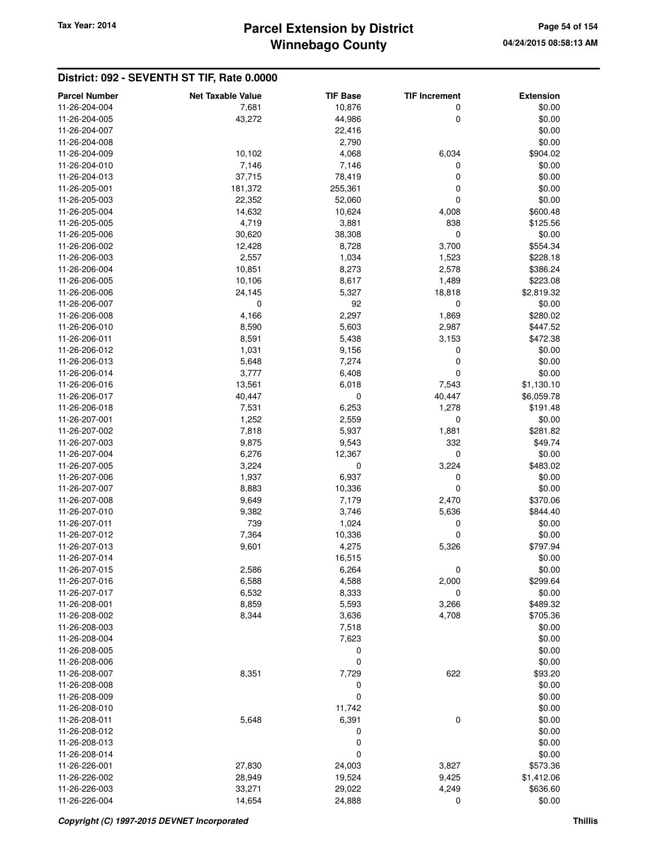## **Winnebago County Parcel Extension by District Tax Year: 2014 Page 54 of 154**

| <b>Parcel Number</b>           | <b>Net Taxable Value</b> | <b>TIF Base</b> | <b>TIF Increment</b> | <b>Extension</b>     |
|--------------------------------|--------------------------|-----------------|----------------------|----------------------|
| 11-26-204-004                  | 7,681                    | 10,876          | 0                    | \$0.00               |
| 11-26-204-005                  | 43,272                   | 44,986          | 0                    | \$0.00               |
| 11-26-204-007                  |                          | 22,416          |                      | \$0.00               |
| 11-26-204-008                  |                          | 2,790           |                      | \$0.00               |
| 11-26-204-009                  | 10,102                   | 4,068           | 6,034                | \$904.02             |
| 11-26-204-010                  | 7,146                    | 7,146           | 0                    | \$0.00               |
| 11-26-204-013                  | 37,715                   | 78,419          | 0                    | \$0.00               |
| 11-26-205-001                  | 181,372                  | 255,361         | 0                    | \$0.00               |
| 11-26-205-003                  | 22,352                   | 52,060          | 0                    | \$0.00               |
| 11-26-205-004                  | 14,632                   | 10,624          | 4,008                | \$600.48             |
| 11-26-205-005                  | 4,719                    | 3,881           | 838                  | \$125.56             |
| 11-26-205-006                  | 30,620                   | 38,308          | 0                    | \$0.00               |
| 11-26-206-002                  | 12,428                   | 8,728           | 3,700                | \$554.34             |
| 11-26-206-003                  | 2,557                    | 1,034           | 1,523                | \$228.18             |
| 11-26-206-004                  | 10,851                   | 8,273           | 2,578                | \$386.24             |
| 11-26-206-005                  | 10,106                   | 8,617           |                      | \$223.08             |
| 11-26-206-006                  | 24,145                   | 5,327           | 1,489<br>18,818      | \$2,819.32           |
| 11-26-206-007                  | 0                        | 92              | 0                    | \$0.00               |
| 11-26-206-008                  | 4,166                    | 2,297           | 1,869                | \$280.02             |
|                                |                          |                 |                      |                      |
| 11-26-206-010<br>11-26-206-011 | 8,590                    | 5,603           | 2,987                | \$447.52<br>\$472.38 |
|                                | 8,591                    | 5,438           | 3,153                |                      |
| 11-26-206-012                  | 1,031                    | 9,156           | 0                    | \$0.00               |
| 11-26-206-013                  | 5,648                    | 7,274           | 0                    | \$0.00               |
| 11-26-206-014                  | 3,777                    | 6,408           | 0                    | \$0.00               |
| 11-26-206-016                  | 13,561                   | 6,018           | 7,543                | \$1,130.10           |
| 11-26-206-017                  | 40,447                   | 0               | 40,447               | \$6,059.78           |
| 11-26-206-018                  | 7,531                    | 6,253           | 1,278                | \$191.48             |
| 11-26-207-001                  | 1,252                    | 2,559           | 0                    | \$0.00               |
| 11-26-207-002                  | 7,818                    | 5,937           | 1,881                | \$281.82             |
| 11-26-207-003                  | 9,875                    | 9,543           | 332                  | \$49.74              |
| 11-26-207-004                  | 6,276                    | 12,367          | 0                    | \$0.00               |
| 11-26-207-005                  | 3,224                    | 0               | 3,224                | \$483.02             |
| 11-26-207-006                  | 1,937                    | 6,937           | 0                    | \$0.00               |
| 11-26-207-007                  | 8,883                    | 10,336          | 0                    | \$0.00               |
| 11-26-207-008                  | 9,649                    | 7,179           | 2,470                | \$370.06             |
| 11-26-207-010                  | 9,382                    | 3,746           | 5,636                | \$844.40             |
| 11-26-207-011                  | 739                      | 1,024           | 0                    | \$0.00               |
| 11-26-207-012                  | 7,364                    | 10,336          | 0                    | \$0.00               |
| 11-26-207-013                  | 9,601                    | 4,275           | 5,326                | \$797.94             |
| 11-26-207-014                  |                          | 16,515          |                      | \$0.00               |
| 11-26-207-015                  | 2,586                    | 6,264           | 0                    | \$0.00               |
| 11-26-207-016                  | 6,588                    | 4,588           | 2,000                | \$299.64             |
| 11-26-207-017                  | 6,532                    | 8,333           | 0                    | \$0.00               |
| 11-26-208-001                  | 8,859                    | 5,593           | 3,266                | \$489.32             |
| 11-26-208-002                  | 8,344                    | 3,636           | 4,708                | \$705.36             |
| 11-26-208-003                  |                          | 7,518           |                      | \$0.00               |
| 11-26-208-004                  |                          | 7,623           |                      | \$0.00               |
| 11-26-208-005                  |                          | 0               |                      | \$0.00               |
| 11-26-208-006                  |                          | 0               |                      | \$0.00               |
| 11-26-208-007                  | 8,351                    | 7,729           | 622                  | \$93.20              |
| 11-26-208-008                  |                          | 0               |                      | \$0.00               |
| 11-26-208-009                  |                          | 0               |                      | \$0.00               |
| 11-26-208-010                  |                          | 11,742          |                      | \$0.00               |
| 11-26-208-011                  | 5,648                    | 6,391           | 0                    | \$0.00               |
| 11-26-208-012                  |                          | 0               |                      | \$0.00               |
| 11-26-208-013                  |                          | 0               |                      | \$0.00               |
| 11-26-208-014                  |                          | 0               |                      | \$0.00               |
| 11-26-226-001                  | 27,830                   | 24,003          | 3,827                | \$573.36             |
| 11-26-226-002                  | 28,949                   | 19,524          | 9,425                | \$1,412.06           |
| 11-26-226-003                  | 33,271                   | 29,022          | 4,249                | \$636.60             |
| 11-26-226-004                  | 14,654                   | 24,888          | 0                    | \$0.00               |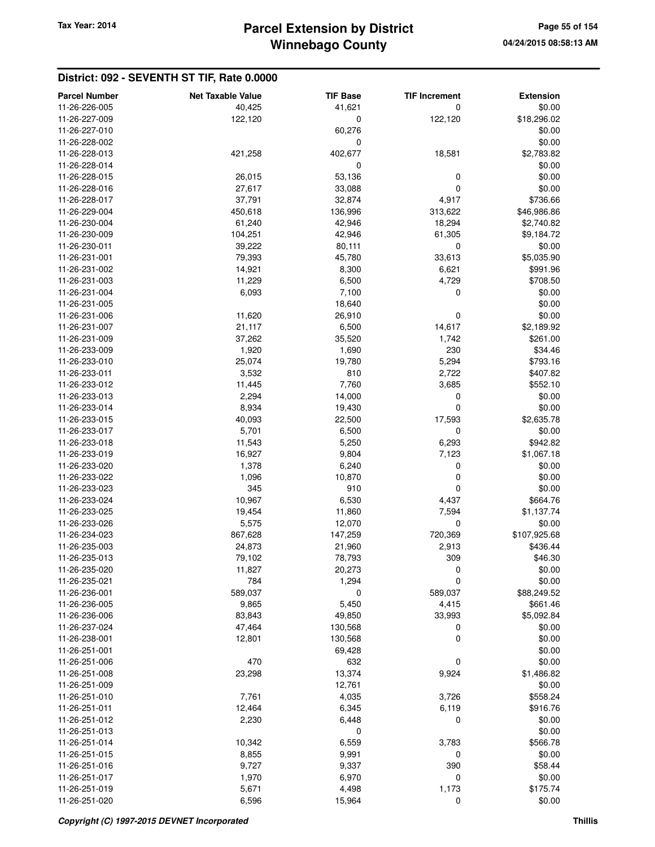| <b>Parcel Number</b> | <b>Net Taxable Value</b> | <b>TIF Base</b> | <b>TIF Increment</b> | <b>Extension</b> |
|----------------------|--------------------------|-----------------|----------------------|------------------|
| 11-26-226-005        | 40,425                   | 41,621          | 0                    | \$0.00           |
| 11-26-227-009        | 122,120                  | 0               | 122,120              | \$18,296.02      |
| 11-26-227-010        |                          | 60,276          |                      | \$0.00           |
| 11-26-228-002        |                          | 0               |                      | \$0.00           |
| 11-26-228-013        | 421,258                  | 402,677         | 18,581               | \$2,783.82       |
| 11-26-228-014        |                          | 0               |                      |                  |
|                      |                          |                 |                      | \$0.00           |
| 11-26-228-015        | 26,015                   | 53,136          | 0                    | \$0.00           |
| 11-26-228-016        | 27,617                   | 33,088          | 0                    | \$0.00           |
| 11-26-228-017        | 37,791                   | 32,874          | 4,917                | \$736.66         |
| 11-26-229-004        | 450,618                  | 136,996         | 313,622              | \$46,986.86      |
| 11-26-230-004        | 61,240                   | 42,946          | 18,294               | \$2,740.82       |
| 11-26-230-009        | 104,251                  | 42,946          | 61,305               | \$9,184.72       |
| 11-26-230-011        | 39,222                   | 80,111          | $\mathbf 0$          | \$0.00           |
| 11-26-231-001        | 79,393                   | 45,780          | 33,613               | \$5,035.90       |
| 11-26-231-002        | 14,921                   | 8,300           | 6,621                | \$991.96         |
| 11-26-231-003        | 11,229                   | 6,500           | 4,729                | \$708.50         |
| 11-26-231-004        | 6,093                    | 7,100           | 0                    | \$0.00           |
| 11-26-231-005        |                          | 18,640          |                      | \$0.00           |
| 11-26-231-006        | 11,620                   | 26,910          | 0                    | \$0.00           |
| 11-26-231-007        | 21,117                   | 6,500           | 14,617               | \$2,189.92       |
| 11-26-231-009        | 37,262                   | 35,520          | 1,742                | \$261.00         |
| 11-26-233-009        | 1,920                    | 1,690           | 230                  | \$34.46          |
| 11-26-233-010        | 25,074                   | 19,780          | 5,294                | \$793.16         |
| 11-26-233-011        | 3,532                    | 810             | 2,722                | \$407.82         |
| 11-26-233-012        | 11,445                   | 7,760           | 3,685                | \$552.10         |
| 11-26-233-013        | 2,294                    | 14,000          | 0                    | \$0.00           |
| 11-26-233-014        | 8,934                    | 19,430          | $\mathbf 0$          | \$0.00           |
| 11-26-233-015        | 40,093                   | 22,500          | 17,593               | \$2,635.78       |
| 11-26-233-017        | 5,701                    | 6,500           | 0                    | \$0.00           |
| 11-26-233-018        | 11,543                   | 5,250           | 6,293                | \$942.82         |
| 11-26-233-019        | 16,927                   | 9,804           | 7,123                | \$1,067.18       |
| 11-26-233-020        | 1,378                    | 6,240           | 0                    | \$0.00           |
| 11-26-233-022        | 1,096                    | 10,870          | 0                    | \$0.00           |
| 11-26-233-023        | 345                      | 910             | 0                    | \$0.00           |
| 11-26-233-024        | 10,967                   | 6,530           | 4,437                | \$664.76         |
| 11-26-233-025        | 19,454                   | 11,860          | 7,594                | \$1,137.74       |
| 11-26-233-026        | 5,575                    | 12,070          | $\mathbf 0$          | \$0.00           |
| 11-26-234-023        | 867,628                  | 147,259         | 720,369              | \$107,925.68     |
| 11-26-235-003        | 24,873                   | 21,960          | 2,913                | \$436.44         |
| 11-26-235-013        | 79,102                   | 78,793          | 309                  | \$46.30          |
|                      |                          |                 |                      |                  |
| 11-26-235-020        | 11,827                   | 20,273          | 0                    | \$0.00           |
| 11-26-235-021        | 784                      | 1,294           | $\mathbf 0$          | \$0.00           |
| 11-26-236-001        | 589,037                  | 0               | 589,037              | \$88,249.52      |
| 11-26-236-005        | 9,865                    | 5,450           | 4,415                | \$661.46         |
| 11-26-236-006        | 83,843                   | 49,850          | 33,993               | \$5,092.84       |
| 11-26-237-024        | 47,464                   | 130,568         | 0                    | \$0.00           |
| 11-26-238-001        | 12,801                   | 130,568         | 0                    | \$0.00           |
| 11-26-251-001        |                          | 69,428          |                      | \$0.00           |
| 11-26-251-006        | 470                      | 632             | 0                    | \$0.00           |
| 11-26-251-008        | 23,298                   | 13,374          | 9,924                | \$1,486.82       |
| 11-26-251-009        |                          | 12,761          |                      | \$0.00           |
| 11-26-251-010        | 7,761                    | 4,035           | 3,726                | \$558.24         |
| 11-26-251-011        | 12,464                   | 6,345           | 6,119                | \$916.76         |
| 11-26-251-012        | 2,230                    | 6,448           | 0                    | \$0.00           |
| 11-26-251-013        |                          | 0               |                      | \$0.00           |
| 11-26-251-014        | 10,342                   | 6,559           | 3,783                | \$566.78         |
| 11-26-251-015        | 8,855                    | 9,991           | 0                    | \$0.00           |
| 11-26-251-016        | 9,727                    | 9,337           | 390                  | \$58.44          |
| 11-26-251-017        | 1,970                    | 6,970           | 0                    | \$0.00           |
| 11-26-251-019        | 5,671                    | 4,498           | 1,173                | \$175.74         |
| 11-26-251-020        | 6,596                    | 15,964          | 0                    | \$0.00           |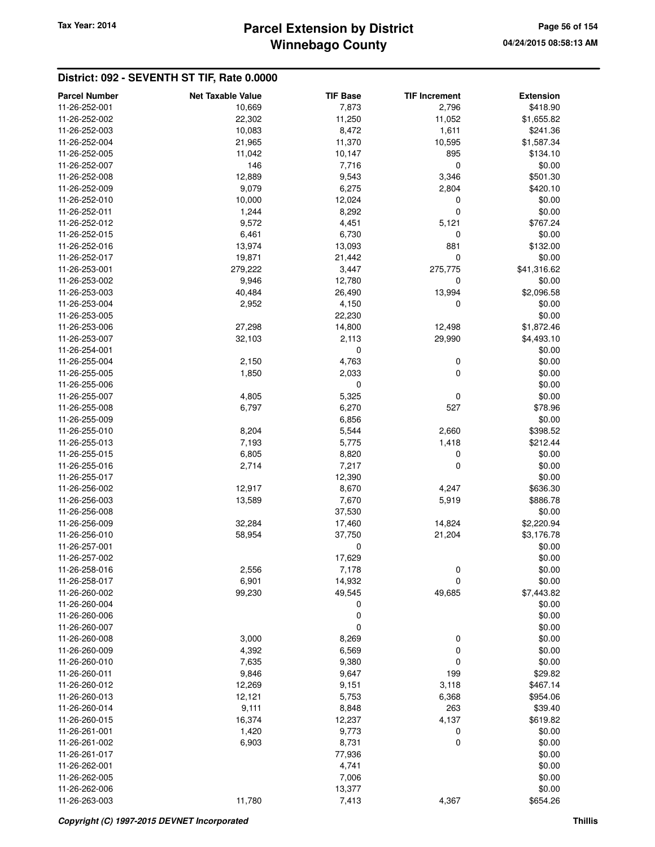## **Winnebago County Parcel Extension by District Tax Year: 2014 Page 56 of 154**

| <b>Parcel Number</b> | <b>Net Taxable Value</b> | <b>TIF Base</b> | <b>TIF Increment</b> | <b>Extension</b> |
|----------------------|--------------------------|-----------------|----------------------|------------------|
| 11-26-252-001        | 10,669                   | 7,873           | 2,796                | \$418.90         |
| 11-26-252-002        | 22,302                   | 11,250          | 11,052               | \$1,655.82       |
| 11-26-252-003        | 10,083                   | 8,472           | 1,611                | \$241.36         |
| 11-26-252-004        | 21,965                   | 11,370          | 10,595               | \$1,587.34       |
| 11-26-252-005        | 11,042                   | 10,147          | 895                  | \$134.10         |
| 11-26-252-007        | 146                      | 7,716           | $\mathbf 0$          | \$0.00           |
| 11-26-252-008        | 12,889                   | 9,543           | 3,346                | \$501.30         |
| 11-26-252-009        | 9,079                    | 6,275           | 2,804                | \$420.10         |
| 11-26-252-010        | 10,000                   | 12,024          | 0                    | \$0.00           |
| 11-26-252-011        | 1,244                    | 8,292           | $\mathbf 0$          | \$0.00           |
| 11-26-252-012        | 9,572                    | 4,451           | 5,121                | \$767.24         |
| 11-26-252-015        | 6,461                    | 6,730           | 0                    | \$0.00           |
| 11-26-252-016        | 13,974                   | 13,093          | 881                  | \$132.00         |
| 11-26-252-017        | 19,871                   | 21,442          | 0                    | \$0.00           |
| 11-26-253-001        | 279,222                  | 3,447           | 275,775              | \$41,316.62      |
| 11-26-253-002        | 9,946                    | 12,780          | 0                    | \$0.00           |
| 11-26-253-003        | 40,484                   | 26,490          | 13,994               | \$2,096.58       |
| 11-26-253-004        | 2,952                    | 4,150           | 0                    | \$0.00           |
| 11-26-253-005        |                          | 22,230          |                      | \$0.00           |
| 11-26-253-006        | 27,298                   | 14,800          | 12,498               | \$1,872.46       |
| 11-26-253-007        | 32,103                   | 2,113           | 29,990               | \$4,493.10       |
| 11-26-254-001        |                          | 0               |                      | \$0.00           |
| 11-26-255-004        | 2,150                    | 4,763           | 0                    | \$0.00           |
| 11-26-255-005        | 1,850                    | 2,033           | $\mathbf 0$          | \$0.00           |
| 11-26-255-006        |                          | $\mathbf 0$     |                      | \$0.00           |
| 11-26-255-007        | 4,805                    | 5,325           | 0                    | \$0.00           |
| 11-26-255-008        | 6,797                    | 6,270           | 527                  | \$78.96          |
| 11-26-255-009        |                          | 6,856           |                      | \$0.00           |
| 11-26-255-010        | 8,204                    | 5,544           | 2,660                | \$398.52         |
| 11-26-255-013        | 7,193                    | 5,775           | 1,418                | \$212.44         |
| 11-26-255-015        | 6,805                    | 8,820           | 0                    | \$0.00           |
| 11-26-255-016        | 2,714                    | 7,217           | 0                    | \$0.00           |
| 11-26-255-017        |                          | 12,390          |                      | \$0.00           |
| 11-26-256-002        | 12,917                   | 8,670           | 4,247                | \$636.30         |
| 11-26-256-003        | 13,589                   | 7,670           | 5,919                | \$886.78         |
| 11-26-256-008        |                          | 37,530          |                      | \$0.00           |
| 11-26-256-009        | 32,284                   | 17,460          | 14,824               | \$2,220.94       |
| 11-26-256-010        | 58,954                   | 37,750          | 21,204               | \$3,176.78       |
| 11-26-257-001        |                          | 0               |                      | \$0.00           |
| 11-26-257-002        |                          | 17,629          |                      | \$0.00           |
| 11-26-258-016        | 2,556                    | 7,178           | 0                    | \$0.00           |
| 11-26-258-017        | 6,901                    | 14,932          | 0                    | \$0.00           |
| 11-26-260-002        | 99,230                   | 49,545          | 49,685               | \$7,443.82       |
| 11-26-260-004        |                          | 0               |                      | \$0.00           |
| 11-26-260-006        |                          | 0               |                      | \$0.00           |
| 11-26-260-007        |                          | $\mathbf 0$     |                      | \$0.00           |
| 11-26-260-008        | 3,000                    | 8,269           | 0                    | \$0.00           |
| 11-26-260-009        | 4,392                    | 6,569           | 0                    | \$0.00           |
| 11-26-260-010        | 7,635                    | 9,380           | $\mathbf 0$          | \$0.00           |
| 11-26-260-011        | 9,846                    | 9,647           | 199                  | \$29.82          |
| 11-26-260-012        | 12,269                   | 9,151           | 3,118                | \$467.14         |
| 11-26-260-013        | 12,121                   | 5,753           | 6,368                | \$954.06         |
| 11-26-260-014        | 9,111                    | 8,848           | 263                  | \$39.40          |
| 11-26-260-015        | 16,374                   | 12,237          | 4,137                | \$619.82         |
| 11-26-261-001        | 1,420                    | 9,773           | 0                    | \$0.00           |
| 11-26-261-002        | 6,903                    | 8,731           | $\mathbf 0$          | \$0.00           |
| 11-26-261-017        |                          | 77,936          |                      | \$0.00           |
| 11-26-262-001        |                          | 4,741           |                      | \$0.00           |
| 11-26-262-005        |                          | 7,006           |                      | \$0.00           |
| 11-26-262-006        |                          | 13,377          |                      | \$0.00           |
| 11-26-263-003        | 11,780                   | 7,413           | 4,367                | \$654.26         |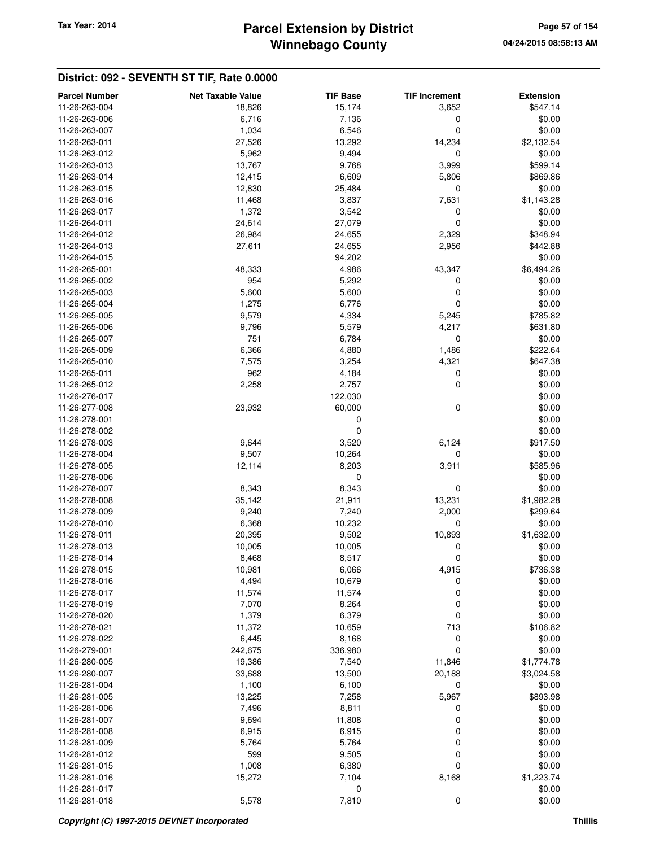## **Winnebago County Parcel Extension by District Tax Year: 2014 Page 57 of 154**

| <b>Parcel Number</b>           | <b>Net Taxable Value</b> | <b>TIF Base</b> | <b>TIF Increment</b> | <b>Extension</b>       |
|--------------------------------|--------------------------|-----------------|----------------------|------------------------|
| 11-26-263-004                  | 18,826                   | 15,174          | 3,652                | \$547.14               |
| 11-26-263-006                  | 6,716                    | 7,136           | 0                    | \$0.00                 |
| 11-26-263-007                  | 1,034                    | 6,546           | 0                    | \$0.00                 |
| 11-26-263-011                  | 27,526                   | 13,292          | 14,234               | \$2,132.54             |
| 11-26-263-012                  | 5,962                    | 9,494           | 0                    | \$0.00                 |
| 11-26-263-013                  | 13,767                   | 9,768           | 3,999                | \$599.14               |
| 11-26-263-014                  | 12,415                   | 6,609           | 5,806                | \$869.86               |
| 11-26-263-015                  | 12,830                   | 25,484          | 0                    | \$0.00                 |
| 11-26-263-016                  | 11,468                   | 3,837           | 7,631                | \$1,143.28             |
| 11-26-263-017                  | 1,372                    | 3,542           | 0                    | \$0.00                 |
| 11-26-264-011                  | 24,614                   | 27,079          | 0                    | \$0.00                 |
| 11-26-264-012                  | 26,984                   | 24,655          | 2,329                | \$348.94               |
| 11-26-264-013                  | 27,611                   | 24,655          | 2,956                | \$442.88               |
| 11-26-264-015                  |                          | 94,202          |                      | \$0.00                 |
| 11-26-265-001                  | 48,333                   | 4,986           | 43,347               | \$6,494.26             |
| 11-26-265-002                  | 954                      | 5,292           | 0                    | \$0.00                 |
| 11-26-265-003                  | 5,600                    | 5,600           | 0                    | \$0.00                 |
| 11-26-265-004                  | 1,275                    | 6,776           | 0                    | \$0.00                 |
| 11-26-265-005                  | 9,579                    | 4,334           | 5,245                | \$785.82               |
| 11-26-265-006                  | 9,796                    | 5,579           | 4,217                | \$631.80               |
| 11-26-265-007                  | 751                      | 6,784           | 0                    | \$0.00                 |
| 11-26-265-009                  | 6,366                    | 4,880           | 1,486                | \$222.64               |
| 11-26-265-010                  | 7,575                    | 3,254           | 4,321                | \$647.38               |
| 11-26-265-011                  | 962                      | 4,184           | 0                    | \$0.00                 |
| 11-26-265-012                  | 2,258                    | 2,757           | 0                    | \$0.00                 |
| 11-26-276-017                  |                          | 122,030         |                      | \$0.00                 |
| 11-26-277-008                  | 23,932                   | 60,000          | 0                    | \$0.00                 |
| 11-26-278-001                  |                          | 0               |                      | \$0.00                 |
| 11-26-278-002                  |                          | 0               |                      | \$0.00                 |
| 11-26-278-003                  | 9,644                    | 3,520           | 6,124                | \$917.50               |
| 11-26-278-004                  | 9,507                    | 10,264          | 0                    | \$0.00                 |
| 11-26-278-005                  | 12,114                   | 8,203           | 3,911                | \$585.96               |
| 11-26-278-006                  |                          | 0               |                      | \$0.00                 |
| 11-26-278-007                  | 8,343                    | 8,343           | 0                    | \$0.00                 |
| 11-26-278-008<br>11-26-278-009 | 35,142<br>9,240          | 21,911<br>7,240 | 13,231<br>2,000      | \$1,982.28<br>\$299.64 |
| 11-26-278-010                  | 6,368                    | 10,232          | 0                    | \$0.00                 |
| 11-26-278-011                  | 20,395                   | 9,502           | 10,893               | \$1,632.00             |
| 11-26-278-013                  | 10,005                   | 10,005          | 0                    | \$0.00                 |
| 11-26-278-014                  | 8,468                    | 8,517           | 0                    | \$0.00                 |
| 11-26-278-015                  | 10,981                   | 6,066           | 4,915                | \$736.38               |
| 11-26-278-016                  | 4,494                    | 10,679          | 0                    | \$0.00                 |
| 11-26-278-017                  | 11,574                   | 11,574          | 0                    | \$0.00                 |
| 11-26-278-019                  | 7,070                    | 8,264           | 0                    | \$0.00                 |
| 11-26-278-020                  | 1,379                    | 6,379           | 0                    | \$0.00                 |
| 11-26-278-021                  | 11,372                   | 10,659          | 713                  | \$106.82               |
| 11-26-278-022                  | 6,445                    | 8,168           | 0                    | \$0.00                 |
| 11-26-279-001                  | 242,675                  | 336,980         | $\mathbf 0$          | \$0.00                 |
| 11-26-280-005                  | 19,386                   | 7,540           | 11,846               | \$1,774.78             |
| 11-26-280-007                  | 33,688                   | 13,500          | 20,188               | \$3,024.58             |
| 11-26-281-004                  | 1,100                    | 6,100           | 0                    | \$0.00                 |
| 11-26-281-005                  | 13,225                   | 7,258           | 5,967                | \$893.98               |
| 11-26-281-006                  | 7,496                    | 8,811           | 0                    | \$0.00                 |
| 11-26-281-007                  | 9,694                    | 11,808          | 0                    | \$0.00                 |
| 11-26-281-008                  | 6,915                    | 6,915           | 0                    | \$0.00                 |
| 11-26-281-009                  | 5,764                    | 5,764           | 0                    | \$0.00                 |
| 11-26-281-012                  | 599                      | 9,505           | 0                    | \$0.00                 |
| 11-26-281-015                  | 1,008                    | 6,380           | 0                    | \$0.00                 |
| 11-26-281-016                  | 15,272                   | 7,104           | 8,168                | \$1,223.74             |
| 11-26-281-017                  |                          | 0               |                      | \$0.00                 |
| 11-26-281-018                  | 5,578                    | 7,810           | 0                    | \$0.00                 |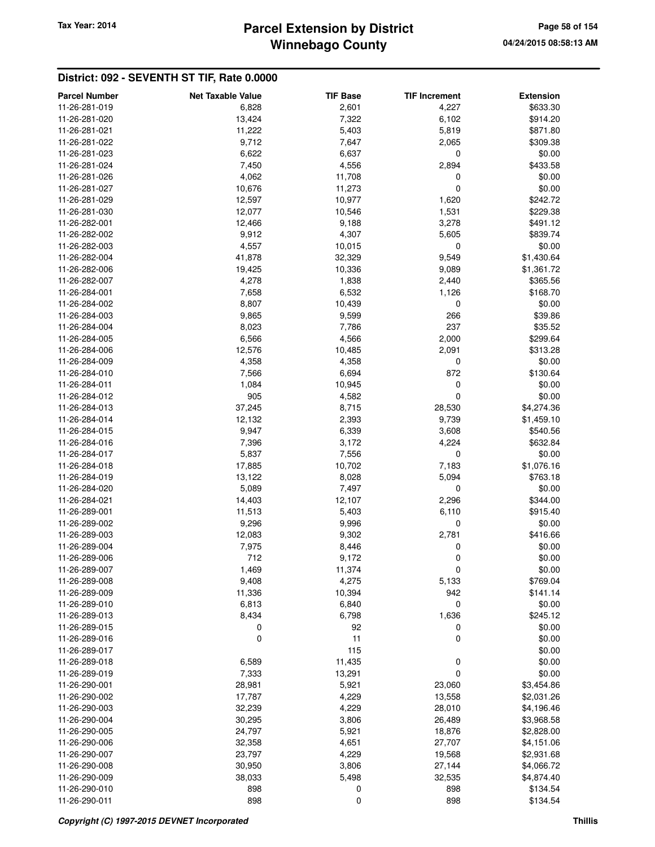## **Winnebago County Parcel Extension by District Tax Year: 2014 Page 58 of 154**

| <b>Parcel Number</b>           | <b>Net Taxable Value</b> | <b>TIF Base</b> | <b>TIF Increment</b> | <b>Extension</b>         |
|--------------------------------|--------------------------|-----------------|----------------------|--------------------------|
| 11-26-281-019                  | 6,828                    | 2,601           | 4,227                | \$633.30                 |
| 11-26-281-020                  | 13,424                   | 7,322           | 6,102                | \$914.20                 |
| 11-26-281-021                  | 11,222                   | 5,403           | 5,819                | \$871.80                 |
| 11-26-281-022                  | 9,712                    | 7,647           | 2,065                | \$309.38                 |
| 11-26-281-023                  | 6,622                    | 6,637           | 0                    | \$0.00                   |
| 11-26-281-024                  | 7,450                    | 4,556           | 2,894                | \$433.58                 |
| 11-26-281-026                  | 4,062                    | 11,708          | 0                    | \$0.00                   |
| 11-26-281-027                  | 10,676                   | 11,273          | 0                    | \$0.00                   |
| 11-26-281-029                  | 12,597                   | 10,977          | 1,620                | \$242.72                 |
| 11-26-281-030                  | 12,077                   | 10,546          | 1,531                | \$229.38                 |
| 11-26-282-001                  | 12,466                   | 9,188           | 3,278                | \$491.12                 |
| 11-26-282-002                  | 9,912                    | 4,307           | 5,605                | \$839.74                 |
| 11-26-282-003                  | 4,557                    | 10,015          | 0                    | \$0.00                   |
| 11-26-282-004                  | 41,878                   | 32,329          | 9,549                | \$1,430.64               |
| 11-26-282-006                  | 19,425                   | 10,336          | 9,089                | \$1,361.72               |
| 11-26-282-007                  | 4,278                    | 1,838           | 2,440                | \$365.56                 |
| 11-26-284-001                  | 7,658                    | 6,532           | 1,126                | \$168.70                 |
| 11-26-284-002                  | 8,807                    | 10,439          | 0                    | \$0.00                   |
| 11-26-284-003                  | 9,865                    | 9,599           | 266                  | \$39.86                  |
| 11-26-284-004                  | 8,023                    | 7,786           | 237                  | \$35.52                  |
| 11-26-284-005                  | 6,566                    | 4,566           | 2,000                | \$299.64                 |
| 11-26-284-006                  | 12,576                   | 10,485          | 2,091                | \$313.28                 |
| 11-26-284-009                  | 4,358                    | 4,358           | 0                    | \$0.00                   |
| 11-26-284-010                  | 7,566                    | 6,694           | 872                  | \$130.64                 |
| 11-26-284-011                  |                          |                 |                      | \$0.00                   |
|                                | 1,084                    | 10,945<br>4,582 | 0<br>0               |                          |
| 11-26-284-012<br>11-26-284-013 | 905                      |                 |                      | \$0.00                   |
| 11-26-284-014                  | 37,245<br>12,132         | 8,715<br>2,393  | 28,530<br>9,739      | \$4,274.36<br>\$1,459.10 |
| 11-26-284-015                  | 9,947                    | 6,339           | 3,608                | \$540.56                 |
| 11-26-284-016                  | 7,396                    | 3,172           | 4,224                | \$632.84                 |
| 11-26-284-017                  | 5,837                    | 7,556           | 0                    | \$0.00                   |
| 11-26-284-018                  | 17,885                   | 10,702          |                      | \$1,076.16               |
| 11-26-284-019                  | 13,122                   | 8,028           | 7,183<br>5,094       | \$763.18                 |
| 11-26-284-020                  | 5,089                    | 7,497           | 0                    | \$0.00                   |
| 11-26-284-021                  | 14,403                   |                 |                      | \$344.00                 |
|                                | 11,513                   | 12,107<br>5,403 | 2,296                | \$915.40                 |
| 11-26-289-001<br>11-26-289-002 |                          |                 | 6,110                |                          |
| 11-26-289-003                  | 9,296<br>12,083          | 9,996<br>9,302  | 0<br>2,781           | \$0.00<br>\$416.66       |
| 11-26-289-004                  | 7,975                    | 8,446           | 0                    | \$0.00                   |
| 11-26-289-006                  | 712                      | 9,172           | 0                    | \$0.00                   |
| 11-26-289-007                  | 1,469                    | 11,374          | 0                    | \$0.00                   |
| 11-26-289-008                  | 9,408                    | 4,275           | 5,133                | \$769.04                 |
| 11-26-289-009                  | 11,336                   | 10,394          | 942                  | \$141.14                 |
| 11-26-289-010                  | 6,813                    | 6,840           | 0                    | \$0.00                   |
| 11-26-289-013                  | 8,434                    | 6,798           | 1,636                | \$245.12                 |
| 11-26-289-015                  | 0                        | 92              | 0                    |                          |
| 11-26-289-016                  |                          | 11              |                      | \$0.00<br>\$0.00         |
| 11-26-289-017                  | 0                        | 115             | 0                    | \$0.00                   |
| 11-26-289-018                  | 6,589                    | 11,435          | 0                    | \$0.00                   |
|                                |                          |                 |                      |                          |
| 11-26-289-019                  | 7,333                    | 13,291          | 0                    | \$0.00                   |
| 11-26-290-001                  | 28,981                   | 5,921           | 23,060               | \$3,454.86               |
| 11-26-290-002                  | 17,787                   | 4,229           | 13,558               | \$2,031.26               |
| 11-26-290-003                  | 32,239                   | 4,229           | 28,010               | \$4,196.46               |
| 11-26-290-004                  | 30,295                   | 3,806           | 26,489               | \$3,968.58               |
| 11-26-290-005                  | 24,797                   | 5,921           | 18,876               | \$2,828.00               |
| 11-26-290-006                  | 32,358                   | 4,651           | 27,707               | \$4,151.06               |
| 11-26-290-007                  | 23,797                   | 4,229           | 19,568               | \$2,931.68               |
| 11-26-290-008                  | 30,950                   | 3,806           | 27,144               | \$4,066.72               |
| 11-26-290-009                  | 38,033                   | 5,498           | 32,535               | \$4,874.40               |
| 11-26-290-010                  | 898                      | 0               | 898                  | \$134.54                 |
| 11-26-290-011                  | 898                      | 0               | 898                  | \$134.54                 |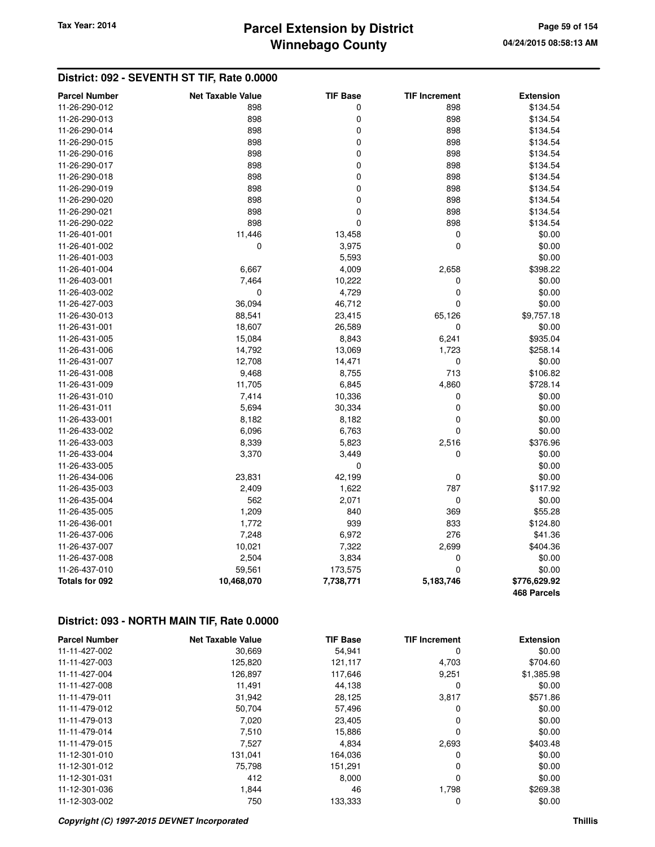# **Winnebago County Parcel Extension by District Tax Year: 2014 Page 59 of 154**

### **District: 092 - SEVENTH ST TIF, Rate 0.0000**

| <b>Parcel Number</b> | <b>Net Taxable Value</b> | <b>TIF Base</b> | <b>TIF Increment</b> | <b>Extension</b>   |
|----------------------|--------------------------|-----------------|----------------------|--------------------|
| 11-26-290-012        | 898                      | 0               | 898                  | \$134.54           |
| 11-26-290-013        | 898                      | 0               | 898                  | \$134.54           |
| 11-26-290-014        | 898                      | 0               | 898                  | \$134.54           |
| 11-26-290-015        | 898                      | 0               | 898                  | \$134.54           |
| 11-26-290-016        | 898                      | 0               | 898                  | \$134.54           |
| 11-26-290-017        | 898                      | 0               | 898                  | \$134.54           |
| 11-26-290-018        | 898                      | 0               | 898                  | \$134.54           |
| 11-26-290-019        | 898                      | 0               | 898                  | \$134.54           |
| 11-26-290-020        | 898                      | 0               | 898                  | \$134.54           |
| 11-26-290-021        | 898                      | $\mathbf 0$     | 898                  | \$134.54           |
| 11-26-290-022        | 898                      | 0               | 898                  | \$134.54           |
| 11-26-401-001        | 11,446                   | 13,458          | 0                    | \$0.00             |
| 11-26-401-002        | 0                        | 3,975           | 0                    | \$0.00             |
| 11-26-401-003        |                          | 5,593           |                      | \$0.00             |
| 11-26-401-004        | 6,667                    | 4,009           | 2,658                | \$398.22           |
| 11-26-403-001        | 7,464                    | 10,222          | 0                    | \$0.00             |
| 11-26-403-002        | $\mathbf 0$              | 4,729           | 0                    | \$0.00             |
| 11-26-427-003        | 36,094                   | 46,712          | 0                    | \$0.00             |
| 11-26-430-013        | 88,541                   | 23,415          | 65,126               | \$9,757.18         |
| 11-26-431-001        | 18,607                   | 26,589          | 0                    | \$0.00             |
| 11-26-431-005        | 15,084                   | 8,843           | 6,241                | \$935.04           |
| 11-26-431-006        | 14,792                   | 13,069          | 1,723                | \$258.14           |
| 11-26-431-007        | 12,708                   | 14,471          | 0                    | \$0.00             |
| 11-26-431-008        | 9,468                    | 8,755           | 713                  | \$106.82           |
| 11-26-431-009        | 11,705                   | 6,845           | 4,860                | \$728.14           |
| 11-26-431-010        | 7,414                    | 10,336          | 0                    | \$0.00             |
| 11-26-431-011        | 5,694                    | 30,334          | 0                    | \$0.00             |
| 11-26-433-001        | 8,182                    | 8,182           | 0                    | \$0.00             |
| 11-26-433-002        | 6,096                    | 6,763           | 0                    | \$0.00             |
| 11-26-433-003        | 8,339                    | 5,823           | 2,516                | \$376.96           |
| 11-26-433-004        | 3,370                    | 3,449           | 0                    | \$0.00             |
| 11-26-433-005        |                          | $\mathbf 0$     |                      | \$0.00             |
| 11-26-434-006        | 23,831                   | 42,199          | 0                    | \$0.00             |
| 11-26-435-003        | 2,409                    | 1,622           | 787                  | \$117.92           |
| 11-26-435-004        | 562                      | 2,071           | 0                    | \$0.00             |
| 11-26-435-005        | 1,209                    | 840             | 369                  | \$55.28            |
| 11-26-436-001        | 1,772                    | 939             | 833                  | \$124.80           |
| 11-26-437-006        | 7,248                    | 6,972           | 276                  | \$41.36            |
| 11-26-437-007        | 10,021                   | 7,322           | 2,699                | \$404.36           |
| 11-26-437-008        | 2,504                    | 3,834           | 0                    | \$0.00             |
| 11-26-437-010        | 59,561                   | 173,575         | 0                    | \$0.00             |
| Totals for 092       | 10,468,070               | 7,738,771       | 5,183,746            | \$776,629.92       |
|                      |                          |                 |                      | <b>468 Parcels</b> |

## **District: 093 - NORTH MAIN TIF, Rate 0.0000**

| <b>Parcel Number</b> | <b>Net Taxable Value</b> | <b>TIF Base</b> | <b>TIF Increment</b> | <b>Extension</b> |
|----------------------|--------------------------|-----------------|----------------------|------------------|
| 11-11-427-002        | 30,669                   | 54,941          | 0                    | \$0.00           |
| 11-11-427-003        | 125,820                  | 121,117         | 4,703                | \$704.60         |
| 11-11-427-004        | 126,897                  | 117,646         | 9,251                | \$1,385.98       |
| 11-11-427-008        | 11,491                   | 44,138          | 0                    | \$0.00           |
| 11-11-479-011        | 31,942                   | 28,125          | 3,817                | \$571.86         |
| 11-11-479-012        | 50,704                   | 57,496          | 0                    | \$0.00           |
| 11-11-479-013        | 7,020                    | 23.405          | 0                    | \$0.00           |
| 11-11-479-014        | 7,510                    | 15,886          | 0                    | \$0.00           |
| 11-11-479-015        | 7,527                    | 4,834           | 2,693                | \$403.48         |
| 11-12-301-010        | 131.041                  | 164,036         | 0                    | \$0.00           |
| 11-12-301-012        | 75,798                   | 151,291         | 0                    | \$0.00           |
| 11-12-301-031        | 412                      | 8.000           | 0                    | \$0.00           |
| 11-12-301-036        | 1,844                    | 46              | 1,798                | \$269.38         |
| 11-12-303-002        | 750                      | 133,333         | 0                    | \$0.00           |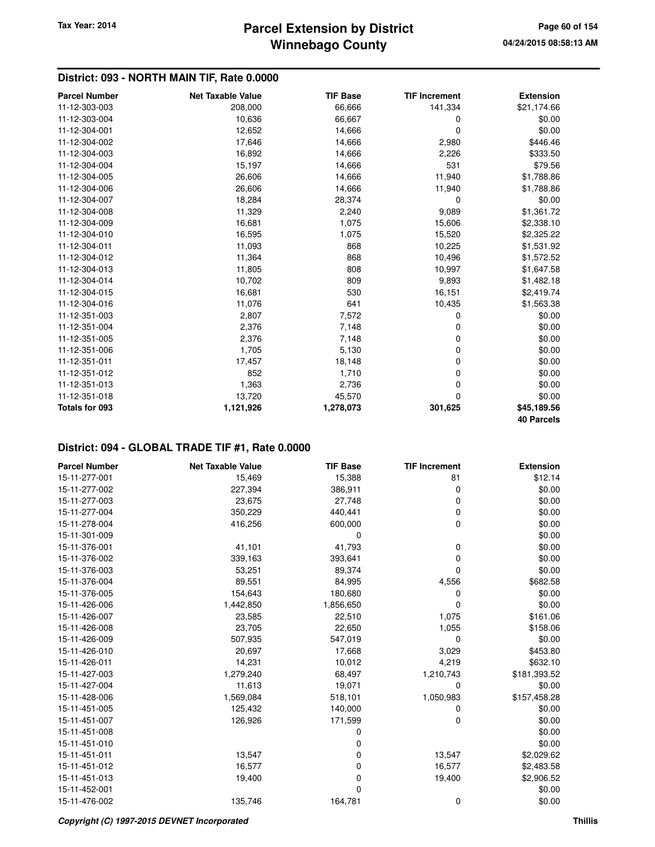### **District: 093 - NORTH MAIN TIF, Rate 0.0000**

| <b>Parcel Number</b>  | <b>Net Taxable Value</b> | <b>TIF Base</b> | <b>TIF Increment</b> | <b>Extension</b>  |
|-----------------------|--------------------------|-----------------|----------------------|-------------------|
| 11-12-303-003         | 208,000                  | 66,666          | 141,334              | \$21,174.66       |
| 11-12-303-004         | 10,636                   | 66,667          | 0                    | \$0.00            |
| 11-12-304-001         | 12,652                   | 14,666          | 0                    | \$0.00            |
| 11-12-304-002         | 17,646                   | 14,666          | 2,980                | \$446.46          |
| 11-12-304-003         | 16,892                   | 14,666          | 2,226                | \$333.50          |
| 11-12-304-004         | 15,197                   | 14,666          | 531                  | \$79.56           |
| 11-12-304-005         | 26,606                   | 14,666          | 11,940               | \$1,788.86        |
| 11-12-304-006         | 26,606                   | 14,666          | 11,940               | \$1,788.86        |
| 11-12-304-007         | 18,284                   | 28,374          | 0                    | \$0.00            |
| 11-12-304-008         | 11,329                   | 2,240           | 9,089                | \$1,361.72        |
| 11-12-304-009         | 16,681                   | 1,075           | 15,606               | \$2,338.10        |
| 11-12-304-010         | 16,595                   | 1,075           | 15,520               | \$2,325.22        |
| 11-12-304-011         | 11,093                   | 868             | 10,225               | \$1,531.92        |
| 11-12-304-012         | 11,364                   | 868             | 10,496               | \$1,572.52        |
| 11-12-304-013         | 11,805                   | 808             | 10,997               | \$1,647.58        |
| 11-12-304-014         | 10,702                   | 809             | 9,893                | \$1,482.18        |
| 11-12-304-015         | 16,681                   | 530             | 16,151               | \$2,419.74        |
| 11-12-304-016         | 11,076                   | 641             | 10,435               | \$1,563.38        |
| 11-12-351-003         | 2,807                    | 7,572           | 0                    | \$0.00            |
| 11-12-351-004         | 2,376                    | 7,148           | 0                    | \$0.00            |
| 11-12-351-005         | 2,376                    | 7,148           | 0                    | \$0.00            |
| 11-12-351-006         | 1,705                    | 5,130           | 0                    | \$0.00            |
| 11-12-351-011         | 17,457                   | 18,148          | 0                    | \$0.00            |
| 11-12-351-012         | 852                      | 1,710           | 0                    | \$0.00            |
| 11-12-351-013         | 1,363                    | 2,736           | 0                    | \$0.00            |
| 11-12-351-018         | 13,720                   | 45,570          | 0                    | \$0.00            |
| <b>Totals for 093</b> | 1,121,926                | 1,278,073       | 301,625              | \$45,189.56       |
|                       |                          |                 |                      | <b>40 Parcels</b> |

| <b>Parcel Number</b> | <b>Net Taxable Value</b> | <b>TIF Base</b> | <b>TIF Increment</b> | <b>Extension</b> |
|----------------------|--------------------------|-----------------|----------------------|------------------|
| 15-11-277-001        | 15,469                   | 15,388          | 81                   | \$12.14          |
| 15-11-277-002        | 227,394                  | 386,911         | 0                    | \$0.00           |
| 15-11-277-003        | 23,675                   | 27,748          | 0                    | \$0.00           |
| 15-11-277-004        | 350,229                  | 440,441         | 0                    | \$0.00           |
| 15-11-278-004        | 416,256                  | 600,000         | 0                    | \$0.00           |
| 15-11-301-009        |                          | 0               |                      | \$0.00           |
| 15-11-376-001        | 41,101                   | 41,793          | 0                    | \$0.00           |
| 15-11-376-002        | 339,163                  | 393,641         | 0                    | \$0.00           |
| 15-11-376-003        | 53,251                   | 89,374          | 0                    | \$0.00           |
| 15-11-376-004        | 89,551                   | 84,995          | 4,556                | \$682.58         |
| 15-11-376-005        | 154,643                  | 180,680         | 0                    | \$0.00           |
| 15-11-426-006        | 1,442,850                | 1,856,650       | 0                    | \$0.00           |
| 15-11-426-007        | 23,585                   | 22,510          | 1,075                | \$161.06         |
| 15-11-426-008        | 23,705                   | 22,650          | 1,055                | \$158.06         |
| 15-11-426-009        | 507,935                  | 547,019         | 0                    | \$0.00           |
| 15-11-426-010        | 20,697                   | 17,668          | 3,029                | \$453.80         |
| 15-11-426-011        | 14,231                   | 10,012          | 4,219                | \$632.10         |
| 15-11-427-003        | 1,279,240                | 68,497          | 1,210,743            | \$181,393.52     |
| 15-11-427-004        | 11,613                   | 19,071          | 0                    | \$0.00           |
| 15-11-428-006        | 1,569,084                | 518,101         | 1,050,983            | \$157,458.28     |
| 15-11-451-005        | 125,432                  | 140,000         | 0                    | \$0.00           |
| 15-11-451-007        | 126,926                  | 171,599         | 0                    | \$0.00           |
| 15-11-451-008        |                          | 0               |                      | \$0.00           |
| 15-11-451-010        |                          | 0               |                      | \$0.00           |
| 15-11-451-011        | 13,547                   | 0               | 13,547               | \$2,029.62       |
| 15-11-451-012        | 16,577                   | 0               | 16,577               | \$2,483.58       |
| 15-11-451-013        | 19,400                   | 0               | 19,400               | \$2,906.52       |
| 15-11-452-001        |                          | $\Omega$        |                      | \$0.00           |
| 15-11-476-002        | 135,746                  | 164,781         | 0                    | \$0.00           |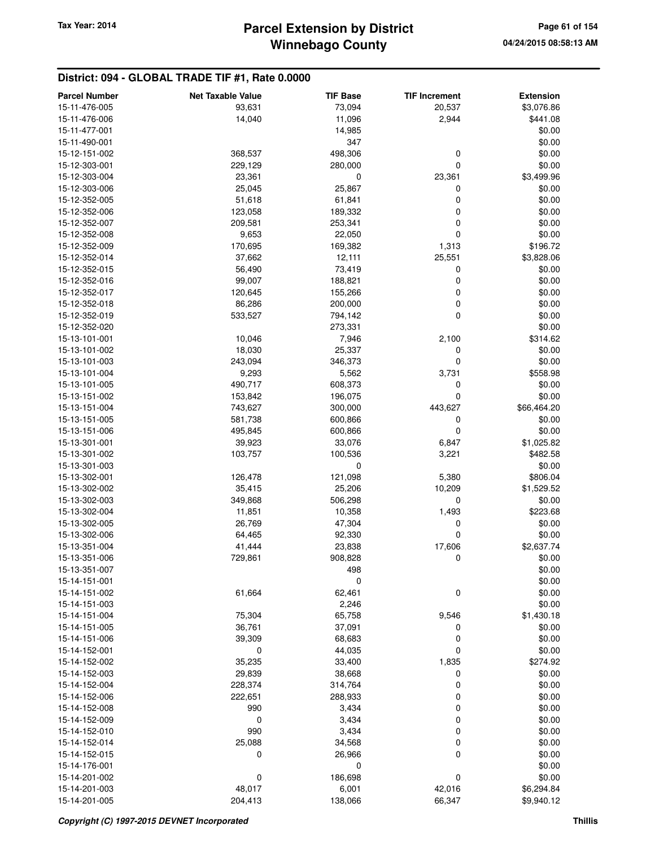| <b>Parcel Number</b> | <b>Net Taxable Value</b> | <b>TIF Base</b> | <b>TIF Increment</b> | <b>Extension</b> |
|----------------------|--------------------------|-----------------|----------------------|------------------|
| 15-11-476-005        | 93,631                   | 73,094          | 20,537               | \$3,076.86       |
| 15-11-476-006        | 14,040                   | 11,096          | 2,944                | \$441.08         |
| 15-11-477-001        |                          | 14,985          |                      | \$0.00           |
| 15-11-490-001        |                          | 347             |                      | \$0.00           |
| 15-12-151-002        | 368,537                  | 498,306         | 0                    | \$0.00           |
| 15-12-303-001        | 229,129                  | 280,000         | $\mathbf 0$          | \$0.00           |
| 15-12-303-004        | 23,361                   | 0               | 23,361               | \$3,499.96       |
| 15-12-303-006        | 25,045                   | 25,867          | 0                    | \$0.00           |
| 15-12-352-005        | 51,618                   | 61,841          | $\mathbf 0$          | \$0.00           |
| 15-12-352-006        | 123,058                  | 189,332         | 0                    | \$0.00           |
| 15-12-352-007        | 209,581                  | 253,341         | 0                    | \$0.00           |
| 15-12-352-008        | 9,653                    | 22,050          | 0                    | \$0.00           |
| 15-12-352-009        | 170,695                  | 169,382         | 1,313                | \$196.72         |
| 15-12-352-014        | 37,662                   | 12,111          | 25,551               | \$3,828.06       |
| 15-12-352-015        | 56,490                   | 73,419          | 0                    | \$0.00           |
| 15-12-352-016        | 99,007                   | 188,821         | $\mathbf 0$          | \$0.00           |
| 15-12-352-017        | 120,645                  | 155,266         | 0                    | \$0.00           |
| 15-12-352-018        | 86,286                   | 200,000         | 0                    | \$0.00           |
| 15-12-352-019        | 533,527                  | 794,142         | 0                    | \$0.00           |
| 15-12-352-020        |                          | 273,331         |                      | \$0.00           |
| 15-13-101-001        | 10,046                   | 7,946           | 2,100                | \$314.62         |
| 15-13-101-002        | 18,030                   | 25,337          | 0                    | \$0.00           |
| 15-13-101-003        | 243,094                  | 346,373         | 0                    | \$0.00           |
| 15-13-101-004        | 9,293                    | 5,562           | 3,731                | \$558.98         |
| 15-13-101-005        | 490,717                  | 608,373         | 0                    | \$0.00           |
| 15-13-151-002        | 153,842                  | 196,075         | 0                    | \$0.00           |
| 15-13-151-004        | 743,627                  | 300,000         | 443,627              | \$66,464.20      |
| 15-13-151-005        | 581,738                  | 600,866         | 0                    | \$0.00           |
| 15-13-151-006        | 495,845                  | 600,866         | $\mathbf 0$          | \$0.00           |
| 15-13-301-001        | 39,923                   | 33,076          | 6,847                | \$1,025.82       |
| 15-13-301-002        | 103,757                  | 100,536         | 3,221                | \$482.58         |
| 15-13-301-003        |                          | 0               |                      | \$0.00           |
| 15-13-302-001        | 126,478                  | 121,098         | 5,380                | \$806.04         |
| 15-13-302-002        | 35,415                   | 25,206          | 10,209               | \$1,529.52       |
| 15-13-302-003        | 349,868                  | 506,298         | 0                    | \$0.00           |
| 15-13-302-004        | 11,851                   | 10,358          | 1,493                | \$223.68         |
| 15-13-302-005        | 26,769                   | 47,304          | 0                    | \$0.00           |
| 15-13-302-006        | 64,465                   | 92,330          | 0                    | \$0.00           |
| 15-13-351-004        | 41,444                   | 23,838          | 17,606               | \$2,637.74       |
| 15-13-351-006        | 729,861                  | 908,828         | 0                    | \$0.00           |
| 15-13-351-007        |                          | 498             |                      | \$0.00           |
| 15-14-151-001        |                          | $\mathbf 0$     |                      | \$0.00           |
| 15-14-151-002        | 61,664                   | 62,461          | 0                    | \$0.00           |
| 15-14-151-003        |                          | 2,246           |                      | \$0.00           |
| 15-14-151-004        | 75,304                   | 65,758          | 9,546                | \$1,430.18       |
| 15-14-151-005        | 36,761                   | 37,091          | 0                    | \$0.00           |
| 15-14-151-006        | 39,309                   | 68,683          | 0                    | \$0.00           |
| 15-14-152-001        | 0                        | 44,035          | 0                    | \$0.00           |
| 15-14-152-002        | 35,235                   | 33,400          | 1,835                | \$274.92         |
| 15-14-152-003        | 29,839                   | 38,668          | 0                    | \$0.00           |
| 15-14-152-004        | 228,374                  | 314,764         | 0                    | \$0.00           |
| 15-14-152-006        | 222,651                  | 288,933         | 0                    | \$0.00           |
| 15-14-152-008        | 990                      | 3,434           | 0                    | \$0.00           |
| 15-14-152-009        | 0                        | 3,434           | 0                    | \$0.00           |
| 15-14-152-010        | 990                      | 3,434           | 0                    | \$0.00           |
| 15-14-152-014        | 25,088                   | 34,568          | 0                    | \$0.00           |
| 15-14-152-015        | 0                        | 26,966          | $\mathbf 0$          | \$0.00           |
| 15-14-176-001        |                          | 0               |                      | \$0.00           |
| 15-14-201-002        | 0                        | 186,698         | $\pmb{0}$            | \$0.00           |
| 15-14-201-003        | 48,017                   | 6,001           | 42,016               | \$6,294.84       |
| 15-14-201-005        | 204,413                  | 138,066         | 66,347               | \$9,940.12       |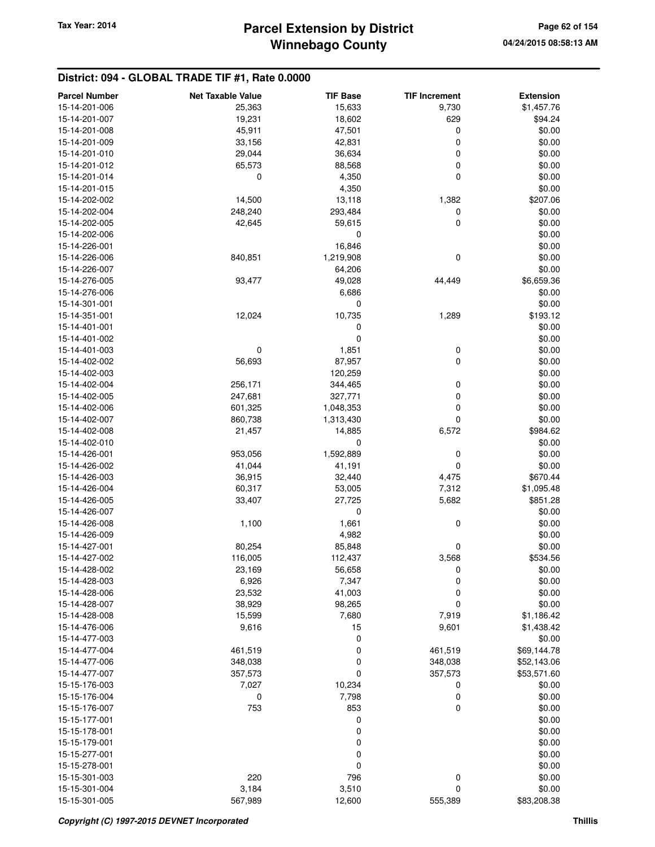## **Winnebago County Parcel Extension by District Tax Year: 2014 Page 62 of 154**

| <b>Parcel Number</b> | <b>Net Taxable Value</b> | <b>TIF Base</b> | <b>TIF Increment</b> | <b>Extension</b> |
|----------------------|--------------------------|-----------------|----------------------|------------------|
| 15-14-201-006        | 25,363                   | 15,633          | 9,730                | \$1,457.76       |
| 15-14-201-007        | 19,231                   | 18,602          | 629                  | \$94.24          |
| 15-14-201-008        | 45,911                   | 47,501          | 0                    | \$0.00           |
| 15-14-201-009        | 33,156                   | 42,831          | 0                    | \$0.00           |
| 15-14-201-010        | 29,044                   | 36,634          | 0                    | \$0.00           |
| 15-14-201-012        | 65,573                   | 88,568          | $\mathbf 0$          | \$0.00           |
| 15-14-201-014        | 0                        | 4,350           | $\mathbf 0$          | \$0.00           |
| 15-14-201-015        |                          | 4,350           |                      | \$0.00           |
| 15-14-202-002        | 14,500                   | 13,118          | 1,382                | \$207.06         |
| 15-14-202-004        | 248,240                  | 293,484         | 0                    | \$0.00           |
| 15-14-202-005        | 42,645                   | 59,615          | 0                    | \$0.00           |
| 15-14-202-006        |                          | 0               |                      | \$0.00           |
| 15-14-226-001        |                          | 16,846          |                      | \$0.00           |
| 15-14-226-006        | 840,851                  | 1,219,908       | $\mathbf 0$          | \$0.00           |
| 15-14-226-007        |                          | 64,206          |                      | \$0.00           |
| 15-14-276-005        | 93,477                   | 49,028          | 44,449               | \$6,659.36       |
| 15-14-276-006        |                          | 6,686           |                      | \$0.00           |
| 15-14-301-001        |                          | 0               |                      | \$0.00           |
| 15-14-351-001        | 12,024                   | 10,735          | 1,289                | \$193.12         |
| 15-14-401-001        |                          | 0               |                      | \$0.00           |
| 15-14-401-002        |                          | 0               |                      | \$0.00           |
| 15-14-401-003        | 0                        | 1,851           | $\boldsymbol{0}$     | \$0.00           |
| 15-14-402-002        | 56,693                   | 87,957          | $\mathbf 0$          | \$0.00           |
| 15-14-402-003        |                          | 120,259         |                      | \$0.00           |
| 15-14-402-004        | 256,171                  | 344,465         | 0                    | \$0.00           |
| 15-14-402-005        | 247,681                  | 327,771         | $\mathbf 0$          | \$0.00           |
| 15-14-402-006        | 601,325                  | 1,048,353       | 0                    | \$0.00           |
| 15-14-402-007        | 860,738                  | 1,313,430       | 0                    | \$0.00           |
| 15-14-402-008        | 21,457                   | 14,885          | 6,572                | \$984.62         |
| 15-14-402-010        |                          | 0               |                      | \$0.00           |
| 15-14-426-001        | 953,056                  | 1,592,889       | 0                    | \$0.00           |
| 15-14-426-002        | 41,044                   | 41,191          | $\mathbf 0$          | \$0.00           |
| 15-14-426-003        | 36,915                   | 32,440          | 4,475                | \$670.44         |
| 15-14-426-004        | 60,317                   | 53,005          | 7,312                | \$1,095.48       |
| 15-14-426-005        | 33,407                   | 27,725          | 5,682                | \$851.28         |
| 15-14-426-007        |                          | 0               |                      | \$0.00           |
| 15-14-426-008        | 1,100                    | 1,661           | 0                    | \$0.00           |
| 15-14-426-009        |                          | 4,982           |                      | \$0.00           |
| 15-14-427-001        | 80,254                   | 85,848          | 0                    | \$0.00           |
| 15-14-427-002        | 116,005                  | 112,437         | 3,568                | \$534.56         |
| 15-14-428-002        | 23,169                   | 56,658          | 0                    | \$0.00           |
| 15-14-428-003        | 6,926                    | 7,347           | 0                    | \$0.00           |
| 15-14-428-006        | 23,532                   | 41,003          | 0                    | \$0.00           |
| 15-14-428-007        | 38,929                   | 98,265          | 0                    | \$0.00           |
| 15-14-428-008        | 15,599                   | 7,680           | 7,919                | \$1,186.42       |
| 15-14-476-006        | 9,616                    | 15              | 9,601                | \$1,438.42       |
| 15-14-477-003        |                          | 0               |                      | \$0.00           |
| 15-14-477-004        | 461,519                  | 0               | 461,519              | \$69,144.78      |
| 15-14-477-006        | 348,038                  | 0               | 348,038              | \$52,143.06      |
| 15-14-477-007        | 357,573                  | 0               | 357,573              | \$53,571.60      |
| 15-15-176-003        | 7,027                    | 10,234          | 0                    | \$0.00           |
| 15-15-176-004        | 0                        | 7,798           | 0                    | \$0.00           |
| 15-15-176-007        | 753                      | 853             | $\mathbf 0$          | \$0.00           |
| 15-15-177-001        |                          | 0               |                      | \$0.00           |
| 15-15-178-001        |                          | 0               |                      | \$0.00           |
| 15-15-179-001        |                          | 0               |                      | \$0.00           |
| 15-15-277-001        |                          | 0               |                      | \$0.00           |
| 15-15-278-001        |                          | 0               |                      | \$0.00           |
| 15-15-301-003        | 220                      | 796             | 0                    | \$0.00           |
| 15-15-301-004        | 3,184                    | 3,510           | 0                    | \$0.00           |
| 15-15-301-005        | 567,989                  | 12,600          | 555,389              | \$83,208.38      |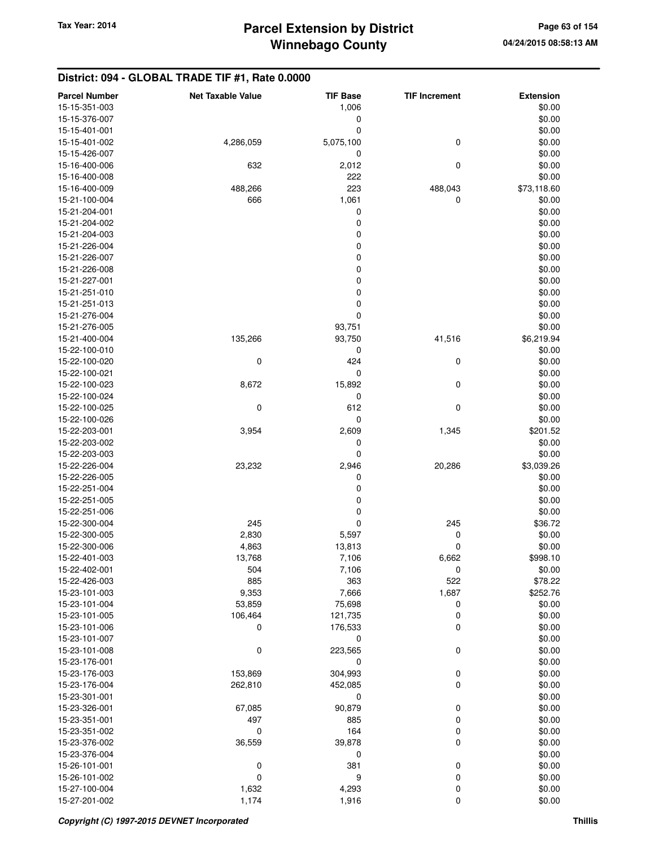| <b>Parcel Number</b> | <b>Net Taxable Value</b> | <b>TIF Base</b> | <b>TIF Increment</b> | <b>Extension</b> |
|----------------------|--------------------------|-----------------|----------------------|------------------|
| 15-15-351-003        |                          | 1,006           |                      | \$0.00           |
| 15-15-376-007        |                          | 0               |                      | \$0.00           |
| 15-15-401-001        |                          | 0               |                      | \$0.00           |
| 15-15-401-002        | 4,286,059                | 5,075,100       | 0                    | \$0.00           |
| 15-15-426-007        |                          | 0               |                      | \$0.00           |
| 15-16-400-006        | 632                      | 2,012           | 0                    | \$0.00           |
| 15-16-400-008        |                          | 222             |                      | \$0.00           |
| 15-16-400-009        | 488,266                  | 223             | 488,043              | \$73,118.60      |
| 15-21-100-004        | 666                      | 1,061           | 0                    | \$0.00           |
| 15-21-204-001        |                          | 0               |                      | \$0.00           |
| 15-21-204-002        |                          | 0               |                      | \$0.00           |
| 15-21-204-003        |                          | $\mathbf 0$     |                      | \$0.00           |
| 15-21-226-004        |                          | $\mathbf 0$     |                      | \$0.00           |
| 15-21-226-007        |                          | $\mathbf 0$     |                      | \$0.00           |
| 15-21-226-008        |                          | 0               |                      | \$0.00           |
| 15-21-227-001        |                          | 0               |                      | \$0.00           |
| 15-21-251-010        |                          | $\mathbf 0$     |                      | \$0.00           |
| 15-21-251-013        |                          | $\mathbf 0$     |                      | \$0.00           |
| 15-21-276-004        |                          | $\mathbf 0$     |                      | \$0.00           |
| 15-21-276-005        |                          | 93,751          |                      | \$0.00           |
| 15-21-400-004        | 135,266                  | 93,750          | 41,516               | \$6,219.94       |
| 15-22-100-010        |                          | 0               |                      | \$0.00           |
| 15-22-100-020        | 0                        | 424             | 0                    | \$0.00           |
| 15-22-100-021        |                          | 0               |                      | \$0.00           |
| 15-22-100-023        | 8,672                    | 15,892          | 0                    | \$0.00           |
| 15-22-100-024        |                          | 0               |                      | \$0.00           |
| 15-22-100-025        | $\mathbf 0$              | 612             | 0                    | \$0.00           |
| 15-22-100-026        |                          | 0               |                      | \$0.00           |
| 15-22-203-001        | 3,954                    | 2,609           | 1,345                | \$201.52         |
| 15-22-203-002        |                          | 0               |                      | \$0.00           |
| 15-22-203-003        |                          | $\mathbf 0$     |                      | \$0.00           |
| 15-22-226-004        | 23,232                   | 2,946           | 20,286               | \$3,039.26       |
| 15-22-226-005        |                          | 0               |                      | \$0.00           |
| 15-22-251-004        |                          | 0               |                      | \$0.00           |
| 15-22-251-005        |                          | 0               |                      | \$0.00           |
| 15-22-251-006        |                          | 0               |                      | \$0.00           |
| 15-22-300-004        | 245                      | $\mathbf 0$     | 245                  | \$36.72          |
| 15-22-300-005        | 2,830                    | 5,597           | 0                    | \$0.00           |
| 15-22-300-006        | 4,863                    | 13,813          | 0                    | \$0.00           |
| 15-22-401-003        | 13,768                   | 7,106           | 6,662                | \$998.10         |
| 15-22-402-001        | 504                      | 7,106           | 0                    | \$0.00           |
| 15-22-426-003        | 885                      | 363             | 522                  | \$78.22          |
| 15-23-101-003        | 9,353                    | 7,666           | 1,687                | \$252.76         |
| 15-23-101-004        | 53,859                   | 75,698          | 0                    | \$0.00           |
| 15-23-101-005        | 106,464                  | 121,735         | 0                    | \$0.00           |
| 15-23-101-006        | 0                        | 176,533         | 0                    | \$0.00           |
| 15-23-101-007        |                          | 0               |                      | \$0.00           |
| 15-23-101-008        | 0                        | 223,565         | 0                    | \$0.00           |
| 15-23-176-001        |                          | 0               |                      | \$0.00           |
| 15-23-176-003        | 153,869                  | 304,993         | $\pmb{0}$            | \$0.00           |
| 15-23-176-004        | 262,810                  | 452,085         | 0                    | \$0.00           |
| 15-23-301-001        |                          | 0               |                      | \$0.00           |
| 15-23-326-001        | 67,085                   | 90,879          | 0                    | \$0.00           |
| 15-23-351-001        | 497                      | 885             | 0                    | \$0.00           |
| 15-23-351-002        | 0                        | 164             | 0                    | \$0.00           |
| 15-23-376-002        | 36,559                   | 39,878          | 0                    | \$0.00           |
| 15-23-376-004        |                          | 0               |                      | \$0.00           |
| 15-26-101-001        | 0                        | 381             | 0                    | \$0.00           |
| 15-26-101-002        | $\mathbf 0$              | 9               | 0                    | \$0.00           |
| 15-27-100-004        | 1,632                    | 4,293           | 0                    | \$0.00           |
| 15-27-201-002        | 1,174                    | 1,916           | 0                    | \$0.00           |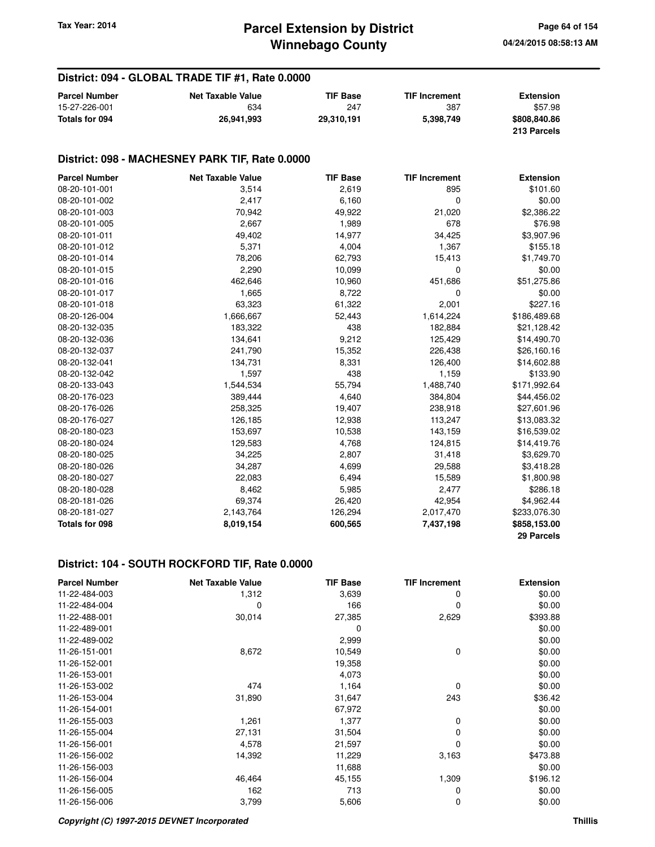#### **District: 094 - GLOBAL TRADE TIF #1, Rate 0.0000**

| <b>Parcel Number</b> | <b>Net Taxable Value</b> | TIF Base   | <b>TIF Increment</b> | <b>Extension</b> |
|----------------------|--------------------------|------------|----------------------|------------------|
| 15-27-226-001        | 634                      | 247        | 387                  | \$57.98          |
| Totals for 094       | 26.941.993               | 29.310.191 | 5,398,749            | \$808,840.86     |
|                      |                          |            |                      | 213 Parcels      |

#### **District: 098 - MACHESNEY PARK TIF, Rate 0.0000**

| <b>Parcel Number</b>  | <b>Net Taxable Value</b> | <b>TIF Base</b> | <b>TIF Increment</b> | <b>Extension</b> |
|-----------------------|--------------------------|-----------------|----------------------|------------------|
| 08-20-101-001         | 3,514                    | 2,619           | 895                  | \$101.60         |
| 08-20-101-002         | 2,417                    | 6,160           | 0                    | \$0.00           |
| 08-20-101-003         | 70,942                   | 49,922          | 21,020               | \$2,386.22       |
| 08-20-101-005         | 2,667                    | 1,989           | 678                  | \$76.98          |
| 08-20-101-011         | 49,402                   | 14,977          | 34,425               | \$3,907.96       |
| 08-20-101-012         | 5,371                    | 4,004           | 1,367                | \$155.18         |
| 08-20-101-014         | 78,206                   | 62,793          | 15,413               | \$1,749.70       |
| 08-20-101-015         | 2,290                    | 10,099          | 0                    | \$0.00           |
| 08-20-101-016         | 462,646                  | 10,960          | 451,686              | \$51,275.86      |
| 08-20-101-017         | 1,665                    | 8,722           | 0                    | \$0.00           |
| 08-20-101-018         | 63,323                   | 61,322          | 2,001                | \$227.16         |
| 08-20-126-004         | 1,666,667                | 52,443          | 1,614,224            | \$186,489.68     |
| 08-20-132-035         | 183,322                  | 438             | 182,884              | \$21,128.42      |
| 08-20-132-036         | 134,641                  | 9,212           | 125,429              | \$14,490.70      |
| 08-20-132-037         | 241,790                  | 15,352          | 226,438              | \$26,160.16      |
| 08-20-132-041         | 134,731                  | 8,331           | 126,400              | \$14,602.88      |
| 08-20-132-042         | 1,597                    | 438             | 1,159                | \$133.90         |
| 08-20-133-043         | 1,544,534                | 55,794          | 1,488,740            | \$171,992.64     |
| 08-20-176-023         | 389,444                  | 4,640           | 384,804              | \$44,456.02      |
| 08-20-176-026         | 258,325                  | 19,407          | 238,918              | \$27,601.96      |
| 08-20-176-027         | 126,185                  | 12,938          | 113,247              | \$13,083.32      |
| 08-20-180-023         | 153,697                  | 10,538          | 143,159              | \$16,539.02      |
| 08-20-180-024         | 129,583                  | 4,768           | 124,815              | \$14,419.76      |
| 08-20-180-025         | 34,225                   | 2,807           | 31,418               | \$3,629.70       |
| 08-20-180-026         | 34,287                   | 4,699           | 29,588               | \$3,418.28       |
| 08-20-180-027         | 22,083                   | 6,494           | 15,589               | \$1,800.98       |
| 08-20-180-028         | 8,462                    | 5,985           | 2,477                | \$286.18         |
| 08-20-181-026         | 69,374                   | 26,420          | 42,954               | \$4,962.44       |
| 08-20-181-027         | 2,143,764                | 126,294         | 2,017,470            | \$233,076.30     |
| <b>Totals for 098</b> | 8,019,154                | 600,565         | 7,437,198            | \$858,153.00     |
|                       |                          |                 |                      | 29 Parcels       |

| <b>Parcel Number</b> | <b>Net Taxable Value</b> | <b>TIF Base</b> | <b>TIF Increment</b> | <b>Extension</b> |
|----------------------|--------------------------|-----------------|----------------------|------------------|
| 11-22-484-003        | 1,312                    | 3,639           | 0                    | \$0.00           |
| 11-22-484-004        | 0                        | 166             | $\Omega$             | \$0.00           |
| 11-22-488-001        | 30,014                   | 27,385          | 2,629                | \$393.88         |
| 11-22-489-001        |                          | 0               |                      | \$0.00           |
| 11-22-489-002        |                          | 2,999           |                      | \$0.00           |
| 11-26-151-001        | 8,672                    | 10,549          | 0                    | \$0.00           |
| 11-26-152-001        |                          | 19,358          |                      | \$0.00           |
| 11-26-153-001        |                          | 4,073           |                      | \$0.00           |
| 11-26-153-002        | 474                      | 1,164           | 0                    | \$0.00           |
| 11-26-153-004        | 31,890                   | 31,647          | 243                  | \$36.42          |
| 11-26-154-001        |                          | 67,972          |                      | \$0.00           |
| 11-26-155-003        | 1,261                    | 1,377           | 0                    | \$0.00           |
| 11-26-155-004        | 27,131                   | 31,504          | 0                    | \$0.00           |
| 11-26-156-001        | 4,578                    | 21,597          | 0                    | \$0.00           |
| 11-26-156-002        | 14,392                   | 11,229          | 3,163                | \$473.88         |
| 11-26-156-003        |                          | 11,688          |                      | \$0.00           |
| 11-26-156-004        | 46,464                   | 45,155          | 1,309                | \$196.12         |
| 11-26-156-005        | 162                      | 713             | 0                    | \$0.00           |
| 11-26-156-006        | 3,799                    | 5,606           | 0                    | \$0.00           |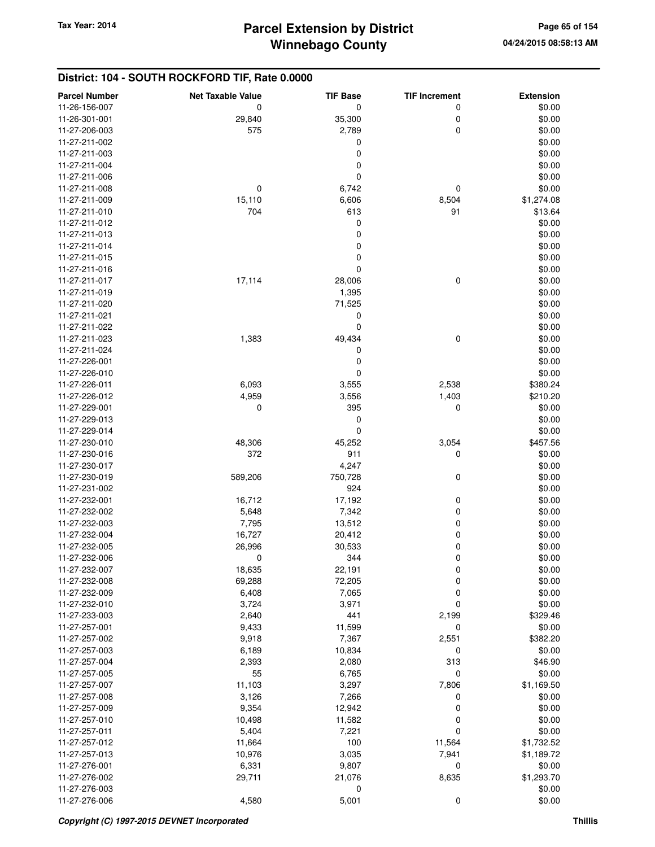| <b>Parcel Number</b>           | <b>Net Taxable Value</b> | <b>TIF Base</b> | <b>TIF Increment</b> | <b>Extension</b> |
|--------------------------------|--------------------------|-----------------|----------------------|------------------|
| 11-26-156-007                  | 0                        | 0               | 0                    | \$0.00           |
| 11-26-301-001                  | 29,840                   | 35,300          | 0                    | \$0.00           |
| 11-27-206-003                  | 575                      | 2,789           | 0                    | \$0.00           |
| 11-27-211-002                  |                          | 0               |                      | \$0.00           |
| 11-27-211-003                  |                          | 0               |                      | \$0.00           |
| 11-27-211-004                  |                          | 0               |                      | \$0.00           |
| 11-27-211-006                  |                          | 0               |                      | \$0.00           |
| 11-27-211-008                  | 0                        | 6,742           | 0                    | \$0.00           |
| 11-27-211-009                  | 15,110                   | 6,606           | 8,504                | \$1,274.08       |
| 11-27-211-010                  | 704                      | 613             | 91                   | \$13.64          |
| 11-27-211-012                  |                          | 0               |                      | \$0.00           |
| 11-27-211-013                  |                          | 0               |                      | \$0.00           |
| 11-27-211-014                  |                          | 0               |                      | \$0.00           |
| 11-27-211-015                  |                          | 0               |                      | \$0.00           |
| 11-27-211-016                  |                          | 0               |                      | \$0.00           |
| 11-27-211-017                  | 17,114                   | 28,006          | 0                    | \$0.00           |
| 11-27-211-019                  |                          | 1,395           |                      | \$0.00           |
| 11-27-211-020                  |                          | 71,525          |                      | \$0.00           |
| 11-27-211-021                  |                          | 0               |                      | \$0.00           |
| 11-27-211-022                  |                          | 0               |                      | \$0.00           |
| 11-27-211-023                  |                          |                 | 0                    | \$0.00           |
| 11-27-211-024                  | 1,383                    | 49,434          |                      | \$0.00           |
| 11-27-226-001                  |                          | 0<br>0          |                      | \$0.00           |
|                                |                          |                 |                      |                  |
| 11-27-226-010<br>11-27-226-011 |                          | 0               |                      | \$0.00           |
|                                | 6,093                    | 3,555           | 2,538                | \$380.24         |
| 11-27-226-012                  | 4,959                    | 3,556           | 1,403                | \$210.20         |
| 11-27-229-001                  | 0                        | 395             | 0                    | \$0.00           |
| 11-27-229-013                  |                          | 0               |                      | \$0.00           |
| 11-27-229-014                  |                          | 0               |                      | \$0.00           |
| 11-27-230-010                  | 48,306                   | 45,252          | 3,054                | \$457.56         |
| 11-27-230-016                  | 372                      | 911             | 0                    | \$0.00           |
| 11-27-230-017                  |                          | 4,247           |                      | \$0.00           |
| 11-27-230-019                  | 589,206                  | 750,728         | 0                    | \$0.00           |
| 11-27-231-002                  |                          | 924             |                      | \$0.00           |
| 11-27-232-001                  | 16,712                   | 17,192          | 0                    | \$0.00           |
| 11-27-232-002                  | 5,648                    | 7,342           | 0                    | \$0.00           |
| 11-27-232-003                  | 7,795                    | 13,512          | 0                    | \$0.00           |
| 11-27-232-004                  | 16,727                   | 20,412          | 0                    | \$0.00           |
| 11-27-232-005                  | 26,996                   | 30,533          | 0                    | \$0.00           |
| 11-27-232-006                  | 0                        | 344             | 0                    | \$0.00           |
| 11-27-232-007                  | 18,635                   | 22,191          | 0                    | \$0.00           |
| 11-27-232-008                  | 69,288                   | 72,205          | 0                    | \$0.00           |
| 11-27-232-009                  | 6,408                    | 7,065           | 0                    | \$0.00           |
| 11-27-232-010                  | 3,724                    | 3,971           | 0                    | \$0.00           |
| 11-27-233-003                  | 2,640                    | 441             | 2,199                | \$329.46         |
| 11-27-257-001                  | 9,433                    | 11,599          | 0                    | \$0.00           |
| 11-27-257-002                  | 9,918                    | 7,367           | 2,551                | \$382.20         |
| 11-27-257-003                  | 6,189                    | 10,834          | 0                    | \$0.00           |
| 11-27-257-004                  | 2,393                    | 2,080           | 313                  | \$46.90          |
| 11-27-257-005                  | 55                       | 6,765           | 0                    | \$0.00           |
| 11-27-257-007                  | 11,103                   | 3,297           | 7,806                | \$1,169.50       |
| 11-27-257-008                  | 3,126                    | 7,266           | 0                    | \$0.00           |
| 11-27-257-009                  | 9,354                    | 12,942          | 0                    | \$0.00           |
| 11-27-257-010                  | 10,498                   | 11,582          | 0                    | \$0.00           |
| 11-27-257-011                  | 5,404                    | 7,221           | 0                    | \$0.00           |
| 11-27-257-012                  | 11,664                   | 100             | 11,564               | \$1,732.52       |
| 11-27-257-013                  | 10,976                   | 3,035           | 7,941                | \$1,189.72       |
| 11-27-276-001                  | 6,331                    | 9,807           | $\mathbf 0$          | \$0.00           |
| 11-27-276-002                  | 29,711                   | 21,076          | 8,635                | \$1,293.70       |
| 11-27-276-003                  |                          | 0               |                      | \$0.00           |
| 11-27-276-006                  | 4,580                    | 5,001           | 0                    | \$0.00           |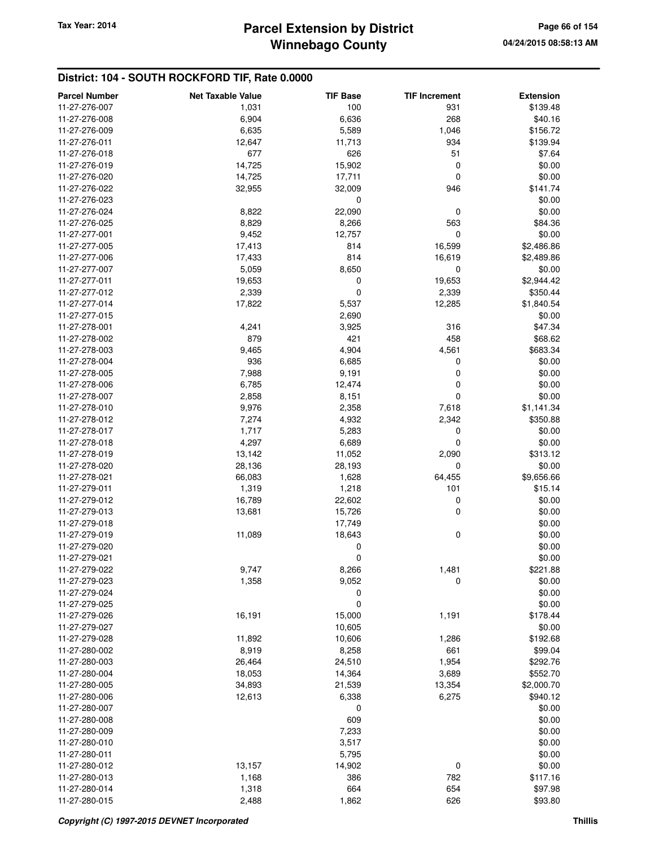| <b>Parcel Number</b> | <b>Net Taxable Value</b> | <b>TIF Base</b> | <b>TIF Increment</b> | <b>Extension</b> |
|----------------------|--------------------------|-----------------|----------------------|------------------|
| 11-27-276-007        | 1,031                    | 100             | 931                  | \$139.48         |
| 11-27-276-008        | 6,904                    | 6,636           | 268                  | \$40.16          |
| 11-27-276-009        | 6,635                    | 5,589           | 1,046                | \$156.72         |
| 11-27-276-011        | 12,647                   | 11,713          | 934                  | \$139.94         |
| 11-27-276-018        | 677                      | 626             | 51                   | \$7.64           |
| 11-27-276-019        | 14,725                   | 15,902          | 0                    | \$0.00           |
| 11-27-276-020        | 14,725                   | 17,711          | 0                    | \$0.00           |
| 11-27-276-022        | 32,955                   | 32,009          | 946                  | \$141.74         |
| 11-27-276-023        |                          | 0               |                      | \$0.00           |
| 11-27-276-024        | 8,822                    | 22,090          | 0                    | \$0.00           |
| 11-27-276-025        | 8,829                    | 8,266           | 563                  | \$84.36          |
| 11-27-277-001        | 9,452                    | 12,757          | $\mathbf 0$          | \$0.00           |
| 11-27-277-005        | 17,413                   | 814             | 16,599               | \$2,486.86       |
| 11-27-277-006        | 17,433                   | 814             | 16,619               | \$2,489.86       |
| 11-27-277-007        | 5,059                    | 8,650           | 0                    | \$0.00           |
| 11-27-277-011        | 19,653                   | 0               | 19,653               | \$2,944.42       |
| 11-27-277-012        | 2,339                    | 0               | 2,339                | \$350.44         |
| 11-27-277-014        | 17,822                   | 5,537           | 12,285               | \$1,840.54       |
| 11-27-277-015        |                          | 2,690           |                      | \$0.00           |
| 11-27-278-001        | 4,241                    | 3,925           | 316                  | \$47.34          |
| 11-27-278-002        | 879                      | 421             | 458                  |                  |
|                      |                          |                 |                      | \$68.62          |
| 11-27-278-003        | 9,465                    | 4,904           | 4,561                | \$683.34         |
| 11-27-278-004        | 936                      | 6,685           | 0                    | \$0.00           |
| 11-27-278-005        | 7,988                    | 9,191           | 0                    | \$0.00           |
| 11-27-278-006        | 6,785                    | 12,474          | 0                    | \$0.00           |
| 11-27-278-007        | 2,858                    | 8,151           | $\mathbf 0$          | \$0.00           |
| 11-27-278-010        | 9,976                    | 2,358           | 7,618                | \$1,141.34       |
| 11-27-278-012        | 7,274                    | 4,932           | 2,342                | \$350.88         |
| 11-27-278-017        | 1,717                    | 5,283           | 0                    | \$0.00           |
| 11-27-278-018        | 4,297                    | 6,689           | 0                    | \$0.00           |
| 11-27-278-019        | 13,142                   | 11,052          | 2,090                | \$313.12         |
| 11-27-278-020        | 28,136                   | 28,193          | $\mathbf 0$          | \$0.00           |
| 11-27-278-021        | 66,083                   | 1,628           | 64,455               | \$9,656.66       |
| 11-27-279-011        | 1,319                    | 1,218           | 101                  | \$15.14          |
| 11-27-279-012        | 16,789                   | 22,602          | 0                    | \$0.00           |
| 11-27-279-013        | 13,681                   | 15,726          | 0                    | \$0.00           |
| 11-27-279-018        |                          | 17,749          |                      | \$0.00           |
| 11-27-279-019        | 11,089                   | 18,643          | $\mathbf 0$          | \$0.00           |
| 11-27-279-020        |                          | 0               |                      | \$0.00           |
| 11-27-279-021        |                          | 0               |                      | \$0.00           |
| 11-27-279-022        | 9,747                    | 8,266           | 1,481                | \$221.88         |
| 11-27-279-023        | 1,358                    | 9,052           | 0                    | \$0.00           |
| 11-27-279-024        |                          | 0               |                      | \$0.00           |
| 11-27-279-025        |                          | 0               |                      | \$0.00           |
| 11-27-279-026        | 16,191                   | 15,000          | 1,191                | \$178.44         |
| 11-27-279-027        |                          | 10,605          |                      | \$0.00           |
| 11-27-279-028        | 11,892                   | 10,606          | 1,286                | \$192.68         |
| 11-27-280-002        | 8,919                    | 8,258           | 661                  | \$99.04          |
| 11-27-280-003        | 26,464                   | 24,510          | 1,954                | \$292.76         |
| 11-27-280-004        | 18,053                   | 14,364          | 3,689                | \$552.70         |
| 11-27-280-005        | 34,893                   | 21,539          | 13,354               | \$2,000.70       |
| 11-27-280-006        | 12,613                   | 6,338           | 6,275                | \$940.12         |
| 11-27-280-007        |                          | 0               |                      | \$0.00           |
| 11-27-280-008        |                          | 609             |                      | \$0.00           |
| 11-27-280-009        |                          | 7,233           |                      | \$0.00           |
| 11-27-280-010        |                          | 3,517           |                      | \$0.00           |
| 11-27-280-011        |                          | 5,795           |                      | \$0.00           |
| 11-27-280-012        | 13,157                   | 14,902          | $\mathbf 0$          | \$0.00           |
| 11-27-280-013        | 1,168                    | 386             | 782                  | \$117.16         |
| 11-27-280-014        | 1,318                    | 664             | 654                  | \$97.98          |
| 11-27-280-015        | 2,488                    | 1,862           | 626                  | \$93.80          |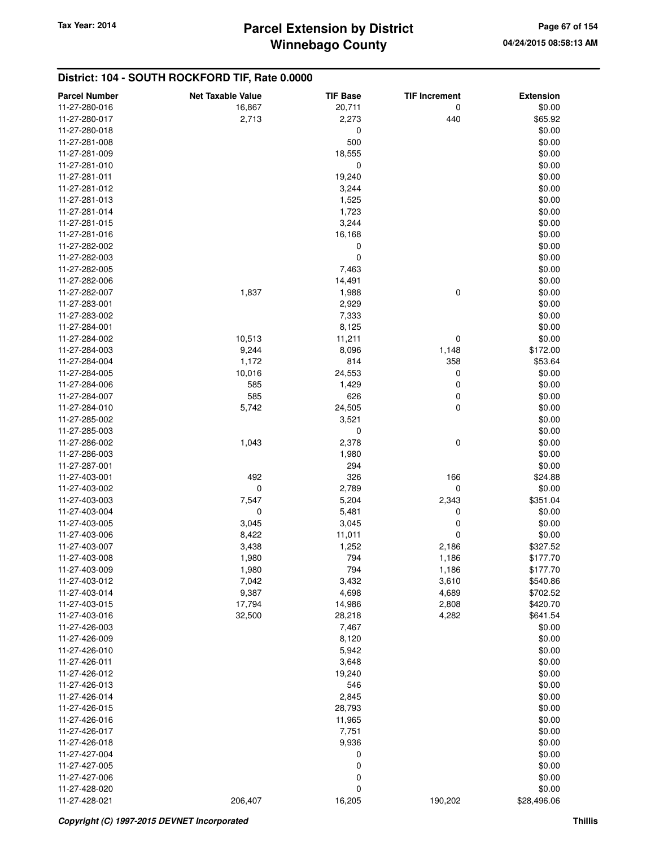| <b>Parcel Number</b> | <b>Net Taxable Value</b> | <b>TIF Base</b>  | <b>TIF Increment</b> | <b>Extension</b> |
|----------------------|--------------------------|------------------|----------------------|------------------|
| 11-27-280-016        | 16,867                   | 20,711           | 0                    | \$0.00           |
| 11-27-280-017        | 2,713                    | 2,273            | 440                  | \$65.92          |
| 11-27-280-018        |                          | 0                |                      | \$0.00           |
| 11-27-281-008        |                          | 500              |                      | \$0.00           |
| 11-27-281-009        |                          | 18,555           |                      | \$0.00           |
| 11-27-281-010        |                          | 0                |                      | \$0.00           |
| 11-27-281-011        |                          | 19,240           |                      | \$0.00           |
| 11-27-281-012        |                          | 3,244            |                      | \$0.00           |
| 11-27-281-013        |                          | 1,525            |                      | \$0.00           |
| 11-27-281-014        |                          | 1,723            |                      | \$0.00           |
| 11-27-281-015        |                          | 3,244            |                      | \$0.00           |
| 11-27-281-016        |                          | 16,168           |                      | \$0.00           |
| 11-27-282-002        |                          | 0                |                      | \$0.00           |
| 11-27-282-003        |                          | 0                |                      | \$0.00           |
| 11-27-282-005        |                          | 7,463            |                      | \$0.00           |
| 11-27-282-006        |                          | 14,491           |                      | \$0.00           |
| 11-27-282-007        | 1,837                    | 1,988            | 0                    | \$0.00           |
| 11-27-283-001        |                          | 2,929            |                      | \$0.00           |
| 11-27-283-002        |                          | 7,333            |                      | \$0.00           |
| 11-27-284-001        |                          | 8,125            |                      | \$0.00           |
| 11-27-284-002        | 10,513                   | 11,211           | 0                    | \$0.00           |
| 11-27-284-003        | 9,244                    | 8,096            | 1,148                | \$172.00         |
| 11-27-284-004        | 1,172                    | 814              | 358                  | \$53.64          |
| 11-27-284-005        | 10,016                   | 24,553           | 0                    | \$0.00           |
| 11-27-284-006        | 585                      | 1,429            | 0                    | \$0.00           |
| 11-27-284-007        | 585                      | 626              | 0                    | \$0.00           |
| 11-27-284-010        | 5,742                    | 24,505           | 0                    | \$0.00           |
| 11-27-285-002        |                          | 3,521            |                      | \$0.00           |
| 11-27-285-003        |                          | 0                |                      | \$0.00           |
| 11-27-286-002        | 1,043                    | 2,378            | 0                    | \$0.00           |
| 11-27-286-003        |                          | 1,980            |                      | \$0.00           |
| 11-27-287-001        |                          | 294              |                      | \$0.00           |
| 11-27-403-001        | 492                      | 326              | 166                  | \$24.88          |
| 11-27-403-002        | 0                        | 2,789            | 0                    | \$0.00           |
| 11-27-403-003        | 7,547                    | 5,204            | 2,343                | \$351.04         |
| 11-27-403-004        | 0                        | 5,481            | 0                    | \$0.00           |
| 11-27-403-005        | 3,045                    | 3,045            | 0                    | \$0.00           |
| 11-27-403-006        | 8,422                    | 11,011           | 0                    | \$0.00           |
| 11-27-403-007        | 3,438                    | 1,252            | 2,186                | \$327.52         |
| 11-27-403-008        | 1,980                    | 794              | 1,186                | \$177.70         |
| 11-27-403-009        | 1,980                    | 794              | 1,186                | \$177.70         |
| 11-27-403-012        | 7,042                    | 3,432            | 3,610                | \$540.86         |
| 11-27-403-014        | 9,387                    | 4,698            | 4,689                | \$702.52         |
| 11-27-403-015        | 17,794                   |                  | 2,808                | \$420.70         |
| 11-27-403-016        | 32,500                   | 14,986<br>28,218 | 4,282                | \$641.54         |
| 11-27-426-003        |                          | 7,467            |                      | \$0.00           |
| 11-27-426-009        |                          | 8,120            |                      | \$0.00           |
| 11-27-426-010        |                          | 5,942            |                      | \$0.00           |
| 11-27-426-011        |                          | 3,648            |                      | \$0.00           |
| 11-27-426-012        |                          | 19,240           |                      | \$0.00           |
| 11-27-426-013        |                          | 546              |                      | \$0.00           |
|                      |                          |                  |                      |                  |
| 11-27-426-014        |                          | 2,845            |                      | \$0.00<br>\$0.00 |
| 11-27-426-015        |                          | 28,793           |                      |                  |
| 11-27-426-016        |                          | 11,965           |                      | \$0.00           |
| 11-27-426-017        |                          | 7,751            |                      | \$0.00           |
| 11-27-426-018        |                          | 9,936            |                      | \$0.00           |
| 11-27-427-004        |                          | 0                |                      | \$0.00           |
| 11-27-427-005        |                          | 0                |                      | \$0.00           |
| 11-27-427-006        |                          | 0                |                      | \$0.00           |
| 11-27-428-020        |                          | 0                |                      | \$0.00           |
| 11-27-428-021        | 206,407                  | 16,205           | 190,202              | \$28,496.06      |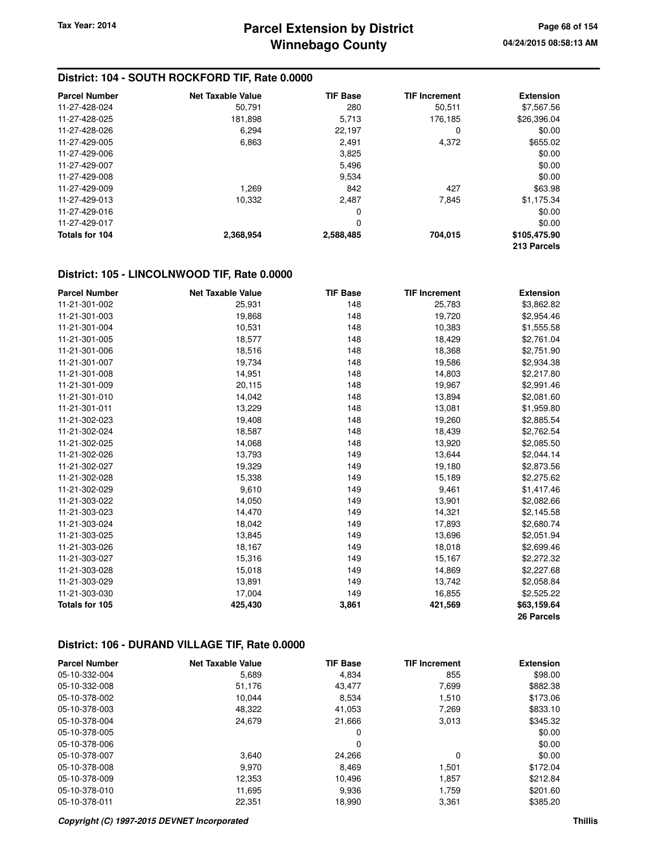| <b>Parcel Number</b> | <b>Net Taxable Value</b> | <b>TIF Base</b> | <b>TIF Increment</b> | <b>Extension</b> |
|----------------------|--------------------------|-----------------|----------------------|------------------|
| 11-27-428-024        | 50,791                   | 280             | 50,511               | \$7,567.56       |
| 11-27-428-025        | 181,898                  | 5,713           | 176.185              | \$26,396.04      |
| 11-27-428-026        | 6,294                    | 22,197          | 0                    | \$0.00           |
| 11-27-429-005        | 6,863                    | 2,491           | 4,372                | \$655.02         |
| 11-27-429-006        |                          | 3,825           |                      | \$0.00           |
| 11-27-429-007        |                          | 5,496           |                      | \$0.00           |
| 11-27-429-008        |                          | 9,534           |                      | \$0.00           |
| 11-27-429-009        | 1,269                    | 842             | 427                  | \$63.98          |
| 11-27-429-013        | 10,332                   | 2,487           | 7,845                | \$1,175.34       |
| 11-27-429-016        |                          | 0               |                      | \$0.00           |
| 11-27-429-017        |                          | 0               |                      | \$0.00           |
| Totals for 104       | 2,368,954                | 2,588,485       | 704.015              | \$105,475.90     |
|                      |                          |                 |                      | 213 Parcels      |

#### **District: 105 - LINCOLNWOOD TIF, Rate 0.0000**

| <b>Parcel Number</b> | <b>Net Taxable Value</b> | <b>TIF Base</b> | <b>TIF Increment</b> | <b>Extension</b> |
|----------------------|--------------------------|-----------------|----------------------|------------------|
| 11-21-301-002        | 25,931                   | 148             | 25,783               | \$3,862.82       |
| 11-21-301-003        | 19,868                   | 148             | 19,720               | \$2,954.46       |
| 11-21-301-004        | 10,531                   | 148             | 10,383               | \$1,555.58       |
| 11-21-301-005        | 18,577                   | 148             | 18,429               | \$2,761.04       |
| 11-21-301-006        | 18,516                   | 148             | 18,368               | \$2,751.90       |
| 11-21-301-007        | 19,734                   | 148             | 19,586               | \$2,934.38       |
| 11-21-301-008        | 14,951                   | 148             | 14,803               | \$2,217.80       |
| 11-21-301-009        | 20,115                   | 148             | 19,967               | \$2,991.46       |
| 11-21-301-010        | 14,042                   | 148             | 13,894               | \$2,081.60       |
| 11-21-301-011        | 13,229                   | 148             | 13,081               | \$1,959.80       |
| 11-21-302-023        | 19,408                   | 148             | 19,260               | \$2,885.54       |
| 11-21-302-024        | 18,587                   | 148             | 18,439               | \$2,762.54       |
| 11-21-302-025        | 14,068                   | 148             | 13,920               | \$2,085.50       |
| 11-21-302-026        | 13,793                   | 149             | 13,644               | \$2,044.14       |
| 11-21-302-027        | 19,329                   | 149             | 19,180               | \$2,873.56       |
| 11-21-302-028        | 15,338                   | 149             | 15,189               | \$2,275.62       |
| 11-21-302-029        | 9,610                    | 149             | 9,461                | \$1,417.46       |
| 11-21-303-022        | 14,050                   | 149             | 13,901               | \$2,082.66       |
| 11-21-303-023        | 14,470                   | 149             | 14,321               | \$2,145.58       |
| 11-21-303-024        | 18,042                   | 149             | 17,893               | \$2,680.74       |
| 11-21-303-025        | 13,845                   | 149             | 13,696               | \$2,051.94       |
| 11-21-303-026        | 18,167                   | 149             | 18,018               | \$2,699.46       |
| 11-21-303-027        | 15,316                   | 149             | 15,167               | \$2,272.32       |
| 11-21-303-028        | 15,018                   | 149             | 14,869               | \$2,227.68       |
| 11-21-303-029        | 13,891                   | 149             | 13,742               | \$2,058.84       |
| 11-21-303-030        | 17,004                   | 149             | 16,855               | \$2,525.22       |
| Totals for 105       | 425,430                  | 3,861           | 421,569              | \$63,159.64      |
|                      |                          |                 |                      | 26 Parcels       |

#### **District: 106 - DURAND VILLAGE TIF, Rate 0.0000**

| <b>Parcel Number</b> | <b>Net Taxable Value</b> | <b>TIF Base</b> | <b>TIF Increment</b> | <b>Extension</b> |
|----------------------|--------------------------|-----------------|----------------------|------------------|
| 05-10-332-004        | 5,689                    | 4,834           | 855                  | \$98.00          |
| 05-10-332-008        | 51,176                   | 43.477          | 7,699                | \$882.38         |
| 05-10-378-002        | 10.044                   | 8,534           | 1.510                | \$173.06         |
| 05-10-378-003        | 48,322                   | 41.053          | 7,269                | \$833.10         |
| 05-10-378-004        | 24,679                   | 21,666          | 3,013                | \$345.32         |
| 05-10-378-005        |                          | 0               |                      | \$0.00           |
| 05-10-378-006        |                          | 0               |                      | \$0.00           |
| 05-10-378-007        | 3.640                    | 24,266          | 0                    | \$0.00           |
| 05-10-378-008        | 9.970                    | 8.469           | 1.501                | \$172.04         |
| 05-10-378-009        | 12,353                   | 10.496          | 1,857                | \$212.84         |
| 05-10-378-010        | 11,695                   | 9,936           | 1,759                | \$201.60         |
| 05-10-378-011        | 22,351                   | 18.990          | 3,361                | \$385.20         |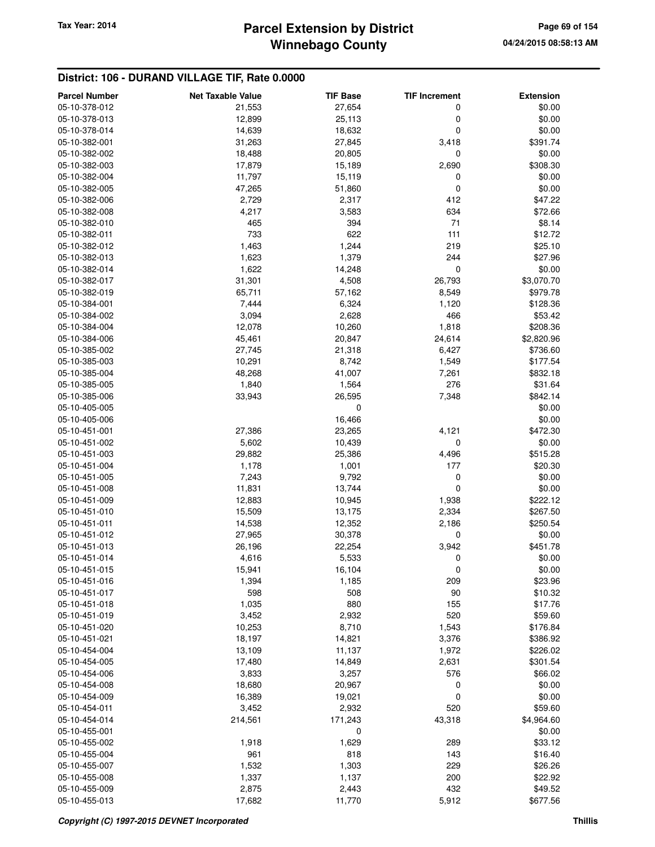### **District: 106 - DURAND VILLAGE TIF, Rate 0.0000**

| <b>Parcel Number</b> | <b>Net Taxable Value</b> | <b>TIF Base</b> | <b>TIF Increment</b> | <b>Extension</b> |
|----------------------|--------------------------|-----------------|----------------------|------------------|
| 05-10-378-012        | 21,553                   | 27,654          | 0                    | \$0.00           |
| 05-10-378-013        | 12,899                   | 25,113          | 0                    | \$0.00           |
| 05-10-378-014        | 14,639                   | 18,632          | 0                    | \$0.00           |
| 05-10-382-001        | 31,263                   | 27,845          | 3,418                | \$391.74         |
| 05-10-382-002        | 18,488                   | 20,805          | 0                    | \$0.00           |
| 05-10-382-003        | 17,879                   | 15,189          | 2,690                | \$308.30         |
| 05-10-382-004        | 11,797                   | 15,119          | 0                    | \$0.00           |
| 05-10-382-005        | 47,265                   | 51,860          | $\mathbf 0$          | \$0.00           |
| 05-10-382-006        | 2,729                    | 2,317           | 412                  | \$47.22          |
| 05-10-382-008        | 4,217                    | 3,583           | 634                  | \$72.66          |
| 05-10-382-010        | 465                      | 394             | 71                   | \$8.14           |
| 05-10-382-011        | 733                      | 622             | 111                  | \$12.72          |
| 05-10-382-012        | 1,463                    | 1,244           | 219                  | \$25.10          |
| 05-10-382-013        | 1,623                    | 1,379           | 244                  | \$27.96          |
| 05-10-382-014        | 1,622                    | 14,248          | 0                    | \$0.00           |
| 05-10-382-017        | 31,301                   | 4,508           | 26,793               | \$3,070.70       |
| 05-10-382-019        | 65,711                   | 57,162          | 8,549                | \$979.78         |
| 05-10-384-001        | 7,444                    | 6,324           | 1,120                | \$128.36         |
| 05-10-384-002        | 3,094                    | 2,628           | 466                  | \$53.42          |
| 05-10-384-004        | 12,078                   | 10,260          | 1,818                | \$208.36         |
| 05-10-384-006        | 45,461                   | 20,847          | 24,614               | \$2,820.96       |
| 05-10-385-002        | 27,745                   | 21,318          | 6,427                | \$736.60         |
| 05-10-385-003        | 10,291                   | 8,742           | 1,549                | \$177.54         |
| 05-10-385-004        | 48,268                   | 41,007          | 7,261                | \$832.18         |
| 05-10-385-005        | 1,840                    | 1,564           | 276                  | \$31.64          |
| 05-10-385-006        | 33,943                   | 26,595          | 7,348                | \$842.14         |
| 05-10-405-005        |                          | 0               |                      | \$0.00           |
| 05-10-405-006        |                          | 16,466          |                      | \$0.00           |
| 05-10-451-001        | 27,386                   | 23,265          | 4,121                | \$472.30         |
| 05-10-451-002        | 5,602                    | 10,439          | 0                    | \$0.00           |
| 05-10-451-003        | 29,882                   | 25,386          | 4,496                | \$515.28         |
| 05-10-451-004        | 1,178                    | 1,001           | 177                  | \$20.30          |
| 05-10-451-005        | 7,243                    | 9,792           | 0                    | \$0.00           |
| 05-10-451-008        | 11,831                   | 13,744          | 0                    | \$0.00           |
| 05-10-451-009        | 12,883                   | 10,945          | 1,938                | \$222.12         |
| 05-10-451-010        | 15,509                   | 13,175          | 2,334                | \$267.50         |
| 05-10-451-011        | 14,538                   | 12,352          | 2,186                | \$250.54         |
| 05-10-451-012        | 27,965                   | 30,378          | 0                    | \$0.00           |
| 05-10-451-013        | 26,196                   | 22,254          | 3,942                | \$451.78         |
| 05-10-451-014        | 4,616                    | 5,533           | 0                    | \$0.00           |
| 05-10-451-015        | 15,941                   | 16,104          | 0                    | \$0.00           |
| 05-10-451-016        | 1,394                    | 1,185           | 209                  | \$23.96          |
| 05-10-451-017        | 598                      | 508             | 90                   | \$10.32          |
| 05-10-451-018        | 1,035                    | 880             | 155                  | \$17.76          |
| 05-10-451-019        | 3,452                    | 2,932           | 520                  | \$59.60          |
| 05-10-451-020        | 10,253                   | 8,710           | 1,543                | \$176.84         |
| 05-10-451-021        | 18,197                   | 14,821          | 3,376                | \$386.92         |
| 05-10-454-004        | 13,109                   | 11,137          | 1,972                | \$226.02         |
| 05-10-454-005        | 17,480                   | 14,849          | 2,631                | \$301.54         |
| 05-10-454-006        | 3,833                    | 3,257           | 576                  | \$66.02          |
| 05-10-454-008        | 18,680                   | 20,967          | 0                    | \$0.00           |
| 05-10-454-009        | 16,389                   | 19,021          | 0                    | \$0.00           |
| 05-10-454-011        | 3,452                    | 2,932           | 520                  | \$59.60          |
| 05-10-454-014        | 214,561                  | 171,243         | 43,318               | \$4,964.60       |
| 05-10-455-001        |                          | 0               |                      | \$0.00           |
| 05-10-455-002        |                          |                 | 289                  | \$33.12          |
| 05-10-455-004        | 1,918<br>961             | 1,629<br>818    | 143                  | \$16.40          |
| 05-10-455-007        | 1,532                    | 1,303           | 229                  | \$26.26          |
| 05-10-455-008        | 1,337                    | 1,137           | 200                  | \$22.92          |
| 05-10-455-009        | 2,875                    | 2,443           | 432                  | \$49.52          |
| 05-10-455-013        | 17,682                   | 11,770          | 5,912                | \$677.56         |
|                      |                          |                 |                      |                  |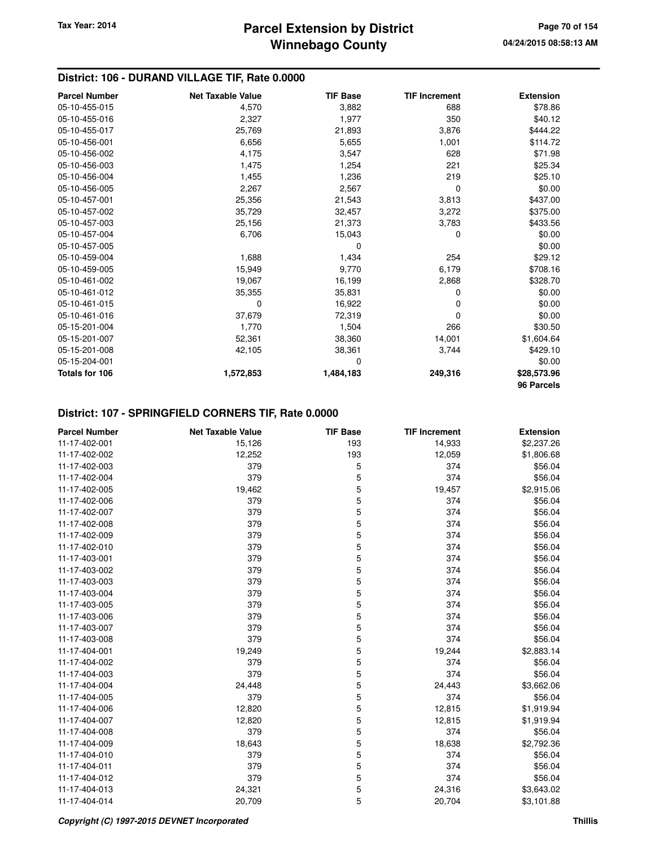### **District: 106 - DURAND VILLAGE TIF, Rate 0.0000**

| <b>Parcel Number</b>  | <b>Net Taxable Value</b> | <b>TIF Base</b> | <b>TIF Increment</b> | <b>Extension</b> |
|-----------------------|--------------------------|-----------------|----------------------|------------------|
| 05-10-455-015         | 4,570                    | 3,882           | 688                  | \$78.86          |
| 05-10-455-016         | 2,327                    | 1,977           | 350                  | \$40.12          |
| 05-10-455-017         | 25,769                   | 21,893          | 3,876                | \$444.22         |
| 05-10-456-001         | 6,656                    | 5,655           | 1,001                | \$114.72         |
| 05-10-456-002         | 4,175                    | 3,547           | 628                  | \$71.98          |
| 05-10-456-003         | 1,475                    | 1,254           | 221                  | \$25.34          |
| 05-10-456-004         | 1,455                    | 1,236           | 219                  | \$25.10          |
| 05-10-456-005         | 2,267                    | 2,567           | 0                    | \$0.00           |
| 05-10-457-001         | 25,356                   | 21,543          | 3,813                | \$437.00         |
| 05-10-457-002         | 35,729                   | 32,457          | 3,272                | \$375.00         |
| 05-10-457-003         | 25,156                   | 21,373          | 3,783                | \$433.56         |
| 05-10-457-004         | 6,706                    | 15,043          | 0                    | \$0.00           |
| 05-10-457-005         |                          | 0               |                      | \$0.00           |
| 05-10-459-004         | 1,688                    | 1,434           | 254                  | \$29.12          |
| 05-10-459-005         | 15,949                   | 9,770           | 6,179                | \$708.16         |
| 05-10-461-002         | 19,067                   | 16,199          | 2,868                | \$328.70         |
| 05-10-461-012         | 35,355                   | 35,831          | 0                    | \$0.00           |
| 05-10-461-015         | 0                        | 16,922          | 0                    | \$0.00           |
| 05-10-461-016         | 37,679                   | 72,319          | 0                    | \$0.00           |
| 05-15-201-004         | 1,770                    | 1,504           | 266                  | \$30.50          |
| 05-15-201-007         | 52,361                   | 38,360          | 14,001               | \$1,604.64       |
| 05-15-201-008         | 42,105                   | 38,361          | 3,744                | \$429.10         |
| 05-15-204-001         |                          | 0               |                      | \$0.00           |
| <b>Totals for 106</b> | 1,572,853                | 1,484,183       | 249,316              | \$28,573.96      |
|                       |                          |                 |                      | 96 Parcels       |

## **District: 107 - SPRINGFIELD CORNERS TIF, Rate 0.0000**

| <b>Parcel Number</b> | <b>Net Taxable Value</b> | <b>TIF Base</b> | <b>TIF Increment</b> | <b>Extension</b> |
|----------------------|--------------------------|-----------------|----------------------|------------------|
| 11-17-402-001        | 15,126                   | 193             | 14,933               | \$2,237.26       |
| 11-17-402-002        | 12,252                   | 193             | 12,059               | \$1,806.68       |
| 11-17-402-003        | 379                      | 5               | 374                  | \$56.04          |
| 11-17-402-004        | 379                      | 5               | 374                  | \$56.04          |
| 11-17-402-005        | 19,462                   | 5               | 19,457               | \$2,915.06       |
| 11-17-402-006        | 379                      | 5               | 374                  | \$56.04          |
| 11-17-402-007        | 379                      | 5               | 374                  | \$56.04          |
| 11-17-402-008        | 379                      | 5               | 374                  | \$56.04          |
| 11-17-402-009        | 379                      | 5               | 374                  | \$56.04          |
| 11-17-402-010        | 379                      | 5               | 374                  | \$56.04          |
| 11-17-403-001        | 379                      | 5               | 374                  | \$56.04          |
| 11-17-403-002        | 379                      | 5               | 374                  | \$56.04          |
| 11-17-403-003        | 379                      | 5               | 374                  | \$56.04          |
| 11-17-403-004        | 379                      | 5               | 374                  | \$56.04          |
| 11-17-403-005        | 379                      | 5               | 374                  | \$56.04          |
| 11-17-403-006        | 379                      | 5               | 374                  | \$56.04          |
| 11-17-403-007        | 379                      | 5               | 374                  | \$56.04          |
| 11-17-403-008        | 379                      | 5               | 374                  | \$56.04          |
| 11-17-404-001        | 19,249                   | 5               | 19,244               | \$2,883.14       |
| 11-17-404-002        | 379                      | 5               | 374                  | \$56.04          |
| 11-17-404-003        | 379                      | 5               | 374                  | \$56.04          |
| 11-17-404-004        | 24,448                   | 5               | 24,443               | \$3,662.06       |
| 11-17-404-005        | 379                      | 5               | 374                  | \$56.04          |
| 11-17-404-006        | 12,820                   | 5               | 12,815               | \$1,919.94       |
| 11-17-404-007        | 12,820                   | 5               | 12,815               | \$1,919.94       |
| 11-17-404-008        | 379                      | 5               | 374                  | \$56.04          |
| 11-17-404-009        | 18,643                   | 5               | 18,638               | \$2,792.36       |
| 11-17-404-010        | 379                      | 5               | 374                  | \$56.04          |
| 11-17-404-011        | 379                      | 5               | 374                  | \$56.04          |
| 11-17-404-012        | 379                      | 5               | 374                  | \$56.04          |
| 11-17-404-013        | 24,321                   | 5               | 24,316               | \$3,643.02       |
| 11-17-404-014        | 20,709                   | 5               | 20,704               | \$3,101.88       |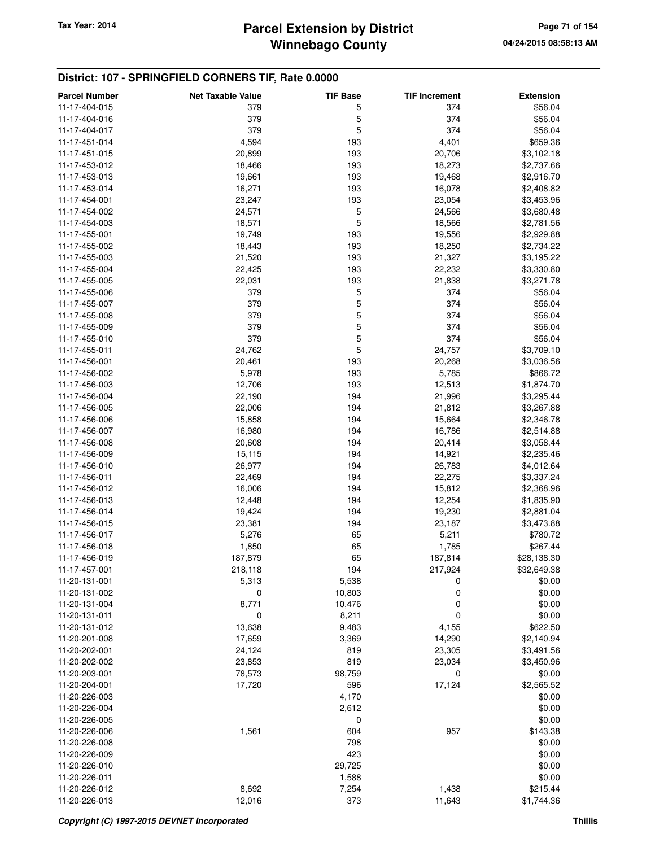### **District: 107 - SPRINGFIELD CORNERS TIF, Rate 0.0000**

| <b>Parcel Number</b> | <b>Net Taxable Value</b> | <b>TIF Base</b> | <b>TIF Increment</b> | <b>Extension</b> |
|----------------------|--------------------------|-----------------|----------------------|------------------|
| 11-17-404-015        | 379                      | 5               | 374                  | \$56.04          |
| 11-17-404-016        | 379                      | 5               | 374                  | \$56.04          |
| 11-17-404-017        | 379                      | 5               | 374                  | \$56.04          |
| 11-17-451-014        | 4,594                    | 193             | 4,401                | \$659.36         |
| 11-17-451-015        | 20,899                   | 193             | 20,706               | \$3,102.18       |
| 11-17-453-012        | 18,466                   | 193             | 18,273               | \$2,737.66       |
| 11-17-453-013        | 19,661                   | 193             | 19,468               | \$2,916.70       |
| 11-17-453-014        | 16,271                   | 193             | 16,078               | \$2,408.82       |
| 11-17-454-001        | 23,247                   | 193             | 23,054               | \$3,453.96       |
| 11-17-454-002        | 24,571                   | 5               | 24,566               | \$3,680.48       |
| 11-17-454-003        | 18,571                   | 5               | 18,566               | \$2,781.56       |
| 11-17-455-001        | 19,749                   | 193             | 19,556               | \$2,929.88       |
| 11-17-455-002        | 18,443                   | 193             | 18,250               | \$2,734.22       |
| 11-17-455-003        | 21,520                   | 193             | 21,327               | \$3,195.22       |
| 11-17-455-004        | 22,425                   | 193             | 22,232               | \$3,330.80       |
| 11-17-455-005        | 22,031                   | 193             | 21,838               | \$3,271.78       |
| 11-17-455-006        | 379                      | 5               | 374                  | \$56.04          |
| 11-17-455-007        | 379                      | 5               | 374                  | \$56.04          |
| 11-17-455-008        | 379                      | 5               | 374                  | \$56.04          |
| 11-17-455-009        | 379                      | 5               | 374                  | \$56.04          |
| 11-17-455-010        | 379                      | 5               | 374                  | \$56.04          |
| 11-17-455-011        | 24,762                   | 5               | 24,757               | \$3,709.10       |
| 11-17-456-001        | 20,461                   | 193             | 20,268               | \$3,036.56       |
| 11-17-456-002        |                          |                 |                      |                  |
| 11-17-456-003        | 5,978                    | 193             | 5,785                | \$866.72         |
| 11-17-456-004        | 12,706                   | 193<br>194      | 12,513               | \$1,874.70       |
|                      | 22,190                   |                 | 21,996               | \$3,295.44       |
| 11-17-456-005        | 22,006                   | 194<br>194      | 21,812               | \$3,267.88       |
| 11-17-456-006        | 15,858                   |                 | 15,664               | \$2,346.78       |
| 11-17-456-007        | 16,980                   | 194             | 16,786               | \$2,514.88       |
| 11-17-456-008        | 20,608                   | 194             | 20,414               | \$3,058.44       |
| 11-17-456-009        | 15,115                   | 194             | 14,921               | \$2,235.46       |
| 11-17-456-010        | 26,977                   | 194             | 26,783               | \$4,012.64       |
| 11-17-456-011        | 22,469                   | 194             | 22,275               | \$3,337.24       |
| 11-17-456-012        | 16,006                   | 194             | 15,812               | \$2,368.96       |
| 11-17-456-013        | 12,448                   | 194             | 12,254               | \$1,835.90       |
| 11-17-456-014        | 19,424                   | 194             | 19,230               | \$2,881.04       |
| 11-17-456-015        | 23,381                   | 194             | 23,187               | \$3,473.88       |
| 11-17-456-017        | 5,276                    | 65              | 5,211                | \$780.72         |
| 11-17-456-018        | 1,850                    | 65              | 1,785                | \$267.44         |
| 11-17-456-019        | 187,879                  | 65              | 187,814              | \$28,138.30      |
| 11-17-457-001        | 218,118                  | 194             | 217,924              | \$32,649.38      |
| 11-20-131-001        | 5,313                    | 5,538           | 0                    | \$0.00           |
| 11-20-131-002        | 0                        | 10,803          | 0                    | \$0.00           |
| 11-20-131-004        | 8,771                    | 10,476          | 0                    | \$0.00           |
| 11-20-131-011        | 0                        | 8,211           | 0                    | \$0.00           |
| 11-20-131-012        | 13,638                   | 9,483           | 4,155                | \$622.50         |
| 11-20-201-008        | 17,659                   | 3,369           | 14,290               | \$2,140.94       |
| 11-20-202-001        | 24,124                   | 819             | 23,305               | \$3,491.56       |
| 11-20-202-002        | 23,853                   | 819             | 23,034               | \$3,450.96       |
| 11-20-203-001        | 78,573                   | 98,759          | 0                    | \$0.00           |
| 11-20-204-001        | 17,720                   | 596             | 17,124               | \$2,565.52       |
| 11-20-226-003        |                          | 4,170           |                      | \$0.00           |
| 11-20-226-004        |                          | 2,612           |                      | \$0.00           |
| 11-20-226-005        |                          | 0               |                      | \$0.00           |
| 11-20-226-006        | 1,561                    | 604             | 957                  | \$143.38         |
| 11-20-226-008        |                          | 798             |                      | \$0.00           |
| 11-20-226-009        |                          | 423             |                      | \$0.00           |
| 11-20-226-010        |                          | 29,725          |                      | \$0.00           |
| 11-20-226-011        |                          | 1,588           |                      | \$0.00           |
| 11-20-226-012        | 8,692                    | 7,254           | 1,438                | \$215.44         |
| 11-20-226-013        | 12,016                   | 373             | 11,643               | \$1,744.36       |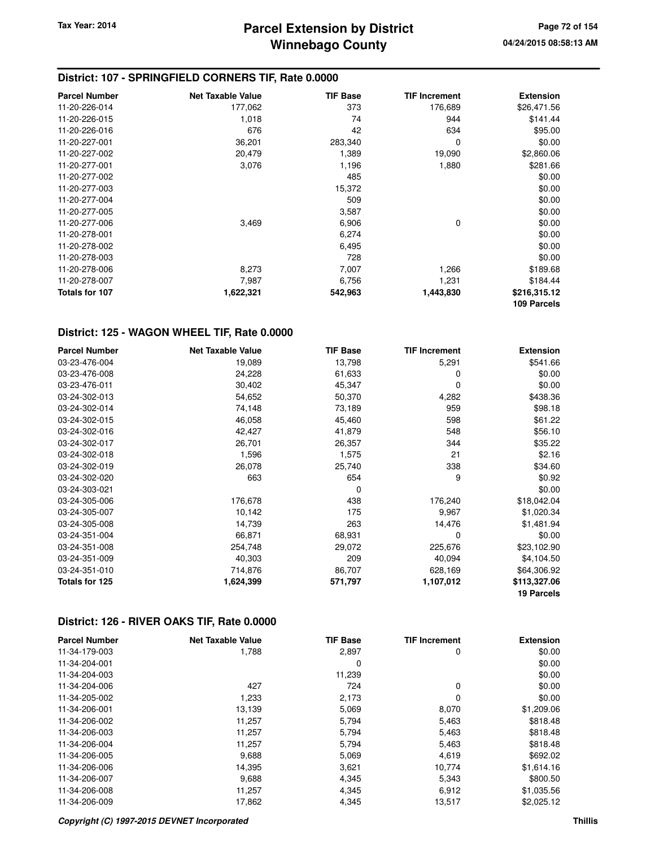### **District: 107 - SPRINGFIELD CORNERS TIF, Rate 0.0000**

| <b>Parcel Number</b>  | <b>Net Taxable Value</b> | <b>TIF Base</b> | <b>TIF Increment</b> | <b>Extension</b> |
|-----------------------|--------------------------|-----------------|----------------------|------------------|
| 11-20-226-014         | 177,062                  | 373             | 176,689              | \$26,471.56      |
| 11-20-226-015         | 1,018                    | 74              | 944                  | \$141.44         |
| 11-20-226-016         | 676                      | 42              | 634                  | \$95.00          |
| 11-20-227-001         | 36,201                   | 283,340         | 0                    | \$0.00           |
| 11-20-227-002         | 20,479                   | 1,389           | 19,090               | \$2,860.06       |
| 11-20-277-001         | 3,076                    | 1,196           | 1,880                | \$281.66         |
| 11-20-277-002         |                          | 485             |                      | \$0.00           |
| 11-20-277-003         |                          | 15,372          |                      | \$0.00           |
| 11-20-277-004         |                          | 509             |                      | \$0.00           |
| 11-20-277-005         |                          | 3,587           |                      | \$0.00           |
| 11-20-277-006         | 3,469                    | 6,906           | 0                    | \$0.00           |
| 11-20-278-001         |                          | 6,274           |                      | \$0.00           |
| 11-20-278-002         |                          | 6,495           |                      | \$0.00           |
| 11-20-278-003         |                          | 728             |                      | \$0.00           |
| 11-20-278-006         | 8,273                    | 7,007           | 1,266                | \$189.68         |
| 11-20-278-007         | 7,987                    | 6,756           | 1,231                | \$184.44         |
| <b>Totals for 107</b> | 1,622,321                | 542,963         | 1,443,830            | \$216,315.12     |
|                       |                          |                 |                      | 109 Parcels      |

#### **District: 125 - WAGON WHEEL TIF, Rate 0.0000**

| <b>Parcel Number</b> | <b>Net Taxable Value</b> | <b>TIF Base</b> | <b>TIF Increment</b> | <b>Extension</b>  |
|----------------------|--------------------------|-----------------|----------------------|-------------------|
| 03-23-476-004        | 19,089                   | 13,798          | 5,291                | \$541.66          |
| 03-23-476-008        | 24,228                   | 61,633          | 0                    | \$0.00            |
| 03-23-476-011        | 30,402                   | 45,347          | 0                    | \$0.00            |
| 03-24-302-013        | 54,652                   | 50,370          | 4,282                | \$438.36          |
| 03-24-302-014        | 74,148                   | 73,189          | 959                  | \$98.18           |
| 03-24-302-015        | 46,058                   | 45,460          | 598                  | \$61.22           |
| 03-24-302-016        | 42,427                   | 41,879          | 548                  | \$56.10           |
| 03-24-302-017        | 26,701                   | 26,357          | 344                  | \$35.22           |
| 03-24-302-018        | 1,596                    | 1,575           | 21                   | \$2.16            |
| 03-24-302-019        | 26,078                   | 25,740          | 338                  | \$34.60           |
| 03-24-302-020        | 663                      | 654             | 9                    | \$0.92            |
| 03-24-303-021        |                          | 0               |                      | \$0.00            |
| 03-24-305-006        | 176,678                  | 438             | 176,240              | \$18,042.04       |
| 03-24-305-007        | 10,142                   | 175             | 9,967                | \$1,020.34        |
| 03-24-305-008        | 14,739                   | 263             | 14,476               | \$1,481.94        |
| 03-24-351-004        | 66,871                   | 68,931          | $\Omega$             | \$0.00            |
| 03-24-351-008        | 254,748                  | 29,072          | 225,676              | \$23,102.90       |
| 03-24-351-009        | 40,303                   | 209             | 40,094               | \$4,104.50        |
| 03-24-351-010        | 714,876                  | 86,707          | 628,169              | \$64,306.92       |
| Totals for 125       | 1,624,399                | 571,797         | 1,107,012            | \$113,327.06      |
|                      |                          |                 |                      | <b>19 Parcels</b> |

#### **District: 126 - RIVER OAKS TIF, Rate 0.0000**

| <b>Parcel Number</b> | <b>Net Taxable Value</b> | <b>TIF Base</b> | <b>TIF Increment</b> | <b>Extension</b> |
|----------------------|--------------------------|-----------------|----------------------|------------------|
| 11-34-179-003        | 1,788                    | 2,897           | 0                    | \$0.00           |
| 11-34-204-001        |                          | 0               |                      | \$0.00           |
| 11-34-204-003        |                          | 11,239          |                      | \$0.00           |
| 11-34-204-006        | 427                      | 724             | 0                    | \$0.00           |
| 11-34-205-002        | 1,233                    | 2,173           | $\Omega$             | \$0.00           |
| 11-34-206-001        | 13,139                   | 5,069           | 8,070                | \$1,209.06       |
| 11-34-206-002        | 11,257                   | 5,794           | 5,463                | \$818.48         |
| 11-34-206-003        | 11,257                   | 5,794           | 5,463                | \$818.48         |
| 11-34-206-004        | 11,257                   | 5,794           | 5,463                | \$818.48         |
| 11-34-206-005        | 9,688                    | 5,069           | 4,619                | \$692.02         |
| 11-34-206-006        | 14,395                   | 3,621           | 10.774               | \$1,614.16       |
| 11-34-206-007        | 9,688                    | 4,345           | 5,343                | \$800.50         |
| 11-34-206-008        | 11,257                   | 4,345           | 6,912                | \$1,035.56       |
| 11-34-206-009        | 17,862                   | 4,345           | 13,517               | \$2,025.12       |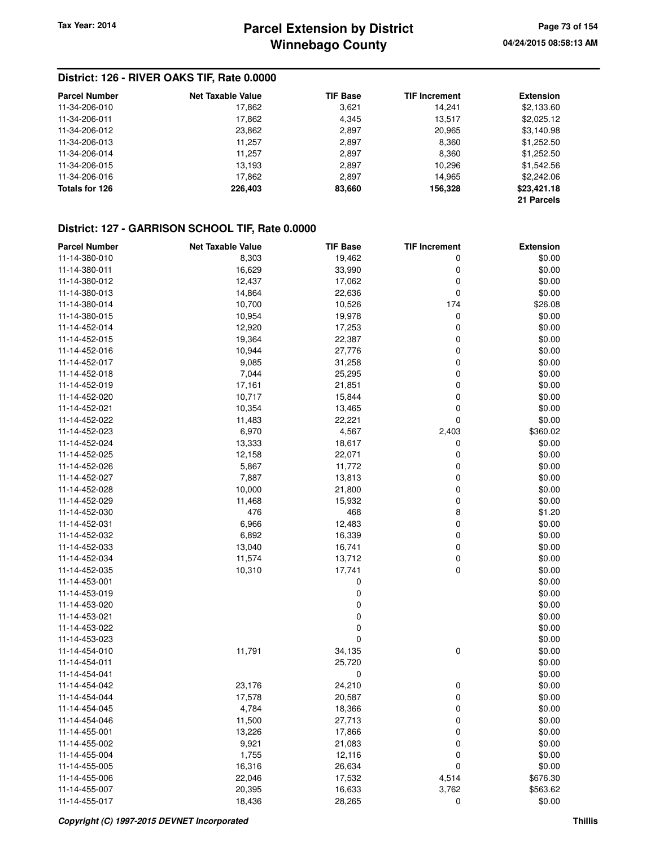## **Winnebago County Parcel Extension by District Tax Year: 2014 Page 73 of 154**

### **District: 126 - RIVER OAKS TIF, Rate 0.0000**

| <b>Parcel Number</b> | <b>Net Taxable Value</b> | <b>TIF Base</b> | <b>TIF Increment</b> | <b>Extension</b> |
|----------------------|--------------------------|-----------------|----------------------|------------------|
| 11-34-206-010        | 17,862                   | 3,621           | 14,241               | \$2,133.60       |
| 11-34-206-011        | 17,862                   | 4,345           | 13,517               | \$2,025.12       |
| 11-34-206-012        | 23,862                   | 2,897           | 20,965               | \$3,140.98       |
| 11-34-206-013        | 11,257                   | 2,897           | 8,360                | \$1,252.50       |
| 11-34-206-014        | 11.257                   | 2,897           | 8,360                | \$1,252.50       |
| 11-34-206-015        | 13,193                   | 2,897           | 10,296               | \$1,542.56       |
| 11-34-206-016        | 17,862                   | 2,897           | 14,965               | \$2,242.06       |
| Totals for 126       | 226,403                  | 83,660          | 156,328              | \$23,421.18      |
|                      |                          |                 |                      | 21 Parcels       |

### **District: 127 - GARRISON SCHOOL TIF, Rate 0.0000**

| <b>Parcel Number</b> | <b>Net Taxable Value</b> | <b>TIF Base</b> | <b>TIF Increment</b> | <b>Extension</b> |
|----------------------|--------------------------|-----------------|----------------------|------------------|
| 11-14-380-010        | 8,303                    | 19,462          | 0                    | \$0.00           |
| 11-14-380-011        | 16,629                   | 33,990          | 0                    | \$0.00           |
| 11-14-380-012        | 12,437                   | 17,062          | 0                    | \$0.00           |
| 11-14-380-013        | 14,864                   | 22,636          | 0                    | \$0.00           |
| 11-14-380-014        | 10,700                   | 10,526          | 174                  | \$26.08          |
| 11-14-380-015        | 10,954                   | 19,978          | 0                    | \$0.00           |
| 11-14-452-014        | 12,920                   | 17,253          | 0                    | \$0.00           |
| 11-14-452-015        | 19,364                   | 22,387          | 0                    | \$0.00           |
| 11-14-452-016        | 10,944                   | 27,776          | 0                    | \$0.00           |
| 11-14-452-017        | 9,085                    | 31,258          | 0                    | \$0.00           |
| 11-14-452-018        | 7,044                    | 25,295          | 0                    | \$0.00           |
| 11-14-452-019        | 17,161                   | 21,851          | 0                    | \$0.00           |
| 11-14-452-020        | 10,717                   | 15,844          | 0                    | \$0.00           |
| 11-14-452-021        | 10,354                   | 13,465          | 0                    | \$0.00           |
| 11-14-452-022        | 11,483                   | 22,221          | 0                    | \$0.00           |
| 11-14-452-023        | 6,970                    | 4,567           | 2,403                | \$360.02         |
| 11-14-452-024        | 13,333                   | 18,617          | 0                    | \$0.00           |
| 11-14-452-025        | 12,158                   | 22,071          | 0                    | \$0.00           |
| 11-14-452-026        | 5,867                    | 11,772          | 0                    | \$0.00           |
| 11-14-452-027        | 7,887                    | 13,813          | 0                    | \$0.00           |
| 11-14-452-028        | 10,000                   | 21,800          | 0                    | \$0.00           |
| 11-14-452-029        | 11,468                   | 15,932          | 0                    | \$0.00           |
| 11-14-452-030        | 476                      | 468             | 8                    | \$1.20           |
| 11-14-452-031        | 6,966                    | 12,483          | 0                    | \$0.00           |
| 11-14-452-032        | 6,892                    | 16,339          | 0                    | \$0.00           |
| 11-14-452-033        | 13,040                   | 16,741          | 0                    | \$0.00           |
| 11-14-452-034        | 11,574                   | 13,712          | 0                    | \$0.00           |
| 11-14-452-035        | 10,310                   | 17,741          | 0                    | \$0.00           |
| 11-14-453-001        |                          | 0               |                      | \$0.00           |
| 11-14-453-019        |                          | 0               |                      | \$0.00           |
| 11-14-453-020        |                          | 0               |                      | \$0.00           |
| 11-14-453-021        |                          | 0               |                      | \$0.00           |
| 11-14-453-022        |                          | 0               |                      | \$0.00           |
| 11-14-453-023        |                          | 0               |                      | \$0.00           |
| 11-14-454-010        | 11,791                   | 34,135          | 0                    | \$0.00           |
| 11-14-454-011        |                          | 25,720          |                      | \$0.00           |
| 11-14-454-041        |                          | 0               |                      | \$0.00           |
| 11-14-454-042        | 23,176                   | 24,210          | 0                    | \$0.00           |
| 11-14-454-044        | 17,578                   | 20,587          | 0                    | \$0.00           |
| 11-14-454-045        | 4,784                    | 18,366          | 0                    | \$0.00           |
| 11-14-454-046        | 11,500                   | 27,713          | $\Omega$             | \$0.00           |
| 11-14-455-001        | 13,226                   | 17,866          | 0                    | \$0.00           |
| 11-14-455-002        | 9,921                    | 21,083          | 0                    | \$0.00           |
| 11-14-455-004        | 1,755                    | 12,116          | 0                    | \$0.00           |
| 11-14-455-005        | 16,316                   | 26,634          | 0                    | \$0.00           |
| 11-14-455-006        | 22,046                   | 17,532          | 4,514                | \$676.30         |
| 11-14-455-007        | 20,395                   | 16,633          | 3,762                | \$563.62         |
| 11-14-455-017        | 18,436                   | 28,265          | 0                    | \$0.00           |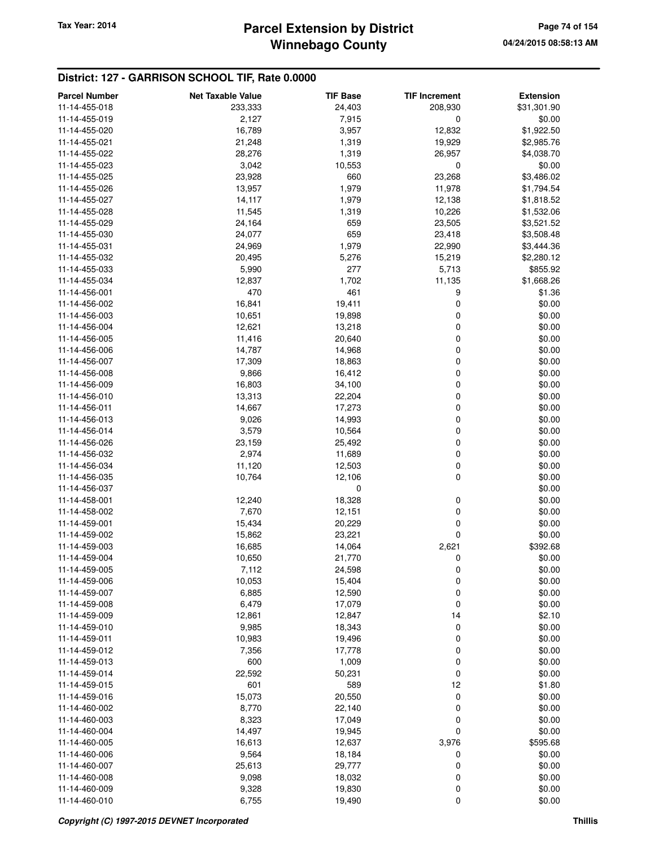## **Winnebago County** Tax Year: 2014 **Parcel Extension by District Page 74 of 154**

### **District: 127 - GARRISON SCHOOL TIF, Rate 0.0000**

| <b>Parcel Number</b> | <b>Net Taxable Value</b> | <b>TIF Base</b> | <b>TIF Increment</b> | <b>Extension</b> |
|----------------------|--------------------------|-----------------|----------------------|------------------|
| 11-14-455-018        | 233,333                  | 24,403          | 208,930              | \$31,301.90      |
| 11-14-455-019        | 2,127                    | 7,915           | $\mathbf 0$          | \$0.00           |
| 11-14-455-020        | 16,789                   | 3,957           | 12,832               | \$1,922.50       |
| 11-14-455-021        | 21,248                   | 1,319           | 19,929               | \$2,985.76       |
| 11-14-455-022        | 28,276                   | 1,319           | 26,957               | \$4,038.70       |
| 11-14-455-023        | 3,042                    | 10,553          | 0                    | \$0.00           |
| 11-14-455-025        | 23,928                   | 660             | 23,268               | \$3,486.02       |
| 11-14-455-026        | 13,957                   | 1,979           | 11,978               | \$1,794.54       |
| 11-14-455-027        | 14,117                   | 1,979           | 12,138               | \$1,818.52       |
| 11-14-455-028        | 11,545                   | 1,319           | 10,226               | \$1,532.06       |
| 11-14-455-029        | 24,164                   | 659             | 23,505               | \$3,521.52       |
| 11-14-455-030        | 24,077                   | 659             | 23,418               | \$3,508.48       |
| 11-14-455-031        | 24,969                   | 1,979           | 22,990               | \$3,444.36       |
| 11-14-455-032        | 20,495                   | 5,276           | 15,219               | \$2,280.12       |
| 11-14-455-033        | 5,990                    | 277             | 5,713                | \$855.92         |
| 11-14-455-034        | 12,837                   | 1,702           | 11,135               | \$1,668.26       |
| 11-14-456-001        | 470                      | 461             | 9                    | \$1.36           |
| 11-14-456-002        | 16,841                   | 19,411          | 0                    | \$0.00           |
| 11-14-456-003        | 10,651                   | 19,898          | 0                    | \$0.00           |
| 11-14-456-004        | 12,621                   | 13,218          | 0                    | \$0.00           |
| 11-14-456-005        | 11,416                   | 20,640          | 0                    | \$0.00           |
| 11-14-456-006        | 14,787                   | 14,968          | 0                    | \$0.00           |
| 11-14-456-007        | 17,309                   | 18,863          | 0                    | \$0.00           |
| 11-14-456-008        | 9,866                    | 16,412          | 0                    | \$0.00           |
| 11-14-456-009        | 16,803                   | 34,100          | 0                    | \$0.00           |
| 11-14-456-010        | 13,313                   | 22,204          | 0                    | \$0.00           |
| 11-14-456-011        | 14,667                   | 17,273          | 0                    | \$0.00           |
| 11-14-456-013        | 9,026                    | 14,993          | 0                    | \$0.00           |
| 11-14-456-014        | 3,579                    | 10,564          | 0                    | \$0.00           |
| 11-14-456-026        | 23,159                   | 25,492          | 0                    | \$0.00           |
| 11-14-456-032        | 2,974                    | 11,689          | 0                    | \$0.00           |
| 11-14-456-034        | 11,120                   | 12,503          | 0                    | \$0.00           |
| 11-14-456-035        | 10,764                   | 12,106          | 0                    | \$0.00           |
| 11-14-456-037        |                          | 0               |                      | \$0.00           |
| 11-14-458-001        | 12,240                   | 18,328          | 0                    | \$0.00           |
| 11-14-458-002        | 7,670                    | 12,151          | 0                    | \$0.00           |
| 11-14-459-001        | 15,434                   | 20,229          | 0                    | \$0.00           |
| 11-14-459-002        | 15,862                   | 23,221          | 0                    | \$0.00           |
| 11-14-459-003        | 16,685                   | 14,064          | 2,621                | \$392.68         |
| 11-14-459-004        | 10,650                   | 21,770          | 0                    | \$0.00           |
| 11-14-459-005        | 7,112                    | 24,598          | 0                    | \$0.00           |
| 11-14-459-006        | 10,053                   | 15,404          | 0                    | \$0.00           |
| 11-14-459-007        | 6,885                    | 12,590          | 0                    | \$0.00           |
| 11-14-459-008        | 6,479                    | 17,079          | $\mathbf 0$          | \$0.00           |
| 11-14-459-009        | 12,861                   | 12,847          | 14                   | \$2.10           |
| 11-14-459-010        | 9,985                    | 18,343          | 0                    | \$0.00           |
| 11-14-459-011        | 10,983                   | 19,496          | 0                    | \$0.00           |
| 11-14-459-012        | 7,356                    | 17,778          | 0                    | \$0.00           |
| 11-14-459-013        | 600                      | 1,009           | 0                    | \$0.00           |
| 11-14-459-014        | 22,592                   | 50,231          | 0                    | \$0.00           |
| 11-14-459-015        | 601                      | 589             | 12                   | \$1.80           |
| 11-14-459-016        | 15,073                   | 20,550          | 0                    | \$0.00           |
| 11-14-460-002        | 8,770                    | 22,140          | 0                    | \$0.00           |
| 11-14-460-003        | 8,323                    | 17,049          | 0                    | \$0.00           |
| 11-14-460-004        | 14,497                   | 19,945          | 0                    | \$0.00           |
| 11-14-460-005        | 16,613                   | 12,637          | 3,976                | \$595.68         |
| 11-14-460-006        | 9,564                    | 18,184          | 0                    | \$0.00           |
| 11-14-460-007        | 25,613                   | 29,777          | $\mathbf 0$          | \$0.00           |
| 11-14-460-008        | 9,098                    | 18,032          | 0                    | \$0.00           |
| 11-14-460-009        | 9,328                    | 19,830          | 0                    | \$0.00           |
| 11-14-460-010        | 6,755                    | 19,490          | 0                    | \$0.00           |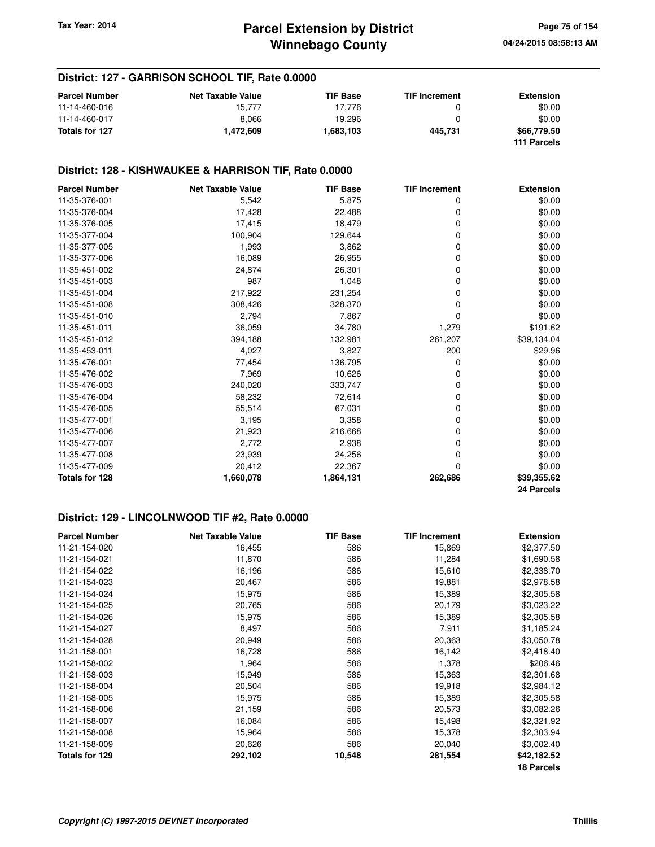### **District: 127 - GARRISON SCHOOL TIF, Rate 0.0000**

| <b>Parcel Number</b> | <b>Net Taxable Value</b> | <b>TIF Base</b> | <b>TIF Increment</b> | <b>Extension</b> |
|----------------------|--------------------------|-----------------|----------------------|------------------|
| 11-14-460-016        | 15.777                   | 17.776          |                      | \$0.00           |
| 11-14-460-017        | 8.066                    | 19.296          |                      | \$0.00           |
| Totals for 127       | 1.472.609                | 1,683,103       | 445.731              | \$66,779.50      |
|                      |                          |                 |                      | 111 Parcels      |

## **District: 128 - KISHWAUKEE & HARRISON TIF, Rate 0.0000**

| <b>Parcel Number</b>  | <b>Net Taxable Value</b> | <b>TIF Base</b> | <b>TIF Increment</b> | <b>Extension</b> |
|-----------------------|--------------------------|-----------------|----------------------|------------------|
| 11-35-376-001         | 5,542                    | 5,875           | 0                    | \$0.00           |
| 11-35-376-004         | 17,428                   | 22,488          | 0                    | \$0.00           |
| 11-35-376-005         | 17,415                   | 18,479          | 0                    | \$0.00           |
| 11-35-377-004         | 100,904                  | 129,644         | 0                    | \$0.00           |
| 11-35-377-005         | 1,993                    | 3,862           | 0                    | \$0.00           |
| 11-35-377-006         | 16,089                   | 26,955          | 0                    | \$0.00           |
| 11-35-451-002         | 24,874                   | 26,301          | 0                    | \$0.00           |
| 11-35-451-003         | 987                      | 1,048           | 0                    | \$0.00           |
| 11-35-451-004         | 217,922                  | 231,254         | 0                    | \$0.00           |
| 11-35-451-008         | 308,426                  | 328,370         | 0                    | \$0.00           |
| 11-35-451-010         | 2,794                    | 7,867           | 0                    | \$0.00           |
| 11-35-451-011         | 36,059                   | 34,780          | 1,279                | \$191.62         |
| 11-35-451-012         | 394,188                  | 132,981         | 261,207              | \$39,134.04      |
| 11-35-453-011         | 4,027                    | 3,827           | 200                  | \$29.96          |
| 11-35-476-001         | 77,454                   | 136,795         | 0                    | \$0.00           |
| 11-35-476-002         | 7,969                    | 10,626          | 0                    | \$0.00           |
| 11-35-476-003         | 240,020                  | 333,747         | 0                    | \$0.00           |
| 11-35-476-004         | 58,232                   | 72,614          | 0                    | \$0.00           |
| 11-35-476-005         | 55,514                   | 67,031          | 0                    | \$0.00           |
| 11-35-477-001         | 3,195                    | 3,358           | 0                    | \$0.00           |
| 11-35-477-006         | 21,923                   | 216,668         | 0                    | \$0.00           |
| 11-35-477-007         | 2,772                    | 2,938           | 0                    | \$0.00           |
| 11-35-477-008         | 23,939                   | 24,256          | 0                    | \$0.00           |
| 11-35-477-009         | 20,412                   | 22,367          | 0                    | \$0.00           |
| <b>Totals for 128</b> | 1,660,078                | 1,864,131       | 262,686              | \$39,355.62      |
|                       |                          |                 |                      | 24 Parcels       |

### **District: 129 - LINCOLNWOOD TIF #2, Rate 0.0000**

| <b>Parcel Number</b> | <b>Net Taxable Value</b> | <b>TIF Base</b> | <b>TIF Increment</b> | <b>Extension</b>  |
|----------------------|--------------------------|-----------------|----------------------|-------------------|
| 11-21-154-020        | 16,455                   | 586             | 15,869               | \$2,377.50        |
| 11-21-154-021        | 11,870                   | 586             | 11,284               | \$1,690.58        |
| 11-21-154-022        | 16,196                   | 586             | 15,610               | \$2,338.70        |
| 11-21-154-023        | 20,467                   | 586             | 19,881               | \$2,978.58        |
| 11-21-154-024        | 15,975                   | 586             | 15,389               | \$2,305.58        |
| 11-21-154-025        | 20,765                   | 586             | 20,179               | \$3,023.22        |
| 11-21-154-026        | 15,975                   | 586             | 15,389               | \$2,305.58        |
| 11-21-154-027        | 8,497                    | 586             | 7,911                | \$1,185.24        |
| 11-21-154-028        | 20,949                   | 586             | 20,363               | \$3,050.78        |
| 11-21-158-001        | 16,728                   | 586             | 16,142               | \$2,418.40        |
| 11-21-158-002        | 1,964                    | 586             | 1,378                | \$206.46          |
| 11-21-158-003        | 15,949                   | 586             | 15,363               | \$2,301.68        |
| 11-21-158-004        | 20,504                   | 586             | 19,918               | \$2,984.12        |
| 11-21-158-005        | 15,975                   | 586             | 15,389               | \$2,305.58        |
| 11-21-158-006        | 21,159                   | 586             | 20,573               | \$3,082.26        |
| 11-21-158-007        | 16,084                   | 586             | 15,498               | \$2,321.92        |
| 11-21-158-008        | 15,964                   | 586             | 15,378               | \$2,303.94        |
| 11-21-158-009        | 20,626                   | 586             | 20,040               | \$3,002.40        |
| Totals for 129       | 292,102                  | 10,548          | 281,554              | \$42,182.52       |
|                      |                          |                 |                      | <b>18 Parcels</b> |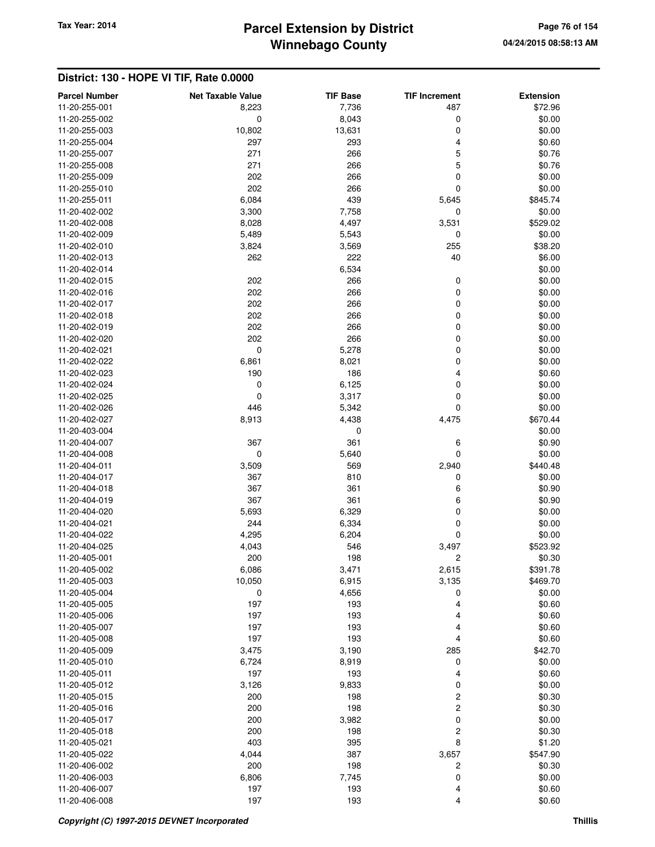# **Winnebago County** Tax Year: 2014 **Parcel Extension by District Page 76 of 154**

| <b>Parcel Number</b>           | <b>Net Taxable Value</b> | <b>TIF Base</b> | <b>TIF Increment</b>    | <b>Extension</b>   |
|--------------------------------|--------------------------|-----------------|-------------------------|--------------------|
| 11-20-255-001                  | 8,223                    | 7,736           | 487                     | \$72.96            |
| 11-20-255-002                  | 0                        | 8,043           | 0                       | \$0.00             |
| 11-20-255-003                  | 10,802                   | 13,631          | 0                       | \$0.00             |
| 11-20-255-004                  | 297                      | 293             | 4                       | \$0.60             |
| 11-20-255-007                  | 271                      | 266             | 5                       | \$0.76             |
| 11-20-255-008                  | 271                      | 266             | 5                       | \$0.76             |
| 11-20-255-009                  | 202                      | 266             | 0                       | \$0.00             |
| 11-20-255-010                  | 202                      | 266             | 0                       | \$0.00             |
| 11-20-255-011                  | 6,084                    | 439             | 5,645                   | \$845.74           |
| 11-20-402-002                  | 3,300                    | 7,758           | 0                       | \$0.00             |
| 11-20-402-008                  | 8,028                    | 4,497           | 3,531                   | \$529.02           |
| 11-20-402-009                  | 5,489                    | 5,543           | 0                       | \$0.00             |
| 11-20-402-010                  | 3,824                    | 3,569           | 255                     | \$38.20            |
| 11-20-402-013                  | 262                      | 222             | 40                      | \$6.00             |
| 11-20-402-014                  |                          | 6,534           |                         | \$0.00             |
| 11-20-402-015                  | 202                      | 266             | 0                       | \$0.00             |
| 11-20-402-016                  | 202                      | 266             | 0                       | \$0.00             |
| 11-20-402-017                  | 202                      | 266             | 0                       | \$0.00             |
| 11-20-402-018                  | 202                      | 266             | 0                       | \$0.00             |
| 11-20-402-019                  | 202                      | 266             | 0                       | \$0.00             |
| 11-20-402-020                  | 202                      | 266             | 0                       | \$0.00             |
| 11-20-402-021                  | $\mathbf 0$              | 5,278           | 0                       | \$0.00             |
| 11-20-402-022                  | 6,861                    | 8,021           | 0                       | \$0.00             |
| 11-20-402-023                  | 190                      | 186             | 4                       | \$0.60             |
| 11-20-402-024                  | 0                        | 6,125           | 0                       | \$0.00             |
| 11-20-402-025                  | $\mathbf 0$              | 3,317           | $\mathbf 0$             | \$0.00             |
| 11-20-402-026                  | 446                      | 5,342           | 0                       | \$0.00             |
| 11-20-402-027                  | 8,913                    | 4,438           | 4,475                   | \$670.44           |
| 11-20-403-004                  |                          | 0               |                         | \$0.00             |
| 11-20-404-007                  | 367                      | 361             | 6                       | \$0.90             |
| 11-20-404-008                  | $\mathbf 0$              | 5,640           | 0                       | \$0.00             |
| 11-20-404-011                  | 3,509                    | 569             | 2,940                   | \$440.48           |
| 11-20-404-017                  | 367                      | 810             | 0                       | \$0.00             |
| 11-20-404-018                  | 367                      | 361             | 6                       | \$0.90             |
| 11-20-404-019                  | 367                      | 361             | 6                       | \$0.90             |
| 11-20-404-020                  | 5,693                    | 6,329           | 0                       | \$0.00             |
| 11-20-404-021                  | 244                      | 6,334           | 0                       | \$0.00             |
| 11-20-404-022                  | 4,295                    | 6,204           | 0                       | \$0.00             |
| 11-20-404-025                  | 4,043                    | 546             | 3,497                   | \$523.92           |
| 11-20-405-001                  | 200                      | 198             | $\overline{c}$          | \$0.30             |
| 11-20-405-002                  | 6,086                    | 3,471           | 2,615                   | \$391.78           |
| 11-20-405-003<br>11-20-405-004 | 10,050                   | 6,915           | 3,135                   | \$469.70<br>\$0.00 |
| 11-20-405-005                  | 0                        | 4,656<br>193    | 0<br>4                  | \$0.60             |
| 11-20-405-006                  | 197<br>197               | 193             | 4                       | \$0.60             |
| 11-20-405-007                  | 197                      | 193             | 4                       | \$0.60             |
| 11-20-405-008                  | 197                      | 193             | 4                       | \$0.60             |
| 11-20-405-009                  | 3,475                    | 3,190           | 285                     | \$42.70            |
| 11-20-405-010                  | 6,724                    | 8,919           | 0                       | \$0.00             |
| 11-20-405-011                  | 197                      | 193             | 4                       | \$0.60             |
| 11-20-405-012                  | 3,126                    | 9,833           | 0                       | \$0.00             |
| 11-20-405-015                  | 200                      | 198             | 2                       | \$0.30             |
| 11-20-405-016                  | 200                      | 198             | $\overline{\mathbf{c}}$ | \$0.30             |
| 11-20-405-017                  | 200                      | 3,982           | 0                       | \$0.00             |
| 11-20-405-018                  | 200                      | 198             | 2                       | \$0.30             |
| 11-20-405-021                  | 403                      | 395             | 8                       | \$1.20             |
| 11-20-405-022                  | 4,044                    | 387             | 3,657                   | \$547.90           |
| 11-20-406-002                  | 200                      | 198             | 2                       | \$0.30             |
| 11-20-406-003                  | 6,806                    | 7,745           | 0                       | \$0.00             |
| 11-20-406-007                  | 197                      | 193             | 4                       | \$0.60             |
| 11-20-406-008                  | 197                      | 193             | 4                       | \$0.60             |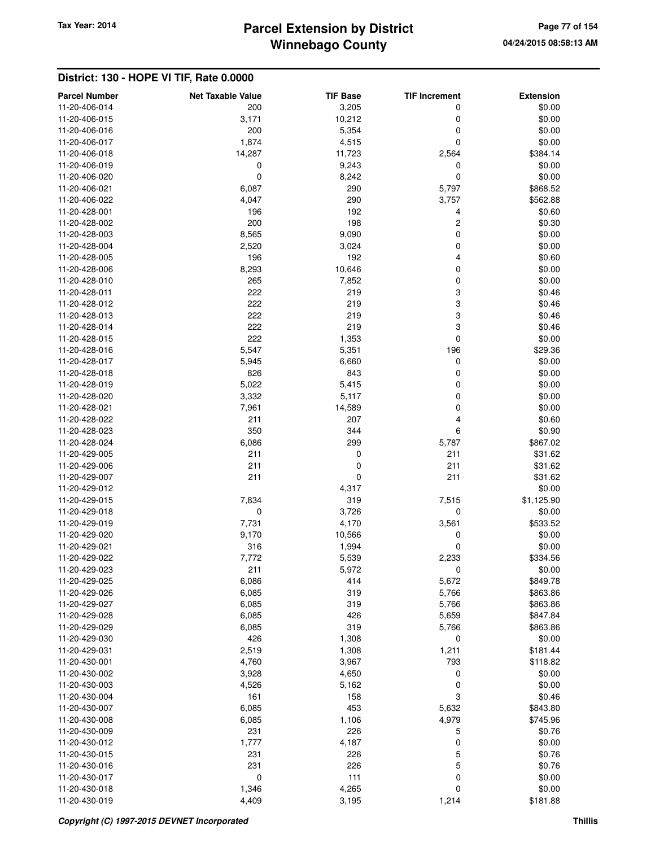# **Winnebago County** Tax Year: 2014 **Parcel Extension by District Page 77 of 154**

| <b>Parcel Number</b> | <b>Net Taxable Value</b> | <b>TIF Base</b> | <b>TIF Increment</b> | <b>Extension</b>     |
|----------------------|--------------------------|-----------------|----------------------|----------------------|
| 11-20-406-014        | 200                      | 3,205           | 0                    | \$0.00               |
| 11-20-406-015        | 3,171                    | 10,212          | 0                    | \$0.00               |
| 11-20-406-016        | 200                      | 5,354           | 0                    | \$0.00               |
| 11-20-406-017        | 1,874                    | 4,515           | 0                    | \$0.00               |
| 11-20-406-018        | 14,287                   | 11,723          | 2,564                | \$384.14             |
| 11-20-406-019        | 0                        | 9,243           | 0                    | \$0.00               |
| 11-20-406-020        | $\mathbf 0$              | 8,242           | 0                    | \$0.00               |
| 11-20-406-021        | 6,087                    | 290             | 5,797                | \$868.52             |
| 11-20-406-022        | 4,047                    | 290             | 3,757                | \$562.88             |
| 11-20-428-001        | 196                      | 192             | 4                    | \$0.60               |
| 11-20-428-002        | 200                      | 198             | $\overline{c}$       | \$0.30               |
| 11-20-428-003        | 8,565                    | 9,090           | 0                    | \$0.00               |
| 11-20-428-004        | 2,520                    | 3,024           | 0                    | \$0.00               |
| 11-20-428-005        | 196                      | 192             | 4                    | \$0.60               |
| 11-20-428-006        | 8,293                    | 10,646          | 0                    | \$0.00               |
| 11-20-428-010        | 265                      | 7,852           | 0                    | \$0.00               |
| 11-20-428-011        | 222                      | 219             | 3                    | \$0.46               |
| 11-20-428-012        | 222                      | 219             | 3                    | \$0.46               |
| 11-20-428-013        | 222                      | 219             | 3                    | \$0.46               |
| 11-20-428-014        | 222                      | 219             | 3                    | \$0.46               |
| 11-20-428-015        | 222                      | 1,353           | 0                    | \$0.00               |
| 11-20-428-016        | 5,547                    | 5,351           | 196                  | \$29.36              |
| 11-20-428-017        | 5,945                    | 6,660           | 0                    | \$0.00               |
| 11-20-428-018        | 826                      | 843             | 0                    | \$0.00               |
| 11-20-428-019        | 5,022                    | 5,415           | 0                    | \$0.00               |
| 11-20-428-020        | 3,332                    | 5,117           | 0                    | \$0.00               |
| 11-20-428-021        | 7,961                    | 14,589          | 0                    | \$0.00               |
| 11-20-428-022        | 211                      | 207             | 4                    | \$0.60               |
| 11-20-428-023        | 350                      | 344             | 6                    | \$0.90               |
| 11-20-428-024        | 6,086                    | 299             | 5,787                | \$867.02             |
| 11-20-429-005        | 211                      | 0               | 211                  | \$31.62              |
| 11-20-429-006        | 211                      | 0               | 211                  | \$31.62              |
| 11-20-429-007        | 211                      | 0               | 211                  | \$31.62              |
| 11-20-429-012        |                          | 4,317           |                      | \$0.00               |
| 11-20-429-015        | 7,834                    | 319             | 7,515                | \$1,125.90           |
| 11-20-429-018        | 0                        | 3,726           | 0                    | \$0.00               |
| 11-20-429-019        | 7,731                    | 4,170           | 3,561                | \$533.52             |
| 11-20-429-020        | 9,170                    | 10,566          | 0                    | \$0.00               |
| 11-20-429-021        | 316                      | 1,994           | 0                    | \$0.00               |
| 11-20-429-022        | 7,772                    | 5,539           | 2,233                | \$334.56             |
| 11-20-429-023        | 211                      | 5,972           | 0                    | \$0.00               |
| 11-20-429-025        | 6,086                    | 414             | 5,672                | \$849.78             |
| 11-20-429-026        | 6,085                    | 319             | 5,766                | \$863.86             |
| 11-20-429-027        | 6,085                    | 319             | 5,766                | \$863.86             |
| 11-20-429-028        | 6,085                    | 426             | 5,659                | \$847.84             |
| 11-20-429-029        | 6,085                    | 319             | 5,766                | \$863.86             |
| 11-20-429-030        | 426                      | 1,308           | 0                    | \$0.00               |
| 11-20-429-031        | 2,519                    | 1,308           | 1,211                | \$181.44             |
| 11-20-430-001        | 4,760                    | 3,967           | 793                  | \$118.82             |
| 11-20-430-002        | 3,928                    | 4,650           | 0                    | \$0.00               |
| 11-20-430-003        | 4,526                    | 5,162           | 0                    | \$0.00               |
| 11-20-430-004        | 161                      | 158             | 3                    | \$0.46               |
| 11-20-430-007        |                          |                 |                      |                      |
| 11-20-430-008        | 6,085                    | 453             | 5,632                | \$843.80<br>\$745.96 |
|                      | 6,085                    | 1,106           | 4,979                |                      |
| 11-20-430-009        | 231                      | 226             | 5                    | \$0.76               |
| 11-20-430-012        | 1,777                    | 4,187           | 0                    | \$0.00               |
| 11-20-430-015        | 231                      | 226             | 5                    | \$0.76               |
| 11-20-430-016        | 231                      | 226             | 5                    | \$0.76               |
| 11-20-430-017        | $\mathbf 0$              | 111             | 0                    | \$0.00               |
| 11-20-430-018        | 1,346                    | 4,265           | 0                    | \$0.00               |
| 11-20-430-019        | 4,409                    | 3,195           | 1,214                | \$181.88             |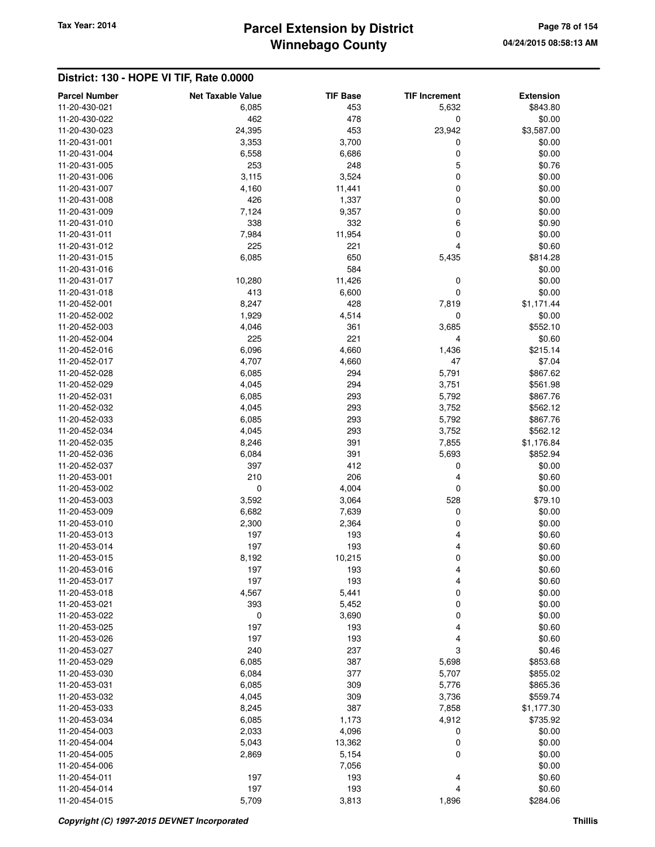# **Winnebago County** Tax Year: 2014 **Parcel Extension by District Page 78 of 154**

| <b>Parcel Number</b>           | <b>Net Taxable Value</b> | <b>TIF Base</b> | <b>TIF Increment</b> | <b>Extension</b> |
|--------------------------------|--------------------------|-----------------|----------------------|------------------|
| 11-20-430-021                  | 6,085                    | 453             | 5,632                | \$843.80         |
| 11-20-430-022                  | 462                      | 478             | 0                    | \$0.00           |
| 11-20-430-023                  | 24,395                   | 453             | 23,942               | \$3,587.00       |
| 11-20-431-001                  | 3,353                    | 3,700           | 0                    | \$0.00           |
| 11-20-431-004                  | 6,558                    | 6,686           | $\mathbf 0$          | \$0.00           |
| 11-20-431-005                  | 253                      | 248             | 5                    | \$0.76           |
| 11-20-431-006                  | 3,115                    | 3,524           | $\mathbf 0$          | \$0.00           |
| 11-20-431-007                  | 4,160                    | 11,441          | 0                    | \$0.00           |
| 11-20-431-008                  | 426                      | 1,337           | 0                    | \$0.00           |
| 11-20-431-009                  | 7,124                    | 9,357           | 0                    | \$0.00           |
| 11-20-431-010                  | 338                      | 332             | 6                    | \$0.90           |
| 11-20-431-011                  | 7,984                    | 11,954          | 0                    | \$0.00           |
| 11-20-431-012                  | 225                      | 221             | 4                    | \$0.60           |
| 11-20-431-015                  | 6,085                    | 650             | 5,435                | \$814.28         |
| 11-20-431-016                  |                          | 584             |                      | \$0.00           |
| 11-20-431-017                  | 10,280                   | 11,426          | 0                    | \$0.00           |
| 11-20-431-018                  | 413                      | 6,600           | 0                    | \$0.00           |
| 11-20-452-001                  | 8,247                    | 428             | 7,819                | \$1,171.44       |
| 11-20-452-002                  | 1,929                    | 4,514           | $\mathbf 0$          | \$0.00           |
| 11-20-452-003                  | 4,046                    | 361             | 3,685                | \$552.10         |
| 11-20-452-004                  | 225                      | 221             | 4                    | \$0.60           |
| 11-20-452-016                  | 6,096                    | 4,660           | 1,436                | \$215.14         |
| 11-20-452-017                  | 4,707                    | 4,660           | 47                   | \$7.04           |
| 11-20-452-028                  | 6,085                    | 294             | 5,791                | \$867.62         |
| 11-20-452-029                  | 4,045                    | 294             | 3,751                | \$561.98         |
| 11-20-452-031                  | 6,085                    | 293             | 5,792                | \$867.76         |
| 11-20-452-032                  | 4,045                    | 293             | 3,752                | \$562.12         |
| 11-20-452-033                  | 6,085                    | 293             | 5,792                | \$867.76         |
| 11-20-452-034                  | 4,045                    | 293             | 3,752                | \$562.12         |
| 11-20-452-035                  | 8,246                    | 391             | 7,855                | \$1,176.84       |
| 11-20-452-036                  | 6,084                    | 391             | 5,693                | \$852.94         |
| 11-20-452-037                  | 397                      | 412             | 0                    | \$0.00           |
| 11-20-453-001                  | 210                      | 206             | 4                    | \$0.60           |
| 11-20-453-002                  | 0                        | 4,004           | $\mathbf 0$          | \$0.00           |
| 11-20-453-003                  | 3,592                    | 3,064           | 528                  | \$79.10          |
| 11-20-453-009                  | 6,682                    | 7,639           | $\mathbf 0$          | \$0.00           |
| 11-20-453-010                  | 2,300                    | 2,364           | 0                    | \$0.00           |
| 11-20-453-013                  | 197                      | 193             | 4                    | \$0.60           |
| 11-20-453-014                  | 197                      | 193             | 4                    | \$0.60           |
| 11-20-453-015                  | 8,192                    | 10,215          | $\mathbf 0$          | \$0.00           |
| 11-20-453-016                  | 197                      | 193             | 4                    | \$0.60           |
| 11-20-453-017                  | 197                      | 193             | 4                    | \$0.60           |
| 11-20-453-018<br>11-20-453-021 | 4,567                    | 5,441           | 0                    | \$0.00           |
| 11-20-453-022                  | 393<br>0                 | 5,452           | 0<br>$\mathbf 0$     | \$0.00<br>\$0.00 |
| 11-20-453-025                  | 197                      | 3,690<br>193    | 4                    | \$0.60           |
| 11-20-453-026                  | 197                      | 193             |                      | \$0.60           |
| 11-20-453-027                  | 240                      | 237             | 4<br>3               | \$0.46           |
| 11-20-453-029                  | 6,085                    | 387             | 5,698                | \$853.68         |
| 11-20-453-030                  | 6,084                    | 377             | 5,707                | \$855.02         |
| 11-20-453-031                  | 6,085                    | 309             | 5,776                | \$865.36         |
| 11-20-453-032                  | 4,045                    | 309             | 3,736                | \$559.74         |
| 11-20-453-033                  | 8,245                    | 387             | 7,858                | \$1,177.30       |
| 11-20-453-034                  | 6,085                    | 1,173           | 4,912                | \$735.92         |
| 11-20-454-003                  | 2,033                    | 4,096           | 0                    | \$0.00           |
| 11-20-454-004                  | 5,043                    | 13,362          | 0                    | \$0.00           |
| 11-20-454-005                  | 2,869                    | 5,154           | 0                    | \$0.00           |
| 11-20-454-006                  |                          | 7,056           |                      | \$0.00           |
| 11-20-454-011                  | 197                      | 193             | 4                    | \$0.60           |
| 11-20-454-014                  | 197                      | 193             | 4                    | \$0.60           |
| 11-20-454-015                  | 5,709                    | 3,813           | 1,896                | \$284.06         |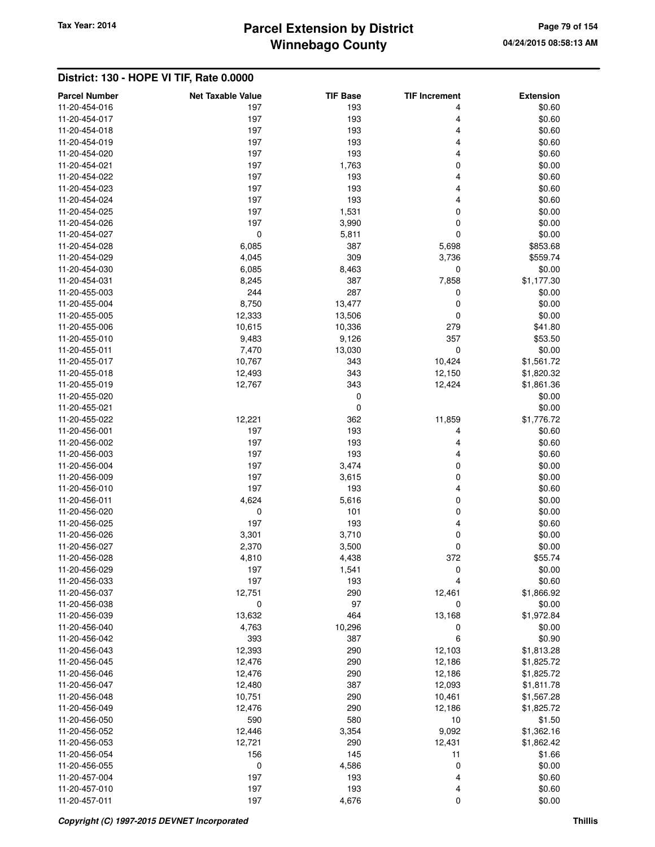# **Winnebago County** Tax Year: 2014 **Parcel Extension by District Page 79 of 154**

| <b>Parcel Number</b> | <b>Net Taxable Value</b> | <b>TIF Base</b> | <b>TIF Increment</b> | <b>Extension</b> |
|----------------------|--------------------------|-----------------|----------------------|------------------|
| 11-20-454-016        | 197                      | 193             | 4                    | \$0.60           |
| 11-20-454-017        | 197                      | 193             | 4                    | \$0.60           |
| 11-20-454-018        | 197                      | 193             | 4                    | \$0.60           |
| 11-20-454-019        | 197                      | 193             | 4                    | \$0.60           |
| 11-20-454-020        | 197                      | 193             | 4                    | \$0.60           |
| 11-20-454-021        | 197                      | 1,763           | 0                    | \$0.00           |
| 11-20-454-022        | 197                      | 193             | 4                    | \$0.60           |
| 11-20-454-023        | 197                      | 193             | 4                    | \$0.60           |
| 11-20-454-024        | 197                      | 193             | 4                    | \$0.60           |
| 11-20-454-025        | 197                      | 1,531           | 0                    | \$0.00           |
| 11-20-454-026        | 197                      | 3,990           | $\mathbf 0$          | \$0.00           |
| 11-20-454-027        | $\pmb{0}$                | 5,811           | $\mathbf 0$          | \$0.00           |
| 11-20-454-028        | 6,085                    | 387             | 5,698                | \$853.68         |
| 11-20-454-029        | 4,045                    | 309             | 3,736                | \$559.74         |
| 11-20-454-030        | 6,085                    | 8,463           | 0                    | \$0.00           |
| 11-20-454-031        | 8,245                    | 387             | 7,858                | \$1,177.30       |
| 11-20-455-003        | 244                      | 287             | 0                    | \$0.00           |
| 11-20-455-004        | 8,750                    | 13,477          | 0                    | \$0.00           |
| 11-20-455-005        | 12,333                   | 13,506          | 0                    | \$0.00           |
| 11-20-455-006        | 10,615                   | 10,336          | 279                  | \$41.80          |
| 11-20-455-010        | 9,483                    | 9,126           | 357                  | \$53.50          |
| 11-20-455-011        | 7,470                    | 13,030          | $\mathbf 0$          | \$0.00           |
| 11-20-455-017        | 10,767                   | 343             | 10,424               | \$1,561.72       |
| 11-20-455-018        | 12,493                   | 343             | 12,150               | \$1,820.32       |
| 11-20-455-019        | 12,767                   | 343             | 12,424               | \$1,861.36       |
| 11-20-455-020        |                          | 0               |                      | \$0.00           |
| 11-20-455-021        |                          | 0               |                      | \$0.00           |
| 11-20-455-022        | 12,221                   | 362             | 11,859               | \$1,776.72       |
| 11-20-456-001        | 197                      | 193             | 4                    | \$0.60           |
| 11-20-456-002        | 197                      | 193             | 4                    | \$0.60           |
| 11-20-456-003        | 197                      | 193             | 4                    | \$0.60           |
| 11-20-456-004        | 197                      | 3,474           | 0                    | \$0.00           |
| 11-20-456-009        | 197                      | 3,615           | 0                    | \$0.00           |
| 11-20-456-010        | 197                      | 193             | 4                    | \$0.60           |
| 11-20-456-011        | 4,624                    | 5,616           | 0                    | \$0.00           |
| 11-20-456-020        | 0                        | 101             | 0                    | \$0.00           |
| 11-20-456-025        | 197                      | 193             | 4                    | \$0.60           |
| 11-20-456-026        | 3,301                    | 3,710           | 0                    | \$0.00           |
| 11-20-456-027        | 2,370                    | 3,500           | 0                    | \$0.00           |
| 11-20-456-028        | 4,810                    | 4,438           | 372                  | \$55.74          |
| 11-20-456-029        | 197                      | 1,541           | $\bf{0}$             | \$0.00           |
| 11-20-456-033        | 197                      | 193             | 4                    | \$0.60           |
| 11-20-456-037        | 12,751                   | 290             | 12,461               | \$1,866.92       |
| 11-20-456-038        | 0                        | 97              | 0                    | \$0.00           |
| 11-20-456-039        | 13,632                   | 464             | 13,168               | \$1,972.84       |
| 11-20-456-040        | 4,763                    | 10,296          | 0                    | \$0.00           |
| 11-20-456-042        | 393                      | 387             | 6                    | \$0.90           |
| 11-20-456-043        | 12,393                   | 290             | 12,103               | \$1,813.28       |
| 11-20-456-045        | 12,476                   | 290             | 12,186               | \$1,825.72       |
| 11-20-456-046        | 12,476                   | 290             | 12,186               | \$1,825.72       |
| 11-20-456-047        | 12,480                   | 387             | 12,093               | \$1,811.78       |
| 11-20-456-048        | 10,751                   | 290             | 10,461               | \$1,567.28       |
| 11-20-456-049        | 12,476                   | 290             | 12,186               | \$1,825.72       |
| 11-20-456-050        | 590                      | 580             | 10                   | \$1.50           |
| 11-20-456-052        | 12,446                   | 3,354           | 9,092                | \$1,362.16       |
| 11-20-456-053        | 12,721                   | 290             | 12,431               | \$1,862.42       |
| 11-20-456-054        | 156                      | 145             | 11                   | \$1.66           |
| 11-20-456-055        | 0                        | 4,586           | 0                    | \$0.00           |
| 11-20-457-004        | 197                      | 193             | 4                    | \$0.60           |
| 11-20-457-010        | 197                      | 193             | 4                    | \$0.60           |
| 11-20-457-011        | 197                      | 4,676           | $\mathbf 0$          | \$0.00           |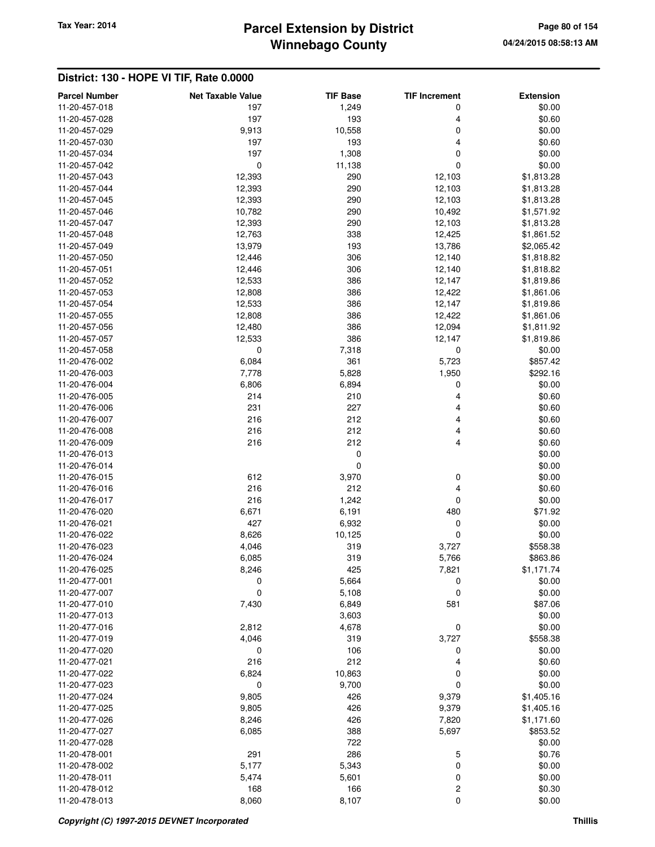# **Winnebago County** Tax Year: 2014 **Parcel Extension by District Page 80 of 154**

| <b>Parcel Number</b>           | <b>Net Taxable Value</b> | <b>TIF Base</b> | <b>TIF Increment</b> | <b>Extension</b>  |
|--------------------------------|--------------------------|-----------------|----------------------|-------------------|
| 11-20-457-018                  | 197                      | 1,249           | 0                    | \$0.00            |
| 11-20-457-028                  | 197                      | 193             | 4                    | \$0.60            |
| 11-20-457-029                  | 9,913                    | 10,558          | 0                    | \$0.00            |
| 11-20-457-030                  | 197                      | 193             | 4                    | \$0.60            |
| 11-20-457-034                  | 197                      | 1,308           | 0                    | \$0.00            |
| 11-20-457-042                  | $\pmb{0}$                | 11,138          | 0                    | \$0.00            |
| 11-20-457-043                  | 12,393                   | 290             | 12,103               | \$1,813.28        |
| 11-20-457-044                  | 12,393                   | 290             | 12,103               | \$1,813.28        |
| 11-20-457-045                  | 12,393                   | 290             | 12,103               | \$1,813.28        |
| 11-20-457-046                  | 10,782                   | 290             | 10,492               | \$1,571.92        |
| 11-20-457-047                  | 12,393                   | 290             | 12,103               | \$1,813.28        |
| 11-20-457-048                  | 12,763                   | 338             | 12,425               | \$1,861.52        |
| 11-20-457-049                  | 13,979                   | 193             | 13,786               | \$2,065.42        |
| 11-20-457-050                  | 12,446                   | 306             | 12,140               | \$1,818.82        |
| 11-20-457-051                  | 12,446                   | 306             | 12,140               | \$1,818.82        |
| 11-20-457-052                  | 12,533                   | 386             | 12,147               | \$1,819.86        |
| 11-20-457-053                  | 12,808                   | 386             | 12,422               | \$1,861.06        |
| 11-20-457-054                  | 12,533                   | 386             | 12,147               | \$1,819.86        |
| 11-20-457-055                  | 12,808                   | 386             | 12,422               | \$1,861.06        |
| 11-20-457-056                  | 12,480                   | 386             | 12,094               | \$1,811.92        |
| 11-20-457-057                  | 12,533                   | 386             | 12,147               | \$1,819.86        |
| 11-20-457-058                  | 0                        | 7,318           | 0                    | \$0.00            |
| 11-20-476-002                  | 6,084                    | 361             | 5,723                | \$857.42          |
| 11-20-476-003                  | 7,778                    | 5,828           | 1,950                | \$292.16          |
| 11-20-476-004                  | 6,806                    | 6,894           | 0                    | \$0.00            |
| 11-20-476-005                  | 214                      | 210             | 4                    | \$0.60            |
| 11-20-476-006                  | 231                      | 227             | 4                    | \$0.60            |
| 11-20-476-007                  | 216                      | 212             | 4                    | \$0.60            |
| 11-20-476-008                  | 216                      | 212             | 4                    | \$0.60            |
| 11-20-476-009                  | 216                      | 212             | 4                    | \$0.60            |
| 11-20-476-013                  |                          | 0               |                      | \$0.00            |
| 11-20-476-014                  |                          | 0               |                      | \$0.00            |
| 11-20-476-015                  | 612                      | 3,970           | 0                    | \$0.00            |
| 11-20-476-016<br>11-20-476-017 | 216<br>216               | 212             | 4<br>0               | \$0.60            |
| 11-20-476-020                  | 6,671                    | 1,242<br>6,191  | 480                  | \$0.00<br>\$71.92 |
| 11-20-476-021                  | 427                      | 6,932           | 0                    | \$0.00            |
| 11-20-476-022                  | 8,626                    | 10,125          | 0                    | \$0.00            |
| 11-20-476-023                  | 4,046                    | 319             | 3,727                | \$558.38          |
| 11-20-476-024                  | 6,085                    | 319             | 5,766                | \$863.86          |
| 11-20-476-025                  | 8,246                    | 425             | 7,821                | \$1,171.74        |
| 11-20-477-001                  | 0                        | 5,664           | 0                    | \$0.00            |
| 11-20-477-007                  | 0                        | 5,108           | 0                    | \$0.00            |
| 11-20-477-010                  | 7,430                    | 6,849           | 581                  | \$87.06           |
| 11-20-477-013                  |                          | 3,603           |                      | \$0.00            |
| 11-20-477-016                  | 2,812                    | 4,678           | 0                    | \$0.00            |
| 11-20-477-019                  | 4,046                    | 319             | 3,727                | \$558.38          |
| 11-20-477-020                  | 0                        | 106             | 0                    | \$0.00            |
| 11-20-477-021                  | 216                      | 212             | 4                    | \$0.60            |
| 11-20-477-022                  | 6,824                    | 10,863          | 0                    | \$0.00            |
| 11-20-477-023                  | $\mathbf 0$              | 9,700           | 0                    | \$0.00            |
| 11-20-477-024                  | 9,805                    | 426             | 9,379                | \$1,405.16        |
| 11-20-477-025                  | 9,805                    | 426             | 9,379                | \$1,405.16        |
| 11-20-477-026                  | 8,246                    | 426             | 7,820                | \$1,171.60        |
| 11-20-477-027                  | 6,085                    | 388             | 5,697                | \$853.52          |
| 11-20-477-028                  |                          | 722             |                      | \$0.00            |
| 11-20-478-001                  | 291                      | 286             | 5                    | \$0.76            |
| 11-20-478-002                  | 5,177                    | 5,343           | 0                    | \$0.00            |
| 11-20-478-011                  | 5,474                    | 5,601           | 0                    | \$0.00            |
| 11-20-478-012                  | 168                      | 166             | 2                    | \$0.30            |
| 11-20-478-013                  | 8,060                    | 8,107           | 0                    | \$0.00            |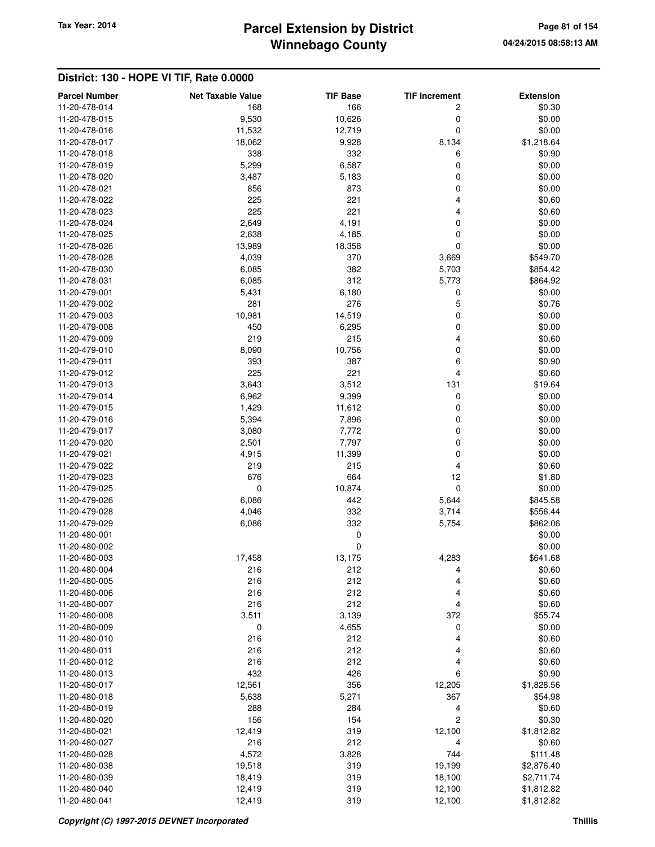# **Winnebago County** Tax Year: 2014 **Parcel Extension by District Page 81 of 154**

| <b>Parcel Number</b>           | <b>Net Taxable Value</b> | <b>TIF Base</b> | <b>TIF Increment</b> | <b>Extension</b>  |
|--------------------------------|--------------------------|-----------------|----------------------|-------------------|
| 11-20-478-014                  | 168                      | 166             | 2                    | \$0.30            |
| 11-20-478-015                  | 9,530                    | 10,626          | $\mathbf 0$          | \$0.00            |
| 11-20-478-016                  | 11,532                   | 12,719          | 0                    | \$0.00            |
| 11-20-478-017                  | 18,062                   | 9,928           | 8,134                | \$1,218.64        |
| 11-20-478-018                  | 338                      | 332             | 6                    | \$0.90            |
| 11-20-478-019                  | 5,299                    | 6,587           | 0                    | \$0.00            |
| 11-20-478-020                  | 3,487                    | 5,183           | 0                    | \$0.00            |
| 11-20-478-021                  | 856                      | 873             | 0                    | \$0.00            |
| 11-20-478-022                  | 225                      | 221             | 4                    | \$0.60            |
| 11-20-478-023                  | 225                      | 221             | 4                    | \$0.60            |
| 11-20-478-024                  | 2,649                    | 4,191           | 0                    | \$0.00            |
| 11-20-478-025                  | 2,638                    | 4,185           | 0                    | \$0.00            |
| 11-20-478-026                  | 13,989                   | 18,358          | 0                    | \$0.00            |
| 11-20-478-028                  | 4,039                    | 370             | 3,669                | \$549.70          |
| 11-20-478-030                  | 6,085                    | 382             | 5,703                | \$854.42          |
| 11-20-478-031                  | 6,085                    | 312             | 5,773                | \$864.92          |
| 11-20-479-001                  | 5,431                    | 6,180           | 0                    | \$0.00            |
| 11-20-479-002                  | 281                      | 276             | 5                    | \$0.76            |
| 11-20-479-003                  | 10,981                   | 14,519          | $\mathbf 0$          | \$0.00            |
| 11-20-479-008                  | 450                      | 6,295           | 0                    | \$0.00            |
| 11-20-479-009                  | 219                      | 215             | 4                    | \$0.60            |
| 11-20-479-010                  | 8,090                    | 10,756          | $\mathbf 0$          | \$0.00            |
| 11-20-479-011                  | 393                      | 387             | 6<br>4               | \$0.90            |
| 11-20-479-012<br>11-20-479-013 | 225                      | 221             |                      | \$0.60            |
| 11-20-479-014                  | 3,643                    | 3,512           | 131                  | \$19.64<br>\$0.00 |
| 11-20-479-015                  | 6,962                    | 9,399           | 0<br>0               | \$0.00            |
| 11-20-479-016                  | 1,429<br>5,394           | 11,612<br>7,896 | 0                    | \$0.00            |
| 11-20-479-017                  | 3,080                    | 7,772           | 0                    | \$0.00            |
| 11-20-479-020                  | 2,501                    | 7,797           | 0                    | \$0.00            |
| 11-20-479-021                  | 4,915                    | 11,399          | 0                    | \$0.00            |
| 11-20-479-022                  | 219                      | 215             | 4                    | \$0.60            |
| 11-20-479-023                  | 676                      | 664             | 12                   | \$1.80            |
| 11-20-479-025                  | 0                        | 10,874          | $\mathbf 0$          | \$0.00            |
| 11-20-479-026                  | 6,086                    | 442             | 5,644                | \$845.58          |
| 11-20-479-028                  | 4,046                    | 332             | 3,714                | \$556.44          |
| 11-20-479-029                  | 6,086                    | 332             | 5,754                | \$862.06          |
| 11-20-480-001                  |                          | 0               |                      | \$0.00            |
| 11-20-480-002                  |                          | $\mathbf 0$     |                      | \$0.00            |
| 11-20-480-003                  | 17,458                   | 13,175          | 4,283                | \$641.68          |
| 11-20-480-004                  | 216                      | 212             | 4                    | \$0.60            |
| 11-20-480-005                  | 216                      | 212             | 4                    | \$0.60            |
| 11-20-480-006                  | 216                      | 212             | 4                    | \$0.60            |
| 11-20-480-007                  | 216                      | 212             | 4                    | \$0.60            |
| 11-20-480-008                  | 3,511                    | 3,139           | 372                  | \$55.74           |
| 11-20-480-009                  | $\pmb{0}$                | 4,655           | 0                    | \$0.00            |
| 11-20-480-010                  | 216                      | 212             | 4                    | \$0.60            |
| 11-20-480-011                  | 216                      | 212             | 4                    | \$0.60            |
| 11-20-480-012                  | 216                      | 212             | 4                    | \$0.60            |
| 11-20-480-013                  | 432                      | 426             | 6                    | \$0.90            |
| 11-20-480-017                  | 12,561                   | 356             | 12,205               | \$1,828.56        |
| 11-20-480-018<br>11-20-480-019 | 5,638<br>288             | 5,271<br>284    | 367<br>4             | \$54.98<br>\$0.60 |
| 11-20-480-020                  | 156                      | 154             | $\overline{c}$       | \$0.30            |
| 11-20-480-021                  | 12,419                   | 319             | 12,100               | \$1,812.82        |
| 11-20-480-027                  | 216                      | 212             | 4                    | \$0.60            |
| 11-20-480-028                  | 4,572                    | 3,828           | 744                  | \$111.48          |
| 11-20-480-038                  | 19,518                   | 319             | 19,199               | \$2,876.40        |
| 11-20-480-039                  | 18,419                   | 319             | 18,100               | \$2,711.74        |
| 11-20-480-040                  | 12,419                   | 319             | 12,100               | \$1,812.82        |
| 11-20-480-041                  | 12,419                   | 319             | 12,100               | \$1,812.82        |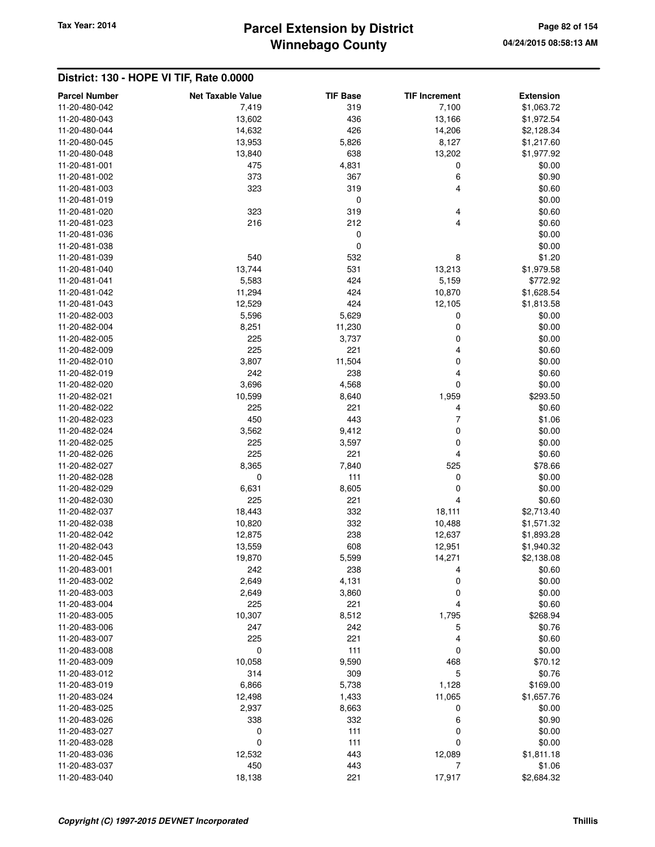## **Winnebago County Parcel Extension by District Tax Year: 2014 Page 82 of 154**

| <b>Parcel Number</b> | <b>Net Taxable Value</b> | <b>TIF Base</b> | <b>TIF Increment</b> | <b>Extension</b> |
|----------------------|--------------------------|-----------------|----------------------|------------------|
| 11-20-480-042        | 7,419                    | 319             | 7,100                | \$1,063.72       |
| 11-20-480-043        | 13,602                   | 436             | 13,166               | \$1,972.54       |
| 11-20-480-044        | 14,632                   | 426             | 14,206               | \$2,128.34       |
| 11-20-480-045        | 13,953                   | 5,826           | 8,127                | \$1,217.60       |
| 11-20-480-048        | 13,840                   | 638             | 13,202               | \$1,977.92       |
| 11-20-481-001        | 475                      | 4,831           | 0                    | \$0.00           |
| 11-20-481-002        | 373                      | 367             | 6                    | \$0.90           |
| 11-20-481-003        | 323                      | 319             | 4                    | \$0.60           |
| 11-20-481-019        |                          | 0               |                      | \$0.00           |
| 11-20-481-020        | 323                      | 319             | 4                    | \$0.60           |
| 11-20-481-023        | 216                      | 212             | 4                    | \$0.60           |
| 11-20-481-036        |                          | $\mathbf 0$     |                      | \$0.00           |
| 11-20-481-038        |                          | 0               |                      | \$0.00           |
| 11-20-481-039        | 540                      | 532             | 8                    | \$1.20           |
| 11-20-481-040        | 13,744                   | 531             | 13,213               | \$1,979.58       |
| 11-20-481-041        | 5,583                    | 424             | 5,159                | \$772.92         |
| 11-20-481-042        | 11,294                   | 424             | 10,870               | \$1,628.54       |
| 11-20-481-043        | 12,529                   | 424             | 12,105               | \$1,813.58       |
| 11-20-482-003        | 5,596                    | 5,629           | 0                    | \$0.00           |
| 11-20-482-004        | 8,251                    | 11,230          | 0                    | \$0.00           |
| 11-20-482-005        | 225                      | 3,737           | 0                    | \$0.00           |
| 11-20-482-009        | 225                      | 221             | 4                    | \$0.60           |
| 11-20-482-010        | 3,807                    | 11,504          | 0                    | \$0.00           |
| 11-20-482-019        | 242                      | 238             | 4                    | \$0.60           |
| 11-20-482-020        | 3,696                    | 4,568           | 0                    | \$0.00           |
| 11-20-482-021        | 10,599                   | 8,640           | 1,959                | \$293.50         |
| 11-20-482-022        | 225                      | 221             | 4                    | \$0.60           |
| 11-20-482-023        | 450                      | 443             | 7                    | \$1.06           |
| 11-20-482-024        | 3,562                    | 9,412           | 0                    | \$0.00           |
| 11-20-482-025        | 225                      | 3,597           | 0                    | \$0.00           |
| 11-20-482-026        | 225                      | 221             | 4                    | \$0.60           |
| 11-20-482-027        | 8,365                    | 7,840           | 525                  | \$78.66          |
| 11-20-482-028        | $\mathbf 0$              | 111             | 0                    | \$0.00           |
| 11-20-482-029        | 6,631                    | 8,605           | 0                    | \$0.00           |
| 11-20-482-030        | 225                      | 221             | 4                    | \$0.60           |
| 11-20-482-037        | 18,443                   | 332             | 18,111               | \$2,713.40       |
| 11-20-482-038        | 10,820                   | 332             | 10,488               | \$1,571.32       |
| 11-20-482-042        | 12,875                   | 238             | 12,637               | \$1,893.28       |
| 11-20-482-043        | 13,559                   | 608             | 12,951               | \$1,940.32       |
| 11-20-482-045        | 19,870                   | 5,599           | 14,271               | \$2,138.08       |
| 11-20-483-001        | 242                      | 238             | 4                    | \$0.60           |
| 11-20-483-002        | 2,649                    | 4,131           | $\mathbf 0$          | \$0.00           |
| 11-20-483-003        | 2,649                    | 3,860           | 0                    | \$0.00           |
| 11-20-483-004        | 225                      | 221             | 4                    | \$0.60           |
| 11-20-483-005        | 10,307                   | 8,512           | 1,795                | \$268.94         |
| 11-20-483-006        | 247                      | 242             | 5                    | \$0.76           |
| 11-20-483-007        | 225                      | 221             | 4                    | \$0.60           |
| 11-20-483-008        | 0                        | 111             | 0                    | \$0.00           |
| 11-20-483-009        | 10,058                   | 9,590           | 468                  | \$70.12          |
| 11-20-483-012        | 314                      | 309             | 5                    | \$0.76           |
| 11-20-483-019        | 6,866                    | 5,738           | 1,128                | \$169.00         |
| 11-20-483-024        | 12,498                   | 1,433           | 11,065               | \$1,657.76       |
| 11-20-483-025        | 2,937                    | 8,663           | 0                    | \$0.00           |
| 11-20-483-026        | 338                      | 332             | 6                    | \$0.90           |
| 11-20-483-027        | 0                        | 111             | 0                    | \$0.00           |
| 11-20-483-028        | $\pmb{0}$                | 111             | 0                    | \$0.00           |
| 11-20-483-036        | 12,532                   | 443             | 12,089               | \$1,811.18       |
| 11-20-483-037        | 450                      | 443             | 7                    | \$1.06           |
| 11-20-483-040        | 18,138                   | 221             | 17,917               | \$2,684.32       |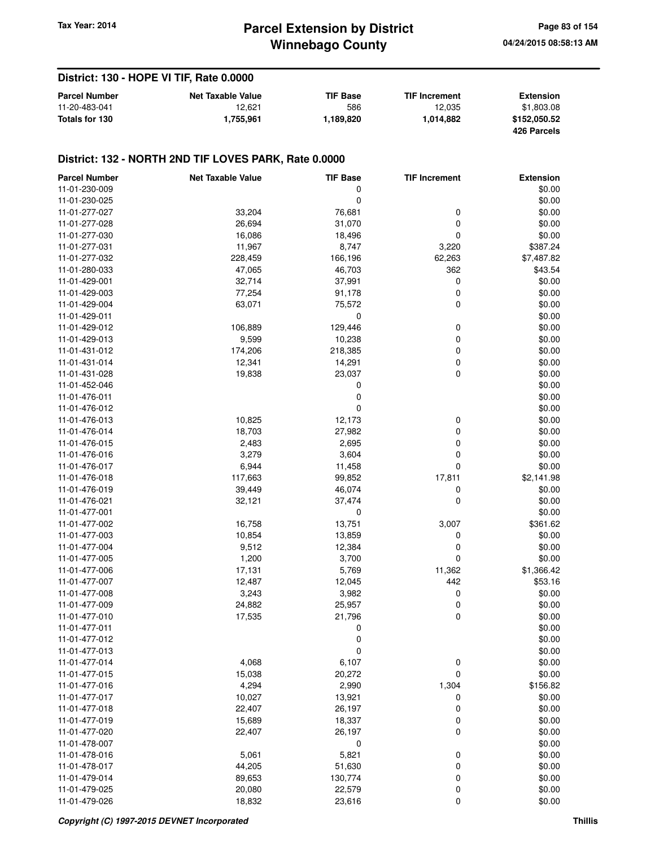## **Winnebago County Parcel Extension by District Tax Year: 2014 Page 83 of 154**

### **District: 130 - HOPE VI TIF, Rate 0.0000**

| <b>Parcel Number</b> | <b>Net Taxable Value</b> | <b>TIF Base</b> | <b>TIF Increment</b> | <b>Extension</b> |
|----------------------|--------------------------|-----------------|----------------------|------------------|
| 11-20-483-041        | 12.621                   | 586             | 12.035               | \$1.803.08       |
| Totals for 130       | 1.755.961                | 1.189.820       | 1.014.882            | \$152.050.52     |
|                      |                          |                 |                      | 426 Parcels      |

| <b>Parcel Number</b> | <b>Net Taxable Value</b> | <b>TIF Base</b> | <b>TIF Increment</b> | <b>Extension</b> |
|----------------------|--------------------------|-----------------|----------------------|------------------|
| 11-01-230-009        |                          | 0               |                      | \$0.00           |
| 11-01-230-025        |                          | 0               |                      | \$0.00           |
| 11-01-277-027        | 33,204                   | 76,681          | 0                    | \$0.00           |
| 11-01-277-028        | 26,694                   | 31,070          | 0                    | \$0.00           |
| 11-01-277-030        | 16,086                   | 18,496          | 0                    | \$0.00           |
| 11-01-277-031        | 11,967                   | 8,747           | 3,220                | \$387.24         |
| 11-01-277-032        | 228,459                  | 166,196         | 62,263               | \$7,487.82       |
| 11-01-280-033        | 47,065                   | 46,703          | 362                  | \$43.54          |
| 11-01-429-001        | 32,714                   | 37,991          | 0                    | \$0.00           |
| 11-01-429-003        | 77,254                   | 91,178          | 0                    | \$0.00           |
| 11-01-429-004        | 63,071                   | 75,572          | 0                    | \$0.00           |
| 11-01-429-011        |                          | 0               |                      | \$0.00           |
| 11-01-429-012        | 106,889                  | 129,446         | 0                    | \$0.00           |
| 11-01-429-013        | 9,599                    | 10,238          | 0                    | \$0.00           |
| 11-01-431-012        | 174,206                  | 218,385         | 0                    | \$0.00           |
| 11-01-431-014        | 12,341                   | 14,291          | 0                    | \$0.00           |
| 11-01-431-028        |                          |                 | 0                    | \$0.00           |
| 11-01-452-046        | 19,838                   | 23,037          |                      | \$0.00           |
|                      |                          | 0               |                      | \$0.00           |
| 11-01-476-011        |                          | 0               |                      |                  |
| 11-01-476-012        |                          | 0               |                      | \$0.00           |
| 11-01-476-013        | 10,825                   | 12,173          | 0                    | \$0.00           |
| 11-01-476-014        | 18,703                   | 27,982          | 0                    | \$0.00           |
| 11-01-476-015        | 2,483                    | 2,695           | 0                    | \$0.00           |
| 11-01-476-016        | 3,279                    | 3,604           | 0                    | \$0.00           |
| 11-01-476-017        | 6,944                    | 11,458          | 0                    | \$0.00           |
| 11-01-476-018        | 117,663                  | 99,852          | 17,811               | \$2,141.98       |
| 11-01-476-019        | 39,449                   | 46,074          | 0                    | \$0.00           |
| 11-01-476-021        | 32,121                   | 37,474          | 0                    | \$0.00           |
| 11-01-477-001        |                          | 0               |                      | \$0.00           |
| 11-01-477-002        | 16,758                   | 13,751          | 3,007                | \$361.62         |
| 11-01-477-003        | 10,854                   | 13,859          | 0                    | \$0.00           |
| 11-01-477-004        | 9,512                    | 12,384          | 0                    | \$0.00           |
| 11-01-477-005        | 1,200                    | 3,700           | 0                    | \$0.00           |
| 11-01-477-006        | 17,131                   | 5,769           | 11,362               | \$1,366.42       |
| 11-01-477-007        | 12,487                   | 12,045          | 442                  | \$53.16          |
| 11-01-477-008        | 3,243                    | 3,982           | 0                    | \$0.00           |
| 11-01-477-009        | 24,882                   | 25,957          | 0                    | \$0.00           |
| 11-01-477-010        | 17,535                   | 21,796          | 0                    | \$0.00           |
| 11-01-477-011        |                          | 0               |                      | \$0.00           |
| 11-01-477-012        |                          | 0               |                      | \$0.00           |
| 11-01-477-013        |                          | 0               |                      | \$0.00           |
| 11-01-477-014        | 4,068                    | 6,107           | 0                    | \$0.00           |
| 11-01-477-015        | 15,038                   | 20,272          | 0                    | \$0.00           |
| 11-01-477-016        | 4,294                    | 2,990           | 1,304                | \$156.82         |
| 11-01-477-017        | 10,027                   | 13,921          | 0                    | \$0.00           |
| 11-01-477-018        | 22,407                   | 26,197          | 0                    | \$0.00           |
| 11-01-477-019        | 15,689                   | 18,337          | 0                    | \$0.00           |
| 11-01-477-020        | 22,407                   | 26,197          | 0                    | \$0.00           |
| 11-01-478-007        |                          | 0               |                      | \$0.00           |
| 11-01-478-016        | 5,061                    | 5,821           | $\pmb{0}$            | \$0.00           |
| 11-01-478-017        | 44,205                   | 51,630          | 0                    | \$0.00           |
| 11-01-479-014        | 89,653                   | 130,774         | 0                    | \$0.00           |
| 11-01-479-025        | 20,080                   | 22,579          | 0                    | \$0.00           |
| 11-01-479-026        | 18,832                   | 23,616          | 0                    | \$0.00           |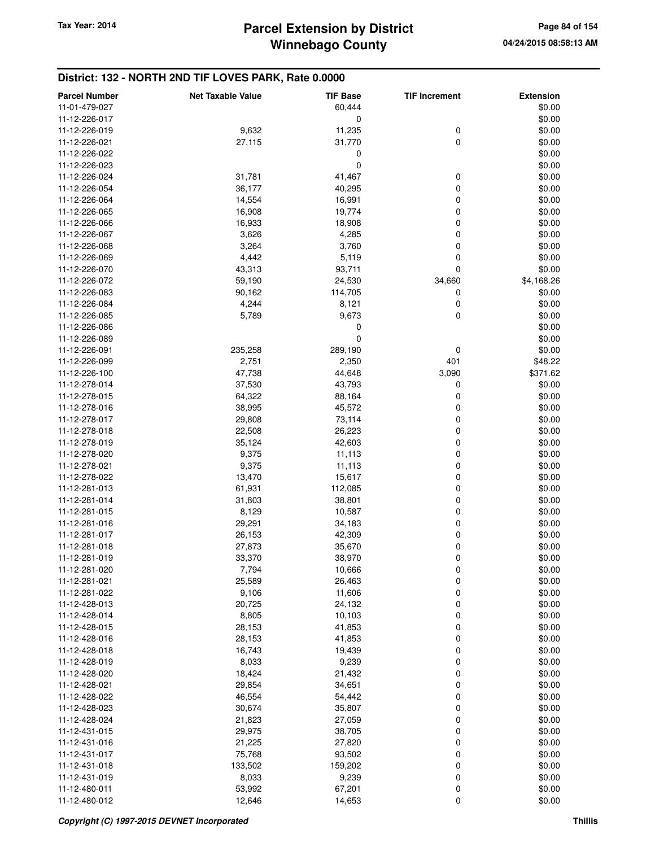| <b>Parcel Number</b>           | <b>Net Taxable Value</b> | <b>TIF Base</b>  | <b>TIF Increment</b> | <b>Extension</b> |
|--------------------------------|--------------------------|------------------|----------------------|------------------|
| 11-01-479-027                  |                          | 60,444           |                      | \$0.00           |
| 11-12-226-017                  |                          | 0                |                      | \$0.00           |
| 11-12-226-019                  | 9,632                    | 11,235           | 0                    | \$0.00           |
| 11-12-226-021                  | 27,115                   | 31,770           | $\mathbf 0$          | \$0.00           |
| 11-12-226-022                  |                          | 0                |                      | \$0.00           |
| 11-12-226-023                  |                          | 0                |                      | \$0.00           |
| 11-12-226-024                  | 31,781                   | 41,467           | 0                    | \$0.00           |
| 11-12-226-054                  | 36,177                   | 40,295           | 0                    | \$0.00           |
| 11-12-226-064                  | 14,554                   | 16,991           | 0                    | \$0.00           |
| 11-12-226-065                  | 16,908                   | 19,774           | 0                    | \$0.00           |
| 11-12-226-066                  | 16,933                   | 18,908           | 0                    | \$0.00           |
| 11-12-226-067                  | 3,626                    | 4,285            | 0                    | \$0.00           |
| 11-12-226-068                  | 3,264                    | 3,760            | 0                    | \$0.00           |
| 11-12-226-069                  | 4,442                    | 5,119            | 0                    | \$0.00           |
| 11-12-226-070                  | 43,313                   | 93,711           | 0                    | \$0.00           |
| 11-12-226-072                  | 59,190                   | 24,530           | 34,660               | \$4,168.26       |
| 11-12-226-083                  | 90,162                   | 114,705          | 0                    | \$0.00           |
| 11-12-226-084                  | 4,244                    | 8,121            | 0                    | \$0.00           |
| 11-12-226-085                  | 5,789                    | 9,673            | 0                    | \$0.00           |
| 11-12-226-086                  |                          | 0                |                      | \$0.00           |
| 11-12-226-089                  |                          | 0                |                      | \$0.00           |
| 11-12-226-091                  | 235,258                  | 289,190          | 0                    | \$0.00           |
| 11-12-226-099                  | 2,751                    | 2,350            | 401                  | \$48.22          |
| 11-12-226-100                  | 47,738                   | 44,648           | 3,090                | \$371.62         |
| 11-12-278-014                  | 37,530                   | 43,793           | 0                    | \$0.00           |
| 11-12-278-015                  | 64,322                   | 88,164           | 0                    | \$0.00           |
| 11-12-278-016                  | 38,995                   | 45,572           | 0                    | \$0.00           |
| 11-12-278-017                  | 29,808                   | 73,114           | 0                    | \$0.00           |
| 11-12-278-018                  | 22,508                   | 26,223           | 0                    | \$0.00           |
| 11-12-278-019                  | 35,124                   | 42,603           | 0                    | \$0.00           |
| 11-12-278-020                  | 9,375                    | 11,113           | 0                    | \$0.00           |
|                                |                          |                  | 0                    |                  |
| 11-12-278-021<br>11-12-278-022 | 9,375<br>13,470          | 11,113<br>15,617 | 0                    | \$0.00<br>\$0.00 |
| 11-12-281-013                  | 61,931                   |                  | 0                    | \$0.00           |
|                                |                          | 112,085          |                      |                  |
| 11-12-281-014                  | 31,803                   | 38,801           | 0                    | \$0.00           |
| 11-12-281-015                  | 8,129                    | 10,587           | 0                    | \$0.00           |
| 11-12-281-016                  | 29,291                   | 34,183           | 0                    | \$0.00           |
| 11-12-281-017                  | 26,153                   | 42,309           | 0<br>0               | \$0.00<br>\$0.00 |
| 11-12-281-018                  | 27,873                   | 35,670           |                      | \$0.00           |
| 11-12-281-019                  | 33,370                   | 38,970           | 0                    |                  |
| 11-12-281-020                  | 7,794                    | 10,666           | 0                    | \$0.00           |
| 11-12-281-021                  | 25,589                   | 26,463           | 0                    | \$0.00           |
| 11-12-281-022                  | 9,106                    | 11,606           | 0                    | \$0.00           |
| 11-12-428-013                  | 20,725                   | 24,132           | 0                    | \$0.00           |
| 11-12-428-014                  | 8,805                    | 10,103           | 0                    | \$0.00           |
| 11-12-428-015                  | 28,153                   | 41,853           | 0                    | \$0.00           |
| 11-12-428-016                  | 28,153                   | 41,853           | 0                    | \$0.00           |
| 11-12-428-018                  | 16,743                   | 19,439           | 0                    | \$0.00           |
| 11-12-428-019                  | 8,033                    | 9,239            | 0                    | \$0.00           |
| 11-12-428-020                  | 18,424                   | 21,432           | 0                    | \$0.00           |
| 11-12-428-021                  | 29,854                   | 34,651           | 0                    | \$0.00           |
| 11-12-428-022                  | 46,554                   | 54,442           | 0                    | \$0.00           |
| 11-12-428-023                  | 30,674                   | 35,807           | 0                    | \$0.00           |
| 11-12-428-024                  | 21,823                   | 27,059           | 0                    | \$0.00           |
| 11-12-431-015                  | 29,975                   | 38,705           | 0                    | \$0.00           |
| 11-12-431-016                  | 21,225                   | 27,820           | 0                    | \$0.00           |
| 11-12-431-017                  | 75,768                   | 93,502           | 0                    | \$0.00           |
| 11-12-431-018                  | 133,502                  | 159,202          | 0                    | \$0.00           |
| 11-12-431-019                  | 8,033                    | 9,239            | 0                    | \$0.00           |
| 11-12-480-011                  | 53,992                   | 67,201           | 0                    | \$0.00           |
| 11-12-480-012                  | 12,646                   | 14,653           | 0                    | \$0.00           |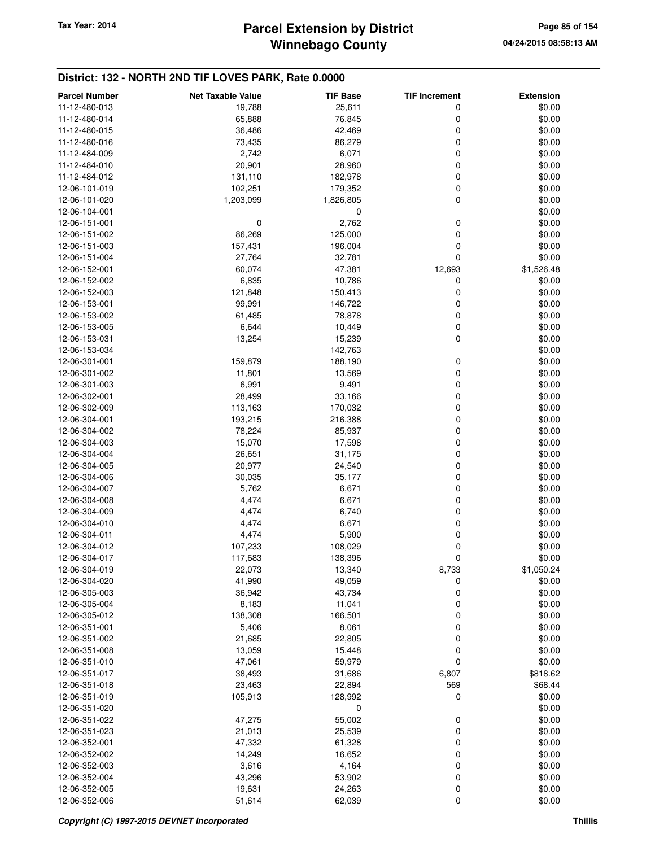## **Winnebago County Parcel Extension by District Tax Year: 2014 Page 85 of 154**

| <b>Parcel Number</b> | <b>Net Taxable Value</b> | <b>TIF Base</b> | <b>TIF Increment</b> | <b>Extension</b> |
|----------------------|--------------------------|-----------------|----------------------|------------------|
| 11-12-480-013        | 19,788                   | 25,611          | 0                    | \$0.00           |
| 11-12-480-014        | 65,888                   | 76,845          | 0                    | \$0.00           |
| 11-12-480-015        | 36,486                   | 42,469          | 0                    | \$0.00           |
| 11-12-480-016        | 73,435                   | 86,279          | 0                    | \$0.00           |
| 11-12-484-009        | 2,742                    | 6,071           | 0                    | \$0.00           |
| 11-12-484-010        | 20,901                   | 28,960          | 0                    | \$0.00           |
| 11-12-484-012        | 131,110                  | 182,978         | 0                    | \$0.00           |
| 12-06-101-019        | 102,251                  | 179,352         | 0                    | \$0.00           |
| 12-06-101-020        | 1,203,099                | 1,826,805       | 0                    | \$0.00           |
| 12-06-104-001        |                          | 0               |                      | \$0.00           |
| 12-06-151-001        | $\mathbf 0$              | 2,762           | 0                    | \$0.00           |
| 12-06-151-002        | 86,269                   | 125,000         | 0                    | \$0.00           |
| 12-06-151-003        | 157,431                  | 196,004         | 0                    | \$0.00           |
| 12-06-151-004        | 27,764                   | 32,781          | 0                    | \$0.00           |
| 12-06-152-001        | 60,074                   | 47,381          | 12,693               | \$1,526.48       |
| 12-06-152-002        | 6,835                    | 10,786          | 0                    | \$0.00           |
| 12-06-152-003        | 121,848                  | 150,413         | 0                    | \$0.00           |
| 12-06-153-001        | 99,991                   | 146,722         | 0                    | \$0.00           |
| 12-06-153-002        | 61,485                   | 78,878          | 0                    | \$0.00           |
| 12-06-153-005        | 6,644                    | 10,449          | 0                    | \$0.00           |
| 12-06-153-031        | 13,254                   | 15,239          | 0                    | \$0.00           |
| 12-06-153-034        |                          | 142,763         |                      | \$0.00           |
| 12-06-301-001        | 159,879                  | 188,190         | 0                    | \$0.00           |
| 12-06-301-002        | 11,801                   | 13,569          | 0                    | \$0.00           |
| 12-06-301-003        | 6,991                    | 9,491           | 0                    | \$0.00           |
| 12-06-302-001        | 28,499                   | 33,166          | 0                    | \$0.00           |
| 12-06-302-009        | 113,163                  | 170,032         | 0                    | \$0.00           |
| 12-06-304-001        | 193,215                  | 216,388         | 0                    | \$0.00           |
| 12-06-304-002        | 78,224                   | 85,937          | 0                    | \$0.00           |
| 12-06-304-003        | 15,070                   | 17,598          | 0                    | \$0.00           |
| 12-06-304-004        | 26,651                   | 31,175          | 0                    | \$0.00           |
| 12-06-304-005        | 20,977                   | 24,540          | 0                    | \$0.00           |
| 12-06-304-006        | 30,035                   | 35,177          | 0                    | \$0.00           |
| 12-06-304-007        | 5,762                    | 6,671           | 0                    | \$0.00           |
| 12-06-304-008        | 4,474                    | 6,671           | 0                    | \$0.00           |
| 12-06-304-009        | 4,474                    | 6,740           | 0                    | \$0.00           |
| 12-06-304-010        | 4,474                    | 6,671           | 0                    | \$0.00           |
| 12-06-304-011        | 4,474                    | 5,900           | 0                    | \$0.00           |
| 12-06-304-012        | 107,233                  | 108,029         | 0                    | \$0.00           |
| 12-06-304-017        | 117,683                  | 138,396         | 0                    | \$0.00           |
| 12-06-304-019        | 22,073                   | 13,340          | 8,733                | \$1,050.24       |
| 12-06-304-020        | 41,990                   | 49,059          | 0                    | \$0.00           |
| 12-06-305-003        | 36,942                   | 43,734          | 0                    | \$0.00           |
| 12-06-305-004        | 8,183                    | 11,041          | 0                    | \$0.00           |
| 12-06-305-012        | 138,308                  | 166,501         | 0                    | \$0.00           |
| 12-06-351-001        | 5,406                    | 8,061           | 0                    | \$0.00           |
| 12-06-351-002        | 21,685                   | 22,805          | 0                    | \$0.00           |
| 12-06-351-008        | 13,059                   | 15,448          | 0                    | \$0.00           |
| 12-06-351-010        | 47,061                   | 59,979          | 0                    | \$0.00           |
| 12-06-351-017        | 38,493                   | 31,686          | 6,807                | \$818.62         |
| 12-06-351-018        | 23,463                   | 22,894          | 569                  | \$68.44          |
| 12-06-351-019        | 105,913                  | 128,992         | 0                    | \$0.00           |
| 12-06-351-020        |                          | 0               |                      | \$0.00           |
| 12-06-351-022        | 47,275                   | 55,002          | 0                    | \$0.00           |
| 12-06-351-023        | 21,013                   | 25,539          | 0                    | \$0.00           |
| 12-06-352-001        | 47,332                   | 61,328          | 0                    | \$0.00           |
| 12-06-352-002        | 14,249                   | 16,652          | 0                    | \$0.00           |
| 12-06-352-003        | 3,616                    | 4,164           | 0                    | \$0.00           |
| 12-06-352-004        | 43,296                   | 53,902          | 0                    | \$0.00           |
| 12-06-352-005        | 19,631                   | 24,263          | 0                    | \$0.00           |
| 12-06-352-006        | 51,614                   | 62,039          | 0                    | \$0.00           |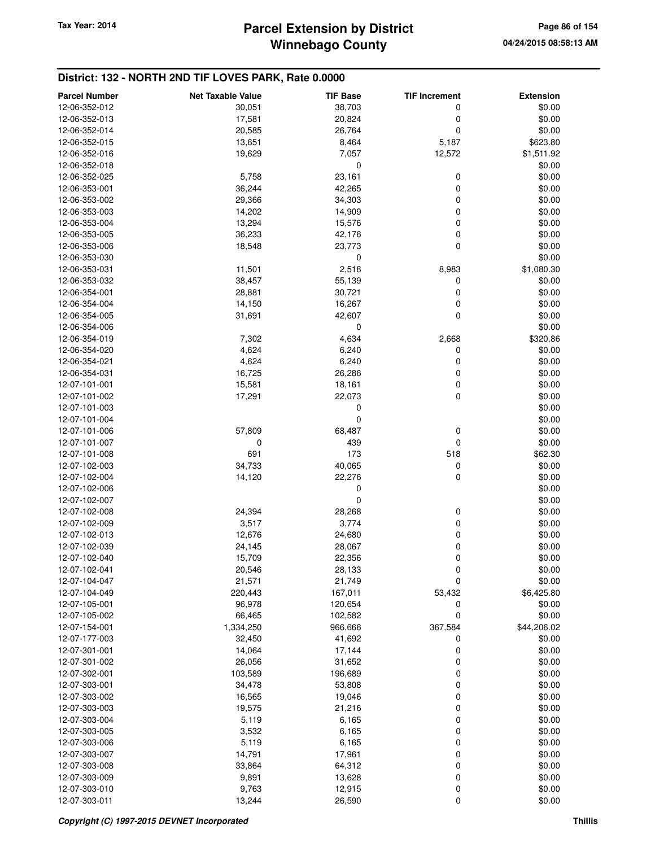## **Winnebago County Parcel Extension by District Tax Year: 2014 Page 86 of 154**

| <b>Parcel Number</b> | <b>Net Taxable Value</b> | <b>TIF Base</b> | <b>TIF Increment</b> | <b>Extension</b> |
|----------------------|--------------------------|-----------------|----------------------|------------------|
| 12-06-352-012        | 30,051                   | 38,703          | 0                    | \$0.00           |
| 12-06-352-013        | 17,581                   | 20,824          | 0                    | \$0.00           |
| 12-06-352-014        | 20,585                   | 26,764          | 0                    | \$0.00           |
| 12-06-352-015        | 13,651                   | 8,464           | 5,187                | \$623.80         |
| 12-06-352-016        | 19,629                   | 7,057           | 12,572               | \$1,511.92       |
| 12-06-352-018        |                          | 0               |                      | \$0.00           |
| 12-06-352-025        | 5,758                    | 23,161          | 0                    | \$0.00           |
| 12-06-353-001        | 36,244                   | 42,265          | 0                    | \$0.00           |
| 12-06-353-002        | 29,366                   | 34,303          | 0                    | \$0.00           |
| 12-06-353-003        | 14,202                   | 14,909          | 0                    | \$0.00           |
| 12-06-353-004        | 13,294                   | 15,576          | 0                    | \$0.00           |
| 12-06-353-005        | 36,233                   | 42,176          | 0                    | \$0.00           |
| 12-06-353-006        | 18,548                   | 23,773          | 0                    | \$0.00           |
| 12-06-353-030        |                          | 0               |                      | \$0.00           |
| 12-06-353-031        | 11,501                   | 2,518           | 8,983                | \$1,080.30       |
| 12-06-353-032        | 38,457                   | 55,139          | 0                    | \$0.00           |
| 12-06-354-001        | 28,881                   | 30,721          | 0                    | \$0.00           |
| 12-06-354-004        | 14,150                   | 16,267          | 0                    | \$0.00           |
| 12-06-354-005        | 31,691                   | 42,607          | 0                    | \$0.00           |
| 12-06-354-006        |                          | 0               |                      | \$0.00           |
| 12-06-354-019        | 7,302                    | 4,634           | 2,668                | \$320.86         |
| 12-06-354-020        | 4,624                    | 6,240           | 0                    | \$0.00           |
| 12-06-354-021        | 4,624                    | 6,240           | 0                    | \$0.00           |
| 12-06-354-031        | 16,725                   | 26,286          | 0                    | \$0.00           |
| 12-07-101-001        | 15,581                   | 18,161          | 0                    | \$0.00           |
| 12-07-101-002        | 17,291                   | 22,073          | 0                    | \$0.00           |
| 12-07-101-003        |                          | 0               |                      | \$0.00           |
| 12-07-101-004        |                          | 0               |                      | \$0.00           |
| 12-07-101-006        | 57,809                   | 68,487          | 0                    | \$0.00           |
| 12-07-101-007        | 0                        | 439             | 0                    | \$0.00           |
| 12-07-101-008        | 691                      | 173             | 518                  | \$62.30          |
| 12-07-102-003        | 34,733                   | 40,065          | 0                    | \$0.00           |
| 12-07-102-004        | 14,120                   | 22,276          | 0                    | \$0.00           |
| 12-07-102-006        |                          | 0               |                      | \$0.00           |
| 12-07-102-007        |                          | 0               |                      | \$0.00           |
| 12-07-102-008        | 24,394                   | 28,268          | 0                    | \$0.00           |
| 12-07-102-009        | 3,517                    | 3,774           | 0                    | \$0.00           |
| 12-07-102-013        | 12,676                   | 24,680          | 0                    | \$0.00           |
| 12-07-102-039        | 24,145                   | 28,067          | 0                    | \$0.00           |
| 12-07-102-040        | 15,709                   | 22,356          | 0                    | \$0.00           |
| 12-07-102-041        | 20,546                   | 28,133          | U                    | \$0.00           |
| 12-07-104-047        | 21,571                   | 21,749          | 0                    | \$0.00           |
| 12-07-104-049        | 220,443                  | 167,011         | 53,432               | \$6,425.80       |
| 12-07-105-001        | 96,978                   | 120,654         | 0                    | \$0.00           |
| 12-07-105-002        | 66,465                   | 102,582         | 0                    | \$0.00           |
| 12-07-154-001        | 1,334,250                | 966,666         | 367,584              | \$44,206.02      |
| 12-07-177-003        | 32,450                   | 41,692          | 0                    | \$0.00           |
| 12-07-301-001        | 14,064                   | 17,144          | 0                    | \$0.00           |
| 12-07-301-002        | 26,056                   | 31,652          | 0                    | \$0.00           |
| 12-07-302-001        | 103,589                  | 196,689         | 0                    | \$0.00           |
| 12-07-303-001        | 34,478                   | 53,808          | 0                    | \$0.00           |
| 12-07-303-002        | 16,565                   | 19,046          | 0                    | \$0.00           |
| 12-07-303-003        | 19,575                   | 21,216          | 0                    | \$0.00           |
| 12-07-303-004        | 5,119                    | 6,165           | 0                    | \$0.00           |
| 12-07-303-005        | 3,532                    | 6,165           | 0                    | \$0.00           |
| 12-07-303-006        | 5,119                    | 6,165           | 0                    | \$0.00           |
| 12-07-303-007        | 14,791                   | 17,961          | 0                    | \$0.00           |
| 12-07-303-008        | 33,864                   | 64,312          | 0                    | \$0.00           |
| 12-07-303-009        | 9,891                    | 13,628          | $\mathbf 0$          | \$0.00           |
| 12-07-303-010        | 9,763                    | 12,915          | 0                    | \$0.00           |
| 12-07-303-011        | 13,244                   | 26,590          | 0                    | \$0.00           |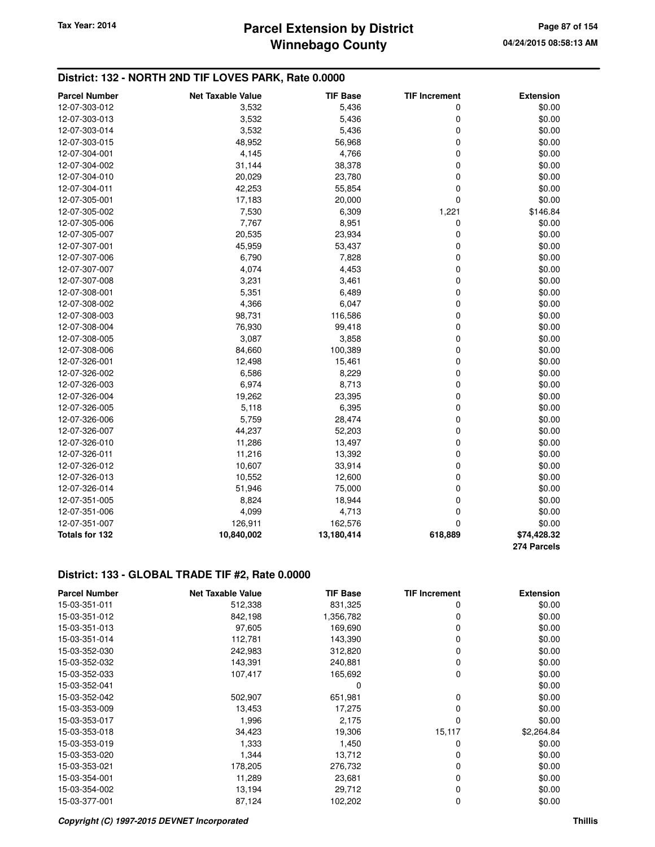### **District: 132 - NORTH 2ND TIF LOVES PARK, Rate 0.0000**

| <b>Parcel Number</b> | <b>Net Taxable Value</b> | <b>TIF Base</b> | <b>TIF Increment</b> | <b>Extension</b> |
|----------------------|--------------------------|-----------------|----------------------|------------------|
| 12-07-303-012        | 3,532                    | 5,436           | 0                    | \$0.00           |
| 12-07-303-013        | 3,532                    | 5,436           | 0                    | \$0.00           |
| 12-07-303-014        | 3,532                    | 5,436           | 0                    | \$0.00           |
| 12-07-303-015        | 48,952                   | 56,968          | 0                    | \$0.00           |
| 12-07-304-001        | 4,145                    | 4,766           | 0                    | \$0.00           |
| 12-07-304-002        | 31,144                   | 38,378          | 0                    | \$0.00           |
| 12-07-304-010        | 20,029                   | 23,780          | 0                    | \$0.00           |
| 12-07-304-011        | 42,253                   | 55,854          | 0                    | \$0.00           |
| 12-07-305-001        | 17,183                   | 20,000          | 0                    | \$0.00           |
| 12-07-305-002        | 7,530                    | 6,309           | 1,221                | \$146.84         |
| 12-07-305-006        | 7,767                    | 8,951           | 0                    | \$0.00           |
| 12-07-305-007        | 20,535                   | 23,934          | 0                    | \$0.00           |
| 12-07-307-001        | 45,959                   | 53,437          | 0                    | \$0.00           |
| 12-07-307-006        | 6,790                    | 7,828           | 0                    | \$0.00           |
| 12-07-307-007        | 4,074                    | 4,453           | 0                    | \$0.00           |
| 12-07-307-008        | 3,231                    | 3,461           | 0                    | \$0.00           |
| 12-07-308-001        | 5,351                    | 6,489           | 0                    | \$0.00           |
| 12-07-308-002        | 4,366                    | 6,047           | 0                    | \$0.00           |
| 12-07-308-003        | 98,731                   | 116,586         | 0                    | \$0.00           |
| 12-07-308-004        | 76,930                   | 99,418          | 0                    | \$0.00           |
| 12-07-308-005        | 3,087                    | 3,858           | 0                    | \$0.00           |
| 12-07-308-006        | 84,660                   | 100,389         | 0                    | \$0.00           |
| 12-07-326-001        | 12,498                   | 15,461          | 0                    | \$0.00           |
| 12-07-326-002        | 6,586                    | 8,229           | 0                    | \$0.00           |
| 12-07-326-003        | 6,974                    | 8,713           | 0                    | \$0.00           |
| 12-07-326-004        | 19,262                   | 23,395          | 0                    | \$0.00           |
| 12-07-326-005        | 5,118                    | 6,395           | 0                    | \$0.00           |
| 12-07-326-006        | 5,759                    | 28,474          | 0                    | \$0.00           |
| 12-07-326-007        | 44,237                   | 52,203          | 0                    | \$0.00           |
| 12-07-326-010        | 11,286                   | 13,497          | 0                    | \$0.00           |
| 12-07-326-011        | 11,216                   | 13,392          | 0                    | \$0.00           |
| 12-07-326-012        | 10,607                   | 33,914          | 0                    | \$0.00           |
| 12-07-326-013        | 10,552                   | 12,600          | 0                    | \$0.00           |
| 12-07-326-014        | 51,946                   | 75,000          | 0                    | \$0.00           |
| 12-07-351-005        | 8,824                    | 18,944          | 0                    | \$0.00           |
| 12-07-351-006        | 4,099                    | 4,713           | 0                    | \$0.00           |
| 12-07-351-007        | 126,911                  | 162,576         | 0                    | \$0.00           |
| Totals for 132       | 10,840,002               | 13,180,414      | 618,889              | \$74,428.32      |
|                      |                          |                 |                      | 274 Parcels      |

### **District: 133 - GLOBAL TRADE TIF #2, Rate 0.0000**

| <b>Parcel Number</b> | <b>Net Taxable Value</b> | <b>TIF Base</b> | <b>TIF Increment</b> | <b>Extension</b> |
|----------------------|--------------------------|-----------------|----------------------|------------------|
| 15-03-351-011        | 512,338                  | 831,325         | 0                    | \$0.00           |
| 15-03-351-012        | 842,198                  | 1,356,782       | 0                    | \$0.00           |
| 15-03-351-013        | 97,605                   | 169,690         | 0                    | \$0.00           |
| 15-03-351-014        | 112,781                  | 143,390         | 0                    | \$0.00           |
| 15-03-352-030        | 242,983                  | 312,820         | 0                    | \$0.00           |
| 15-03-352-032        | 143,391                  | 240,881         | 0                    | \$0.00           |
| 15-03-352-033        | 107,417                  | 165,692         | 0                    | \$0.00           |
| 15-03-352-041        |                          | 0               |                      | \$0.00           |
| 15-03-352-042        | 502,907                  | 651,981         | 0                    | \$0.00           |
| 15-03-353-009        | 13,453                   | 17,275          | 0                    | \$0.00           |
| 15-03-353-017        | 1,996                    | 2,175           | 0                    | \$0.00           |
| 15-03-353-018        | 34,423                   | 19,306          | 15,117               | \$2,264.84       |
| 15-03-353-019        | 1,333                    | 1,450           | 0                    | \$0.00           |
| 15-03-353-020        | 1,344                    | 13,712          | 0                    | \$0.00           |
| 15-03-353-021        | 178,205                  | 276,732         | 0                    | \$0.00           |
| 15-03-354-001        | 11,289                   | 23,681          | 0                    | \$0.00           |
| 15-03-354-002        | 13,194                   | 29,712          | 0                    | \$0.00           |
| 15-03-377-001        | 87,124                   | 102,202         | 0                    | \$0.00           |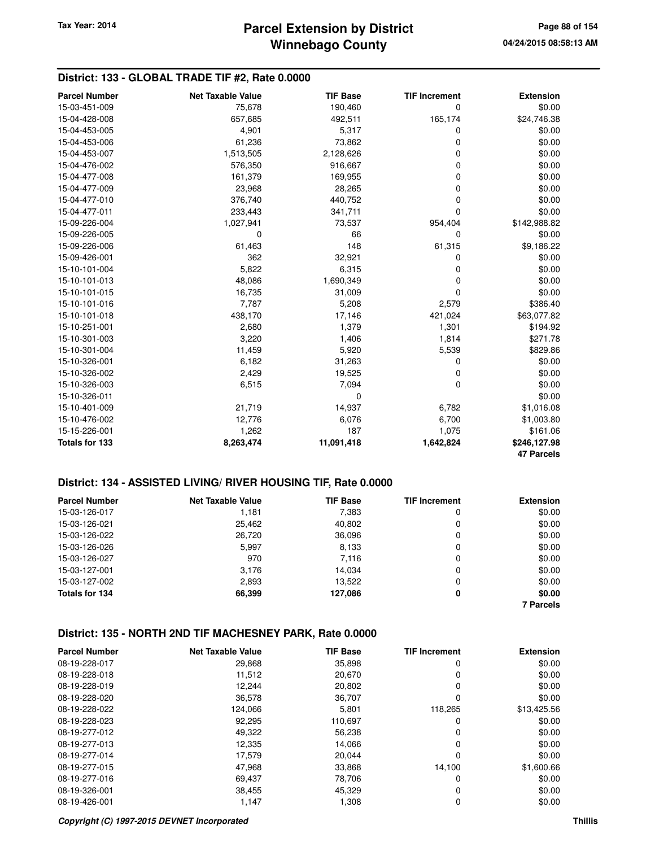### **District: 133 - GLOBAL TRADE TIF #2, Rate 0.0000**

| <b>Parcel Number</b>  | <b>Net Taxable Value</b> | <b>TIF Base</b> | <b>TIF Increment</b> | <b>Extension</b>  |
|-----------------------|--------------------------|-----------------|----------------------|-------------------|
| 15-03-451-009         | 75,678                   | 190,460         | 0                    | \$0.00            |
| 15-04-428-008         | 657,685                  | 492,511         | 165,174              | \$24,746.38       |
| 15-04-453-005         | 4,901                    | 5,317           | 0                    | \$0.00            |
| 15-04-453-006         | 61,236                   | 73,862          | 0                    | \$0.00            |
| 15-04-453-007         | 1,513,505                | 2,128,626       | 0                    | \$0.00            |
| 15-04-476-002         | 576,350                  | 916,667         | 0                    | \$0.00            |
| 15-04-477-008         | 161,379                  | 169,955         | 0                    | \$0.00            |
| 15-04-477-009         | 23,968                   | 28,265          | 0                    | \$0.00            |
| 15-04-477-010         | 376,740                  | 440,752         | 0                    | \$0.00            |
| 15-04-477-011         | 233,443                  | 341,711         | 0                    | \$0.00            |
| 15-09-226-004         | 1,027,941                | 73,537          | 954,404              | \$142,988.82      |
| 15-09-226-005         | 0                        | 66              | 0                    | \$0.00            |
| 15-09-226-006         | 61,463                   | 148             | 61,315               | \$9,186.22        |
| 15-09-426-001         | 362                      | 32,921          | 0                    | \$0.00            |
| 15-10-101-004         | 5,822                    | 6,315           | 0                    | \$0.00            |
| 15-10-101-013         | 48,086                   | 1,690,349       | 0                    | \$0.00            |
| 15-10-101-015         | 16,735                   | 31,009          | 0                    | \$0.00            |
| 15-10-101-016         | 7,787                    | 5,208           | 2,579                | \$386.40          |
| 15-10-101-018         | 438,170                  | 17,146          | 421,024              | \$63,077.82       |
| 15-10-251-001         | 2,680                    | 1,379           | 1,301                | \$194.92          |
| 15-10-301-003         | 3,220                    | 1,406           | 1,814                | \$271.78          |
| 15-10-301-004         | 11,459                   | 5,920           | 5,539                | \$829.86          |
| 15-10-326-001         | 6,182                    | 31,263          | 0                    | \$0.00            |
| 15-10-326-002         | 2,429                    | 19,525          | 0                    | \$0.00            |
| 15-10-326-003         | 6,515                    | 7,094           | 0                    | \$0.00            |
| 15-10-326-011         |                          | 0               |                      | \$0.00            |
| 15-10-401-009         | 21,719                   | 14,937          | 6,782                | \$1,016.08        |
| 15-10-476-002         | 12,776                   | 6,076           | 6,700                | \$1,003.80        |
| 15-15-226-001         | 1,262                    | 187             | 1,075                | \$161.06          |
| <b>Totals for 133</b> | 8,263,474                | 11,091,418      | 1,642,824            | \$246,127.98      |
|                       |                          |                 |                      | <b>47 Parcels</b> |

### **District: 134 - ASSISTED LIVING/ RIVER HOUSING TIF, Rate 0.0000**

| <b>Parcel Number</b> | Net Taxable Value | <b>TIF Base</b> | <b>TIF Increment</b> | <b>Extension</b> |
|----------------------|-------------------|-----------------|----------------------|------------------|
| 15-03-126-017        | 1,181             | 7,383           | 0                    | \$0.00           |
| 15-03-126-021        | 25,462            | 40,802          | 0                    | \$0.00           |
| 15-03-126-022        | 26,720            | 36,096          | 0                    | \$0.00           |
| 15-03-126-026        | 5.997             | 8,133           | 0                    | \$0.00           |
| 15-03-126-027        | 970               | 7,116           | 0                    | \$0.00           |
| 15-03-127-001        | 3.176             | 14.034          | 0                    | \$0.00           |
| 15-03-127-002        | 2,893             | 13,522          | 0                    | \$0.00           |
| Totals for 134       | 66,399            | 127,086         | 0                    | \$0.00           |
|                      |                   |                 |                      | <b>7 Parcels</b> |

| <b>Parcel Number</b> | Net Taxable Value | <b>TIF Base</b> | <b>TIF Increment</b> | <b>Extension</b> |
|----------------------|-------------------|-----------------|----------------------|------------------|
| 08-19-228-017        | 29,868            | 35.898          | 0                    | \$0.00           |
| 08-19-228-018        | 11,512            | 20,670          | 0                    | \$0.00           |
| 08-19-228-019        | 12,244            | 20,802          | 0                    | \$0.00           |
| 08-19-228-020        | 36,578            | 36,707          | 0                    | \$0.00           |
| 08-19-228-022        | 124.066           | 5,801           | 118.265              | \$13,425.56      |
| 08-19-228-023        | 92,295            | 110.697         | 0                    | \$0.00           |
| 08-19-277-012        | 49,322            | 56.238          | 0                    | \$0.00           |
| 08-19-277-013        | 12.335            | 14.066          | 0                    | \$0.00           |
| 08-19-277-014        | 17,579            | 20.044          | 0                    | \$0.00           |
| 08-19-277-015        | 47,968            | 33,868          | 14.100               | \$1,600.66       |
| 08-19-277-016        | 69.437            | 78,706          | O                    | \$0.00           |
| 08-19-326-001        | 38,455            | 45,329          | 0                    | \$0.00           |
| 08-19-426-001        | 1,147             | 1,308           | 0                    | \$0.00           |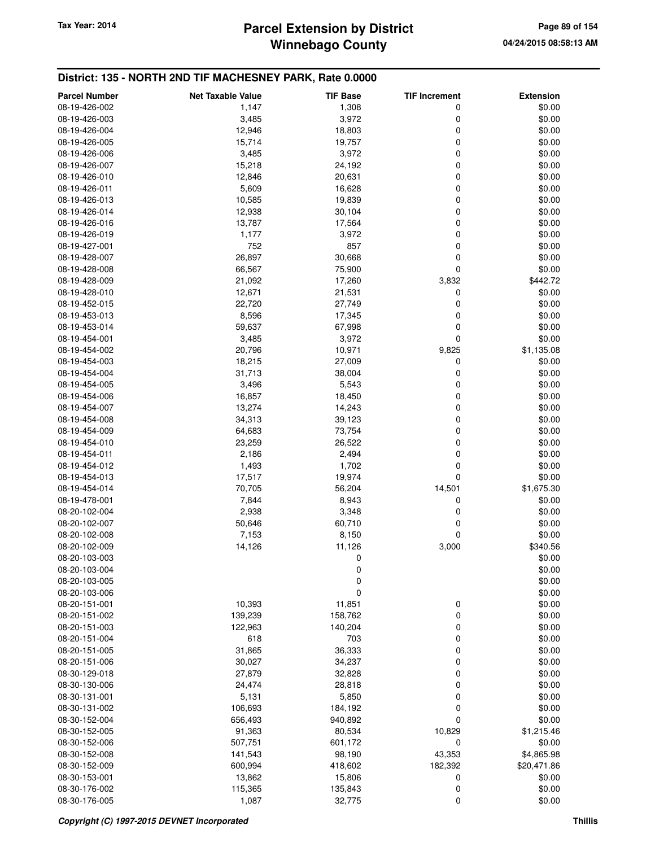## **Winnebago County** Tax Year: 2014 **Parcel Extension by District Page 89 of 154**

| <b>Parcel Number</b> | <b>Net Taxable Value</b> | <b>TIF Base</b> | <b>TIF Increment</b> | <b>Extension</b> |
|----------------------|--------------------------|-----------------|----------------------|------------------|
| 08-19-426-002        | 1,147                    | 1,308           | 0                    | \$0.00           |
| 08-19-426-003        | 3,485                    | 3,972           | 0                    | \$0.00           |
| 08-19-426-004        | 12,946                   | 18,803          | 0                    | \$0.00           |
| 08-19-426-005        | 15,714                   | 19,757          | 0                    | \$0.00           |
| 08-19-426-006        | 3,485                    | 3,972           | 0                    | \$0.00           |
| 08-19-426-007        | 15,218                   | 24,192          | 0                    | \$0.00           |
| 08-19-426-010        | 12,846                   | 20,631          | 0                    | \$0.00           |
| 08-19-426-011        | 5,609                    | 16,628          | 0                    | \$0.00           |
| 08-19-426-013        | 10,585                   | 19,839          | 0                    | \$0.00           |
| 08-19-426-014        | 12,938                   | 30,104          | 0                    | \$0.00           |
| 08-19-426-016        | 13,787                   | 17,564          | 0                    | \$0.00           |
| 08-19-426-019        | 1,177                    | 3,972           | 0                    | \$0.00           |
| 08-19-427-001        | 752                      | 857             | 0                    | \$0.00           |
| 08-19-428-007        | 26,897                   | 30,668          | 0                    | \$0.00           |
| 08-19-428-008        | 66,567                   | 75,900          | 0                    | \$0.00           |
| 08-19-428-009        | 21,092                   | 17,260          | 3,832                | \$442.72         |
| 08-19-428-010        | 12,671                   | 21,531          | 0                    | \$0.00           |
| 08-19-452-015        | 22,720                   | 27,749          | 0                    | \$0.00           |
| 08-19-453-013        | 8,596                    | 17,345          | 0                    | \$0.00           |
| 08-19-453-014        | 59,637                   | 67,998          | 0                    | \$0.00           |
| 08-19-454-001        | 3,485                    | 3,972           | 0                    | \$0.00           |
| 08-19-454-002        | 20,796                   | 10,971          | 9,825                | \$1,135.08       |
| 08-19-454-003        | 18,215                   | 27,009          | 0                    | \$0.00           |
| 08-19-454-004        | 31,713                   | 38,004          | 0                    | \$0.00           |
| 08-19-454-005        | 3,496                    | 5,543           | 0                    | \$0.00           |
| 08-19-454-006        | 16,857                   | 18,450          | 0                    | \$0.00           |
| 08-19-454-007        | 13,274                   | 14,243          | 0                    | \$0.00           |
| 08-19-454-008        | 34,313                   | 39,123          | 0                    | \$0.00           |
| 08-19-454-009        | 64,683                   | 73,754          | 0                    | \$0.00           |
| 08-19-454-010        | 23,259                   | 26,522          | 0                    | \$0.00           |
| 08-19-454-011        | 2,186                    | 2,494           | 0                    | \$0.00           |
| 08-19-454-012        | 1,493                    | 1,702           | 0                    | \$0.00           |
| 08-19-454-013        | 17,517                   | 19,974          | 0                    | \$0.00           |
| 08-19-454-014        | 70,705                   | 56,204          | 14,501               | \$1,675.30       |
| 08-19-478-001        | 7,844                    | 8,943           | 0                    | \$0.00           |
| 08-20-102-004        | 2,938                    | 3,348           | 0                    | \$0.00           |
| 08-20-102-007        | 50,646                   | 60,710          | 0                    | \$0.00           |
| 08-20-102-008        | 7,153                    | 8,150           | 0                    | \$0.00           |
| 08-20-102-009        | 14,126                   | 11,126          | 3,000                | \$340.56         |
| 08-20-103-003        |                          | 0               |                      | \$0.00           |
| 08-20-103-004        |                          | $\pmb{0}$       |                      | \$0.00           |
| 08-20-103-005        |                          | 0               |                      | \$0.00           |
| 08-20-103-006        |                          | 0               |                      | \$0.00           |
| 08-20-151-001        | 10,393                   | 11,851          | 0                    | \$0.00           |
| 08-20-151-002        | 139,239                  | 158,762         | $\mathbf 0$          | \$0.00           |
| 08-20-151-003        | 122,963                  | 140,204         | 0                    | \$0.00           |
| 08-20-151-004        | 618                      | 703             | 0                    | \$0.00           |
| 08-20-151-005        | 31,865                   | 36,333          | 0                    | \$0.00           |
| 08-20-151-006        | 30,027                   | 34,237          | 0                    | \$0.00           |
| 08-30-129-018        | 27,879                   | 32,828          | 0                    | \$0.00           |
| 08-30-130-006        | 24,474                   | 28,818          | 0                    | \$0.00           |
| 08-30-131-001        | 5,131                    | 5,850           | 0                    | \$0.00           |
| 08-30-131-002        | 106,693                  | 184,192         | 0                    | \$0.00           |
| 08-30-152-004        | 656,493                  | 940,892         | 0                    | \$0.00           |
| 08-30-152-005        | 91,363                   | 80,534          | 10,829               | \$1,215.46       |
| 08-30-152-006        | 507,751                  | 601,172         | 0                    | \$0.00           |
| 08-30-152-008        | 141,543                  | 98,190          | 43,353               | \$4,865.98       |
| 08-30-152-009        | 600,994                  | 418,602         | 182,392              | \$20,471.86      |
| 08-30-153-001        | 13,862                   | 15,806          | 0                    | \$0.00           |
| 08-30-176-002        | 115,365                  | 135,843         | 0                    | \$0.00           |
| 08-30-176-005        | 1,087                    | 32,775          | 0                    | \$0.00           |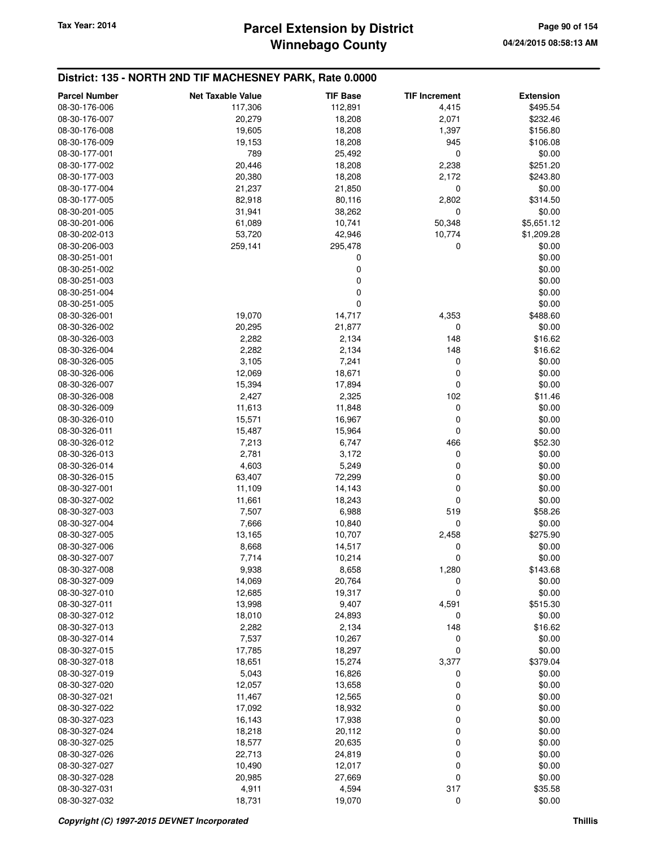## **Winnebago County** Tax Year: 2014 **Parcel Extension by District Page 90 of 154**

| <b>Parcel Number</b> | <b>Net Taxable Value</b> | <b>TIF Base</b> | <b>TIF Increment</b> | <b>Extension</b> |
|----------------------|--------------------------|-----------------|----------------------|------------------|
| 08-30-176-006        | 117,306                  | 112,891         | 4,415                | \$495.54         |
| 08-30-176-007        | 20,279                   | 18,208          | 2,071                | \$232.46         |
| 08-30-176-008        | 19,605                   | 18,208          | 1,397                | \$156.80         |
| 08-30-176-009        | 19,153                   | 18,208          | 945                  | \$106.08         |
| 08-30-177-001        | 789                      | 25,492          | 0                    | \$0.00           |
|                      |                          |                 |                      | \$251.20         |
| 08-30-177-002        | 20,446                   | 18,208          | 2,238                |                  |
| 08-30-177-003        | 20,380                   | 18,208          | 2,172                | \$243.80         |
| 08-30-177-004        | 21,237                   | 21,850          | 0                    | \$0.00           |
| 08-30-177-005        | 82,918                   | 80,116          | 2,802                | \$314.50         |
| 08-30-201-005        | 31,941                   | 38,262          | 0                    | \$0.00           |
| 08-30-201-006        | 61,089                   | 10,741          | 50,348               | \$5,651.12       |
| 08-30-202-013        | 53,720                   | 42,946          | 10,774               | \$1,209.28       |
| 08-30-206-003        | 259,141                  | 295,478         | 0                    | \$0.00           |
| 08-30-251-001        |                          | 0               |                      | \$0.00           |
| 08-30-251-002        |                          | 0               |                      | \$0.00           |
| 08-30-251-003        |                          | $\mathbf 0$     |                      | \$0.00           |
| 08-30-251-004        |                          | 0               |                      | \$0.00           |
| 08-30-251-005        |                          | 0               |                      | \$0.00           |
| 08-30-326-001        | 19,070                   | 14,717          | 4,353                | \$488.60         |
| 08-30-326-002        | 20,295                   | 21,877          | 0                    | \$0.00           |
| 08-30-326-003        | 2,282                    | 2,134           | 148                  | \$16.62          |
| 08-30-326-004        | 2,282                    | 2,134           | 148                  | \$16.62          |
| 08-30-326-005        | 3,105                    | 7,241           | 0                    | \$0.00           |
| 08-30-326-006        | 12,069                   | 18,671          | $\mathbf 0$          | \$0.00           |
| 08-30-326-007        | 15,394                   | 17,894          | 0                    | \$0.00           |
| 08-30-326-008        | 2,427                    | 2,325           | 102                  | \$11.46          |
| 08-30-326-009        | 11,613                   | 11,848          | 0                    | \$0.00           |
| 08-30-326-010        | 15,571                   | 16,967          | $\mathbf 0$          | \$0.00           |
| 08-30-326-011        | 15,487                   | 15,964          | 0                    | \$0.00           |
| 08-30-326-012        | 7,213                    | 6,747           | 466                  | \$52.30          |
| 08-30-326-013        | 2,781                    | 3,172           | 0                    | \$0.00           |
| 08-30-326-014        | 4,603                    | 5,249           | 0                    | \$0.00           |
| 08-30-326-015        | 63,407                   | 72,299          | 0                    | \$0.00           |
|                      |                          |                 | 0                    |                  |
| 08-30-327-001        | 11,109                   | 14,143          |                      | \$0.00           |
| 08-30-327-002        | 11,661                   | 18,243          | 0                    | \$0.00           |
| 08-30-327-003        | 7,507                    | 6,988           | 519                  | \$58.26          |
| 08-30-327-004        | 7,666                    | 10,840          | $\mathbf 0$          | \$0.00           |
| 08-30-327-005        | 13,165                   | 10,707          | 2,458                | \$275.90         |
| 08-30-327-006        | 8,668                    | 14,517          | 0                    | \$0.00           |
| 08-30-327-007        | 7,714                    | 10,214          | $\mathbf 0$          | \$0.00           |
| 08-30-327-008        | 9,938                    | 8,658           | 1,280                | \$143.68         |
| 08-30-327-009        | 14,069                   | 20,764          | 0                    | \$0.00           |
| 08-30-327-010        | 12,685                   | 19,317          | $\mathbf 0$          | \$0.00           |
| 08-30-327-011        | 13,998                   | 9,407           | 4,591                | \$515.30         |
| 08-30-327-012        | 18,010                   | 24,893          | 0                    | \$0.00           |
| 08-30-327-013        | 2,282                    | 2,134           | 148                  | \$16.62          |
| 08-30-327-014        | 7,537                    | 10,267          | 0                    | \$0.00           |
| 08-30-327-015        | 17,785                   | 18,297          | $\mathbf 0$          | \$0.00           |
| 08-30-327-018        | 18,651                   | 15,274          | 3,377                | \$379.04         |
| 08-30-327-019        | 5,043                    | 16,826          | 0                    | \$0.00           |
| 08-30-327-020        | 12,057                   | 13,658          | 0                    | \$0.00           |
| 08-30-327-021        | 11,467                   | 12,565          | 0                    | \$0.00           |
| 08-30-327-022        | 17,092                   | 18,932          | 0                    | \$0.00           |
| 08-30-327-023        | 16,143                   | 17,938          | 0                    | \$0.00           |
| 08-30-327-024        | 18,218                   | 20,112          | 0                    | \$0.00           |
| 08-30-327-025        | 18,577                   | 20,635          | 0                    | \$0.00           |
| 08-30-327-026        | 22,713                   | 24,819          | $\mathbf 0$          | \$0.00           |
| 08-30-327-027        | 10,490                   | 12,017          | 0                    | \$0.00           |
| 08-30-327-028        | 20,985                   | 27,669          | $\mathbf 0$          | \$0.00           |
| 08-30-327-031        | 4,911                    | 4,594           | 317                  | \$35.58          |
| 08-30-327-032        | 18,731                   | 19,070          | $\mathbf 0$          | \$0.00           |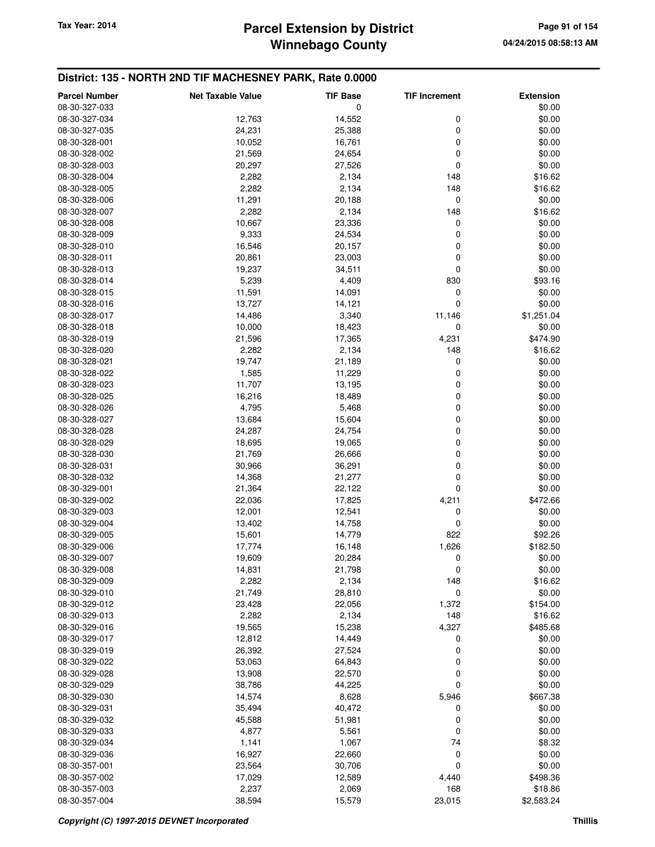## **Winnebago County** Tax Year: 2014 **Parcel Extension by District Page 91 of 154**

| <b>Parcel Number</b> | <b>Net Taxable Value</b> | <b>TIF Base</b> | <b>TIF Increment</b> | <b>Extension</b> |
|----------------------|--------------------------|-----------------|----------------------|------------------|
| 08-30-327-033        |                          | 0               |                      | \$0.00           |
| 08-30-327-034        | 12,763                   | 14,552          | 0                    | \$0.00           |
|                      |                          |                 | 0                    |                  |
| 08-30-327-035        | 24,231                   | 25,388          |                      | \$0.00           |
| 08-30-328-001        | 10,052                   | 16,761          | 0                    | \$0.00           |
| 08-30-328-002        | 21,569                   | 24,654          | 0                    | \$0.00           |
| 08-30-328-003        | 20,297                   | 27,526          | 0                    | \$0.00           |
| 08-30-328-004        | 2,282                    | 2,134           | 148                  | \$16.62          |
| 08-30-328-005        | 2,282                    | 2,134           | 148                  | \$16.62          |
| 08-30-328-006        | 11,291                   | 20,188          | 0                    | \$0.00           |
| 08-30-328-007        | 2,282                    | 2,134           | 148                  | \$16.62          |
| 08-30-328-008        | 10,667                   | 23,336          | 0                    | \$0.00           |
| 08-30-328-009        | 9,333                    | 24,534          | 0                    | \$0.00           |
| 08-30-328-010        | 16,546                   | 20,157          | 0                    | \$0.00           |
| 08-30-328-011        | 20,861                   | 23,003          | 0                    | \$0.00           |
| 08-30-328-013        | 19,237                   | 34,511          | 0                    | \$0.00           |
| 08-30-328-014        | 5,239                    | 4,409           | 830                  | \$93.16          |
| 08-30-328-015        | 11,591                   | 14,091          | 0                    | \$0.00           |
| 08-30-328-016        | 13,727                   | 14,121          | 0                    | \$0.00           |
| 08-30-328-017        | 14,486                   | 3,340           | 11,146               | \$1,251.04       |
| 08-30-328-018        | 10,000                   | 18,423          | 0                    | \$0.00           |
|                      |                          |                 |                      |                  |
| 08-30-328-019        | 21,596                   | 17,365          | 4,231                | \$474.90         |
| 08-30-328-020        | 2,282                    | 2,134           | 148                  | \$16.62          |
| 08-30-328-021        | 19,747                   | 21,189          | 0                    | \$0.00           |
| 08-30-328-022        | 1,585                    | 11,229          | 0                    | \$0.00           |
| 08-30-328-023        | 11,707                   | 13,195          | 0                    | \$0.00           |
| 08-30-328-025        | 16,216                   | 18,489          | 0                    | \$0.00           |
| 08-30-328-026        | 4,795                    | 5,468           | 0                    | \$0.00           |
| 08-30-328-027        | 13,684                   | 15,604          | 0                    | \$0.00           |
| 08-30-328-028        | 24,287                   | 24,754          | 0                    | \$0.00           |
| 08-30-328-029        | 18,695                   | 19,065          | 0                    | \$0.00           |
| 08-30-328-030        | 21,769                   | 26,666          | 0                    | \$0.00           |
| 08-30-328-031        | 30,966                   | 36,291          | 0                    | \$0.00           |
| 08-30-328-032        | 14,368                   | 21,277          | 0                    | \$0.00           |
| 08-30-329-001        | 21,364                   | 22,122          | 0                    | \$0.00           |
| 08-30-329-002        | 22,036                   | 17,825          | 4,211                | \$472.66         |
| 08-30-329-003        | 12,001                   | 12,541          | 0                    | \$0.00           |
| 08-30-329-004        | 13,402                   | 14,758          | 0                    | \$0.00           |
| 08-30-329-005        | 15,601                   | 14,779          | 822                  | \$92.26          |
| 08-30-329-006        | 17,774                   | 16,148          | 1,626                | \$182.50         |
|                      |                          | 20,284          | 0                    |                  |
| 08-30-329-007        | 19,609                   |                 |                      | \$0.00           |
| 08-30-329-008        | 14,831                   | 21,798          | 0                    | \$0.00           |
| 08-30-329-009        | 2,282                    | 2,134           | 148                  | \$16.62          |
| 08-30-329-010        | 21,749                   | 28,810          | 0                    | \$0.00           |
| 08-30-329-012        | 23,428                   | 22,056          | 1,372                | \$154.00         |
| 08-30-329-013        | 2,282                    | 2,134           | 148                  | \$16.62          |
| 08-30-329-016        | 19,565                   | 15,238          | 4,327                | \$485.68         |
| 08-30-329-017        | 12,812                   | 14,449          | 0                    | \$0.00           |
| 08-30-329-019        | 26,392                   | 27,524          | 0                    | \$0.00           |
| 08-30-329-022        | 53,063                   | 64,843          | 0                    | \$0.00           |
| 08-30-329-028        | 13,908                   | 22,570          | 0                    | \$0.00           |
| 08-30-329-029        | 38,786                   | 44,225          | 0                    | \$0.00           |
| 08-30-329-030        | 14,574                   | 8,628           | 5,946                | \$667.38         |
| 08-30-329-031        | 35,494                   | 40,472          | 0                    | \$0.00           |
| 08-30-329-032        | 45,588                   | 51,981          | 0                    | \$0.00           |
| 08-30-329-033        | 4,877                    | 5,561           | 0                    | \$0.00           |
| 08-30-329-034        | 1,141                    | 1,067           | 74                   | \$8.32           |
| 08-30-329-036        | 16,927                   | 22,660          | 0                    | \$0.00           |
| 08-30-357-001        | 23,564                   | 30,706          | 0                    | \$0.00           |
| 08-30-357-002        | 17,029                   | 12,589          | 4,440                | \$498.36         |
| 08-30-357-003        | 2,237                    |                 | 168                  | \$18.86          |
| 08-30-357-004        | 38,594                   | 2,069<br>15,579 | 23,015               | \$2,583.24       |
|                      |                          |                 |                      |                  |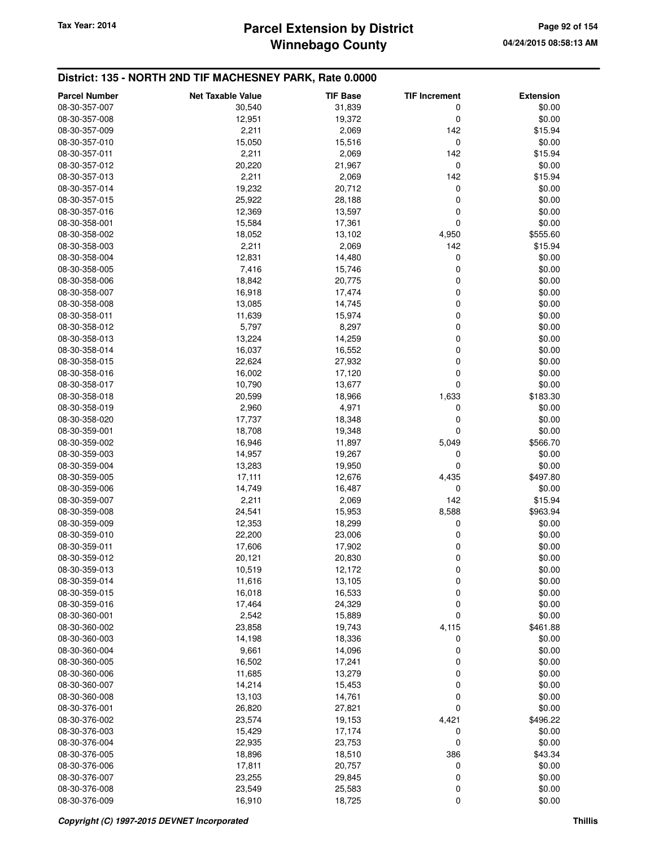## **Winnebago County Parcel Extension by District Tax Year: 2014 Page 92 of 154**

| <b>Parcel Number</b>           | <b>Net Taxable Value</b> | <b>TIF Base</b> | <b>TIF Increment</b> | <b>Extension</b>    |
|--------------------------------|--------------------------|-----------------|----------------------|---------------------|
| 08-30-357-007                  | 30,540                   | 31,839          | 0                    | \$0.00              |
| 08-30-357-008                  | 12,951                   | 19,372          | 0                    | \$0.00              |
| 08-30-357-009                  | 2,211                    | 2,069           | 142                  | \$15.94             |
| 08-30-357-010                  | 15,050                   | 15,516          | 0                    | \$0.00              |
| 08-30-357-011                  | 2,211                    | 2,069           | 142                  | \$15.94             |
| 08-30-357-012                  | 20,220                   | 21,967          | 0                    | \$0.00              |
| 08-30-357-013                  | 2,211                    | 2,069           | 142                  | \$15.94             |
| 08-30-357-014                  | 19,232                   | 20,712          | 0                    | \$0.00              |
| 08-30-357-015                  | 25,922                   | 28,188          | 0                    | \$0.00              |
| 08-30-357-016                  | 12,369                   | 13,597          | 0                    | \$0.00              |
| 08-30-358-001                  | 15,584                   | 17,361          | 0                    | \$0.00              |
| 08-30-358-002                  | 18,052                   | 13,102          | 4,950                | \$555.60            |
| 08-30-358-003                  | 2,211                    | 2,069           | 142                  | \$15.94             |
| 08-30-358-004                  | 12,831                   | 14,480          | 0                    | \$0.00              |
| 08-30-358-005                  | 7,416                    | 15,746          | 0                    | \$0.00              |
| 08-30-358-006                  | 18,842                   | 20,775          | 0                    | \$0.00              |
| 08-30-358-007                  | 16,918                   | 17,474          | 0                    | \$0.00              |
| 08-30-358-008                  | 13,085                   | 14,745          | 0                    | \$0.00              |
| 08-30-358-011                  | 11,639                   | 15,974          | 0                    | \$0.00              |
| 08-30-358-012                  | 5,797                    | 8,297           | 0                    | \$0.00              |
| 08-30-358-013                  | 13,224                   | 14,259          | 0                    | \$0.00              |
| 08-30-358-014                  | 16,037                   | 16,552          | 0                    | \$0.00              |
| 08-30-358-015                  | 22,624                   | 27,932          | 0                    | \$0.00              |
| 08-30-358-016                  | 16,002                   | 17,120          | 0                    | \$0.00              |
| 08-30-358-017                  | 10,790                   | 13,677          | 0                    | \$0.00              |
| 08-30-358-018                  | 20,599                   | 18,966          | 1,633                | \$183.30            |
| 08-30-358-019                  | 2,960                    | 4,971           | 0                    | \$0.00              |
| 08-30-358-020                  | 17,737                   | 18,348          | 0                    | \$0.00              |
| 08-30-359-001                  | 18,708                   | 19,348          | 0                    | \$0.00              |
| 08-30-359-002                  | 16,946                   | 11,897          | 5,049                | \$566.70            |
| 08-30-359-003                  | 14,957                   | 19,267          | 0                    | \$0.00              |
| 08-30-359-004                  | 13,283                   | 19,950          | 0                    | \$0.00              |
| 08-30-359-005                  | 17,111                   | 12,676          | 4,435<br>0           | \$497.80            |
| 08-30-359-006                  | 14,749                   | 16,487          | 142                  | \$0.00              |
| 08-30-359-007<br>08-30-359-008 | 2,211<br>24,541          | 2,069<br>15,953 | 8,588                | \$15.94<br>\$963.94 |
| 08-30-359-009                  | 12,353                   | 18,299          | 0                    | \$0.00              |
| 08-30-359-010                  | 22,200                   | 23,006          | 0                    | \$0.00              |
| 08-30-359-011                  | 17,606                   | 17,902          | 0                    | \$0.00              |
| 08-30-359-012                  | 20,121                   | 20,830          | 0                    | \$0.00              |
| 08-30-359-013                  | 10,519                   | 12,172          | 0                    | \$0.00              |
| 08-30-359-014                  | 11,616                   | 13,105          | 0                    | \$0.00              |
| 08-30-359-015                  | 16,018                   | 16,533          | 0                    | \$0.00              |
| 08-30-359-016                  | 17,464                   | 24,329          | 0                    | \$0.00              |
| 08-30-360-001                  | 2,542                    | 15,889          | 0                    | \$0.00              |
| 08-30-360-002                  | 23,858                   | 19,743          | 4,115                | \$461.88            |
| 08-30-360-003                  | 14,198                   | 18,336          | 0                    | \$0.00              |
| 08-30-360-004                  | 9,661                    | 14,096          | 0                    | \$0.00              |
| 08-30-360-005                  | 16,502                   | 17,241          | 0                    | \$0.00              |
| 08-30-360-006                  | 11,685                   | 13,279          | 0                    | \$0.00              |
| 08-30-360-007                  | 14,214                   | 15,453          | 0                    | \$0.00              |
| 08-30-360-008                  | 13,103                   | 14,761          | 0                    | \$0.00              |
| 08-30-376-001                  | 26,820                   | 27,821          | 0                    | \$0.00              |
| 08-30-376-002                  | 23,574                   | 19,153          | 4,421                | \$496.22            |
| 08-30-376-003                  | 15,429                   | 17,174          | 0                    | \$0.00              |
| 08-30-376-004                  | 22,935                   | 23,753          | 0                    | \$0.00              |
| 08-30-376-005                  | 18,896                   | 18,510          | 386                  | \$43.34             |
| 08-30-376-006                  | 17,811                   | 20,757          | 0                    | \$0.00              |
| 08-30-376-007                  | 23,255                   | 29,845          | 0                    | \$0.00              |
| 08-30-376-008                  | 23,549                   | 25,583          | 0                    | \$0.00              |
| 08-30-376-009                  | 16,910                   | 18,725          | 0                    | \$0.00              |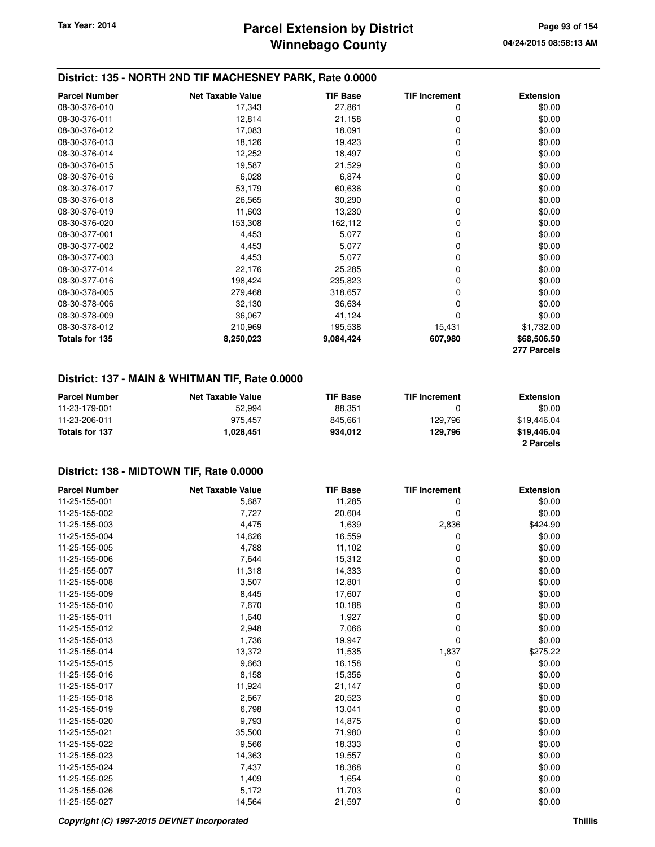## **Winnebago County Parcel Extension by District Tax Year: 2014 Page 93 of 154**

### **District: 135 - NORTH 2ND TIF MACHESNEY PARK, Rate 0.0000**

| <b>Parcel Number</b> | <b>Net Taxable Value</b> | <b>TIF Base</b> | <b>TIF Increment</b> | <b>Extension</b> |
|----------------------|--------------------------|-----------------|----------------------|------------------|
| 08-30-376-010        | 17,343                   | 27,861          | 0                    | \$0.00           |
| 08-30-376-011        | 12,814                   | 21,158          | 0                    | \$0.00           |
| 08-30-376-012        | 17,083                   | 18,091          | 0                    | \$0.00           |
| 08-30-376-013        | 18,126                   | 19,423          | 0                    | \$0.00           |
| 08-30-376-014        | 12,252                   | 18,497          | 0                    | \$0.00           |
| 08-30-376-015        | 19,587                   | 21,529          | 0                    | \$0.00           |
| 08-30-376-016        | 6,028                    | 6,874           | 0                    | \$0.00           |
| 08-30-376-017        | 53,179                   | 60,636          | 0                    | \$0.00           |
| 08-30-376-018        | 26,565                   | 30,290          | 0                    | \$0.00           |
| 08-30-376-019        | 11,603                   | 13,230          | 0                    | \$0.00           |
| 08-30-376-020        | 153,308                  | 162,112         | 0                    | \$0.00           |
| 08-30-377-001        | 4,453                    | 5,077           | 0                    | \$0.00           |
| 08-30-377-002        | 4,453                    | 5,077           | 0                    | \$0.00           |
| 08-30-377-003        | 4,453                    | 5,077           | 0                    | \$0.00           |
| 08-30-377-014        | 22,176                   | 25,285          | 0                    | \$0.00           |
| 08-30-377-016        | 198,424                  | 235,823         | 0                    | \$0.00           |
| 08-30-378-005        | 279,468                  | 318,657         | 0                    | \$0.00           |
| 08-30-378-006        | 32,130                   | 36,634          | 0                    | \$0.00           |
| 08-30-378-009        | 36,067                   | 41,124          | 0                    | \$0.00           |
| 08-30-378-012        | 210,969                  | 195,538         | 15,431               | \$1,732.00       |
| Totals for 135       | 8,250,023                | 9,084,424       | 607,980              | \$68,506.50      |
|                      |                          |                 |                      | 277 Parcels      |

## **District: 137 - MAIN & WHITMAN TIF, Rate 0.0000**

| <b>Parcel Number</b> | <b>Net Taxable Value</b> | <b>TIF Base</b> | <b>TIF Increment</b> | <b>Extension</b> |
|----------------------|--------------------------|-----------------|----------------------|------------------|
|                      |                          |                 |                      |                  |
| 11-23-179-001        | 52.994                   | 88.351          |                      | \$0.00           |
| 11-23-206-011        | 975.457                  | 845.661         | 129.796              | \$19,446.04      |
| Totals for 137       | 1.028.451                | 934.012         | 129.796              | \$19,446.04      |
|                      |                          |                 |                      | 2 Parcels        |

| <b>Parcel Number</b> | <b>Net Taxable Value</b> | <b>TIF Base</b> | <b>TIF Increment</b> | <b>Extension</b> |
|----------------------|--------------------------|-----------------|----------------------|------------------|
| 11-25-155-001        | 5,687                    | 11,285          | 0                    | \$0.00           |
| 11-25-155-002        | 7,727                    | 20,604          | 0                    | \$0.00           |
| 11-25-155-003        | 4,475                    | 1,639           | 2,836                | \$424.90         |
| 11-25-155-004        | 14,626                   | 16,559          | 0                    | \$0.00           |
| 11-25-155-005        | 4,788                    | 11,102          | 0                    | \$0.00           |
| 11-25-155-006        | 7,644                    | 15,312          | 0                    | \$0.00           |
| 11-25-155-007        | 11,318                   | 14,333          | 0                    | \$0.00           |
| 11-25-155-008        | 3,507                    | 12,801          | 0                    | \$0.00           |
| 11-25-155-009        | 8,445                    | 17,607          | 0                    | \$0.00           |
| 11-25-155-010        | 7,670                    | 10,188          | 0                    | \$0.00           |
| 11-25-155-011        | 1,640                    | 1,927           | 0                    | \$0.00           |
| 11-25-155-012        | 2,948                    | 7,066           | 0                    | \$0.00           |
| 11-25-155-013        | 1,736                    | 19,947          | 0                    | \$0.00           |
| 11-25-155-014        | 13,372                   | 11,535          | 1,837                | \$275.22         |
| 11-25-155-015        | 9,663                    | 16,158          | 0                    | \$0.00           |
| 11-25-155-016        | 8,158                    | 15,356          | 0                    | \$0.00           |
| 11-25-155-017        | 11,924                   | 21,147          | 0                    | \$0.00           |
| 11-25-155-018        | 2,667                    | 20,523          | 0                    | \$0.00           |
| 11-25-155-019        | 6,798                    | 13,041          | 0                    | \$0.00           |
| 11-25-155-020        | 9,793                    | 14,875          | 0                    | \$0.00           |
| 11-25-155-021        | 35,500                   | 71,980          | 0                    | \$0.00           |
| 11-25-155-022        | 9,566                    | 18,333          | 0                    | \$0.00           |
| 11-25-155-023        | 14,363                   | 19,557          | 0                    | \$0.00           |
| 11-25-155-024        | 7,437                    | 18,368          | 0                    | \$0.00           |
| 11-25-155-025        | 1,409                    | 1,654           | 0                    | \$0.00           |
| 11-25-155-026        | 5,172                    | 11,703          | 0                    | \$0.00           |
| 11-25-155-027        | 14,564                   | 21,597          | 0                    | \$0.00           |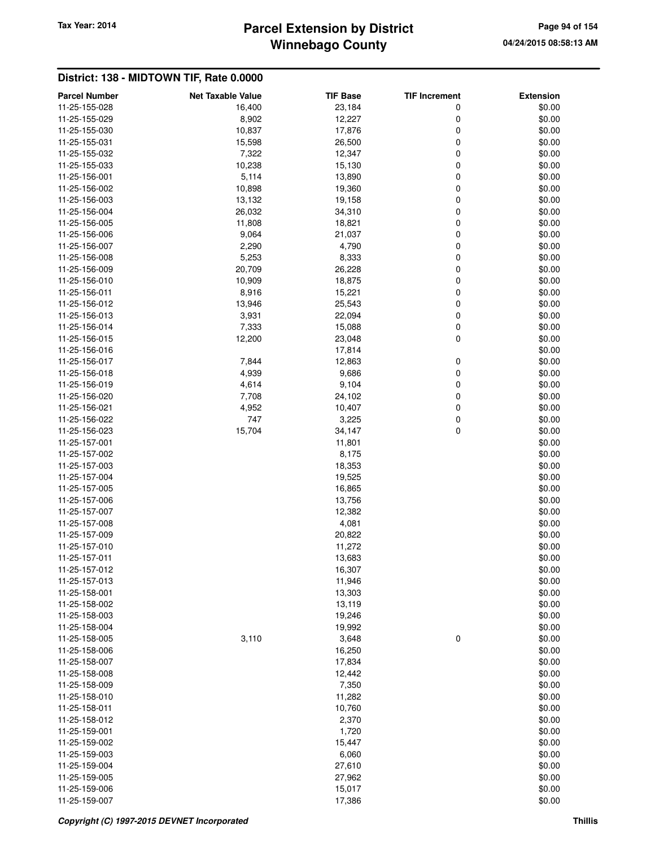# **Winnebago County** Tax Year: 2014 **Parcel Extension by District Page 94 of 154**

| <b>Parcel Number</b>           | <b>Net Taxable Value</b> | <b>TIF Base</b>  | <b>TIF Increment</b> | <b>Extension</b> |
|--------------------------------|--------------------------|------------------|----------------------|------------------|
| 11-25-155-028                  | 16,400                   | 23,184           | 0                    | \$0.00           |
| 11-25-155-029                  | 8,902                    | 12,227           | 0                    | \$0.00           |
| 11-25-155-030                  | 10,837                   | 17,876           | 0                    | \$0.00           |
| 11-25-155-031                  | 15,598                   | 26,500           | 0                    | \$0.00           |
| 11-25-155-032                  | 7,322                    | 12,347           | 0                    | \$0.00           |
| 11-25-155-033                  | 10,238                   | 15,130           | 0                    | \$0.00           |
| 11-25-156-001                  | 5,114                    | 13,890           | 0                    | \$0.00           |
| 11-25-156-002                  | 10,898                   | 19,360           | 0                    | \$0.00           |
| 11-25-156-003                  | 13,132                   | 19,158           | 0                    | \$0.00           |
| 11-25-156-004                  | 26,032                   | 34,310           | 0                    | \$0.00           |
| 11-25-156-005                  | 11,808                   | 18,821           | 0                    | \$0.00           |
| 11-25-156-006                  | 9,064                    | 21,037           | 0                    | \$0.00           |
| 11-25-156-007                  | 2,290                    | 4,790            | 0                    | \$0.00           |
| 11-25-156-008<br>11-25-156-009 | 5,253                    | 8,333            | 0<br>0               | \$0.00           |
| 11-25-156-010                  | 20,709<br>10,909         | 26,228<br>18,875 | 0                    | \$0.00<br>\$0.00 |
| 11-25-156-011                  | 8,916                    | 15,221           | 0                    | \$0.00           |
| 11-25-156-012                  | 13,946                   | 25,543           | 0                    | \$0.00           |
| 11-25-156-013                  | 3,931                    | 22,094           | 0                    | \$0.00           |
| 11-25-156-014                  | 7,333                    | 15,088           | 0                    | \$0.00           |
| 11-25-156-015                  | 12,200                   | 23,048           | 0                    | \$0.00           |
| 11-25-156-016                  |                          | 17,814           |                      | \$0.00           |
| 11-25-156-017                  | 7,844                    | 12,863           | 0                    | \$0.00           |
| 11-25-156-018                  | 4,939                    | 9,686            | 0                    | \$0.00           |
| 11-25-156-019                  | 4,614                    | 9,104            | 0                    | \$0.00           |
| 11-25-156-020                  | 7,708                    | 24,102           | 0                    | \$0.00           |
| 11-25-156-021                  | 4,952                    | 10,407           | 0                    | \$0.00           |
| 11-25-156-022                  | 747                      | 3,225            | 0                    | \$0.00           |
| 11-25-156-023                  | 15,704                   | 34,147           | 0                    | \$0.00           |
| 11-25-157-001                  |                          | 11,801           |                      | \$0.00           |
| 11-25-157-002                  |                          | 8,175            |                      | \$0.00           |
| 11-25-157-003                  |                          | 18,353           |                      | \$0.00           |
| 11-25-157-004<br>11-25-157-005 |                          | 19,525<br>16,865 |                      | \$0.00<br>\$0.00 |
| 11-25-157-006                  |                          | 13,756           |                      | \$0.00           |
| 11-25-157-007                  |                          | 12,382           |                      | \$0.00           |
| 11-25-157-008                  |                          | 4,081            |                      | \$0.00           |
| 11-25-157-009                  |                          | 20,822           |                      | \$0.00           |
| 11-25-157-010                  |                          | 11,272           |                      | \$0.00           |
| 11-25-157-011                  |                          | 13,683           |                      | \$0.00           |
| 11-25-157-012                  |                          | 16,307           |                      | \$0.00           |
| 11-25-157-013                  |                          | 11,946           |                      | \$0.00           |
| 11-25-158-001                  |                          | 13,303           |                      | \$0.00           |
| 11-25-158-002                  |                          | 13,119           |                      | \$0.00           |
| 11-25-158-003                  |                          | 19,246           |                      | \$0.00           |
| 11-25-158-004                  |                          | 19,992           |                      | \$0.00           |
| 11-25-158-005                  | 3,110                    | 3,648            | 0                    | \$0.00           |
| 11-25-158-006                  |                          | 16,250           |                      | \$0.00           |
| 11-25-158-007                  |                          | 17,834           |                      | \$0.00           |
| 11-25-158-008                  |                          | 12,442           |                      | \$0.00           |
| 11-25-158-009                  |                          | 7,350            |                      | \$0.00           |
| 11-25-158-010<br>11-25-158-011 |                          | 11,282<br>10,760 |                      | \$0.00<br>\$0.00 |
| 11-25-158-012                  |                          | 2,370            |                      | \$0.00           |
| 11-25-159-001                  |                          | 1,720            |                      | \$0.00           |
| 11-25-159-002                  |                          | 15,447           |                      | \$0.00           |
| 11-25-159-003                  |                          | 6,060            |                      | \$0.00           |
| 11-25-159-004                  |                          | 27,610           |                      | \$0.00           |
| 11-25-159-005                  |                          | 27,962           |                      | \$0.00           |
| 11-25-159-006                  |                          | 15,017           |                      | \$0.00           |
| 11-25-159-007                  |                          | 17,386           |                      | \$0.00           |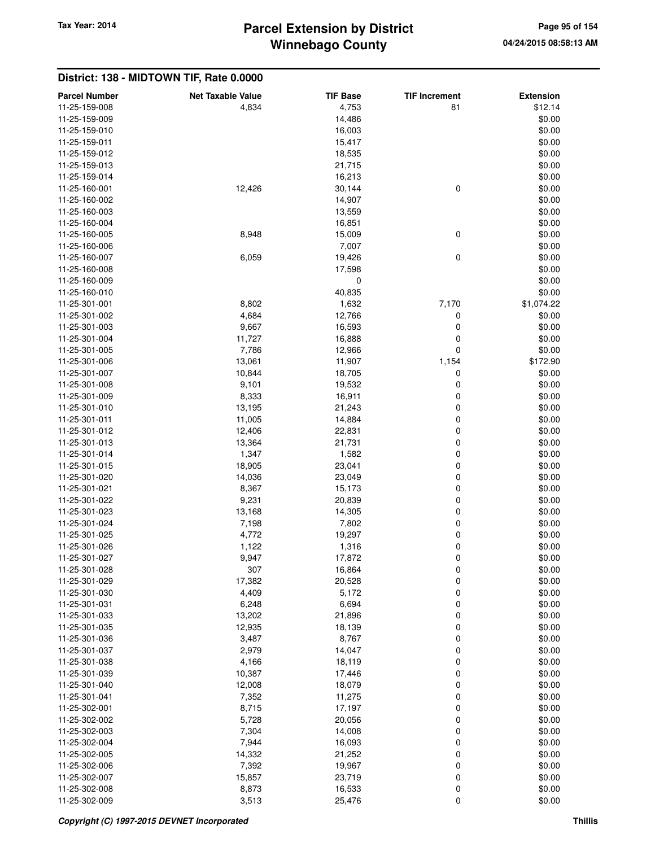# **Winnebago County** Tax Year: 2014 **Parcel Extension by District Page 95 of 154**

| <b>Parcel Number</b> | <b>Net Taxable Value</b> | <b>TIF Base</b> | <b>TIF Increment</b> | <b>Extension</b> |
|----------------------|--------------------------|-----------------|----------------------|------------------|
| 11-25-159-008        | 4,834                    | 4,753           | 81                   | \$12.14          |
| 11-25-159-009        |                          | 14,486          |                      | \$0.00           |
| 11-25-159-010        |                          | 16,003          |                      | \$0.00           |
| 11-25-159-011        |                          | 15,417          |                      | \$0.00           |
| 11-25-159-012        |                          | 18,535          |                      | \$0.00           |
| 11-25-159-013        |                          | 21,715          |                      | \$0.00           |
| 11-25-159-014        |                          | 16,213          |                      | \$0.00           |
| 11-25-160-001        | 12,426                   | 30,144          | $\mathbf 0$          | \$0.00           |
| 11-25-160-002        |                          | 14,907          |                      | \$0.00           |
| 11-25-160-003        |                          | 13,559          |                      | \$0.00           |
| 11-25-160-004        |                          | 16,851          |                      | \$0.00           |
| 11-25-160-005        | 8,948                    | 15,009          | 0                    | \$0.00           |
| 11-25-160-006        |                          | 7,007           |                      | \$0.00           |
| 11-25-160-007        | 6,059                    | 19,426          | 0                    | \$0.00           |
| 11-25-160-008        |                          | 17,598          |                      | \$0.00           |
| 11-25-160-009        |                          | 0               |                      | \$0.00           |
| 11-25-160-010        |                          | 40,835          |                      | \$0.00           |
| 11-25-301-001        | 8,802                    | 1,632           | 7,170                | \$1,074.22       |
| 11-25-301-002        | 4,684                    | 12,766          | 0                    | \$0.00           |
| 11-25-301-003        | 9,667                    | 16,593          | 0                    | \$0.00           |
| 11-25-301-004        | 11,727                   | 16,888          | 0                    | \$0.00           |
| 11-25-301-005        | 7,786                    | 12,966          | 0                    | \$0.00           |
| 11-25-301-006        | 13,061                   | 11,907          | 1,154                | \$172.90         |
| 11-25-301-007        | 10,844                   | 18,705          | 0                    | \$0.00           |
| 11-25-301-008        | 9,101                    | 19,532          | 0                    | \$0.00           |
| 11-25-301-009        | 8,333                    | 16,911          | 0                    | \$0.00           |
| 11-25-301-010        | 13,195                   | 21,243          | 0                    | \$0.00           |
| 11-25-301-011        | 11,005                   | 14,884          | 0                    | \$0.00           |
| 11-25-301-012        | 12,406                   | 22,831          | 0                    | \$0.00           |
| 11-25-301-013        | 13,364                   | 21,731          | 0                    | \$0.00           |
| 11-25-301-014        | 1,347                    | 1,582           | 0                    | \$0.00           |
| 11-25-301-015        | 18,905                   | 23,041          | 0                    | \$0.00           |
| 11-25-301-020        | 14,036                   | 23,049          | 0                    | \$0.00           |
| 11-25-301-021        | 8,367                    | 15,173          | 0                    | \$0.00           |
| 11-25-301-022        | 9,231                    | 20,839          | 0                    | \$0.00           |
| 11-25-301-023        | 13,168                   | 14,305          | 0                    | \$0.00           |
| 11-25-301-024        | 7,198                    | 7,802           | 0                    | \$0.00           |
| 11-25-301-025        | 4,772                    | 19,297          | 0                    | \$0.00           |
| 11-25-301-026        | 1,122                    | 1,316           | $\mathbf 0$          | \$0.00           |
| 11-25-301-027        | 9,947                    | 17,872          | 0                    | \$0.00           |
| 11-25-301-028        | 307                      | 16,864          | 0                    | \$0.00           |
| 11-25-301-029        | 17,382                   | 20,528          | $\pmb{0}$            | \$0.00           |
| 11-25-301-030        | 4,409                    | 5,172           | 0                    | \$0.00           |
| 11-25-301-031        | 6,248                    | 6,694           | 0                    | \$0.00           |
| 11-25-301-033        | 13,202                   | 21,896          | 0                    | \$0.00           |
| 11-25-301-035        | 12,935                   | 18,139          | 0                    | \$0.00           |
| 11-25-301-036        | 3,487                    | 8,767           | 0                    | \$0.00           |
| 11-25-301-037        | 2,979                    | 14,047          | 0                    | \$0.00           |
| 11-25-301-038        | 4,166                    | 18,119          | 0                    | \$0.00           |
| 11-25-301-039        | 10,387                   | 17,446          | 0                    | \$0.00           |
| 11-25-301-040        | 12,008                   | 18,079          | 0                    | \$0.00           |
| 11-25-301-041        | 7,352                    | 11,275          | 0                    | \$0.00           |
| 11-25-302-001        | 8,715                    | 17,197          | 0                    | \$0.00           |
| 11-25-302-002        | 5,728                    | 20,056          | 0                    | \$0.00           |
| 11-25-302-003        | 7,304                    | 14,008          | 0                    | \$0.00           |
| 11-25-302-004        | 7,944                    | 16,093          | 0                    | \$0.00           |
| 11-25-302-005        | 14,332                   | 21,252          | 0                    | \$0.00           |
| 11-25-302-006        | 7,392                    | 19,967          | 0                    | \$0.00           |
| 11-25-302-007        | 15,857                   | 23,719          | 0                    | \$0.00           |
| 11-25-302-008        | 8,873                    | 16,533          | 0                    | \$0.00           |
| 11-25-302-009        | 3,513                    | 25,476          | 0                    | \$0.00           |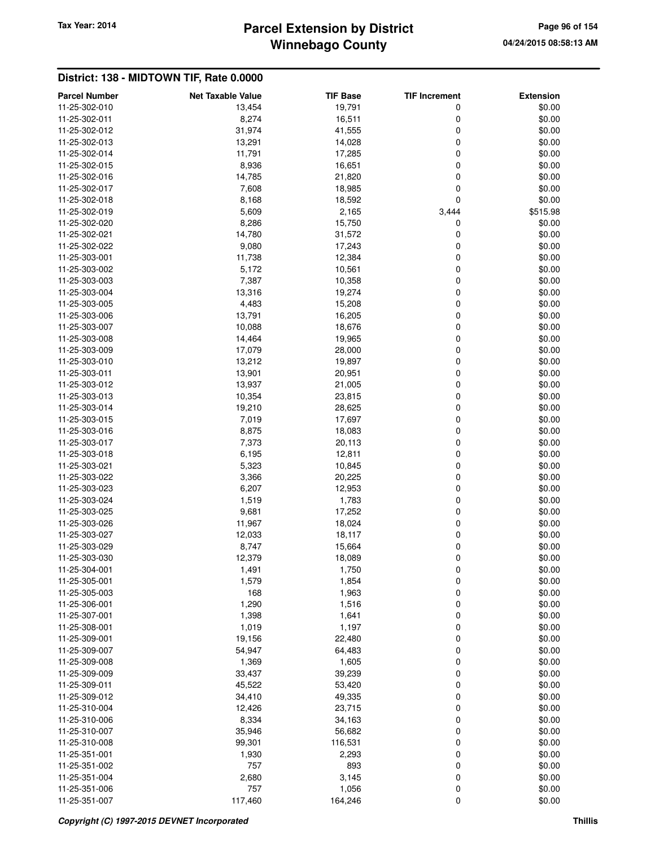# **Winnebago County** Tax Year: 2014 **Parcel Extension by District Page 96 of 154**

| <b>Parcel Number</b> | <b>Net Taxable Value</b> | <b>TIF Base</b> | <b>TIF Increment</b> | <b>Extension</b> |
|----------------------|--------------------------|-----------------|----------------------|------------------|
| 11-25-302-010        | 13,454                   | 19,791          | 0                    | \$0.00           |
| 11-25-302-011        | 8,274                    | 16,511          | 0                    | \$0.00           |
| 11-25-302-012        | 31,974                   | 41,555          | 0                    | \$0.00           |
| 11-25-302-013        | 13,291                   | 14,028          | 0                    | \$0.00           |
| 11-25-302-014        | 11,791                   | 17,285          | 0                    | \$0.00           |
| 11-25-302-015        | 8,936                    | 16,651          | 0                    | \$0.00           |
| 11-25-302-016        | 14,785                   | 21,820          | 0                    | \$0.00           |
| 11-25-302-017        | 7,608                    | 18,985          | 0                    | \$0.00           |
| 11-25-302-018        | 8,168                    | 18,592          | 0                    | \$0.00           |
| 11-25-302-019        | 5,609                    | 2,165           | 3,444                | \$515.98         |
| 11-25-302-020        | 8,286                    | 15,750          | 0                    | \$0.00           |
| 11-25-302-021        | 14,780                   | 31,572          | 0                    | \$0.00           |
| 11-25-302-022        | 9,080                    | 17,243          | 0                    | \$0.00           |
| 11-25-303-001        | 11,738                   | 12,384          | 0                    | \$0.00           |
| 11-25-303-002        | 5,172                    | 10,561          | 0                    | \$0.00           |
| 11-25-303-003        | 7,387                    | 10,358          | 0                    | \$0.00           |
| 11-25-303-004        | 13,316                   | 19,274          | 0                    | \$0.00           |
| 11-25-303-005        | 4,483                    | 15,208          | 0                    | \$0.00           |
| 11-25-303-006        | 13,791                   | 16,205          | 0                    | \$0.00           |
| 11-25-303-007        | 10,088                   | 18,676          | 0                    | \$0.00           |
| 11-25-303-008        | 14,464                   | 19,965          | 0                    | \$0.00           |
| 11-25-303-009        | 17,079                   | 28,000          | 0                    | \$0.00           |
| 11-25-303-010        | 13,212                   | 19,897          | 0                    | \$0.00           |
| 11-25-303-011        | 13,901                   | 20,951          | 0                    | \$0.00           |
| 11-25-303-012        | 13,937                   | 21,005          | 0                    | \$0.00           |
| 11-25-303-013        | 10,354                   | 23,815          | 0                    | \$0.00           |
| 11-25-303-014        | 19,210                   | 28,625          | 0                    | \$0.00           |
| 11-25-303-015        | 7,019                    | 17,697          | 0                    | \$0.00           |
|                      |                          |                 |                      |                  |
| 11-25-303-016        | 8,875                    | 18,083          | 0                    | \$0.00           |
| 11-25-303-017        | 7,373                    | 20,113          | 0                    | \$0.00           |
| 11-25-303-018        | 6,195                    | 12,811          | 0                    | \$0.00           |
| 11-25-303-021        | 5,323                    | 10,845          | 0                    | \$0.00           |
| 11-25-303-022        | 3,366                    | 20,225          | 0                    | \$0.00           |
| 11-25-303-023        | 6,207                    | 12,953          | 0                    | \$0.00           |
| 11-25-303-024        | 1,519                    | 1,783           | 0                    | \$0.00           |
| 11-25-303-025        | 9,681                    | 17,252          | 0                    | \$0.00           |
| 11-25-303-026        | 11,967                   | 18,024          | 0                    | \$0.00           |
| 11-25-303-027        | 12,033                   | 18,117          | 0                    | \$0.00           |
| 11-25-303-029        | 8,747                    | 15,664          | 0                    | \$0.00           |
| 11-25-303-030        | 12,379                   | 18,089          | 0                    | \$0.00           |
| 11-25-304-001        | 1,491                    | 1,750           | 0                    | \$0.00           |
| 11-25-305-001        | 1,579                    | 1,854           | 0                    | \$0.00           |
| 11-25-305-003        | 168                      | 1,963           | 0                    | \$0.00           |
| 11-25-306-001        | 1,290                    | 1,516           | 0                    | \$0.00           |
| 11-25-307-001        | 1,398                    | 1,641           | 0                    | \$0.00           |
| 11-25-308-001        | 1,019                    | 1,197           | 0                    | \$0.00           |
| 11-25-309-001        | 19,156                   | 22,480          | 0                    | \$0.00           |
| 11-25-309-007        | 54,947                   | 64,483          | 0                    | \$0.00           |
| 11-25-309-008        | 1,369                    | 1,605           | 0                    | \$0.00           |
| 11-25-309-009        | 33,437                   | 39,239          | 0                    | \$0.00           |
| 11-25-309-011        | 45,522                   | 53,420          | 0                    | \$0.00           |
| 11-25-309-012        | 34,410                   | 49,335          | 0                    | \$0.00           |
| 11-25-310-004        | 12,426                   | 23,715          | 0                    | \$0.00           |
| 11-25-310-006        | 8,334                    | 34,163          | 0                    | \$0.00           |
| 11-25-310-007        | 35,946                   | 56,682          | 0                    | \$0.00           |
| 11-25-310-008        | 99,301                   | 116,531         | 0                    | \$0.00           |
| 11-25-351-001        | 1,930                    | 2,293           | 0                    | \$0.00           |
| 11-25-351-002        | 757                      | 893             | 0                    | \$0.00           |
| 11-25-351-004        | 2,680                    | 3,145           | 0                    | \$0.00           |
| 11-25-351-006        | 757                      | 1,056           | 0                    | \$0.00           |
| 11-25-351-007        | 117,460                  | 164,246         | 0                    | \$0.00           |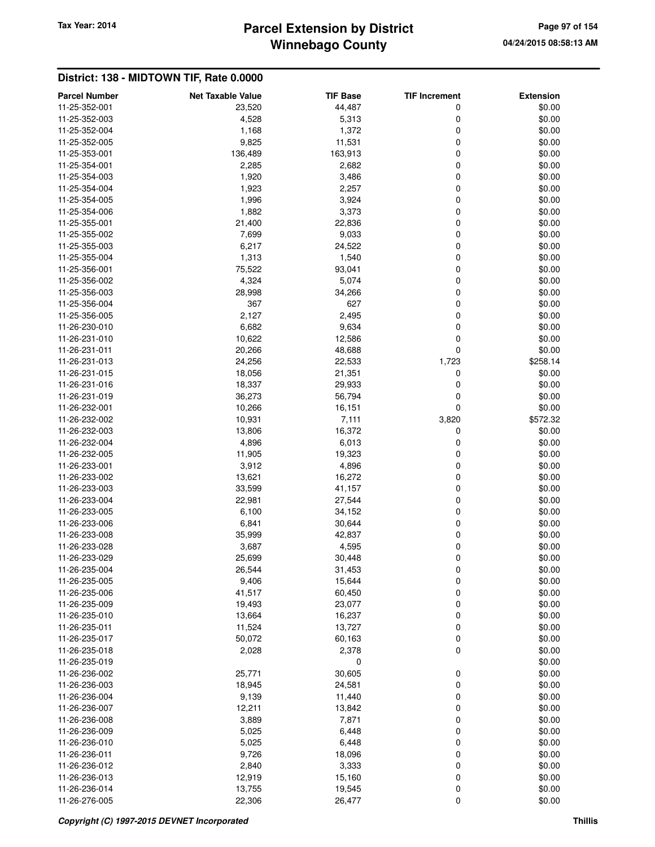# **Winnebago County** Tax Year: 2014 **Parcel Extension by District Page 97 of 154**

| <b>Parcel Number</b> | <b>Net Taxable Value</b> | <b>TIF Base</b> | <b>TIF Increment</b> | <b>Extension</b> |
|----------------------|--------------------------|-----------------|----------------------|------------------|
| 11-25-352-001        | 23,520                   | 44,487          | 0                    | \$0.00           |
| 11-25-352-003        | 4,528                    | 5,313           | 0                    | \$0.00           |
| 11-25-352-004        | 1,168                    | 1,372           | 0                    | \$0.00           |
| 11-25-352-005        | 9,825                    | 11,531          | 0                    | \$0.00           |
| 11-25-353-001        | 136,489                  | 163,913         | 0                    | \$0.00           |
| 11-25-354-001        | 2,285                    | 2,682           | 0                    | \$0.00           |
| 11-25-354-003        | 1,920                    | 3,486           | 0                    | \$0.00           |
| 11-25-354-004        | 1,923                    | 2,257           | 0                    | \$0.00           |
| 11-25-354-005        | 1,996                    | 3,924           | 0                    | \$0.00           |
| 11-25-354-006        | 1,882                    | 3,373           | 0                    | \$0.00           |
| 11-25-355-001        | 21,400                   | 22,836          | 0                    | \$0.00           |
|                      |                          |                 |                      |                  |
| 11-25-355-002        | 7,699                    | 9,033           | 0                    | \$0.00           |
| 11-25-355-003        | 6,217                    | 24,522          | 0                    | \$0.00           |
| 11-25-355-004        | 1,313                    | 1,540           | 0                    | \$0.00           |
| 11-25-356-001        | 75,522                   | 93,041          | 0                    | \$0.00           |
| 11-25-356-002        | 4,324                    | 5,074           | 0                    | \$0.00           |
| 11-25-356-003        | 28,998                   | 34,266          | 0                    | \$0.00           |
| 11-25-356-004        | 367                      | 627             | 0                    | \$0.00           |
| 11-25-356-005        | 2,127                    | 2,495           | 0                    | \$0.00           |
| 11-26-230-010        | 6,682                    | 9,634           | 0                    | \$0.00           |
| 11-26-231-010        | 10,622                   | 12,586          | 0                    | \$0.00           |
| 11-26-231-011        | 20,266                   | 48,688          | 0                    | \$0.00           |
| 11-26-231-013        | 24,256                   | 22,533          | 1,723                | \$258.14         |
| 11-26-231-015        | 18,056                   | 21,351          | 0                    | \$0.00           |
| 11-26-231-016        | 18,337                   | 29,933          | 0                    | \$0.00           |
| 11-26-231-019        | 36,273                   | 56,794          | 0                    | \$0.00           |
| 11-26-232-001        | 10,266                   | 16,151          | 0                    | \$0.00           |
| 11-26-232-002        | 10,931                   | 7,111           | 3,820                | \$572.32         |
|                      |                          |                 |                      |                  |
| 11-26-232-003        | 13,806                   | 16,372          | 0                    | \$0.00           |
| 11-26-232-004        | 4,896                    | 6,013           | 0                    | \$0.00           |
| 11-26-232-005        | 11,905                   | 19,323          | 0                    | \$0.00           |
| 11-26-233-001        | 3,912                    | 4,896           | 0                    | \$0.00           |
| 11-26-233-002        | 13,621                   | 16,272          | 0                    | \$0.00           |
| 11-26-233-003        | 33,599                   | 41,157          | 0                    | \$0.00           |
| 11-26-233-004        | 22,981                   | 27,544          | 0                    | \$0.00           |
| 11-26-233-005        | 6,100                    | 34,152          | 0                    | \$0.00           |
| 11-26-233-006        | 6,841                    | 30,644          | 0                    | \$0.00           |
| 11-26-233-008        | 35,999                   | 42,837          | 0                    | \$0.00           |
| 11-26-233-028        | 3,687                    | 4,595           | 0                    | \$0.00           |
| 11-26-233-029        | 25,699                   | 30,448          | 0                    | \$0.00           |
| 11-26-235-004        | 26,544                   | 31,453          | 0                    | \$0.00           |
| 11-26-235-005        | 9,406                    | 15,644          | 0                    | \$0.00           |
| 11-26-235-006        | 41,517                   | 60,450          | 0                    | \$0.00           |
| 11-26-235-009        | 19,493                   | 23,077          | 0                    | \$0.00           |
| 11-26-235-010        | 13,664                   | 16,237          | 0                    | \$0.00           |
| 11-26-235-011        | 11,524                   | 13,727          | 0                    | \$0.00           |
| 11-26-235-017        | 50,072                   | 60,163          | 0                    | \$0.00           |
| 11-26-235-018        | 2,028                    | 2,378           | 0                    | \$0.00           |
|                      |                          |                 |                      |                  |
| 11-26-235-019        |                          | 0               |                      | \$0.00           |
| 11-26-236-002        | 25,771                   | 30,605          | 0                    | \$0.00           |
| 11-26-236-003        | 18,945                   | 24,581          | 0                    | \$0.00           |
| 11-26-236-004        | 9,139                    | 11,440          | 0                    | \$0.00           |
| 11-26-236-007        | 12,211                   | 13,842          | 0                    | \$0.00           |
| 11-26-236-008        | 3,889                    | 7,871           | 0                    | \$0.00           |
| 11-26-236-009        | 5,025                    | 6,448           | 0                    | \$0.00           |
| 11-26-236-010        | 5,025                    | 6,448           | 0                    | \$0.00           |
| 11-26-236-011        | 9,726                    | 18,096          | 0                    | \$0.00           |
| 11-26-236-012        | 2,840                    | 3,333           | 0                    | \$0.00           |
| 11-26-236-013        | 12,919                   | 15,160          | 0                    | \$0.00           |
| 11-26-236-014        | 13,755                   | 19,545          | 0                    | \$0.00           |
| 11-26-276-005        | 22,306                   | 26,477          | 0                    | \$0.00           |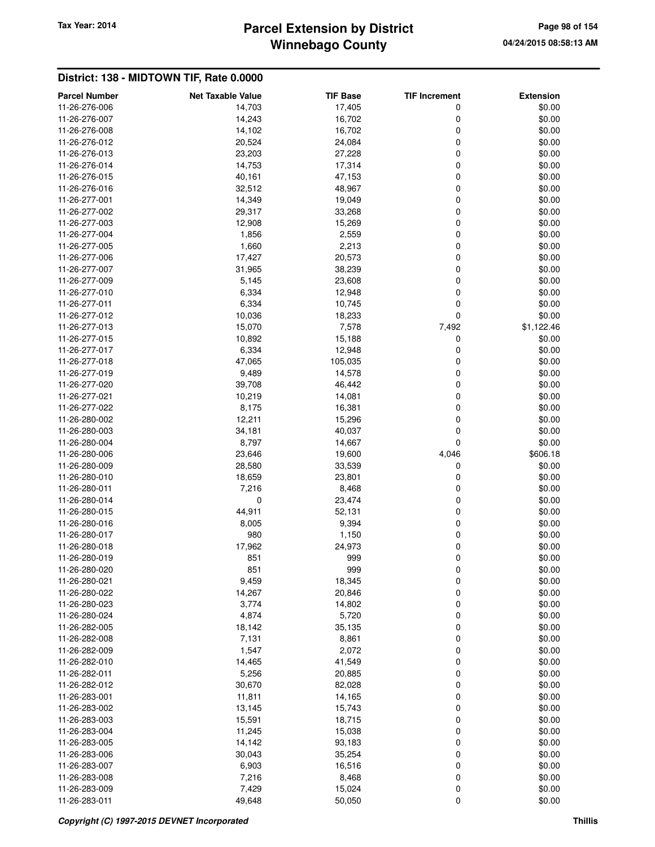# **Winnebago County** Tax Year: 2014 **Parcel Extension by District Page 98 of 154**

| <b>Parcel Number</b> | <b>Net Taxable Value</b> | <b>TIF Base</b> | <b>TIF Increment</b> | <b>Extension</b> |
|----------------------|--------------------------|-----------------|----------------------|------------------|
| 11-26-276-006        | 14,703                   | 17,405          | 0                    | \$0.00           |
| 11-26-276-007        | 14,243                   | 16,702          | 0                    | \$0.00           |
| 11-26-276-008        | 14,102                   | 16,702          | 0                    | \$0.00           |
| 11-26-276-012        | 20,524                   | 24,084          | 0                    | \$0.00           |
| 11-26-276-013        | 23,203                   | 27,228          | 0                    | \$0.00           |
| 11-26-276-014        | 14,753                   | 17,314          | 0                    | \$0.00           |
| 11-26-276-015        | 40,161                   | 47,153          | 0                    | \$0.00           |
| 11-26-276-016        | 32,512                   | 48,967          | 0                    | \$0.00           |
| 11-26-277-001        | 14,349                   | 19,049          | 0                    | \$0.00           |
| 11-26-277-002        | 29,317                   | 33,268          | 0                    | \$0.00           |
| 11-26-277-003        | 12,908                   | 15,269          | 0                    | \$0.00           |
| 11-26-277-004        | 1,856                    | 2,559           | 0                    | \$0.00           |
| 11-26-277-005        | 1,660                    | 2,213           | 0                    | \$0.00           |
| 11-26-277-006        | 17,427                   | 20,573          | 0                    | \$0.00           |
| 11-26-277-007        | 31,965                   | 38,239          | 0                    | \$0.00           |
| 11-26-277-009        | 5,145                    | 23,608          | 0                    | \$0.00           |
| 11-26-277-010        | 6,334                    | 12,948          | 0                    | \$0.00           |
| 11-26-277-011        | 6,334                    | 10,745          | 0                    | \$0.00           |
| 11-26-277-012        | 10,036                   | 18,233          | 0                    | \$0.00           |
| 11-26-277-013        | 15,070                   | 7,578           | 7,492                | \$1,122.46       |
| 11-26-277-015        | 10,892                   | 15,188          | 0                    | \$0.00           |
| 11-26-277-017        | 6,334                    | 12,948          | 0                    | \$0.00           |
| 11-26-277-018        | 47,065                   | 105,035         | 0                    | \$0.00           |
| 11-26-277-019        | 9,489                    | 14,578          | 0                    | \$0.00           |
| 11-26-277-020        | 39,708                   | 46,442          | 0                    | \$0.00           |
| 11-26-277-021        | 10,219                   | 14,081          | 0                    | \$0.00           |
| 11-26-277-022        | 8,175                    | 16,381          | 0                    | \$0.00           |
| 11-26-280-002        | 12,211                   | 15,296          | 0                    | \$0.00           |
| 11-26-280-003        | 34,181                   | 40,037          | 0                    | \$0.00           |
| 11-26-280-004        | 8,797                    | 14,667          | $\mathbf 0$          | \$0.00           |
| 11-26-280-006        | 23,646                   | 19,600          | 4,046                | \$606.18         |
| 11-26-280-009        | 28,580                   | 33,539          | 0                    | \$0.00           |
| 11-26-280-010        | 18,659                   | 23,801          | 0                    | \$0.00           |
| 11-26-280-011        | 7,216                    | 8,468           | 0                    | \$0.00           |
| 11-26-280-014        | 0                        | 23,474          | 0                    | \$0.00           |
| 11-26-280-015        | 44,911                   | 52,131          | 0                    | \$0.00           |
| 11-26-280-016        | 8,005                    | 9,394           | 0                    | \$0.00           |
| 11-26-280-017        | 980                      | 1,150           | 0                    | \$0.00           |
| 11-26-280-018        | 17,962                   | 24,973          | 0                    | \$0.00           |
| 11-26-280-019        | 851                      | 999             | 0                    | \$0.00           |
| 11-26-280-020        | 851                      | 999             | 0                    | \$0.00           |
| 11-26-280-021        | 9,459                    | 18,345          | 0                    | \$0.00           |
| 11-26-280-022        | 14,267                   | 20,846          | 0                    | \$0.00           |
| 11-26-280-023        | 3,774                    | 14,802          | 0                    | \$0.00           |
| 11-26-280-024        | 4,874                    | 5,720           | 0                    | \$0.00           |
| 11-26-282-005        | 18,142                   | 35,135          | $\mathbf 0$          | \$0.00           |
| 11-26-282-008        | 7,131                    | 8,861           | 0                    | \$0.00           |
| 11-26-282-009        | 1,547                    | 2,072           | 0                    | \$0.00           |
| 11-26-282-010        | 14,465                   | 41,549          | 0                    | \$0.00           |
| 11-26-282-011        | 5,256                    | 20,885          | 0                    | \$0.00           |
| 11-26-282-012        | 30,670                   | 82,028          | $\mathbf 0$          | \$0.00           |
| 11-26-283-001        | 11,811                   | 14,165          | 0                    | \$0.00           |
| 11-26-283-002        | 13,145                   | 15,743          | $\mathbf 0$          | \$0.00           |
| 11-26-283-003        | 15,591                   | 18,715          | 0                    | \$0.00           |
| 11-26-283-004        | 11,245                   | 15,038          | $\mathbf 0$          | \$0.00           |
| 11-26-283-005        | 14,142                   | 93,183          | $\mathbf 0$          | \$0.00           |
| 11-26-283-006        | 30,043                   | 35,254          | 0                    | \$0.00           |
| 11-26-283-007        | 6,903                    | 16,516          | $\mathbf 0$          | \$0.00           |
| 11-26-283-008        | 7,216                    | 8,468           | 0                    | \$0.00           |
| 11-26-283-009        | 7,429                    | 15,024          | 0                    | \$0.00           |
| 11-26-283-011        | 49,648                   | 50,050          | 0                    | \$0.00           |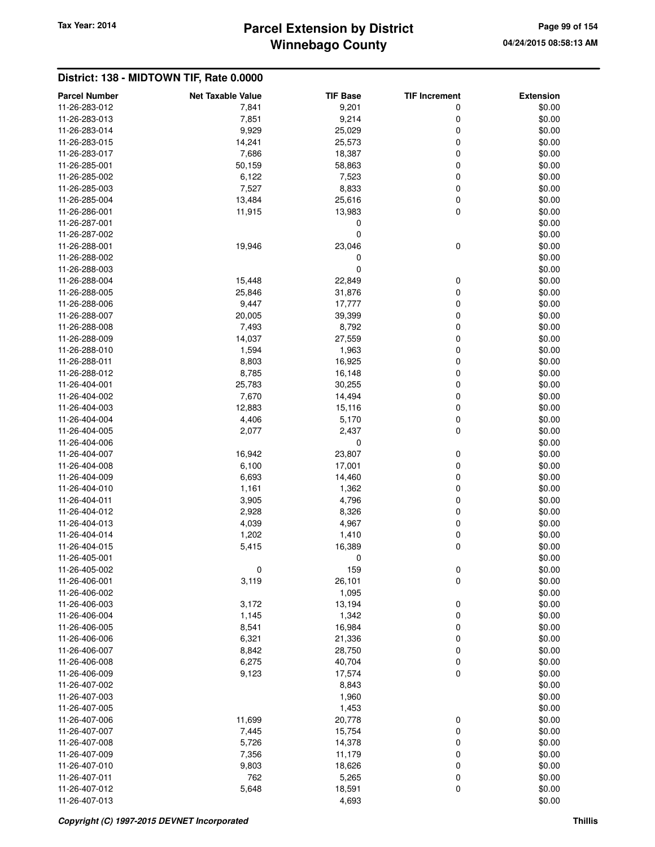# **Winnebago County** Tax Year: 2014 **Parcel Extension by District Page 99 of 154**

| <b>Parcel Number</b> | <b>Net Taxable Value</b> | <b>TIF Base</b> | <b>TIF Increment</b> | <b>Extension</b> |
|----------------------|--------------------------|-----------------|----------------------|------------------|
| 11-26-283-012        | 7,841                    | 9,201           | 0                    | \$0.00           |
| 11-26-283-013        | 7,851                    | 9,214           | 0                    | \$0.00           |
| 11-26-283-014        | 9,929                    | 25,029          | 0                    | \$0.00           |
| 11-26-283-015        | 14,241                   | 25,573          | 0                    | \$0.00           |
| 11-26-283-017        | 7,686                    | 18,387          | 0                    | \$0.00           |
| 11-26-285-001        | 50,159                   | 58,863          | 0                    | \$0.00           |
| 11-26-285-002        | 6,122                    | 7,523           | 0                    | \$0.00           |
| 11-26-285-003        | 7,527                    | 8,833           | 0                    | \$0.00           |
| 11-26-285-004        | 13,484                   | 25,616          | 0                    | \$0.00           |
| 11-26-286-001        | 11,915                   | 13,983          | 0                    | \$0.00           |
| 11-26-287-001        |                          | 0               |                      | \$0.00           |
| 11-26-287-002        |                          | $\mathbf 0$     |                      | \$0.00           |
| 11-26-288-001        | 19,946                   | 23,046          | 0                    | \$0.00           |
| 11-26-288-002        |                          | 0               |                      | \$0.00           |
|                      |                          | $\mathbf 0$     |                      | \$0.00           |
| 11-26-288-003        |                          |                 |                      |                  |
| 11-26-288-004        | 15,448                   | 22,849          | 0                    | \$0.00           |
| 11-26-288-005        | 25,846                   | 31,876          | 0                    | \$0.00           |
| 11-26-288-006        | 9,447                    | 17,777          | 0                    | \$0.00           |
| 11-26-288-007        | 20,005                   | 39,399          | 0                    | \$0.00           |
| 11-26-288-008        | 7,493                    | 8,792           | 0                    | \$0.00           |
| 11-26-288-009        | 14,037                   | 27,559          | 0                    | \$0.00           |
| 11-26-288-010        | 1,594                    | 1,963           | 0                    | \$0.00           |
| 11-26-288-011        | 8,803                    | 16,925          | 0                    | \$0.00           |
| 11-26-288-012        | 8,785                    | 16,148          | 0                    | \$0.00           |
| 11-26-404-001        | 25,783                   | 30,255          | 0                    | \$0.00           |
| 11-26-404-002        | 7,670                    | 14,494          | 0                    | \$0.00           |
| 11-26-404-003        | 12,883                   | 15,116          | 0                    | \$0.00           |
| 11-26-404-004        | 4,406                    | 5,170           | 0                    | \$0.00           |
| 11-26-404-005        | 2,077                    | 2,437           | 0                    | \$0.00           |
| 11-26-404-006        |                          | 0               |                      | \$0.00           |
| 11-26-404-007        | 16,942                   | 23,807          | 0                    | \$0.00           |
| 11-26-404-008        | 6,100                    | 17,001          | 0                    | \$0.00           |
| 11-26-404-009        | 6,693                    | 14,460          | 0                    | \$0.00           |
| 11-26-404-010        | 1,161                    | 1,362           | 0                    | \$0.00           |
| 11-26-404-011        | 3,905                    | 4,796           | 0                    | \$0.00           |
| 11-26-404-012        | 2,928                    | 8,326           | 0                    | \$0.00           |
| 11-26-404-013        | 4,039                    | 4,967           | 0                    | \$0.00           |
| 11-26-404-014        | 1,202                    | 1,410           | 0                    | \$0.00           |
| 11-26-404-015        | 5,415                    | 16,389          | 0                    | \$0.00           |
| 11-26-405-001        |                          | 0               |                      | \$0.00           |
| 11-26-405-002        | $\mathbf 0$              | 159             | 0                    | \$0.00           |
| 11-26-406-001        | 3,119                    | 26,101          | 0                    | \$0.00           |
| 11-26-406-002        |                          | 1,095           |                      | \$0.00           |
| 11-26-406-003        | 3,172                    | 13,194          | 0                    | \$0.00           |
|                      |                          |                 |                      |                  |
| 11-26-406-004        | 1,145                    | 1,342           | 0                    | \$0.00           |
| 11-26-406-005        | 8,541                    | 16,984          | 0                    | \$0.00           |
| 11-26-406-006        | 6,321                    | 21,336          | 0                    | \$0.00           |
| 11-26-406-007        | 8,842                    | 28,750          | 0                    | \$0.00           |
| 11-26-406-008        | 6,275                    | 40,704          | 0                    | \$0.00           |
| 11-26-406-009        | 9,123                    | 17,574          | 0                    | \$0.00           |
| 11-26-407-002        |                          | 8,843           |                      | \$0.00           |
| 11-26-407-003        |                          | 1,960           |                      | \$0.00           |
| 11-26-407-005        |                          | 1,453           |                      | \$0.00           |
| 11-26-407-006        | 11,699                   | 20,778          | 0                    | \$0.00           |
| 11-26-407-007        | 7,445                    | 15,754          | 0                    | \$0.00           |
| 11-26-407-008        | 5,726                    | 14,378          | 0                    | \$0.00           |
| 11-26-407-009        | 7,356                    | 11,179          | 0                    | \$0.00           |
| 11-26-407-010        | 9,803                    | 18,626          | 0                    | \$0.00           |
| 11-26-407-011        | 762                      | 5,265           | 0                    | \$0.00           |
| 11-26-407-012        | 5,648                    | 18,591          | 0                    | \$0.00           |
| 11-26-407-013        |                          | 4,693           |                      | \$0.00           |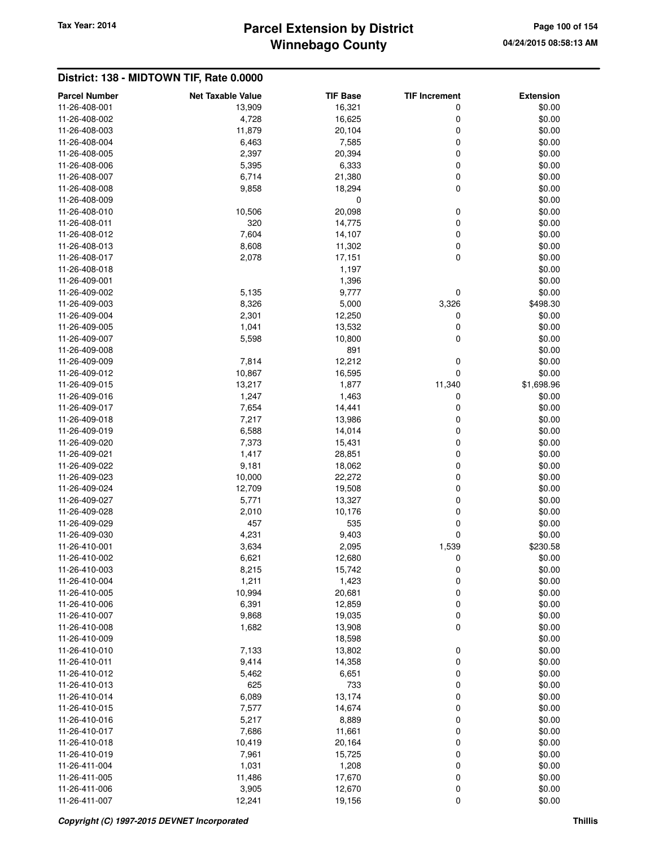# **Winnebago County** Tax Year: 2014 **Parcel Extension by District Page 100 of 154** Page 100 of 154

| <b>Parcel Number</b> | <b>Net Taxable Value</b> | <b>TIF Base</b> | <b>TIF Increment</b> | <b>Extension</b> |
|----------------------|--------------------------|-----------------|----------------------|------------------|
| 11-26-408-001        | 13,909                   | 16,321          | 0                    | \$0.00           |
| 11-26-408-002        | 4,728                    | 16,625          | 0                    | \$0.00           |
| 11-26-408-003        | 11,879                   | 20,104          | 0                    | \$0.00           |
| 11-26-408-004        | 6,463                    | 7,585           | 0                    | \$0.00           |
| 11-26-408-005        | 2,397                    | 20,394          | 0                    | \$0.00           |
| 11-26-408-006        | 5,395                    | 6,333           | 0                    | \$0.00           |
| 11-26-408-007        | 6,714                    | 21,380          | 0                    | \$0.00           |
| 11-26-408-008        | 9,858                    | 18,294          | 0                    | \$0.00           |
| 11-26-408-009        |                          | 0               |                      | \$0.00           |
| 11-26-408-010        | 10,506                   | 20,098          | 0                    | \$0.00           |
| 11-26-408-011        | 320                      | 14,775          | 0                    | \$0.00           |
| 11-26-408-012        | 7,604                    | 14,107          | 0                    | \$0.00           |
| 11-26-408-013        | 8,608                    | 11,302          | 0                    | \$0.00           |
| 11-26-408-017        | 2,078                    | 17,151          | 0                    | \$0.00           |
| 11-26-408-018        |                          | 1,197           |                      | \$0.00           |
|                      |                          |                 |                      |                  |
| 11-26-409-001        |                          | 1,396           |                      | \$0.00           |
| 11-26-409-002        | 5,135                    | 9,777           | 0                    | \$0.00           |
| 11-26-409-003        | 8,326                    | 5,000           | 3,326                | \$498.30         |
| 11-26-409-004        | 2,301                    | 12,250          | 0                    | \$0.00           |
| 11-26-409-005        | 1,041                    | 13,532          | 0                    | \$0.00           |
| 11-26-409-007        | 5,598                    | 10,800          | 0                    | \$0.00           |
| 11-26-409-008        |                          | 891             |                      | \$0.00           |
| 11-26-409-009        | 7,814                    | 12,212          | 0                    | \$0.00           |
| 11-26-409-012        | 10,867                   | 16,595          | 0                    | \$0.00           |
| 11-26-409-015        | 13,217                   | 1,877           | 11,340               | \$1,698.96       |
| 11-26-409-016        | 1,247                    | 1,463           | 0                    | \$0.00           |
| 11-26-409-017        | 7,654                    | 14,441          | 0                    | \$0.00           |
| 11-26-409-018        | 7,217                    | 13,986          | 0                    | \$0.00           |
| 11-26-409-019        | 6,588                    | 14,014          | 0                    | \$0.00           |
| 11-26-409-020        | 7,373                    | 15,431          | 0                    | \$0.00           |
| 11-26-409-021        | 1,417                    | 28,851          | 0                    | \$0.00           |
| 11-26-409-022        | 9,181                    | 18,062          | 0                    | \$0.00           |
| 11-26-409-023        | 10,000                   | 22,272          | 0                    | \$0.00           |
| 11-26-409-024        |                          |                 | 0                    |                  |
|                      | 12,709                   | 19,508          |                      | \$0.00           |
| 11-26-409-027        | 5,771                    | 13,327          | 0                    | \$0.00           |
| 11-26-409-028        | 2,010                    | 10,176          | 0                    | \$0.00           |
| 11-26-409-029        | 457                      | 535             | $\mathbf 0$          | \$0.00           |
| 11-26-409-030        | 4,231                    | 9,403           | 0                    | \$0.00           |
| 11-26-410-001        | 3,634                    | 2,095           | 1,539                | \$230.58         |
| 11-26-410-002        | 6,621                    | 12,680          | 0                    | \$0.00           |
| 11-26-410-003        | 8,215                    | 15,742          | 0                    | \$0.00           |
| 11-26-410-004        | 1,211                    | 1,423           | 0                    | \$0.00           |
| 11-26-410-005        | 10,994                   | 20,681          | 0                    | \$0.00           |
| 11-26-410-006        | 6,391                    | 12,859          | 0                    | \$0.00           |
| 11-26-410-007        | 9,868                    | 19,035          | 0                    | \$0.00           |
| 11-26-410-008        | 1,682                    | 13,908          | 0                    | \$0.00           |
| 11-26-410-009        |                          | 18,598          |                      | \$0.00           |
| 11-26-410-010        | 7,133                    | 13,802          | 0                    | \$0.00           |
| 11-26-410-011        | 9,414                    | 14,358          | 0                    | \$0.00           |
| 11-26-410-012        | 5,462                    | 6,651           | 0                    | \$0.00           |
| 11-26-410-013        | 625                      | 733             | 0                    | \$0.00           |
| 11-26-410-014        | 6,089                    | 13,174          | 0                    | \$0.00           |
| 11-26-410-015        | 7,577                    | 14,674          | 0                    | \$0.00           |
| 11-26-410-016        | 5,217                    | 8,889           | 0                    | \$0.00           |
| 11-26-410-017        | 7,686                    | 11,661          | 0                    | \$0.00           |
|                      |                          |                 |                      |                  |
| 11-26-410-018        | 10,419                   | 20,164          | 0                    | \$0.00           |
| 11-26-410-019        | 7,961                    | 15,725          | 0                    | \$0.00           |
| 11-26-411-004        | 1,031                    | 1,208           | 0                    | \$0.00           |
| 11-26-411-005        | 11,486                   | 17,670          | 0                    | \$0.00           |
| 11-26-411-006        | 3,905                    | 12,670          | $\pmb{0}$            | \$0.00           |
| 11-26-411-007        | 12,241                   | 19,156          | 0                    | \$0.00           |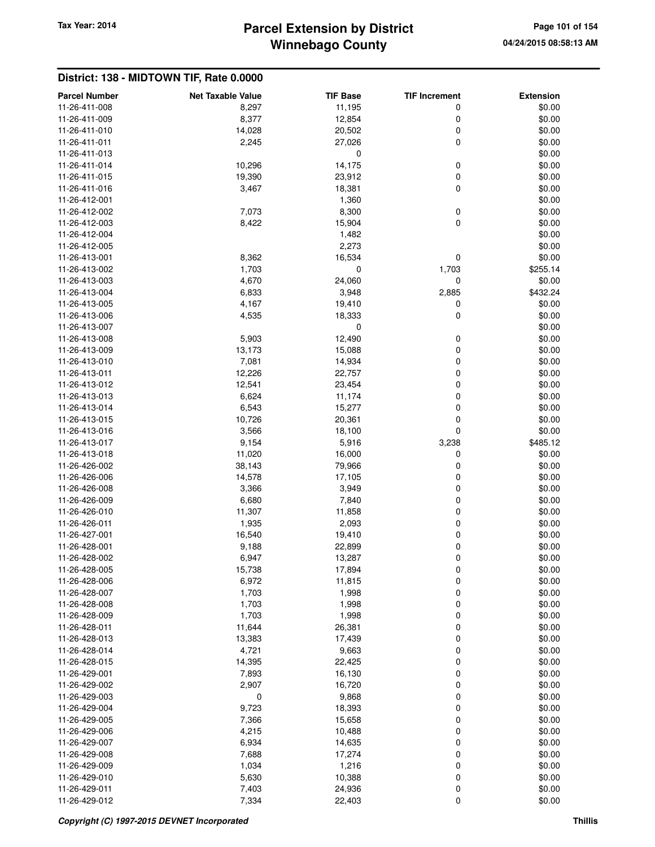**District: 138 - MIDTOWN TIF, Rate 0.0000**

## **Winnebago County Parcel Extension by District Tax Year: 2014 Page 101 of 154**

#### **Parcel Number Net Taxable Value TIF Base TIF Increment Extension** 11-26-411-008 8,297 11,195 0 \$0.00 11-26-411-009 8,377 12,854 0 \$0.00 11-26-411-010 14,028 20,502 0 \$0.00 11-26-411-011 2,245 27,026 0 \$0.00  $11-26-411-013$  \$0.00 11-26-411-014 **10,296 14,175** 0 \$0.00 11-26-411-015 19,390 23,912 0 \$0.00 11-26-411-016 3,467 18,381 0 \$0.00 11-26-412-001 \$0.00 \$0.00 \$0.00 \$0.00 \$0.00 \$0.00 \$0.00 \$0.00 \$0.00 \$0.00 \$0.00 \$0.00 \$0.00 \$0.00 \$0.00 \$0.00 \$0.00 \$0.00 \$0.00 \$0.00 \$0.00 \$0.00 \$0.00 \$0.00 \$0.00 \$0.00 \$0.00 \$0.00 \$0.00 \$0.00 \$0.00 \$0.00 \$0.00 \$0.00 \$0.0 11-26-412-002 7,073 8,300 0 \$0.00 11-26-412-003 8,422 15,904 0 \$0.00 11-26-412-004 1,482 \$0.00 11-26-412-005 2,273 \$0.00 11-26-413-001 8,362 16,534 0 \$0.00 11-26-413-002 1,703 0 1,703 \$255.14 11-26-413-003 4,670 24,060 0 \$0.00 11-26-413-004 6,833 3,948 2,885 \$432.24 11-26-413-005 4,167 19,410 0 \$0.00 11-26-413-006 4,535 18,333 0 \$0.00 11-26-413-007 0 \$0.00 11-26-413-008 5,903 12,490 0 \$0.00 11-26-413-009 13,173 15,088 0 \$0.00 11-26-413-010 7,081 14,934 0 \$0.00 11-26-413-011 12,226 22,757 0 \$0.00 11-26-413-012 12,541 23,454 0 \$0.00 11-26-413-013 6,624 11,174 0 \$0.00 11-26-413-014 6,543 15,277 0 \$0.00 11-26-413-015 10,726 20,361 0 \$0.00 11-26-413-016 3,566 18,100 0 \$0.00 11-26-413-017 9,154 5,916 3,238 \$485.12 11-26-413-018 11,020 16,000 0 \$0.00 11-26-426-002 38,143 79,966 0 \$0.00 11-26-426-006 14,578 17,105 0 \$0.00 11-26-426-008 3,366 3,949 0 \$0.00 11-26-426-009 6,680 7,840 0 \$0.00 11-26-426-010 11,307 11,858 0 \$0.00 11-26-426-011 1,935 2,093 0 \$0.00 11-26-427-001 16,540 19,410 0 \$0.00 11-26-428-001 9,188 22,899 0 \$0.00 11-26-428-002 6,947 6,947 13,287 0 \$0.00 11-26-428-005 15,738 17,894 0 \$0.00 11-26-428-006 6,972 11,815 0 \$0.00 11-26-428-007 1,703 1,998 0 \$0.00 11-26-428-008 1,703 1,998 0 \$0.00 11-26-428-009 1,703 1,998 0 \$0.00 11-26-428-011 11,644 26,381 0 \$0.00 11-26-428-013 13,383 17,439 0 \$0.00 11-26-428-014 4,721 9,663 0 \$0.00 11-26-428-015 14,395 22,425 0 \$0.00 11-26-429-001 7,893 16,130 0 \$0.00 11-26-429-002 2,907 16,720 0 \$0.00 11-26-429-003 0 9,868 0 \$0.00 11-26-429-004 9,723 18,393 0 \$0.00 11-26-429-005 7,366 15,658 0 \$0.00 11-26-429-006 4,215 10,488 0 \$0.00 11-26-429-007 6,934 6,934 14,635 0 60.00 11-26-429-008 7,688 17,274 0 \$0.00 11-26-429-009 1,034 1,216 0 \$0.00 11-26-429-010 5,630 10,388 0 \$0.00 11-26-429-011 7,403 24,936 0 \$0.00 11-26-429-012 7,334 22,403 0 \$0.00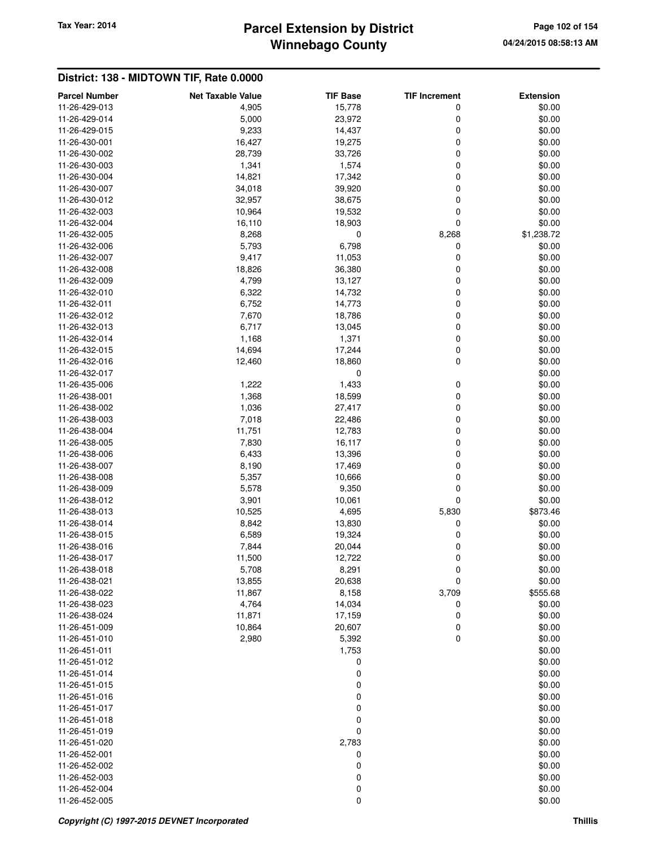# **Winnebago County** Tax Year: 2014 **Parcel Extension by District Page 102 of 154** Page 102 of 154

| <b>Parcel Number</b>           | <b>Net Taxable Value</b> | <b>TIF Base</b>  | <b>TIF Increment</b> | <b>Extension</b> |
|--------------------------------|--------------------------|------------------|----------------------|------------------|
| 11-26-429-013                  | 4,905                    | 15,778           | 0                    | \$0.00           |
| 11-26-429-014                  | 5,000                    | 23,972           | 0                    | \$0.00           |
| 11-26-429-015                  | 9,233                    | 14,437           | $\mathbf 0$          | \$0.00           |
| 11-26-430-001                  | 16,427                   | 19,275           | $\mathbf 0$          | \$0.00           |
| 11-26-430-002                  | 28,739                   | 33,726           | 0                    | \$0.00           |
| 11-26-430-003                  | 1,341                    | 1,574            | $\mathbf 0$          | \$0.00           |
| 11-26-430-004                  | 14,821                   | 17,342           | $\mathbf 0$          | \$0.00           |
| 11-26-430-007                  | 34,018                   | 39,920           | $\mathbf 0$          | \$0.00           |
| 11-26-430-012                  | 32,957                   | 38,675           | $\mathbf 0$          | \$0.00           |
| 11-26-432-003                  | 10,964                   | 19,532           | 0                    | \$0.00           |
| 11-26-432-004                  | 16,110                   | 18,903           | $\mathbf 0$          | \$0.00           |
| 11-26-432-005                  | 8,268                    | 0                | 8,268                | \$1,238.72       |
| 11-26-432-006                  | 5,793                    | 6,798            | 0                    | \$0.00           |
| 11-26-432-007                  | 9,417                    | 11,053           | $\mathbf 0$          | \$0.00           |
| 11-26-432-008                  | 18,826                   | 36,380           | 0                    | \$0.00           |
| 11-26-432-009                  | 4,799                    | 13,127           | 0                    | \$0.00           |
| 11-26-432-010                  | 6,322                    | 14,732           | $\mathbf 0$          | \$0.00           |
| 11-26-432-011                  | 6,752                    | 14,773           | $\mathbf 0$          | \$0.00           |
| 11-26-432-012                  | 7,670                    | 18,786           | 0                    | \$0.00           |
| 11-26-432-013                  | 6,717                    | 13,045           | 0                    | \$0.00           |
| 11-26-432-014                  | 1,168                    | 1,371            | $\mathbf 0$          | \$0.00           |
| 11-26-432-015                  | 14,694                   | 17,244           | $\mathbf 0$          | \$0.00           |
| 11-26-432-016                  | 12,460                   | 18,860           | $\mathbf 0$          | \$0.00           |
| 11-26-432-017                  |                          | $\mathbf 0$      |                      | \$0.00           |
| 11-26-435-006                  | 1,222                    | 1,433            | 0                    | \$0.00           |
| 11-26-438-001                  | 1,368                    | 18,599           | $\mathbf 0$          | \$0.00           |
| 11-26-438-002                  | 1,036                    | 27,417           | $\mathbf 0$          | \$0.00           |
| 11-26-438-003                  | 7,018                    | 22,486           | $\mathbf 0$          | \$0.00           |
| 11-26-438-004                  | 11,751                   | 12,783           | 0                    | \$0.00           |
| 11-26-438-005                  | 7,830                    | 16,117           | 0                    | \$0.00           |
| 11-26-438-006                  | 6,433                    | 13,396           | $\mathbf 0$          | \$0.00           |
| 11-26-438-007                  | 8,190                    | 17,469           | $\mathbf 0$          | \$0.00           |
| 11-26-438-008                  | 5,357                    | 10,666           | $\mathbf 0$          | \$0.00           |
| 11-26-438-009                  | 5,578                    | 9,350            | $\mathbf 0$          | \$0.00           |
| 11-26-438-012                  | 3,901                    | 10,061           | $\mathbf 0$          | \$0.00           |
| 11-26-438-013                  | 10,525                   | 4,695            | 5,830                | \$873.46         |
| 11-26-438-014                  | 8,842                    | 13,830           | 0                    | \$0.00           |
| 11-26-438-015                  | 6,589                    | 19,324           | 0                    | \$0.00           |
| 11-26-438-016                  | 7,844                    | 20,044           | 0                    | \$0.00           |
| 11-26-438-017                  | 11,500                   | 12,722           | $\mathbf 0$          | \$0.00           |
| 11-26-438-018                  | 5,708                    | 8,291            | 0                    | \$0.00           |
| 11-26-438-021                  | 13,855                   | 20,638           | $\mathbf 0$          | \$0.00           |
| 11-26-438-022                  | 11,867                   | 8,158            | 3,709                | \$555.68         |
| 11-26-438-023                  | 4,764                    | 14,034           | 0                    | \$0.00           |
| 11-26-438-024                  | 11,871                   | 17,159           | 0                    | \$0.00           |
| 11-26-451-009                  | 10,864                   | 20,607           | 0                    | \$0.00           |
| 11-26-451-010                  | 2,980                    | 5,392            | $\mathbf 0$          | \$0.00           |
| 11-26-451-011                  |                          | 1,753            |                      | \$0.00           |
| 11-26-451-012                  |                          | 0                |                      | \$0.00           |
| 11-26-451-014                  |                          | 0                |                      | \$0.00           |
| 11-26-451-015                  |                          | $\mathbf 0$      |                      | \$0.00           |
| 11-26-451-016                  |                          | $\mathbf 0$      |                      | \$0.00           |
| 11-26-451-017                  |                          | $\boldsymbol{0}$ |                      | \$0.00           |
| 11-26-451-018                  |                          | 0                |                      | \$0.00           |
| 11-26-451-019                  |                          | 0                |                      | \$0.00           |
| 11-26-451-020                  |                          | 2,783            |                      | \$0.00           |
| 11-26-452-001                  |                          | 0                |                      | \$0.00           |
| 11-26-452-002                  |                          | $\boldsymbol{0}$ |                      | \$0.00           |
| 11-26-452-003                  |                          | 0                |                      | \$0.00           |
| 11-26-452-004<br>11-26-452-005 |                          | 0<br>0           |                      | \$0.00<br>\$0.00 |
|                                |                          |                  |                      |                  |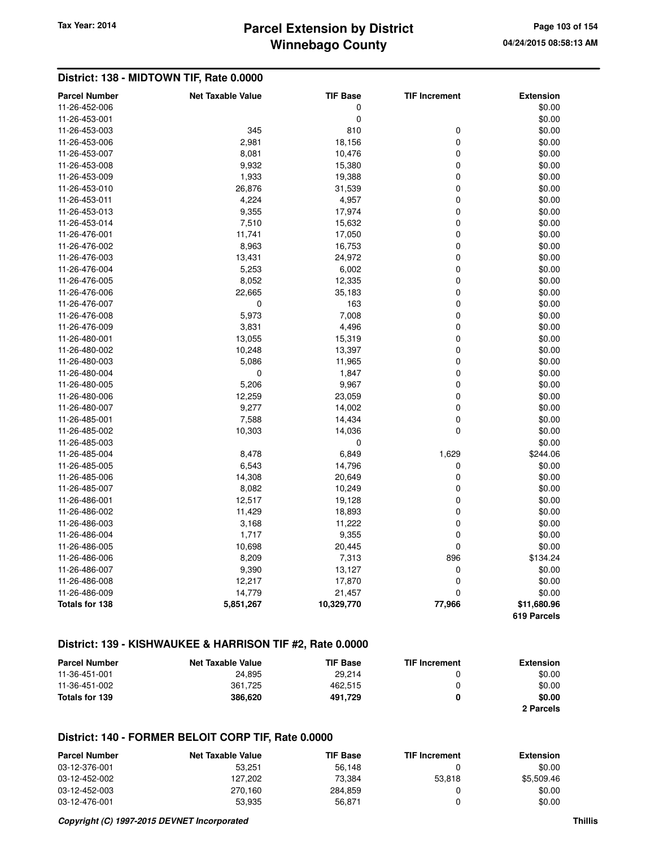## **Winnebago County Parcel Extension by District Tax Year: 2014 Page 103 of 154**

### **District: 138 - MIDTOWN TIF, Rate 0.0000**

| <b>Parcel Number</b>  | <b>Net Taxable Value</b> | <b>TIF Base</b> | <b>TIF Increment</b> | <b>Extension</b>           |
|-----------------------|--------------------------|-----------------|----------------------|----------------------------|
| 11-26-452-006         |                          | 0               |                      | \$0.00                     |
| 11-26-453-001         |                          | 0               |                      | \$0.00                     |
| 11-26-453-003         | 345                      | 810             | $\mathbf 0$          | \$0.00                     |
| 11-26-453-006         | 2,981                    | 18,156          | 0                    | \$0.00                     |
| 11-26-453-007         | 8,081                    | 10,476          | 0                    | \$0.00                     |
| 11-26-453-008         | 9,932                    | 15,380          | 0                    | \$0.00                     |
| 11-26-453-009         | 1,933                    | 19,388          | 0                    | \$0.00                     |
| 11-26-453-010         | 26,876                   | 31,539          | 0                    | \$0.00                     |
| 11-26-453-011         | 4,224                    | 4,957           | 0                    | \$0.00                     |
| 11-26-453-013         | 9,355                    | 17,974          | 0                    | \$0.00                     |
| 11-26-453-014         | 7,510                    | 15,632          | 0                    | \$0.00                     |
| 11-26-476-001         | 11,741                   | 17,050          | 0                    | \$0.00                     |
| 11-26-476-002         | 8,963                    | 16,753          | 0                    | \$0.00                     |
| 11-26-476-003         | 13,431                   | 24,972          | 0                    | \$0.00                     |
| 11-26-476-004         | 5,253                    | 6,002           | 0                    | \$0.00                     |
| 11-26-476-005         | 8,052                    | 12,335          | 0                    | \$0.00                     |
| 11-26-476-006         | 22,665                   | 35,183          | 0                    | \$0.00                     |
| 11-26-476-007         | $\mathbf 0$              | 163             | 0                    | \$0.00                     |
| 11-26-476-008         | 5,973                    | 7,008           | 0                    | \$0.00                     |
| 11-26-476-009         | 3,831                    | 4,496           | 0                    | \$0.00                     |
| 11-26-480-001         | 13,055                   | 15,319          | 0                    | \$0.00                     |
| 11-26-480-002         | 10,248                   | 13,397          | 0                    | \$0.00                     |
| 11-26-480-003         | 5,086                    | 11,965          | 0                    | \$0.00                     |
| 11-26-480-004         | 0                        | 1,847           | 0                    | \$0.00                     |
| 11-26-480-005         | 5,206                    | 9,967           | 0                    | \$0.00                     |
| 11-26-480-006         | 12,259                   | 23,059          | 0                    | \$0.00                     |
| 11-26-480-007         | 9,277                    | 14,002          | 0                    | \$0.00                     |
| 11-26-485-001         | 7,588                    | 14,434          | 0                    | \$0.00                     |
| 11-26-485-002         | 10,303                   | 14,036          | $\mathbf 0$          | \$0.00                     |
| 11-26-485-003         |                          | 0               |                      | \$0.00                     |
| 11-26-485-004         | 8,478                    | 6,849           | 1,629                | \$244.06                   |
| 11-26-485-005         | 6,543                    | 14,796          | 0                    | \$0.00                     |
| 11-26-485-006         | 14,308                   | 20,649          | 0                    | \$0.00                     |
| 11-26-485-007         | 8,082                    | 10,249          | 0                    | \$0.00                     |
| 11-26-486-001         | 12,517                   | 19,128          | 0                    | \$0.00                     |
| 11-26-486-002         | 11,429                   | 18,893          | 0                    | \$0.00                     |
| 11-26-486-003         | 3,168                    | 11,222          | 0                    | \$0.00                     |
| 11-26-486-004         | 1,717                    | 9,355           | 0                    | \$0.00                     |
| 11-26-486-005         | 10,698                   | 20,445          | 0                    | \$0.00                     |
| 11-26-486-006         | 8,209                    | 7,313           | 896                  | \$134.24                   |
| 11-26-486-007         | 9,390                    | 13,127          | 0                    | \$0.00                     |
| 11-26-486-008         | 12,217                   | 17,870          | $\mathbf 0$          | \$0.00                     |
| 11-26-486-009         | 14,779                   | 21,457          | 0                    | \$0.00                     |
| <b>Totals for 138</b> | 5,851,267                | 10,329,770      | 77,966               | \$11,680.96<br>619 Parcels |

### **District: 139 - KISHWAUKEE & HARRISON TIF #2, Rate 0.0000**

| <b>Parcel Number</b> | <b>Net Taxable Value</b> | <b>TIF Base</b> | <b>TIF Increment</b> | <b>Extension</b> |
|----------------------|--------------------------|-----------------|----------------------|------------------|
| 11-36-451-001        | 24.895                   | 29.214          |                      | \$0.00           |
| 11-36-451-002        | 361.725                  | 462.515         | n                    | \$0.00           |
| Totals for 139       | 386,620                  | 491.729         |                      | \$0.00           |
|                      |                          |                 |                      | 2 Parcels        |

### **District: 140 - FORMER BELOIT CORP TIF, Rate 0.0000**

| <b>Parcel Number</b> | Net Taxable Value | <b>TIF Base</b> | <b>TIF Increment</b> | Extension  |
|----------------------|-------------------|-----------------|----------------------|------------|
| 03-12-376-001        | 53.251            | 56.148          |                      | \$0.00     |
| 03-12-452-002        | 127.202           | 73.384          | 53.818               | \$5,509.46 |
| 03-12-452-003        | 270.160           | 284.859         |                      | \$0.00     |
| 03-12-476-001        | 53.935            | 56.871          |                      | \$0.00     |

#### **Copyright (C) 1997-2015 DEVNET Incorporated Thillis**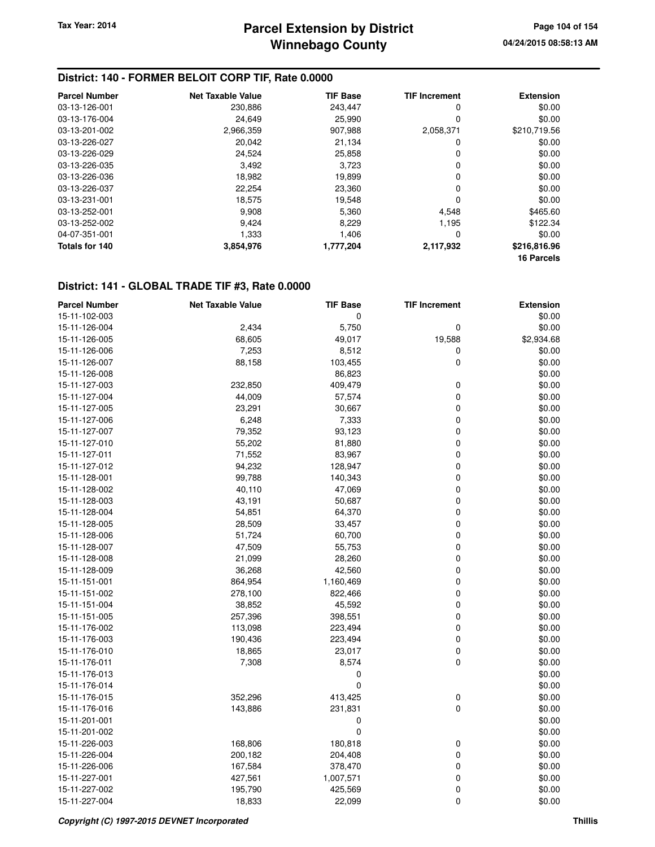### **District: 140 - FORMER BELOIT CORP TIF, Rate 0.0000**

| <b>Parcel Number</b> | Net Taxable Value | <b>TIF Base</b> | <b>TIF Increment</b> | <b>Extension</b> |
|----------------------|-------------------|-----------------|----------------------|------------------|
| 03-13-126-001        | 230,886           | 243.447         | 0                    | \$0.00           |
| 03-13-176-004        | 24,649            | 25.990          | 0                    | \$0.00           |
| 03-13-201-002        | 2,966,359         | 907,988         | 2,058,371            | \$210,719.56     |
| 03-13-226-027        | 20,042            | 21,134          | 0                    | \$0.00           |
| 03-13-226-029        | 24.524            | 25,858          | 0                    | \$0.00           |
| 03-13-226-035        | 3,492             | 3,723           | 0                    | \$0.00           |
| 03-13-226-036        | 18.982            | 19.899          | 0                    | \$0.00           |
| 03-13-226-037        | 22,254            | 23,360          | 0                    | \$0.00           |
| 03-13-231-001        | 18,575            | 19,548          | 0                    | \$0.00           |
| 03-13-252-001        | 9,908             | 5,360           | 4,548                | \$465.60         |
| 03-13-252-002        | 9.424             | 8.229           | 1.195                | \$122.34         |
| 04-07-351-001        | 1,333             | 1.406           | 0                    | \$0.00           |
| Totals for 140       | 3,854,976         | 1,777,204       | 2,117,932            | \$216,816.96     |
|                      |                   |                 |                      | 16 Parcels       |

### **District: 141 - GLOBAL TRADE TIF #3, Rate 0.0000**

| <b>Parcel Number</b> | <b>Net Taxable Value</b> | <b>TIF Base</b> | <b>TIF Increment</b> | <b>Extension</b> |
|----------------------|--------------------------|-----------------|----------------------|------------------|
| 15-11-102-003        |                          | 0               |                      | \$0.00           |
| 15-11-126-004        | 2,434                    | 5,750           | 0                    | \$0.00           |
| 15-11-126-005        | 68,605                   | 49,017          | 19,588               | \$2,934.68       |
| 15-11-126-006        | 7,253                    | 8,512           | 0                    | \$0.00           |
| 15-11-126-007        | 88,158                   | 103,455         | 0                    | \$0.00           |
| 15-11-126-008        |                          | 86,823          |                      | \$0.00           |
| 15-11-127-003        | 232,850                  | 409,479         | 0                    | \$0.00           |
| 15-11-127-004        | 44,009                   | 57,574          | 0                    | \$0.00           |
| 15-11-127-005        | 23,291                   | 30,667          | 0                    | \$0.00           |
| 15-11-127-006        | 6,248                    | 7,333           | 0                    | \$0.00           |
| 15-11-127-007        | 79,352                   | 93,123          | 0                    | \$0.00           |
| 15-11-127-010        | 55,202                   | 81,880          | 0                    | \$0.00           |
| 15-11-127-011        | 71,552                   | 83,967          | 0                    | \$0.00           |
| 15-11-127-012        | 94,232                   | 128,947         | 0                    | \$0.00           |
| 15-11-128-001        | 99,788                   | 140,343         | 0                    | \$0.00           |
| 15-11-128-002        | 40,110                   | 47,069          | 0                    | \$0.00           |
| 15-11-128-003        | 43,191                   | 50,687          | 0                    | \$0.00           |
| 15-11-128-004        | 54,851                   | 64,370          | 0                    | \$0.00           |
| 15-11-128-005        | 28,509                   | 33,457          | 0                    | \$0.00           |
| 15-11-128-006        | 51,724                   | 60,700          | 0                    | \$0.00           |
| 15-11-128-007        | 47,509                   | 55,753          | 0                    | \$0.00           |
| 15-11-128-008        | 21,099                   | 28,260          | 0                    | \$0.00           |
| 15-11-128-009        | 36,268                   | 42,560          | 0                    | \$0.00           |
| 15-11-151-001        | 864,954                  | 1,160,469       | 0                    | \$0.00           |
| 15-11-151-002        | 278,100                  | 822,466         | 0                    | \$0.00           |
| 15-11-151-004        | 38,852                   | 45,592          | 0                    | \$0.00           |
| 15-11-151-005        | 257,396                  | 398,551         | 0                    | \$0.00           |
| 15-11-176-002        | 113,098                  | 223,494         | 0                    | \$0.00           |
| 15-11-176-003        | 190,436                  | 223,494         | 0                    | \$0.00           |
| 15-11-176-010        | 18,865                   | 23,017          | 0                    | \$0.00           |
| 15-11-176-011        | 7,308                    | 8,574           | 0                    | \$0.00           |
| 15-11-176-013        |                          | $\mathbf 0$     |                      | \$0.00           |
| 15-11-176-014        |                          | $\mathbf 0$     |                      | \$0.00           |
| 15-11-176-015        | 352,296                  | 413,425         | 0                    | \$0.00           |
| 15-11-176-016        | 143,886                  | 231,831         | 0                    | \$0.00           |
| 15-11-201-001        |                          | $\mathbf 0$     |                      | \$0.00           |
| 15-11-201-002        |                          | $\pmb{0}$       |                      | \$0.00           |
| 15-11-226-003        | 168,806                  | 180,818         | 0                    | \$0.00           |
| 15-11-226-004        | 200,182                  | 204,408         | 0                    | \$0.00           |
| 15-11-226-006        | 167,584                  | 378,470         | 0                    | \$0.00           |
| 15-11-227-001        | 427,561                  | 1,007,571       | 0                    | \$0.00           |
| 15-11-227-002        | 195,790                  | 425,569         | 0                    | \$0.00           |
| 15-11-227-004        | 18,833                   | 22,099          | 0                    | \$0.00           |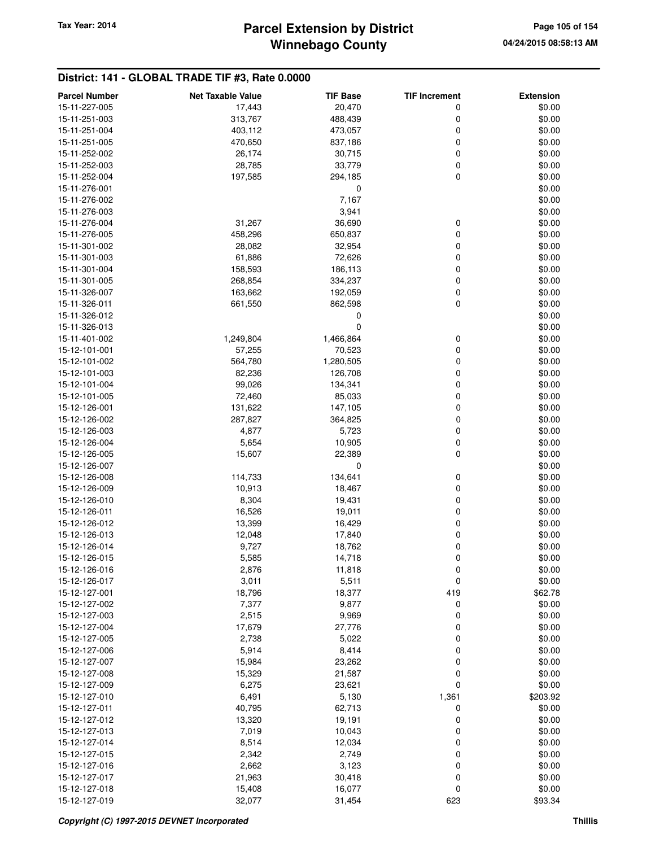## **Winnebago County Parcel Extension by District Tax Year: 2014 Page 105 of 154**

### **District: 141 - GLOBAL TRADE TIF #3, Rate 0.0000**

| <b>Parcel Number</b> | <b>Net Taxable Value</b> | <b>TIF Base</b>  | <b>TIF Increment</b> | <b>Extension</b> |
|----------------------|--------------------------|------------------|----------------------|------------------|
| 15-11-227-005        | 17,443                   | 20,470           | 0                    | \$0.00           |
| 15-11-251-003        | 313,767                  | 488,439          | 0                    | \$0.00           |
| 15-11-251-004        | 403,112                  | 473,057          | 0                    | \$0.00           |
| 15-11-251-005        | 470,650                  | 837,186          | 0                    | \$0.00           |
| 15-11-252-002        | 26,174                   | 30,715           | 0                    | \$0.00           |
| 15-11-252-003        | 28,785                   | 33,779           | 0                    | \$0.00           |
| 15-11-252-004        | 197,585                  | 294,185          | 0                    | \$0.00           |
| 15-11-276-001        |                          | 0                |                      | \$0.00           |
| 15-11-276-002        |                          | 7,167            |                      | \$0.00           |
| 15-11-276-003        |                          | 3,941            |                      | \$0.00           |
| 15-11-276-004        | 31,267                   | 36,690           | 0                    | \$0.00           |
| 15-11-276-005        | 458,296                  | 650,837          | 0                    | \$0.00           |
| 15-11-301-002        | 28,082                   | 32,954           | 0                    | \$0.00           |
| 15-11-301-003        | 61,886                   | 72,626           | 0                    | \$0.00           |
| 15-11-301-004        | 158,593                  | 186,113          | 0                    | \$0.00           |
| 15-11-301-005        | 268,854                  | 334,237          | 0                    | \$0.00           |
| 15-11-326-007        | 163,662                  | 192,059          | 0                    | \$0.00           |
| 15-11-326-011        | 661,550                  | 862,598          | 0                    | \$0.00           |
| 15-11-326-012        |                          | 0                |                      | \$0.00           |
| 15-11-326-013        |                          | 0                |                      | \$0.00           |
| 15-11-401-002        | 1,249,804                | 1,466,864        | 0                    | \$0.00           |
| 15-12-101-001        | 57,255                   | 70,523           | 0                    | \$0.00           |
| 15-12-101-002        | 564,780                  | 1,280,505        | 0                    | \$0.00           |
| 15-12-101-003        | 82,236                   | 126,708          | 0                    | \$0.00           |
| 15-12-101-004        | 99,026                   | 134,341          | 0                    | \$0.00           |
| 15-12-101-005        | 72,460                   | 85,033           | 0                    | \$0.00           |
| 15-12-126-001        | 131,622                  | 147,105          | 0                    | \$0.00           |
| 15-12-126-002        | 287,827                  | 364,825          | 0                    | \$0.00           |
| 15-12-126-003        | 4,877                    | 5,723            | 0                    | \$0.00           |
| 15-12-126-004        | 5,654                    | 10,905           | 0                    | \$0.00           |
| 15-12-126-005        | 15,607                   | 22,389           | 0                    | \$0.00           |
| 15-12-126-007        |                          | 0                |                      | \$0.00           |
| 15-12-126-008        | 114,733                  | 134,641          | 0                    | \$0.00           |
| 15-12-126-009        | 10,913                   | 18,467           | 0                    | \$0.00           |
| 15-12-126-010        | 8,304                    | 19,431           | 0                    | \$0.00           |
| 15-12-126-011        | 16,526                   | 19,011           | 0                    | \$0.00           |
| 15-12-126-012        | 13,399                   | 16,429           | 0                    | \$0.00           |
| 15-12-126-013        | 12,048                   | 17,840           | 0                    | \$0.00           |
| 15-12-126-014        | 9,727                    | 18,762           | 0                    | \$0.00           |
| 15-12-126-015        | 5,585                    | 14,718           | 0                    | \$0.00           |
| 15-12-126-016        | 2,876                    | 11,818           | 0                    | \$0.00           |
| 15-12-126-017        | 3,011                    | 5,511            | 0                    | \$0.00           |
| 15-12-127-001        | 18,796                   | 18,377           | 419                  | \$62.78          |
| 15-12-127-002        | 7,377                    | 9,877            | 0                    | \$0.00           |
| 15-12-127-003        | 2,515                    | 9,969            | 0                    | \$0.00           |
| 15-12-127-004        | 17,679                   | 27,776           | 0                    | \$0.00           |
| 15-12-127-005        | 2,738                    | 5,022            | 0                    | \$0.00           |
| 15-12-127-006        | 5,914                    | 8,414            | 0                    | \$0.00           |
| 15-12-127-007        | 15,984                   | 23,262           | 0                    | \$0.00           |
| 15-12-127-008        | 15,329                   | 21,587           | 0                    | \$0.00           |
| 15-12-127-009        | 6,275                    | 23,621           | 0                    | \$0.00           |
| 15-12-127-010        | 6,491                    | 5,130            | 1,361                | \$203.92         |
| 15-12-127-011        | 40,795                   | 62,713           | 0                    | \$0.00           |
| 15-12-127-012        | 13,320                   | 19,191           | 0                    | \$0.00           |
| 15-12-127-013        | 7,019                    | 10,043           | 0                    | \$0.00           |
| 15-12-127-014        | 8,514                    | 12,034           | 0                    | \$0.00           |
| 15-12-127-015        | 2,342                    | 2,749            | 0                    | \$0.00           |
| 15-12-127-016        |                          |                  | 0                    | \$0.00           |
| 15-12-127-017        |                          |                  |                      |                  |
|                      | 2,662                    | 3,123            |                      |                  |
| 15-12-127-018        | 21,963<br>15,408         | 30,418<br>16,077 | 0<br>0               | \$0.00<br>\$0.00 |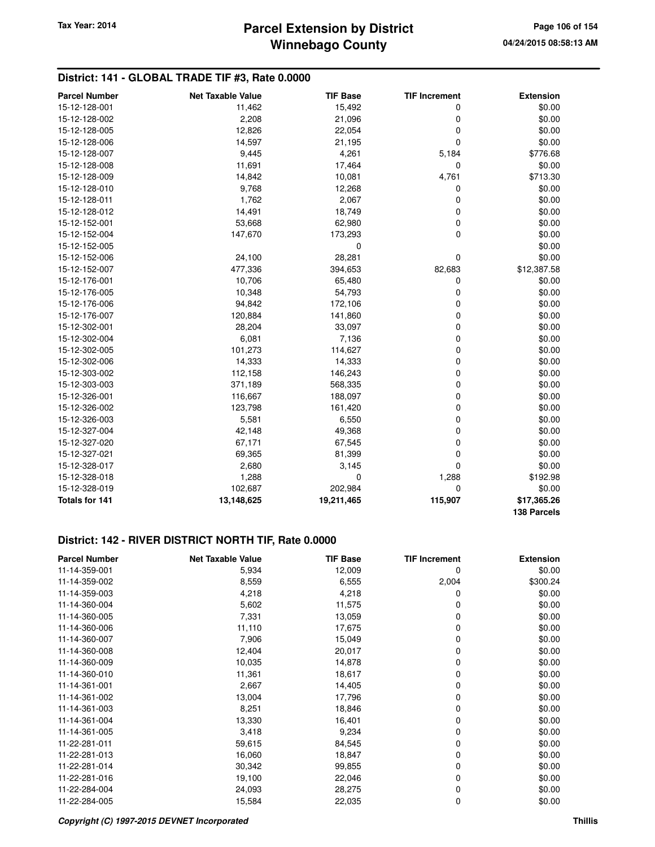## **Winnebago County Parcel Extension by District Tax Year: 2014 Page 106 of 154**

### **District: 141 - GLOBAL TRADE TIF #3, Rate 0.0000**

| <b>Parcel Number</b>  | <b>Net Taxable Value</b> | <b>TIF Base</b> | <b>TIF Increment</b> | <b>Extension</b> |
|-----------------------|--------------------------|-----------------|----------------------|------------------|
| 15-12-128-001         | 11,462                   | 15,492          | 0                    | \$0.00           |
| 15-12-128-002         | 2,208                    | 21,096          | 0                    | \$0.00           |
| 15-12-128-005         | 12,826                   | 22,054          | 0                    | \$0.00           |
| 15-12-128-006         | 14,597                   | 21,195          | 0                    | \$0.00           |
| 15-12-128-007         | 9,445                    | 4,261           | 5,184                | \$776.68         |
| 15-12-128-008         | 11,691                   | 17,464          | 0                    | \$0.00           |
| 15-12-128-009         | 14,842                   | 10,081          | 4,761                | \$713.30         |
| 15-12-128-010         | 9,768                    | 12,268          | 0                    | \$0.00           |
| 15-12-128-011         | 1,762                    | 2,067           | 0                    | \$0.00           |
| 15-12-128-012         | 14,491                   | 18,749          | 0                    | \$0.00           |
| 15-12-152-001         | 53,668                   | 62,980          | 0                    | \$0.00           |
| 15-12-152-004         | 147,670                  | 173,293         | 0                    | \$0.00           |
| 15-12-152-005         |                          | $\mathbf 0$     |                      | \$0.00           |
| 15-12-152-006         | 24,100                   | 28,281          | 0                    | \$0.00           |
| 15-12-152-007         | 477,336                  | 394,653         | 82,683               | \$12,387.58      |
| 15-12-176-001         | 10,706                   | 65,480          | 0                    | \$0.00           |
| 15-12-176-005         | 10,348                   | 54,793          | 0                    | \$0.00           |
| 15-12-176-006         | 94,842                   | 172,106         | 0                    | \$0.00           |
| 15-12-176-007         | 120,884                  | 141,860         | 0                    | \$0.00           |
| 15-12-302-001         | 28,204                   | 33,097          | 0                    | \$0.00           |
| 15-12-302-004         | 6,081                    | 7,136           | 0                    | \$0.00           |
| 15-12-302-005         | 101,273                  | 114,627         | 0                    | \$0.00           |
| 15-12-302-006         | 14,333                   | 14,333          | 0                    | \$0.00           |
| 15-12-303-002         | 112,158                  | 146,243         | 0                    | \$0.00           |
| 15-12-303-003         | 371,189                  | 568,335         | 0                    | \$0.00           |
| 15-12-326-001         | 116,667                  | 188,097         | 0                    | \$0.00           |
| 15-12-326-002         | 123,798                  | 161,420         | 0                    | \$0.00           |
| 15-12-326-003         | 5,581                    | 6,550           | 0                    | \$0.00           |
| 15-12-327-004         | 42,148                   | 49,368          | 0                    | \$0.00           |
| 15-12-327-020         | 67,171                   | 67,545          | 0                    | \$0.00           |
| 15-12-327-021         | 69,365                   | 81,399          | 0                    | \$0.00           |
| 15-12-328-017         | 2,680                    | 3,145           | 0                    | \$0.00           |
| 15-12-328-018         | 1,288                    | $\mathbf 0$     | 1,288                | \$192.98         |
| 15-12-328-019         | 102,687                  | 202,984         | 0                    | \$0.00           |
| <b>Totals for 141</b> | 13,148,625               | 19,211,465      | 115,907              | \$17,365.26      |
|                       |                          |                 |                      | 138 Parcels      |

## **District: 142 - RIVER DISTRICT NORTH TIF, Rate 0.0000**

| <b>Parcel Number</b> | <b>Net Taxable Value</b> | <b>TIF Base</b> | <b>TIF Increment</b> | <b>Extension</b> |
|----------------------|--------------------------|-----------------|----------------------|------------------|
| 11-14-359-001        | 5,934                    | 12,009          | 0                    | \$0.00           |
| 11-14-359-002        | 8,559                    | 6,555           | 2,004                | \$300.24         |
| 11-14-359-003        | 4,218                    | 4,218           | 0                    | \$0.00           |
| 11-14-360-004        | 5,602                    | 11,575          | 0                    | \$0.00           |
| 11-14-360-005        | 7,331                    | 13,059          | 0                    | \$0.00           |
| 11-14-360-006        | 11,110                   | 17,675          | 0                    | \$0.00           |
| 11-14-360-007        | 7,906                    | 15,049          | 0                    | \$0.00           |
| 11-14-360-008        | 12,404                   | 20,017          | 0                    | \$0.00           |
| 11-14-360-009        | 10,035                   | 14,878          | 0                    | \$0.00           |
| 11-14-360-010        | 11,361                   | 18,617          | 0                    | \$0.00           |
| 11-14-361-001        | 2,667                    | 14,405          | 0                    | \$0.00           |
| 11-14-361-002        | 13,004                   | 17,796          | 0                    | \$0.00           |
| 11-14-361-003        | 8,251                    | 18,846          | 0                    | \$0.00           |
| 11-14-361-004        | 13,330                   | 16,401          | 0                    | \$0.00           |
| 11-14-361-005        | 3,418                    | 9,234           | 0                    | \$0.00           |
| 11-22-281-011        | 59,615                   | 84,545          | 0                    | \$0.00           |
| 11-22-281-013        | 16,060                   | 18,847          | 0                    | \$0.00           |
| 11-22-281-014        | 30,342                   | 99,855          | 0                    | \$0.00           |
| 11-22-281-016        | 19,100                   | 22,046          | 0                    | \$0.00           |
| 11-22-284-004        | 24,093                   | 28,275          | 0                    | \$0.00           |
| 11-22-284-005        | 15,584                   | 22,035          | 0                    | \$0.00           |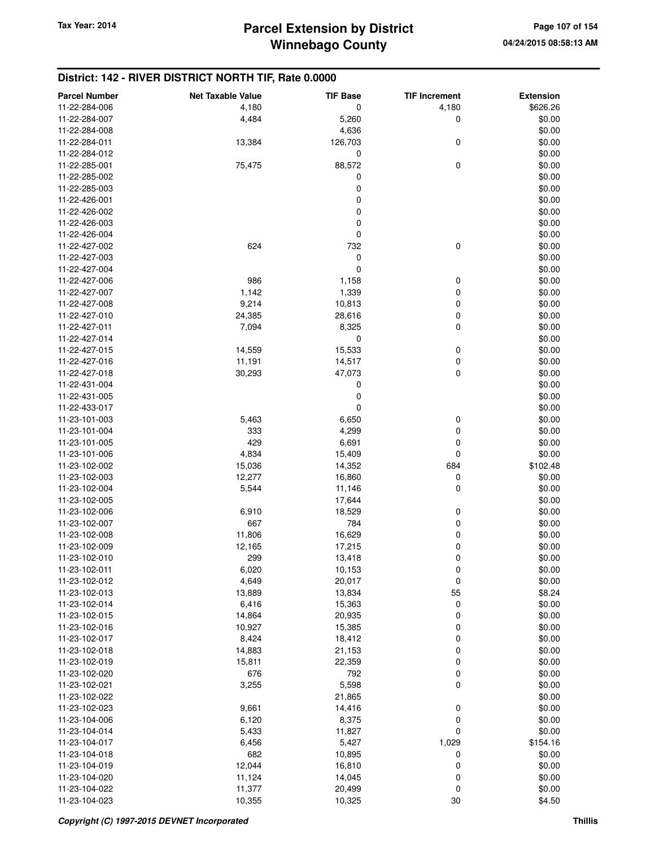### **District: 142 - RIVER DISTRICT NORTH TIF, Rate 0.0000**

| <b>Parcel Number</b> | <b>Net Taxable Value</b> | <b>TIF Base</b> | <b>TIF Increment</b> | <b>Extension</b> |
|----------------------|--------------------------|-----------------|----------------------|------------------|
| 11-22-284-006        | 4,180                    | 0               | 4,180                | \$626.26         |
| 11-22-284-007        | 4,484                    | 5,260           | 0                    | \$0.00           |
| 11-22-284-008        |                          | 4,636           |                      | \$0.00           |
| 11-22-284-011        | 13,384                   | 126,703         | 0                    | \$0.00           |
| 11-22-284-012        |                          | 0               |                      | \$0.00           |
| 11-22-285-001        | 75,475                   | 88,572          | 0                    | \$0.00           |
| 11-22-285-002        |                          | 0               |                      | \$0.00           |
| 11-22-285-003        |                          | 0               |                      | \$0.00           |
| 11-22-426-001        |                          | 0               |                      | \$0.00           |
| 11-22-426-002        |                          | 0               |                      | \$0.00           |
| 11-22-426-003        |                          | 0               |                      | \$0.00           |
| 11-22-426-004        |                          | 0               |                      | \$0.00           |
| 11-22-427-002        | 624                      | 732             | 0                    | \$0.00           |
| 11-22-427-003        |                          | 0               |                      | \$0.00           |
| 11-22-427-004        |                          | 0               |                      | \$0.00           |
| 11-22-427-006        | 986                      | 1,158           | 0                    | \$0.00           |
| 11-22-427-007        | 1,142                    | 1,339           | 0                    | \$0.00           |
| 11-22-427-008        | 9,214                    | 10,813          | 0                    | \$0.00           |
| 11-22-427-010        | 24,385                   | 28,616          | 0                    | \$0.00           |
| 11-22-427-011        | 7,094                    | 8,325           | 0                    | \$0.00           |
| 11-22-427-014        |                          | 0               |                      | \$0.00           |
| 11-22-427-015        | 14,559                   | 15,533          | 0                    | \$0.00           |
| 11-22-427-016        | 11,191                   | 14,517          | 0                    | \$0.00           |
| 11-22-427-018        | 30,293                   | 47,073          | 0                    | \$0.00           |
| 11-22-431-004        |                          | 0               |                      | \$0.00           |
| 11-22-431-005        |                          | 0               |                      | \$0.00           |
| 11-22-433-017        |                          | 0               |                      | \$0.00           |
| 11-23-101-003        | 5,463                    | 6,650           | 0                    | \$0.00           |
| 11-23-101-004        | 333                      | 4,299           | 0                    | \$0.00           |
| 11-23-101-005        | 429                      | 6,691           | 0                    | \$0.00           |
| 11-23-101-006        | 4,834                    | 15,409          | 0                    | \$0.00           |
| 11-23-102-002        | 15,036                   | 14,352          | 684                  | \$102.48         |
| 11-23-102-003        | 12,277                   | 16,860          | 0                    | \$0.00           |
| 11-23-102-004        | 5,544                    | 11,146          | 0                    | \$0.00           |
| 11-23-102-005        |                          | 17,644          |                      | \$0.00           |
| 11-23-102-006        | 6,910                    | 18,529          | 0                    | \$0.00           |
| 11-23-102-007        | 667                      | 784             | 0                    | \$0.00           |
| 11-23-102-008        | 11,806                   | 16,629          | 0                    | \$0.00           |
| 11-23-102-009        | 12,165                   | 17,215          | 0                    | \$0.00           |
| 11-23-102-010        | 299                      | 13,418          | 0                    | \$0.00           |
| 11-23-102-011        | 6,020                    | 10,153          | 0                    | \$0.00           |
| 11-23-102-012        | 4,649                    | 20,017          | 0                    | \$0.00           |
| 11-23-102-013        | 13,889                   | 13,834          | 55                   | \$8.24           |
| 11-23-102-014        | 6,416                    | 15,363          | 0                    | \$0.00           |
| 11-23-102-015        | 14,864                   | 20,935          | 0                    | \$0.00           |
| 11-23-102-016        | 10,927                   | 15,385          | 0                    | \$0.00           |
| 11-23-102-017        | 8,424                    | 18,412          | 0                    | \$0.00           |
| 11-23-102-018        | 14,883                   | 21,153          | 0                    | \$0.00           |
| 11-23-102-019        | 15,811                   | 22,359          | 0                    | \$0.00           |
| 11-23-102-020        | 676                      | 792             | 0                    | \$0.00           |
| 11-23-102-021        | 3,255                    | 5,598           | 0                    | \$0.00           |
| 11-23-102-022        |                          | 21,865          |                      | \$0.00           |
| 11-23-102-023        | 9,661                    | 14,416          | 0                    | \$0.00           |
| 11-23-104-006        | 6,120                    | 8,375           | 0                    | \$0.00           |
| 11-23-104-014        | 5,433                    | 11,827          | 0                    | \$0.00           |
| 11-23-104-017        | 6,456                    | 5,427           | 1,029                | \$154.16         |
| 11-23-104-018        | 682                      | 10,895          | 0                    | \$0.00           |
| 11-23-104-019        | 12,044                   | 16,810          | 0                    | \$0.00           |
| 11-23-104-020        | 11,124                   | 14,045          | $\mathbf 0$          | \$0.00           |
| 11-23-104-022        | 11,377                   | 20,499          | 0                    | \$0.00           |
| 11-23-104-023        | 10,355                   | 10,325          | 30                   | \$4.50           |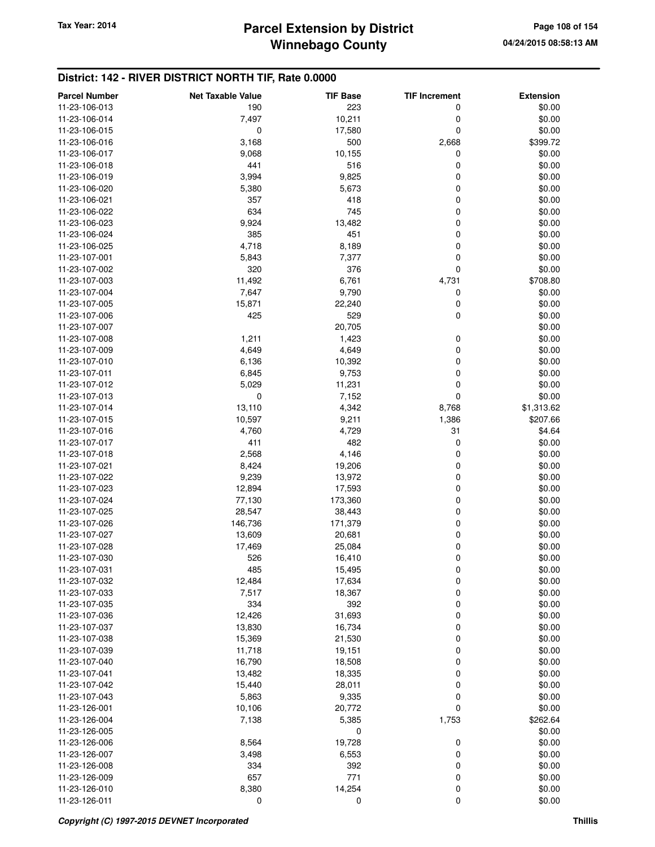## **Winnebago County Parcel Extension by District Tax Year: 2014 Page 108 of 154**

## **District: 142 - RIVER DISTRICT NORTH TIF, Rate 0.0000**

| <b>Parcel Number</b> | <b>Net Taxable Value</b> | <b>TIF Base</b> | <b>TIF Increment</b> | <b>Extension</b> |
|----------------------|--------------------------|-----------------|----------------------|------------------|
| 11-23-106-013        | 190                      | 223             | 0                    | \$0.00           |
| 11-23-106-014        | 7,497                    | 10,211          | 0                    | \$0.00           |
| 11-23-106-015        | 0                        | 17,580          | 0                    | \$0.00           |
| 11-23-106-016        | 3,168                    | 500             | 2,668                | \$399.72         |
| 11-23-106-017        | 9,068                    | 10,155          | 0                    | \$0.00           |
| 11-23-106-018        | 441                      | 516             | 0                    | \$0.00           |
| 11-23-106-019        | 3,994                    | 9,825           | 0                    | \$0.00           |
| 11-23-106-020        | 5,380                    | 5,673           | 0                    | \$0.00           |
| 11-23-106-021        | 357                      | 418             | 0                    | \$0.00           |
| 11-23-106-022        | 634                      | 745             | 0                    | \$0.00           |
| 11-23-106-023        | 9,924                    | 13,482          | 0                    | \$0.00           |
| 11-23-106-024        | 385                      | 451             | 0                    | \$0.00           |
| 11-23-106-025        | 4,718                    | 8,189           | 0                    | \$0.00           |
| 11-23-107-001        | 5,843                    | 7,377           | 0                    | \$0.00           |
| 11-23-107-002        | 320                      | 376             | 0                    | \$0.00           |
| 11-23-107-003        | 11,492                   | 6,761           | 4,731                | \$708.80         |
| 11-23-107-004        | 7,647                    | 9,790           | 0                    | \$0.00           |
| 11-23-107-005        | 15,871                   | 22,240          | 0                    | \$0.00           |
| 11-23-107-006        | 425                      | 529             | 0                    | \$0.00           |
| 11-23-107-007        |                          | 20,705          |                      | \$0.00           |
| 11-23-107-008        | 1,211                    | 1,423           | 0                    | \$0.00           |
| 11-23-107-009        | 4,649                    | 4,649           | 0                    | \$0.00           |
| 11-23-107-010        | 6,136                    | 10,392          | 0                    | \$0.00           |
| 11-23-107-011        | 6,845                    | 9,753           | 0                    | \$0.00           |
| 11-23-107-012        | 5,029                    | 11,231          | 0                    | \$0.00           |
| 11-23-107-013        | 0                        | 7,152           | 0                    | \$0.00           |
| 11-23-107-014        | 13,110                   | 4,342           | 8,768                | \$1,313.62       |
| 11-23-107-015        | 10,597                   | 9,211           | 1,386                | \$207.66         |
| 11-23-107-016        | 4,760                    | 4,729           | 31                   | \$4.64           |
| 11-23-107-017        | 411                      | 482             | 0                    | \$0.00           |
| 11-23-107-018        | 2,568                    | 4,146           | 0                    | \$0.00           |
| 11-23-107-021        | 8,424                    | 19,206          | 0                    | \$0.00           |
| 11-23-107-022        | 9,239                    | 13,972          | 0                    | \$0.00           |
| 11-23-107-023        | 12,894                   | 17,593          | 0                    | \$0.00           |
| 11-23-107-024        | 77,130                   | 173,360         | 0                    | \$0.00           |
| 11-23-107-025        | 28,547                   | 38,443          | 0                    | \$0.00           |
| 11-23-107-026        | 146,736                  | 171,379         | 0                    | \$0.00           |
| 11-23-107-027        | 13,609                   | 20,681          | 0                    | \$0.00           |
| 11-23-107-028        | 17,469                   | 25,084          | 0                    | \$0.00           |
| 11-23-107-030        | 526                      | 16,410          | 0                    | \$0.00           |
| 11-23-107-031        | 485                      | 15,495          | 0                    | \$0.00           |
| 11-23-107-032        | 12,484                   | 17,634          | 0                    | \$0.00           |
| 11-23-107-033        | 7,517                    | 18,367          | 0                    | \$0.00           |
| 11-23-107-035        | 334                      | 392             | 0                    | \$0.00           |
| 11-23-107-036        | 12,426                   | 31,693          | 0                    | \$0.00           |
| 11-23-107-037        | 13,830                   | 16,734          | 0                    | \$0.00           |
| 11-23-107-038        | 15,369                   | 21,530          | 0                    | \$0.00           |
| 11-23-107-039        | 11,718                   | 19,151          | 0                    | \$0.00           |
| 11-23-107-040        | 16,790                   | 18,508          | 0                    | \$0.00           |
| 11-23-107-041        | 13,482                   | 18,335          | 0                    | \$0.00           |
| 11-23-107-042        | 15,440                   | 28,011          | 0                    | \$0.00           |
| 11-23-107-043        | 5,863                    | 9,335           | 0                    | \$0.00           |
| 11-23-126-001        | 10,106                   | 20,772          | 0                    | \$0.00           |
| 11-23-126-004        | 7,138                    | 5,385           | 1,753                | \$262.64         |
| 11-23-126-005        |                          | 0               |                      | \$0.00           |
| 11-23-126-006        | 8,564                    | 19,728          | 0                    | \$0.00           |
| 11-23-126-007        | 3,498                    | 6,553           | 0                    | \$0.00           |
| 11-23-126-008        | 334                      | 392             | 0                    | \$0.00           |
| 11-23-126-009        | 657                      | 771             | 0                    | \$0.00           |
| 11-23-126-010        | 8,380                    | 14,254          | 0                    | \$0.00           |
| 11-23-126-011        | 0                        | 0               | 0                    | \$0.00           |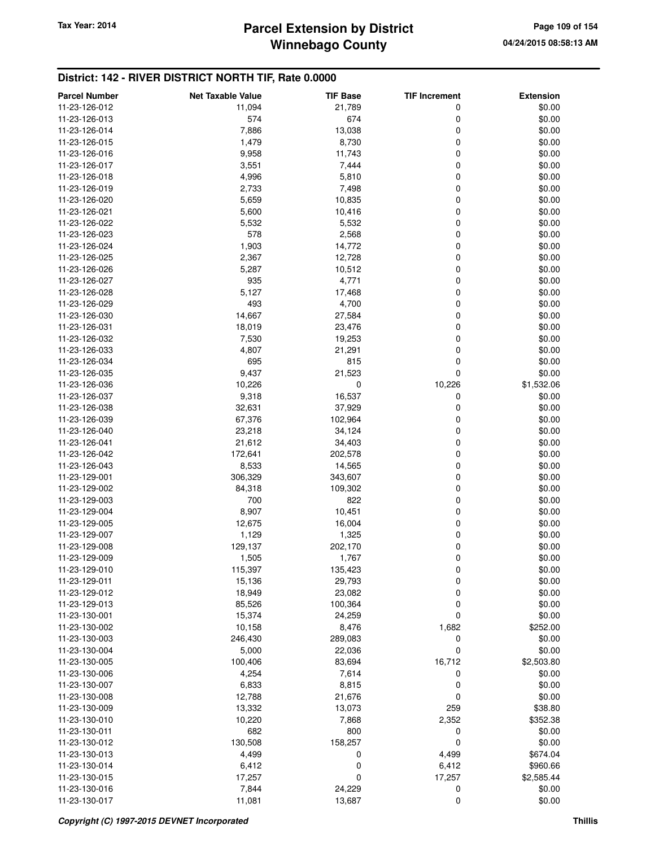| <b>Parcel Number</b> | <b>Net Taxable Value</b> | <b>TIF Base</b> | <b>TIF Increment</b> | <b>Extension</b> |
|----------------------|--------------------------|-----------------|----------------------|------------------|
| 11-23-126-012        | 11,094                   | 21,789          | 0                    | \$0.00           |
| 11-23-126-013        | 574                      | 674             | 0                    | \$0.00           |
| 11-23-126-014        | 7,886                    | 13,038          | 0                    | \$0.00           |
| 11-23-126-015        | 1,479                    | 8,730           | 0                    | \$0.00           |
| 11-23-126-016        | 9,958                    | 11,743          | 0                    | \$0.00           |
| 11-23-126-017        | 3,551                    | 7,444           | 0                    | \$0.00           |
| 11-23-126-018        | 4,996                    | 5,810           | 0                    | \$0.00           |
| 11-23-126-019        | 2,733                    | 7,498           | 0                    | \$0.00           |
| 11-23-126-020        | 5,659                    | 10,835          | 0                    | \$0.00           |
| 11-23-126-021        | 5,600                    | 10,416          | 0                    | \$0.00           |
| 11-23-126-022        | 5,532                    | 5,532           | 0                    | \$0.00           |
| 11-23-126-023        | 578                      | 2,568           | 0                    | \$0.00           |
| 11-23-126-024        | 1,903                    | 14,772          | 0                    | \$0.00           |
| 11-23-126-025        | 2,367                    | 12,728          | 0                    | \$0.00           |
| 11-23-126-026        | 5,287                    | 10,512          | 0                    | \$0.00           |
| 11-23-126-027        | 935                      | 4,771           | 0                    | \$0.00           |
| 11-23-126-028        | 5,127                    | 17,468          | 0                    | \$0.00           |
| 11-23-126-029        | 493                      | 4,700           | 0                    | \$0.00           |
| 11-23-126-030        | 14,667                   | 27,584          | 0                    | \$0.00           |
| 11-23-126-031        | 18,019                   | 23,476          | 0                    | \$0.00           |
| 11-23-126-032        | 7,530                    | 19,253          | 0                    | \$0.00           |
| 11-23-126-033        | 4,807                    | 21,291          | 0                    | \$0.00           |
| 11-23-126-034        | 695                      | 815             | 0                    | \$0.00           |
| 11-23-126-035        | 9,437                    | 21,523          | 0                    | \$0.00           |
| 11-23-126-036        | 10,226                   | 0               | 10,226               | \$1,532.06       |
| 11-23-126-037        | 9,318                    | 16,537          | 0                    | \$0.00           |
| 11-23-126-038        | 32,631                   | 37,929          | 0                    | \$0.00           |
| 11-23-126-039        | 67,376                   | 102,964         | 0                    | \$0.00           |
| 11-23-126-040        | 23,218                   | 34,124          | 0                    | \$0.00           |
| 11-23-126-041        | 21,612                   | 34,403          | 0                    | \$0.00           |
| 11-23-126-042        | 172,641                  | 202,578         | 0                    | \$0.00           |
| 11-23-126-043        | 8,533                    | 14,565          | 0                    | \$0.00           |
| 11-23-129-001        | 306,329                  | 343,607         | 0                    | \$0.00           |
| 11-23-129-002        | 84,318                   | 109,302         | 0                    | \$0.00           |
| 11-23-129-003        | 700                      | 822             | 0                    | \$0.00           |
| 11-23-129-004        | 8,907                    | 10,451          | 0                    | \$0.00           |
| 11-23-129-005        | 12,675                   | 16,004          | 0                    | \$0.00           |
| 11-23-129-007        | 1,129                    | 1,325           | 0                    | \$0.00           |
| 11-23-129-008        | 129,137                  | 202,170         | 0                    | \$0.00           |
| 11-23-129-009        | 1,505                    | 1,767           | 0                    | \$0.00           |
| 11-23-129-010        | 115,397                  | 135,423         | 0                    | \$0.00           |
| 11-23-129-011        | 15,136                   | 29,793          | 0                    | \$0.00           |
| 11-23-129-012        | 18,949                   | 23,082          | 0                    | \$0.00           |
| 11-23-129-013        | 85,526                   | 100,364         | 0                    | \$0.00           |
| 11-23-130-001        | 15,374                   | 24,259          | 0                    | \$0.00           |
| 11-23-130-002        | 10,158                   | 8,476           | 1,682                | \$252.00         |
| 11-23-130-003        | 246,430                  | 289,083         | 0                    | \$0.00           |
| 11-23-130-004        | 5,000                    | 22,036          | 0                    | \$0.00           |
| 11-23-130-005        | 100,406                  | 83,694          | 16,712               | \$2,503.80       |
| 11-23-130-006        | 4,254                    | 7,614           | 0                    | \$0.00           |
| 11-23-130-007        | 6,833                    | 8,815           | 0                    | \$0.00           |
| 11-23-130-008        | 12,788                   | 21,676          | 0                    | \$0.00           |
| 11-23-130-009        | 13,332                   | 13,073          | 259                  | \$38.80          |
| 11-23-130-010        | 10,220                   | 7,868           | 2,352                | \$352.38         |
| 11-23-130-011        | 682                      | 800             | 0                    | \$0.00           |
| 11-23-130-012        | 130,508                  | 158,257         | 0                    | \$0.00           |
| 11-23-130-013        | 4,499                    | 0               | 4,499                | \$674.04         |
| 11-23-130-014        | 6,412                    | 0               | 6,412                | \$960.66         |
| 11-23-130-015        | 17,257                   | 0               | 17,257               | \$2,585.44       |
| 11-23-130-016        | 7,844                    | 24,229          | 0                    | \$0.00           |
| 11-23-130-017        | 11,081                   | 13,687          | $\mathbf 0$          | \$0.00           |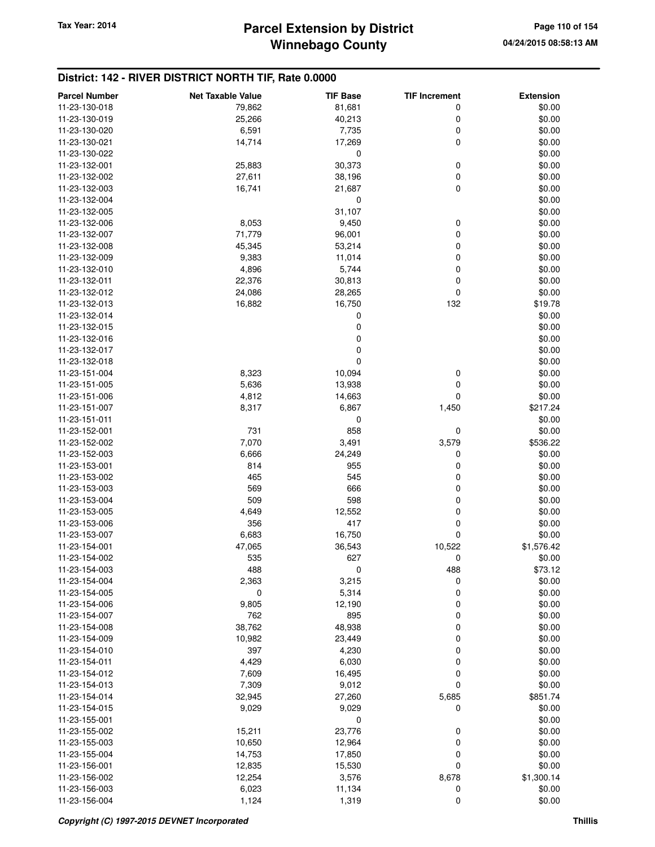| <b>Parcel Number</b>           | <b>Net Taxable Value</b> | <b>TIF Base</b> | <b>TIF Increment</b> | <b>Extension</b>   |
|--------------------------------|--------------------------|-----------------|----------------------|--------------------|
| 11-23-130-018                  | 79,862                   | 81,681          | 0                    | \$0.00             |
| 11-23-130-019                  | 25,266                   | 40,213          | 0                    | \$0.00             |
| 11-23-130-020                  | 6,591                    | 7,735           | 0                    | \$0.00             |
| 11-23-130-021                  | 14,714                   | 17,269          | $\mathbf 0$          | \$0.00             |
| 11-23-130-022                  |                          | 0               |                      | \$0.00             |
| 11-23-132-001                  | 25,883                   | 30,373          | 0                    | \$0.00             |
| 11-23-132-002                  | 27,611                   | 38,196          | 0                    | \$0.00             |
| 11-23-132-003                  | 16,741                   | 21,687          | $\mathbf 0$          | \$0.00             |
| 11-23-132-004                  |                          | 0               |                      | \$0.00             |
| 11-23-132-005                  |                          | 31,107          |                      | \$0.00             |
| 11-23-132-006                  | 8,053                    | 9,450           | 0                    | \$0.00             |
| 11-23-132-007                  | 71,779                   | 96,001          | 0                    | \$0.00             |
| 11-23-132-008                  | 45,345                   | 53,214          | 0                    | \$0.00             |
| 11-23-132-009                  | 9,383                    | 11,014          | $\mathbf 0$          | \$0.00             |
| 11-23-132-010                  | 4,896                    | 5,744           | $\mathbf 0$          | \$0.00             |
| 11-23-132-011                  | 22,376                   | 30,813          | $\mathbf 0$          | \$0.00             |
| 11-23-132-012                  | 24,086                   | 28,265          | $\mathbf 0$          | \$0.00             |
| 11-23-132-013                  | 16,882                   | 16,750          | 132                  | \$19.78            |
| 11-23-132-014                  |                          | 0               |                      | \$0.00             |
| 11-23-132-015                  |                          | $\mathbf 0$     |                      | \$0.00             |
| 11-23-132-016                  |                          | $\mathbf 0$     |                      | \$0.00             |
| 11-23-132-017                  |                          | $\pmb{0}$       |                      | \$0.00             |
| 11-23-132-018                  |                          | 0               |                      | \$0.00             |
| 11-23-151-004                  | 8,323                    | 10,094          | 0                    | \$0.00             |
| 11-23-151-005                  | 5,636                    | 13,938          | $\mathbf 0$          | \$0.00             |
| 11-23-151-006                  | 4,812                    | 14,663          | 0                    | \$0.00             |
| 11-23-151-007                  | 8,317                    | 6,867           | 1,450                | \$217.24           |
| 11-23-151-011                  | 731                      | 0<br>858        |                      | \$0.00             |
| 11-23-152-001<br>11-23-152-002 | 7,070                    | 3,491           | 0<br>3,579           | \$0.00<br>\$536.22 |
| 11-23-152-003                  | 6,666                    | 24,249          | 0                    | \$0.00             |
| 11-23-153-001                  | 814                      | 955             | 0                    | \$0.00             |
| 11-23-153-002                  | 465                      | 545             | 0                    | \$0.00             |
| 11-23-153-003                  | 569                      | 666             | 0                    | \$0.00             |
| 11-23-153-004                  | 509                      | 598             | 0                    | \$0.00             |
| 11-23-153-005                  | 4,649                    | 12,552          | $\mathbf 0$          | \$0.00             |
| 11-23-153-006                  | 356                      | 417             | 0                    | \$0.00             |
| 11-23-153-007                  | 6,683                    | 16,750          | $\mathbf 0$          | \$0.00             |
| 11-23-154-001                  | 47,065                   | 36,543          | 10,522               | \$1,576.42         |
| 11-23-154-002                  | 535                      | 627             | 0                    | \$0.00             |
| 11-23-154-003                  | 488                      | 0               | 488                  | \$73.12            |
| 11-23-154-004                  | 2,363                    | 3,215           | 0                    | \$0.00             |
| 11-23-154-005                  | 0                        | 5,314           | 0                    | \$0.00             |
| 11-23-154-006                  | 9,805                    | 12,190          | 0                    | \$0.00             |
| 11-23-154-007                  | 762                      | 895             | 0                    | \$0.00             |
| 11-23-154-008                  | 38,762                   | 48,938          | 0                    | \$0.00             |
| 11-23-154-009                  | 10,982                   | 23,449          | 0                    | \$0.00             |
| 11-23-154-010                  | 397                      | 4,230           | 0                    | \$0.00             |
| 11-23-154-011                  | 4,429                    | 6,030           | 0                    | \$0.00             |
| 11-23-154-012                  | 7,609                    | 16,495          | 0                    | \$0.00             |
| 11-23-154-013                  | 7,309                    | 9,012           | $\mathbf 0$          | \$0.00             |
| 11-23-154-014                  | 32,945                   | 27,260          | 5,685                | \$851.74           |
| 11-23-154-015                  | 9,029                    | 9,029           | 0                    | \$0.00             |
| 11-23-155-001                  |                          | 0               |                      | \$0.00             |
| 11-23-155-002                  | 15,211                   | 23,776          | 0                    | \$0.00             |
| 11-23-155-003                  | 10,650                   | 12,964          | 0                    | \$0.00             |
| 11-23-155-004                  | 14,753                   | 17,850          | 0                    | \$0.00             |
| 11-23-156-001                  | 12,835                   | 15,530          | $\mathbf 0$          | \$0.00             |
| 11-23-156-002                  | 12,254                   | 3,576           | 8,678                | \$1,300.14         |
| 11-23-156-003                  | 6,023                    | 11,134          | 0                    | \$0.00             |
| 11-23-156-004                  | 1,124                    | 1,319           | $\mathbf 0$          | \$0.00             |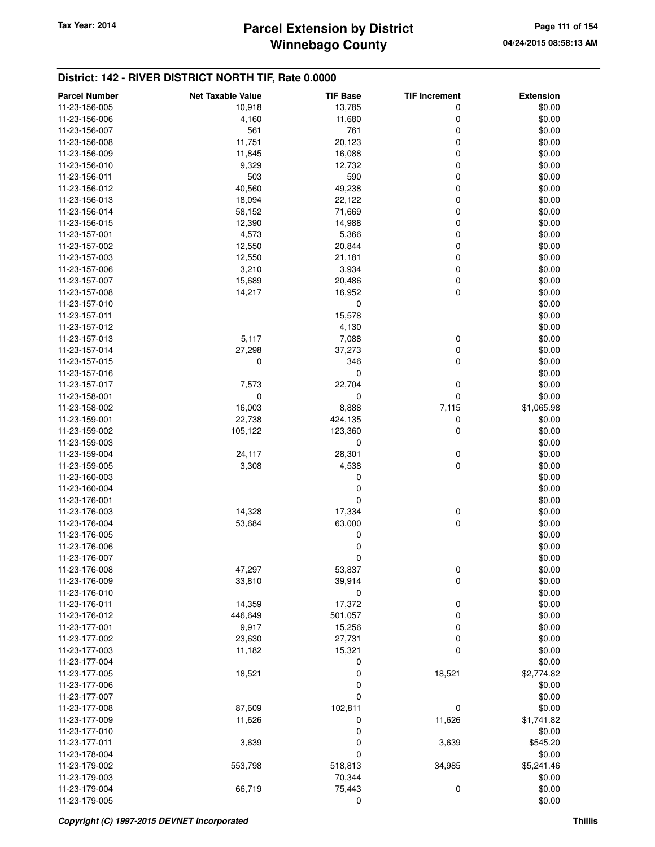### **Winnebago County Parcel Extension by District Tax Year: 2014 Page 111 of 154**

| <b>Parcel Number</b> | <b>Net Taxable Value</b> | <b>TIF Base</b> | <b>TIF Increment</b> | <b>Extension</b> |
|----------------------|--------------------------|-----------------|----------------------|------------------|
| 11-23-156-005        | 10,918                   | 13,785          | 0                    | \$0.00           |
| 11-23-156-006        | 4,160                    | 11,680          | 0                    | \$0.00           |
| 11-23-156-007        | 561                      | 761             | 0                    | \$0.00           |
| 11-23-156-008        | 11,751                   | 20,123          | 0                    | \$0.00           |
| 11-23-156-009        | 11,845                   | 16,088          | 0                    | \$0.00           |
| 11-23-156-010        | 9,329                    | 12,732          | 0                    | \$0.00           |
| 11-23-156-011        | 503                      | 590             | 0                    | \$0.00           |
| 11-23-156-012        | 40,560                   | 49,238          | 0                    | \$0.00           |
| 11-23-156-013        | 18,094                   | 22,122          | 0                    | \$0.00           |
| 11-23-156-014        | 58,152                   | 71,669          | 0                    | \$0.00           |
| 11-23-156-015        | 12,390                   | 14,988          | 0                    | \$0.00           |
| 11-23-157-001        | 4,573                    | 5,366           | 0                    | \$0.00           |
| 11-23-157-002        | 12,550                   | 20,844          | 0                    | \$0.00           |
| 11-23-157-003        | 12,550                   | 21,181          | 0                    | \$0.00           |
| 11-23-157-006        | 3,210                    | 3,934           | 0                    | \$0.00           |
| 11-23-157-007        | 15,689                   | 20,486          | 0                    | \$0.00           |
| 11-23-157-008        | 14,217                   | 16,952          | 0                    | \$0.00           |
| 11-23-157-010        |                          | 0               |                      | \$0.00           |
| 11-23-157-011        |                          | 15,578          |                      | \$0.00           |
| 11-23-157-012        |                          | 4,130           |                      | \$0.00           |
| 11-23-157-013        | 5,117                    | 7,088           | 0                    | \$0.00           |
| 11-23-157-014        | 27,298                   | 37,273          | 0                    | \$0.00           |
| 11-23-157-015        | 0                        | 346             | 0                    | \$0.00           |
| 11-23-157-016        |                          | 0               |                      | \$0.00           |
| 11-23-157-017        | 7,573                    | 22,704          | 0                    | \$0.00           |
| 11-23-158-001        | 0                        | 0               | 0                    | \$0.00           |
| 11-23-158-002        | 16,003                   | 8,888           | 7,115                | \$1,065.98       |
| 11-23-159-001        | 22,738                   | 424,135         | 0                    | \$0.00           |
| 11-23-159-002        | 105,122                  | 123,360         | 0                    | \$0.00           |
| 11-23-159-003        |                          | 0               |                      | \$0.00           |
| 11-23-159-004        | 24,117                   | 28,301          | 0                    | \$0.00           |
| 11-23-159-005        | 3,308                    | 4,538           | 0                    | \$0.00           |
| 11-23-160-003        |                          | 0               |                      | \$0.00           |
| 11-23-160-004        |                          | 0               |                      | \$0.00           |
| 11-23-176-001        |                          | 0               |                      | \$0.00           |
| 11-23-176-003        | 14,328                   | 17,334          | 0                    | \$0.00           |
| 11-23-176-004        | 53,684                   | 63,000          | 0                    | \$0.00           |
| 11-23-176-005        |                          | 0               |                      | \$0.00           |
| 11-23-176-006        |                          | 0               |                      | \$0.00           |
| 11-23-176-007        |                          | 0               |                      | \$0.00           |
| 11-23-176-008        | 47,297                   | 53,837          | 0                    | \$0.00           |
| 11-23-176-009        | 33,810                   | 39,914          | 0                    | \$0.00           |
| 11-23-176-010        |                          | 0               |                      | \$0.00           |
| 11-23-176-011        | 14,359                   | 17,372          | 0                    | \$0.00           |
| 11-23-176-012        | 446,649                  | 501,057         | 0                    | \$0.00           |
| 11-23-177-001        | 9,917                    | 15,256          | 0                    | \$0.00           |
| 11-23-177-002        | 23,630                   | 27,731          | 0                    | \$0.00           |
| 11-23-177-003        | 11,182                   | 15,321          | 0                    | \$0.00           |
| 11-23-177-004        |                          | 0               |                      | \$0.00           |
| 11-23-177-005        | 18,521                   | 0               | 18,521               | \$2,774.82       |
| 11-23-177-006        |                          | 0               |                      | \$0.00           |
| 11-23-177-007        |                          | 0               |                      | \$0.00           |
| 11-23-177-008        | 87,609                   | 102,811         | 0                    | \$0.00           |
| 11-23-177-009        | 11,626                   | 0               | 11,626               | \$1,741.82       |
| 11-23-177-010        |                          | 0               |                      | \$0.00           |
| 11-23-177-011        | 3,639                    | 0               | 3,639                | \$545.20         |
| 11-23-178-004        |                          | 0               |                      | \$0.00           |
| 11-23-179-002        | 553,798                  | 518,813         | 34,985               | \$5,241.46       |
| 11-23-179-003        |                          | 70,344          |                      | \$0.00           |
| 11-23-179-004        | 66,719                   | 75,443          | 0                    | \$0.00           |
| 11-23-179-005        |                          | 0               |                      | \$0.00           |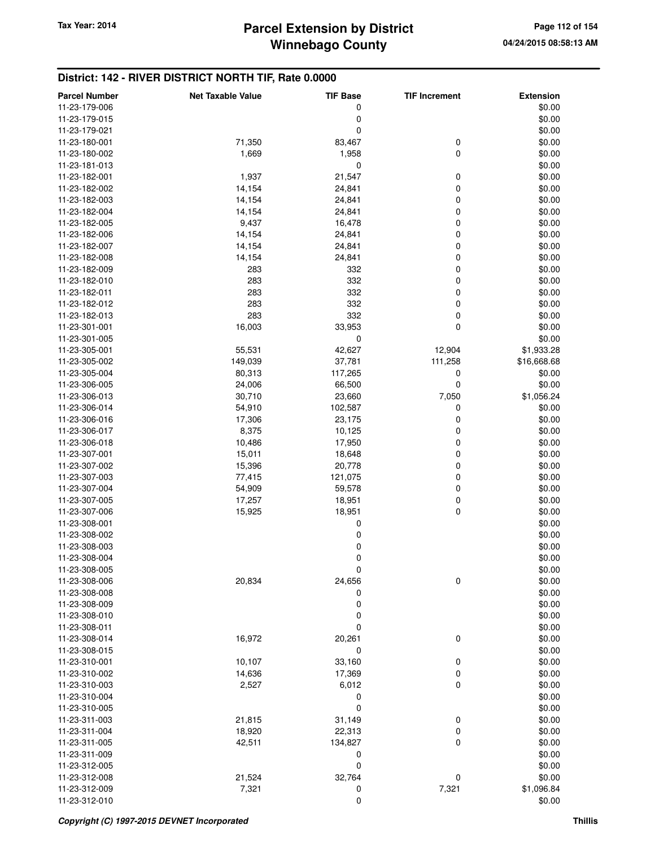## **Winnebago County** Tax Year: 2014 **Parcel Extension by District Page 112 of 154** Page 112 of 154

| <b>Parcel Number</b>           | <b>Net Taxable Value</b> | <b>TIF Base</b> | <b>TIF Increment</b> | <b>Extension</b> |
|--------------------------------|--------------------------|-----------------|----------------------|------------------|
| 11-23-179-006                  |                          | 0               |                      | \$0.00           |
| 11-23-179-015                  |                          | 0               |                      | \$0.00           |
| 11-23-179-021                  |                          | $\mathbf 0$     |                      | \$0.00           |
| 11-23-180-001                  | 71,350                   | 83,467          | 0                    | \$0.00           |
| 11-23-180-002                  | 1,669                    | 1,958           | $\mathbf 0$          | \$0.00           |
| 11-23-181-013                  |                          | 0               |                      | \$0.00           |
| 11-23-182-001                  | 1,937                    | 21,547          | 0                    | \$0.00           |
| 11-23-182-002                  | 14,154                   | 24,841          | $\mathbf 0$          | \$0.00           |
| 11-23-182-003                  | 14,154                   | 24,841          | $\mathbf 0$          | \$0.00           |
| 11-23-182-004                  | 14,154                   | 24,841          | 0                    | \$0.00           |
| 11-23-182-005                  | 9,437                    | 16,478          | 0                    | \$0.00           |
| 11-23-182-006                  | 14,154                   | 24,841          | 0                    | \$0.00           |
| 11-23-182-007                  | 14,154                   | 24,841          | 0                    | \$0.00           |
| 11-23-182-008                  | 14,154                   | 24,841          | 0                    | \$0.00           |
| 11-23-182-009                  | 283                      | 332             | 0                    | \$0.00           |
| 11-23-182-010                  | 283                      | 332             | 0                    | \$0.00           |
| 11-23-182-011                  | 283                      | 332             | 0                    | \$0.00           |
| 11-23-182-012                  | 283                      | 332             | 0                    | \$0.00           |
| 11-23-182-013                  | 283                      | 332             | $\mathbf 0$          | \$0.00           |
| 11-23-301-001                  | 16,003                   | 33,953          | $\mathbf 0$          | \$0.00           |
| 11-23-301-005                  |                          | $\mathbf 0$     |                      | \$0.00           |
|                                |                          |                 |                      | \$1,933.28       |
| 11-23-305-001<br>11-23-305-002 | 55,531                   | 42,627          | 12,904               |                  |
|                                | 149,039                  | 37,781          | 111,258              | \$16,668.68      |
| 11-23-305-004                  | 80,313                   | 117,265         | 0                    | \$0.00           |
| 11-23-306-005                  | 24,006                   | 66,500          | 0                    | \$0.00           |
| 11-23-306-013                  | 30,710                   | 23,660          | 7,050                | \$1,056.24       |
| 11-23-306-014                  | 54,910                   | 102,587         | 0                    | \$0.00           |
| 11-23-306-016                  | 17,306                   | 23,175          | 0                    | \$0.00           |
| 11-23-306-017                  | 8,375                    | 10,125          | 0                    | \$0.00           |
| 11-23-306-018                  | 10,486                   | 17,950          | 0                    | \$0.00           |
| 11-23-307-001                  | 15,011                   | 18,648          | 0                    | \$0.00           |
| 11-23-307-002                  | 15,396                   | 20,778          | 0                    | \$0.00           |
| 11-23-307-003                  | 77,415                   | 121,075         | 0                    | \$0.00           |
| 11-23-307-004                  | 54,909                   | 59,578          | $\mathbf 0$          | \$0.00           |
| 11-23-307-005                  | 17,257                   | 18,951          | 0                    | \$0.00           |
| 11-23-307-006                  | 15,925                   | 18,951          | 0                    | \$0.00           |
| 11-23-308-001                  |                          | 0               |                      | \$0.00           |
| 11-23-308-002                  |                          | 0               |                      | \$0.00           |
| 11-23-308-003                  |                          | 0               |                      | \$0.00           |
| 11-23-308-004                  |                          | 0               |                      | \$0.00           |
| 11-23-308-005                  |                          | $\mathbf 0$     |                      | \$0.00           |
| 11-23-308-006                  | 20,834                   | 24,656          | $\mathbf 0$          | \$0.00           |
| 11-23-308-008                  |                          | 0               |                      | \$0.00           |
| 11-23-308-009                  |                          | 0               |                      | \$0.00           |
| 11-23-308-010                  |                          | 0               |                      | \$0.00           |
| 11-23-308-011                  |                          | $\mathbf 0$     |                      | \$0.00           |
| 11-23-308-014                  | 16,972                   | 20,261          | $\boldsymbol{0}$     | \$0.00           |
| 11-23-308-015                  |                          | 0               |                      | \$0.00           |
| 11-23-310-001                  | 10,107                   | 33,160          | 0                    | \$0.00           |
| 11-23-310-002                  | 14,636                   | 17,369          | 0                    | \$0.00           |
| 11-23-310-003                  | 2,527                    | 6,012           | 0                    | \$0.00           |
| 11-23-310-004                  |                          | 0               |                      | \$0.00           |
| 11-23-310-005                  |                          | 0               |                      | \$0.00           |
| 11-23-311-003                  | 21,815                   | 31,149          | 0                    | \$0.00           |
| 11-23-311-004                  | 18,920                   | 22,313          | 0                    | \$0.00           |
| 11-23-311-005                  | 42,511                   | 134,827         | 0                    | \$0.00           |
| 11-23-311-009                  |                          | 0               |                      | \$0.00           |
| 11-23-312-005                  |                          | 0               |                      | \$0.00           |
| 11-23-312-008                  | 21,524                   | 32,764          | 0                    | \$0.00           |
| 11-23-312-009                  | 7,321                    | 0               | 7,321                | \$1,096.84       |
| 11-23-312-010                  |                          | 0               |                      | \$0.00           |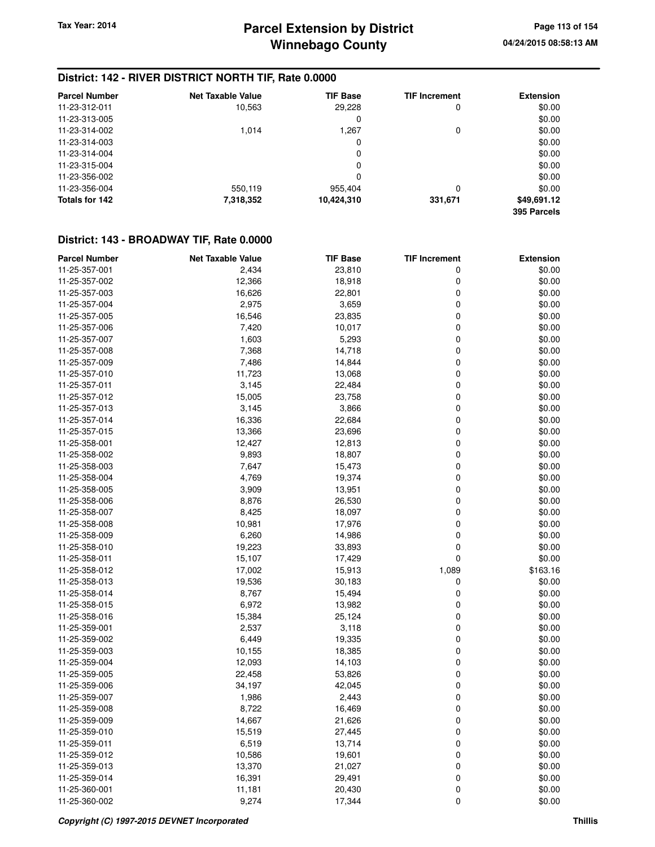### **District: 142 - RIVER DISTRICT NORTH TIF, Rate 0.0000**

| <b>Parcel Number</b> | <b>Net Taxable Value</b> | <b>TIF Base</b> | <b>TIF Increment</b> | <b>Extension</b>           |
|----------------------|--------------------------|-----------------|----------------------|----------------------------|
| 11-23-312-011        | 10,563                   | 29,228          | 0                    | \$0.00                     |
| 11-23-313-005        |                          | 0               |                      | \$0.00                     |
| 11-23-314-002        | 1.014                    | 1,267           | 0                    | \$0.00                     |
| 11-23-314-003        |                          | 0               |                      | \$0.00                     |
| 11-23-314-004        |                          | 0               |                      | \$0.00                     |
| 11-23-315-004        |                          | 0               |                      | \$0.00                     |
| 11-23-356-002        |                          | 0               |                      | \$0.00                     |
| 11-23-356-004        | 550,119                  | 955,404         | 0                    | \$0.00                     |
| Totals for 142       | 7,318,352                | 10,424,310      | 331,671              | \$49,691.12<br>395 Parcels |

| <b>Parcel Number</b> | <b>Net Taxable Value</b> | <b>TIF Base</b> | <b>TIF Increment</b> | <b>Extension</b> |
|----------------------|--------------------------|-----------------|----------------------|------------------|
| 11-25-357-001        | 2,434                    | 23,810          | 0                    | \$0.00           |
| 11-25-357-002        | 12,366                   | 18,918          | 0                    | \$0.00           |
| 11-25-357-003        | 16,626                   | 22,801          | 0                    | \$0.00           |
| 11-25-357-004        | 2,975                    | 3,659           | 0                    | \$0.00           |
| 11-25-357-005        | 16,546                   | 23,835          | 0                    | \$0.00           |
| 11-25-357-006        | 7,420                    | 10,017          | 0                    | \$0.00           |
| 11-25-357-007        | 1,603                    | 5,293           | $\mathbf 0$          | \$0.00           |
| 11-25-357-008        | 7,368                    | 14,718          | 0                    | \$0.00           |
| 11-25-357-009        | 7,486                    | 14,844          | 0                    | \$0.00           |
| 11-25-357-010        | 11,723                   | 13,068          | $\mathbf 0$          | \$0.00           |
| 11-25-357-011        | 3,145                    | 22,484          | 0                    | \$0.00           |
| 11-25-357-012        | 15,005                   | 23,758          | 0                    | \$0.00           |
| 11-25-357-013        | 3,145                    | 3,866           | 0                    | \$0.00           |
| 11-25-357-014        | 16,336                   | 22,684          | 0                    | \$0.00           |
| 11-25-357-015        | 13,366                   | 23,696          | $\pmb{0}$            | \$0.00           |
| 11-25-358-001        | 12,427                   | 12,813          | $\mathbf 0$          | \$0.00           |
| 11-25-358-002        | 9,893                    | 18,807          | 0                    | \$0.00           |
| 11-25-358-003        | 7,647                    | 15,473          | $\mathbf 0$          | \$0.00           |
| 11-25-358-004        | 4,769                    | 19,374          | 0                    | \$0.00           |
| 11-25-358-005        | 3,909                    | 13,951          | 0                    | \$0.00           |
| 11-25-358-006        | 8,876                    | 26,530          | 0                    | \$0.00           |
| 11-25-358-007        | 8,425                    | 18,097          | 0                    | \$0.00           |
| 11-25-358-008        | 10,981                   | 17,976          | $\mathbf 0$          | \$0.00           |
| 11-25-358-009        |                          |                 | $\mathbf 0$          | \$0.00           |
|                      | 6,260<br>19,223          | 14,986          | $\mathbf 0$          | \$0.00           |
| 11-25-358-010        |                          | 33,893          | $\mathbf 0$          | \$0.00           |
| 11-25-358-011        | 15,107<br>17,002         | 17,429          | 1,089                | \$163.16         |
| 11-25-358-012        |                          | 15,913          |                      |                  |
| 11-25-358-013        | 19,536                   | 30,183          | 0                    | \$0.00           |
| 11-25-358-014        | 8,767                    | 15,494          | 0                    | \$0.00           |
| 11-25-358-015        | 6,972                    | 13,982          | $\mathbf 0$          | \$0.00           |
| 11-25-358-016        | 15,384                   | 25,124          | $\mathbf 0$          | \$0.00           |
| 11-25-359-001        | 2,537                    | 3,118           | $\mathbf 0$          | \$0.00           |
| 11-25-359-002        | 6,449                    | 19,335          | 0                    | \$0.00           |
| 11-25-359-003        | 10,155                   | 18,385          | 0                    | \$0.00           |
| 11-25-359-004        | 12,093                   | 14,103          | 0                    | \$0.00           |
| 11-25-359-005        | 22,458                   | 53,826          | 0                    | \$0.00           |
| 11-25-359-006        | 34,197                   | 42,045          | 0                    | \$0.00           |
| 11-25-359-007        | 1,986                    | 2,443           | $\mathbf 0$          | \$0.00           |
| 11-25-359-008        | 8,722                    | 16,469          | 0                    | \$0.00           |
| 11-25-359-009        | 14,667                   | 21,626          | 0                    | \$0.00           |
| 11-25-359-010        | 15,519                   | 27,445          | 0                    | \$0.00           |
| 11-25-359-011        | 6,519                    | 13,714          | $\mathbf 0$          | \$0.00           |
| 11-25-359-012        | 10,586                   | 19,601          | 0                    | \$0.00           |
| 11-25-359-013        | 13,370                   | 21,027          | 0                    | \$0.00           |
| 11-25-359-014        | 16,391                   | 29,491          | 0                    | \$0.00           |
| 11-25-360-001        | 11,181                   | 20,430          | 0                    | \$0.00           |
| 11-25-360-002        | 9,274                    | 17,344          | $\mathbf 0$          | \$0.00           |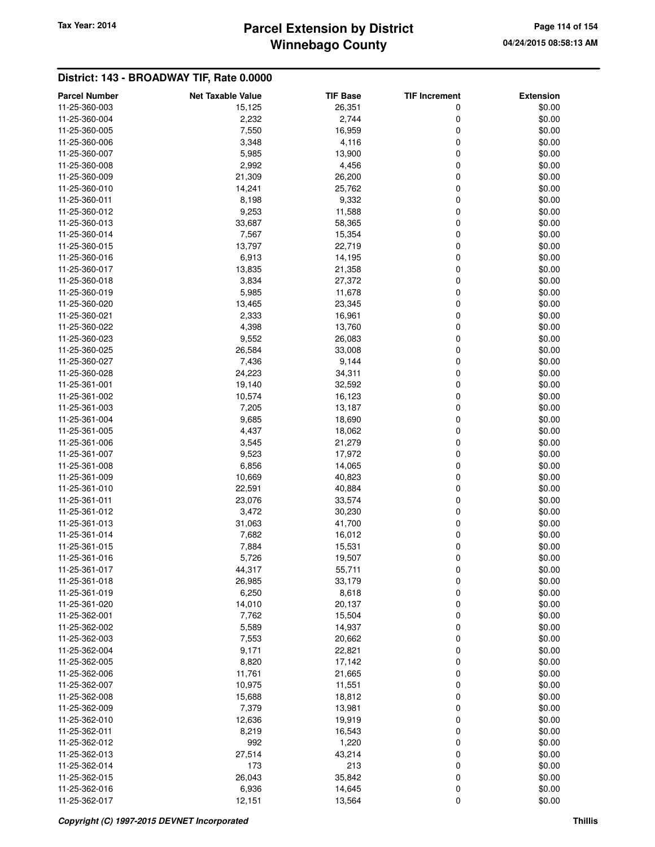# **Winnebago County** Tax Year: 2014 **Parcel Extension by District Page 114 of 154** Page 114 of 154

| <b>Parcel Number</b> | <b>Net Taxable Value</b> | <b>TIF Base</b> | <b>TIF Increment</b> | <b>Extension</b> |
|----------------------|--------------------------|-----------------|----------------------|------------------|
| 11-25-360-003        | 15,125                   | 26,351          | 0                    | \$0.00           |
| 11-25-360-004        | 2,232                    | 2,744           | 0                    | \$0.00           |
| 11-25-360-005        | 7,550                    | 16,959          | 0                    | \$0.00           |
| 11-25-360-006        | 3,348                    | 4,116           | 0                    | \$0.00           |
| 11-25-360-007        | 5,985                    | 13,900          | 0                    | \$0.00           |
| 11-25-360-008        | 2,992                    | 4,456           | 0                    | \$0.00           |
| 11-25-360-009        | 21,309                   | 26,200          | 0                    | \$0.00           |
| 11-25-360-010        | 14,241                   | 25,762          | 0                    | \$0.00           |
| 11-25-360-011        | 8,198                    | 9,332           | 0                    | \$0.00           |
| 11-25-360-012        | 9,253                    | 11,588          | 0                    | \$0.00           |
| 11-25-360-013        | 33,687                   | 58,365          | 0                    | \$0.00           |
| 11-25-360-014        | 7,567                    | 15,354          | 0                    | \$0.00           |
| 11-25-360-015        | 13,797                   | 22,719          | 0                    | \$0.00           |
| 11-25-360-016        | 6,913                    | 14,195          | 0                    | \$0.00           |
| 11-25-360-017        | 13,835                   | 21,358          | 0                    | \$0.00           |
| 11-25-360-018        | 3,834                    | 27,372          | 0                    | \$0.00           |
| 11-25-360-019        | 5,985                    | 11,678          | 0                    | \$0.00           |
| 11-25-360-020        | 13,465                   | 23,345          | 0                    | \$0.00           |
| 11-25-360-021        | 2,333                    | 16,961          | 0                    | \$0.00           |
| 11-25-360-022        | 4,398                    | 13,760          | 0                    | \$0.00           |
| 11-25-360-023        |                          | 26,083          | 0                    | \$0.00           |
|                      | 9,552                    |                 |                      |                  |
| 11-25-360-025        | 26,584                   | 33,008          | 0                    | \$0.00           |
| 11-25-360-027        | 7,436                    | 9,144           | 0                    | \$0.00           |
| 11-25-360-028        | 24,223                   | 34,311          | 0                    | \$0.00           |
| 11-25-361-001        | 19,140                   | 32,592          | 0                    | \$0.00           |
| 11-25-361-002        | 10,574                   | 16,123          | 0                    | \$0.00           |
| 11-25-361-003        | 7,205                    | 13,187          | 0                    | \$0.00           |
| 11-25-361-004        | 9,685                    | 18,690          | 0                    | \$0.00           |
| 11-25-361-005        | 4,437                    | 18,062          | 0                    | \$0.00           |
| 11-25-361-006        | 3,545                    | 21,279          | 0                    | \$0.00           |
| 11-25-361-007        | 9,523                    | 17,972          | 0                    | \$0.00           |
| 11-25-361-008        | 6,856                    | 14,065          | 0                    | \$0.00           |
| 11-25-361-009        | 10,669                   | 40,823          | 0                    | \$0.00           |
| 11-25-361-010        | 22,591                   | 40,884          | 0                    | \$0.00           |
| 11-25-361-011        | 23,076                   | 33,574          | 0                    | \$0.00           |
| 11-25-361-012        | 3,472                    | 30,230          | 0                    | \$0.00           |
| 11-25-361-013        | 31,063                   | 41,700          | 0                    | \$0.00           |
| 11-25-361-014        | 7,682                    | 16,012          | 0                    | \$0.00           |
| 11-25-361-015        | 7,884                    | 15,531          | 0                    | \$0.00           |
| 11-25-361-016        | 5,726                    | 19,507          | 0                    | \$0.00           |
| 11-25-361-017        | 44,317                   | 55,711          | 0                    | \$0.00           |
| 11-25-361-018        | 26,985                   | 33,179          | 0                    | \$0.00           |
| 11-25-361-019        | 6,250                    | 8,618           | 0                    | \$0.00           |
| 11-25-361-020        | 14,010                   | 20,137          | 0                    | \$0.00           |
| 11-25-362-001        | 7,762                    | 15,504          | 0                    | \$0.00           |
| 11-25-362-002        | 5,589                    | 14,937          | 0                    | \$0.00           |
| 11-25-362-003        | 7,553                    | 20,662          | 0                    | \$0.00           |
| 11-25-362-004        | 9,171                    | 22,821          | 0                    | \$0.00           |
| 11-25-362-005        | 8,820                    | 17,142          | 0                    | \$0.00           |
| 11-25-362-006        | 11,761                   | 21,665          | 0                    | \$0.00           |
| 11-25-362-007        | 10,975                   | 11,551          | 0                    | \$0.00           |
| 11-25-362-008        | 15,688                   | 18,812          | 0                    | \$0.00           |
| 11-25-362-009        | 7,379                    | 13,981          | 0                    | \$0.00           |
| 11-25-362-010        | 12,636                   | 19,919          | 0                    | \$0.00           |
| 11-25-362-011        | 8,219                    | 16,543          | 0                    | \$0.00           |
| 11-25-362-012        | 992                      | 1,220           | 0                    | \$0.00           |
| 11-25-362-013        | 27,514                   | 43,214          | 0                    | \$0.00           |
| 11-25-362-014        | 173                      | 213             | 0                    | \$0.00           |
| 11-25-362-015        | 26,043                   | 35,842          | 0                    | \$0.00           |
| 11-25-362-016        | 6,936                    | 14,645          | 0                    | \$0.00           |
| 11-25-362-017        | 12,151                   | 13,564          | 0                    | \$0.00           |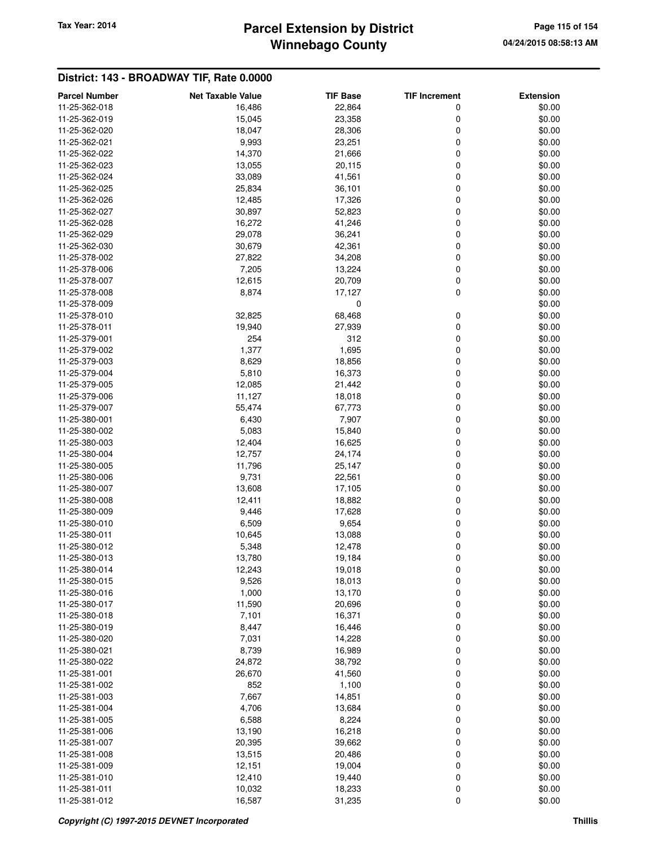# **Winnebago County** Tax Year: 2014 **Parcel Extension by District Page 115 of 154** Page 115 of 154

| <b>Parcel Number</b> | <b>Net Taxable Value</b> | <b>TIF Base</b> | <b>TIF Increment</b> | <b>Extension</b> |
|----------------------|--------------------------|-----------------|----------------------|------------------|
| 11-25-362-018        | 16,486                   | 22,864          | 0                    | \$0.00           |
| 11-25-362-019        | 15,045                   | 23,358          | 0                    | \$0.00           |
| 11-25-362-020        | 18,047                   | 28,306          | 0                    | \$0.00           |
| 11-25-362-021        | 9,993                    | 23,251          | 0                    | \$0.00           |
| 11-25-362-022        | 14,370                   | 21,666          | 0                    | \$0.00           |
| 11-25-362-023        | 13,055                   | 20,115          | 0                    | \$0.00           |
| 11-25-362-024        | 33,089                   | 41,561          | 0                    | \$0.00           |
| 11-25-362-025        | 25,834                   | 36,101          | 0                    | \$0.00           |
| 11-25-362-026        | 12,485                   | 17,326          | 0                    | \$0.00           |
| 11-25-362-027        | 30,897                   | 52,823          | 0                    | \$0.00           |
| 11-25-362-028        | 16,272                   | 41,246          | 0                    | \$0.00           |
| 11-25-362-029        | 29,078                   | 36,241          | 0                    | \$0.00           |
| 11-25-362-030        | 30,679                   | 42,361          | 0                    | \$0.00           |
| 11-25-378-002        | 27,822                   | 34,208          | 0                    | \$0.00           |
| 11-25-378-006        | 7,205                    | 13,224          | 0                    | \$0.00           |
| 11-25-378-007        |                          |                 |                      |                  |
|                      | 12,615                   | 20,709          | 0                    | \$0.00           |
| 11-25-378-008        | 8,874                    | 17,127          | 0                    | \$0.00           |
| 11-25-378-009        |                          | 0               |                      | \$0.00           |
| 11-25-378-010        | 32,825                   | 68,468          | 0                    | \$0.00           |
| 11-25-378-011        | 19,940                   | 27,939          | 0                    | \$0.00           |
| 11-25-379-001        | 254                      | 312             | 0                    | \$0.00           |
| 11-25-379-002        | 1,377                    | 1,695           | 0                    | \$0.00           |
| 11-25-379-003        | 8,629                    | 18,856          | 0                    | \$0.00           |
| 11-25-379-004        | 5,810                    | 16,373          | 0                    | \$0.00           |
| 11-25-379-005        | 12,085                   | 21,442          | 0                    | \$0.00           |
| 11-25-379-006        | 11,127                   | 18,018          | 0                    | \$0.00           |
| 11-25-379-007        | 55,474                   | 67,773          | 0                    | \$0.00           |
| 11-25-380-001        | 6,430                    | 7,907           | 0                    | \$0.00           |
| 11-25-380-002        | 5,083                    | 15,840          | 0                    | \$0.00           |
| 11-25-380-003        | 12,404                   | 16,625          | 0                    | \$0.00           |
| 11-25-380-004        | 12,757                   | 24,174          | 0                    | \$0.00           |
| 11-25-380-005        | 11,796                   | 25,147          | 0                    | \$0.00           |
| 11-25-380-006        | 9,731                    | 22,561          | 0                    | \$0.00           |
| 11-25-380-007        | 13,608                   | 17,105          | 0                    | \$0.00           |
| 11-25-380-008        | 12,411                   | 18,882          | 0                    | \$0.00           |
| 11-25-380-009        | 9,446                    | 17,628          | 0                    | \$0.00           |
| 11-25-380-010        | 6,509                    | 9,654           | 0                    | \$0.00           |
| 11-25-380-011        | 10,645                   | 13,088          | 0                    | \$0.00           |
| 11-25-380-012        | 5,348                    | 12,478          | 0                    | \$0.00           |
| 11-25-380-013        | 13,780                   | 19,184          | 0                    | \$0.00           |
| 11-25-380-014        | 12,243                   | 19,018          | 0                    | \$0.00           |
| 11-25-380-015        | 9,526                    | 18,013          | 0                    | \$0.00           |
| 11-25-380-016        | 1,000                    | 13,170          | 0                    | \$0.00           |
| 11-25-380-017        | 11,590                   | 20,696          | 0                    | \$0.00           |
| 11-25-380-018        | 7,101                    | 16,371          | 0                    | \$0.00           |
| 11-25-380-019        | 8,447                    | 16,446          | 0                    | \$0.00           |
| 11-25-380-020        | 7,031                    | 14,228          | 0                    | \$0.00           |
| 11-25-380-021        | 8,739                    | 16,989          | 0                    | \$0.00           |
| 11-25-380-022        | 24,872                   | 38,792          | 0                    | \$0.00           |
| 11-25-381-001        | 26,670                   | 41,560          | 0                    | \$0.00           |
| 11-25-381-002        | 852                      | 1,100           | 0                    | \$0.00           |
| 11-25-381-003        | 7,667                    | 14,851          | 0                    | \$0.00           |
| 11-25-381-004        | 4,706                    | 13,684          | 0                    | \$0.00           |
|                      |                          |                 |                      |                  |
| 11-25-381-005        | 6,588                    | 8,224           | 0                    | \$0.00           |
| 11-25-381-006        | 13,190                   | 16,218          | 0                    | \$0.00           |
| 11-25-381-007        | 20,395                   | 39,662          | 0                    | \$0.00           |
| 11-25-381-008        | 13,515                   | 20,486          | 0                    | \$0.00           |
| 11-25-381-009        | 12,151                   | 19,004          | 0                    | \$0.00           |
| 11-25-381-010        | 12,410                   | 19,440          | 0                    | \$0.00           |
| 11-25-381-011        | 10,032                   | 18,233          | 0                    | \$0.00           |
| 11-25-381-012        | 16,587                   | 31,235          | 0                    | \$0.00           |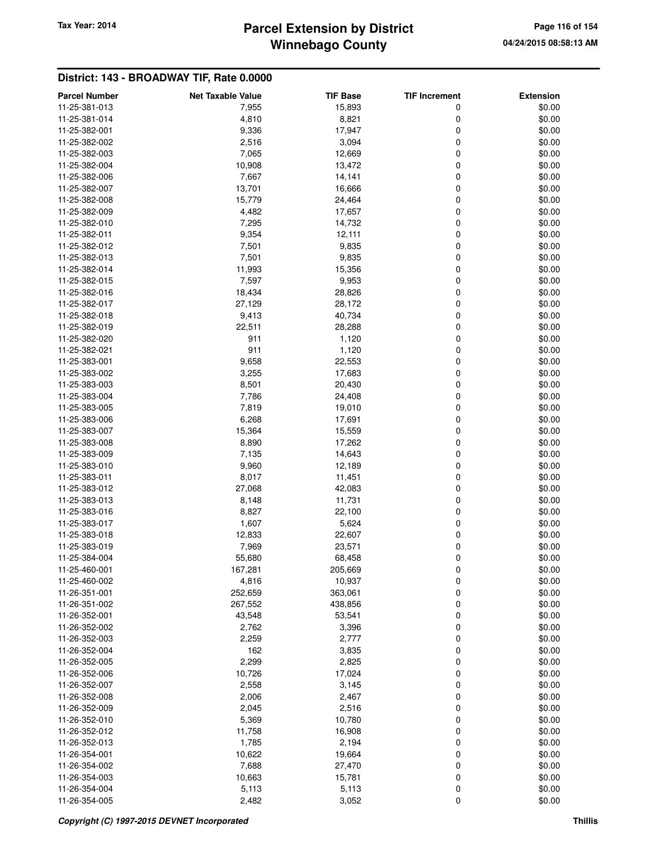# **Winnebago County** Tax Year: 2014 **Parcel Extension by District Page 116 of 154** Page 116 of 154

| <b>Parcel Number</b>           | <b>Net Taxable Value</b> | <b>TIF Base</b> | <b>TIF Increment</b> | <b>Extension</b> |
|--------------------------------|--------------------------|-----------------|----------------------|------------------|
| 11-25-381-013                  | 7,955                    | 15,893          | 0                    | \$0.00           |
| 11-25-381-014                  | 4,810                    | 8,821           | 0                    | \$0.00           |
| 11-25-382-001                  | 9,336                    | 17,947          | 0                    | \$0.00           |
| 11-25-382-002                  | 2,516                    | 3,094           | 0                    | \$0.00           |
| 11-25-382-003                  | 7,065                    | 12,669          | 0                    | \$0.00           |
| 11-25-382-004                  | 10,908                   | 13,472          | 0                    | \$0.00           |
| 11-25-382-006                  | 7,667                    | 14,141          | 0                    | \$0.00           |
| 11-25-382-007                  | 13,701                   | 16,666          | 0                    | \$0.00           |
| 11-25-382-008                  | 15,779                   | 24,464          | 0                    | \$0.00           |
| 11-25-382-009                  | 4,482                    | 17,657          | 0                    | \$0.00           |
| 11-25-382-010                  | 7,295                    | 14,732          | 0                    | \$0.00           |
| 11-25-382-011                  | 9,354                    | 12,111          | 0                    | \$0.00           |
| 11-25-382-012                  | 7,501                    | 9,835           | 0                    | \$0.00           |
| 11-25-382-013                  | 7,501                    | 9,835           | 0                    | \$0.00           |
| 11-25-382-014                  | 11,993                   | 15,356          | 0                    | \$0.00           |
| 11-25-382-015                  | 7,597                    | 9,953           | 0                    | \$0.00           |
| 11-25-382-016                  | 18,434                   | 28,826          | 0                    | \$0.00           |
| 11-25-382-017                  | 27,129                   | 28,172          | 0                    | \$0.00           |
| 11-25-382-018                  | 9,413                    | 40,734          | 0                    | \$0.00           |
| 11-25-382-019                  | 22,511                   | 28,288          | 0                    | \$0.00           |
| 11-25-382-020                  | 911                      |                 | 0                    | \$0.00           |
| 11-25-382-021                  | 911                      | 1,120           |                      | \$0.00           |
|                                |                          | 1,120<br>22,553 | 0<br>0               |                  |
| 11-25-383-001<br>11-25-383-002 | 9,658                    |                 |                      | \$0.00           |
|                                | 3,255                    | 17,683          | 0                    | \$0.00           |
| 11-25-383-003                  | 8,501                    | 20,430          | 0                    | \$0.00           |
| 11-25-383-004                  | 7,786                    | 24,408          | 0                    | \$0.00           |
| 11-25-383-005                  | 7,819                    | 19,010          | 0                    | \$0.00           |
| 11-25-383-006                  | 6,268                    | 17,691          | 0                    | \$0.00           |
| 11-25-383-007                  | 15,364                   | 15,559          | 0                    | \$0.00           |
| 11-25-383-008                  | 8,890                    | 17,262          | 0                    | \$0.00           |
| 11-25-383-009                  | 7,135                    | 14,643          | 0                    | \$0.00           |
| 11-25-383-010                  | 9,960                    | 12,189          | 0                    | \$0.00           |
| 11-25-383-011                  | 8,017                    | 11,451          | 0                    | \$0.00           |
| 11-25-383-012                  | 27,068                   | 42,083          | 0                    | \$0.00           |
| 11-25-383-013                  | 8,148                    | 11,731          | 0                    | \$0.00           |
| 11-25-383-016                  | 8,827                    | 22,100          | 0                    | \$0.00           |
| 11-25-383-017                  | 1,607                    | 5,624           | 0                    | \$0.00           |
| 11-25-383-018                  | 12,833                   | 22,607          | 0                    | \$0.00           |
| 11-25-383-019                  | 7,969                    | 23,571          | 0                    | \$0.00           |
| 11-25-384-004                  | 55,680                   | 68,458          | 0                    | \$0.00           |
| 11-25-460-001                  | 167,281                  | 205,669         | 0                    | \$0.00           |
| 11-25-460-002                  | 4,816                    | 10,937          | 0                    | \$0.00           |
| 11-26-351-001                  | 252,659                  | 363,061         | 0                    | \$0.00           |
| 11-26-351-002                  | 267,552                  | 438,856         | 0                    | \$0.00           |
| 11-26-352-001                  | 43,548                   | 53,541          | 0                    | \$0.00           |
| 11-26-352-002                  | 2,762                    | 3,396           | 0                    | \$0.00           |
| 11-26-352-003                  | 2,259                    | 2,777           | 0                    | \$0.00           |
| 11-26-352-004                  | 162                      | 3,835           | 0                    | \$0.00           |
| 11-26-352-005                  | 2,299                    | 2,825           | 0                    | \$0.00           |
| 11-26-352-006                  | 10,726                   | 17,024          | 0                    | \$0.00           |
| 11-26-352-007                  | 2,558                    | 3,145           | 0                    | \$0.00           |
| 11-26-352-008                  | 2,006                    | 2,467           | 0                    | \$0.00           |
| 11-26-352-009                  | 2,045                    | 2,516           | 0                    | \$0.00           |
| 11-26-352-010                  | 5,369                    | 10,780          | 0                    | \$0.00           |
| 11-26-352-012                  | 11,758                   | 16,908          | 0                    | \$0.00           |
| 11-26-352-013                  | 1,785                    | 2,194           | 0                    | \$0.00           |
| 11-26-354-001                  | 10,622                   | 19,664          | 0                    | \$0.00           |
| 11-26-354-002                  | 7,688                    | 27,470          | 0                    | \$0.00           |
| 11-26-354-003                  | 10,663                   | 15,781          | 0                    | \$0.00           |
| 11-26-354-004                  | 5,113                    | 5,113           | 0                    | \$0.00           |
| 11-26-354-005                  | 2,482                    | 3,052           | 0                    | \$0.00           |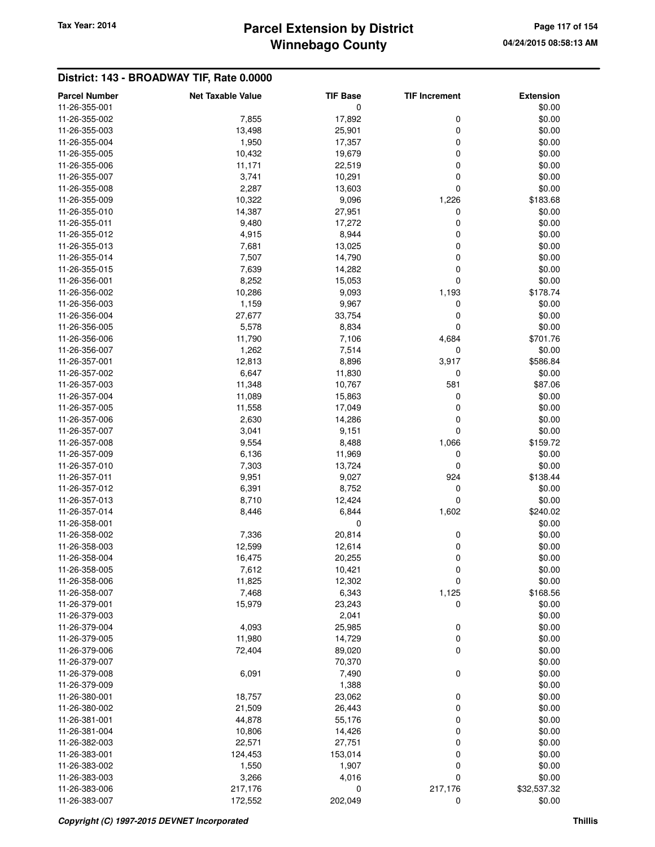### **Winnebago County Parcel Extension by District Tax Year: 2014 Page 117 of 154**

| <b>Parcel Number</b> | <b>Net Taxable Value</b> | <b>TIF Base</b> | <b>TIF Increment</b> | <b>Extension</b> |
|----------------------|--------------------------|-----------------|----------------------|------------------|
| 11-26-355-001        |                          | 0               |                      | \$0.00           |
| 11-26-355-002        | 7,855                    | 17,892          | 0                    | \$0.00           |
| 11-26-355-003        | 13,498                   | 25,901          | 0                    | \$0.00           |
| 11-26-355-004        | 1,950                    | 17,357          | 0                    | \$0.00           |
| 11-26-355-005        | 10,432                   | 19,679          | 0                    | \$0.00           |
| 11-26-355-006        | 11,171                   | 22,519          | 0                    | \$0.00           |
| 11-26-355-007        | 3,741                    | 10,291          | 0                    | \$0.00           |
| 11-26-355-008        | 2,287                    | 13,603          | 0                    | \$0.00           |
| 11-26-355-009        |                          |                 |                      |                  |
| 11-26-355-010        | 10,322                   | 9,096           | 1,226                | \$183.68         |
|                      | 14,387                   | 27,951          | 0                    | \$0.00           |
| 11-26-355-011        | 9,480                    | 17,272          | 0                    | \$0.00           |
| 11-26-355-012        | 4,915                    | 8,944           | 0                    | \$0.00           |
| 11-26-355-013        | 7,681                    | 13,025          | 0                    | \$0.00           |
| 11-26-355-014        | 7,507                    | 14,790          | 0                    | \$0.00           |
| 11-26-355-015        | 7,639                    | 14,282          | 0                    | \$0.00           |
| 11-26-356-001        | 8,252                    | 15,053          | 0                    | \$0.00           |
| 11-26-356-002        | 10,286                   | 9,093           | 1,193                | \$178.74         |
| 11-26-356-003        | 1,159                    | 9,967           | 0                    | \$0.00           |
| 11-26-356-004        | 27,677                   | 33,754          | 0                    | \$0.00           |
| 11-26-356-005        | 5,578                    | 8,834           | 0                    | \$0.00           |
| 11-26-356-006        | 11,790                   | 7,106           | 4,684                | \$701.76         |
| 11-26-356-007        | 1,262                    | 7,514           | $\mathbf 0$          | \$0.00           |
| 11-26-357-001        | 12,813                   | 8,896           | 3,917                | \$586.84         |
| 11-26-357-002        | 6,647                    | 11,830          | 0                    | \$0.00           |
| 11-26-357-003        | 11,348                   | 10,767          | 581                  | \$87.06          |
| 11-26-357-004        | 11,089                   | 15,863          | 0                    | \$0.00           |
| 11-26-357-005        | 11,558                   | 17,049          | 0                    | \$0.00           |
| 11-26-357-006        | 2,630                    | 14,286          | 0                    | \$0.00           |
| 11-26-357-007        | 3,041                    | 9,151           | 0                    | \$0.00           |
| 11-26-357-008        | 9,554                    | 8,488           | 1,066                | \$159.72         |
| 11-26-357-009        | 6,136                    | 11,969          | 0                    | \$0.00           |
| 11-26-357-010        | 7,303                    | 13,724          | 0                    | \$0.00           |
| 11-26-357-011        | 9,951                    | 9,027           | 924                  | \$138.44         |
| 11-26-357-012        | 6,391                    | 8,752           | 0                    | \$0.00           |
| 11-26-357-013        | 8,710                    | 12,424          | 0                    | \$0.00           |
| 11-26-357-014        | 8,446                    | 6,844           | 1,602                | \$240.02         |
| 11-26-358-001        |                          | $\mathbf 0$     |                      | \$0.00           |
| 11-26-358-002        | 7,336                    | 20,814          | 0                    | \$0.00           |
| 11-26-358-003        | 12,599                   | 12,614          | 0                    | \$0.00           |
| 11-26-358-004        | 16,475                   | 20,255          | 0                    | \$0.00           |
| 11-26-358-005        | 7,612                    | 10,421          | 0                    | \$0.00           |
| 11-26-358-006        |                          |                 |                      |                  |
|                      | 11,825<br>7,468          | 12,302          | 0                    | \$0.00           |
| 11-26-358-007        |                          | 6,343           | 1,125                | \$168.56         |
| 11-26-379-001        | 15,979                   | 23,243          | 0                    | \$0.00           |
| 11-26-379-003        |                          | 2,041           |                      | \$0.00           |
| 11-26-379-004        | 4,093                    | 25,985          | $\pmb{0}$            | \$0.00           |
| 11-26-379-005        | 11,980                   | 14,729          | 0                    | \$0.00           |
| 11-26-379-006        | 72,404                   | 89,020          | 0                    | \$0.00           |
| 11-26-379-007        |                          | 70,370          |                      | \$0.00           |
| 11-26-379-008        | 6,091                    | 7,490           | $\mathbf 0$          | \$0.00           |
| 11-26-379-009        |                          | 1,388           |                      | \$0.00           |
| 11-26-380-001        | 18,757                   | 23,062          | 0                    | \$0.00           |
| 11-26-380-002        | 21,509                   | 26,443          | 0                    | \$0.00           |
| 11-26-381-001        | 44,878                   | 55,176          | 0                    | \$0.00           |
| 11-26-381-004        | 10,806                   | 14,426          | 0                    | \$0.00           |
| 11-26-382-003        | 22,571                   | 27,751          | 0                    | \$0.00           |
| 11-26-383-001        | 124,453                  | 153,014         | 0                    | \$0.00           |
| 11-26-383-002        | 1,550                    | 1,907           | $\mathbf 0$          | \$0.00           |
| 11-26-383-003        | 3,266                    | 4,016           | 0                    | \$0.00           |
| 11-26-383-006        | 217,176                  | 0               | 217,176              | \$32,537.32      |
| 11-26-383-007        | 172,552                  | 202,049         | $\mathbf 0$          | \$0.00           |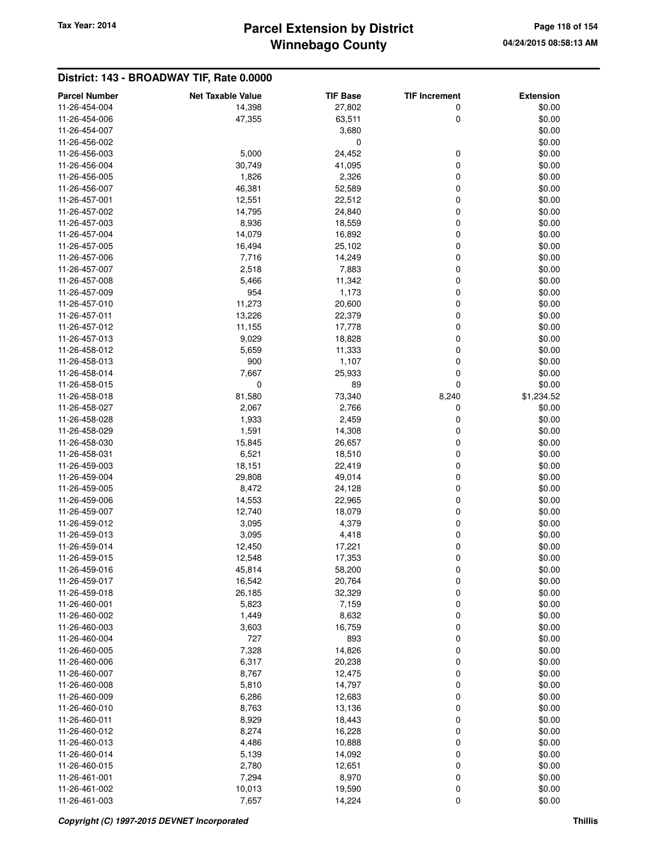# **Winnebago County** Tax Year: 2014 **Parcel Extension by District Page 118 of 154** Page 118 of 154

| <b>Parcel Number</b> | <b>Net Taxable Value</b> | <b>TIF Base</b>  | <b>TIF Increment</b> | <b>Extension</b> |
|----------------------|--------------------------|------------------|----------------------|------------------|
| 11-26-454-004        | 14,398                   | 27,802           | 0                    | \$0.00           |
| 11-26-454-006        |                          |                  | 0                    | \$0.00           |
| 11-26-454-007        | 47,355                   | 63,511           |                      |                  |
|                      |                          | 3,680<br>0       |                      | \$0.00<br>\$0.00 |
| 11-26-456-002        | 5,000                    |                  |                      | \$0.00           |
| 11-26-456-003        |                          | 24,452           | 0                    |                  |
| 11-26-456-004        | 30,749                   | 41,095           | 0                    | \$0.00           |
| 11-26-456-005        | 1,826                    | 2,326            | 0                    | \$0.00           |
| 11-26-456-007        | 46,381                   | 52,589           | 0                    | \$0.00           |
| 11-26-457-001        | 12,551                   | 22,512           | 0                    | \$0.00           |
| 11-26-457-002        | 14,795                   | 24,840           | 0                    | \$0.00           |
| 11-26-457-003        | 8,936                    | 18,559           | 0                    | \$0.00           |
| 11-26-457-004        | 14,079                   | 16,892           | 0                    | \$0.00           |
| 11-26-457-005        | 16,494                   | 25,102           | 0                    | \$0.00           |
| 11-26-457-006        | 7,716                    | 14,249           | 0                    | \$0.00           |
| 11-26-457-007        | 2,518                    | 7,883            | 0                    | \$0.00           |
| 11-26-457-008        | 5,466                    | 11,342           | 0                    | \$0.00           |
| 11-26-457-009        | 954                      | 1,173            | 0                    | \$0.00           |
| 11-26-457-010        | 11,273                   | 20,600           | 0                    | \$0.00           |
| 11-26-457-011        | 13,226                   | 22,379           | 0                    | \$0.00           |
| 11-26-457-012        | 11,155                   | 17,778           | 0                    | \$0.00           |
| 11-26-457-013        | 9,029                    | 18,828           | 0                    | \$0.00           |
| 11-26-458-012        | 5,659                    | 11,333           | 0                    | \$0.00           |
| 11-26-458-013        | 900                      | 1,107            | 0                    | \$0.00           |
| 11-26-458-014        | 7,667                    | 25,933           | 0                    | \$0.00           |
| 11-26-458-015        | $\mathbf 0$              | 89               | 0                    | \$0.00           |
| 11-26-458-018        | 81,580                   | 73,340           | 8,240                | \$1,234.52       |
| 11-26-458-027        | 2,067                    | 2,766            | 0                    | \$0.00           |
| 11-26-458-028        | 1,933                    | 2,459            | 0                    | \$0.00           |
| 11-26-458-029        | 1,591                    | 14,308           | 0                    | \$0.00           |
| 11-26-458-030        | 15,845                   | 26,657           | 0                    | \$0.00           |
| 11-26-458-031        | 6,521                    | 18,510           | 0                    | \$0.00           |
| 11-26-459-003        | 18,151                   | 22,419           | 0                    | \$0.00           |
| 11-26-459-004        | 29,808                   | 49,014           | 0                    | \$0.00           |
| 11-26-459-005        | 8,472                    | 24,128           | 0                    | \$0.00           |
| 11-26-459-006        | 14,553                   | 22,965           | 0                    | \$0.00           |
| 11-26-459-007        | 12,740                   | 18,079           | 0                    | \$0.00           |
| 11-26-459-012        | 3,095                    | 4,379            | 0                    | \$0.00           |
| 11-26-459-013        | 3,095                    | 4,418            | 0                    | \$0.00           |
| 11-26-459-014        | 12,450                   | 17,221           | 0                    | \$0.00           |
| 11-26-459-015        | 12,548                   | 17,353           | 0                    | \$0.00           |
| 11-26-459-016        | 45,814                   |                  |                      | \$0.00           |
| 11-26-459-017        |                          | 58,200           | 0                    | \$0.00           |
| 11-26-459-018        | 16,542<br>26,185         | 20,764<br>32,329 | 0<br>0               | \$0.00           |
| 11-26-460-001        |                          |                  |                      | \$0.00           |
|                      | 5,823                    | 7,159            | 0                    |                  |
| 11-26-460-002        | 1,449                    | 8,632            | 0                    | \$0.00           |
| 11-26-460-003        | 3,603                    | 16,759           | 0                    | \$0.00           |
| 11-26-460-004        | 727                      | 893              | 0                    | \$0.00           |
| 11-26-460-005        | 7,328                    | 14,826           | 0                    | \$0.00           |
| 11-26-460-006        | 6,317                    | 20,238           | 0                    | \$0.00           |
| 11-26-460-007        | 8,767                    | 12,475           | 0                    | \$0.00           |
| 11-26-460-008        | 5,810                    | 14,797           | 0                    | \$0.00           |
| 11-26-460-009        | 6,286                    | 12,683           | 0                    | \$0.00           |
| 11-26-460-010        | 8,763                    | 13,136           | 0                    | \$0.00           |
| 11-26-460-011        | 8,929                    | 18,443           | 0                    | \$0.00           |
| 11-26-460-012        | 8,274                    | 16,228           | 0                    | \$0.00           |
| 11-26-460-013        | 4,486                    | 10,888           | 0                    | \$0.00           |
| 11-26-460-014        | 5,139                    | 14,092           | 0                    | \$0.00           |
| 11-26-460-015        | 2,780                    | 12,651           | 0                    | \$0.00           |
| 11-26-461-001        | 7,294                    | 8,970            | 0                    | \$0.00           |
| 11-26-461-002        | 10,013                   | 19,590           | 0                    | \$0.00           |
| 11-26-461-003        | 7,657                    | 14,224           | 0                    | \$0.00           |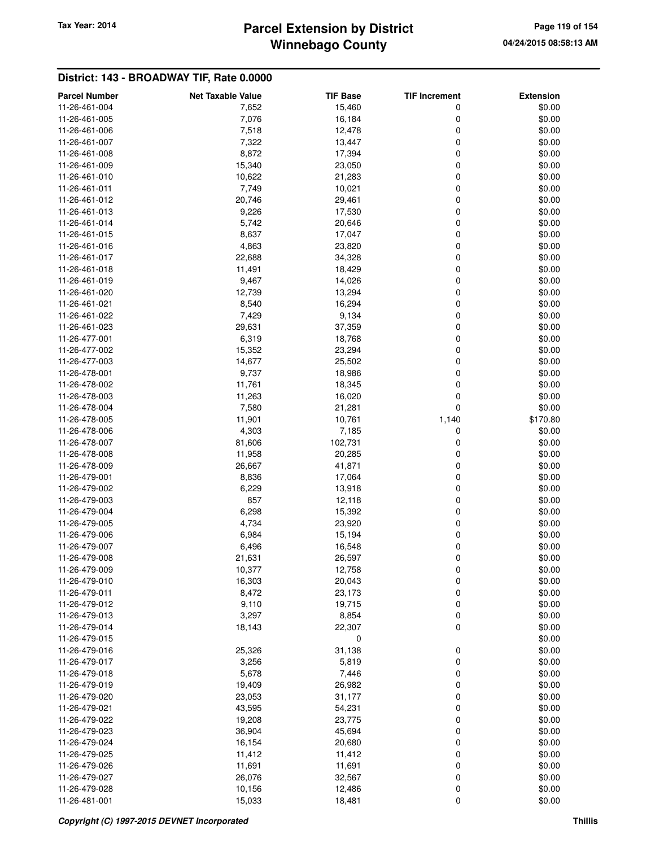# **Winnebago County** Tax Year: 2014 **Parcel Extension by District Page 119 of 154** Page 119 of 154

| <b>Parcel Number</b> | <b>Net Taxable Value</b> | <b>TIF Base</b> | <b>TIF Increment</b> | <b>Extension</b> |
|----------------------|--------------------------|-----------------|----------------------|------------------|
| 11-26-461-004        | 7,652                    | 15,460          | 0                    | \$0.00           |
| 11-26-461-005        | 7,076                    | 16,184          | 0                    | \$0.00           |
| 11-26-461-006        | 7,518                    | 12,478          | 0                    | \$0.00           |
| 11-26-461-007        | 7,322                    | 13,447          | 0                    | \$0.00           |
| 11-26-461-008        | 8,872                    | 17,394          | 0                    | \$0.00           |
| 11-26-461-009        | 15,340                   | 23,050          | 0                    | \$0.00           |
| 11-26-461-010        | 10,622                   | 21,283          | 0                    | \$0.00           |
| 11-26-461-011        | 7,749                    | 10,021          | 0                    | \$0.00           |
| 11-26-461-012        | 20,746                   | 29,461          | 0                    | \$0.00           |
| 11-26-461-013        | 9,226                    | 17,530          | 0                    | \$0.00           |
| 11-26-461-014        | 5,742                    | 20,646          | 0                    | \$0.00           |
| 11-26-461-015        | 8,637                    | 17,047          | 0                    | \$0.00           |
| 11-26-461-016        | 4,863                    | 23,820          | 0                    | \$0.00           |
| 11-26-461-017        | 22,688                   | 34,328          | 0                    | \$0.00           |
| 11-26-461-018        | 11,491                   | 18,429          | 0                    | \$0.00           |
| 11-26-461-019        | 9,467                    | 14,026          | 0                    | \$0.00           |
| 11-26-461-020        | 12,739                   | 13,294          | 0                    | \$0.00           |
| 11-26-461-021        | 8,540                    | 16,294          | 0                    | \$0.00           |
| 11-26-461-022        | 7,429                    | 9,134           | 0                    | \$0.00           |
| 11-26-461-023        | 29,631                   | 37,359          | 0                    | \$0.00           |
| 11-26-477-001        | 6,319                    | 18,768          | 0                    | \$0.00           |
| 11-26-477-002        | 15,352                   | 23,294          | 0                    | \$0.00           |
| 11-26-477-003        | 14,677                   | 25,502          | 0                    | \$0.00           |
| 11-26-478-001        | 9,737                    | 18,986          | 0                    | \$0.00           |
| 11-26-478-002        | 11,761                   | 18,345          | 0                    | \$0.00           |
| 11-26-478-003        | 11,263                   | 16,020          | 0                    | \$0.00           |
| 11-26-478-004        | 7,580                    | 21,281          | 0                    | \$0.00           |
| 11-26-478-005        | 11,901                   | 10,761          | 1,140                | \$170.80         |
| 11-26-478-006        | 4,303                    | 7,185           | 0                    | \$0.00           |
| 11-26-478-007        | 81,606                   | 102,731         | 0                    | \$0.00           |
| 11-26-478-008        | 11,958                   | 20,285          | 0                    | \$0.00           |
| 11-26-478-009        | 26,667                   | 41,871          | 0                    | \$0.00           |
| 11-26-479-001        | 8,836                    | 17,064          | 0                    | \$0.00           |
| 11-26-479-002        | 6,229                    | 13,918          | 0                    | \$0.00           |
| 11-26-479-003        | 857                      | 12,118          | 0                    | \$0.00           |
| 11-26-479-004        | 6,298                    | 15,392          | 0                    | \$0.00           |
| 11-26-479-005        | 4,734                    | 23,920          | 0                    | \$0.00           |
| 11-26-479-006        | 6,984                    | 15,194          | 0                    | \$0.00           |
| 11-26-479-007        | 6,496                    | 16,548          | 0                    | \$0.00           |
| 11-26-479-008        | 21,631                   | 26,597          | 0                    | \$0.00           |
| 11-26-479-009        | 10,377                   | 12,758          | 0                    | \$0.00           |
| 11-26-479-010        | 16,303                   | 20,043          | 0                    | \$0.00           |
| 11-26-479-011        | 8,472                    | 23,173          | 0                    | \$0.00           |
| 11-26-479-012        | 9,110                    | 19,715          | 0                    | \$0.00           |
| 11-26-479-013        | 3,297                    | 8,854           | 0                    | \$0.00           |
| 11-26-479-014        | 18,143                   | 22,307          | 0                    | \$0.00           |
| 11-26-479-015        |                          | 0               |                      | \$0.00           |
| 11-26-479-016        | 25,326                   | 31,138          | 0                    | \$0.00           |
| 11-26-479-017        | 3,256                    | 5,819           | 0                    | \$0.00           |
| 11-26-479-018        | 5,678                    | 7,446           | 0                    | \$0.00           |
| 11-26-479-019        | 19,409                   | 26,982          | 0                    | \$0.00           |
| 11-26-479-020        | 23,053                   | 31,177          | 0                    | \$0.00           |
| 11-26-479-021        | 43,595                   | 54,231          | 0                    | \$0.00           |
| 11-26-479-022        | 19,208                   | 23,775          | 0                    | \$0.00           |
| 11-26-479-023        | 36,904                   | 45,694          | 0                    | \$0.00           |
| 11-26-479-024        | 16,154                   | 20,680          | 0                    | \$0.00           |
| 11-26-479-025        | 11,412                   | 11,412          | 0                    | \$0.00           |
| 11-26-479-026        | 11,691                   | 11,691          | 0                    | \$0.00           |
| 11-26-479-027        | 26,076                   | 32,567          | 0                    | \$0.00           |
| 11-26-479-028        | 10,156                   | 12,486          | 0                    | \$0.00           |
| 11-26-481-001        | 15,033                   | 18,481          | 0                    | \$0.00           |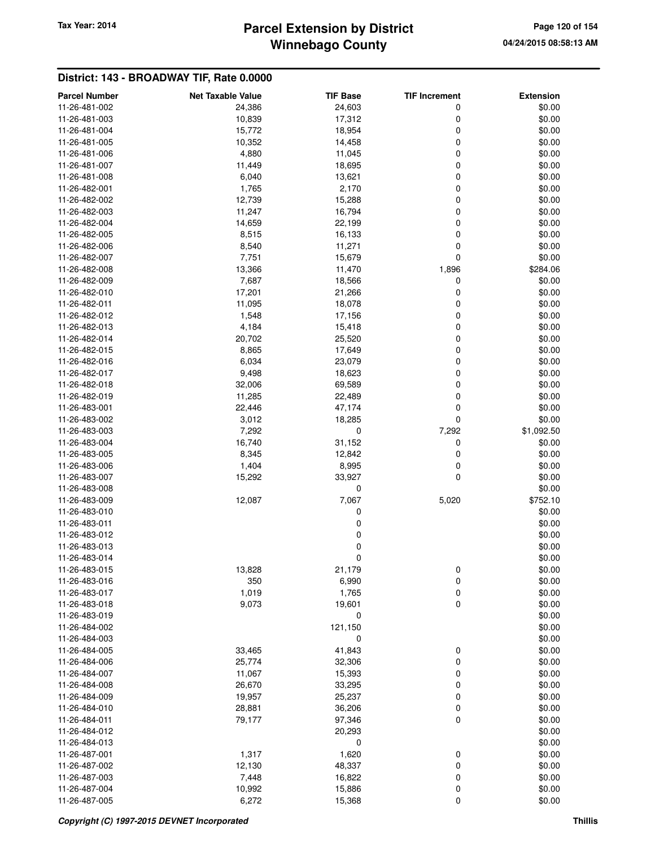# **Winnebago County** Tax Year: 2014 **Parcel Extension by District Page 120 of 154** Page 120 of 154

| <b>Parcel Number</b> | <b>Net Taxable Value</b> | <b>TIF Base</b> | <b>TIF Increment</b> | <b>Extension</b> |
|----------------------|--------------------------|-----------------|----------------------|------------------|
| 11-26-481-002        | 24,386                   | 24,603          | 0                    | \$0.00           |
| 11-26-481-003        | 10,839                   | 17,312          | 0                    | \$0.00           |
| 11-26-481-004        | 15,772                   | 18,954          | 0                    | \$0.00           |
| 11-26-481-005        | 10,352                   | 14,458          | 0                    | \$0.00           |
| 11-26-481-006        | 4,880                    | 11,045          | 0                    | \$0.00           |
| 11-26-481-007        | 11,449                   | 18,695          | 0                    | \$0.00           |
| 11-26-481-008        | 6,040                    | 13,621          | 0                    | \$0.00           |
| 11-26-482-001        | 1,765                    | 2,170           | 0                    | \$0.00           |
| 11-26-482-002        | 12,739                   | 15,288          | 0                    | \$0.00           |
| 11-26-482-003        | 11,247                   | 16,794          | 0                    | \$0.00           |
| 11-26-482-004        | 14,659                   | 22,199          | 0                    | \$0.00           |
| 11-26-482-005        | 8,515                    | 16,133          | 0                    | \$0.00           |
| 11-26-482-006        | 8,540                    | 11,271          | 0                    | \$0.00           |
| 11-26-482-007        | 7,751                    | 15,679          | 0                    | \$0.00           |
| 11-26-482-008        | 13,366                   | 11,470          | 1,896                | \$284.06         |
| 11-26-482-009        | 7,687                    | 18,566          | 0                    | \$0.00           |
| 11-26-482-010        | 17,201                   | 21,266          | 0                    | \$0.00           |
| 11-26-482-011        | 11,095                   | 18,078          | 0                    | \$0.00           |
| 11-26-482-012        | 1,548                    | 17,156          | 0                    | \$0.00           |
| 11-26-482-013        | 4,184                    | 15,418          | 0                    | \$0.00           |
| 11-26-482-014        |                          |                 | 0                    | \$0.00           |
|                      | 20,702                   | 25,520          |                      | \$0.00           |
| 11-26-482-015        | 8,865                    | 17,649          | 0                    |                  |
| 11-26-482-016        | 6,034                    | 23,079          | 0                    | \$0.00           |
| 11-26-482-017        | 9,498                    | 18,623          | 0                    | \$0.00           |
| 11-26-482-018        | 32,006                   | 69,589          | 0                    | \$0.00           |
| 11-26-482-019        | 11,285                   | 22,489          | 0                    | \$0.00           |
| 11-26-483-001        | 22,446                   | 47,174          | 0                    | \$0.00           |
| 11-26-483-002        | 3,012                    | 18,285          | 0                    | \$0.00           |
| 11-26-483-003        | 7,292                    | 0               | 7,292                | \$1,092.50       |
| 11-26-483-004        | 16,740                   | 31,152          | 0                    | \$0.00           |
| 11-26-483-005        | 8,345                    | 12,842          | 0                    | \$0.00           |
| 11-26-483-006        | 1,404                    | 8,995           | 0                    | \$0.00           |
| 11-26-483-007        | 15,292                   | 33,927          | 0                    | \$0.00           |
| 11-26-483-008        |                          | 0               |                      | \$0.00           |
| 11-26-483-009        | 12,087                   | 7,067           | 5,020                | \$752.10         |
| 11-26-483-010        |                          | 0               |                      | \$0.00           |
| 11-26-483-011        |                          | 0               |                      | \$0.00           |
| 11-26-483-012        |                          | $\mathbf 0$     |                      | \$0.00           |
| 11-26-483-013        |                          | $\mathbf 0$     |                      | \$0.00           |
| 11-26-483-014        |                          | $\mathbf 0$     |                      | \$0.00           |
| 11-26-483-015        | 13,828                   | 21,179          | 0                    | \$0.00           |
| 11-26-483-016        | 350                      | 6,990           | 0                    | \$0.00           |
| 11-26-483-017        | 1,019                    | 1,765           | 0                    | \$0.00           |
| 11-26-483-018        | 9,073                    | 19,601          | $\mathbf 0$          | \$0.00           |
| 11-26-483-019        |                          | 0               |                      | \$0.00           |
| 11-26-484-002        |                          | 121,150         |                      | \$0.00           |
| 11-26-484-003        |                          | $\mathbf 0$     |                      | \$0.00           |
| 11-26-484-005        | 33,465                   | 41,843          | 0                    | \$0.00           |
| 11-26-484-006        | 25,774                   | 32,306          | 0                    | \$0.00           |
| 11-26-484-007        | 11,067                   | 15,393          | 0                    | \$0.00           |
| 11-26-484-008        | 26,670                   | 33,295          | 0                    | \$0.00           |
| 11-26-484-009        | 19,957                   | 25,237          | 0                    | \$0.00           |
| 11-26-484-010        | 28,881                   | 36,206          | 0                    | \$0.00           |
| 11-26-484-011        | 79,177                   | 97,346          | $\mathbf 0$          | \$0.00           |
| 11-26-484-012        |                          | 20,293          |                      | \$0.00           |
| 11-26-484-013        |                          | 0               |                      | \$0.00           |
| 11-26-487-001        | 1,317                    | 1,620           | 0                    | \$0.00           |
| 11-26-487-002        | 12,130                   | 48,337          | 0                    | \$0.00           |
| 11-26-487-003        | 7,448                    | 16,822          | 0                    | \$0.00           |
| 11-26-487-004        | 10,992                   | 15,886          | 0                    | \$0.00           |
| 11-26-487-005        | 6,272                    | 15,368          | 0                    | \$0.00           |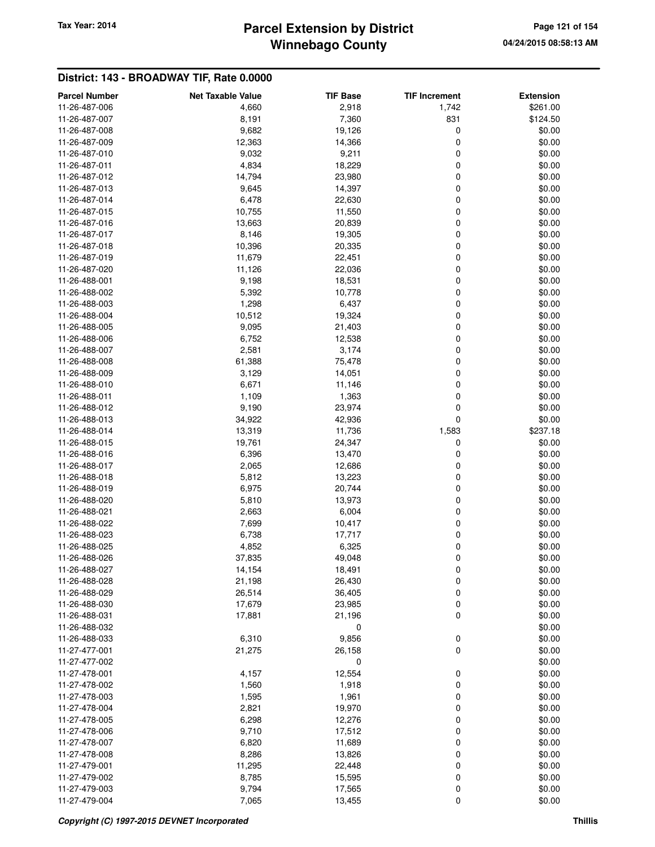# **Winnebago County** Tax Year: 2014 **Parcel Extension by District Page 121 of 154** Page 121 of 154

| <b>Parcel Number</b>           | <b>Net Taxable Value</b> | <b>TIF Base</b> | <b>TIF Increment</b> | <b>Extension</b> |
|--------------------------------|--------------------------|-----------------|----------------------|------------------|
| 11-26-487-006                  | 4,660                    | 2,918           | 1,742                | \$261.00         |
| 11-26-487-007                  | 8,191                    | 7,360           | 831                  | \$124.50         |
| 11-26-487-008                  | 9,682                    | 19,126          | 0                    | \$0.00           |
| 11-26-487-009                  | 12,363                   | 14,366          | $\mathbf 0$          | \$0.00           |
| 11-26-487-010                  | 9,032                    | 9,211           | 0                    | \$0.00           |
| 11-26-487-011                  | 4,834                    | 18,229          | 0                    | \$0.00           |
| 11-26-487-012                  | 14,794                   | 23,980          | 0                    | \$0.00           |
| 11-26-487-013                  | 9,645                    | 14,397          | 0                    | \$0.00           |
| 11-26-487-014                  | 6,478                    | 22,630          | 0                    | \$0.00           |
| 11-26-487-015                  | 10,755                   | 11,550          | 0                    | \$0.00           |
| 11-26-487-016                  | 13,663                   | 20,839          | 0                    | \$0.00           |
| 11-26-487-017                  | 8,146                    | 19,305          | 0                    | \$0.00           |
| 11-26-487-018                  | 10,396                   | 20,335          | 0                    | \$0.00           |
| 11-26-487-019                  | 11,679                   | 22,451          | $\mathbf 0$          | \$0.00           |
| 11-26-487-020                  | 11,126                   | 22,036          | 0                    | \$0.00           |
| 11-26-488-001                  | 9,198                    | 18,531          | 0                    | \$0.00           |
| 11-26-488-002                  | 5,392                    | 10,778          | 0                    | \$0.00           |
| 11-26-488-003                  | 1,298                    | 6,437           | 0                    | \$0.00           |
| 11-26-488-004                  | 10,512                   | 19,324          | 0                    | \$0.00           |
| 11-26-488-005                  | 9,095                    | 21,403          | 0                    | \$0.00           |
| 11-26-488-006                  | 6,752                    | 12,538          | 0                    | \$0.00           |
| 11-26-488-007                  | 2,581                    | 3,174           | 0                    | \$0.00           |
| 11-26-488-008                  | 61,388                   | 75,478          | 0                    | \$0.00           |
| 11-26-488-009                  | 3,129                    | 14,051          | 0                    | \$0.00           |
| 11-26-488-010                  | 6,671                    | 11,146          | 0                    | \$0.00           |
| 11-26-488-011                  |                          |                 | 0                    |                  |
| 11-26-488-012                  | 1,109<br>9,190           | 1,363<br>23,974 | 0                    | \$0.00<br>\$0.00 |
|                                |                          |                 | $\mathbf 0$          |                  |
| 11-26-488-013                  | 34,922                   | 42,936          |                      | \$0.00           |
| 11-26-488-014                  | 13,319                   | 11,736          | 1,583                | \$237.18         |
| 11-26-488-015<br>11-26-488-016 | 19,761                   | 24,347          | 0                    | \$0.00           |
|                                | 6,396                    | 13,470          | 0                    | \$0.00           |
| 11-26-488-017                  | 2,065                    | 12,686          | 0<br>0               | \$0.00           |
| 11-26-488-018                  | 5,812                    | 13,223          |                      | \$0.00           |
| 11-26-488-019                  | 6,975                    | 20,744          | 0                    | \$0.00           |
| 11-26-488-020                  | 5,810                    | 13,973          | 0                    | \$0.00           |
| 11-26-488-021                  | 2,663                    | 6,004           | 0                    | \$0.00           |
| 11-26-488-022                  | 7,699                    | 10,417          | 0                    | \$0.00           |
| 11-26-488-023                  | 6,738                    | 17,717          | 0                    | \$0.00           |
| 11-26-488-025                  | 4,852                    | 6,325           | 0                    | \$0.00           |
| 11-26-488-026                  | 37,835                   | 49,048          | 0                    | \$0.00           |
| 11-26-488-027                  | 14,154                   | 18,491          | $\mathbf 0$          | \$0.00           |
| 11-26-488-028                  | 21,198                   | 26,430          | $\boldsymbol{0}$     | \$0.00           |
| 11-26-488-029                  | 26,514                   | 36,405          | 0                    | \$0.00           |
| 11-26-488-030                  | 17,679                   | 23,985          | 0                    | \$0.00           |
| 11-26-488-031<br>11-26-488-032 | 17,881                   | 21,196          | 0                    | \$0.00           |
|                                |                          | 0               |                      | \$0.00           |
| 11-26-488-033                  | 6,310                    | 9,856           | $\pmb{0}$            | \$0.00           |
| 11-27-477-001                  | 21,275                   | 26,158          | $\mathbf 0$          | \$0.00           |
| 11-27-477-002                  |                          | 0               |                      | \$0.00           |
| 11-27-478-001                  | 4,157                    | 12,554          | 0                    | \$0.00           |
| 11-27-478-002                  | 1,560                    | 1,918           | $\mathbf 0$          | \$0.00           |
| 11-27-478-003                  | 1,595                    | 1,961           | 0                    | \$0.00           |
| 11-27-478-004                  | 2,821                    | 19,970          | $\mathbf 0$          | \$0.00           |
| 11-27-478-005                  | 6,298                    | 12,276          | 0                    | \$0.00           |
| 11-27-478-006                  | 9,710                    | 17,512          | 0                    | \$0.00           |
| 11-27-478-007                  | 6,820                    | 11,689          | 0                    | \$0.00           |
| 11-27-478-008                  | 8,286                    | 13,826          | 0                    | \$0.00           |
| 11-27-479-001                  | 11,295                   | 22,448          | 0                    | \$0.00           |
| 11-27-479-002                  | 8,785                    | 15,595          | 0                    | \$0.00           |
| 11-27-479-003                  | 9,794                    | 17,565          | 0                    | \$0.00           |
| 11-27-479-004                  | 7,065                    | 13,455          | $\mathbf 0$          | \$0.00           |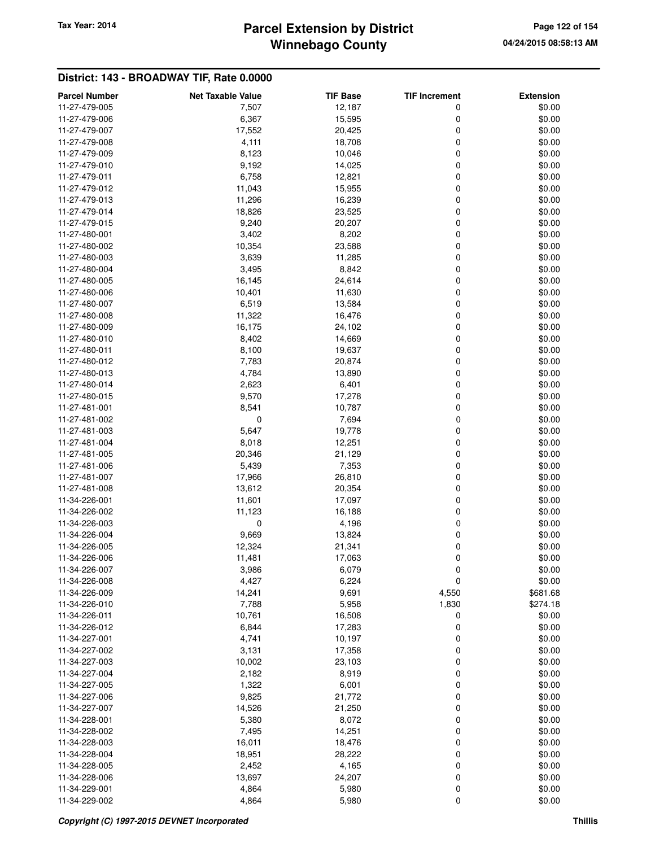# **Winnebago County** Tax Year: 2014 **Parcel Extension by District** Page 122 of 154

| <b>Parcel Number</b>           | <b>Net Taxable Value</b> | <b>TIF Base</b> | <b>TIF Increment</b> | <b>Extension</b> |
|--------------------------------|--------------------------|-----------------|----------------------|------------------|
| 11-27-479-005                  | 7,507                    | 12,187          | 0                    | \$0.00           |
| 11-27-479-006                  | 6,367                    | 15,595          | 0                    | \$0.00           |
| 11-27-479-007                  | 17,552                   | 20,425          | 0                    | \$0.00           |
| 11-27-479-008                  | 4,111                    | 18,708          | 0                    | \$0.00           |
| 11-27-479-009                  | 8,123                    | 10,046          | 0                    | \$0.00           |
| 11-27-479-010                  | 9,192                    | 14,025          | 0                    | \$0.00           |
| 11-27-479-011                  | 6,758                    | 12,821          | 0                    | \$0.00           |
| 11-27-479-012                  | 11,043                   | 15,955          | 0                    | \$0.00           |
| 11-27-479-013                  | 11,296                   | 16,239          | 0                    | \$0.00           |
| 11-27-479-014                  | 18,826                   | 23,525          | 0                    | \$0.00           |
| 11-27-479-015                  | 9,240                    | 20,207          | 0                    | \$0.00           |
| 11-27-480-001                  | 3,402                    | 8,202           | 0                    | \$0.00           |
| 11-27-480-002                  | 10,354                   | 23,588          | 0                    | \$0.00           |
| 11-27-480-003                  | 3,639                    | 11,285          | 0                    | \$0.00           |
| 11-27-480-004                  | 3,495                    | 8,842           | 0                    | \$0.00           |
| 11-27-480-005                  | 16,145                   | 24,614          | 0                    | \$0.00           |
| 11-27-480-006                  | 10,401                   | 11,630          | 0                    | \$0.00           |
| 11-27-480-007                  | 6,519                    | 13,584          | 0                    | \$0.00           |
| 11-27-480-008                  | 11,322                   | 16,476          | 0                    | \$0.00           |
| 11-27-480-009                  | 16,175                   | 24,102          | 0                    | \$0.00           |
| 11-27-480-010                  | 8,402                    | 14,669          | 0                    | \$0.00           |
| 11-27-480-011                  | 8,100                    | 19,637          | 0                    | \$0.00           |
| 11-27-480-012                  | 7,783                    | 20,874          | 0                    | \$0.00           |
| 11-27-480-013                  | 4,784                    | 13,890          | 0                    | \$0.00           |
| 11-27-480-014                  | 2,623                    | 6,401           | 0                    | \$0.00           |
| 11-27-480-015                  | 9,570                    | 17,278          | 0                    | \$0.00           |
| 11-27-481-001                  | 8,541                    | 10,787          | 0                    | \$0.00           |
| 11-27-481-002                  | 0                        | 7,694           | 0                    | \$0.00           |
| 11-27-481-003                  | 5,647                    | 19,778          | 0                    | \$0.00           |
| 11-27-481-004                  | 8,018                    | 12,251          | 0                    | \$0.00           |
| 11-27-481-005                  | 20,346                   | 21,129          | 0                    | \$0.00           |
| 11-27-481-006<br>11-27-481-007 | 5,439<br>17,966          | 7,353<br>26,810 | 0<br>0               | \$0.00<br>\$0.00 |
| 11-27-481-008                  | 13,612                   | 20,354          | 0                    | \$0.00           |
| 11-34-226-001                  | 11,601                   | 17,097          | 0                    | \$0.00           |
| 11-34-226-002                  | 11,123                   | 16,188          | 0                    | \$0.00           |
| 11-34-226-003                  | 0                        | 4,196           | 0                    | \$0.00           |
| 11-34-226-004                  | 9,669                    | 13,824          | 0                    | \$0.00           |
| 11-34-226-005                  | 12,324                   | 21,341          | 0                    | \$0.00           |
| 11-34-226-006                  | 11,481                   | 17,063          | 0                    | \$0.00           |
| 11-34-226-007                  | 3,986                    | 6,079           | 0                    | \$0.00           |
| 11-34-226-008                  | 4,427                    | 6,224           | 0                    | \$0.00           |
| 11-34-226-009                  | 14,241                   | 9,691           | 4,550                | \$681.68         |
| 11-34-226-010                  | 7,788                    | 5,958           | 1,830                | \$274.18         |
| 11-34-226-011                  | 10,761                   | 16,508          | 0                    | \$0.00           |
| 11-34-226-012                  | 6,844                    | 17,283          | 0                    | \$0.00           |
| 11-34-227-001                  | 4,741                    | 10,197          | 0                    | \$0.00           |
| 11-34-227-002                  | 3,131                    | 17,358          | 0                    | \$0.00           |
| 11-34-227-003                  | 10,002                   | 23,103          | 0                    | \$0.00           |
| 11-34-227-004                  | 2,182                    | 8,919           | 0                    | \$0.00           |
| 11-34-227-005                  | 1,322                    | 6,001           | 0                    | \$0.00           |
| 11-34-227-006                  | 9,825                    | 21,772          | 0                    | \$0.00           |
| 11-34-227-007                  | 14,526                   | 21,250          | 0                    | \$0.00           |
| 11-34-228-001                  | 5,380                    | 8,072           | 0                    | \$0.00           |
| 11-34-228-002                  | 7,495                    | 14,251          | 0                    | \$0.00           |
| 11-34-228-003                  | 16,011                   | 18,476          | 0                    | \$0.00           |
| 11-34-228-004                  | 18,951                   | 28,222          | 0                    | \$0.00           |
| 11-34-228-005                  | 2,452                    | 4,165           | 0                    | \$0.00           |
| 11-34-228-006                  | 13,697                   | 24,207          | 0                    | \$0.00           |
| 11-34-229-001                  | 4,864                    | 5,980           | 0                    | \$0.00           |
| 11-34-229-002                  | 4,864                    | 5,980           | 0                    | \$0.00           |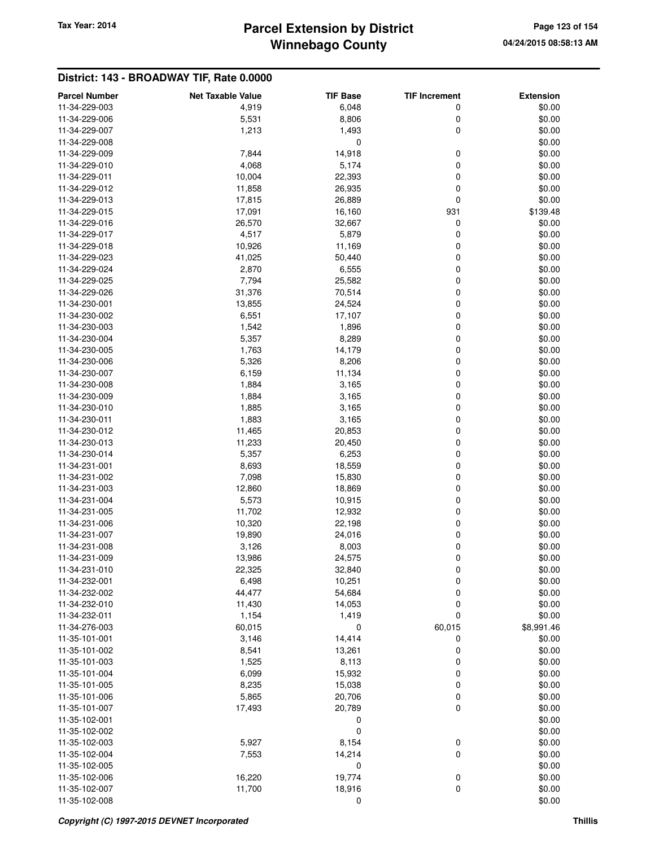### **Winnebago County Parcel Extension by District Tax Year: 2014 Page 123 of 154**

| <b>Parcel Number</b>           | <b>Net Taxable Value</b> | <b>TIF Base</b>  | <b>TIF Increment</b> | <b>Extension</b> |
|--------------------------------|--------------------------|------------------|----------------------|------------------|
| 11-34-229-003                  | 4,919                    | 6,048            | 0                    | \$0.00           |
| 11-34-229-006                  | 5,531                    | 8,806            | 0                    | \$0.00           |
| 11-34-229-007                  | 1,213                    | 1,493            | 0                    | \$0.00           |
| 11-34-229-008                  |                          | 0                |                      | \$0.00           |
| 11-34-229-009                  | 7,844                    | 14,918           | 0                    | \$0.00           |
| 11-34-229-010                  | 4,068                    | 5,174            | 0                    | \$0.00           |
| 11-34-229-011                  | 10,004                   | 22,393           | 0                    | \$0.00           |
| 11-34-229-012                  | 11,858                   | 26,935           | 0                    | \$0.00           |
| 11-34-229-013                  | 17,815                   | 26,889           | 0                    | \$0.00           |
| 11-34-229-015                  | 17,091                   | 16,160           | 931                  | \$139.48         |
| 11-34-229-016                  | 26,570                   | 32,667           | 0                    | \$0.00           |
| 11-34-229-017                  | 4,517                    | 5,879            | 0                    | \$0.00           |
| 11-34-229-018                  | 10,926                   | 11,169           | 0                    | \$0.00           |
| 11-34-229-023                  | 41,025                   | 50,440           | 0                    | \$0.00           |
| 11-34-229-024                  | 2,870                    | 6,555            | 0                    | \$0.00           |
| 11-34-229-025                  | 7,794                    | 25,582           | 0                    | \$0.00           |
| 11-34-229-026                  | 31,376                   | 70,514           | 0                    | \$0.00           |
| 11-34-230-001                  | 13,855                   | 24,524           | 0                    | \$0.00           |
| 11-34-230-002                  | 6,551                    | 17,107           | 0                    | \$0.00           |
| 11-34-230-003                  | 1,542                    | 1,896            | 0                    | \$0.00           |
| 11-34-230-004                  | 5,357                    | 8,289            | 0                    | \$0.00           |
| 11-34-230-005                  | 1,763                    | 14,179           | 0                    | \$0.00           |
| 11-34-230-006                  | 5,326                    | 8,206            | 0                    | \$0.00           |
| 11-34-230-007                  | 6,159                    | 11,134           | 0                    | \$0.00           |
| 11-34-230-008                  | 1,884                    | 3,165            | 0                    | \$0.00           |
| 11-34-230-009                  | 1,884                    | 3,165            | 0                    | \$0.00           |
| 11-34-230-010                  | 1,885                    | 3,165            | 0                    | \$0.00           |
| 11-34-230-011                  | 1,883                    | 3,165            | 0                    | \$0.00           |
| 11-34-230-012                  | 11,465                   | 20,853           | 0                    | \$0.00           |
| 11-34-230-013                  | 11,233                   | 20,450           | 0                    | \$0.00           |
| 11-34-230-014                  | 5,357                    | 6,253            | 0                    | \$0.00           |
| 11-34-231-001                  | 8,693                    | 18,559           | 0                    | \$0.00           |
| 11-34-231-002                  | 7,098                    | 15,830           | 0                    | \$0.00           |
| 11-34-231-003                  | 12,860                   | 18,869           | 0                    | \$0.00           |
| 11-34-231-004                  | 5,573                    | 10,915           | 0                    | \$0.00<br>\$0.00 |
| 11-34-231-005                  | 11,702                   | 12,932           | 0                    |                  |
| 11-34-231-006<br>11-34-231-007 | 10,320<br>19,890         | 22,198<br>24,016 | 0<br>0               | \$0.00<br>\$0.00 |
| 11-34-231-008                  | 3,126                    | 8,003            | 0                    | \$0.00           |
| 11-34-231-009                  | 13,986                   | 24,575           | 0                    | \$0.00           |
| 11-34-231-010                  | 22,325                   | 32,840           | 0                    | \$0.00           |
| 11-34-232-001                  | 6,498                    | 10,251           | 0                    | \$0.00           |
| 11-34-232-002                  | 44,477                   | 54,684           | 0                    | \$0.00           |
| 11-34-232-010                  | 11,430                   | 14,053           | 0                    | \$0.00           |
| 11-34-232-011                  | 1,154                    | 1,419            | 0                    | \$0.00           |
| 11-34-276-003                  | 60,015                   | 0                | 60,015               | \$8,991.46       |
| 11-35-101-001                  | 3,146                    | 14,414           | 0                    | \$0.00           |
| 11-35-101-002                  | 8,541                    | 13,261           | 0                    | \$0.00           |
| 11-35-101-003                  | 1,525                    | 8,113            | 0                    | \$0.00           |
| 11-35-101-004                  | 6,099                    | 15,932           | 0                    | \$0.00           |
| 11-35-101-005                  | 8,235                    | 15,038           | 0                    | \$0.00           |
| 11-35-101-006                  | 5,865                    | 20,706           | 0                    | \$0.00           |
| 11-35-101-007                  | 17,493                   | 20,789           | 0                    | \$0.00           |
| 11-35-102-001                  |                          | 0                |                      | \$0.00           |
| 11-35-102-002                  |                          | $\mathbf 0$      |                      | \$0.00           |
| 11-35-102-003                  | 5,927                    | 8,154            | 0                    | \$0.00           |
| 11-35-102-004                  | 7,553                    | 14,214           | 0                    | \$0.00           |
| 11-35-102-005                  |                          | 0                |                      | \$0.00           |
| 11-35-102-006                  | 16,220                   | 19,774           | 0                    | \$0.00           |
| 11-35-102-007                  | 11,700                   | 18,916           | 0                    | \$0.00           |
| 11-35-102-008                  |                          | $\mathbf 0$      |                      | \$0.00           |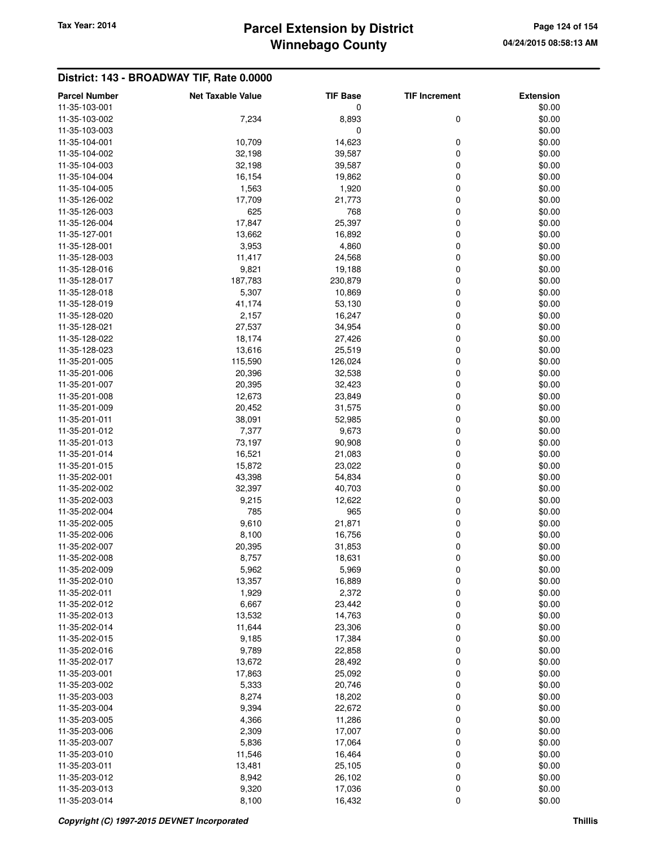### **Winnebago County Parcel Extension by District Tax Year: 2014 Page 124 of 154**

| <b>Parcel Number</b> | <b>Net Taxable Value</b> | <b>TIF Base</b> | <b>TIF Increment</b> | <b>Extension</b> |
|----------------------|--------------------------|-----------------|----------------------|------------------|
| 11-35-103-001        |                          | 0               |                      | \$0.00           |
| 11-35-103-002        | 7,234                    | 8,893           | 0                    | \$0.00           |
| 11-35-103-003        |                          | 0               |                      | \$0.00           |
| 11-35-104-001        | 10,709                   | 14,623          | 0                    | \$0.00           |
| 11-35-104-002        | 32,198                   | 39,587          | 0                    | \$0.00           |
| 11-35-104-003        | 32,198                   | 39,587          | 0                    | \$0.00           |
| 11-35-104-004        | 16,154                   | 19,862          | 0                    | \$0.00           |
| 11-35-104-005        | 1,563                    | 1,920           | 0                    | \$0.00           |
|                      |                          |                 |                      |                  |
| 11-35-126-002        | 17,709                   | 21,773          | 0                    | \$0.00           |
| 11-35-126-003        | 625                      | 768             | 0                    | \$0.00           |
| 11-35-126-004        | 17,847                   | 25,397          | 0                    | \$0.00           |
| 11-35-127-001        | 13,662                   | 16,892          | 0                    | \$0.00           |
| 11-35-128-001        | 3,953                    | 4,860           | 0                    | \$0.00           |
| 11-35-128-003        | 11,417                   | 24,568          | 0                    | \$0.00           |
| 11-35-128-016        | 9,821                    | 19,188          | 0                    | \$0.00           |
| 11-35-128-017        | 187,783                  | 230,879         | 0                    | \$0.00           |
| 11-35-128-018        | 5,307                    | 10,869          | 0                    | \$0.00           |
| 11-35-128-019        | 41,174                   | 53,130          | 0                    | \$0.00           |
| 11-35-128-020        | 2,157                    | 16,247          | 0                    | \$0.00           |
| 11-35-128-021        | 27,537                   | 34,954          | 0                    | \$0.00           |
| 11-35-128-022        | 18,174                   | 27,426          | 0                    | \$0.00           |
| 11-35-128-023        | 13,616                   | 25,519          | 0                    | \$0.00           |
| 11-35-201-005        | 115,590                  | 126,024         | 0                    | \$0.00           |
| 11-35-201-006        | 20,396                   | 32,538          | $\mathbf 0$          | \$0.00           |
| 11-35-201-007        | 20,395                   | 32,423          | $\mathbf 0$          | \$0.00           |
| 11-35-201-008        | 12,673                   | 23,849          | 0                    | \$0.00           |
| 11-35-201-009        | 20,452                   | 31,575          | 0                    | \$0.00           |
| 11-35-201-011        | 38,091                   | 52,985          | 0                    | \$0.00           |
| 11-35-201-012        | 7,377                    | 9,673           | 0                    | \$0.00           |
| 11-35-201-013        | 73,197                   | 90,908          | 0                    | \$0.00           |
| 11-35-201-014        | 16,521                   | 21,083          | 0                    | \$0.00           |
| 11-35-201-015        | 15,872                   | 23,022          | 0                    | \$0.00           |
| 11-35-202-001        | 43,398                   | 54,834          | 0                    | \$0.00           |
| 11-35-202-002        | 32,397                   | 40,703          | 0                    | \$0.00           |
| 11-35-202-003        | 9,215                    | 12,622          | 0                    | \$0.00           |
| 11-35-202-004        | 785                      | 965             | 0                    | \$0.00           |
| 11-35-202-005        | 9,610                    | 21,871          | 0                    | \$0.00           |
| 11-35-202-006        | 8,100                    | 16,756          | 0                    | \$0.00           |
| 11-35-202-007        | 20,395                   | 31,853          | 0                    | \$0.00           |
| 11-35-202-008        | 8,757                    | 18,631          | 0                    | \$0.00           |
| 11-35-202-009        | 5,962                    | 5,969           | 0                    | \$0.00           |
| 11-35-202-010        | 13,357                   | 16,889          | 0                    | \$0.00           |
| 11-35-202-011        | 1,929                    | 2,372           | 0                    | \$0.00           |
| 11-35-202-012        | 6,667                    | 23,442          |                      | \$0.00           |
| 11-35-202-013        | 13,532                   | 14,763          | 0<br>0               | \$0.00           |
| 11-35-202-014        |                          |                 |                      |                  |
| 11-35-202-015        | 11,644                   | 23,306          | $\pmb{0}$            | \$0.00           |
|                      | 9,185                    | 17,384          | 0                    | \$0.00           |
| 11-35-202-016        | 9,789                    | 22,858          | 0                    | \$0.00           |
| 11-35-202-017        | 13,672                   | 28,492          | 0                    | \$0.00           |
| 11-35-203-001        | 17,863                   | 25,092          | 0                    | \$0.00           |
| 11-35-203-002        | 5,333                    | 20,746          | 0                    | \$0.00           |
| 11-35-203-003        | 8,274                    | 18,202          | 0                    | \$0.00           |
| 11-35-203-004        | 9,394                    | 22,672          | 0                    | \$0.00           |
| 11-35-203-005        | 4,366                    | 11,286          | 0                    | \$0.00           |
| 11-35-203-006        | 2,309                    | 17,007          | 0                    | \$0.00           |
| 11-35-203-007        | 5,836                    | 17,064          | 0                    | \$0.00           |
| 11-35-203-010        | 11,546                   | 16,464          | 0                    | \$0.00           |
| 11-35-203-011        | 13,481                   | 25,105          | 0                    | \$0.00           |
| 11-35-203-012        | 8,942                    | 26,102          | 0                    | \$0.00           |
| 11-35-203-013        | 9,320                    | 17,036          | $\pmb{0}$            | \$0.00           |
| 11-35-203-014        | 8,100                    | 16,432          | $\mathbf 0$          | \$0.00           |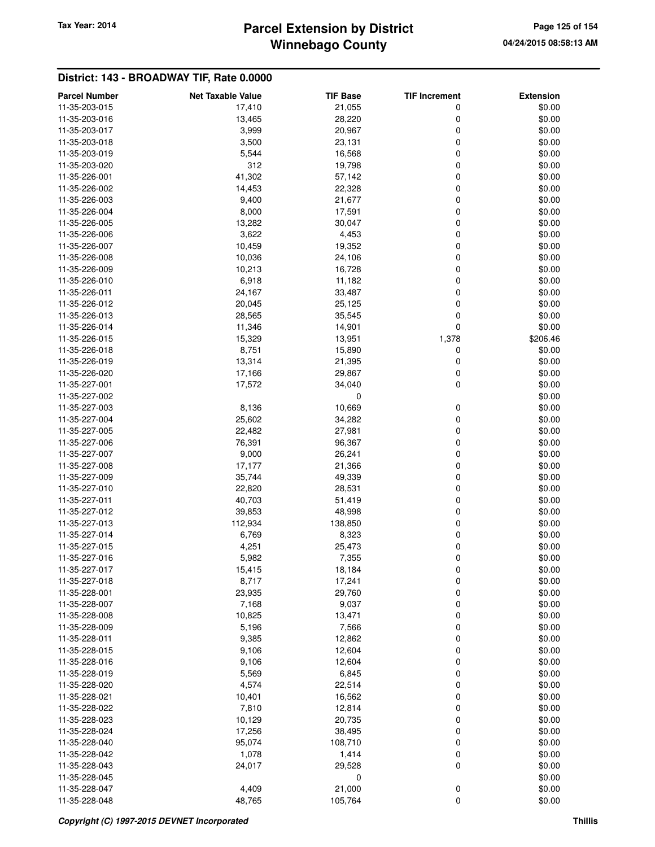# **Winnebago County Parcel Extension by District Tax Year: 2014 Page 125 of 154**

| <b>Parcel Number</b>           | <b>Net Taxable Value</b> | <b>TIF Base</b>   | <b>TIF Increment</b> | <b>Extension</b> |
|--------------------------------|--------------------------|-------------------|----------------------|------------------|
| 11-35-203-015                  | 17,410                   | 21,055            | 0                    | \$0.00           |
| 11-35-203-016                  | 13,465                   | 28,220            | 0                    | \$0.00           |
| 11-35-203-017                  | 3,999                    | 20,967            | 0                    | \$0.00           |
| 11-35-203-018                  | 3,500                    | 23,131            | 0                    | \$0.00           |
| 11-35-203-019                  | 5,544                    | 16,568            | 0                    | \$0.00           |
| 11-35-203-020                  | 312                      | 19,798            | 0                    | \$0.00           |
| 11-35-226-001                  | 41,302                   | 57,142            | 0                    | \$0.00           |
| 11-35-226-002                  | 14,453                   | 22,328            | 0                    | \$0.00           |
| 11-35-226-003                  | 9,400                    | 21,677            | 0                    | \$0.00           |
| 11-35-226-004                  | 8,000                    | 17,591            | 0                    | \$0.00           |
| 11-35-226-005                  | 13,282                   | 30,047            | 0                    | \$0.00           |
| 11-35-226-006                  | 3,622                    | 4,453             | 0                    | \$0.00           |
| 11-35-226-007                  | 10,459                   | 19,352            | 0                    | \$0.00           |
| 11-35-226-008                  | 10,036                   | 24,106            | 0                    | \$0.00           |
| 11-35-226-009                  | 10,213                   | 16,728            | 0                    | \$0.00           |
| 11-35-226-010                  | 6,918                    | 11,182            | 0                    | \$0.00           |
| 11-35-226-011                  | 24,167                   | 33,487            | 0                    | \$0.00           |
| 11-35-226-012                  | 20,045                   | 25,125            | 0                    | \$0.00           |
| 11-35-226-013                  | 28,565                   | 35,545            | 0                    | \$0.00           |
| 11-35-226-014                  | 11,346                   | 14,901            | 0                    | \$0.00           |
| 11-35-226-015                  | 15,329                   | 13,951            | 1,378                | \$206.46         |
| 11-35-226-018                  | 8,751                    | 15,890            | 0                    | \$0.00           |
| 11-35-226-019                  | 13,314                   | 21,395            | 0                    | \$0.00           |
| 11-35-226-020                  | 17,166                   | 29,867            | 0                    | \$0.00           |
| 11-35-227-001                  | 17,572                   | 34,040            | 0                    | \$0.00           |
| 11-35-227-002                  |                          | 0                 |                      | \$0.00           |
| 11-35-227-003                  | 8,136                    | 10,669            | 0                    | \$0.00           |
| 11-35-227-004                  | 25,602                   | 34,282            | 0                    | \$0.00           |
| 11-35-227-005                  | 22,482                   | 27,981            | 0                    | \$0.00           |
| 11-35-227-006                  | 76,391                   | 96,367            | 0                    | \$0.00           |
| 11-35-227-007                  | 9,000                    | 26,241            | 0                    | \$0.00           |
| 11-35-227-008                  | 17,177                   | 21,366            | 0                    | \$0.00           |
| 11-35-227-009                  | 35,744                   | 49,339            | 0                    | \$0.00           |
| 11-35-227-010                  | 22,820                   | 28,531            | 0                    | \$0.00           |
| 11-35-227-011                  | 40,703                   | 51,419            | 0                    | \$0.00           |
| 11-35-227-012                  | 39,853                   | 48,998            | 0                    | \$0.00           |
| 11-35-227-013                  | 112,934                  | 138,850           | 0                    | \$0.00           |
| 11-35-227-014                  | 6,769                    | 8,323             | 0                    | \$0.00           |
| 11-35-227-015                  | 4,251                    | 25,473            | 0                    | \$0.00           |
| 11-35-227-016                  | 5,982                    | 7,355             | 0                    | \$0.00           |
| 11-35-227-017                  | 15,415                   | 18,184            | 0                    | \$0.00           |
| 11-35-227-018                  | 8,717                    | 17,241            | 0                    | \$0.00           |
| 11-35-228-001                  | 23,935                   | 29,760            | 0                    | \$0.00           |
| 11-35-228-007                  | 7,168                    | 9,037             | 0                    | \$0.00           |
| 11-35-228-008                  | 10,825                   | 13,471            | 0                    | \$0.00           |
| 11-35-228-009                  | 5,196                    | 7,566             | 0                    | \$0.00           |
| 11-35-228-011                  | 9,385                    | 12,862            | 0                    | \$0.00           |
| 11-35-228-015                  | 9,106                    | 12,604            | 0                    | \$0.00           |
| 11-35-228-016                  | 9,106                    | 12,604            | 0                    | \$0.00           |
| 11-35-228-019                  | 5,569                    | 6,845             | 0                    | \$0.00           |
| 11-35-228-020                  | 4,574                    | 22,514            | 0                    | \$0.00           |
| 11-35-228-021<br>11-35-228-022 | 10,401<br>7,810          | 16,562<br>12,814  | 0<br>0               | \$0.00<br>\$0.00 |
|                                |                          |                   |                      |                  |
| 11-35-228-023<br>11-35-228-024 | 10,129                   | 20,735            | 0                    | \$0.00           |
| 11-35-228-040                  | 17,256<br>95,074         | 38,495<br>108,710 | 0<br>0               | \$0.00<br>\$0.00 |
| 11-35-228-042                  | 1,078                    | 1,414             | 0                    | \$0.00           |
| 11-35-228-043                  | 24,017                   | 29,528            | 0                    | \$0.00           |
| 11-35-228-045                  |                          | 0                 |                      | \$0.00           |
| 11-35-228-047                  | 4,409                    | 21,000            | 0                    | \$0.00           |
| 11-35-228-048                  | 48,765                   | 105,764           | 0                    | \$0.00           |
|                                |                          |                   |                      |                  |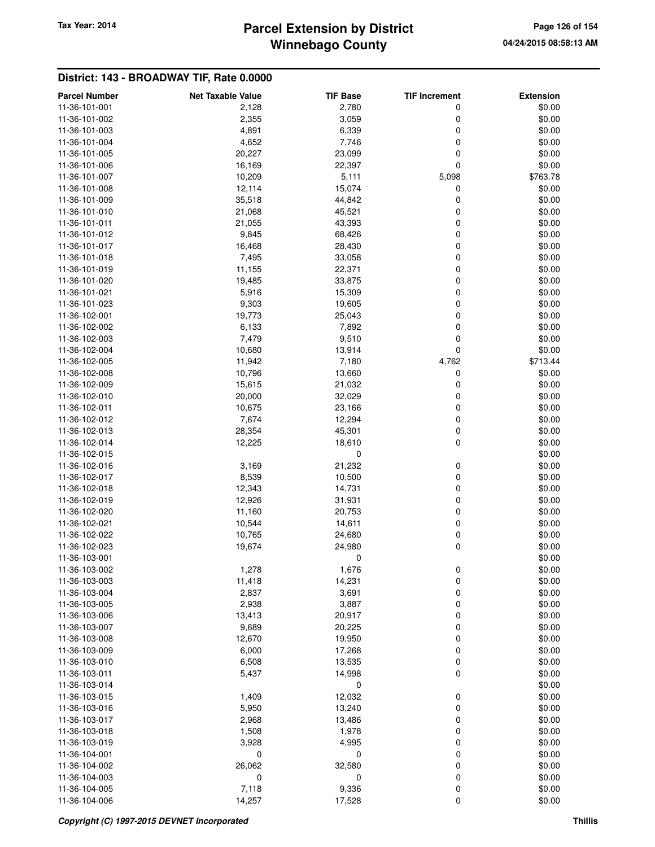### **Winnebago County Parcel Extension by District Tax Year: 2014 Page 126 of 154**

| <b>Parcel Number</b> | <b>Net Taxable Value</b> | <b>TIF Base</b> | <b>TIF Increment</b> | <b>Extension</b> |
|----------------------|--------------------------|-----------------|----------------------|------------------|
| 11-36-101-001        | 2,128                    | 2,780           | 0                    | \$0.00           |
| 11-36-101-002        | 2,355                    | 3,059           | 0                    | \$0.00           |
| 11-36-101-003        | 4,891                    | 6,339           | 0                    | \$0.00           |
| 11-36-101-004        | 4,652                    | 7,746           | 0                    | \$0.00           |
| 11-36-101-005        | 20,227                   | 23,099          | 0                    | \$0.00           |
| 11-36-101-006        | 16,169                   | 22,397          | 0                    | \$0.00           |
| 11-36-101-007        | 10,209                   | 5,111           | 5,098                | \$763.78         |
| 11-36-101-008        | 12,114                   | 15,074          | 0                    | \$0.00           |
| 11-36-101-009        | 35,518                   | 44,842          | 0                    | \$0.00           |
| 11-36-101-010        | 21,068                   | 45,521          | 0                    | \$0.00           |
| 11-36-101-011        | 21,055                   | 43,393          | 0                    | \$0.00           |
| 11-36-101-012        | 9,845                    | 68,426          | 0                    | \$0.00           |
| 11-36-101-017        | 16,468                   | 28,430          | 0                    | \$0.00           |
| 11-36-101-018        | 7,495                    | 33,058          | 0                    | \$0.00           |
| 11-36-101-019        | 11,155                   | 22,371          | 0                    | \$0.00           |
| 11-36-101-020        | 19,485                   | 33,875          | 0                    | \$0.00           |
| 11-36-101-021        | 5,916                    | 15,309          | 0                    | \$0.00           |
| 11-36-101-023        | 9,303                    | 19,605          | 0                    | \$0.00           |
| 11-36-102-001        | 19,773                   | 25,043          | 0                    | \$0.00           |
| 11-36-102-002        | 6,133                    | 7,892           | 0                    | \$0.00           |
| 11-36-102-003        | 7,479                    | 9,510           | $\mathbf 0$          | \$0.00           |
| 11-36-102-004        | 10,680                   | 13,914          | $\mathbf 0$          | \$0.00           |
| 11-36-102-005        | 11,942                   | 7,180           | 4,762                | \$713.44         |
| 11-36-102-008        | 10,796                   | 13,660          | 0                    | \$0.00           |
| 11-36-102-009        | 15,615                   | 21,032          | 0                    | \$0.00           |
| 11-36-102-010        | 20,000                   | 32,029          | 0                    | \$0.00           |
| 11-36-102-011        | 10,675                   | 23,166          | 0                    | \$0.00           |
| 11-36-102-012        | 7,674                    | 12,294          | 0                    | \$0.00           |
| 11-36-102-013        | 28,354                   | 45,301          | 0                    | \$0.00           |
| 11-36-102-014        | 12,225                   | 18,610          | 0                    | \$0.00           |
| 11-36-102-015        |                          | 0               |                      | \$0.00           |
| 11-36-102-016        | 3,169                    | 21,232          | 0                    | \$0.00           |
| 11-36-102-017        | 8,539                    | 10,500          | 0                    | \$0.00           |
| 11-36-102-018        | 12,343                   | 14,731          | 0                    | \$0.00           |
| 11-36-102-019        | 12,926                   | 31,931          | 0                    | \$0.00           |
| 11-36-102-020        | 11,160                   | 20,753          | 0                    | \$0.00           |
| 11-36-102-021        | 10,544                   | 14,611          | 0                    | \$0.00           |
| 11-36-102-022        | 10,765                   | 24,680          | 0                    | \$0.00           |
| 11-36-102-023        | 19,674                   | 24,980          | 0                    | \$0.00           |
| 11-36-103-001        |                          | 0               |                      | \$0.00           |
| 11-36-103-002        | 1,278                    | 1,676           | 0                    | \$0.00           |
| 11-36-103-003        | 11,418                   | 14,231          | 0                    | \$0.00           |
| 11-36-103-004        | 2,837                    | 3,691           | 0                    | \$0.00           |
| 11-36-103-005        | 2,938                    | 3,887           | 0                    | \$0.00           |
| 11-36-103-006        | 13,413                   | 20,917          | 0                    | \$0.00           |
| 11-36-103-007        | 9,689                    | 20,225          | 0                    | \$0.00           |
| 11-36-103-008        | 12,670                   | 19,950          | 0                    | \$0.00           |
| 11-36-103-009        | 6,000                    | 17,268          | 0                    | \$0.00           |
| 11-36-103-010        | 6,508                    | 13,535          | 0                    | \$0.00           |
| 11-36-103-011        | 5,437                    | 14,998          | 0                    | \$0.00           |
| 11-36-103-014        |                          | 0               |                      | \$0.00           |
| 11-36-103-015        | 1,409                    | 12,032          | 0                    | \$0.00           |
| 11-36-103-016        | 5,950                    | 13,240          | 0                    | \$0.00           |
| 11-36-103-017        | 2,968                    | 13,486          | 0                    | \$0.00           |
| 11-36-103-018        | 1,508                    | 1,978           | 0                    | \$0.00           |
| 11-36-103-019        | 3,928                    | 4,995           | 0                    | \$0.00           |
| 11-36-104-001        | 0                        | 0               | 0                    | \$0.00           |
| 11-36-104-002        | 26,062                   | 32,580          | 0                    | \$0.00           |
| 11-36-104-003        | 0                        | 0               | 0                    | \$0.00           |
| 11-36-104-005        | 7,118                    | 9,336           | 0                    | \$0.00           |
| 11-36-104-006        | 14,257                   | 17,528          | 0                    | \$0.00           |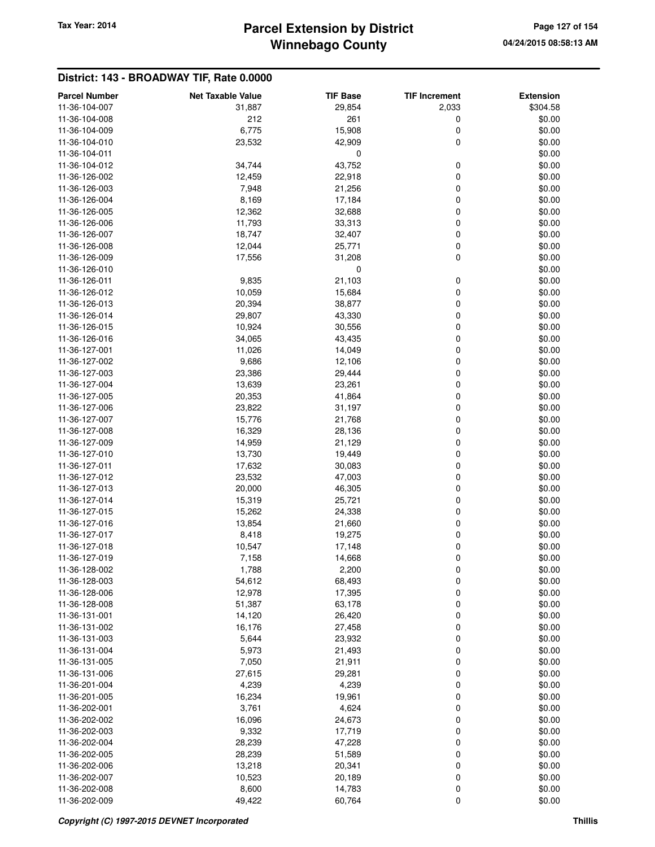### **Winnebago County Parcel Extension by District Tax Year: 2014 Page 127 of 154**

| <b>Parcel Number</b>           | <b>Net Taxable Value</b> | <b>TIF Base</b> | <b>TIF Increment</b> | <b>Extension</b> |
|--------------------------------|--------------------------|-----------------|----------------------|------------------|
| 11-36-104-007                  | 31,887                   | 29,854          | 2,033                | \$304.58         |
| 11-36-104-008                  | 212                      | 261             | 0                    | \$0.00           |
| 11-36-104-009                  | 6,775                    | 15,908          | 0                    | \$0.00           |
| 11-36-104-010                  | 23,532                   | 42,909          | 0                    | \$0.00           |
| 11-36-104-011                  |                          | $\mathbf 0$     |                      | \$0.00           |
| 11-36-104-012                  | 34,744                   | 43,752          | 0                    | \$0.00           |
| 11-36-126-002                  | 12,459                   | 22,918          | 0                    | \$0.00           |
| 11-36-126-003                  | 7,948                    | 21,256          | 0                    | \$0.00           |
| 11-36-126-004                  | 8,169                    | 17,184          | 0                    | \$0.00           |
| 11-36-126-005                  | 12,362                   | 32,688          | 0                    | \$0.00           |
| 11-36-126-006                  | 11,793                   | 33,313          | 0                    | \$0.00           |
| 11-36-126-007                  | 18,747                   | 32,407          | 0                    | \$0.00           |
| 11-36-126-008                  | 12,044                   | 25,771          | 0                    | \$0.00           |
| 11-36-126-009                  | 17,556                   | 31,208          | 0                    | \$0.00           |
| 11-36-126-010                  |                          | $\mathbf 0$     |                      | \$0.00           |
| 11-36-126-011                  | 9,835                    | 21,103          | 0                    | \$0.00           |
| 11-36-126-012                  | 10,059                   | 15,684          | 0                    | \$0.00           |
| 11-36-126-013                  | 20,394                   | 38,877          | 0                    | \$0.00           |
| 11-36-126-014                  | 29,807                   | 43,330          | 0                    | \$0.00           |
| 11-36-126-015                  | 10,924                   | 30,556          | 0                    | \$0.00           |
| 11-36-126-016                  | 34,065                   | 43,435          | 0                    | \$0.00           |
| 11-36-127-001                  | 11,026                   | 14,049          | 0                    | \$0.00           |
| 11-36-127-002                  | 9,686                    | 12,106          | 0                    | \$0.00           |
| 11-36-127-003                  | 23,386                   | 29,444          | 0                    | \$0.00           |
| 11-36-127-004                  | 13,639                   | 23,261          | 0                    | \$0.00           |
| 11-36-127-005                  | 20,353                   | 41,864          | 0                    | \$0.00           |
| 11-36-127-006                  | 23,822                   | 31,197          | 0                    | \$0.00           |
| 11-36-127-007                  | 15,776                   | 21,768          | 0                    | \$0.00           |
| 11-36-127-008                  | 16,329                   | 28,136          | 0                    | \$0.00           |
| 11-36-127-009                  | 14,959                   | 21,129          | 0                    | \$0.00           |
| 11-36-127-010                  | 13,730                   | 19,449          | 0                    | \$0.00           |
| 11-36-127-011                  | 17,632                   | 30,083          | 0                    | \$0.00           |
| 11-36-127-012                  | 23,532                   | 47,003          | 0                    | \$0.00           |
| 11-36-127-013                  | 20,000                   | 46,305          | 0                    | \$0.00           |
| 11-36-127-014                  | 15,319                   | 25,721          | 0                    | \$0.00           |
| 11-36-127-015                  | 15,262                   | 24,338          | 0                    | \$0.00           |
| 11-36-127-016                  | 13,854                   | 21,660          | 0                    | \$0.00           |
| 11-36-127-017                  | 8,418                    | 19,275          | 0                    | \$0.00           |
| 11-36-127-018                  | 10,547                   | 17,148          | 0                    | \$0.00           |
| 11-36-127-019                  | 7,158                    | 14,668          | 0                    | \$0.00           |
| 11-36-128-002                  | 1,788                    | 2,200           | 0                    | \$0.00           |
| 11-36-128-003                  | 54,612                   | 68,493          | 0                    | \$0.00           |
| 11-36-128-006                  | 12,978                   | 17,395          | 0                    | \$0.00           |
| 11-36-128-008                  | 51,387                   | 63,178          | 0                    | \$0.00           |
| 11-36-131-001                  | 14,120                   | 26,420          | 0                    | \$0.00           |
| 11-36-131-002                  | 16,176                   | 27,458          | 0                    | \$0.00           |
| 11-36-131-003                  | 5,644                    | 23,932          | 0                    | \$0.00           |
| 11-36-131-004<br>11-36-131-005 | 5,973                    | 21,493          | 0                    | \$0.00           |
|                                | 7,050                    | 21,911          | 0                    | \$0.00           |
| 11-36-131-006<br>11-36-201-004 | 27,615<br>4,239          | 29,281<br>4,239 | 0<br>0               | \$0.00<br>\$0.00 |
|                                |                          |                 | 0                    |                  |
| 11-36-201-005<br>11-36-202-001 | 16,234<br>3,761          | 19,961<br>4,624 | 0                    | \$0.00<br>\$0.00 |
| 11-36-202-002                  | 16,096                   | 24,673          | 0                    | \$0.00           |
| 11-36-202-003                  | 9,332                    | 17,719          | 0                    | \$0.00           |
| 11-36-202-004                  | 28,239                   | 47,228          | 0                    | \$0.00           |
| 11-36-202-005                  | 28,239                   | 51,589          | 0                    | \$0.00           |
| 11-36-202-006                  | 13,218                   | 20,341          | 0                    | \$0.00           |
| 11-36-202-007                  | 10,523                   | 20,189          | 0                    | \$0.00           |
| 11-36-202-008                  | 8,600                    | 14,783          | 0                    | \$0.00           |
| 11-36-202-009                  | 49,422                   | 60,764          | $\pmb{0}$            | \$0.00           |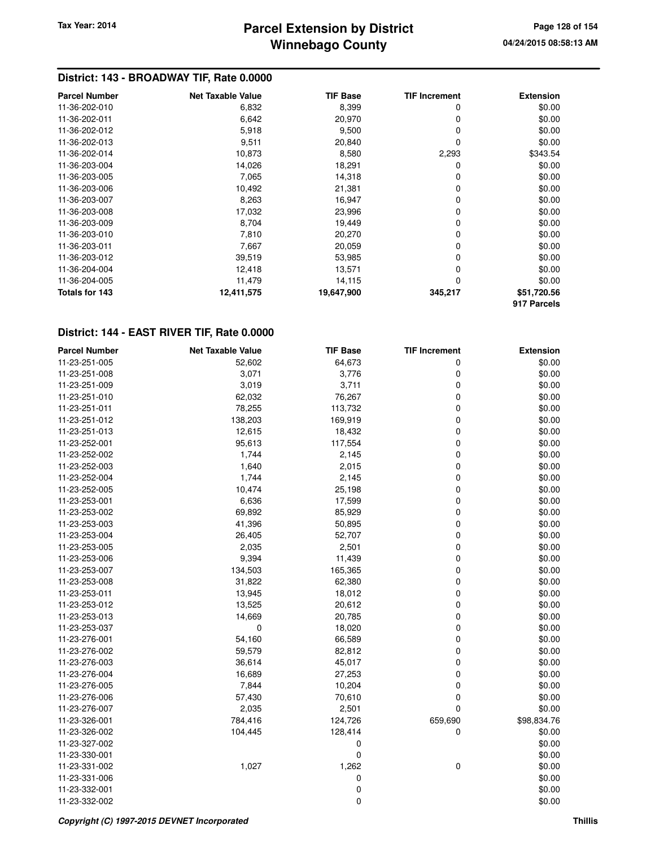## **Winnebago County Parcel Extension by District Tax Year: 2014 Page 128 of 154**

### **District: 143 - BROADWAY TIF, Rate 0.0000**

| <b>Parcel Number</b> | <b>Net Taxable Value</b> | <b>TIF Base</b> | <b>TIF Increment</b> | <b>Extension</b> |
|----------------------|--------------------------|-----------------|----------------------|------------------|
| 11-36-202-010        | 6,832                    | 8,399           | 0                    | \$0.00           |
| 11-36-202-011        | 6,642                    | 20,970          | 0                    | \$0.00           |
| 11-36-202-012        | 5,918                    | 9,500           | 0                    | \$0.00           |
| 11-36-202-013        | 9,511                    | 20,840          | 0                    | \$0.00           |
| 11-36-202-014        | 10,873                   | 8,580           | 2,293                | \$343.54         |
| 11-36-203-004        | 14,026                   | 18,291          | 0                    | \$0.00           |
| 11-36-203-005        | 7,065                    | 14,318          | 0                    | \$0.00           |
| 11-36-203-006        | 10,492                   | 21,381          | 0                    | \$0.00           |
| 11-36-203-007        | 8,263                    | 16,947          | 0                    | \$0.00           |
| 11-36-203-008        | 17,032                   | 23,996          | 0                    | \$0.00           |
| 11-36-203-009        | 8,704                    | 19,449          | 0                    | \$0.00           |
| 11-36-203-010        | 7,810                    | 20,270          | 0                    | \$0.00           |
| 11-36-203-011        | 7,667                    | 20,059          | 0                    | \$0.00           |
| 11-36-203-012        | 39,519                   | 53,985          | 0                    | \$0.00           |
| 11-36-204-004        | 12,418                   | 13,571          | 0                    | \$0.00           |
| 11-36-204-005        | 11,479                   | 14,115          | 0                    | \$0.00           |
| Totals for 143       | 12,411,575               | 19,647,900      | 345,217              | \$51,720.56      |
|                      |                          |                 |                      | 917 Parcels      |

| <b>Parcel Number</b> | <b>Net Taxable Value</b> | <b>TIF Base</b> | <b>TIF Increment</b> | <b>Extension</b> |
|----------------------|--------------------------|-----------------|----------------------|------------------|
| 11-23-251-005        | 52,602                   | 64,673          | 0                    | \$0.00           |
| 11-23-251-008        | 3,071                    | 3,776           | 0                    | \$0.00           |
| 11-23-251-009        | 3,019                    | 3,711           | 0                    | \$0.00           |
| 11-23-251-010        | 62,032                   | 76,267          | 0                    | \$0.00           |
| 11-23-251-011        | 78,255                   | 113,732         | 0                    | \$0.00           |
| 11-23-251-012        | 138,203                  | 169,919         | 0                    | \$0.00           |
| 11-23-251-013        | 12,615                   | 18,432          | 0                    | \$0.00           |
| 11-23-252-001        | 95,613                   | 117,554         | 0                    | \$0.00           |
| 11-23-252-002        | 1,744                    | 2,145           | 0                    | \$0.00           |
| 11-23-252-003        | 1,640                    | 2,015           | 0                    | \$0.00           |
| 11-23-252-004        | 1,744                    | 2,145           | 0                    | \$0.00           |
| 11-23-252-005        | 10,474                   | 25,198          | 0                    | \$0.00           |
| 11-23-253-001        | 6,636                    | 17,599          | 0                    | \$0.00           |
| 11-23-253-002        | 69,892                   | 85,929          | 0                    | \$0.00           |
| 11-23-253-003        | 41,396                   | 50,895          | 0                    | \$0.00           |
| 11-23-253-004        | 26,405                   | 52,707          | 0                    | \$0.00           |
| 11-23-253-005        | 2,035                    | 2,501           | 0                    | \$0.00           |
| 11-23-253-006        | 9,394                    | 11,439          | 0                    | \$0.00           |
| 11-23-253-007        | 134,503                  | 165,365         | 0                    | \$0.00           |
| 11-23-253-008        | 31,822                   | 62,380          | 0                    | \$0.00           |
| 11-23-253-011        | 13,945                   | 18,012          | 0                    | \$0.00           |
| 11-23-253-012        | 13,525                   | 20,612          | 0                    | \$0.00           |
| 11-23-253-013        | 14,669                   | 20,785          | 0                    | \$0.00           |
| 11-23-253-037        | 0                        | 18,020          | 0                    | \$0.00           |
| 11-23-276-001        | 54,160                   | 66,589          | 0                    | \$0.00           |
| 11-23-276-002        | 59,579                   | 82,812          | 0                    | \$0.00           |
| 11-23-276-003        | 36,614                   | 45,017          | 0                    | \$0.00           |
| 11-23-276-004        | 16,689                   | 27,253          | 0                    | \$0.00           |
| 11-23-276-005        | 7,844                    | 10,204          | 0                    | \$0.00           |
| 11-23-276-006        | 57,430                   | 70,610          | 0                    | \$0.00           |
| 11-23-276-007        | 2,035                    | 2,501           | 0                    | \$0.00           |
| 11-23-326-001        | 784,416                  | 124,726         | 659,690              | \$98,834.76      |
| 11-23-326-002        | 104,445                  | 128,414         | 0                    | \$0.00           |
| 11-23-327-002        |                          | 0               |                      | \$0.00           |
| 11-23-330-001        |                          | 0               |                      | \$0.00           |
| 11-23-331-002        | 1,027                    | 1,262           | 0                    | \$0.00           |
| 11-23-331-006        |                          | 0               |                      | \$0.00           |
| 11-23-332-001        |                          | 0               |                      | \$0.00           |
| 11-23-332-002        |                          | 0               |                      | \$0.00           |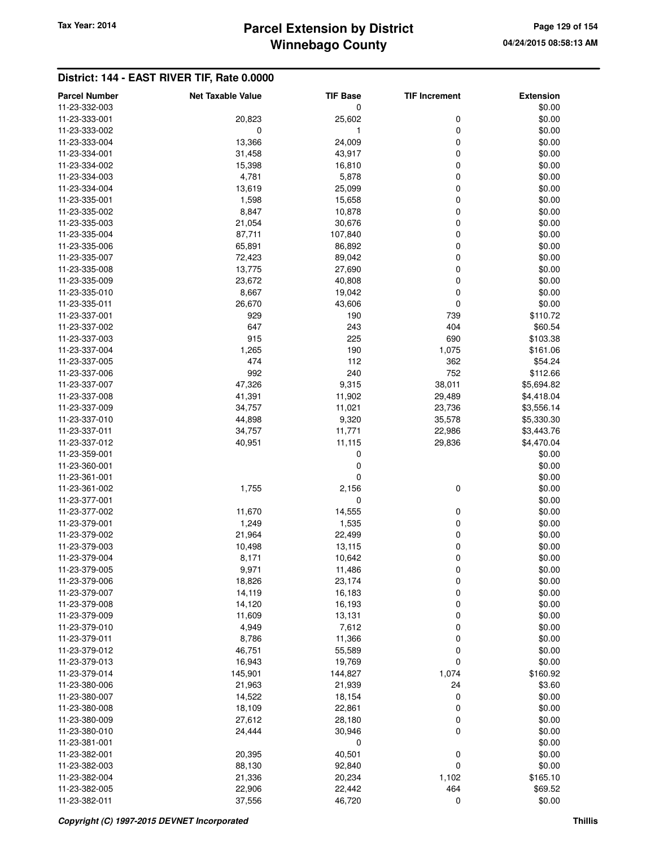# **Winnebago County** Tax Year: 2014 **Parcel Extension by District Page 129 of 154** Page 129 of 154

| <b>Parcel Number</b> | <b>Net Taxable Value</b> | <b>TIF Base</b> | <b>TIF Increment</b> | <b>Extension</b> |
|----------------------|--------------------------|-----------------|----------------------|------------------|
| 11-23-332-003        |                          | 0               |                      | \$0.00           |
| 11-23-333-001        | 20,823                   | 25,602          | 0                    | \$0.00           |
| 11-23-333-002        | 0                        | 1               | 0                    | \$0.00           |
| 11-23-333-004        | 13,366                   | 24,009          | 0                    | \$0.00           |
| 11-23-334-001        | 31,458                   | 43,917          | 0                    | \$0.00           |
| 11-23-334-002        | 15,398                   | 16,810          | 0                    | \$0.00           |
| 11-23-334-003        | 4,781                    | 5,878           | 0                    | \$0.00           |
| 11-23-334-004        | 13,619                   | 25,099          | 0                    | \$0.00           |
| 11-23-335-001        | 1,598                    | 15,658          | 0                    | \$0.00           |
| 11-23-335-002        | 8,847                    | 10,878          | 0                    | \$0.00           |
| 11-23-335-003        | 21,054                   | 30,676          | 0                    | \$0.00           |
| 11-23-335-004        | 87,711                   | 107,840         | 0                    | \$0.00           |
| 11-23-335-006        | 65,891                   | 86,892          | 0                    | \$0.00           |
| 11-23-335-007        | 72,423                   | 89,042          | 0                    | \$0.00           |
| 11-23-335-008        | 13,775                   | 27,690          | 0                    | \$0.00           |
| 11-23-335-009        | 23,672                   | 40,808          | 0                    | \$0.00           |
| 11-23-335-010        | 8,667                    | 19,042          | 0                    | \$0.00           |
| 11-23-335-011        | 26,670                   | 43,606          | 0                    | \$0.00           |
| 11-23-337-001        | 929                      | 190             | 739                  | \$110.72         |
| 11-23-337-002        | 647                      | 243             | 404                  | \$60.54          |
| 11-23-337-003        | 915                      | 225             | 690                  | \$103.38         |
| 11-23-337-004        | 1,265                    | 190             | 1,075                | \$161.06         |
| 11-23-337-005        | 474                      | 112             | 362                  | \$54.24          |
|                      | 992                      | 240             | 752                  |                  |
| 11-23-337-006        |                          |                 |                      | \$112.66         |
| 11-23-337-007        | 47,326                   | 9,315           | 38,011               | \$5,694.82       |
| 11-23-337-008        | 41,391                   | 11,902          | 29,489               | \$4,418.04       |
| 11-23-337-009        | 34,757                   | 11,021          | 23,736               | \$3,556.14       |
| 11-23-337-010        | 44,898                   | 9,320           | 35,578               | \$5,330.30       |
| 11-23-337-011        | 34,757                   | 11,771          | 22,986               | \$3,443.76       |
| 11-23-337-012        | 40,951                   | 11,115          | 29,836               | \$4,470.04       |
| 11-23-359-001        |                          | 0               |                      | \$0.00           |
| 11-23-360-001        |                          | 0               |                      | \$0.00           |
| 11-23-361-001        |                          | 0               |                      | \$0.00           |
| 11-23-361-002        | 1,755                    | 2,156           | 0                    | \$0.00           |
| 11-23-377-001        |                          | 0               |                      | \$0.00           |
| 11-23-377-002        | 11,670                   | 14,555          | 0                    | \$0.00           |
| 11-23-379-001        | 1,249                    | 1,535           | 0                    | \$0.00           |
| 11-23-379-002        | 21,964                   | 22,499          | 0                    | \$0.00           |
| 11-23-379-003        | 10,498                   | 13,115          | 0                    | \$0.00           |
| 11-23-379-004        | 8,171                    | 10,642          | 0                    | \$0.00           |
| 11-23-379-005        | 9,971                    | 11,486          | 0                    | \$0.00           |
| 11-23-379-006        | 18,826                   | 23,174          | 0                    | \$0.00           |
| 11-23-379-007        | 14,119                   | 16,183          | 0                    | \$0.00           |
| 11-23-379-008        | 14,120                   | 16,193          | 0                    | \$0.00           |
| 11-23-379-009        | 11,609                   | 13,131          | 0                    | \$0.00           |
| 11-23-379-010        | 4,949                    | 7,612           | 0                    | \$0.00           |
| 11-23-379-011        | 8,786                    | 11,366          | 0                    | \$0.00           |
| 11-23-379-012        | 46,751                   | 55,589          | 0                    | \$0.00           |
| 11-23-379-013        | 16,943                   | 19,769          | 0                    | \$0.00           |
| 11-23-379-014        | 145,901                  | 144,827         | 1,074                | \$160.92         |
| 11-23-380-006        | 21,963                   | 21,939          | 24                   | \$3.60           |
| 11-23-380-007        | 14,522                   | 18,154          | 0                    | \$0.00           |
| 11-23-380-008        | 18,109                   | 22,861          | 0                    | \$0.00           |
| 11-23-380-009        | 27,612                   | 28,180          | 0                    | \$0.00           |
| 11-23-380-010        | 24,444                   | 30,946          | 0                    | \$0.00           |
| 11-23-381-001        |                          | $\pmb{0}$       |                      | \$0.00           |
| 11-23-382-001        | 20,395                   | 40,501          | 0                    | \$0.00           |
| 11-23-382-003        | 88,130                   | 92,840          | 0                    | \$0.00           |
| 11-23-382-004        | 21,336                   | 20,234          | 1,102                | \$165.10         |
| 11-23-382-005        | 22,906                   | 22,442          | 464                  | \$69.52          |
| 11-23-382-011        | 37,556                   | 46,720          | 0                    | \$0.00           |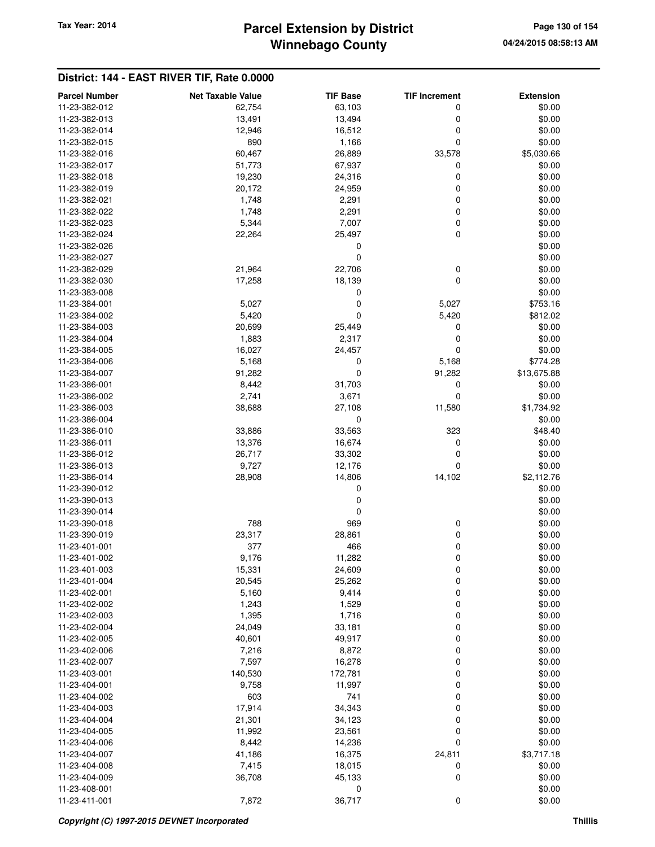## **Winnebago County Parcel Extension by District Tax Year: 2014 Page 130 of 154**

| <b>Parcel Number</b> | <b>Net Taxable Value</b> | <b>TIF Base</b> | <b>TIF Increment</b> | <b>Extension</b> |
|----------------------|--------------------------|-----------------|----------------------|------------------|
| 11-23-382-012        | 62,754                   | 63,103          | 0                    | \$0.00           |
| 11-23-382-013        | 13,491                   | 13,494          | 0                    | \$0.00           |
| 11-23-382-014        | 12,946                   | 16,512          | 0                    | \$0.00           |
| 11-23-382-015        | 890                      | 1,166           | 0                    | \$0.00           |
| 11-23-382-016        | 60,467                   | 26,889          | 33,578               | \$5,030.66       |
| 11-23-382-017        | 51,773                   | 67,937          | 0                    | \$0.00           |
| 11-23-382-018        | 19,230                   | 24,316          | 0                    | \$0.00           |
| 11-23-382-019        | 20,172                   | 24,959          | 0                    | \$0.00           |
| 11-23-382-021        | 1,748                    | 2,291           | 0                    | \$0.00           |
| 11-23-382-022        | 1,748                    | 2,291           | 0                    | \$0.00           |
| 11-23-382-023        | 5,344                    | 7,007           | 0                    | \$0.00           |
| 11-23-382-024        | 22,264                   | 25,497          | 0                    | \$0.00           |
| 11-23-382-026        |                          | 0               |                      | \$0.00           |
| 11-23-382-027        |                          | 0               |                      | \$0.00           |
| 11-23-382-029        | 21,964                   | 22,706          | 0                    | \$0.00           |
| 11-23-382-030        | 17,258                   | 18,139          | 0                    | \$0.00           |
| 11-23-383-008        |                          | 0               |                      | \$0.00           |
| 11-23-384-001        | 5,027                    | 0               | 5,027                | \$753.16         |
| 11-23-384-002        | 5,420                    | 0               | 5,420                | \$812.02         |
| 11-23-384-003        | 20,699                   | 25,449          | 0                    | \$0.00           |
| 11-23-384-004        | 1,883                    | 2,317           | 0                    | \$0.00           |
| 11-23-384-005        | 16,027                   | 24,457          | 0                    | \$0.00           |
| 11-23-384-006        | 5,168                    | 0               | 5,168                | \$774.28         |
| 11-23-384-007        | 91,282                   | 0               | 91,282               | \$13,675.88      |
| 11-23-386-001        | 8,442                    | 31,703          | 0                    | \$0.00           |
| 11-23-386-002        | 2,741                    | 3,671           | 0                    | \$0.00           |
| 11-23-386-003        | 38,688                   | 27,108          | 11,580               | \$1,734.92       |
| 11-23-386-004        |                          | 0               |                      | \$0.00           |
| 11-23-386-010        | 33,886                   | 33,563          | 323                  | \$48.40          |
| 11-23-386-011        | 13,376                   | 16,674          | 0                    | \$0.00           |
| 11-23-386-012        | 26,717                   | 33,302          | 0                    | \$0.00           |
| 11-23-386-013        | 9,727                    | 12,176          | 0                    | \$0.00           |
| 11-23-386-014        | 28,908                   | 14,806          | 14,102               | \$2,112.76       |
| 11-23-390-012        |                          | 0               |                      | \$0.00           |
| 11-23-390-013        |                          | 0               |                      | \$0.00           |
| 11-23-390-014        |                          | 0               |                      | \$0.00           |
| 11-23-390-018        | 788                      | 969             | 0                    | \$0.00           |
| 11-23-390-019        | 23,317                   | 28,861          | 0                    | \$0.00           |
| 11-23-401-001        | 377                      | 466             | 0                    | \$0.00           |
| 11-23-401-002        | 9,176                    | 11,282          | 0                    | \$0.00           |
| 11-23-401-003        | 15,331                   | 24,609          | 0                    | \$0.00           |
| 11-23-401-004        | 20,545                   | 25,262          | 0                    | \$0.00           |
| 11-23-402-001        | 5,160                    | 9,414           | 0                    | \$0.00           |
| 11-23-402-002        | 1,243                    | 1,529           | 0                    | \$0.00           |
| 11-23-402-003        | 1,395                    | 1,716           | 0                    | \$0.00           |
| 11-23-402-004        | 24,049                   | 33,181          | 0                    | \$0.00           |
| 11-23-402-005        | 40,601                   | 49,917          | 0                    | \$0.00           |
| 11-23-402-006        | 7,216                    | 8,872           | 0                    | \$0.00           |
| 11-23-402-007        | 7,597                    | 16,278          | 0                    | \$0.00           |
| 11-23-403-001        | 140,530                  | 172,781         | 0                    | \$0.00           |
| 11-23-404-001        | 9,758                    | 11,997          | 0                    | \$0.00           |
| 11-23-404-002        | 603                      | 741             | 0                    | \$0.00           |
| 11-23-404-003        | 17,914                   | 34,343          | 0                    | \$0.00           |
| 11-23-404-004        | 21,301                   | 34,123          | 0                    | \$0.00           |
| 11-23-404-005        | 11,992                   | 23,561          | 0                    | \$0.00           |
| 11-23-404-006        | 8,442                    | 14,236          | 0                    | \$0.00           |
| 11-23-404-007        | 41,186                   | 16,375          | 24,811               | \$3,717.18       |
| 11-23-404-008        | 7,415                    | 18,015          | 0                    | \$0.00           |
| 11-23-404-009        | 36,708                   | 45,133          | 0                    | \$0.00           |
| 11-23-408-001        |                          | 0               |                      | \$0.00           |
| 11-23-411-001        | 7,872                    | 36,717          | 0                    | \$0.00           |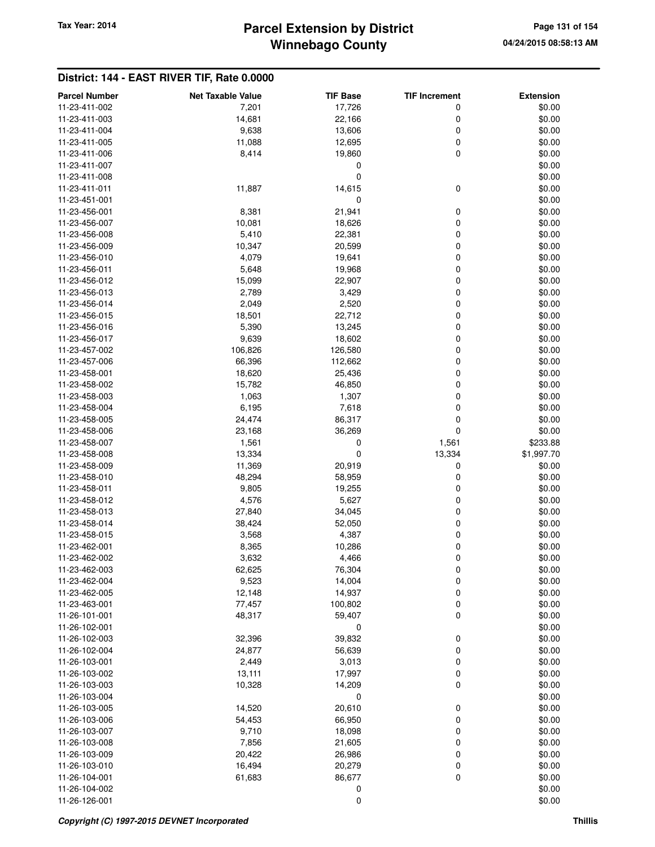## **Winnebago County** Tax Year: 2014 **Parcel Extension by District Page 131 of 154** Page 131 of 154

| <b>Parcel Number</b>           | <b>Net Taxable Value</b> | <b>TIF Base</b> | <b>TIF Increment</b> | <b>Extension</b> |
|--------------------------------|--------------------------|-----------------|----------------------|------------------|
| 11-23-411-002                  | 7,201                    | 17,726          | 0                    | \$0.00           |
| 11-23-411-003                  | 14,681                   | 22,166          | 0                    | \$0.00           |
| 11-23-411-004                  | 9,638                    | 13,606          | 0                    | \$0.00           |
| 11-23-411-005                  | 11,088                   | 12,695          | 0                    | \$0.00           |
| 11-23-411-006                  | 8,414                    | 19,860          | 0                    | \$0.00           |
| 11-23-411-007                  |                          | 0               |                      | \$0.00           |
| 11-23-411-008                  |                          | 0               |                      | \$0.00           |
| 11-23-411-011                  | 11,887                   | 14,615          | 0                    | \$0.00           |
| 11-23-451-001                  |                          | 0               |                      | \$0.00           |
| 11-23-456-001                  | 8,381                    | 21,941          | 0                    | \$0.00           |
| 11-23-456-007                  | 10,081                   | 18,626          | 0                    | \$0.00           |
| 11-23-456-008                  | 5,410                    | 22,381          | 0                    | \$0.00           |
| 11-23-456-009                  | 10,347                   | 20,599          | 0                    | \$0.00           |
| 11-23-456-010                  | 4,079                    | 19,641          | 0                    | \$0.00           |
| 11-23-456-011                  | 5,648                    | 19,968          | 0                    | \$0.00           |
| 11-23-456-012                  | 15,099                   | 22,907          | 0                    | \$0.00           |
| 11-23-456-013                  | 2,789                    | 3,429           | 0                    | \$0.00           |
| 11-23-456-014                  | 2,049                    | 2,520           | 0                    | \$0.00           |
| 11-23-456-015                  | 18,501                   | 22,712          | 0                    | \$0.00           |
| 11-23-456-016                  | 5,390                    | 13,245          | 0                    | \$0.00           |
| 11-23-456-017                  | 9,639                    | 18,602          | 0                    | \$0.00           |
| 11-23-457-002                  | 106,826                  | 126,580         | 0                    | \$0.00           |
| 11-23-457-006                  | 66,396                   | 112,662         | 0                    | \$0.00           |
| 11-23-458-001                  | 18,620                   | 25,436          | 0                    | \$0.00           |
| 11-23-458-002                  | 15,782                   | 46,850          | 0                    | \$0.00           |
| 11-23-458-003                  | 1,063                    | 1,307           | 0                    | \$0.00           |
| 11-23-458-004                  | 6,195                    | 7,618           | 0                    | \$0.00           |
| 11-23-458-005                  | 24,474                   | 86,317          | 0                    | \$0.00           |
| 11-23-458-006                  | 23,168                   | 36,269          | 0                    | \$0.00           |
| 11-23-458-007                  | 1,561                    | 0               | 1,561                | \$233.88         |
| 11-23-458-008                  | 13,334                   | 0               | 13,334               | \$1,997.70       |
| 11-23-458-009                  | 11,369                   | 20,919          | 0                    | \$0.00           |
| 11-23-458-010                  | 48,294                   | 58,959          | 0                    | \$0.00           |
| 11-23-458-011                  | 9,805                    | 19,255          | 0                    | \$0.00           |
| 11-23-458-012                  | 4,576                    | 5,627           | 0                    | \$0.00           |
| 11-23-458-013                  | 27,840                   | 34,045          | 0                    | \$0.00           |
| 11-23-458-014                  | 38,424                   | 52,050          | 0                    | \$0.00           |
| 11-23-458-015                  | 3,568                    | 4,387           | 0                    | \$0.00           |
| 11-23-462-001                  | 8,365                    | 10,286          | 0                    | \$0.00           |
| 11-23-462-002                  | 3,632                    | 4,466           | 0                    | \$0.00           |
| 11-23-462-003                  | 62,625                   | 76,304          | 0                    | \$0.00           |
| 11-23-462-004                  | 9,523                    | 14,004          | 0                    | \$0.00           |
| 11-23-462-005<br>11-23-463-001 | 12,148                   | 14,937          | 0                    | \$0.00           |
| 11-26-101-001                  | 77,457                   | 100,802         | 0<br>0               | \$0.00           |
| 11-26-102-001                  | 48,317                   | 59,407<br>0     |                      | \$0.00<br>\$0.00 |
| 11-26-102-003                  | 32,396                   | 39,832          | 0                    | \$0.00           |
| 11-26-102-004                  | 24,877                   | 56,639          | 0                    | \$0.00           |
| 11-26-103-001                  | 2,449                    | 3,013           | 0                    | \$0.00           |
| 11-26-103-002                  | 13,111                   | 17,997          | 0                    | \$0.00           |
| 11-26-103-003                  | 10,328                   | 14,209          | 0                    | \$0.00           |
| 11-26-103-004                  |                          | 0               |                      | \$0.00           |
| 11-26-103-005                  | 14,520                   | 20,610          | 0                    | \$0.00           |
| 11-26-103-006                  | 54,453                   | 66,950          | 0                    | \$0.00           |
| 11-26-103-007                  | 9,710                    | 18,098          | 0                    | \$0.00           |
| 11-26-103-008                  | 7,856                    | 21,605          | 0                    | \$0.00           |
| 11-26-103-009                  | 20,422                   | 26,986          | 0                    | \$0.00           |
| 11-26-103-010                  | 16,494                   | 20,279          | 0                    | \$0.00           |
| 11-26-104-001                  | 61,683                   | 86,677          | 0                    | \$0.00           |
| 11-26-104-002                  |                          | 0               |                      | \$0.00           |
| 11-26-126-001                  |                          | 0               |                      | \$0.00           |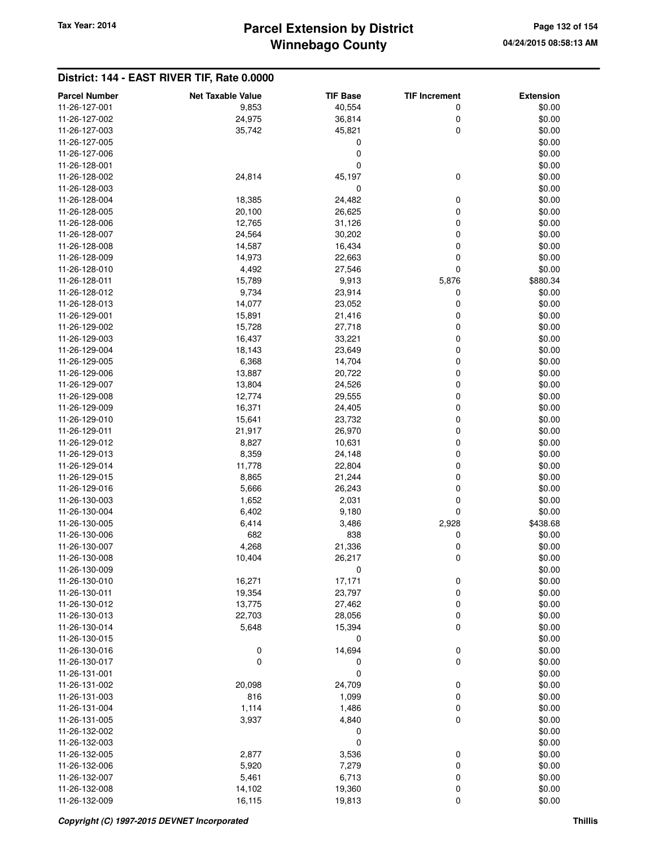| <b>Parcel Number</b> | <b>Net Taxable Value</b> | <b>TIF Base</b> | <b>TIF Increment</b> | <b>Extension</b> |
|----------------------|--------------------------|-----------------|----------------------|------------------|
| 11-26-127-001        | 9,853                    | 40,554          | 0                    | \$0.00           |
| 11-26-127-002        | 24,975                   | 36,814          | 0                    | \$0.00           |
| 11-26-127-003        | 35,742                   | 45,821          | $\mathbf 0$          | \$0.00           |
| 11-26-127-005        |                          | 0               |                      | \$0.00           |
| 11-26-127-006        |                          | 0               |                      | \$0.00           |
| 11-26-128-001        |                          | 0               |                      | \$0.00           |
| 11-26-128-002        | 24,814                   | 45,197          | 0                    | \$0.00           |
| 11-26-128-003        |                          | 0               |                      | \$0.00           |
| 11-26-128-004        | 18,385                   | 24,482          | 0                    | \$0.00           |
| 11-26-128-005        | 20,100                   | 26,625          | 0                    | \$0.00           |
| 11-26-128-006        | 12,765                   | 31,126          | 0                    | \$0.00           |
| 11-26-128-007        | 24,564                   | 30,202          | 0                    | \$0.00           |
| 11-26-128-008        | 14,587                   | 16,434          | 0                    | \$0.00           |
| 11-26-128-009        | 14,973                   | 22,663          | 0                    | \$0.00           |
| 11-26-128-010        | 4,492                    | 27,546          | $\mathbf 0$          | \$0.00           |
| 11-26-128-011        | 15,789                   | 9,913           | 5,876                | \$880.34         |
| 11-26-128-012        | 9,734                    | 23,914          | 0                    | \$0.00           |
| 11-26-128-013        | 14,077                   | 23,052          | 0                    | \$0.00           |
| 11-26-129-001        | 15,891                   | 21,416          | 0                    | \$0.00           |
| 11-26-129-002        | 15,728                   | 27,718          | 0                    | \$0.00           |
|                      |                          |                 | 0                    |                  |
| 11-26-129-003        | 16,437                   | 33,221          |                      | \$0.00           |
| 11-26-129-004        | 18,143                   | 23,649          | 0<br>0               | \$0.00           |
| 11-26-129-005        | 6,368                    | 14,704          |                      | \$0.00           |
| 11-26-129-006        | 13,887                   | 20,722          | 0                    | \$0.00           |
| 11-26-129-007        | 13,804                   | 24,526          | 0                    | \$0.00           |
| 11-26-129-008        | 12,774                   | 29,555          | 0                    | \$0.00           |
| 11-26-129-009        | 16,371                   | 24,405          | 0                    | \$0.00           |
| 11-26-129-010        | 15,641                   | 23,732          | 0                    | \$0.00           |
| 11-26-129-011        | 21,917                   | 26,970          | 0                    | \$0.00           |
| 11-26-129-012        | 8,827                    | 10,631          | $\mathbf 0$          | \$0.00           |
| 11-26-129-013        | 8,359                    | 24,148          | $\mathbf 0$          | \$0.00           |
| 11-26-129-014        | 11,778                   | 22,804          | 0                    | \$0.00           |
| 11-26-129-015        | 8,865                    | 21,244          | 0                    | \$0.00           |
| 11-26-129-016        | 5,666                    | 26,243          | 0                    | \$0.00           |
| 11-26-130-003        | 1,652                    | 2,031           | 0                    | \$0.00           |
| 11-26-130-004        | 6,402                    | 9,180           | $\mathbf 0$          | \$0.00           |
| 11-26-130-005        | 6,414                    | 3,486           | 2,928                | \$438.68         |
| 11-26-130-006        | 682                      | 838             | 0                    | \$0.00           |
| 11-26-130-007        | 4,268                    | 21,336          | 0                    | \$0.00           |
| 11-26-130-008        | 10,404                   | 26,217          | 0                    | \$0.00           |
| 11-26-130-009        |                          | 0               |                      | \$0.00           |
| 11-26-130-010        | 16,271                   | 17,171          | 0                    | \$0.00           |
| 11-26-130-011        | 19,354                   | 23,797          | 0                    | \$0.00           |
| 11-26-130-012        | 13,775                   | 27,462          | 0                    | \$0.00           |
| 11-26-130-013        | 22,703                   | 28,056          | 0                    | \$0.00           |
| 11-26-130-014        | 5,648                    | 15,394          | $\mathbf 0$          | \$0.00           |
| 11-26-130-015        |                          | 0               |                      | \$0.00           |
| 11-26-130-016        | 0                        | 14,694          | 0                    | \$0.00           |
| 11-26-130-017        | 0                        | 0               | $\mathbf 0$          | \$0.00           |
| 11-26-131-001        |                          | 0               |                      | \$0.00           |
| 11-26-131-002        | 20,098                   | 24,709          | $\boldsymbol{0}$     | \$0.00           |
| 11-26-131-003        | 816                      | 1,099           | 0                    | \$0.00           |
| 11-26-131-004        | 1,114                    | 1,486           | 0                    | \$0.00           |
| 11-26-131-005        | 3,937                    | 4,840           | $\mathbf 0$          | \$0.00           |
| 11-26-132-002        |                          | 0               |                      | \$0.00           |
| 11-26-132-003        |                          | 0               |                      | \$0.00           |
| 11-26-132-005        | 2,877                    | 3,536           | $\boldsymbol{0}$     | \$0.00           |
| 11-26-132-006        | 5,920                    | 7,279           | 0                    | \$0.00           |
| 11-26-132-007        | 5,461                    | 6,713           | 0                    | \$0.00           |
| 11-26-132-008        | 14,102                   | 19,360          | 0                    | \$0.00           |
| 11-26-132-009        | 16,115                   | 19,813          | $\mathbf 0$          | \$0.00           |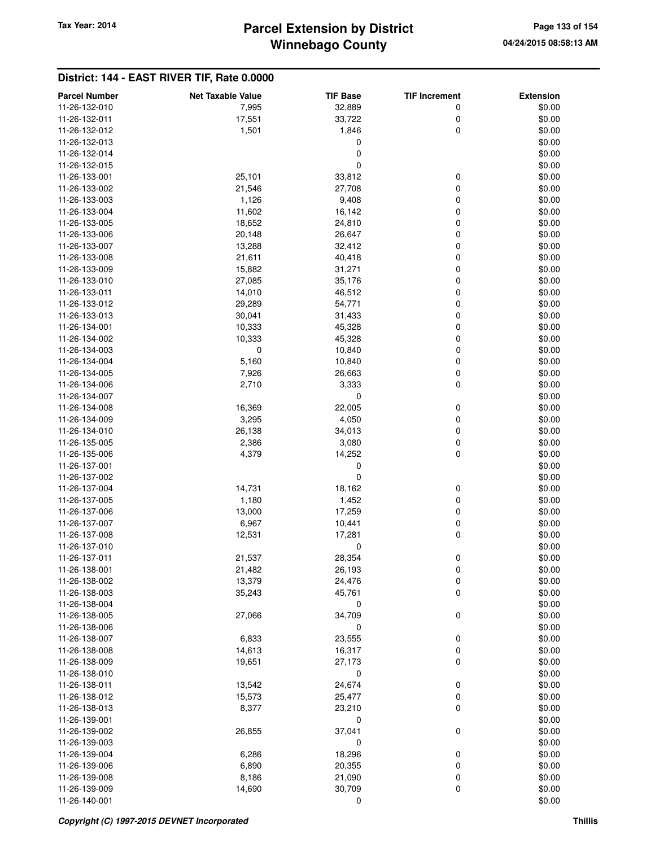# **Winnebago County** Tax Year: 2014 **Parcel Extension by District Page 133 of 154** Page 133 of 154

| <b>Parcel Number</b> | <b>Net Taxable Value</b> | <b>TIF Base</b> | <b>TIF Increment</b> | <b>Extension</b> |
|----------------------|--------------------------|-----------------|----------------------|------------------|
| 11-26-132-010        | 7,995                    | 32,889          | 0                    | \$0.00           |
| 11-26-132-011        | 17,551                   | 33,722          | 0                    | \$0.00           |
| 11-26-132-012        | 1,501                    | 1,846           | 0                    | \$0.00           |
| 11-26-132-013        |                          | 0               |                      | \$0.00           |
| 11-26-132-014        |                          | 0               |                      | \$0.00           |
| 11-26-132-015        |                          | 0               |                      | \$0.00           |
| 11-26-133-001        | 25,101                   | 33,812          | 0                    | \$0.00           |
| 11-26-133-002        | 21,546                   | 27,708          | 0                    | \$0.00           |
| 11-26-133-003        | 1,126                    | 9,408           | 0                    | \$0.00           |
| 11-26-133-004        | 11,602                   | 16,142          | 0                    | \$0.00           |
| 11-26-133-005        | 18,652                   | 24,810          | 0                    | \$0.00           |
| 11-26-133-006        | 20,148                   | 26,647          | 0                    | \$0.00           |
| 11-26-133-007        | 13,288                   | 32,412          | 0                    | \$0.00           |
| 11-26-133-008        | 21,611                   | 40,418          | 0                    | \$0.00           |
| 11-26-133-009        | 15,882                   | 31,271          | 0                    | \$0.00           |
| 11-26-133-010        | 27,085                   | 35,176          | 0                    | \$0.00           |
| 11-26-133-011        | 14,010                   | 46,512          | 0                    | \$0.00           |
| 11-26-133-012        | 29,289                   | 54,771          | 0                    | \$0.00           |
| 11-26-133-013        | 30,041                   | 31,433          | 0                    | \$0.00           |
| 11-26-134-001        | 10,333                   | 45,328          | 0                    | \$0.00           |
| 11-26-134-002        | 10,333                   | 45,328          | 0                    | \$0.00           |
| 11-26-134-003        | $\mathbf 0$              | 10,840          | 0                    | \$0.00           |
| 11-26-134-004        | 5,160                    | 10,840          | 0                    | \$0.00           |
| 11-26-134-005        |                          |                 |                      |                  |
| 11-26-134-006        | 7,926                    | 26,663          | 0<br>0               | \$0.00           |
| 11-26-134-007        | 2,710                    | 3,333<br>0      |                      | \$0.00           |
|                      |                          |                 |                      | \$0.00           |
| 11-26-134-008        | 16,369                   | 22,005          | 0                    | \$0.00           |
| 11-26-134-009        | 3,295                    | 4,050           | 0                    | \$0.00           |
| 11-26-134-010        | 26,138                   | 34,013          | 0                    | \$0.00           |
| 11-26-135-005        | 2,386                    | 3,080           | 0                    | \$0.00           |
| 11-26-135-006        | 4,379                    | 14,252          | 0                    | \$0.00           |
| 11-26-137-001        |                          | 0<br>0          |                      | \$0.00           |
| 11-26-137-002        |                          |                 |                      | \$0.00           |
| 11-26-137-004        | 14,731                   | 18,162          | 0                    | \$0.00           |
| 11-26-137-005        | 1,180                    | 1,452           | 0                    | \$0.00           |
| 11-26-137-006        | 13,000                   | 17,259          | 0                    | \$0.00           |
| 11-26-137-007        | 6,967                    | 10,441          | 0                    | \$0.00           |
| 11-26-137-008        | 12,531                   | 17,281          | 0                    | \$0.00           |
| 11-26-137-010        |                          | 0               |                      | \$0.00           |
| 11-26-137-011        | 21,537                   | 28,354          | 0                    | \$0.00           |
| 11-26-138-001        | 21,482                   | 26,193          | 0                    | \$0.00           |
| 11-26-138-002        | 13,379                   | 24,476          | 0                    | \$0.00           |
| 11-26-138-003        | 35,243                   | 45,761          | 0                    | \$0.00           |
| 11-26-138-004        |                          | 0               |                      | \$0.00           |
| 11-26-138-005        | 27,066                   | 34,709          | 0                    | \$0.00           |
| 11-26-138-006        |                          | 0               |                      | \$0.00           |
| 11-26-138-007        | 6,833                    | 23,555          | 0                    | \$0.00           |
| 11-26-138-008        | 14,613                   | 16,317          | 0                    | \$0.00           |
| 11-26-138-009        | 19,651                   | 27,173          | 0                    | \$0.00           |
| 11-26-138-010        |                          | 0               |                      | \$0.00           |
| 11-26-138-011        | 13,542                   | 24,674          | 0                    | \$0.00           |
| 11-26-138-012        | 15,573                   | 25,477          | 0                    | \$0.00           |
| 11-26-138-013        | 8,377                    | 23,210          | 0                    | \$0.00           |
| 11-26-139-001        |                          | 0               |                      | \$0.00           |
| 11-26-139-002        | 26,855                   | 37,041          | 0                    | \$0.00           |
| 11-26-139-003        |                          | 0               |                      | \$0.00           |
| 11-26-139-004        | 6,286                    | 18,296          | 0                    | \$0.00           |
| 11-26-139-006        | 6,890                    | 20,355          | 0                    | \$0.00           |
| 11-26-139-008        | 8,186                    | 21,090          | 0                    | \$0.00           |
| 11-26-139-009        | 14,690                   | 30,709          | 0                    | \$0.00           |
| 11-26-140-001        |                          | 0               |                      | \$0.00           |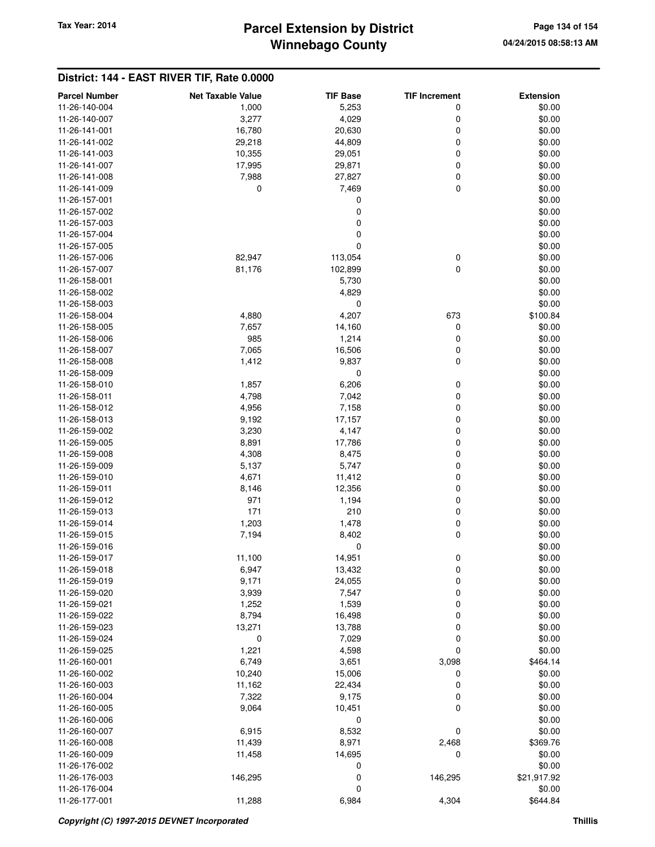## **Winnebago County** Tax Year: 2014 **Parcel Extension by District** Page 134 of 154

| <b>Parcel Number</b> | <b>Net Taxable Value</b> | <b>TIF Base</b> | <b>TIF Increment</b> | <b>Extension</b> |
|----------------------|--------------------------|-----------------|----------------------|------------------|
| 11-26-140-004        | 1,000                    | 5,253           | 0                    | \$0.00           |
| 11-26-140-007        | 3,277                    | 4,029           | 0                    | \$0.00           |
| 11-26-141-001        | 16,780                   | 20,630          | 0                    | \$0.00           |
| 11-26-141-002        | 29,218                   | 44,809          | 0                    | \$0.00           |
| 11-26-141-003        |                          |                 | 0                    |                  |
|                      | 10,355                   | 29,051          |                      | \$0.00           |
| 11-26-141-007        | 17,995                   | 29,871          | 0                    | \$0.00           |
| 11-26-141-008        | 7,988                    | 27,827          | 0                    | \$0.00           |
| 11-26-141-009        | 0                        | 7,469           | 0                    | \$0.00           |
| 11-26-157-001        |                          | 0               |                      | \$0.00           |
| 11-26-157-002        |                          | $\mathbf 0$     |                      | \$0.00           |
| 11-26-157-003        |                          | $\mathbf 0$     |                      | \$0.00           |
| 11-26-157-004        |                          | 0               |                      | \$0.00           |
| 11-26-157-005        |                          | $\mathbf 0$     |                      | \$0.00           |
| 11-26-157-006        | 82,947                   | 113,054         | 0                    | \$0.00           |
| 11-26-157-007        | 81,176                   | 102,899         | 0                    | \$0.00           |
| 11-26-158-001        |                          | 5,730           |                      | \$0.00           |
| 11-26-158-002        |                          | 4,829           |                      | \$0.00           |
| 11-26-158-003        |                          | 0               |                      | \$0.00           |
| 11-26-158-004        | 4,880                    | 4,207           | 673                  | \$100.84         |
| 11-26-158-005        | 7,657                    | 14,160          | 0                    | \$0.00           |
| 11-26-158-006        | 985                      | 1,214           | 0                    | \$0.00           |
| 11-26-158-007        | 7,065                    | 16,506          | 0                    | \$0.00           |
| 11-26-158-008        | 1,412                    | 9,837           | 0                    | \$0.00           |
| 11-26-158-009        |                          | 0               |                      | \$0.00           |
| 11-26-158-010        | 1,857                    | 6,206           | 0                    | \$0.00           |
| 11-26-158-011        | 4,798                    | 7,042           | 0                    | \$0.00           |
| 11-26-158-012        | 4,956                    | 7,158           | 0                    | \$0.00           |
| 11-26-158-013        | 9,192                    | 17,157          | 0                    | \$0.00           |
| 11-26-159-002        | 3,230                    | 4,147           | 0                    | \$0.00           |
| 11-26-159-005        | 8,891                    | 17,786          | 0                    | \$0.00           |
| 11-26-159-008        | 4,308                    | 8,475           | 0                    | \$0.00           |
| 11-26-159-009        | 5,137                    | 5,747           | 0                    | \$0.00           |
| 11-26-159-010        | 4,671                    | 11,412          | 0                    | \$0.00           |
| 11-26-159-011        | 8,146                    | 12,356          | 0                    | \$0.00           |
| 11-26-159-012        | 971                      | 1,194           | 0                    | \$0.00           |
| 11-26-159-013        | 171                      | 210             | 0                    | \$0.00           |
| 11-26-159-014        | 1,203                    | 1,478           | 0                    | \$0.00           |
| 11-26-159-015        | 7,194                    | 8,402           | 0                    | \$0.00           |
| 11-26-159-016        |                          | 0               |                      | \$0.00           |
| 11-26-159-017        | 11,100                   | 14,951          | 0                    | \$0.00           |
| 11-26-159-018        | 6,947                    | 13,432          | 0                    | \$0.00           |
| 11-26-159-019        | 9,171                    | 24,055          | 0                    | \$0.00           |
| 11-26-159-020        | 3,939                    | 7,547           | 0                    | \$0.00           |
| 11-26-159-021        | 1,252                    | 1,539           | 0                    | \$0.00           |
| 11-26-159-022        | 8,794                    | 16,498          | 0                    | \$0.00           |
| 11-26-159-023        |                          |                 |                      |                  |
| 11-26-159-024        | 13,271                   | 13,788          | 0                    | \$0.00           |
|                      | 0                        | 7,029           | 0                    | \$0.00           |
| 11-26-159-025        | 1,221                    | 4,598           | 0                    | \$0.00           |
| 11-26-160-001        | 6,749                    | 3,651           | 3,098                | \$464.14         |
| 11-26-160-002        | 10,240                   | 15,006          | 0                    | \$0.00           |
| 11-26-160-003        | 11,162                   | 22,434          | 0                    | \$0.00           |
| 11-26-160-004        | 7,322                    | 9,175           | 0                    | \$0.00           |
| 11-26-160-005        | 9,064                    | 10,451          | 0                    | \$0.00           |
| 11-26-160-006        |                          | 0               |                      | \$0.00           |
| 11-26-160-007        | 6,915                    | 8,532           | 0                    | \$0.00           |
| 11-26-160-008        | 11,439                   | 8,971           | 2,468                | \$369.76         |
| 11-26-160-009        | 11,458                   | 14,695          | 0                    | \$0.00           |
| 11-26-176-002        |                          | 0               |                      | \$0.00           |
| 11-26-176-003        | 146,295                  | $\mathbf 0$     | 146,295              | \$21,917.92      |
| 11-26-176-004        |                          | 0               |                      | \$0.00           |
| 11-26-177-001        | 11,288                   | 6,984           | 4,304                | \$644.84         |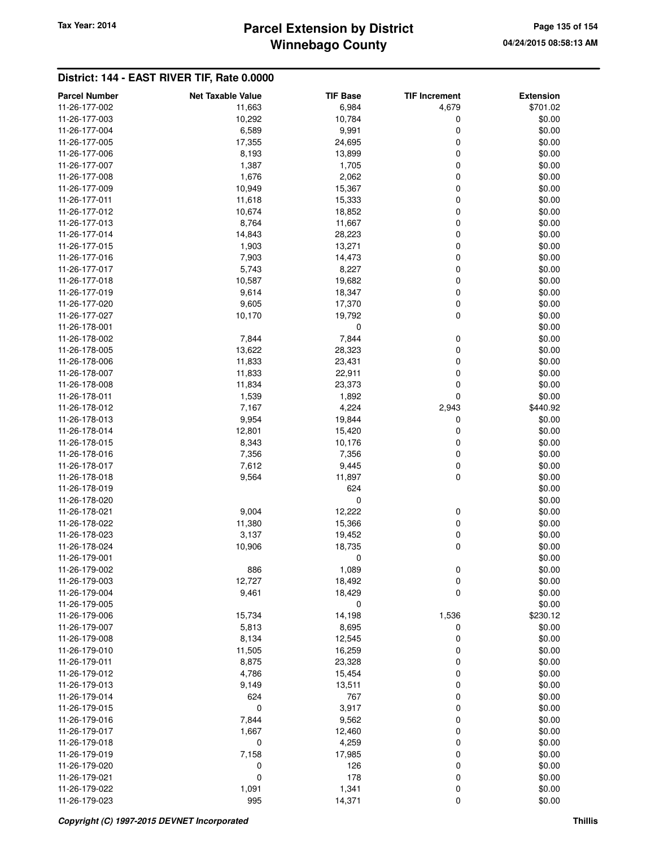# **Winnebago County Parcel Extension by District Tax Year: 2014 Page 135 of 154**

| 11-26-177-002<br>\$701.02<br>11,663<br>6,984<br>4,679<br>\$0.00<br>11-26-177-003<br>10,292<br>10,784<br>0<br>6,589<br>9,991<br>0<br>\$0.00<br>11-26-177-004<br>0<br>\$0.00<br>11-26-177-005<br>17,355<br>24,695<br>11-26-177-006<br>13,899<br>0<br>\$0.00<br>8,193<br>1,387<br>11-26-177-007<br>1,705<br>0<br>\$0.00<br>1,676<br>2,062<br>0<br>\$0.00<br>11-26-177-008<br>10,949<br>15,367<br>0<br>\$0.00<br>11-26-177-009<br>0<br>\$0.00<br>11-26-177-011<br>11,618<br>15,333<br>11-26-177-012<br>10,674<br>18,852<br>0<br>\$0.00<br>11-26-177-013<br>8,764<br>11,667<br>0<br>\$0.00<br>14,843<br>28,223<br>0<br>\$0.00<br>11-26-177-014<br>1,903<br>13,271<br>0<br>\$0.00<br>11-26-177-015<br>0<br>\$0.00<br>11-26-177-016<br>7,903<br>14,473<br>11-26-177-017<br>5,743<br>8,227<br>0<br>\$0.00<br>11-26-177-018<br>10,587<br>19,682<br>0<br>\$0.00<br>9,614<br>18,347<br>0<br>\$0.00<br>11-26-177-019<br>17,370<br>0<br>\$0.00<br>11-26-177-020<br>9,605<br>0<br>\$0.00<br>11-26-177-027<br>10,170<br>19,792<br>11-26-178-001<br>0<br>\$0.00<br>7,844<br>11-26-178-002<br>7,844<br>0<br>\$0.00<br>13,622<br>28,323<br>0<br>\$0.00<br>11-26-178-005<br>11,833<br>23,431<br>0<br>\$0.00<br>11-26-178-006<br>0<br>\$0.00<br>11-26-178-007<br>11,833<br>22,911<br>11-26-178-008<br>11,834<br>0<br>\$0.00<br>23,373<br>0<br>11-26-178-011<br>1,539<br>1,892<br>\$0.00<br>7,167<br>4,224<br>2,943<br>\$440.92<br>11-26-178-012<br>9,954<br>19,844<br>\$0.00<br>11-26-178-013<br>0<br>0<br>\$0.00<br>11-26-178-014<br>12,801<br>15,420<br>11-26-178-015<br>10,176<br>0<br>\$0.00<br>8,343<br>7,356<br>11-26-178-016<br>7,356<br>0<br>\$0.00<br>7,612<br>9,445<br>0<br>\$0.00<br>11-26-178-017<br>0<br>9,564<br>11,897<br>\$0.00<br>11-26-178-018<br>624<br>\$0.00<br>11-26-178-019<br>11-26-178-020<br>0<br>\$0.00<br>9,004<br>11-26-178-021<br>12,222<br>0<br>\$0.00<br>11,380<br>15,366<br>0<br>\$0.00<br>11-26-178-022<br>3,137<br>0<br>\$0.00<br>11-26-178-023<br>19,452<br>18,735<br>0<br>\$0.00<br>11-26-178-024<br>10,906<br>11-26-179-001<br>0<br>\$0.00<br>11-26-179-002<br>886<br>1,089<br>\$0.00<br>0<br>11-26-179-003<br>12,727<br>18,492<br>0<br>\$0.00<br>9,461<br>18,429<br>0<br>11-26-179-004<br>\$0.00<br>0<br>\$0.00<br>11-26-179-005<br>11-26-179-006<br>15,734<br>14,198<br>1,536<br>\$230.12<br>8,695<br>\$0.00<br>11-26-179-007<br>5,813<br>0<br>11-26-179-008<br>8,134<br>12,545<br>0<br>\$0.00<br>11-26-179-010<br>11,505<br>16,259<br>0<br>\$0.00<br>11-26-179-011<br>8,875<br>0<br>\$0.00<br>23,328<br>11-26-179-012<br>4,786<br>15,454<br>0<br>\$0.00<br>11-26-179-013<br>9,149<br>13,511<br>0<br>\$0.00<br>624<br>767<br>11-26-179-014<br>0<br>\$0.00<br>3,917<br>11-26-179-015<br>0<br>0<br>\$0.00<br>7,844<br>9,562<br>0<br>\$0.00<br>11-26-179-016<br>11-26-179-017<br>1,667<br>12,460<br>0<br>\$0.00<br>0<br>4,259<br>11-26-179-018<br>0<br>\$0.00<br>11-26-179-019<br>7,158<br>17,985<br>0<br>\$0.00<br>11-26-179-020<br>0<br>126<br>0<br>\$0.00<br>$\mathbf 0$<br>178<br>0<br>11-26-179-021<br>\$0.00 | <b>Parcel Number</b> | <b>Net Taxable Value</b> | <b>TIF Base</b> | <b>TIF Increment</b> | <b>Extension</b> |
|-------------------------------------------------------------------------------------------------------------------------------------------------------------------------------------------------------------------------------------------------------------------------------------------------------------------------------------------------------------------------------------------------------------------------------------------------------------------------------------------------------------------------------------------------------------------------------------------------------------------------------------------------------------------------------------------------------------------------------------------------------------------------------------------------------------------------------------------------------------------------------------------------------------------------------------------------------------------------------------------------------------------------------------------------------------------------------------------------------------------------------------------------------------------------------------------------------------------------------------------------------------------------------------------------------------------------------------------------------------------------------------------------------------------------------------------------------------------------------------------------------------------------------------------------------------------------------------------------------------------------------------------------------------------------------------------------------------------------------------------------------------------------------------------------------------------------------------------------------------------------------------------------------------------------------------------------------------------------------------------------------------------------------------------------------------------------------------------------------------------------------------------------------------------------------------------------------------------------------------------------------------------------------------------------------------------------------------------------------------------------------------------------------------------------------------------------------------------------------------------------------------------------------------------------------------------------------------------------------------------------------------------------------------------------------------------------------------------------------------------------------------------------------------------------------------------------------------------------------------------------------------------------------------------------------------------------------------------------------------------------------------------------------------|----------------------|--------------------------|-----------------|----------------------|------------------|
|                                                                                                                                                                                                                                                                                                                                                                                                                                                                                                                                                                                                                                                                                                                                                                                                                                                                                                                                                                                                                                                                                                                                                                                                                                                                                                                                                                                                                                                                                                                                                                                                                                                                                                                                                                                                                                                                                                                                                                                                                                                                                                                                                                                                                                                                                                                                                                                                                                                                                                                                                                                                                                                                                                                                                                                                                                                                                                                                                                                                                                     |                      |                          |                 |                      |                  |
|                                                                                                                                                                                                                                                                                                                                                                                                                                                                                                                                                                                                                                                                                                                                                                                                                                                                                                                                                                                                                                                                                                                                                                                                                                                                                                                                                                                                                                                                                                                                                                                                                                                                                                                                                                                                                                                                                                                                                                                                                                                                                                                                                                                                                                                                                                                                                                                                                                                                                                                                                                                                                                                                                                                                                                                                                                                                                                                                                                                                                                     |                      |                          |                 |                      |                  |
|                                                                                                                                                                                                                                                                                                                                                                                                                                                                                                                                                                                                                                                                                                                                                                                                                                                                                                                                                                                                                                                                                                                                                                                                                                                                                                                                                                                                                                                                                                                                                                                                                                                                                                                                                                                                                                                                                                                                                                                                                                                                                                                                                                                                                                                                                                                                                                                                                                                                                                                                                                                                                                                                                                                                                                                                                                                                                                                                                                                                                                     |                      |                          |                 |                      |                  |
|                                                                                                                                                                                                                                                                                                                                                                                                                                                                                                                                                                                                                                                                                                                                                                                                                                                                                                                                                                                                                                                                                                                                                                                                                                                                                                                                                                                                                                                                                                                                                                                                                                                                                                                                                                                                                                                                                                                                                                                                                                                                                                                                                                                                                                                                                                                                                                                                                                                                                                                                                                                                                                                                                                                                                                                                                                                                                                                                                                                                                                     |                      |                          |                 |                      |                  |
|                                                                                                                                                                                                                                                                                                                                                                                                                                                                                                                                                                                                                                                                                                                                                                                                                                                                                                                                                                                                                                                                                                                                                                                                                                                                                                                                                                                                                                                                                                                                                                                                                                                                                                                                                                                                                                                                                                                                                                                                                                                                                                                                                                                                                                                                                                                                                                                                                                                                                                                                                                                                                                                                                                                                                                                                                                                                                                                                                                                                                                     |                      |                          |                 |                      |                  |
|                                                                                                                                                                                                                                                                                                                                                                                                                                                                                                                                                                                                                                                                                                                                                                                                                                                                                                                                                                                                                                                                                                                                                                                                                                                                                                                                                                                                                                                                                                                                                                                                                                                                                                                                                                                                                                                                                                                                                                                                                                                                                                                                                                                                                                                                                                                                                                                                                                                                                                                                                                                                                                                                                                                                                                                                                                                                                                                                                                                                                                     |                      |                          |                 |                      |                  |
|                                                                                                                                                                                                                                                                                                                                                                                                                                                                                                                                                                                                                                                                                                                                                                                                                                                                                                                                                                                                                                                                                                                                                                                                                                                                                                                                                                                                                                                                                                                                                                                                                                                                                                                                                                                                                                                                                                                                                                                                                                                                                                                                                                                                                                                                                                                                                                                                                                                                                                                                                                                                                                                                                                                                                                                                                                                                                                                                                                                                                                     |                      |                          |                 |                      |                  |
|                                                                                                                                                                                                                                                                                                                                                                                                                                                                                                                                                                                                                                                                                                                                                                                                                                                                                                                                                                                                                                                                                                                                                                                                                                                                                                                                                                                                                                                                                                                                                                                                                                                                                                                                                                                                                                                                                                                                                                                                                                                                                                                                                                                                                                                                                                                                                                                                                                                                                                                                                                                                                                                                                                                                                                                                                                                                                                                                                                                                                                     |                      |                          |                 |                      |                  |
|                                                                                                                                                                                                                                                                                                                                                                                                                                                                                                                                                                                                                                                                                                                                                                                                                                                                                                                                                                                                                                                                                                                                                                                                                                                                                                                                                                                                                                                                                                                                                                                                                                                                                                                                                                                                                                                                                                                                                                                                                                                                                                                                                                                                                                                                                                                                                                                                                                                                                                                                                                                                                                                                                                                                                                                                                                                                                                                                                                                                                                     |                      |                          |                 |                      |                  |
|                                                                                                                                                                                                                                                                                                                                                                                                                                                                                                                                                                                                                                                                                                                                                                                                                                                                                                                                                                                                                                                                                                                                                                                                                                                                                                                                                                                                                                                                                                                                                                                                                                                                                                                                                                                                                                                                                                                                                                                                                                                                                                                                                                                                                                                                                                                                                                                                                                                                                                                                                                                                                                                                                                                                                                                                                                                                                                                                                                                                                                     |                      |                          |                 |                      |                  |
|                                                                                                                                                                                                                                                                                                                                                                                                                                                                                                                                                                                                                                                                                                                                                                                                                                                                                                                                                                                                                                                                                                                                                                                                                                                                                                                                                                                                                                                                                                                                                                                                                                                                                                                                                                                                                                                                                                                                                                                                                                                                                                                                                                                                                                                                                                                                                                                                                                                                                                                                                                                                                                                                                                                                                                                                                                                                                                                                                                                                                                     |                      |                          |                 |                      |                  |
|                                                                                                                                                                                                                                                                                                                                                                                                                                                                                                                                                                                                                                                                                                                                                                                                                                                                                                                                                                                                                                                                                                                                                                                                                                                                                                                                                                                                                                                                                                                                                                                                                                                                                                                                                                                                                                                                                                                                                                                                                                                                                                                                                                                                                                                                                                                                                                                                                                                                                                                                                                                                                                                                                                                                                                                                                                                                                                                                                                                                                                     |                      |                          |                 |                      |                  |
|                                                                                                                                                                                                                                                                                                                                                                                                                                                                                                                                                                                                                                                                                                                                                                                                                                                                                                                                                                                                                                                                                                                                                                                                                                                                                                                                                                                                                                                                                                                                                                                                                                                                                                                                                                                                                                                                                                                                                                                                                                                                                                                                                                                                                                                                                                                                                                                                                                                                                                                                                                                                                                                                                                                                                                                                                                                                                                                                                                                                                                     |                      |                          |                 |                      |                  |
|                                                                                                                                                                                                                                                                                                                                                                                                                                                                                                                                                                                                                                                                                                                                                                                                                                                                                                                                                                                                                                                                                                                                                                                                                                                                                                                                                                                                                                                                                                                                                                                                                                                                                                                                                                                                                                                                                                                                                                                                                                                                                                                                                                                                                                                                                                                                                                                                                                                                                                                                                                                                                                                                                                                                                                                                                                                                                                                                                                                                                                     |                      |                          |                 |                      |                  |
|                                                                                                                                                                                                                                                                                                                                                                                                                                                                                                                                                                                                                                                                                                                                                                                                                                                                                                                                                                                                                                                                                                                                                                                                                                                                                                                                                                                                                                                                                                                                                                                                                                                                                                                                                                                                                                                                                                                                                                                                                                                                                                                                                                                                                                                                                                                                                                                                                                                                                                                                                                                                                                                                                                                                                                                                                                                                                                                                                                                                                                     |                      |                          |                 |                      |                  |
|                                                                                                                                                                                                                                                                                                                                                                                                                                                                                                                                                                                                                                                                                                                                                                                                                                                                                                                                                                                                                                                                                                                                                                                                                                                                                                                                                                                                                                                                                                                                                                                                                                                                                                                                                                                                                                                                                                                                                                                                                                                                                                                                                                                                                                                                                                                                                                                                                                                                                                                                                                                                                                                                                                                                                                                                                                                                                                                                                                                                                                     |                      |                          |                 |                      |                  |
|                                                                                                                                                                                                                                                                                                                                                                                                                                                                                                                                                                                                                                                                                                                                                                                                                                                                                                                                                                                                                                                                                                                                                                                                                                                                                                                                                                                                                                                                                                                                                                                                                                                                                                                                                                                                                                                                                                                                                                                                                                                                                                                                                                                                                                                                                                                                                                                                                                                                                                                                                                                                                                                                                                                                                                                                                                                                                                                                                                                                                                     |                      |                          |                 |                      |                  |
|                                                                                                                                                                                                                                                                                                                                                                                                                                                                                                                                                                                                                                                                                                                                                                                                                                                                                                                                                                                                                                                                                                                                                                                                                                                                                                                                                                                                                                                                                                                                                                                                                                                                                                                                                                                                                                                                                                                                                                                                                                                                                                                                                                                                                                                                                                                                                                                                                                                                                                                                                                                                                                                                                                                                                                                                                                                                                                                                                                                                                                     |                      |                          |                 |                      |                  |
|                                                                                                                                                                                                                                                                                                                                                                                                                                                                                                                                                                                                                                                                                                                                                                                                                                                                                                                                                                                                                                                                                                                                                                                                                                                                                                                                                                                                                                                                                                                                                                                                                                                                                                                                                                                                                                                                                                                                                                                                                                                                                                                                                                                                                                                                                                                                                                                                                                                                                                                                                                                                                                                                                                                                                                                                                                                                                                                                                                                                                                     |                      |                          |                 |                      |                  |
|                                                                                                                                                                                                                                                                                                                                                                                                                                                                                                                                                                                                                                                                                                                                                                                                                                                                                                                                                                                                                                                                                                                                                                                                                                                                                                                                                                                                                                                                                                                                                                                                                                                                                                                                                                                                                                                                                                                                                                                                                                                                                                                                                                                                                                                                                                                                                                                                                                                                                                                                                                                                                                                                                                                                                                                                                                                                                                                                                                                                                                     |                      |                          |                 |                      |                  |
|                                                                                                                                                                                                                                                                                                                                                                                                                                                                                                                                                                                                                                                                                                                                                                                                                                                                                                                                                                                                                                                                                                                                                                                                                                                                                                                                                                                                                                                                                                                                                                                                                                                                                                                                                                                                                                                                                                                                                                                                                                                                                                                                                                                                                                                                                                                                                                                                                                                                                                                                                                                                                                                                                                                                                                                                                                                                                                                                                                                                                                     |                      |                          |                 |                      |                  |
|                                                                                                                                                                                                                                                                                                                                                                                                                                                                                                                                                                                                                                                                                                                                                                                                                                                                                                                                                                                                                                                                                                                                                                                                                                                                                                                                                                                                                                                                                                                                                                                                                                                                                                                                                                                                                                                                                                                                                                                                                                                                                                                                                                                                                                                                                                                                                                                                                                                                                                                                                                                                                                                                                                                                                                                                                                                                                                                                                                                                                                     |                      |                          |                 |                      |                  |
|                                                                                                                                                                                                                                                                                                                                                                                                                                                                                                                                                                                                                                                                                                                                                                                                                                                                                                                                                                                                                                                                                                                                                                                                                                                                                                                                                                                                                                                                                                                                                                                                                                                                                                                                                                                                                                                                                                                                                                                                                                                                                                                                                                                                                                                                                                                                                                                                                                                                                                                                                                                                                                                                                                                                                                                                                                                                                                                                                                                                                                     |                      |                          |                 |                      |                  |
|                                                                                                                                                                                                                                                                                                                                                                                                                                                                                                                                                                                                                                                                                                                                                                                                                                                                                                                                                                                                                                                                                                                                                                                                                                                                                                                                                                                                                                                                                                                                                                                                                                                                                                                                                                                                                                                                                                                                                                                                                                                                                                                                                                                                                                                                                                                                                                                                                                                                                                                                                                                                                                                                                                                                                                                                                                                                                                                                                                                                                                     |                      |                          |                 |                      |                  |
|                                                                                                                                                                                                                                                                                                                                                                                                                                                                                                                                                                                                                                                                                                                                                                                                                                                                                                                                                                                                                                                                                                                                                                                                                                                                                                                                                                                                                                                                                                                                                                                                                                                                                                                                                                                                                                                                                                                                                                                                                                                                                                                                                                                                                                                                                                                                                                                                                                                                                                                                                                                                                                                                                                                                                                                                                                                                                                                                                                                                                                     |                      |                          |                 |                      |                  |
|                                                                                                                                                                                                                                                                                                                                                                                                                                                                                                                                                                                                                                                                                                                                                                                                                                                                                                                                                                                                                                                                                                                                                                                                                                                                                                                                                                                                                                                                                                                                                                                                                                                                                                                                                                                                                                                                                                                                                                                                                                                                                                                                                                                                                                                                                                                                                                                                                                                                                                                                                                                                                                                                                                                                                                                                                                                                                                                                                                                                                                     |                      |                          |                 |                      |                  |
|                                                                                                                                                                                                                                                                                                                                                                                                                                                                                                                                                                                                                                                                                                                                                                                                                                                                                                                                                                                                                                                                                                                                                                                                                                                                                                                                                                                                                                                                                                                                                                                                                                                                                                                                                                                                                                                                                                                                                                                                                                                                                                                                                                                                                                                                                                                                                                                                                                                                                                                                                                                                                                                                                                                                                                                                                                                                                                                                                                                                                                     |                      |                          |                 |                      |                  |
|                                                                                                                                                                                                                                                                                                                                                                                                                                                                                                                                                                                                                                                                                                                                                                                                                                                                                                                                                                                                                                                                                                                                                                                                                                                                                                                                                                                                                                                                                                                                                                                                                                                                                                                                                                                                                                                                                                                                                                                                                                                                                                                                                                                                                                                                                                                                                                                                                                                                                                                                                                                                                                                                                                                                                                                                                                                                                                                                                                                                                                     |                      |                          |                 |                      |                  |
|                                                                                                                                                                                                                                                                                                                                                                                                                                                                                                                                                                                                                                                                                                                                                                                                                                                                                                                                                                                                                                                                                                                                                                                                                                                                                                                                                                                                                                                                                                                                                                                                                                                                                                                                                                                                                                                                                                                                                                                                                                                                                                                                                                                                                                                                                                                                                                                                                                                                                                                                                                                                                                                                                                                                                                                                                                                                                                                                                                                                                                     |                      |                          |                 |                      |                  |
|                                                                                                                                                                                                                                                                                                                                                                                                                                                                                                                                                                                                                                                                                                                                                                                                                                                                                                                                                                                                                                                                                                                                                                                                                                                                                                                                                                                                                                                                                                                                                                                                                                                                                                                                                                                                                                                                                                                                                                                                                                                                                                                                                                                                                                                                                                                                                                                                                                                                                                                                                                                                                                                                                                                                                                                                                                                                                                                                                                                                                                     |                      |                          |                 |                      |                  |
|                                                                                                                                                                                                                                                                                                                                                                                                                                                                                                                                                                                                                                                                                                                                                                                                                                                                                                                                                                                                                                                                                                                                                                                                                                                                                                                                                                                                                                                                                                                                                                                                                                                                                                                                                                                                                                                                                                                                                                                                                                                                                                                                                                                                                                                                                                                                                                                                                                                                                                                                                                                                                                                                                                                                                                                                                                                                                                                                                                                                                                     |                      |                          |                 |                      |                  |
|                                                                                                                                                                                                                                                                                                                                                                                                                                                                                                                                                                                                                                                                                                                                                                                                                                                                                                                                                                                                                                                                                                                                                                                                                                                                                                                                                                                                                                                                                                                                                                                                                                                                                                                                                                                                                                                                                                                                                                                                                                                                                                                                                                                                                                                                                                                                                                                                                                                                                                                                                                                                                                                                                                                                                                                                                                                                                                                                                                                                                                     |                      |                          |                 |                      |                  |
|                                                                                                                                                                                                                                                                                                                                                                                                                                                                                                                                                                                                                                                                                                                                                                                                                                                                                                                                                                                                                                                                                                                                                                                                                                                                                                                                                                                                                                                                                                                                                                                                                                                                                                                                                                                                                                                                                                                                                                                                                                                                                                                                                                                                                                                                                                                                                                                                                                                                                                                                                                                                                                                                                                                                                                                                                                                                                                                                                                                                                                     |                      |                          |                 |                      |                  |
|                                                                                                                                                                                                                                                                                                                                                                                                                                                                                                                                                                                                                                                                                                                                                                                                                                                                                                                                                                                                                                                                                                                                                                                                                                                                                                                                                                                                                                                                                                                                                                                                                                                                                                                                                                                                                                                                                                                                                                                                                                                                                                                                                                                                                                                                                                                                                                                                                                                                                                                                                                                                                                                                                                                                                                                                                                                                                                                                                                                                                                     |                      |                          |                 |                      |                  |
|                                                                                                                                                                                                                                                                                                                                                                                                                                                                                                                                                                                                                                                                                                                                                                                                                                                                                                                                                                                                                                                                                                                                                                                                                                                                                                                                                                                                                                                                                                                                                                                                                                                                                                                                                                                                                                                                                                                                                                                                                                                                                                                                                                                                                                                                                                                                                                                                                                                                                                                                                                                                                                                                                                                                                                                                                                                                                                                                                                                                                                     |                      |                          |                 |                      |                  |
|                                                                                                                                                                                                                                                                                                                                                                                                                                                                                                                                                                                                                                                                                                                                                                                                                                                                                                                                                                                                                                                                                                                                                                                                                                                                                                                                                                                                                                                                                                                                                                                                                                                                                                                                                                                                                                                                                                                                                                                                                                                                                                                                                                                                                                                                                                                                                                                                                                                                                                                                                                                                                                                                                                                                                                                                                                                                                                                                                                                                                                     |                      |                          |                 |                      |                  |
|                                                                                                                                                                                                                                                                                                                                                                                                                                                                                                                                                                                                                                                                                                                                                                                                                                                                                                                                                                                                                                                                                                                                                                                                                                                                                                                                                                                                                                                                                                                                                                                                                                                                                                                                                                                                                                                                                                                                                                                                                                                                                                                                                                                                                                                                                                                                                                                                                                                                                                                                                                                                                                                                                                                                                                                                                                                                                                                                                                                                                                     |                      |                          |                 |                      |                  |
|                                                                                                                                                                                                                                                                                                                                                                                                                                                                                                                                                                                                                                                                                                                                                                                                                                                                                                                                                                                                                                                                                                                                                                                                                                                                                                                                                                                                                                                                                                                                                                                                                                                                                                                                                                                                                                                                                                                                                                                                                                                                                                                                                                                                                                                                                                                                                                                                                                                                                                                                                                                                                                                                                                                                                                                                                                                                                                                                                                                                                                     |                      |                          |                 |                      |                  |
|                                                                                                                                                                                                                                                                                                                                                                                                                                                                                                                                                                                                                                                                                                                                                                                                                                                                                                                                                                                                                                                                                                                                                                                                                                                                                                                                                                                                                                                                                                                                                                                                                                                                                                                                                                                                                                                                                                                                                                                                                                                                                                                                                                                                                                                                                                                                                                                                                                                                                                                                                                                                                                                                                                                                                                                                                                                                                                                                                                                                                                     |                      |                          |                 |                      |                  |
|                                                                                                                                                                                                                                                                                                                                                                                                                                                                                                                                                                                                                                                                                                                                                                                                                                                                                                                                                                                                                                                                                                                                                                                                                                                                                                                                                                                                                                                                                                                                                                                                                                                                                                                                                                                                                                                                                                                                                                                                                                                                                                                                                                                                                                                                                                                                                                                                                                                                                                                                                                                                                                                                                                                                                                                                                                                                                                                                                                                                                                     |                      |                          |                 |                      |                  |
|                                                                                                                                                                                                                                                                                                                                                                                                                                                                                                                                                                                                                                                                                                                                                                                                                                                                                                                                                                                                                                                                                                                                                                                                                                                                                                                                                                                                                                                                                                                                                                                                                                                                                                                                                                                                                                                                                                                                                                                                                                                                                                                                                                                                                                                                                                                                                                                                                                                                                                                                                                                                                                                                                                                                                                                                                                                                                                                                                                                                                                     |                      |                          |                 |                      |                  |
|                                                                                                                                                                                                                                                                                                                                                                                                                                                                                                                                                                                                                                                                                                                                                                                                                                                                                                                                                                                                                                                                                                                                                                                                                                                                                                                                                                                                                                                                                                                                                                                                                                                                                                                                                                                                                                                                                                                                                                                                                                                                                                                                                                                                                                                                                                                                                                                                                                                                                                                                                                                                                                                                                                                                                                                                                                                                                                                                                                                                                                     |                      |                          |                 |                      |                  |
|                                                                                                                                                                                                                                                                                                                                                                                                                                                                                                                                                                                                                                                                                                                                                                                                                                                                                                                                                                                                                                                                                                                                                                                                                                                                                                                                                                                                                                                                                                                                                                                                                                                                                                                                                                                                                                                                                                                                                                                                                                                                                                                                                                                                                                                                                                                                                                                                                                                                                                                                                                                                                                                                                                                                                                                                                                                                                                                                                                                                                                     |                      |                          |                 |                      |                  |
|                                                                                                                                                                                                                                                                                                                                                                                                                                                                                                                                                                                                                                                                                                                                                                                                                                                                                                                                                                                                                                                                                                                                                                                                                                                                                                                                                                                                                                                                                                                                                                                                                                                                                                                                                                                                                                                                                                                                                                                                                                                                                                                                                                                                                                                                                                                                                                                                                                                                                                                                                                                                                                                                                                                                                                                                                                                                                                                                                                                                                                     |                      |                          |                 |                      |                  |
|                                                                                                                                                                                                                                                                                                                                                                                                                                                                                                                                                                                                                                                                                                                                                                                                                                                                                                                                                                                                                                                                                                                                                                                                                                                                                                                                                                                                                                                                                                                                                                                                                                                                                                                                                                                                                                                                                                                                                                                                                                                                                                                                                                                                                                                                                                                                                                                                                                                                                                                                                                                                                                                                                                                                                                                                                                                                                                                                                                                                                                     |                      |                          |                 |                      |                  |
|                                                                                                                                                                                                                                                                                                                                                                                                                                                                                                                                                                                                                                                                                                                                                                                                                                                                                                                                                                                                                                                                                                                                                                                                                                                                                                                                                                                                                                                                                                                                                                                                                                                                                                                                                                                                                                                                                                                                                                                                                                                                                                                                                                                                                                                                                                                                                                                                                                                                                                                                                                                                                                                                                                                                                                                                                                                                                                                                                                                                                                     |                      |                          |                 |                      |                  |
|                                                                                                                                                                                                                                                                                                                                                                                                                                                                                                                                                                                                                                                                                                                                                                                                                                                                                                                                                                                                                                                                                                                                                                                                                                                                                                                                                                                                                                                                                                                                                                                                                                                                                                                                                                                                                                                                                                                                                                                                                                                                                                                                                                                                                                                                                                                                                                                                                                                                                                                                                                                                                                                                                                                                                                                                                                                                                                                                                                                                                                     |                      |                          |                 |                      |                  |
|                                                                                                                                                                                                                                                                                                                                                                                                                                                                                                                                                                                                                                                                                                                                                                                                                                                                                                                                                                                                                                                                                                                                                                                                                                                                                                                                                                                                                                                                                                                                                                                                                                                                                                                                                                                                                                                                                                                                                                                                                                                                                                                                                                                                                                                                                                                                                                                                                                                                                                                                                                                                                                                                                                                                                                                                                                                                                                                                                                                                                                     |                      |                          |                 |                      |                  |
|                                                                                                                                                                                                                                                                                                                                                                                                                                                                                                                                                                                                                                                                                                                                                                                                                                                                                                                                                                                                                                                                                                                                                                                                                                                                                                                                                                                                                                                                                                                                                                                                                                                                                                                                                                                                                                                                                                                                                                                                                                                                                                                                                                                                                                                                                                                                                                                                                                                                                                                                                                                                                                                                                                                                                                                                                                                                                                                                                                                                                                     |                      |                          |                 |                      |                  |
|                                                                                                                                                                                                                                                                                                                                                                                                                                                                                                                                                                                                                                                                                                                                                                                                                                                                                                                                                                                                                                                                                                                                                                                                                                                                                                                                                                                                                                                                                                                                                                                                                                                                                                                                                                                                                                                                                                                                                                                                                                                                                                                                                                                                                                                                                                                                                                                                                                                                                                                                                                                                                                                                                                                                                                                                                                                                                                                                                                                                                                     |                      |                          |                 |                      |                  |
|                                                                                                                                                                                                                                                                                                                                                                                                                                                                                                                                                                                                                                                                                                                                                                                                                                                                                                                                                                                                                                                                                                                                                                                                                                                                                                                                                                                                                                                                                                                                                                                                                                                                                                                                                                                                                                                                                                                                                                                                                                                                                                                                                                                                                                                                                                                                                                                                                                                                                                                                                                                                                                                                                                                                                                                                                                                                                                                                                                                                                                     |                      |                          |                 |                      |                  |
|                                                                                                                                                                                                                                                                                                                                                                                                                                                                                                                                                                                                                                                                                                                                                                                                                                                                                                                                                                                                                                                                                                                                                                                                                                                                                                                                                                                                                                                                                                                                                                                                                                                                                                                                                                                                                                                                                                                                                                                                                                                                                                                                                                                                                                                                                                                                                                                                                                                                                                                                                                                                                                                                                                                                                                                                                                                                                                                                                                                                                                     |                      |                          |                 |                      |                  |
|                                                                                                                                                                                                                                                                                                                                                                                                                                                                                                                                                                                                                                                                                                                                                                                                                                                                                                                                                                                                                                                                                                                                                                                                                                                                                                                                                                                                                                                                                                                                                                                                                                                                                                                                                                                                                                                                                                                                                                                                                                                                                                                                                                                                                                                                                                                                                                                                                                                                                                                                                                                                                                                                                                                                                                                                                                                                                                                                                                                                                                     |                      |                          |                 |                      |                  |
|                                                                                                                                                                                                                                                                                                                                                                                                                                                                                                                                                                                                                                                                                                                                                                                                                                                                                                                                                                                                                                                                                                                                                                                                                                                                                                                                                                                                                                                                                                                                                                                                                                                                                                                                                                                                                                                                                                                                                                                                                                                                                                                                                                                                                                                                                                                                                                                                                                                                                                                                                                                                                                                                                                                                                                                                                                                                                                                                                                                                                                     |                      |                          |                 |                      |                  |
|                                                                                                                                                                                                                                                                                                                                                                                                                                                                                                                                                                                                                                                                                                                                                                                                                                                                                                                                                                                                                                                                                                                                                                                                                                                                                                                                                                                                                                                                                                                                                                                                                                                                                                                                                                                                                                                                                                                                                                                                                                                                                                                                                                                                                                                                                                                                                                                                                                                                                                                                                                                                                                                                                                                                                                                                                                                                                                                                                                                                                                     |                      |                          |                 |                      |                  |
|                                                                                                                                                                                                                                                                                                                                                                                                                                                                                                                                                                                                                                                                                                                                                                                                                                                                                                                                                                                                                                                                                                                                                                                                                                                                                                                                                                                                                                                                                                                                                                                                                                                                                                                                                                                                                                                                                                                                                                                                                                                                                                                                                                                                                                                                                                                                                                                                                                                                                                                                                                                                                                                                                                                                                                                                                                                                                                                                                                                                                                     |                      |                          |                 |                      |                  |
|                                                                                                                                                                                                                                                                                                                                                                                                                                                                                                                                                                                                                                                                                                                                                                                                                                                                                                                                                                                                                                                                                                                                                                                                                                                                                                                                                                                                                                                                                                                                                                                                                                                                                                                                                                                                                                                                                                                                                                                                                                                                                                                                                                                                                                                                                                                                                                                                                                                                                                                                                                                                                                                                                                                                                                                                                                                                                                                                                                                                                                     |                      |                          |                 |                      |                  |
|                                                                                                                                                                                                                                                                                                                                                                                                                                                                                                                                                                                                                                                                                                                                                                                                                                                                                                                                                                                                                                                                                                                                                                                                                                                                                                                                                                                                                                                                                                                                                                                                                                                                                                                                                                                                                                                                                                                                                                                                                                                                                                                                                                                                                                                                                                                                                                                                                                                                                                                                                                                                                                                                                                                                                                                                                                                                                                                                                                                                                                     |                      |                          |                 |                      |                  |
|                                                                                                                                                                                                                                                                                                                                                                                                                                                                                                                                                                                                                                                                                                                                                                                                                                                                                                                                                                                                                                                                                                                                                                                                                                                                                                                                                                                                                                                                                                                                                                                                                                                                                                                                                                                                                                                                                                                                                                                                                                                                                                                                                                                                                                                                                                                                                                                                                                                                                                                                                                                                                                                                                                                                                                                                                                                                                                                                                                                                                                     |                      |                          |                 |                      |                  |
|                                                                                                                                                                                                                                                                                                                                                                                                                                                                                                                                                                                                                                                                                                                                                                                                                                                                                                                                                                                                                                                                                                                                                                                                                                                                                                                                                                                                                                                                                                                                                                                                                                                                                                                                                                                                                                                                                                                                                                                                                                                                                                                                                                                                                                                                                                                                                                                                                                                                                                                                                                                                                                                                                                                                                                                                                                                                                                                                                                                                                                     | 11-26-179-022        | 1,091                    | 1,341           | 0                    | \$0.00           |
| 11-26-179-023<br>995<br>14,371<br>$\mathbf 0$<br>\$0.00                                                                                                                                                                                                                                                                                                                                                                                                                                                                                                                                                                                                                                                                                                                                                                                                                                                                                                                                                                                                                                                                                                                                                                                                                                                                                                                                                                                                                                                                                                                                                                                                                                                                                                                                                                                                                                                                                                                                                                                                                                                                                                                                                                                                                                                                                                                                                                                                                                                                                                                                                                                                                                                                                                                                                                                                                                                                                                                                                                             |                      |                          |                 |                      |                  |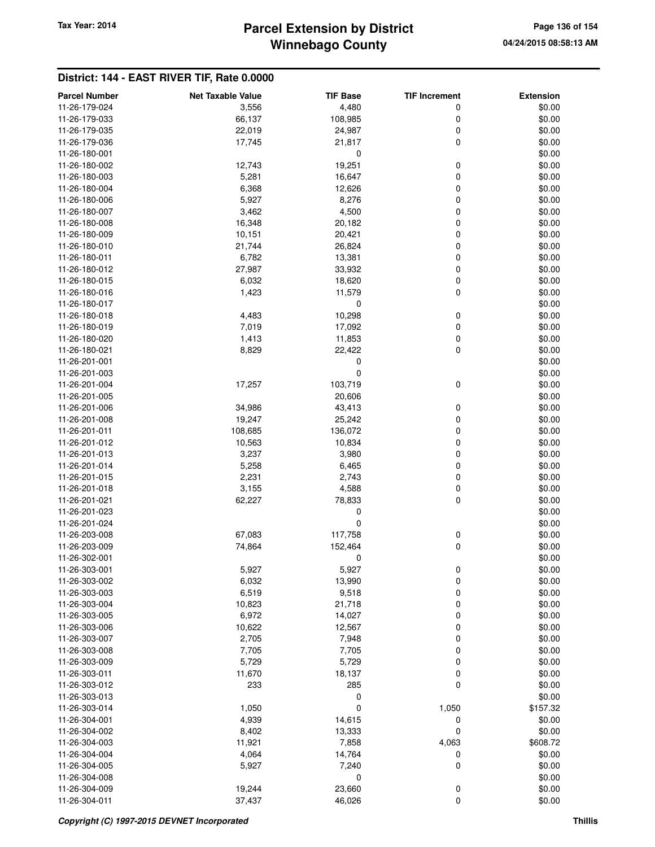# **Winnebago County** Tax Year: 2014 **Parcel Extension by District** Page 136 of 154

| <b>Parcel Number</b> | <b>Net Taxable Value</b> | <b>TIF Base</b> | <b>TIF Increment</b> | <b>Extension</b> |
|----------------------|--------------------------|-----------------|----------------------|------------------|
| 11-26-179-024        | 3,556                    | 4,480           | 0                    | \$0.00           |
| 11-26-179-033        | 66,137                   | 108,985         | 0                    | \$0.00           |
| 11-26-179-035        | 22,019                   | 24,987          | 0                    | \$0.00           |
| 11-26-179-036        | 17,745                   | 21,817          | 0                    | \$0.00           |
| 11-26-180-001        |                          | $\mathbf 0$     |                      | \$0.00           |
| 11-26-180-002        | 12,743                   | 19,251          | 0                    | \$0.00           |
| 11-26-180-003        | 5,281                    | 16,647          | 0                    | \$0.00           |
| 11-26-180-004        | 6,368                    | 12,626          | 0                    | \$0.00           |
| 11-26-180-006        | 5,927                    | 8,276           | 0                    | \$0.00           |
| 11-26-180-007        | 3,462                    | 4,500           | 0                    | \$0.00           |
| 11-26-180-008        | 16,348                   | 20,182          | 0                    | \$0.00           |
| 11-26-180-009        | 10,151                   | 20,421          | 0                    | \$0.00           |
| 11-26-180-010        | 21,744                   | 26,824          | 0                    | \$0.00           |
| 11-26-180-011        | 6,782                    | 13,381          | 0                    | \$0.00           |
| 11-26-180-012        | 27,987                   | 33,932          | 0                    | \$0.00           |
| 11-26-180-015        | 6,032                    | 18,620          | 0                    | \$0.00           |
| 11-26-180-016        | 1,423                    | 11,579          | 0                    | \$0.00           |
| 11-26-180-017        |                          | 0               |                      | \$0.00           |
| 11-26-180-018        | 4,483                    | 10,298          | 0                    | \$0.00           |
| 11-26-180-019        | 7,019                    | 17,092          | 0                    | \$0.00           |
| 11-26-180-020        | 1,413                    | 11,853          | 0                    | \$0.00           |
| 11-26-180-021        | 8,829                    | 22,422          | 0                    | \$0.00           |
| 11-26-201-001        |                          | 0               |                      | \$0.00           |
| 11-26-201-003        |                          | $\mathbf 0$     |                      | \$0.00           |
| 11-26-201-004        | 17,257                   | 103,719         | 0                    | \$0.00           |
| 11-26-201-005        |                          | 20,606          |                      | \$0.00           |
| 11-26-201-006        | 34,986                   | 43,413          | 0                    | \$0.00           |
| 11-26-201-008        | 19,247                   | 25,242          | 0                    | \$0.00           |
| 11-26-201-011        | 108,685                  | 136,072         | 0                    | \$0.00           |
| 11-26-201-012        | 10,563                   | 10,834          | 0                    | \$0.00           |
| 11-26-201-013        | 3,237                    | 3,980           | 0                    | \$0.00           |
| 11-26-201-014        | 5,258                    | 6,465           | 0                    | \$0.00           |
| 11-26-201-015        | 2,231                    | 2,743           | 0                    | \$0.00           |
| 11-26-201-018        | 3,155                    | 4,588           | 0                    | \$0.00           |
| 11-26-201-021        | 62,227                   | 78,833          | 0                    | \$0.00           |
| 11-26-201-023        |                          | 0               |                      | \$0.00           |
| 11-26-201-024        |                          | 0               |                      | \$0.00           |
| 11-26-203-008        | 67,083                   | 117,758         | 0                    | \$0.00           |
| 11-26-203-009        | 74,864                   | 152,464         | 0                    | \$0.00           |
| 11-26-302-001        |                          | 0               |                      | \$0.00           |
| 11-26-303-001        | 5,927                    | 5,927           | 0                    | \$0.00           |
| 11-26-303-002        | 6,032                    | 13,990          | 0                    | \$0.00           |
| 11-26-303-003        | 6,519                    | 9,518           | $\mathbf 0$          | \$0.00           |
| 11-26-303-004        | 10,823                   | 21,718          | 0                    | \$0.00           |
| 11-26-303-005        | 6,972                    | 14,027          | 0                    | \$0.00           |
| 11-26-303-006        | 10,622                   | 12,567          | 0                    | \$0.00           |
| 11-26-303-007        | 2,705                    | 7,948           | 0                    | \$0.00           |
| 11-26-303-008        | 7,705                    | 7,705           | 0                    | \$0.00           |
| 11-26-303-009        | 5,729                    | 5,729           | 0                    | \$0.00           |
| 11-26-303-011        | 11,670                   | 18,137          | 0                    | \$0.00           |
| 11-26-303-012        | 233                      | 285             | 0                    | \$0.00           |
| 11-26-303-013        |                          | 0               |                      | \$0.00           |
| 11-26-303-014        | 1,050                    | 0               | 1,050                | \$157.32         |
| 11-26-304-001        | 4,939                    | 14,615          | 0                    | \$0.00           |
| 11-26-304-002        | 8,402                    | 13,333          | 0                    | \$0.00           |
| 11-26-304-003        | 11,921                   | 7,858           | 4,063                | \$608.72         |
| 11-26-304-004        | 4,064                    | 14,764          | 0                    | \$0.00           |
| 11-26-304-005        | 5,927                    | 7,240           | 0                    | \$0.00           |
| 11-26-304-008        |                          | 0               |                      | \$0.00           |
| 11-26-304-009        | 19,244                   | 23,660          | 0                    | \$0.00           |
| 11-26-304-011        | 37,437                   | 46,026          | 0                    | \$0.00           |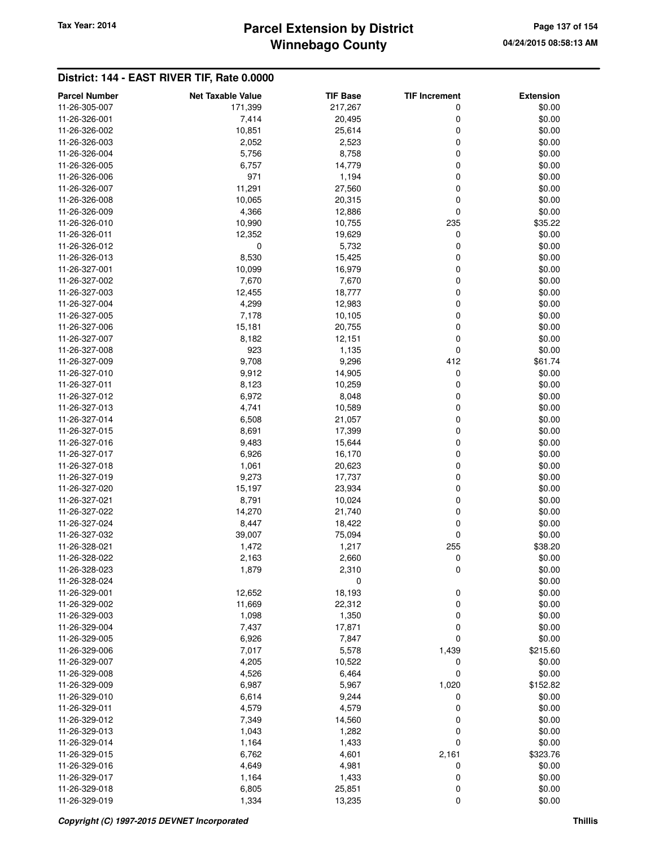# **Winnebago County** Tax Year: 2014 **Parcel Extension by District Page 137 of 154**

| <b>Parcel Number</b> | <b>Net Taxable Value</b> | <b>TIF Base</b> | <b>TIF Increment</b> | <b>Extension</b> |
|----------------------|--------------------------|-----------------|----------------------|------------------|
| 11-26-305-007        | 171,399                  | 217,267         | 0                    | \$0.00           |
| 11-26-326-001        | 7,414                    | 20,495          | 0                    | \$0.00           |
| 11-26-326-002        | 10,851                   | 25,614          | 0                    | \$0.00           |
| 11-26-326-003        | 2,052                    | 2,523           | 0                    | \$0.00           |
| 11-26-326-004        | 5,756                    | 8,758           | 0                    | \$0.00           |
| 11-26-326-005        | 6,757                    | 14,779          | 0                    | \$0.00           |
| 11-26-326-006        | 971                      | 1,194           | 0                    | \$0.00           |
| 11-26-326-007        | 11,291                   | 27,560          | 0                    | \$0.00           |
| 11-26-326-008        | 10,065                   | 20,315          | 0                    | \$0.00           |
| 11-26-326-009        | 4,366                    | 12,886          | 0                    | \$0.00           |
| 11-26-326-010        | 10,990                   | 10,755          | 235                  | \$35.22          |
| 11-26-326-011        | 12,352                   | 19,629          | 0                    | \$0.00           |
| 11-26-326-012        | 0                        | 5,732           | 0                    | \$0.00           |
| 11-26-326-013        | 8,530                    | 15,425          | 0                    | \$0.00           |
| 11-26-327-001        | 10,099                   | 16,979          | 0                    | \$0.00           |
| 11-26-327-002        | 7,670                    | 7,670           | 0                    | \$0.00           |
| 11-26-327-003        | 12,455                   | 18,777          | 0                    | \$0.00           |
| 11-26-327-004        | 4,299                    | 12,983          | 0                    | \$0.00           |
| 11-26-327-005        | 7,178                    | 10,105          | 0                    | \$0.00           |
| 11-26-327-006        | 15,181                   | 20,755          | 0                    | \$0.00           |
| 11-26-327-007        | 8,182                    | 12,151          | 0                    | \$0.00           |
| 11-26-327-008        | 923                      | 1,135           | 0                    | \$0.00           |
| 11-26-327-009        | 9,708                    | 9,296           | 412                  | \$61.74          |
| 11-26-327-010        | 9,912                    | 14,905          | 0                    | \$0.00           |
| 11-26-327-011        | 8,123                    | 10,259          | 0                    | \$0.00           |
| 11-26-327-012        | 6,972                    | 8,048           | 0                    | \$0.00           |
| 11-26-327-013        | 4,741                    | 10,589          | 0                    | \$0.00           |
| 11-26-327-014        | 6,508                    | 21,057          | 0                    | \$0.00           |
| 11-26-327-015        | 8,691                    | 17,399          | 0                    | \$0.00           |
| 11-26-327-016        | 9,483                    | 15,644          | 0                    | \$0.00           |
| 11-26-327-017        | 6,926                    | 16,170          | 0                    | \$0.00           |
| 11-26-327-018        | 1,061                    | 20,623          | 0                    | \$0.00           |
| 11-26-327-019        | 9,273                    | 17,737          | 0                    | \$0.00           |
| 11-26-327-020        | 15,197                   | 23,934          | 0                    | \$0.00           |
| 11-26-327-021        | 8,791                    | 10,024          | 0                    | \$0.00           |
| 11-26-327-022        | 14,270                   | 21,740          | 0                    | \$0.00           |
| 11-26-327-024        | 8,447                    | 18,422          | 0                    | \$0.00           |
| 11-26-327-032        | 39,007                   | 75,094          | 0                    | \$0.00           |
| 11-26-328-021        | 1,472                    | 1,217           | 255                  | \$38.20          |
| 11-26-328-022        | 2,163                    | 2,660           | 0                    | \$0.00           |
| 11-26-328-023        | 1,879                    | 2,310           | 0                    | \$0.00           |
| 11-26-328-024        |                          | 0               |                      | \$0.00           |
| 11-26-329-001        | 12,652                   | 18,193          | 0                    | \$0.00           |
| 11-26-329-002        | 11,669                   | 22,312          | 0                    | \$0.00           |
| 11-26-329-003        | 1,098                    | 1,350           | $\mathbf 0$          | \$0.00           |
| 11-26-329-004        | 7,437                    | 17,871          | 0                    | \$0.00           |
| 11-26-329-005        | 6,926                    | 7,847           | $\mathbf 0$          | \$0.00           |
| 11-26-329-006        | 7,017                    | 5,578           | 1,439                | \$215.60         |
| 11-26-329-007        | 4,205                    | 10,522          | 0                    | \$0.00           |
| 11-26-329-008        | 4,526                    | 6,464           | 0                    | \$0.00           |
| 11-26-329-009        | 6,987                    | 5,967           | 1,020                | \$152.82         |
| 11-26-329-010        | 6,614                    | 9,244           | 0                    | \$0.00           |
| 11-26-329-011        | 4,579                    | 4,579           | 0                    | \$0.00           |
| 11-26-329-012        | 7,349                    | 14,560          | 0                    | \$0.00           |
| 11-26-329-013        | 1,043                    | 1,282           | 0                    | \$0.00           |
| 11-26-329-014        | 1,164                    | 1,433           | $\mathbf 0$          | \$0.00           |
| 11-26-329-015        | 6,762                    | 4,601           | 2,161                | \$323.76         |
| 11-26-329-016        | 4,649                    | 4,981           | 0                    | \$0.00           |
| 11-26-329-017        | 1,164                    | 1,433           | 0                    | \$0.00           |
| 11-26-329-018        | 6,805                    | 25,851          | 0                    | \$0.00           |
| 11-26-329-019        | 1,334                    | 13,235          | $\mathbf 0$          | \$0.00           |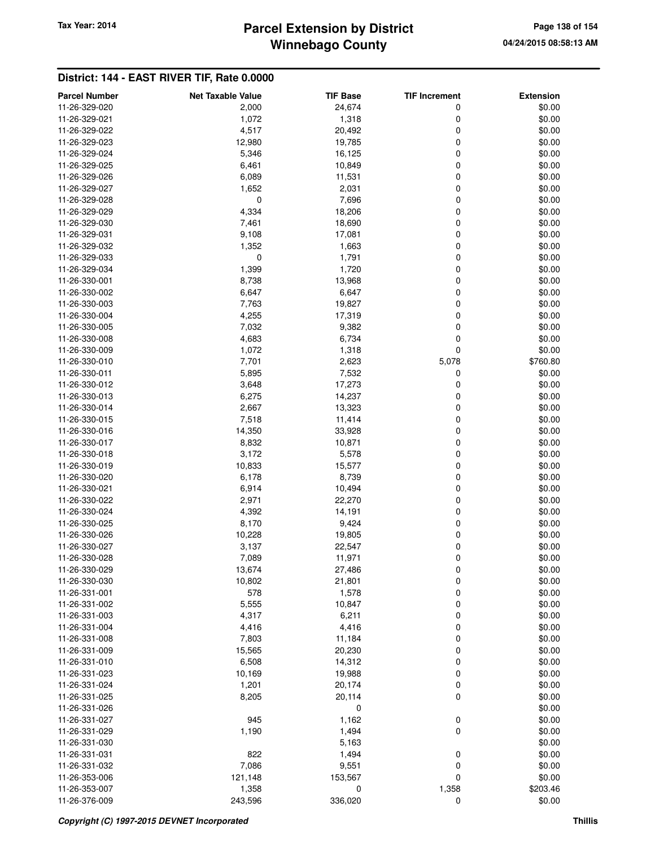# **Winnebago County Parcel Extension by District Tax Year: 2014 Page 138 of 154**

| <b>Parcel Number</b> | <b>Net Taxable Value</b> | <b>TIF Base</b> | <b>TIF Increment</b> | <b>Extension</b> |
|----------------------|--------------------------|-----------------|----------------------|------------------|
| 11-26-329-020        | 2,000                    | 24,674          | 0                    | \$0.00           |
| 11-26-329-021        | 1,072                    | 1,318           | 0                    | \$0.00           |
| 11-26-329-022        | 4,517                    | 20,492          | 0                    | \$0.00           |
| 11-26-329-023        | 12,980                   | 19,785          | 0                    | \$0.00           |
| 11-26-329-024        | 5,346                    | 16,125          | 0                    | \$0.00           |
| 11-26-329-025        | 6,461                    | 10,849          | 0                    | \$0.00           |
| 11-26-329-026        | 6,089                    | 11,531          | 0                    | \$0.00           |
| 11-26-329-027        | 1,652                    | 2,031           | 0                    | \$0.00           |
| 11-26-329-028        | 0                        | 7,696           | 0                    | \$0.00           |
| 11-26-329-029        | 4,334                    | 18,206          | 0                    | \$0.00           |
| 11-26-329-030        | 7,461                    | 18,690          | 0                    | \$0.00           |
| 11-26-329-031        | 9,108                    | 17,081          | 0                    | \$0.00           |
| 11-26-329-032        | 1,352                    | 1,663           | 0                    | \$0.00           |
| 11-26-329-033        | 0                        | 1,791           | 0                    | \$0.00           |
| 11-26-329-034        | 1,399                    | 1,720           | 0                    | \$0.00           |
| 11-26-330-001        | 8,738                    | 13,968          | 0                    | \$0.00           |
| 11-26-330-002        | 6,647                    | 6,647           | 0                    | \$0.00           |
| 11-26-330-003        | 7,763                    | 19,827          | 0                    | \$0.00           |
| 11-26-330-004        | 4,255                    | 17,319          | 0                    | \$0.00           |
| 11-26-330-005        | 7,032                    | 9,382           | 0                    | \$0.00           |
| 11-26-330-008        | 4,683                    | 6,734           | 0                    | \$0.00           |
| 11-26-330-009        | 1,072                    | 1,318           | 0                    | \$0.00           |
| 11-26-330-010        | 7,701                    | 2,623           | 5,078                | \$760.80         |
| 11-26-330-011        | 5,895                    | 7,532           | 0                    | \$0.00           |
| 11-26-330-012        | 3,648                    | 17,273          | 0                    | \$0.00           |
| 11-26-330-013        | 6,275                    | 14,237          | 0                    | \$0.00           |
| 11-26-330-014        | 2,667                    | 13,323          | 0                    | \$0.00           |
| 11-26-330-015        | 7,518                    | 11,414          | 0                    | \$0.00           |
| 11-26-330-016        | 14,350                   | 33,928          | 0                    | \$0.00           |
| 11-26-330-017        | 8,832                    | 10,871          | 0                    | \$0.00           |
|                      |                          |                 | 0                    | \$0.00           |
| 11-26-330-018        | 3,172                    | 5,578           |                      | \$0.00           |
| 11-26-330-019        | 10,833                   | 15,577          | 0                    |                  |
| 11-26-330-020        | 6,178                    | 8,739           | 0<br>0               | \$0.00           |
| 11-26-330-021        | 6,914                    | 10,494          |                      | \$0.00           |
| 11-26-330-022        | 2,971                    | 22,270          | 0                    | \$0.00           |
| 11-26-330-024        | 4,392                    | 14,191          | 0                    | \$0.00           |
| 11-26-330-025        | 8,170                    | 9,424           | 0                    | \$0.00           |
| 11-26-330-026        | 10,228                   | 19,805          | 0                    | \$0.00           |
| 11-26-330-027        | 3,137                    | 22,547          | 0                    | \$0.00           |
| 11-26-330-028        | 7,089                    | 11,971          | 0                    | \$0.00           |
| 11-26-330-029        | 13,674                   | 27,486          | 0                    | \$0.00           |
| 11-26-330-030        | 10,802                   | 21,801          | 0                    | \$0.00           |
| 11-26-331-001        | 578                      | 1,578           | 0                    | \$0.00           |
| 11-26-331-002        | 5,555                    | 10,847          | 0                    | \$0.00           |
| 11-26-331-003        | 4,317                    | 6,211           | 0                    | \$0.00           |
| 11-26-331-004        | 4,416                    | 4,416           | 0                    | \$0.00           |
| 11-26-331-008        | 7,803                    | 11,184          | 0                    | \$0.00           |
| 11-26-331-009        | 15,565                   | 20,230          | 0                    | \$0.00           |
| 11-26-331-010        | 6,508                    | 14,312          | 0                    | \$0.00           |
| 11-26-331-023        | 10,169                   | 19,988          | 0                    | \$0.00           |
| 11-26-331-024        | 1,201                    | 20,174          | 0                    | \$0.00           |
| 11-26-331-025        | 8,205                    | 20,114          | $\mathbf 0$          | \$0.00           |
| 11-26-331-026        |                          | 0               |                      | \$0.00           |
| 11-26-331-027        | 945                      | 1,162           | 0                    | \$0.00           |
| 11-26-331-029        | 1,190                    | 1,494           | 0                    | \$0.00           |
| 11-26-331-030        |                          | 5,163           |                      | \$0.00           |
| 11-26-331-031        | 822                      | 1,494           | 0                    | \$0.00           |
| 11-26-331-032        | 7,086                    | 9,551           | 0                    | \$0.00           |
| 11-26-353-006        | 121,148                  | 153,567         | $\mathbf 0$          | \$0.00           |
| 11-26-353-007        | 1,358                    | 0               | 1,358                | \$203.46         |
| 11-26-376-009        | 243,596                  | 336,020         | $\mathbf 0$          | \$0.00           |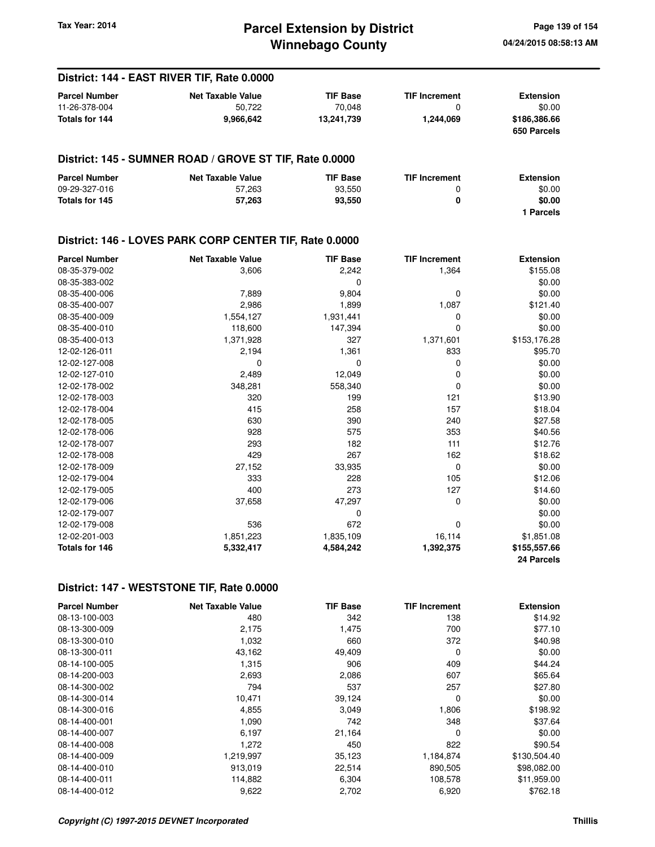### **Winnebago County Parcel Extension by District Tax Year: 2014 Page 139 of 154**

#### **District: 144 - EAST RIVER TIF, Rate 0.0000 Parcel Number 6 Consumer Consumer Accord Met Taxable Value 6 Consumer TIF Increment 6 Extension** 11-26-378-004 50,722 70,048 0 \$0.00 **Totals for 144 9,966,642 13,241,739 1,244,069 \$186,386.66 650 Parcels District: 145 - SUMNER ROAD / GROVE ST TIF, Rate 0.0000 Parcel Number 6 Consumer Consumer Accord Net Taxable Value 6 Consumer TIF Increment 6 Extension** 09-29-327-016 57,263 93,550 0 \$0.00 **Totals for 145 57,263 93,550 0 \$0.00 1 Parcels District: 146 - LOVES PARK CORP CENTER TIF, Rate 0.0000 Parcel Number Net Taxable Value TIF Base TIF Increment Extension** 08-35-379-002 3,606 2,242 1,364 \$155.08  $08-35-383-002$  \$0.00 08-35-400-006 7,889 9,804 0 \$0.00 08-35-400-007 2,986 1,899 1,087 \$121.40 08-35-400-009 1,554,127 1,931,441 0 \$0.00 08-35-400-010 118,600 147,394 0 \$0.00 08-35-400-013 1,371,928 327 1,371,601 \$153,176.28 12-02-126-011 2,194 1,361 833 \$95.70 12-02-127-008 0 0 0 \$0.00 12-02-127-010 2,489 12,049 0 \$0.00 12-02-178-002 348,281 558,340 0 \$0.00 12-02-178-003 320 199 121 \$13.90 12-02-178-004 415 258 157 \$18.04 12-02-178-005 630 390 240 \$27.58 12-02-178-006 928 575 353 \$40.56 12-02-178-007 293 182 111 \$12.76 12-02-178-008 429 267 162 \$18.62 12-02-178-009 27,152 33,935 0 \$0.00 12-02-179-004 333 228 105 \$12.06 12-02-179-005 400 273 127 \$14.60 12-02-179-006 37,658 47,297 0 \$0.00 12-02-179-007 \$0.00 12-02-179-008 536 672 0 \$0.00 12-02-201-003 1,851,223 1,835,109 16,114 \$1,851.08 **Totals for 146 5,332,417 4,584,242 1,392,375 \$155,557.66 24 Parcels**

### **District: 147 - WESTSTONE TIF, Rate 0.0000**

| <b>Parcel Number</b> | <b>Net Taxable Value</b> | <b>TIF Base</b> | <b>TIF Increment</b> | <b>Extension</b> |
|----------------------|--------------------------|-----------------|----------------------|------------------|
| 08-13-100-003        | 480                      | 342             | 138                  | \$14.92          |
| 08-13-300-009        | 2,175                    | 1,475           | 700                  | \$77.10          |
| 08-13-300-010        | 1,032                    | 660             | 372                  | \$40.98          |
| 08-13-300-011        | 43,162                   | 49,409          | 0                    | \$0.00           |
| 08-14-100-005        | 1,315                    | 906             | 409                  | \$44.24          |
| 08-14-200-003        | 2,693                    | 2,086           | 607                  | \$65.64          |
| 08-14-300-002        | 794                      | 537             | 257                  | \$27.80          |
| 08-14-300-014        | 10,471                   | 39,124          | 0                    | \$0.00           |
| 08-14-300-016        | 4,855                    | 3,049           | 1,806                | \$198.92         |
| 08-14-400-001        | 1,090                    | 742             | 348                  | \$37.64          |
| 08-14-400-007        | 6,197                    | 21,164          | $\Omega$             | \$0.00           |
| 08-14-400-008        | 1,272                    | 450             | 822                  | \$90.54          |
| 08-14-400-009        | 1,219,997                | 35,123          | 1,184,874            | \$130,504.40     |
| 08-14-400-010        | 913,019                  | 22,514          | 890,505              | \$98,082.00      |
| 08-14-400-011        | 114,882                  | 6,304           | 108,578              | \$11,959.00      |
| 08-14-400-012        | 9,622                    | 2,702           | 6,920                | \$762.18         |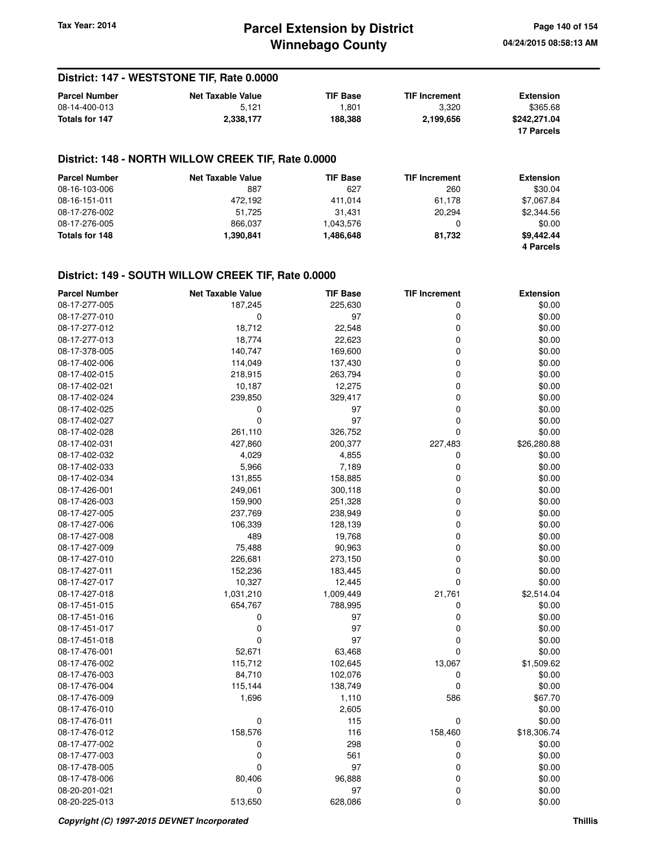### **District: 147 - WESTSTONE TIF, Rate 0.0000**

| <b>Parcel Number</b> | <b>Net Taxable Value</b> | <b>TIF Base</b> | <b>TIF Increment</b> | <b>Extension</b> |
|----------------------|--------------------------|-----------------|----------------------|------------------|
| 08-14-400-013        | 5.121                    | 801.ا           | 3.320                | \$365.68         |
| Totals for 147       | 2.338.177                | 188.388         | 2.199.656            | \$242.271.04     |
|                      |                          |                 |                      | 17 Parcels       |

### **District: 148 - NORTH WILLOW CREEK TIF, Rate 0.0000**

| <b>Parcel Number</b> | <b>Net Taxable Value</b> | <b>TIF Base</b> | <b>TIF Increment</b> | <b>Extension</b> |
|----------------------|--------------------------|-----------------|----------------------|------------------|
| 08-16-103-006        | 887                      | 627             | 260                  | \$30.04          |
| 08-16-151-011        | 472.192                  | 411.014         | 61,178               | \$7,067.84       |
| 08-17-276-002        | 51.725                   | 31.431          | 20.294               | \$2,344.56       |
| 08-17-276-005        | 866.037                  | 1,043,576       | 0                    | \$0.00           |
| Totals for 148       | 1.390.841                | 1,486,648       | 81.732               | \$9.442.44       |
|                      |                          |                 |                      | 4 Parcels        |

#### **District: 149 - SOUTH WILLOW CREEK TIF, Rate 0.0000**

| <b>Parcel Number</b> | <b>Net Taxable Value</b> | <b>TIF Base</b> | <b>TIF Increment</b> | <b>Extension</b> |
|----------------------|--------------------------|-----------------|----------------------|------------------|
| 08-17-277-005        | 187,245                  | 225,630         | 0                    | \$0.00           |
| 08-17-277-010        | 0                        | 97              | 0                    | \$0.00           |
| 08-17-277-012        | 18,712                   | 22,548          | 0                    | \$0.00           |
| 08-17-277-013        | 18,774                   | 22,623          | 0                    | \$0.00           |
| 08-17-378-005        | 140,747                  | 169,600         | 0                    | \$0.00           |
| 08-17-402-006        | 114,049                  | 137,430         | 0                    | \$0.00           |
| 08-17-402-015        | 218,915                  | 263,794         | 0                    | \$0.00           |
| 08-17-402-021        | 10,187                   | 12,275          | 0                    | \$0.00           |
| 08-17-402-024        | 239,850                  | 329,417         | 0                    | \$0.00           |
| 08-17-402-025        | 0                        | 97              | 0                    | \$0.00           |
| 08-17-402-027        | 0                        | 97              | 0                    | \$0.00           |
| 08-17-402-028        | 261,110                  | 326,752         | 0                    | \$0.00           |
| 08-17-402-031        | 427,860                  | 200,377         | 227,483              | \$26,280.88      |
| 08-17-402-032        | 4,029                    | 4,855           | 0                    | \$0.00           |
| 08-17-402-033        | 5,966                    | 7,189           | 0                    | \$0.00           |
| 08-17-402-034        | 131,855                  | 158,885         | 0                    | \$0.00           |
| 08-17-426-001        | 249,061                  | 300,118         | 0                    | \$0.00           |
| 08-17-426-003        | 159,900                  | 251,328         | 0                    | \$0.00           |
| 08-17-427-005        | 237,769                  | 238,949         | 0                    | \$0.00           |
| 08-17-427-006        | 106,339                  | 128,139         | 0                    | \$0.00           |
| 08-17-427-008        | 489                      | 19,768          | 0                    | \$0.00           |
| 08-17-427-009        | 75,488                   | 90,963          | 0                    | \$0.00           |
| 08-17-427-010        | 226,681                  | 273,150         | 0                    | \$0.00           |
| 08-17-427-011        | 152,236                  | 183,445         | 0                    | \$0.00           |
| 08-17-427-017        | 10,327                   | 12,445          | 0                    | \$0.00           |
| 08-17-427-018        | 1,031,210                | 1,009,449       | 21,761               | \$2,514.04       |
| 08-17-451-015        | 654,767                  | 788,995         | 0                    | \$0.00           |
| 08-17-451-016        | 0                        | 97              | 0                    | \$0.00           |
| 08-17-451-017        | $\pmb{0}$                | 97              | 0                    | \$0.00           |
| 08-17-451-018        | $\mathbf 0$              | 97              | 0                    | \$0.00           |
| 08-17-476-001        | 52,671                   | 63,468          | 0                    | \$0.00           |
| 08-17-476-002        | 115,712                  | 102,645         | 13,067               | \$1,509.62       |
| 08-17-476-003        | 84,710                   | 102,076         | 0                    | \$0.00           |
| 08-17-476-004        | 115,144                  | 138,749         | 0                    | \$0.00           |
| 08-17-476-009        | 1,696                    | 1,110           | 586                  | \$67.70          |
| 08-17-476-010        |                          | 2,605           |                      | \$0.00           |
| 08-17-476-011        | 0                        | 115             | 0                    | \$0.00           |
| 08-17-476-012        | 158,576                  | 116             | 158,460              | \$18,306.74      |
| 08-17-477-002        | 0                        | 298             | 0                    | \$0.00           |
| 08-17-477-003        | 0                        | 561             | 0                    | \$0.00           |
| 08-17-478-005        | 0                        | 97              | 0                    | \$0.00           |
| 08-17-478-006        | 80,406                   | 96,888          | 0                    | \$0.00           |
| 08-20-201-021        | 0                        | 97              | 0                    | \$0.00           |
| 08-20-225-013        | 513,650                  | 628,086         | 0                    | \$0.00           |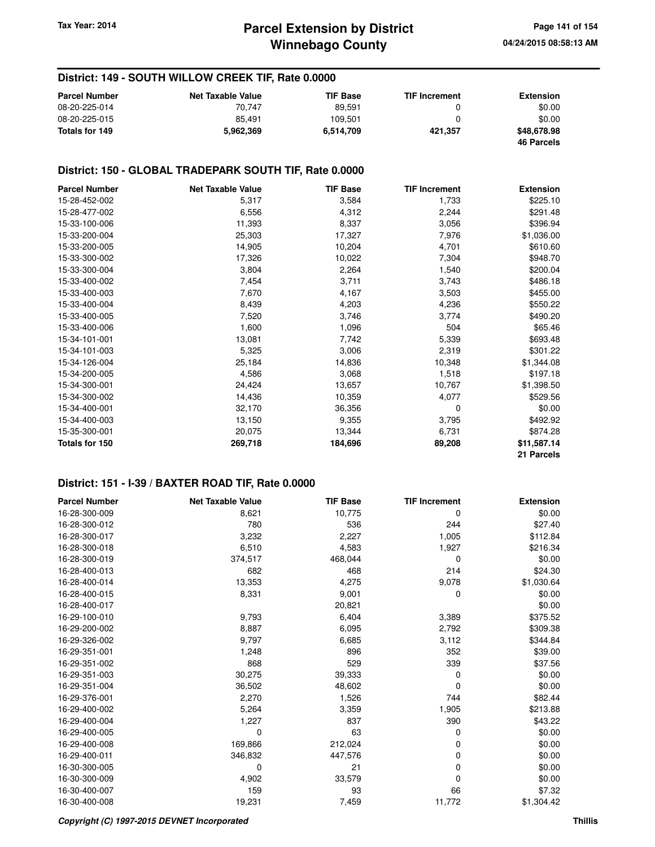### **District: 149 - SOUTH WILLOW CREEK TIF, Rate 0.0000**

| <b>Parcel Number</b> | <b>Net Taxable Value</b> | TIF Base  | <b>TIF Increment</b> | <b>Extension</b>  |
|----------------------|--------------------------|-----------|----------------------|-------------------|
| 08-20-225-014        | 70.747                   | 89.591    |                      | \$0.00            |
| 08-20-225-015        | 85.491                   | 109.501   |                      | \$0.00            |
| Totals for 149       | 5.962.369                | 6.514.709 | 421.357              | \$48,678.98       |
|                      |                          |           |                      | <b>46 Parcels</b> |

#### **District: 150 - GLOBAL TRADEPARK SOUTH TIF, Rate 0.0000**

| <b>Parcel Number</b> | <b>Net Taxable Value</b> | <b>TIF Base</b> | <b>TIF Increment</b> | <b>Extension</b> |
|----------------------|--------------------------|-----------------|----------------------|------------------|
| 15-28-452-002        | 5,317                    | 3,584           | 1,733                | \$225.10         |
| 15-28-477-002        | 6,556                    | 4,312           | 2,244                | \$291.48         |
| 15-33-100-006        | 11,393                   | 8,337           | 3,056                | \$396.94         |
| 15-33-200-004        | 25,303                   | 17,327          | 7,976                | \$1,036.00       |
| 15-33-200-005        | 14,905                   | 10,204          | 4,701                | \$610.60         |
| 15-33-300-002        | 17,326                   | 10,022          | 7,304                | \$948.70         |
| 15-33-300-004        | 3,804                    | 2,264           | 1,540                | \$200.04         |
| 15-33-400-002        | 7,454                    | 3,711           | 3,743                | \$486.18         |
| 15-33-400-003        | 7,670                    | 4,167           | 3,503                | \$455.00         |
| 15-33-400-004        | 8,439                    | 4,203           | 4,236                | \$550.22         |
| 15-33-400-005        | 7,520                    | 3,746           | 3,774                | \$490.20         |
| 15-33-400-006        | 1,600                    | 1,096           | 504                  | \$65.46          |
| 15-34-101-001        | 13,081                   | 7,742           | 5,339                | \$693.48         |
| 15-34-101-003        | 5,325                    | 3,006           | 2,319                | \$301.22         |
| 15-34-126-004        | 25,184                   | 14,836          | 10,348               | \$1,344.08       |
| 15-34-200-005        | 4,586                    | 3,068           | 1,518                | \$197.18         |
| 15-34-300-001        | 24,424                   | 13,657          | 10,767               | \$1,398.50       |
| 15-34-300-002        | 14,436                   | 10,359          | 4,077                | \$529.56         |
| 15-34-400-001        | 32,170                   | 36,356          | 0                    | \$0.00           |
| 15-34-400-003        | 13,150                   | 9,355           | 3,795                | \$492.92         |
| 15-35-300-001        | 20,075                   | 13,344          | 6,731                | \$874.28         |
| Totals for 150       | 269,718                  | 184,696         | 89,208               | \$11,587.14      |
|                      |                          |                 |                      | 21 Parcels       |

#### **District: 151 - I-39 / BAXTER ROAD TIF, Rate 0.0000**

| <b>Parcel Number</b> | <b>Net Taxable Value</b> | <b>TIF Base</b> | <b>TIF Increment</b> | <b>Extension</b> |
|----------------------|--------------------------|-----------------|----------------------|------------------|
| 16-28-300-009        | 8,621                    | 10,775          | 0                    | \$0.00           |
| 16-28-300-012        | 780                      | 536             | 244                  | \$27.40          |
| 16-28-300-017        | 3,232                    | 2,227           | 1,005                | \$112.84         |
| 16-28-300-018        | 6,510                    | 4,583           | 1,927                | \$216.34         |
| 16-28-300-019        | 374,517                  | 468,044         | 0                    | \$0.00           |
| 16-28-400-013        | 682                      | 468             | 214                  | \$24.30          |
| 16-28-400-014        | 13,353                   | 4,275           | 9,078                | \$1,030.64       |
| 16-28-400-015        | 8,331                    | 9,001           | 0                    | \$0.00           |
| 16-28-400-017        |                          | 20,821          |                      | \$0.00           |
| 16-29-100-010        | 9,793                    | 6,404           | 3,389                | \$375.52         |
| 16-29-200-002        | 8,887                    | 6,095           | 2,792                | \$309.38         |
| 16-29-326-002        | 9,797                    | 6,685           | 3,112                | \$344.84         |
| 16-29-351-001        | 1,248                    | 896             | 352                  | \$39.00          |
| 16-29-351-002        | 868                      | 529             | 339                  | \$37.56          |
| 16-29-351-003        | 30,275                   | 39,333          | 0                    | \$0.00           |
| 16-29-351-004        | 36,502                   | 48,602          | 0                    | \$0.00           |
| 16-29-376-001        | 2,270                    | 1,526           | 744                  | \$82.44          |
| 16-29-400-002        | 5,264                    | 3,359           | 1,905                | \$213.88         |
| 16-29-400-004        | 1,227                    | 837             | 390                  | \$43.22          |
| 16-29-400-005        | 0                        | 63              | 0                    | \$0.00           |
| 16-29-400-008        | 169,866                  | 212,024         | 0                    | \$0.00           |
| 16-29-400-011        | 346,832                  | 447,576         | 0                    | \$0.00           |
| 16-30-300-005        | 0                        | 21              | 0                    | \$0.00           |
| 16-30-300-009        | 4,902                    | 33,579          | 0                    | \$0.00           |
| 16-30-400-007        | 159                      | 93              | 66                   | \$7.32           |
| 16-30-400-008        | 19,231                   | 7,459           | 11,772               | \$1,304.42       |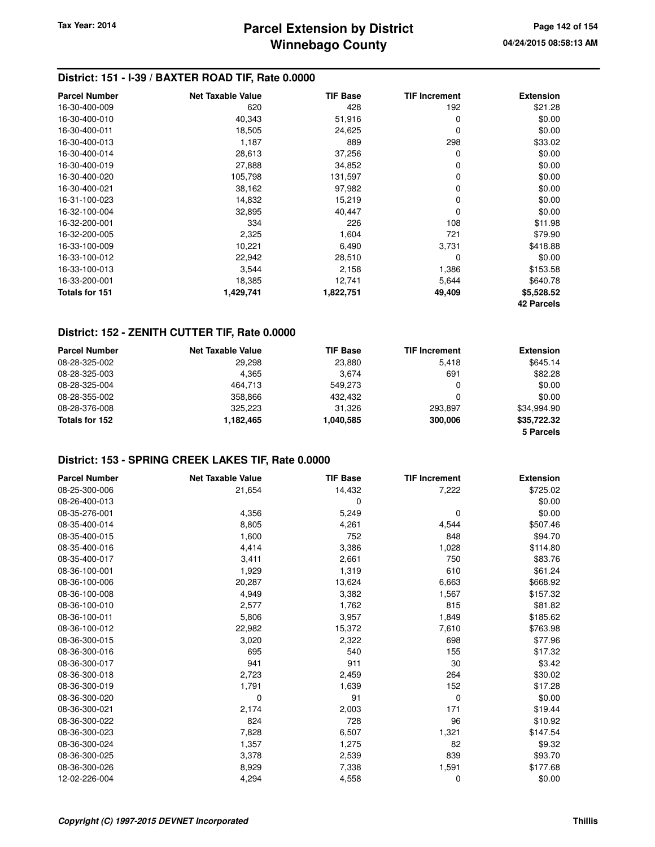### **District: 151 - I-39 / BAXTER ROAD TIF, Rate 0.0000**

| <b>Parcel Number</b> | <b>Net Taxable Value</b> | <b>TIF Base</b> | <b>TIF Increment</b> | <b>Extension</b>  |
|----------------------|--------------------------|-----------------|----------------------|-------------------|
| 16-30-400-009        | 620                      | 428             | 192                  | \$21.28           |
| 16-30-400-010        | 40,343                   | 51,916          | 0                    | \$0.00            |
| 16-30-400-011        | 18,505                   | 24,625          | 0                    | \$0.00            |
| 16-30-400-013        | 1,187                    | 889             | 298                  | \$33.02           |
| 16-30-400-014        | 28,613                   | 37,256          | 0                    | \$0.00            |
| 16-30-400-019        | 27,888                   | 34,852          | 0                    | \$0.00            |
| 16-30-400-020        | 105,798                  | 131,597         | 0                    | \$0.00            |
| 16-30-400-021        | 38,162                   | 97,982          | 0                    | \$0.00            |
| 16-31-100-023        | 14,832                   | 15,219          | 0                    | \$0.00            |
| 16-32-100-004        | 32,895                   | 40,447          | 0                    | \$0.00            |
| 16-32-200-001        | 334                      | 226             | 108                  | \$11.98           |
| 16-32-200-005        | 2,325                    | 1,604           | 721                  | \$79.90           |
| 16-33-100-009        | 10,221                   | 6,490           | 3,731                | \$418.88          |
| 16-33-100-012        | 22,942                   | 28,510          | 0                    | \$0.00            |
| 16-33-100-013        | 3,544                    | 2,158           | 1,386                | \$153.58          |
| 16-33-200-001        | 18,385                   | 12,741          | 5,644                | \$640.78          |
| Totals for 151       | 1,429,741                | 1,822,751       | 49,409               | \$5,528.52        |
|                      |                          |                 |                      | <b>42 Parcels</b> |

### **District: 152 - ZENITH CUTTER TIF, Rate 0.0000**

| <b>Parcel Number</b> | <b>Net Taxable Value</b> | <b>TIF Base</b> | <b>TIF Increment</b> | <b>Extension</b> |
|----------------------|--------------------------|-----------------|----------------------|------------------|
| 08-28-325-002        | 29,298                   | 23,880          | 5.418                | \$645.14         |
| 08-28-325-003        | 4.365                    | 3.674           | 691                  | \$82.28          |
| 08-28-325-004        | 464.713                  | 549.273         | 0                    | \$0.00           |
| 08-28-355-002        | 358,866                  | 432.432         | 0                    | \$0.00           |
| 08-28-376-008        | 325.223                  | 31.326          | 293.897              | \$34.994.90      |
| Totals for 152       | 1.182.465                | 1,040,585       | 300,006              | \$35.722.32      |
|                      |                          |                 |                      | 5 Parcels        |

### **District: 153 - SPRING CREEK LAKES TIF, Rate 0.0000**

| <b>Parcel Number</b> | <b>Net Taxable Value</b> | <b>TIF Base</b> | <b>TIF Increment</b> | <b>Extension</b> |
|----------------------|--------------------------|-----------------|----------------------|------------------|
| 08-25-300-006        | 21,654                   | 14,432          | 7,222                | \$725.02         |
| 08-26-400-013        |                          | 0               |                      | \$0.00           |
| 08-35-276-001        | 4,356                    | 5,249           | 0                    | \$0.00           |
| 08-35-400-014        | 8,805                    | 4,261           | 4,544                | \$507.46         |
| 08-35-400-015        | 1,600                    | 752             | 848                  | \$94.70          |
| 08-35-400-016        | 4,414                    | 3,386           | 1,028                | \$114.80         |
| 08-35-400-017        | 3,411                    | 2,661           | 750                  | \$83.76          |
| 08-36-100-001        | 1,929                    | 1,319           | 610                  | \$61.24          |
| 08-36-100-006        | 20,287                   | 13,624          | 6,663                | \$668.92         |
| 08-36-100-008        | 4,949                    | 3,382           | 1,567                | \$157.32         |
| 08-36-100-010        | 2,577                    | 1,762           | 815                  | \$81.82          |
| 08-36-100-011        | 5,806                    | 3,957           | 1,849                | \$185.62         |
| 08-36-100-012        | 22,982                   | 15,372          | 7,610                | \$763.98         |
| 08-36-300-015        | 3,020                    | 2,322           | 698                  | \$77.96          |
| 08-36-300-016        | 695                      | 540             | 155                  | \$17.32          |
| 08-36-300-017        | 941                      | 911             | 30                   | \$3.42           |
| 08-36-300-018        | 2,723                    | 2,459           | 264                  | \$30.02          |
| 08-36-300-019        | 1,791                    | 1,639           | 152                  | \$17.28          |
| 08-36-300-020        | 0                        | 91              | 0                    | \$0.00           |
| 08-36-300-021        | 2,174                    | 2,003           | 171                  | \$19.44          |
| 08-36-300-022        | 824                      | 728             | 96                   | \$10.92          |
| 08-36-300-023        | 7,828                    | 6,507           | 1,321                | \$147.54         |
| 08-36-300-024        | 1,357                    | 1,275           | 82                   | \$9.32           |
| 08-36-300-025        | 3,378                    | 2,539           | 839                  | \$93.70          |
| 08-36-300-026        | 8,929                    | 7,338           | 1,591                | \$177.68         |
| 12-02-226-004        | 4,294                    | 4,558           | 0                    | \$0.00           |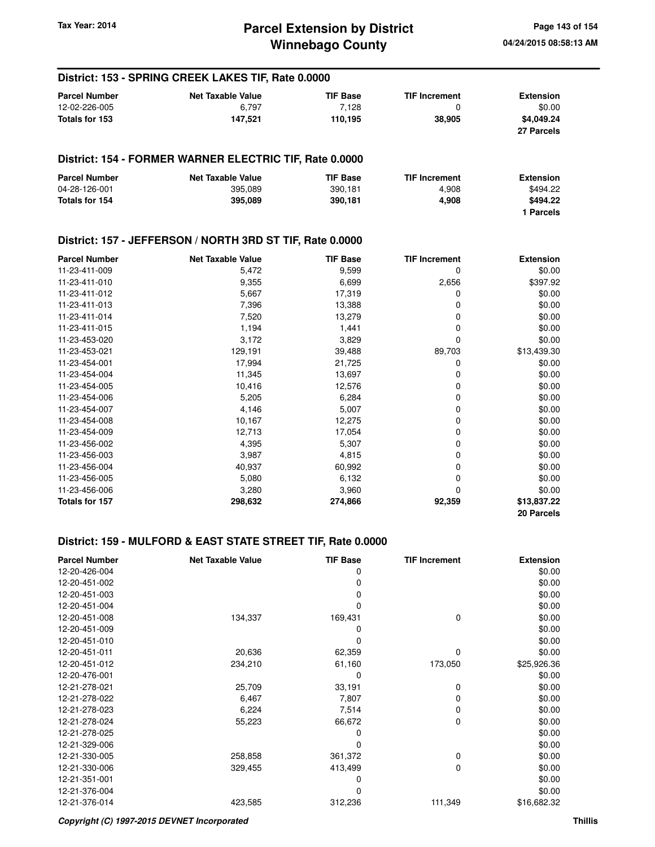#### **District: 153 - SPRING CREEK LAKES TIF, Rate 0.0000 Parcel Number Net Taxable Value TIF Base TIF Increment Extension** 12-02-226-005 6,797 7,128 0 \$0.00 **Totals for 153 147,521 110,195 38,905 \$4,049.24 27 Parcels District: 154 - FORMER WARNER ELECTRIC TIF, Rate 0.0000 Parcel Number 6 Consumer Consumer Accord Net Taxable Value 6 Consumer TIF Increment 6 Extension** 04-28-126-001 395,089 390,181 4,908 \$494.22 **Totals for 154 395,089 390,181 4,908 \$494.22 1 Parcels District: 157 - JEFFERSON / NORTH 3RD ST TIF, Rate 0.0000 Parcel Number Net Taxable Value TIF Base TIF Increment Extension** 11-23-411-009 5,472 9,599 0 \$0.00 11-23-411-010 9,355 6,699 2,656 \$397.92 11-23-411-012 5,667 17,319 0 \$0.00 11-23-411-013 7,396 13,388 0 \$0.00 11-23-411-014 7,520 13,279 0 \$0.00 11-23-411-015 1,194 1,441 0 \$0.00 11-23-453-020 3,172 3,829 0 \$0.00 11-23-453-021 129,191 129,191 39,488 89,703 \$13,439.30 11-23-454-001 17,994 21,725 0 \$0.00 11-23-454-004 **11,345** 13,697 0 \$0.00 11-23-454-005 10,416 12,576 0 \$0.00 11-23-454-006 5,205 6,284 0 \$0.00 11-23-454-007 4,146 5,007 0 \$0.00 11-23-454-008 10,167 12,275 0 \$0.00 11-23-454-009 12,713 17,054 0 \$0.00 11-23-456-002 4,395 5,307 0 \$0.00 11-23-456-003 3,987 4,815 0 \$0.00 11-23-456-004 40,937 60,992 0 \$0.00 11-23-456-005 5,080 6,132 0 \$0.00 11-23-456-006 3,280 3,960 0 \$0.00 **Totals for 157 298,632 274,866 92,359 \$13,837.22**

#### **District: 159 - MULFORD & EAST STATE STREET TIF, Rate 0.0000**

| <b>Parcel Number</b> | <b>Net Taxable Value</b> | <b>TIF Base</b> | <b>TIF Increment</b> | <b>Extension</b> |
|----------------------|--------------------------|-----------------|----------------------|------------------|
| 12-20-426-004        |                          | 0               |                      | \$0.00           |
| 12-20-451-002        |                          | 0               |                      | \$0.00           |
| 12-20-451-003        |                          | 0               |                      | \$0.00           |
| 12-20-451-004        |                          | 0               |                      | \$0.00           |
| 12-20-451-008        | 134,337                  | 169,431         | 0                    | \$0.00           |
| 12-20-451-009        |                          | 0               |                      | \$0.00           |
| 12-20-451-010        |                          | ი               |                      | \$0.00           |
| 12-20-451-011        | 20,636                   | 62,359          | $\Omega$             | \$0.00           |
| 12-20-451-012        | 234,210                  | 61,160          | 173,050              | \$25,926.36      |
| 12-20-476-001        |                          | 0               |                      | \$0.00           |
| 12-21-278-021        | 25,709                   | 33,191          | 0                    | \$0.00           |
| 12-21-278-022        | 6,467                    | 7,807           | 0                    | \$0.00           |
| 12-21-278-023        | 6,224                    | 7,514           | 0                    | \$0.00           |
| 12-21-278-024        | 55,223                   | 66,672          | 0                    | \$0.00           |
| 12-21-278-025        |                          | 0               |                      | \$0.00           |
| 12-21-329-006        |                          |                 |                      | \$0.00           |
| 12-21-330-005        | 258,858                  | 361,372         | 0                    | \$0.00           |
| 12-21-330-006        | 329,455                  | 413,499         | 0                    | \$0.00           |
| 12-21-351-001        |                          | 0               |                      | \$0.00           |
| 12-21-376-004        |                          | 0               |                      | \$0.00           |
| 12-21-376-014        | 423,585                  | 312,236         | 111,349              | \$16,682.32      |

**20 Parcels**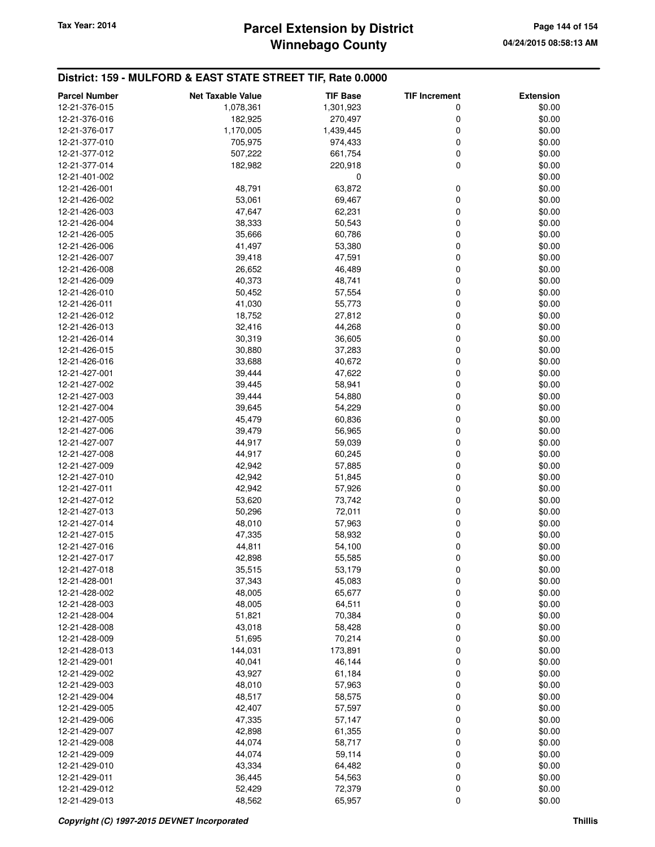### **District: 159 - MULFORD & EAST STATE STREET TIF, Rate 0.0000**

| <b>Parcel Number</b>           | <b>Net Taxable Value</b> | <b>TIF Base</b>  | <b>TIF Increment</b> | <b>Extension</b> |
|--------------------------------|--------------------------|------------------|----------------------|------------------|
| 12-21-376-015                  | 1,078,361                | 1,301,923        | 0                    | \$0.00           |
| 12-21-376-016                  | 182,925                  | 270,497          | 0                    | \$0.00           |
| 12-21-376-017                  | 1,170,005                | 1,439,445        | 0                    | \$0.00           |
| 12-21-377-010                  | 705,975                  | 974,433          | 0                    | \$0.00           |
| 12-21-377-012                  | 507,222                  | 661,754          | 0                    | \$0.00           |
| 12-21-377-014                  | 182,982                  | 220,918          | 0                    | \$0.00           |
| 12-21-401-002                  |                          | 0                |                      | \$0.00           |
| 12-21-426-001                  | 48,791                   | 63,872           | 0                    | \$0.00           |
| 12-21-426-002                  | 53,061                   | 69,467           | 0                    | \$0.00           |
| 12-21-426-003                  | 47,647                   | 62,231           | 0                    | \$0.00           |
| 12-21-426-004                  | 38,333                   | 50,543           | 0                    | \$0.00           |
| 12-21-426-005                  | 35,666                   | 60,786           | 0                    | \$0.00           |
| 12-21-426-006                  | 41,497                   | 53,380           | 0                    | \$0.00           |
| 12-21-426-007                  | 39,418                   | 47,591           | 0                    | \$0.00           |
| 12-21-426-008                  | 26,652                   | 46,489           | 0                    | \$0.00           |
| 12-21-426-009                  | 40,373                   | 48,741           | 0                    | \$0.00           |
| 12-21-426-010                  | 50,452                   | 57,554           | 0                    | \$0.00           |
| 12-21-426-011                  | 41,030                   | 55,773           | 0                    | \$0.00           |
| 12-21-426-012                  | 18,752                   | 27,812           | 0                    | \$0.00           |
| 12-21-426-013                  | 32,416                   | 44,268           | 0                    | \$0.00           |
| 12-21-426-014                  | 30,319                   | 36,605           | 0                    | \$0.00           |
| 12-21-426-015                  | 30,880                   | 37,283           | 0                    | \$0.00           |
| 12-21-426-016                  | 33,688                   | 40,672           | 0                    | \$0.00           |
| 12-21-427-001                  | 39,444                   | 47,622           | 0                    | \$0.00           |
| 12-21-427-002                  | 39,445                   | 58,941           | 0                    | \$0.00           |
| 12-21-427-003                  | 39,444                   | 54,880           | 0                    | \$0.00           |
| 12-21-427-004                  | 39,645                   | 54,229           | 0                    | \$0.00           |
| 12-21-427-005                  | 45,479                   | 60,836           | 0                    | \$0.00           |
| 12-21-427-006                  | 39,479                   | 56,965           | 0                    | \$0.00           |
| 12-21-427-007                  | 44,917                   | 59,039           | 0                    | \$0.00           |
| 12-21-427-008                  | 44,917                   | 60,245           | 0                    | \$0.00           |
| 12-21-427-009                  | 42,942                   | 57,885           | 0                    | \$0.00           |
| 12-21-427-010                  | 42,942                   | 51,845           | 0                    | \$0.00           |
| 12-21-427-011                  | 42,942                   | 57,926           | 0                    | \$0.00           |
| 12-21-427-012                  | 53,620                   | 73,742           | 0                    | \$0.00           |
| 12-21-427-013                  | 50,296                   | 72,011           | 0                    | \$0.00           |
| 12-21-427-014                  | 48,010                   | 57,963           | 0                    | \$0.00           |
| 12-21-427-015                  | 47,335                   | 58,932           | 0                    | \$0.00           |
| 12-21-427-016                  | 44,811                   | 54,100           | 0                    | \$0.00           |
| 12-21-427-017                  | 42,898                   | 55,585           | 0                    | \$0.00           |
| 12-21-427-018                  | 35,515                   | 53,179           | 0                    | \$0.00           |
| 12-21-428-001<br>12-21-428-002 | 37,343                   | 45,083           | 0                    | \$0.00           |
|                                | 48,005                   | 65,677           | 0<br>0               | \$0.00<br>\$0.00 |
| 12-21-428-003<br>12-21-428-004 | 48,005                   | 64,511           | 0                    | \$0.00           |
| 12-21-428-008                  | 51,821<br>43,018         | 70,384<br>58,428 | 0                    | \$0.00           |
| 12-21-428-009                  | 51,695                   | 70,214           | 0                    | \$0.00           |
| 12-21-428-013                  | 144,031                  | 173,891          | 0                    | \$0.00           |
| 12-21-429-001                  | 40,041                   | 46,144           | 0                    | \$0.00           |
| 12-21-429-002                  | 43,927                   | 61,184           | 0                    | \$0.00           |
| 12-21-429-003                  | 48,010                   | 57,963           | 0                    | \$0.00           |
| 12-21-429-004                  | 48,517                   | 58,575           | 0                    | \$0.00           |
| 12-21-429-005                  | 42,407                   | 57,597           | 0                    | \$0.00           |
| 12-21-429-006                  | 47,335                   | 57,147           | 0                    | \$0.00           |
| 12-21-429-007                  | 42,898                   | 61,355           | 0                    | \$0.00           |
| 12-21-429-008                  | 44,074                   | 58,717           | 0                    | \$0.00           |
| 12-21-429-009                  | 44,074                   | 59,114           | 0                    | \$0.00           |
| 12-21-429-010                  | 43,334                   | 64,482           | 0                    | \$0.00           |
| 12-21-429-011                  | 36,445                   | 54,563           | 0                    | \$0.00           |
| 12-21-429-012                  | 52,429                   | 72,379           | 0                    | \$0.00           |
| 12-21-429-013                  | 48,562                   | 65,957           | 0                    | \$0.00           |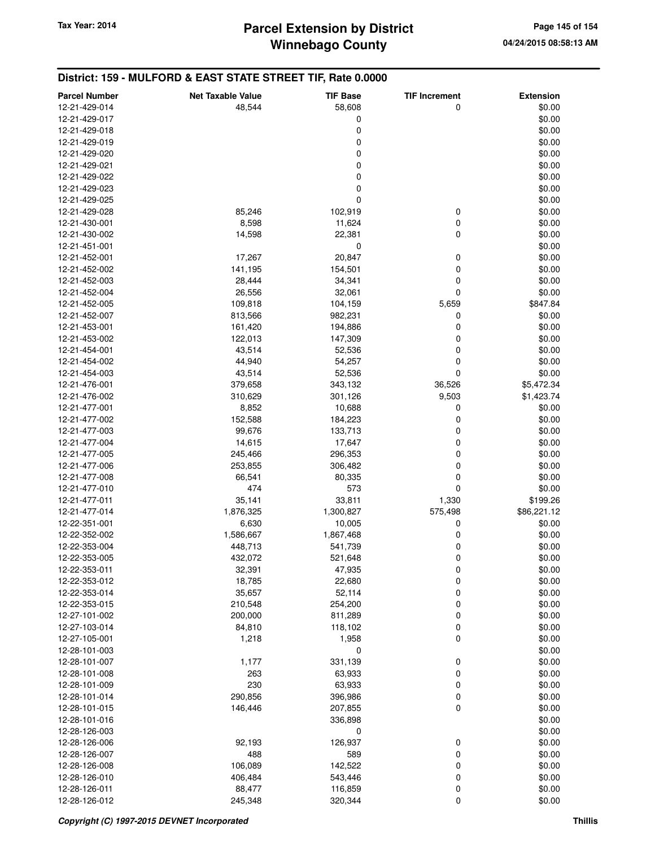**District: 159 - MULFORD & EAST STATE STREET TIF, Rate 0.0000**

#### **Parcel Number Net Taxable Value TIF Base TIF Increment Extension** 12-21-429-014 48,544 58,608 0 \$0.00 12-21-429-017 \$0.00 12-21-429-018 0 \$0.00 12-21-429-019 \$0.00 \$0.00 \$0.00 \$0.00 \$0.00 \$0.00 \$0.00 \$0.00 \$0.00 \$0.00 \$0.00 \$0.00 \$0.00 \$0.00 \$0.00 \$0.00 12-21-429-020 \$0.00 \$0.00 \$0.00 \$0.00 \$0.00 \$0.00 \$0.00 \$0.00 \$0.00 \$0.00 \$1.00 \$1.00 \$1.00 \$1.00 \$1.00 \$1.00 \$1 12-21-429-021 \$0.00 12-21-429-022 \$0.00 12-21-429-023 \$0.00 12-21-429-025 0 \$0.00 12-21-429-028 85,246 102,919 0 \$0.00 12-21-430-001 8,598 11,624 0 \$0.00 12-21-430-002 14,598 22,381 0 \$0.00 12-21-451-001 \$0.000 \$0.000 \$0.000 \$0.000 \$0.000 \$0.000 \$0.000 \$0.000 \$0.000 \$0.000 \$0.000 \$0.000 \$0.000 \$0.00 12-21-452-001 17,267 20,847 0 \$0.00 12-21-452-002 141,195 154,501 0 \$0.00 12-21-452-003 28,444 34,341 0 \$0.00 12-21-452-004 26,556 32,061 0 \$0.00 12-21-452-005 109,818 104,159 5,659 \$847.84 12-21-452-007 813,566 982,231 0 \$0.00 12-21-453-001 161,420 194,886 0 \$0.00 12-21-453-002 122,013 147,309 0 \$0.00 12-21-454-001 43,514 52,536 0 \$0.00 12-21-454-002 44,940 54,257 0 \$0.00 12-21-454-003 43,514 52,536 0 \$0.00 12-21-476-001 379,658 343,132 36,526 \$5,472.34 12-21-476-002 310,629 301,126 301,126 9,503 \$1,423.74 12-21-477-001 8.852 10.688 0 \$0.00 12-21-477-002 **152,588 184,223** 0 \$0.00 12-21-477-003 99,676 133,713 0 \$0.00 12-21-477-004 **14,615** 17,647 0 \$0.00 12-21-477-005 245,466 296,353 0 \$0.00 12-21-477-006 253,855 306,482 0 \$0.00 12-21-477-008 66,541 80,335 0 \$0.00 12-21-477-010 474 573 0 \$0.00 12-21-477-011 35,141 33,811 1,330 \$199.26 12-21-477-014 1,876,325 1,300,827 575,498 \$86,221.12 12-22-351-001 6,630 10,005 0 \$0.00 12-22-352-002 1,586,667 1,867,468 0 \$0.00 12-22-353-004 448,713 541,739 0 \$0.00 12-22-353-005 432,072 521,648 0 \$0.00 12-22-353-011 32,391 47,935 0 \$0.00 12-22-353-012 18,785 22,680 0 \$0.00 12-22-353-014 35,657 52,114 0 \$0.00 12-22-353-015 210,548 254,200 0 \$0.00 12-27-101-002 200,000 811,289 0 \$0.00 12-27-103-014 84,810 118,102 0 \$0.00 12-27-105-001 1,218 1,958 0 \$0.00  $12-28-101-003$  \$0.00 12-28-101-007 1,177 331,139 0 \$0.00 12-28-101-008 263 63,933 0 \$0.00 12-28-101-009 230 63,933 0 \$0.00 12-28-101-014 290,856 396,986 0 \$0.00 12-28-101-015 146,446 207,855 0 \$0.00 12-28-101-016 336,898 \$0.00 12-28-126-003 0 \$0.00 12-28-126-006 92,193 126,937 0 \$0.00 12-28-126-007 488 589 0 \$0.00 12-28-126-008 106,089 142,522 0 \$0.00 12-28-126-010 406,484 543,446 0 \$0.00 12-28-126-011 88,477 116,859 0 \$0.00 12-28-126-012 245,348 320,344 0 \$0.00

#### **Copyright (C) 1997-2015 DEVNET Incorporated Thillis**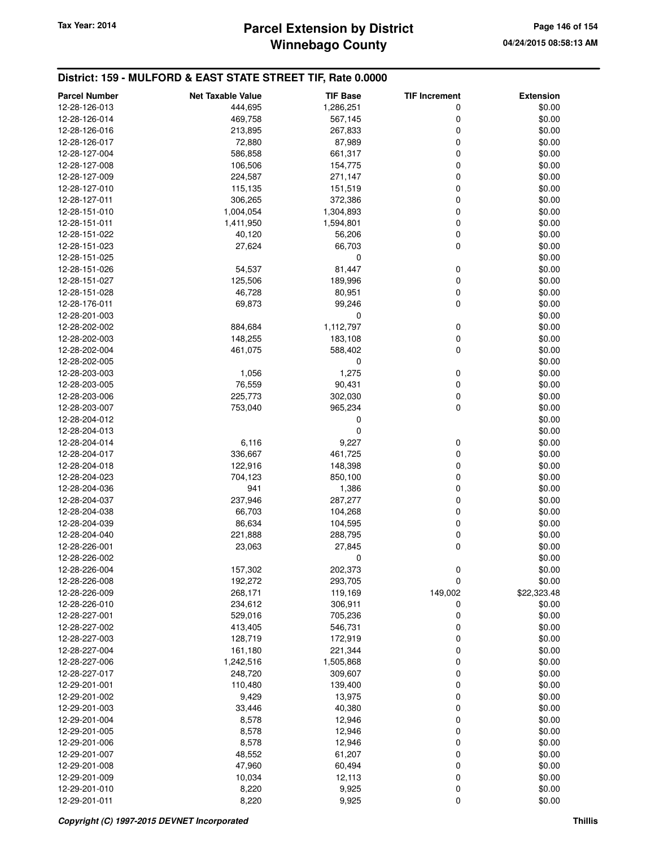# **Winnebago County** Tax Year: 2014 **Parcel Extension by District** Page 146 of 154

| <b>Parcel Number</b>           | <b>Net Taxable Value</b> | <b>TIF Base</b>    | <b>TIF Increment</b> | <b>Extension</b>      |
|--------------------------------|--------------------------|--------------------|----------------------|-----------------------|
| 12-28-126-013                  | 444,695                  | 1,286,251          | 0                    | \$0.00                |
| 12-28-126-014                  | 469,758                  | 567,145            | 0                    | \$0.00                |
| 12-28-126-016                  | 213,895                  | 267,833            | 0                    | \$0.00                |
| 12-28-126-017                  | 72,880                   | 87,989             | $\mathbf 0$          | \$0.00                |
| 12-28-127-004                  | 586,858                  | 661,317            | $\mathbf 0$          | \$0.00                |
| 12-28-127-008                  | 106,506                  | 154,775            | $\mathbf 0$          | \$0.00                |
| 12-28-127-009                  | 224,587                  | 271,147            | $\mathbf 0$          | \$0.00                |
| 12-28-127-010                  | 115,135                  | 151,519            | $\mathbf 0$          | \$0.00                |
| 12-28-127-011                  | 306,265                  | 372,386            | $\mathbf 0$          | \$0.00                |
| 12-28-151-010                  | 1,004,054                | 1,304,893          | 0                    | \$0.00                |
| 12-28-151-011                  | 1,411,950                | 1,594,801          | $\mathbf 0$          | \$0.00                |
| 12-28-151-022                  | 40,120                   | 56,206             | 0                    | \$0.00                |
| 12-28-151-023                  | 27,624                   | 66,703             | $\mathbf 0$          | \$0.00                |
| 12-28-151-025                  |                          | 0                  |                      | \$0.00                |
| 12-28-151-026                  | 54,537                   | 81,447             | 0                    | \$0.00                |
| 12-28-151-027                  | 125,506                  | 189,996            | 0                    | \$0.00                |
| 12-28-151-028                  | 46,728                   | 80,951             | 0                    | \$0.00                |
| 12-28-176-011                  | 69,873                   | 99,246             | $\mathbf 0$          | \$0.00                |
| 12-28-201-003                  |                          | 0                  |                      | \$0.00                |
| 12-28-202-002                  | 884,684                  | 1,112,797          | 0                    | \$0.00                |
| 12-28-202-003                  | 148,255                  | 183,108            | 0                    | \$0.00                |
| 12-28-202-004                  | 461,075                  | 588,402            | $\mathbf 0$          | \$0.00                |
| 12-28-202-005                  |                          | 0                  |                      | \$0.00                |
| 12-28-203-003                  | 1,056                    | 1,275              | 0                    | \$0.00                |
| 12-28-203-005                  | 76,559                   | 90,431             | 0                    | \$0.00                |
| 12-28-203-006                  | 225,773                  | 302,030            | 0                    | \$0.00                |
| 12-28-203-007                  | 753,040                  | 965,234            | $\pmb{0}$            | \$0.00                |
| 12-28-204-012                  |                          | 0                  |                      | \$0.00                |
| 12-28-204-013                  |                          | 0                  |                      | \$0.00                |
| 12-28-204-014                  | 6,116                    | 9,227              | 0                    | \$0.00                |
| 12-28-204-017                  | 336,667                  | 461,725            | 0                    | \$0.00                |
| 12-28-204-018                  | 122,916                  | 148,398            | 0                    | \$0.00                |
| 12-28-204-023                  | 704,123                  | 850,100            | $\mathbf 0$          | \$0.00                |
| 12-28-204-036                  | 941                      | 1,386              | $\mathbf 0$          | \$0.00                |
| 12-28-204-037                  | 237,946                  | 287,277            | $\mathbf 0$          | \$0.00                |
| 12-28-204-038                  | 66,703                   | 104,268            | $\mathbf 0$          | \$0.00                |
| 12-28-204-039                  | 86,634                   | 104,595            | 0                    | \$0.00                |
| 12-28-204-040                  | 221,888                  | 288,795            | 0                    | \$0.00                |
| 12-28-226-001                  | 23,063                   | 27,845             | $\pmb{0}$            | \$0.00                |
| 12-28-226-002                  |                          | 0                  |                      | \$0.00                |
| 12-28-226-004                  | 157,302                  | 202,373            | 0                    | \$0.00                |
| 12-28-226-008<br>12-28-226-009 | 192,272<br>268,171       | 293,705            | $\mathbf 0$          | \$0.00                |
| 12-28-226-010                  | 234,612                  | 119,169<br>306,911 | 149,002<br>0         | \$22,323.48<br>\$0.00 |
| 12-28-227-001                  | 529,016                  | 705,236            | 0                    | \$0.00                |
| 12-28-227-002                  | 413,405                  | 546,731            | 0                    | \$0.00                |
| 12-28-227-003                  | 128,719                  | 172,919            | 0                    | \$0.00                |
| 12-28-227-004                  | 161,180                  | 221,344            | $\mathbf 0$          | \$0.00                |
| 12-28-227-006                  | 1,242,516                | 1,505,868          | $\mathbf 0$          | \$0.00                |
| 12-28-227-017                  | 248,720                  | 309,607            | 0                    | \$0.00                |
| 12-29-201-001                  | 110,480                  | 139,400            | $\mathbf 0$          | \$0.00                |
| 12-29-201-002                  | 9,429                    | 13,975             | 0                    | \$0.00                |
| 12-29-201-003                  | 33,446                   | 40,380             | 0                    | \$0.00                |
| 12-29-201-004                  | 8,578                    | 12,946             | $\mathbf 0$          | \$0.00                |
| 12-29-201-005                  | 8,578                    | 12,946             | 0                    | \$0.00                |
| 12-29-201-006                  | 8,578                    | 12,946             | $\mathbf 0$          | \$0.00                |
| 12-29-201-007                  | 48,552                   | 61,207             | 0                    | \$0.00                |
| 12-29-201-008                  | 47,960                   | 60,494             | 0                    | \$0.00                |
| 12-29-201-009                  | 10,034                   | 12,113             | 0                    | \$0.00                |
| 12-29-201-010                  | 8,220                    | 9,925              | 0                    | \$0.00                |
| 12-29-201-011                  | 8,220                    | 9,925              | $\mathbf 0$          | \$0.00                |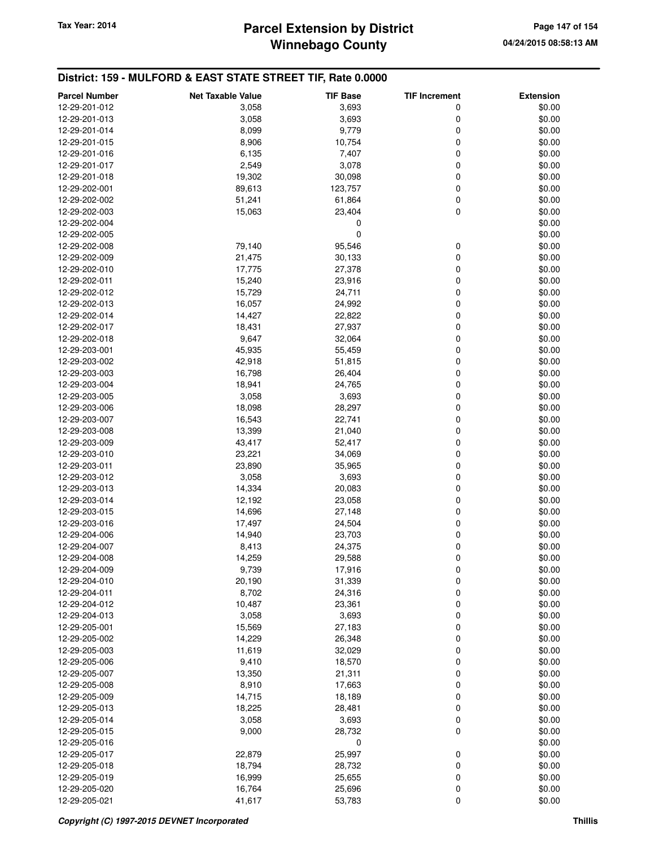# **Winnebago County** Tax Year: 2014 **Parcel Extension by District Page 147 of 154** Page 147 of 154

| <b>Parcel Number</b> | <b>Net Taxable Value</b> | <b>TIF Base</b> | <b>TIF Increment</b> | <b>Extension</b> |
|----------------------|--------------------------|-----------------|----------------------|------------------|
| 12-29-201-012        | 3,058                    | 3,693           | 0                    | \$0.00           |
| 12-29-201-013        | 3,058                    | 3,693           | 0                    | \$0.00           |
| 12-29-201-014        | 8,099                    | 9,779           | 0                    | \$0.00           |
| 12-29-201-015        | 8,906                    | 10,754          | 0                    | \$0.00           |
| 12-29-201-016        | 6,135                    | 7,407           | 0                    | \$0.00           |
| 12-29-201-017        | 2,549                    | 3,078           | 0                    | \$0.00           |
| 12-29-201-018        | 19,302                   | 30,098          | 0                    | \$0.00           |
| 12-29-202-001        | 89,613                   | 123,757         | 0                    | \$0.00           |
| 12-29-202-002        | 51,241                   | 61,864          | 0                    | \$0.00           |
| 12-29-202-003        | 15,063                   | 23,404          | 0                    | \$0.00           |
| 12-29-202-004        |                          | 0               |                      | \$0.00           |
| 12-29-202-005        |                          | $\mathbf 0$     |                      | \$0.00           |
| 12-29-202-008        | 79,140                   | 95,546          | 0                    | \$0.00           |
| 12-29-202-009        | 21,475                   | 30,133          | 0                    | \$0.00           |
| 12-29-202-010        | 17,775                   | 27,378          | 0                    | \$0.00           |
| 12-29-202-011        | 15,240                   | 23,916          | 0                    | \$0.00           |
| 12-29-202-012        | 15,729                   | 24,711          | 0                    | \$0.00           |
| 12-29-202-013        | 16,057                   | 24,992          | 0                    | \$0.00           |
| 12-29-202-014        | 14,427                   | 22,822          | 0                    | \$0.00           |
| 12-29-202-017        | 18,431                   | 27,937          | 0                    | \$0.00           |
| 12-29-202-018        | 9,647                    | 32,064          | 0                    | \$0.00           |
| 12-29-203-001        | 45,935                   | 55,459          | 0                    | \$0.00           |
| 12-29-203-002        | 42,918                   | 51,815          | 0                    | \$0.00           |
| 12-29-203-003        | 16,798                   | 26,404          | 0                    | \$0.00           |
| 12-29-203-004        | 18,941                   | 24,765          | 0                    | \$0.00           |
| 12-29-203-005        | 3,058                    | 3,693           | 0                    | \$0.00           |
| 12-29-203-006        | 18,098                   | 28,297          | 0                    | \$0.00           |
| 12-29-203-007        | 16,543                   | 22,741          | 0                    | \$0.00           |
| 12-29-203-008        | 13,399                   | 21,040          | 0                    | \$0.00           |
| 12-29-203-009        | 43,417                   | 52,417          | 0                    | \$0.00           |
| 12-29-203-010        | 23,221                   | 34,069          | 0                    | \$0.00           |
| 12-29-203-011        | 23,890                   | 35,965          | 0                    | \$0.00           |
| 12-29-203-012        | 3,058                    | 3,693           | 0                    | \$0.00           |
| 12-29-203-013        | 14,334                   | 20,083          | 0                    | \$0.00           |
| 12-29-203-014        | 12,192                   | 23,058          | 0                    | \$0.00           |
| 12-29-203-015        | 14,696                   | 27,148          | 0                    | \$0.00           |
| 12-29-203-016        | 17,497                   | 24,504          | 0                    | \$0.00           |
| 12-29-204-006        | 14,940                   | 23,703          | 0                    | \$0.00           |
| 12-29-204-007        | 8,413                    | 24,375          | 0                    | \$0.00           |
| 12-29-204-008        | 14,259                   | 29,588          | 0                    | \$0.00           |
| 12-29-204-009        | 9,739                    | 17,916          | 0                    | \$0.00           |
| 12-29-204-010        | 20,190                   | 31,339          | 0                    | \$0.00           |
| 12-29-204-011        | 8,702                    | 24,316          | 0                    | \$0.00           |
| 12-29-204-012        | 10,487                   | 23,361          | 0                    | \$0.00           |
| 12-29-204-013        | 3,058                    | 3,693           | 0                    | \$0.00           |
| 12-29-205-001        | 15,569                   | 27,183          | 0                    | \$0.00           |
| 12-29-205-002        | 14,229                   | 26,348          | 0                    | \$0.00           |
| 12-29-205-003        | 11,619                   | 32,029          | 0                    | \$0.00           |
| 12-29-205-006        | 9,410                    | 18,570          | 0                    | \$0.00           |
| 12-29-205-007        | 13,350                   | 21,311          | 0                    | \$0.00           |
| 12-29-205-008        | 8,910                    | 17,663          | 0                    | \$0.00           |
| 12-29-205-009        | 14,715                   | 18,189          | 0                    | \$0.00           |
| 12-29-205-013        | 18,225                   | 28,481          | 0                    | \$0.00           |
| 12-29-205-014        | 3,058                    | 3,693           | 0                    | \$0.00           |
| 12-29-205-015        | 9,000                    | 28,732          | 0                    | \$0.00           |
| 12-29-205-016        |                          | 0               |                      | \$0.00           |
| 12-29-205-017        | 22,879                   | 25,997          | 0                    | \$0.00           |
| 12-29-205-018        | 18,794                   | 28,732          | 0                    | \$0.00           |
| 12-29-205-019        | 16,999                   | 25,655          | 0                    | \$0.00           |
| 12-29-205-020        | 16,764                   | 25,696          | 0                    | \$0.00           |
| 12-29-205-021        | 41,617                   | 53,783          | 0                    | \$0.00           |
|                      |                          |                 |                      |                  |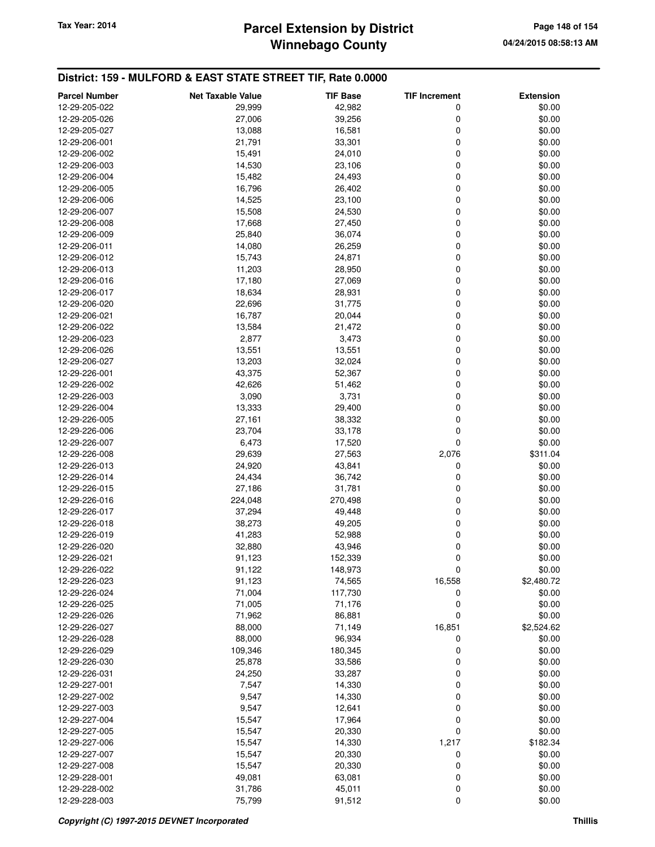# **Winnebago County** Tax Year: 2014 **Parcel Extension by District Page 148 of 154** Page 148 of 154

| <b>Parcel Number</b> | <b>Net Taxable Value</b> | <b>TIF Base</b> | <b>TIF Increment</b> | <b>Extension</b> |
|----------------------|--------------------------|-----------------|----------------------|------------------|
| 12-29-205-022        | 29,999                   | 42,982          | 0                    | \$0.00           |
| 12-29-205-026        | 27,006                   | 39,256          | 0                    | \$0.00           |
| 12-29-205-027        | 13,088                   | 16,581          | 0                    | \$0.00           |
| 12-29-206-001        | 21,791                   | 33,301          | 0                    | \$0.00           |
| 12-29-206-002        | 15,491                   | 24,010          | 0                    | \$0.00           |
| 12-29-206-003        | 14,530                   | 23,106          | 0                    | \$0.00           |
| 12-29-206-004        | 15,482                   | 24,493          | 0                    | \$0.00           |
| 12-29-206-005        | 16,796                   | 26,402          | 0                    | \$0.00           |
| 12-29-206-006        | 14,525                   | 23,100          | 0                    | \$0.00           |
| 12-29-206-007        | 15,508                   | 24,530          | 0                    | \$0.00           |
| 12-29-206-008        | 17,668                   | 27,450          | 0                    | \$0.00           |
| 12-29-206-009        | 25,840                   | 36,074          | 0                    | \$0.00           |
| 12-29-206-011        | 14,080                   | 26,259          | 0                    | \$0.00           |
| 12-29-206-012        | 15,743                   | 24,871          | 0                    | \$0.00           |
| 12-29-206-013        | 11,203                   | 28,950          | 0                    | \$0.00           |
| 12-29-206-016        | 17,180                   | 27,069          | 0                    | \$0.00           |
| 12-29-206-017        | 18,634                   | 28,931          | 0                    | \$0.00           |
| 12-29-206-020        | 22,696                   | 31,775          | 0                    | \$0.00           |
| 12-29-206-021        | 16,787                   | 20,044          | 0                    | \$0.00           |
| 12-29-206-022        | 13,584                   | 21,472          | 0                    | \$0.00           |
| 12-29-206-023        | 2,877                    | 3,473           | 0                    | \$0.00           |
| 12-29-206-026        | 13,551                   | 13,551          | 0                    | \$0.00           |
| 12-29-206-027        | 13,203                   | 32,024          | 0                    | \$0.00           |
| 12-29-226-001        | 43,375                   | 52,367          | 0                    | \$0.00           |
| 12-29-226-002        | 42,626                   | 51,462          | 0                    | \$0.00           |
| 12-29-226-003        | 3,090                    | 3,731           | 0                    | \$0.00           |
| 12-29-226-004        | 13,333                   | 29,400          | 0                    | \$0.00           |
| 12-29-226-005        | 27,161                   | 38,332          | 0                    | \$0.00           |
| 12-29-226-006        | 23,704                   | 33,178          | 0                    | \$0.00           |
| 12-29-226-007        | 6,473                    | 17,520          | 0                    | \$0.00           |
| 12-29-226-008        | 29,639                   | 27,563          | 2,076                | \$311.04         |
| 12-29-226-013        | 24,920                   | 43,841          | 0                    | \$0.00           |
| 12-29-226-014        | 24,434                   | 36,742          | 0                    | \$0.00           |
| 12-29-226-015        | 27,186                   | 31,781          | 0                    | \$0.00           |
| 12-29-226-016        | 224,048                  | 270,498         | 0                    | \$0.00           |
| 12-29-226-017        | 37,294                   | 49,448          | 0                    | \$0.00           |
| 12-29-226-018        | 38,273                   | 49,205          | 0                    | \$0.00           |
| 12-29-226-019        | 41,283                   | 52,988          | 0                    | \$0.00           |
| 12-29-226-020        | 32,880                   | 43,946          | 0                    | \$0.00           |
| 12-29-226-021        | 91,123                   | 152,339         | 0                    | \$0.00           |
| 12-29-226-022        | 91,122                   | 148,973         | $\mathbf 0$          | \$0.00           |
| 12-29-226-023        | 91,123                   | 74,565          | 16,558               | \$2,480.72       |
| 12-29-226-024        | 71,004                   | 117,730         | 0                    | \$0.00           |
| 12-29-226-025        | 71,005                   | 71,176          | 0                    | \$0.00           |
| 12-29-226-026        | 71,962                   | 86,881          | 0                    | \$0.00           |
| 12-29-226-027        | 88,000                   | 71,149          | 16,851               | \$2,524.62       |
| 12-29-226-028        | 88,000                   | 96,934          | 0                    | \$0.00           |
| 12-29-226-029        | 109,346                  | 180,345         | 0                    | \$0.00           |
| 12-29-226-030        | 25,878                   | 33,586          | 0                    | \$0.00           |
| 12-29-226-031        | 24,250                   | 33,287          | 0                    | \$0.00           |
| 12-29-227-001        | 7,547                    | 14,330          | 0                    | \$0.00           |
| 12-29-227-002        | 9,547                    | 14,330          | 0                    | \$0.00           |
| 12-29-227-003        | 9,547                    | 12,641          | 0                    | \$0.00           |
| 12-29-227-004        | 15,547                   | 17,964          | 0                    | \$0.00           |
| 12-29-227-005        | 15,547                   | 20,330          | 0                    | \$0.00           |
| 12-29-227-006        | 15,547                   | 14,330          | 1,217                | \$182.34         |
| 12-29-227-007        | 15,547                   | 20,330          | 0                    | \$0.00           |
| 12-29-227-008        | 15,547                   | 20,330          | 0                    | \$0.00           |
| 12-29-228-001        | 49,081                   | 63,081          | 0                    | \$0.00           |
| 12-29-228-002        | 31,786                   | 45,011          | 0                    | \$0.00           |
| 12-29-228-003        | 75,799                   | 91,512          | 0                    | \$0.00           |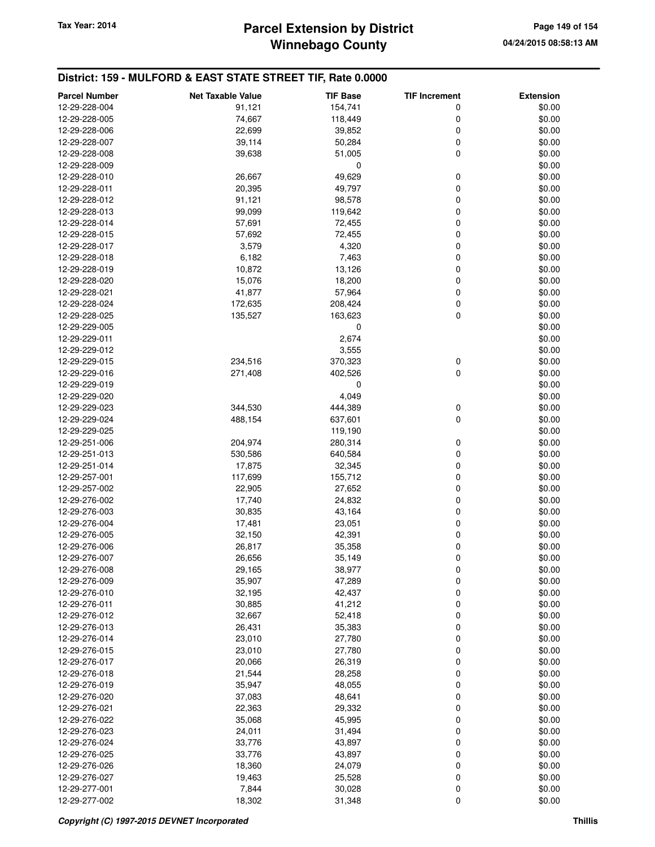# **Winnebago County** Tax Year: 2014 **Parcel Extension by District Page 149 of 154** Page 149 of 154

| <b>Parcel Number</b> | <b>Net Taxable Value</b> | <b>TIF Base</b> | <b>TIF Increment</b> | <b>Extension</b> |
|----------------------|--------------------------|-----------------|----------------------|------------------|
| 12-29-228-004        | 91,121                   | 154,741         | 0                    | \$0.00           |
| 12-29-228-005        | 74,667                   | 118,449         | 0                    | \$0.00           |
| 12-29-228-006        | 22,699                   | 39,852          | 0                    | \$0.00           |
| 12-29-228-007        | 39,114                   | 50,284          | 0                    | \$0.00           |
| 12-29-228-008        | 39,638                   | 51,005          | 0                    | \$0.00           |
| 12-29-228-009        |                          | 0               |                      | \$0.00           |
| 12-29-228-010        | 26,667                   | 49,629          |                      | \$0.00           |
|                      | 20,395                   |                 | 0<br>0               |                  |
| 12-29-228-011        |                          | 49,797          |                      | \$0.00           |
| 12-29-228-012        | 91,121                   | 98,578          | 0                    | \$0.00           |
| 12-29-228-013        | 99,099                   | 119,642         | 0                    | \$0.00           |
| 12-29-228-014        | 57,691                   | 72,455          | 0                    | \$0.00           |
| 12-29-228-015        | 57,692                   | 72,455          | 0                    | \$0.00           |
| 12-29-228-017        | 3,579                    | 4,320           | 0                    | \$0.00           |
| 12-29-228-018        | 6,182                    | 7,463           | 0                    | \$0.00           |
| 12-29-228-019        | 10,872                   | 13,126          | 0                    | \$0.00           |
| 12-29-228-020        | 15,076                   | 18,200          | 0                    | \$0.00           |
| 12-29-228-021        | 41,877                   | 57,964          | 0                    | \$0.00           |
| 12-29-228-024        | 172,635                  | 208,424         | 0                    | \$0.00           |
| 12-29-228-025        | 135,527                  | 163,623         | 0                    | \$0.00           |
| 12-29-229-005        |                          | 0               |                      | \$0.00           |
| 12-29-229-011        |                          | 2,674           |                      | \$0.00           |
| 12-29-229-012        |                          | 3,555           |                      | \$0.00           |
| 12-29-229-015        | 234,516                  | 370,323         | 0                    | \$0.00           |
| 12-29-229-016        | 271,408                  | 402,526         | 0                    | \$0.00           |
| 12-29-229-019        |                          | 0               |                      | \$0.00           |
| 12-29-229-020        |                          | 4,049           |                      | \$0.00           |
| 12-29-229-023        | 344,530                  | 444,389         | 0                    | \$0.00           |
| 12-29-229-024        | 488,154                  | 637,601         | 0                    | \$0.00           |
| 12-29-229-025        |                          | 119,190         |                      | \$0.00           |
| 12-29-251-006        | 204,974                  | 280,314         | 0                    | \$0.00           |
| 12-29-251-013        | 530,586                  | 640,584         | 0                    | \$0.00           |
| 12-29-251-014        | 17,875                   | 32,345          | 0                    | \$0.00           |
| 12-29-257-001        | 117,699                  | 155,712         | 0                    | \$0.00           |
| 12-29-257-002        | 22,905                   | 27,652          | 0                    | \$0.00           |
| 12-29-276-002        | 17,740                   | 24,832          | 0                    | \$0.00           |
| 12-29-276-003        | 30,835                   | 43,164          | 0                    | \$0.00           |
| 12-29-276-004        | 17,481                   | 23,051          | 0                    | \$0.00           |
| 12-29-276-005        | 32,150                   | 42,391          | 0                    | \$0.00           |
| 12-29-276-006        | 26,817                   | 35,358          | 0                    | \$0.00           |
| 12-29-276-007        | 26,656                   | 35,149          | 0                    | \$0.00           |
| 12-29-276-008        | 29,165                   | 38,977          | O                    | \$0.00           |
| 12-29-276-009        | 35,907                   | 47,289          | 0                    | \$0.00           |
| 12-29-276-010        | 32,195                   | 42,437          | 0                    | \$0.00           |
| 12-29-276-011        | 30,885                   | 41,212          | 0                    | \$0.00           |
| 12-29-276-012        |                          |                 | 0                    |                  |
|                      | 32,667                   | 52,418          |                      | \$0.00           |
| 12-29-276-013        | 26,431                   | 35,383          | 0                    | \$0.00           |
| 12-29-276-014        | 23,010                   | 27,780          | 0                    | \$0.00           |
| 12-29-276-015        | 23,010                   | 27,780          | 0                    | \$0.00           |
| 12-29-276-017        | 20,066                   | 26,319          | 0                    | \$0.00           |
| 12-29-276-018        | 21,544                   | 28,258          | 0                    | \$0.00           |
| 12-29-276-019        | 35,947                   | 48,055          | 0                    | \$0.00           |
| 12-29-276-020        | 37,083                   | 48,641          | 0                    | \$0.00           |
| 12-29-276-021        | 22,363                   | 29,332          | 0                    | \$0.00           |
| 12-29-276-022        | 35,068                   | 45,995          | 0                    | \$0.00           |
| 12-29-276-023        | 24,011                   | 31,494          | 0                    | \$0.00           |
| 12-29-276-024        | 33,776                   | 43,897          | 0                    | \$0.00           |
| 12-29-276-025        | 33,776                   | 43,897          | 0                    | \$0.00           |
| 12-29-276-026        | 18,360                   | 24,079          | 0                    | \$0.00           |
| 12-29-276-027        | 19,463                   | 25,528          | 0                    | \$0.00           |
| 12-29-277-001        | 7,844                    | 30,028          | 0                    | \$0.00           |
| 12-29-277-002        | 18,302                   | 31,348          | 0                    | \$0.00           |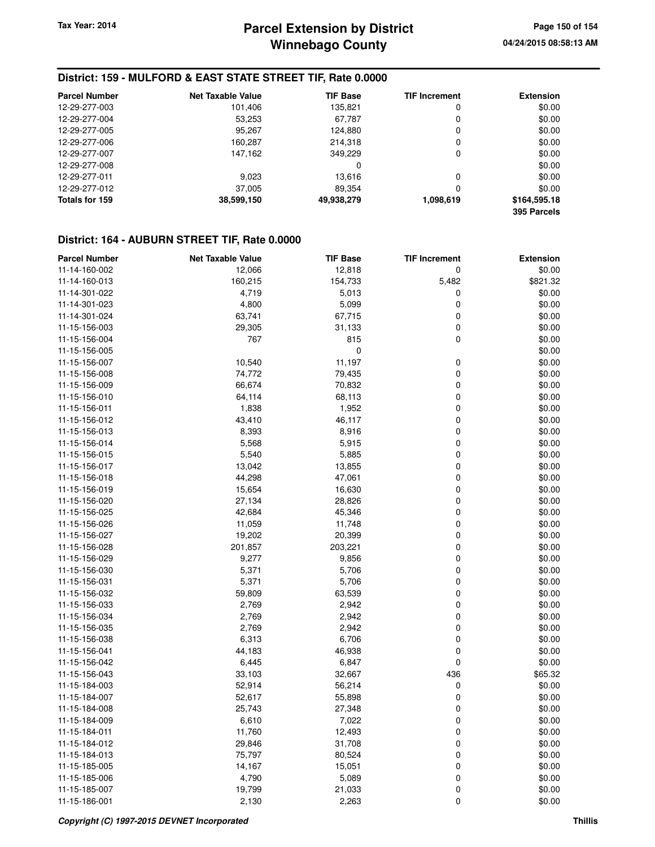### **District: 159 - MULFORD & EAST STATE STREET TIF, Rate 0.0000**

| <b>Parcel Number</b> | <b>Net Taxable Value</b> | <b>TIF Base</b> | <b>TIF Increment</b> | <b>Extension</b>            |
|----------------------|--------------------------|-----------------|----------------------|-----------------------------|
| 12-29-277-003        | 101,406                  | 135,821         | 0                    | \$0.00                      |
| 12-29-277-004        | 53,253                   | 67.787          | 0                    | \$0.00                      |
| 12-29-277-005        | 95,267                   | 124,880         | 0                    | \$0.00                      |
| 12-29-277-006        | 160,287                  | 214,318         | 0                    | \$0.00                      |
| 12-29-277-007        | 147,162                  | 349.229         | 0                    | \$0.00                      |
| 12-29-277-008        |                          | 0               |                      | \$0.00                      |
| 12-29-277-011        | 9.023                    | 13.616          | 0                    | \$0.00                      |
| 12-29-277-012        | 37,005                   | 89.354          | 0                    | \$0.00                      |
| Totals for 159       | 38,599,150               | 49,938,279      | 1,098,619            | \$164,595.18<br>395 Parcels |

### **District: 164 - AUBURN STREET TIF, Rate 0.0000**

| <b>Parcel Number</b> | <b>Net Taxable Value</b> | <b>TIF Base</b> | <b>TIF Increment</b> | <b>Extension</b> |
|----------------------|--------------------------|-----------------|----------------------|------------------|
| 11-14-160-002        | 12,066                   | 12,818          | 0                    | \$0.00           |
| 11-14-160-013        | 160,215                  | 154,733         | 5,482                | \$821.32         |
| 11-14-301-022        | 4,719                    | 5,013           | 0                    | \$0.00           |
| 11-14-301-023        | 4,800                    | 5,099           | $\mathbf 0$          | \$0.00           |
| 11-14-301-024        | 63,741                   | 67,715          | 0                    | \$0.00           |
| 11-15-156-003        | 29,305                   | 31,133          | 0                    | \$0.00           |
| 11-15-156-004        | 767                      | 815             | 0                    | \$0.00           |
| 11-15-156-005        |                          | $\mathbf 0$     |                      | \$0.00           |
| 11-15-156-007        | 10,540                   | 11,197          | 0                    | \$0.00           |
| 11-15-156-008        | 74,772                   | 79,435          | 0                    | \$0.00           |
| 11-15-156-009        | 66,674                   | 70,832          | $\mathbf 0$          | \$0.00           |
| 11-15-156-010        | 64,114                   | 68,113          | 0                    | \$0.00           |
| 11-15-156-011        | 1,838                    | 1,952           | 0                    | \$0.00           |
| 11-15-156-012        |                          |                 | 0                    | \$0.00           |
|                      | 43,410                   | 46,117          | 0                    | \$0.00           |
| 11-15-156-013        | 8,393                    | 8,916           |                      |                  |
| 11-15-156-014        | 5,568                    | 5,915           | 0                    | \$0.00           |
| 11-15-156-015        | 5,540                    | 5,885           | 0                    | \$0.00           |
| 11-15-156-017        | 13,042                   | 13,855          | 0                    | \$0.00           |
| 11-15-156-018        | 44,298                   | 47,061          | $\mathbf 0$          | \$0.00           |
| 11-15-156-019        | 15,654                   | 16,630          | 0                    | \$0.00           |
| 11-15-156-020        | 27,134                   | 28,826          | 0                    | \$0.00           |
| 11-15-156-025        | 42,684                   | 45,346          | 0                    | \$0.00           |
| 11-15-156-026        | 11,059                   | 11,748          | 0                    | \$0.00           |
| 11-15-156-027        | 19,202                   | 20,399          | 0                    | \$0.00           |
| 11-15-156-028        | 201,857                  | 203,221         | 0                    | \$0.00           |
| 11-15-156-029        | 9,277                    | 9,856           | $\mathbf 0$          | \$0.00           |
| 11-15-156-030        | 5,371                    | 5,706           | 0                    | \$0.00           |
| 11-15-156-031        | 5,371                    | 5,706           | 0                    | \$0.00           |
| 11-15-156-032        | 59,809                   | 63,539          | 0                    | \$0.00           |
| 11-15-156-033        | 2,769                    | 2,942           | 0                    | \$0.00           |
| 11-15-156-034        | 2,769                    | 2,942           | 0                    | \$0.00           |
| 11-15-156-035        | 2,769                    | 2,942           | 0                    | \$0.00           |
| 11-15-156-038        | 6,313                    | 6,706           | 0                    | \$0.00           |
| 11-15-156-041        | 44,183                   | 46,938          | 0                    | \$0.00           |
| 11-15-156-042        | 6,445                    | 6,847           | 0                    | \$0.00           |
| 11-15-156-043        | 33,103                   | 32,667          | 436                  | \$65.32          |
| 11-15-184-003        | 52,914                   | 56,214          | 0                    | \$0.00           |
| 11-15-184-007        | 52,617                   | 55,898          | 0                    | \$0.00           |
| 11-15-184-008        | 25,743                   | 27,348          | 0                    | \$0.00           |
| 11-15-184-009        | 6,610                    | 7,022           | 0                    | \$0.00           |
| 11-15-184-011        | 11,760                   | 12,493          | 0                    | \$0.00           |
| 11-15-184-012        | 29,846                   | 31,708          | 0                    | \$0.00           |
| 11-15-184-013        | 75,797                   | 80,524          | 0                    | \$0.00           |
| 11-15-185-005        | 14,167                   | 15,051          | 0                    | \$0.00           |
| 11-15-185-006        | 4,790                    | 5,089           | 0                    | \$0.00           |
| 11-15-185-007        | 19,799                   | 21,033          | 0                    | \$0.00           |
| 11-15-186-001        | 2,130                    | 2,263           | $\Omega$             | \$0.00           |
|                      |                          |                 |                      |                  |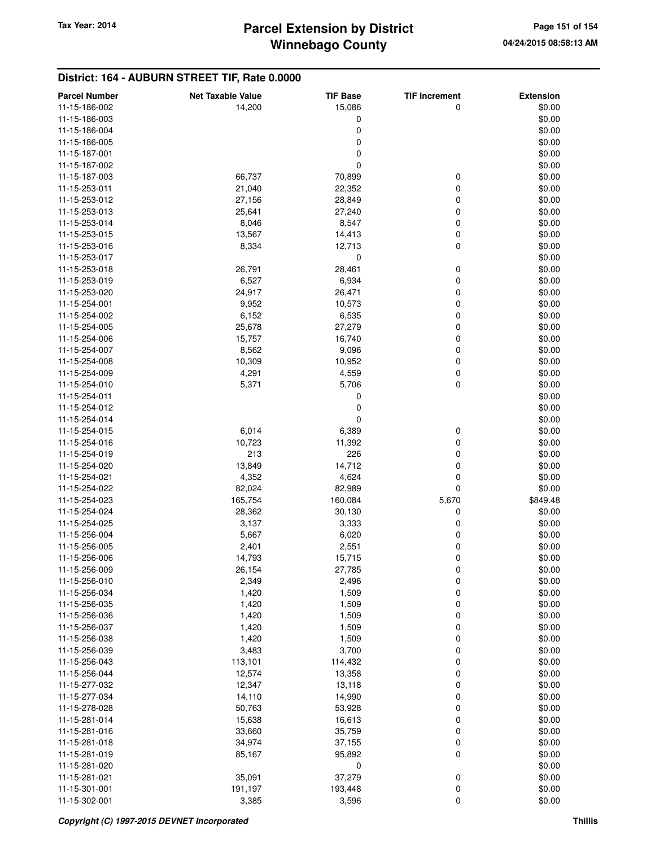### **District: 164 - AUBURN STREET TIF, Rate 0.0000**

| <b>Parcel Number</b> | <b>Net Taxable Value</b> | <b>TIF Base</b> | <b>TIF Increment</b> | <b>Extension</b> |
|----------------------|--------------------------|-----------------|----------------------|------------------|
| 11-15-186-002        | 14,200                   | 15,086          | 0                    | \$0.00           |
| 11-15-186-003        |                          | 0               |                      | \$0.00           |
| 11-15-186-004        |                          | 0               |                      | \$0.00           |
| 11-15-186-005        |                          | 0               |                      | \$0.00           |
| 11-15-187-001        |                          | 0               |                      | \$0.00           |
| 11-15-187-002        |                          | 0               |                      | \$0.00           |
| 11-15-187-003        | 66,737                   | 70,899          | 0                    | \$0.00           |
| 11-15-253-011        | 21,040                   | 22,352          | 0                    | \$0.00           |
| 11-15-253-012        | 27,156                   | 28,849          | 0                    | \$0.00           |
| 11-15-253-013        | 25,641                   | 27,240          | 0                    | \$0.00           |
| 11-15-253-014        | 8,046                    | 8,547           | 0                    | \$0.00           |
| 11-15-253-015        | 13,567                   | 14,413          | 0                    | \$0.00           |
| 11-15-253-016        | 8,334                    | 12,713          | 0                    | \$0.00           |
| 11-15-253-017        |                          | 0               |                      | \$0.00           |
| 11-15-253-018        | 26,791                   | 28,461          | 0                    | \$0.00           |
|                      |                          |                 | 0                    |                  |
| 11-15-253-019        | 6,527                    | 6,934           |                      | \$0.00           |
| 11-15-253-020        | 24,917<br>9,952          | 26,471          | 0<br>0               | \$0.00           |
| 11-15-254-001        |                          | 10,573          |                      | \$0.00           |
| 11-15-254-002        | 6,152                    | 6,535           | 0                    | \$0.00           |
| 11-15-254-005        | 25,678                   | 27,279          | 0                    | \$0.00           |
| 11-15-254-006        | 15,757                   | 16,740          | 0                    | \$0.00           |
| 11-15-254-007        | 8,562                    | 9,096           | 0                    | \$0.00           |
| 11-15-254-008        | 10,309                   | 10,952          | 0                    | \$0.00           |
| 11-15-254-009        | 4,291                    | 4,559           | 0                    | \$0.00           |
| 11-15-254-010        | 5,371                    | 5,706           | 0                    | \$0.00           |
| 11-15-254-011        |                          | 0               |                      | \$0.00           |
| 11-15-254-012        |                          | 0               |                      | \$0.00           |
| 11-15-254-014        |                          | 0               |                      | \$0.00           |
| 11-15-254-015        | 6,014                    | 6,389           | 0                    | \$0.00           |
| 11-15-254-016        | 10,723                   | 11,392          | 0                    | \$0.00           |
| 11-15-254-019        | 213                      | 226             | 0                    | \$0.00           |
| 11-15-254-020        | 13,849                   | 14,712          | 0                    | \$0.00           |
| 11-15-254-021        | 4,352                    | 4,624           | 0                    | \$0.00           |
| 11-15-254-022        | 82,024                   | 82,989          | 0                    | \$0.00           |
| 11-15-254-023        | 165,754                  | 160,084         | 5,670                | \$849.48         |
| 11-15-254-024        | 28,362                   | 30,130          | 0                    | \$0.00           |
| 11-15-254-025        | 3,137                    | 3,333           | 0                    | \$0.00           |
| 11-15-256-004        | 5,667                    | 6,020           | 0                    | \$0.00           |
| 11-15-256-005        | 2,401                    | 2,551           | 0                    | \$0.00           |
| 11-15-256-006        | 14,793                   | 15,715          | 0                    | \$0.00           |
| 11-15-256-009        | 26,154                   | 27,785          | 0                    | \$0.00           |
| 11-15-256-010        | 2,349                    | 2,496           | 0                    | \$0.00           |
| 11-15-256-034        | 1,420                    | 1,509           | 0                    | \$0.00           |
| 11-15-256-035        | 1,420                    | 1,509           | 0                    | \$0.00           |
| 11-15-256-036        | 1,420                    | 1,509           | 0                    | \$0.00           |
| 11-15-256-037        | 1,420                    | 1,509           | 0                    | \$0.00           |
| 11-15-256-038        | 1,420                    | 1,509           | 0                    | \$0.00           |
| 11-15-256-039        | 3,483                    | 3,700           | 0                    | \$0.00           |
| 11-15-256-043        | 113,101                  | 114,432         | 0                    | \$0.00           |
| 11-15-256-044        | 12,574                   | 13,358          | 0                    | \$0.00           |
| 11-15-277-032        | 12,347                   | 13,118          | 0                    | \$0.00           |
| 11-15-277-034        | 14,110                   | 14,990          | 0                    | \$0.00           |
| 11-15-278-028        | 50,763                   | 53,928          | 0                    | \$0.00           |
| 11-15-281-014        | 15,638                   | 16,613          | 0                    | \$0.00           |
| 11-15-281-016        | 33,660                   | 35,759          | 0                    | \$0.00           |
| 11-15-281-018        | 34,974                   | 37,155          | 0                    | \$0.00           |
| 11-15-281-019        | 85,167                   | 95,892          | 0                    | \$0.00           |
| 11-15-281-020        |                          | 0               |                      | \$0.00           |
| 11-15-281-021        | 35,091                   | 37,279          | 0                    | \$0.00           |
| 11-15-301-001        | 191,197                  | 193,448         | 0                    | \$0.00           |
| 11-15-302-001        | 3,385                    | 3,596           | 0                    | \$0.00           |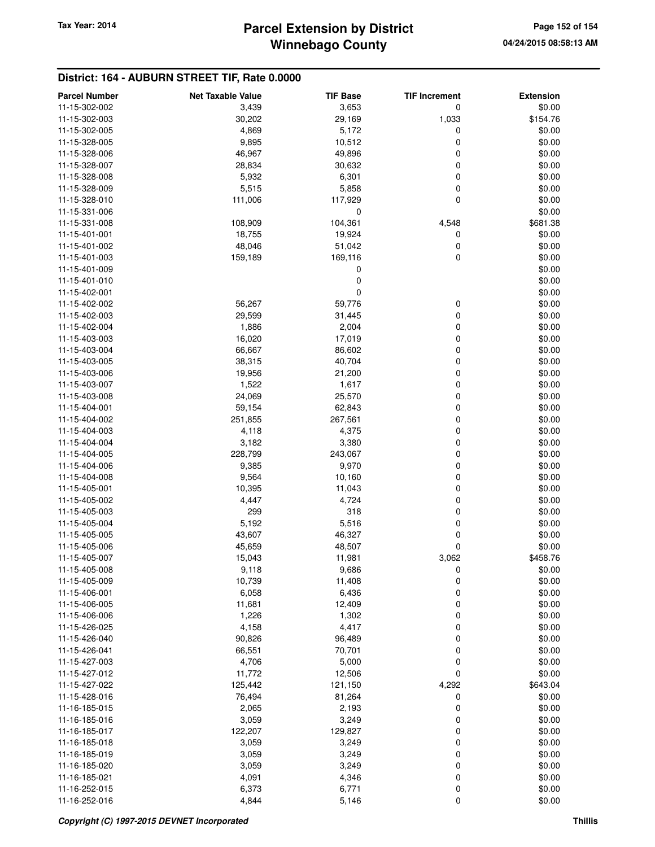# **Winnebago County Parcel Extension by District Tax Year: 2014 Page 152 of 154**

### **District: 164 - AUBURN STREET TIF, Rate 0.0000**

| <b>Parcel Number</b> | <b>Net Taxable Value</b> | <b>TIF Base</b> | <b>TIF Increment</b> | <b>Extension</b> |
|----------------------|--------------------------|-----------------|----------------------|------------------|
| 11-15-302-002        | 3,439                    | 3,653           | 0                    | \$0.00           |
| 11-15-302-003        | 30,202                   | 29,169          | 1,033                | \$154.76         |
| 11-15-302-005        | 4,869                    | 5,172           | 0                    | \$0.00           |
| 11-15-328-005        | 9,895                    | 10,512          | 0                    | \$0.00           |
| 11-15-328-006        | 46,967                   | 49,896          | 0                    | \$0.00           |
| 11-15-328-007        | 28,834                   | 30,632          | 0                    | \$0.00           |
| 11-15-328-008        | 5,932                    | 6,301           | 0                    | \$0.00           |
| 11-15-328-009        | 5,515                    | 5,858           | 0                    | \$0.00           |
| 11-15-328-010        | 111,006                  | 117,929         | 0                    | \$0.00           |
| 11-15-331-006        |                          | 0               |                      | \$0.00           |
| 11-15-331-008        | 108,909                  | 104,361         | 4,548                | \$681.38         |
| 11-15-401-001        | 18,755                   | 19,924          | 0                    | \$0.00           |
| 11-15-401-002        | 48,046                   | 51,042          | 0                    | \$0.00           |
| 11-15-401-003        | 159,189                  | 169,116         | 0                    | \$0.00           |
| 11-15-401-009        |                          | 0               |                      | \$0.00           |
| 11-15-401-010        |                          | 0               |                      | \$0.00           |
| 11-15-402-001        |                          | 0               |                      | \$0.00           |
| 11-15-402-002        | 56,267                   | 59,776          | 0                    | \$0.00           |
| 11-15-402-003        | 29,599                   | 31,445          | 0                    | \$0.00           |
| 11-15-402-004        | 1,886                    | 2,004           | 0                    | \$0.00           |
| 11-15-403-003        | 16,020                   | 17,019          | 0                    | \$0.00           |
| 11-15-403-004        | 66,667                   | 86,602          | 0                    | \$0.00           |
| 11-15-403-005        | 38,315                   | 40,704          | 0                    | \$0.00           |
| 11-15-403-006        | 19,956                   | 21,200          | 0                    | \$0.00           |
| 11-15-403-007        | 1,522                    | 1,617           | 0                    | \$0.00           |
| 11-15-403-008        | 24,069                   | 25,570          | 0                    | \$0.00           |
| 11-15-404-001        | 59,154                   | 62,843          | 0                    | \$0.00           |
| 11-15-404-002        | 251,855                  | 267,561         | 0                    | \$0.00           |
| 11-15-404-003        | 4,118                    | 4,375           | 0                    | \$0.00           |
| 11-15-404-004        | 3,182                    | 3,380           | 0                    | \$0.00           |
| 11-15-404-005        | 228,799                  | 243,067         | 0                    | \$0.00           |
| 11-15-404-006        | 9,385                    | 9,970           | 0                    | \$0.00           |
| 11-15-404-008        | 9,564                    | 10,160          | 0                    | \$0.00           |
| 11-15-405-001        | 10,395                   | 11,043          | 0                    | \$0.00           |
| 11-15-405-002        | 4,447                    | 4,724           | 0                    | \$0.00           |
| 11-15-405-003        | 299                      | 318             | 0                    | \$0.00           |
| 11-15-405-004        | 5,192                    | 5,516           | 0                    | \$0.00           |
| 11-15-405-005        | 43,607                   | 46,327          | 0                    | \$0.00           |
| 11-15-405-006        | 45,659                   | 48,507          | 0                    | \$0.00           |
| 11-15-405-007        | 15,043                   | 11,981          | 3,062                | \$458.76         |
| 11-15-405-008        | 9,118                    | 9,686           | 0                    | \$0.00           |
| 11-15-405-009        | 10,739                   | 11,408          | 0                    | \$0.00           |
| 11-15-406-001        | 6,058                    | 6,436           | 0                    | \$0.00           |
| 11-15-406-005        | 11,681                   | 12,409          | 0                    | \$0.00           |
| 11-15-406-006        | 1,226                    | 1,302           | 0                    | \$0.00           |
| 11-15-426-025        | 4,158                    | 4,417           | 0                    | \$0.00           |
| 11-15-426-040        | 90,826                   | 96,489          | 0                    | \$0.00           |
| 11-15-426-041        | 66,551                   | 70,701          | 0                    | \$0.00           |
| 11-15-427-003        | 4,706                    | 5,000           | 0                    | \$0.00           |
| 11-15-427-012        | 11,772                   | 12,506          | 0                    | \$0.00           |
| 11-15-427-022        | 125,442                  | 121,150         | 4,292                | \$643.04         |
| 11-15-428-016        | 76,494                   | 81,264          | 0                    | \$0.00           |
| 11-16-185-015        | 2,065                    | 2,193           | 0                    | \$0.00           |
| 11-16-185-016        | 3,059                    | 3,249           | 0                    | \$0.00           |
| 11-16-185-017        | 122,207                  | 129,827         | 0                    | \$0.00           |
| 11-16-185-018        | 3,059                    | 3,249           | 0                    | \$0.00           |
| 11-16-185-019        | 3,059                    | 3,249           | 0                    | \$0.00           |
| 11-16-185-020        | 3,059                    | 3,249           | 0                    | \$0.00           |
| 11-16-185-021        | 4,091                    | 4,346           | 0                    | \$0.00           |
| 11-16-252-015        | 6,373                    | 6,771           | 0                    | \$0.00           |
| 11-16-252-016        | 4,844                    | 5,146           | 0                    | \$0.00           |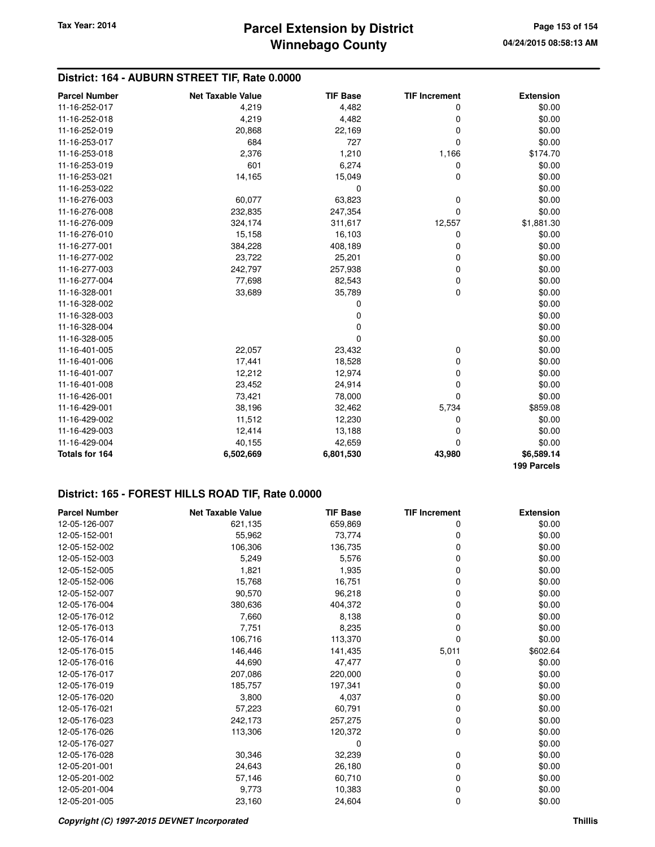### **District: 164 - AUBURN STREET TIF, Rate 0.0000**

| <b>Parcel Number</b> | <b>Net Taxable Value</b> | <b>TIF Base</b> | <b>TIF Increment</b> | <b>Extension</b> |
|----------------------|--------------------------|-----------------|----------------------|------------------|
| 11-16-252-017        | 4,219                    | 4,482           | 0                    | \$0.00           |
| 11-16-252-018        | 4,219                    | 4,482           | 0                    | \$0.00           |
| 11-16-252-019        | 20,868                   | 22,169          | 0                    | \$0.00           |
| 11-16-253-017        | 684                      | 727             | 0                    | \$0.00           |
| 11-16-253-018        | 2,376                    | 1,210           | 1,166                | \$174.70         |
| 11-16-253-019        | 601                      | 6,274           | 0                    | \$0.00           |
| 11-16-253-021        | 14,165                   | 15,049          | 0                    | \$0.00           |
| 11-16-253-022        |                          | 0               |                      | \$0.00           |
| 11-16-276-003        | 60,077                   | 63,823          | 0                    | \$0.00           |
| 11-16-276-008        | 232,835                  | 247,354         | $\Omega$             | \$0.00           |
| 11-16-276-009        | 324,174                  | 311,617         | 12,557               | \$1,881.30       |
| 11-16-276-010        | 15,158                   | 16,103          | 0                    | \$0.00           |
| 11-16-277-001        | 384,228                  | 408,189         | 0                    | \$0.00           |
| 11-16-277-002        | 23,722                   | 25,201          | 0                    | \$0.00           |
| 11-16-277-003        | 242,797                  | 257,938         | 0                    | \$0.00           |
| 11-16-277-004        | 77,698                   | 82,543          | 0                    | \$0.00           |
| 11-16-328-001        | 33,689                   | 35,789          | 0                    | \$0.00           |
| 11-16-328-002        |                          | 0               |                      | \$0.00           |
| 11-16-328-003        |                          | 0               |                      | \$0.00           |
| 11-16-328-004        |                          | 0               |                      | \$0.00           |
| 11-16-328-005        |                          | 0               |                      | \$0.00           |
| 11-16-401-005        | 22,057                   | 23,432          | 0                    | \$0.00           |
| 11-16-401-006        | 17,441                   | 18,528          | 0                    | \$0.00           |
| 11-16-401-007        | 12,212                   | 12,974          | 0                    | \$0.00           |
| 11-16-401-008        | 23,452                   | 24,914          | 0                    | \$0.00           |
| 11-16-426-001        | 73,421                   | 78,000          | $\Omega$             | \$0.00           |
| 11-16-429-001        | 38,196                   | 32,462          | 5,734                | \$859.08         |
| 11-16-429-002        | 11,512                   | 12,230          | 0                    | \$0.00           |
| 11-16-429-003        | 12,414                   | 13,188          | 0                    | \$0.00           |
| 11-16-429-004        | 40,155                   | 42,659          | 0                    | \$0.00           |
| Totals for 164       | 6,502,669                | 6,801,530       | 43,980               | \$6,589.14       |
|                      |                          |                 |                      | 199 Parcels      |

### **District: 165 - FOREST HILLS ROAD TIF, Rate 0.0000**

| <b>Parcel Number</b> | <b>Net Taxable Value</b> | <b>TIF Base</b> | <b>TIF Increment</b> | <b>Extension</b> |
|----------------------|--------------------------|-----------------|----------------------|------------------|
| 12-05-126-007        | 621,135                  | 659,869         | 0                    | \$0.00           |
| 12-05-152-001        | 55,962                   | 73,774          | 0                    | \$0.00           |
| 12-05-152-002        | 106,306                  | 136,735         | 0                    | \$0.00           |
| 12-05-152-003        | 5,249                    | 5,576           | 0                    | \$0.00           |
| 12-05-152-005        | 1,821                    | 1,935           | 0                    | \$0.00           |
| 12-05-152-006        | 15,768                   | 16,751          | 0                    | \$0.00           |
| 12-05-152-007        | 90,570                   | 96,218          | 0                    | \$0.00           |
| 12-05-176-004        | 380,636                  | 404,372         | 0                    | \$0.00           |
| 12-05-176-012        | 7,660                    | 8,138           | 0                    | \$0.00           |
| 12-05-176-013        | 7,751                    | 8,235           | 0                    | \$0.00           |
| 12-05-176-014        | 106,716                  | 113,370         | 0                    | \$0.00           |
| 12-05-176-015        | 146,446                  | 141,435         | 5,011                | \$602.64         |
| 12-05-176-016        | 44,690                   | 47,477          | 0                    | \$0.00           |
| 12-05-176-017        | 207,086                  | 220,000         | 0                    | \$0.00           |
| 12-05-176-019        | 185,757                  | 197,341         | 0                    | \$0.00           |
| 12-05-176-020        | 3,800                    | 4,037           | 0                    | \$0.00           |
| 12-05-176-021        | 57,223                   | 60,791          | 0                    | \$0.00           |
| 12-05-176-023        | 242,173                  | 257,275         | 0                    | \$0.00           |
| 12-05-176-026        | 113,306                  | 120,372         | 0                    | \$0.00           |
| 12-05-176-027        |                          | 0               |                      | \$0.00           |
| 12-05-176-028        | 30,346                   | 32,239          | 0                    | \$0.00           |
| 12-05-201-001        | 24,643                   | 26,180          | 0                    | \$0.00           |
| 12-05-201-002        | 57,146                   | 60,710          | 0                    | \$0.00           |
| 12-05-201-004        | 9,773                    | 10,383          | 0                    | \$0.00           |
| 12-05-201-005        | 23,160                   | 24,604          | 0                    | \$0.00           |